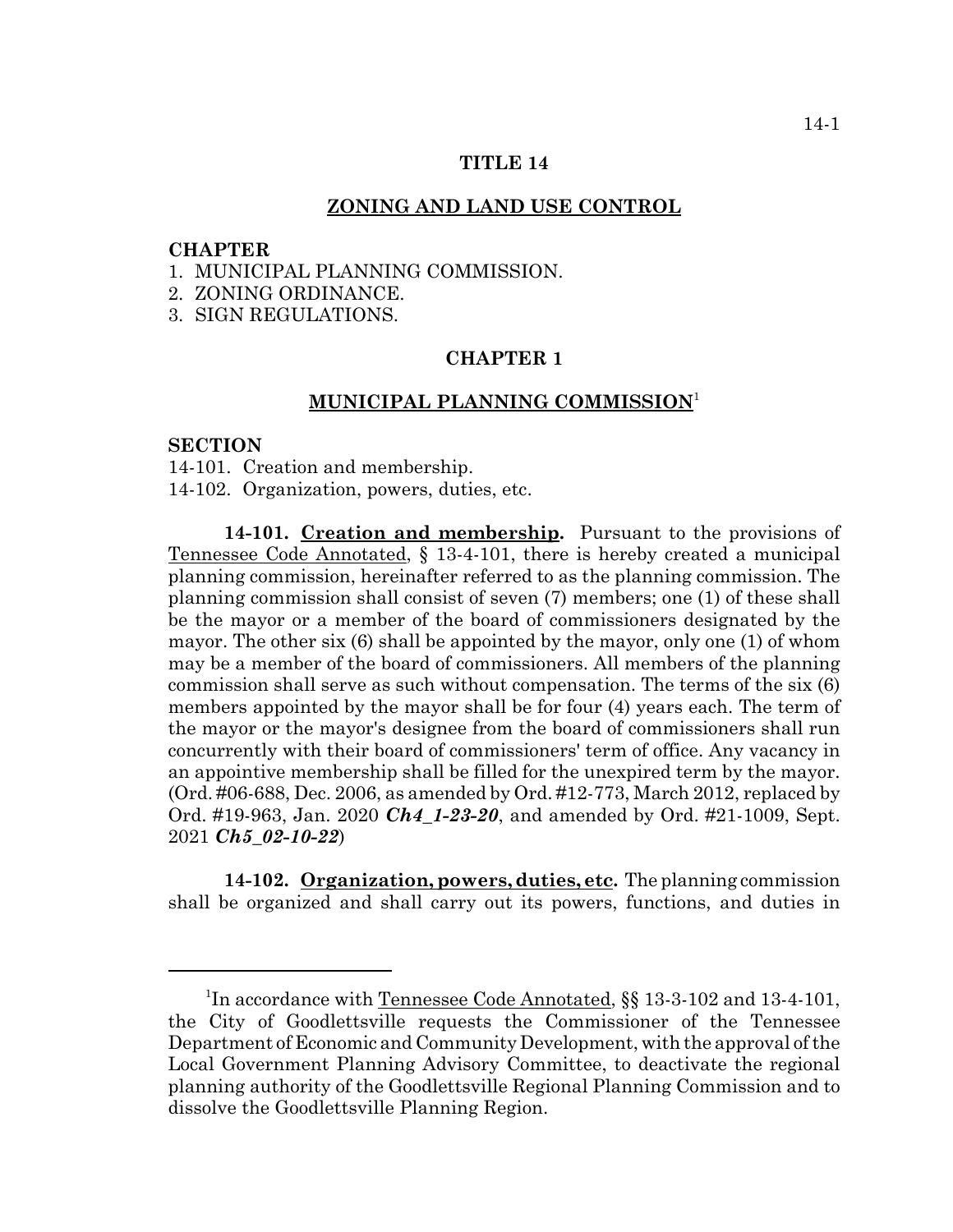## **TITLE 14**

### **ZONING AND LAND USE CONTROL**

### **CHAPTER**

- 1. MUNICIPAL PLANNING COMMISSION.
- 2. ZONING ORDINANCE.
- 3. SIGN REGULATIONS.

# **CHAPTER 1**

# **MUNICIPAL PLANNING COMMISSION**<sup>1</sup>

### **SECTION**

14-101. Creation and membership.

14-102. Organization, powers, duties, etc.

**14-101. Creation and membership.** Pursuant to the provisions of Tennessee Code Annotated, § 13-4-101, there is hereby created a municipal planning commission, hereinafter referred to as the planning commission. The planning commission shall consist of seven (7) members; one (1) of these shall be the mayor or a member of the board of commissioners designated by the mayor. The other six (6) shall be appointed by the mayor, only one (1) of whom may be a member of the board of commissioners. All members of the planning commission shall serve as such without compensation. The terms of the six (6) members appointed by the mayor shall be for four (4) years each. The term of the mayor or the mayor's designee from the board of commissioners shall run concurrently with their board of commissioners' term of office. Any vacancy in an appointive membership shall be filled for the unexpired term by the mayor. (Ord. #06-688, Dec. 2006, as amended by Ord. #12-773, March 2012, replaced by Ord. #19-963, Jan. 2020 *Ch4\_1-23-20*, and amended by Ord. #21-1009, Sept. 2021 *Ch5\_02-10-22*)

**14-102. Organization, powers, duties, etc.** The planning commission shall be organized and shall carry out its powers, functions, and duties in

<sup>&</sup>lt;sup>1</sup>In accordance with Tennessee Code Annotated, §§ 13-3-102 and 13-4-101, the City of Goodlettsville requests the Commissioner of the Tennessee Department of Economic and Community Development, with the approval of the Local Government Planning Advisory Committee, to deactivate the regional planning authority of the Goodlettsville Regional Planning Commission and to dissolve the Goodlettsville Planning Region.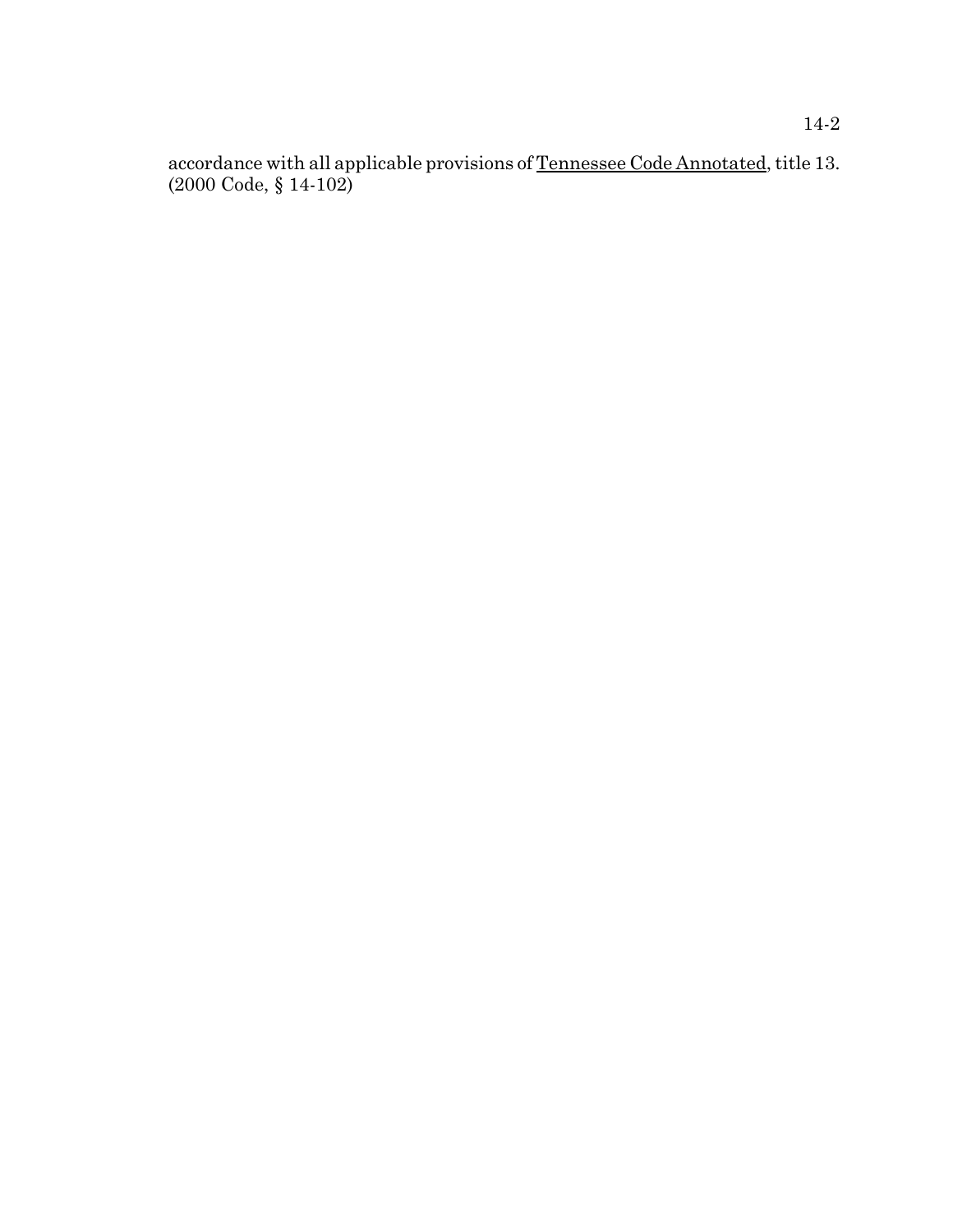accordance with all applicable provisions of Tennessee Code Annotated, title 13. (2000 Code, § 14-102)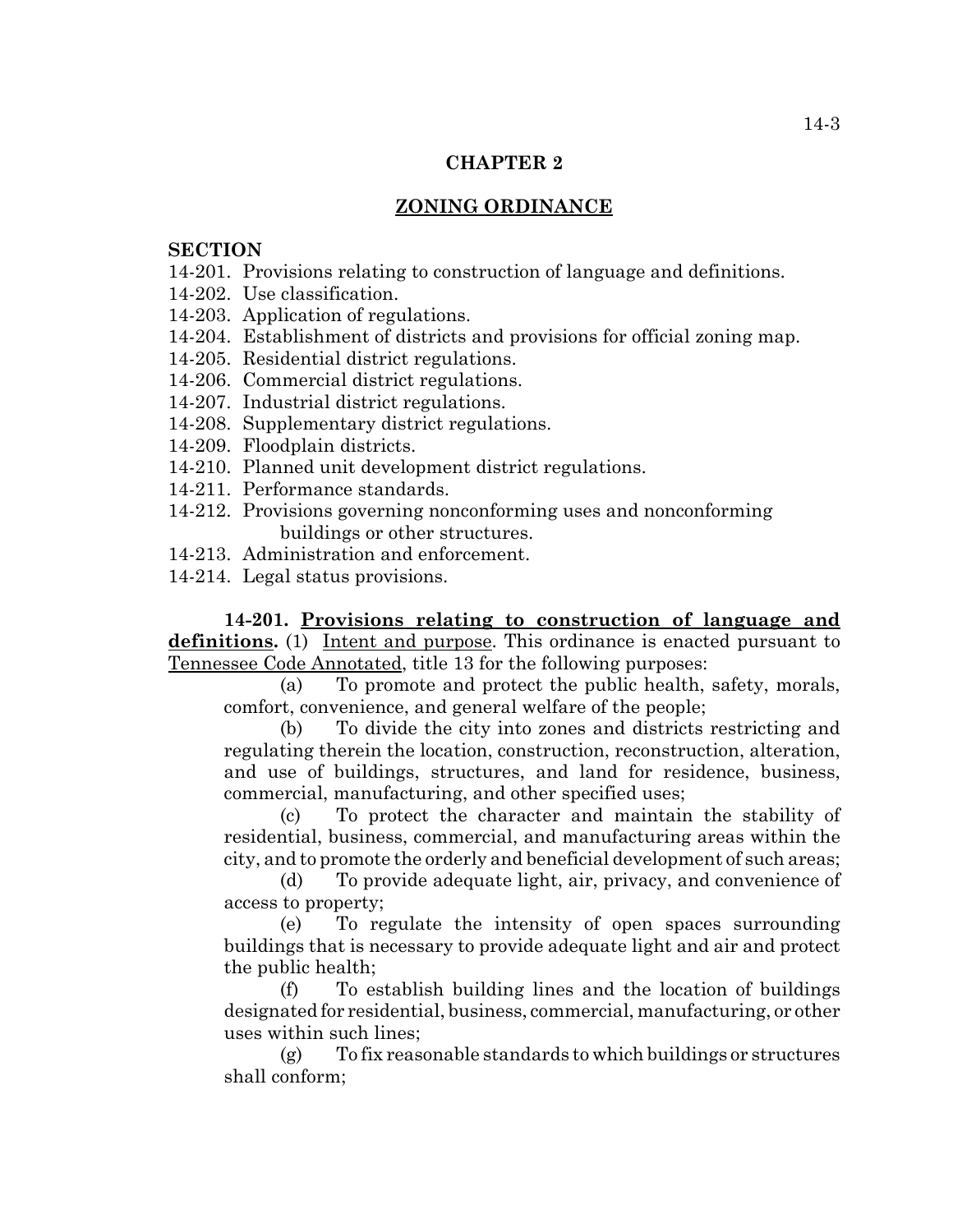# **CHAPTER 2**

## **ZONING ORDINANCE**

### **SECTION**

- 14-201. Provisions relating to construction of language and definitions.
- 14-202. Use classification.
- 14-203. Application of regulations.
- 14-204. Establishment of districts and provisions for official zoning map.
- 14-205. Residential district regulations.
- 14-206. Commercial district regulations.
- 14-207. Industrial district regulations.
- 14-208. Supplementary district regulations.
- 14-209. Floodplain districts.
- 14-210. Planned unit development district regulations.
- 14-211. Performance standards.
- 14-212. Provisions governing nonconforming uses and nonconforming buildings or other structures.
- 14-213. Administration and enforcement.
- 14-214. Legal status provisions.

**14-201. Provisions relating to construction of language and definitions.** (1) Intent and purpose. This ordinance is enacted pursuant to Tennessee Code Annotated, title 13 for the following purposes:

(a) To promote and protect the public health, safety, morals, comfort, convenience, and general welfare of the people;

(b) To divide the city into zones and districts restricting and regulating therein the location, construction, reconstruction, alteration, and use of buildings, structures, and land for residence, business, commercial, manufacturing, and other specified uses;

(c) To protect the character and maintain the stability of residential, business, commercial, and manufacturing areas within the city, and to promote the orderly and beneficial development of such areas;

(d) To provide adequate light, air, privacy, and convenience of access to property;

(e) To regulate the intensity of open spaces surrounding buildings that is necessary to provide adequate light and air and protect the public health;

(f) To establish building lines and the location of buildings designated for residential, business, commercial, manufacturing, or other uses within such lines;

(g) To fix reasonable standards to which buildings or structures shall conform;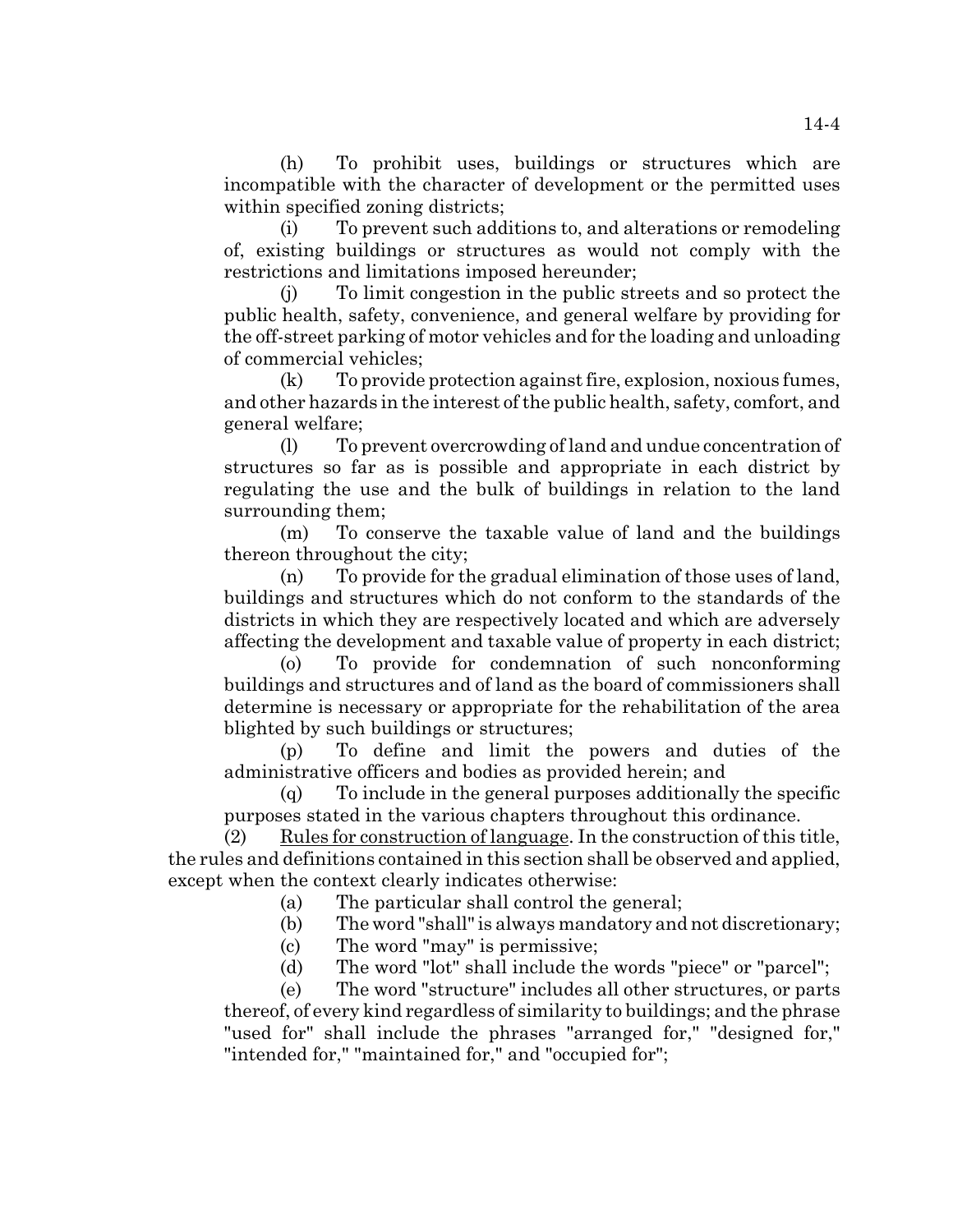(h) To prohibit uses, buildings or structures which are incompatible with the character of development or the permitted uses within specified zoning districts;

(i) To prevent such additions to, and alterations or remodeling of, existing buildings or structures as would not comply with the restrictions and limitations imposed hereunder;

(j) To limit congestion in the public streets and so protect the public health, safety, convenience, and general welfare by providing for the off-street parking of motor vehicles and for the loading and unloading of commercial vehicles;

(k) To provide protection against fire, explosion, noxious fumes, and other hazards in the interest of the public health, safety, comfort, and general welfare;

(l) To prevent overcrowding of land and undue concentration of structures so far as is possible and appropriate in each district by regulating the use and the bulk of buildings in relation to the land surrounding them;

(m) To conserve the taxable value of land and the buildings thereon throughout the city;

(n) To provide for the gradual elimination of those uses of land, buildings and structures which do not conform to the standards of the districts in which they are respectively located and which are adversely affecting the development and taxable value of property in each district;

(o) To provide for condemnation of such nonconforming buildings and structures and of land as the board of commissioners shall determine is necessary or appropriate for the rehabilitation of the area blighted by such buildings or structures;

(p) To define and limit the powers and duties of the administrative officers and bodies as provided herein; and

(q) To include in the general purposes additionally the specific purposes stated in the various chapters throughout this ordinance.

(2) Rules for construction of language. In the construction of this title, the rules and definitions contained in this section shall be observed and applied, except when the context clearly indicates otherwise:

(a) The particular shall control the general;

(b) The word "shall" is always mandatory and not discretionary;

(c) The word "may" is permissive;

(d) The word "lot" shall include the words "piece" or "parcel";

(e) The word "structure" includes all other structures, or parts thereof, of every kind regardless of similarity to buildings; and the phrase "used for" shall include the phrases "arranged for," "designed for," "intended for," "maintained for," and "occupied for";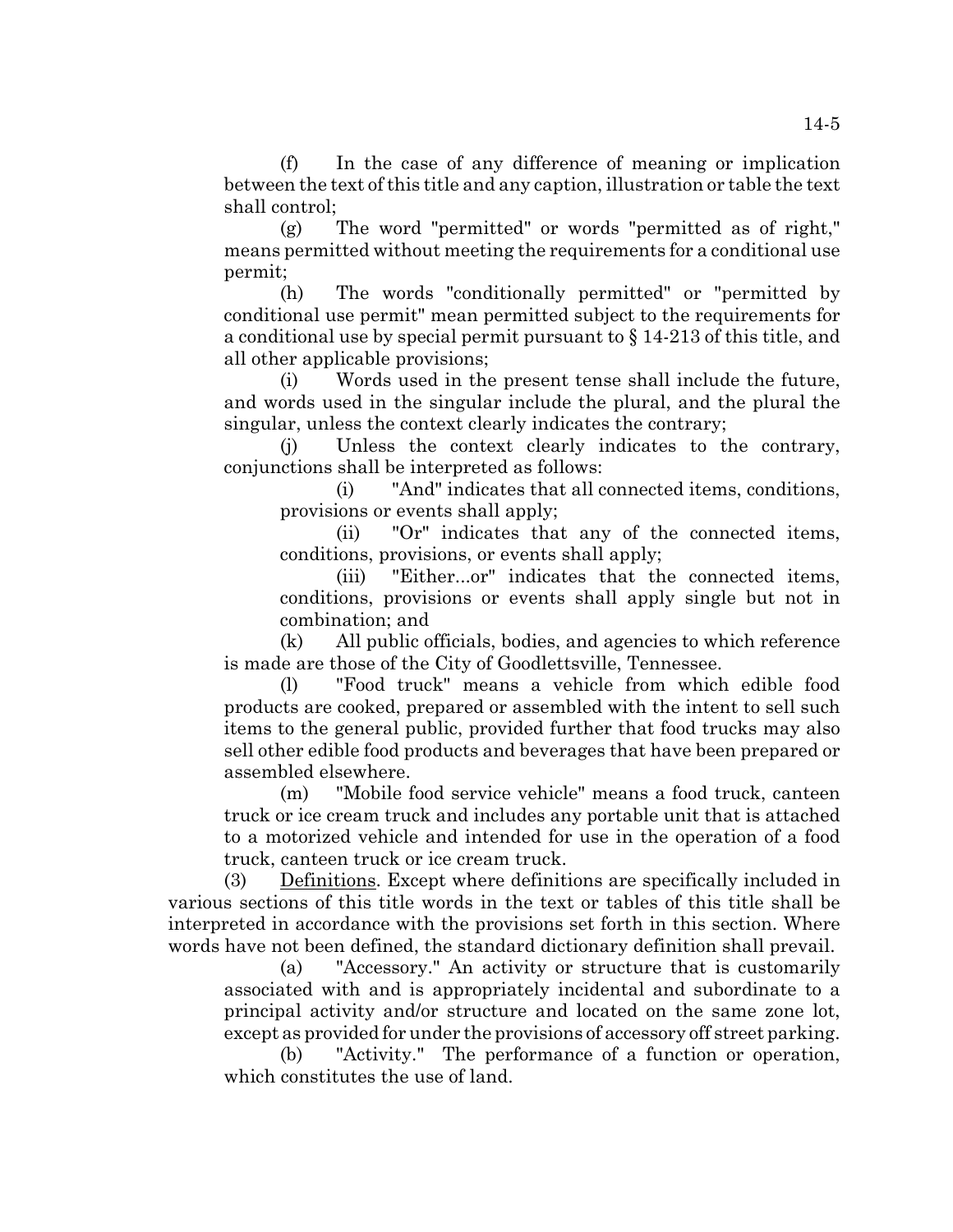(f) In the case of any difference of meaning or implication between the text of this title and any caption, illustration or table the text shall control;

(g) The word "permitted" or words "permitted as of right," means permitted without meeting the requirements for a conditional use permit;

(h) The words "conditionally permitted" or "permitted by conditional use permit" mean permitted subject to the requirements for a conditional use by special permit pursuant to § 14-213 of this title, and all other applicable provisions;

(i) Words used in the present tense shall include the future, and words used in the singular include the plural, and the plural the singular, unless the context clearly indicates the contrary;

(j) Unless the context clearly indicates to the contrary, conjunctions shall be interpreted as follows:

(i) "And" indicates that all connected items, conditions, provisions or events shall apply;

(ii) "Or" indicates that any of the connected items, conditions, provisions, or events shall apply;

(iii) "Either...or" indicates that the connected items, conditions, provisions or events shall apply single but not in combination; and

(k) All public officials, bodies, and agencies to which reference is made are those of the City of Goodlettsville, Tennessee.

(l) "Food truck" means a vehicle from which edible food products are cooked, prepared or assembled with the intent to sell such items to the general public, provided further that food trucks may also sell other edible food products and beverages that have been prepared or assembled elsewhere.

(m) "Mobile food service vehicle" means a food truck, canteen truck or ice cream truck and includes any portable unit that is attached to a motorized vehicle and intended for use in the operation of a food truck, canteen truck or ice cream truck.

(3) Definitions. Except where definitions are specifically included in various sections of this title words in the text or tables of this title shall be interpreted in accordance with the provisions set forth in this section. Where words have not been defined, the standard dictionary definition shall prevail.

(a) "Accessory." An activity or structure that is customarily associated with and is appropriately incidental and subordinate to a principal activity and/or structure and located on the same zone lot, except as provided for under the provisions of accessory off street parking.

(b) "Activity." The performance of a function or operation, which constitutes the use of land.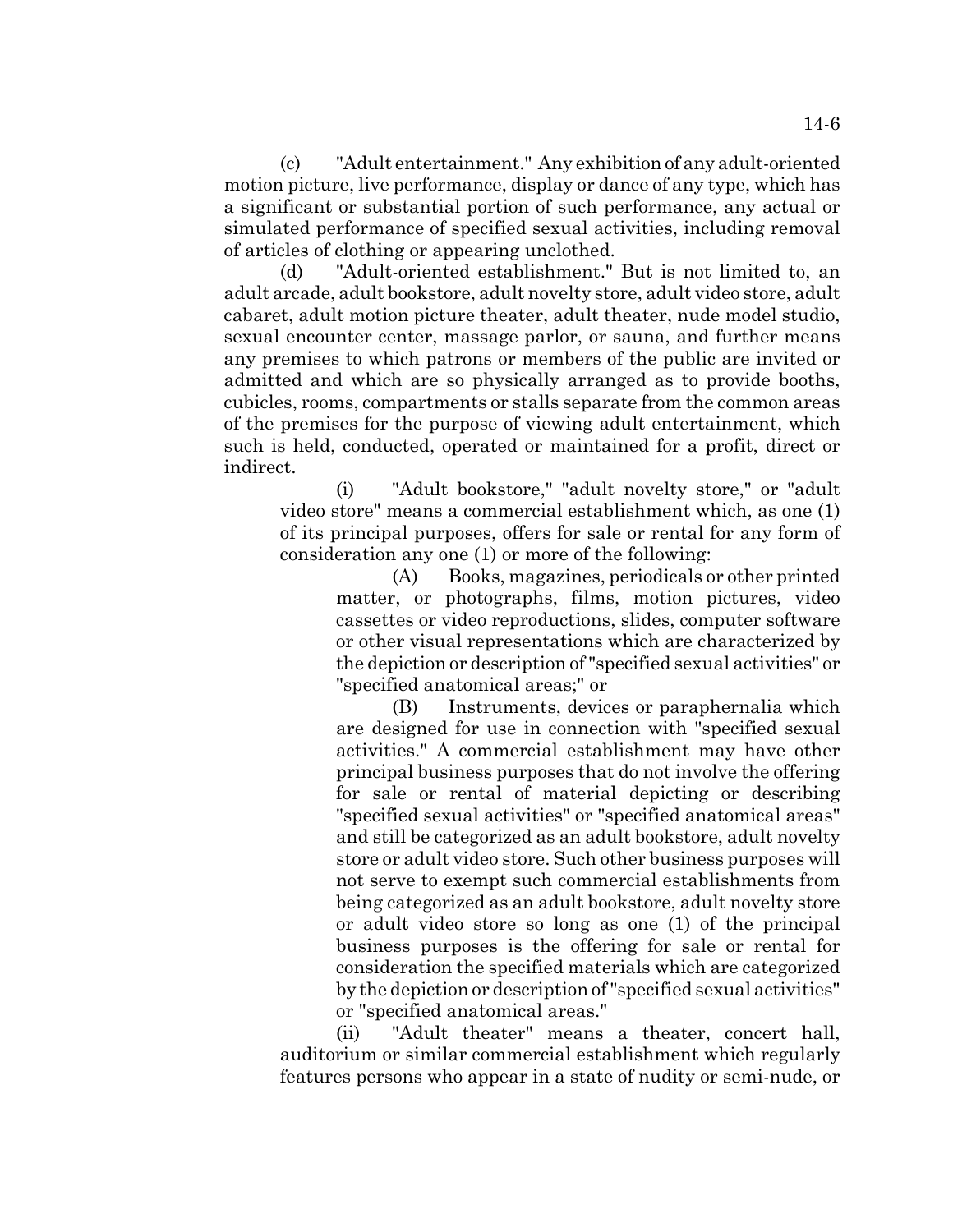(c) "Adult entertainment." Any exhibition of any adult-oriented motion picture, live performance, display or dance of any type, which has a significant or substantial portion of such performance, any actual or simulated performance of specified sexual activities, including removal of articles of clothing or appearing unclothed.

(d) "Adult-oriented establishment." But is not limited to, an adult arcade, adult bookstore, adult novelty store, adult video store, adult cabaret, adult motion picture theater, adult theater, nude model studio, sexual encounter center, massage parlor, or sauna, and further means any premises to which patrons or members of the public are invited or admitted and which are so physically arranged as to provide booths, cubicles, rooms, compartments or stalls separate from the common areas of the premises for the purpose of viewing adult entertainment, which such is held, conducted, operated or maintained for a profit, direct or indirect.

(i) "Adult bookstore," "adult novelty store," or "adult video store" means a commercial establishment which, as one (1) of its principal purposes, offers for sale or rental for any form of consideration any one (1) or more of the following:

(A) Books, magazines, periodicals or other printed matter, or photographs, films, motion pictures, video cassettes or video reproductions, slides, computer software or other visual representations which are characterized by the depiction or description of "specified sexual activities" or "specified anatomical areas;" or

(B) Instruments, devices or paraphernalia which are designed for use in connection with "specified sexual activities." A commercial establishment may have other principal business purposes that do not involve the offering for sale or rental of material depicting or describing "specified sexual activities" or "specified anatomical areas" and still be categorized as an adult bookstore, adult novelty store or adult video store. Such other business purposes will not serve to exempt such commercial establishments from being categorized as an adult bookstore, adult novelty store or adult video store so long as one (1) of the principal business purposes is the offering for sale or rental for consideration the specified materials which are categorized by the depiction or description of "specified sexual activities" or "specified anatomical areas."

(ii) "Adult theater" means a theater, concert hall, auditorium or similar commercial establishment which regularly features persons who appear in a state of nudity or semi-nude, or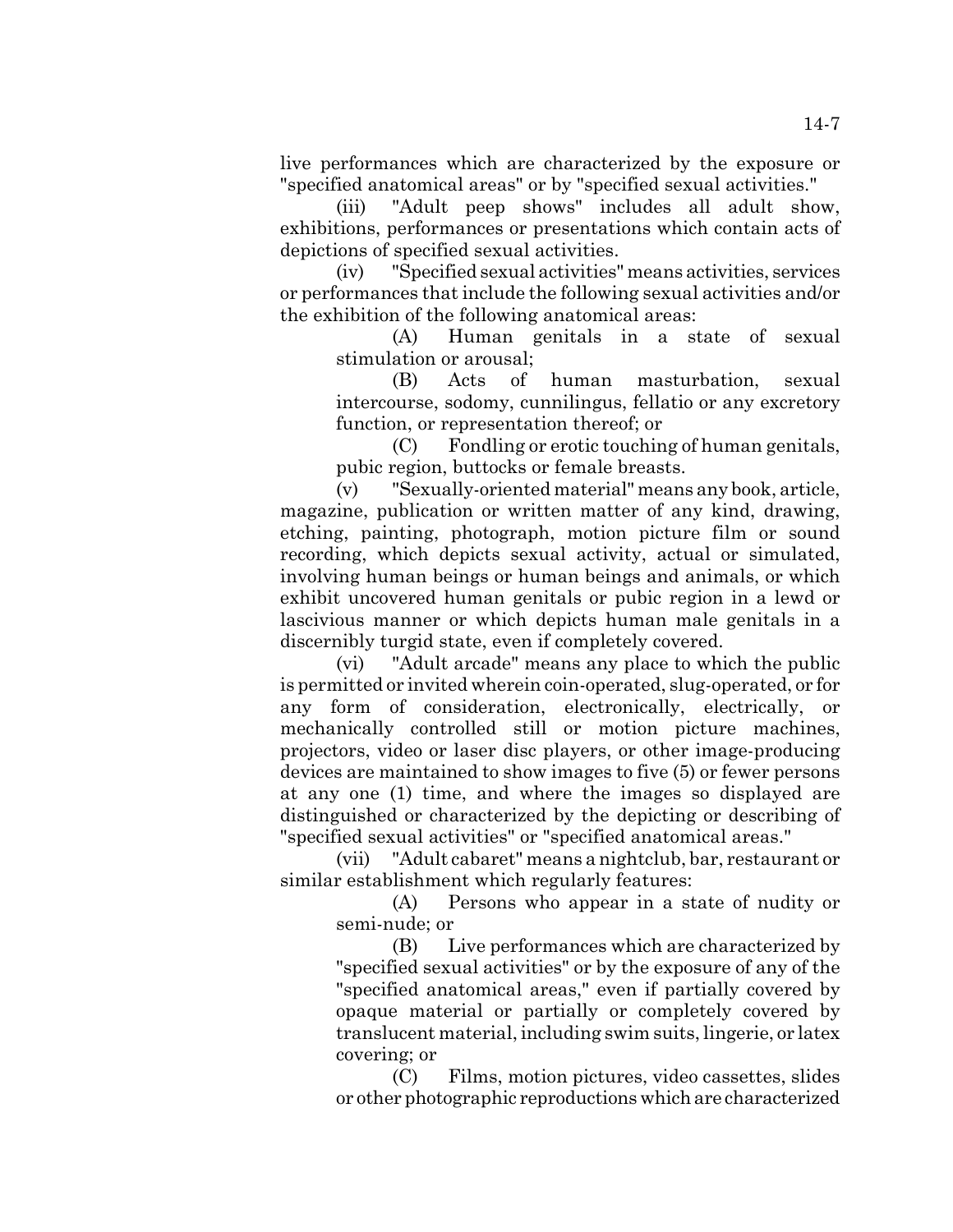live performances which are characterized by the exposure or "specified anatomical areas" or by "specified sexual activities."

(iii) "Adult peep shows" includes all adult show, exhibitions, performances or presentations which contain acts of depictions of specified sexual activities.

(iv) "Specified sexual activities" means activities, services or performances that include the following sexual activities and/or the exhibition of the following anatomical areas:

(A) Human genitals in a state of sexual stimulation or arousal;

(B) Acts of human masturbation, sexual intercourse, sodomy, cunnilingus, fellatio or any excretory function, or representation thereof; or

(C) Fondling or erotic touching of human genitals, pubic region, buttocks or female breasts.

(v) "Sexually-oriented material" means any book, article, magazine, publication or written matter of any kind, drawing, etching, painting, photograph, motion picture film or sound recording, which depicts sexual activity, actual or simulated, involving human beings or human beings and animals, or which exhibit uncovered human genitals or pubic region in a lewd or lascivious manner or which depicts human male genitals in a discernibly turgid state, even if completely covered.

(vi) "Adult arcade" means any place to which the public is permitted or invited wherein coin-operated, slug-operated, or for any form of consideration, electronically, electrically, or mechanically controlled still or motion picture machines, projectors, video or laser disc players, or other image-producing devices are maintained to show images to five (5) or fewer persons at any one (1) time, and where the images so displayed are distinguished or characterized by the depicting or describing of "specified sexual activities" or "specified anatomical areas."

(vii) "Adult cabaret" means a nightclub, bar, restaurant or similar establishment which regularly features:

(A) Persons who appear in a state of nudity or semi-nude; or

(B) Live performances which are characterized by "specified sexual activities" or by the exposure of any of the "specified anatomical areas," even if partially covered by opaque material or partially or completely covered by translucent material, including swim suits, lingerie, or latex covering; or

(C) Films, motion pictures, video cassettes, slides or other photographic reproductions which are characterized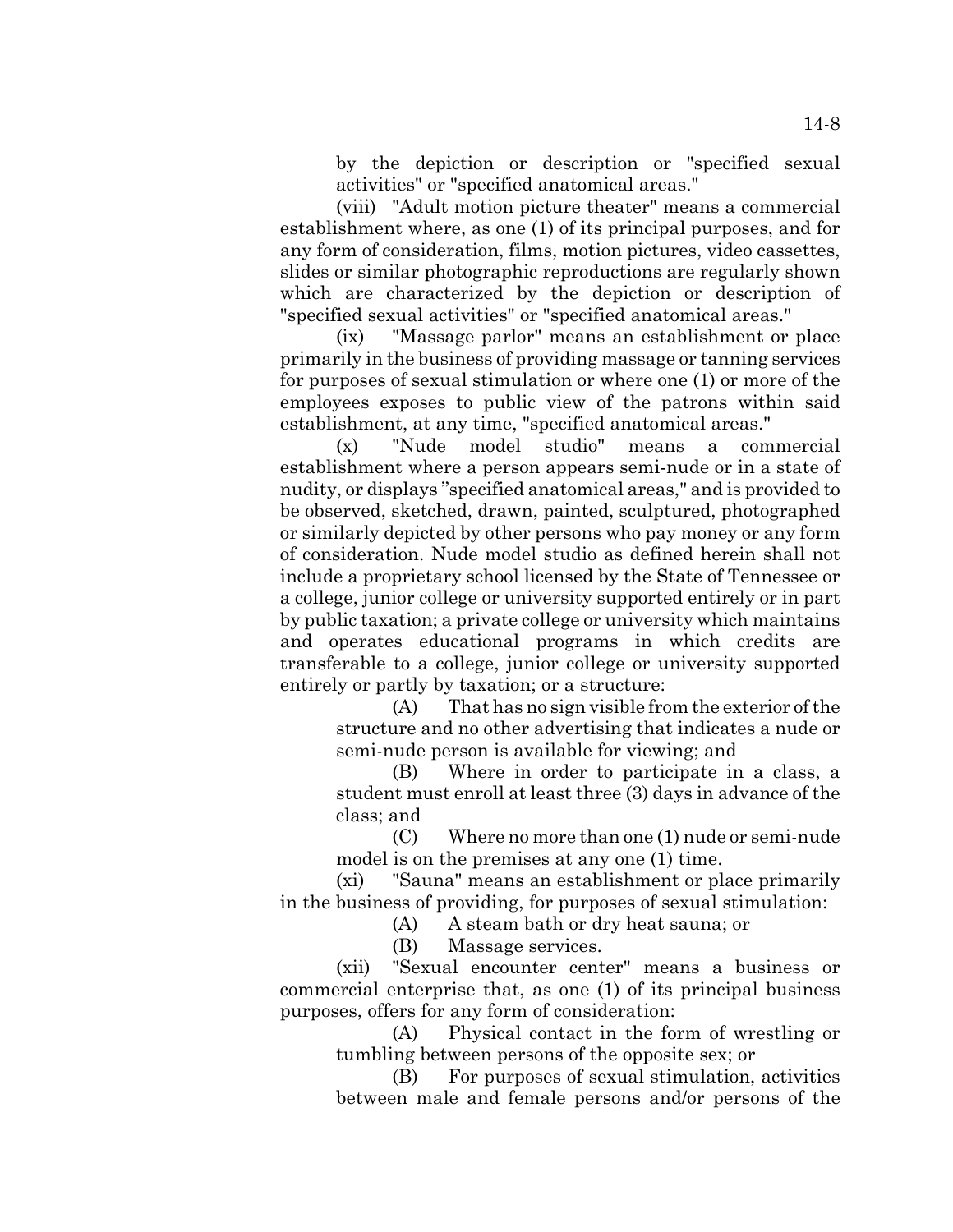by the depiction or description or "specified sexual activities" or "specified anatomical areas."

(viii) "Adult motion picture theater" means a commercial establishment where, as one (1) of its principal purposes, and for any form of consideration, films, motion pictures, video cassettes, slides or similar photographic reproductions are regularly shown which are characterized by the depiction or description of "specified sexual activities" or "specified anatomical areas."

(ix) "Massage parlor" means an establishment or place primarily in the business of providing massage or tanning services for purposes of sexual stimulation or where one (1) or more of the employees exposes to public view of the patrons within said establishment, at any time, "specified anatomical areas."

(x) "Nude model studio" means a commercial establishment where a person appears semi-nude or in a state of nudity, or displays ''specified anatomical areas," and is provided to be observed, sketched, drawn, painted, sculptured, photographed or similarly depicted by other persons who pay money or any form of consideration. Nude model studio as defined herein shall not include a proprietary school licensed by the State of Tennessee or a college, junior college or university supported entirely or in part by public taxation; a private college or university which maintains and operates educational programs in which credits are transferable to a college, junior college or university supported entirely or partly by taxation; or a structure:

(A) That has no sign visible from the exterior of the structure and no other advertising that indicates a nude or semi-nude person is available for viewing; and

(B) Where in order to participate in a class, a student must enroll at least three (3) days in advance of the class; and

(C) Where no more than one (1) nude or semi-nude model is on the premises at any one (1) time.

(xi) "Sauna" means an establishment or place primarily in the business of providing, for purposes of sexual stimulation:

(A) A steam bath or dry heat sauna; or

(B) Massage services.

(xii) "Sexual encounter center" means a business or commercial enterprise that, as one (1) of its principal business purposes, offers for any form of consideration:

(A) Physical contact in the form of wrestling or tumbling between persons of the opposite sex; or

(B) For purposes of sexual stimulation, activities between male and female persons and/or persons of the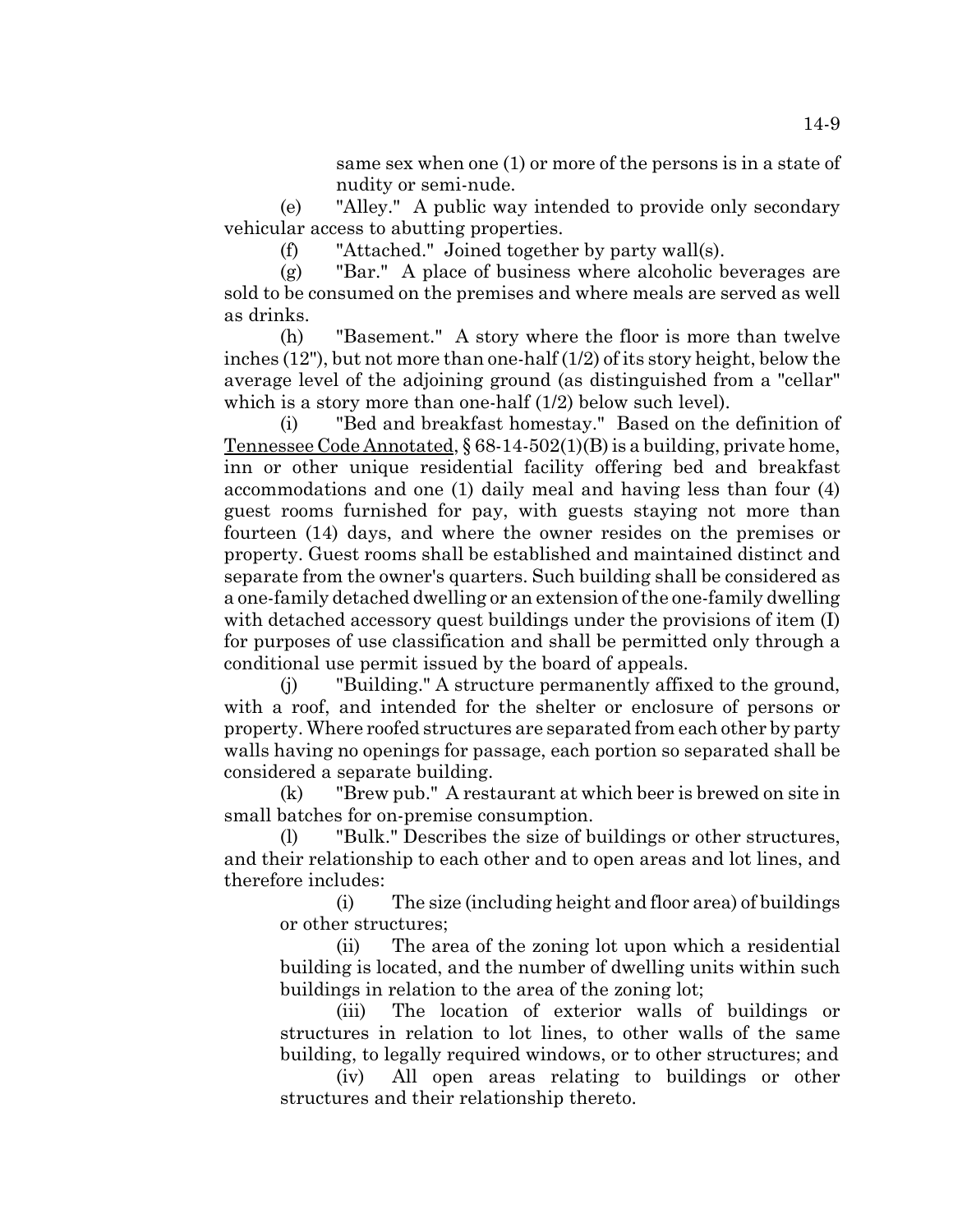same sex when one (1) or more of the persons is in a state of nudity or semi-nude.

(e) "Alley." A public way intended to provide only secondary vehicular access to abutting properties.

(f) "Attached." Joined together by party wall(s).

(g) "Bar." A place of business where alcoholic beverages are sold to be consumed on the premises and where meals are served as well as drinks.

(h) "Basement." A story where the floor is more than twelve inches (12"), but not more than one-half (1/2) of its story height, below the average level of the adjoining ground (as distinguished from a "cellar" which is a story more than one-half  $(1/2)$  below such level).

(i) "Bed and breakfast homestay." Based on the definition of Tennessee Code Annotated,  $\S 68-14-502(1)(B)$  is a building, private home, inn or other unique residential facility offering bed and breakfast accommodations and one (1) daily meal and having less than four (4) guest rooms furnished for pay, with guests staying not more than fourteen (14) days, and where the owner resides on the premises or property. Guest rooms shall be established and maintained distinct and separate from the owner's quarters. Such building shall be considered as a one-family detached dwelling or an extension of the one-family dwelling with detached accessory quest buildings under the provisions of item (I) for purposes of use classification and shall be permitted only through a conditional use permit issued by the board of appeals.

(j) "Building." A structure permanently affixed to the ground, with a roof, and intended for the shelter or enclosure of persons or property. Where roofed structures are separated from each other by party walls having no openings for passage, each portion so separated shall be considered a separate building.

(k) "Brew pub." A restaurant at which beer is brewed on site in small batches for on-premise consumption.

 (l) "Bulk." Describes the size of buildings or other structures, and their relationship to each other and to open areas and lot lines, and therefore includes:

(i) The size (including height and floor area) of buildings or other structures;

(ii) The area of the zoning lot upon which a residential building is located, and the number of dwelling units within such buildings in relation to the area of the zoning lot;

(iii) The location of exterior walls of buildings or structures in relation to lot lines, to other walls of the same building, to legally required windows, or to other structures; and

(iv) All open areas relating to buildings or other structures and their relationship thereto.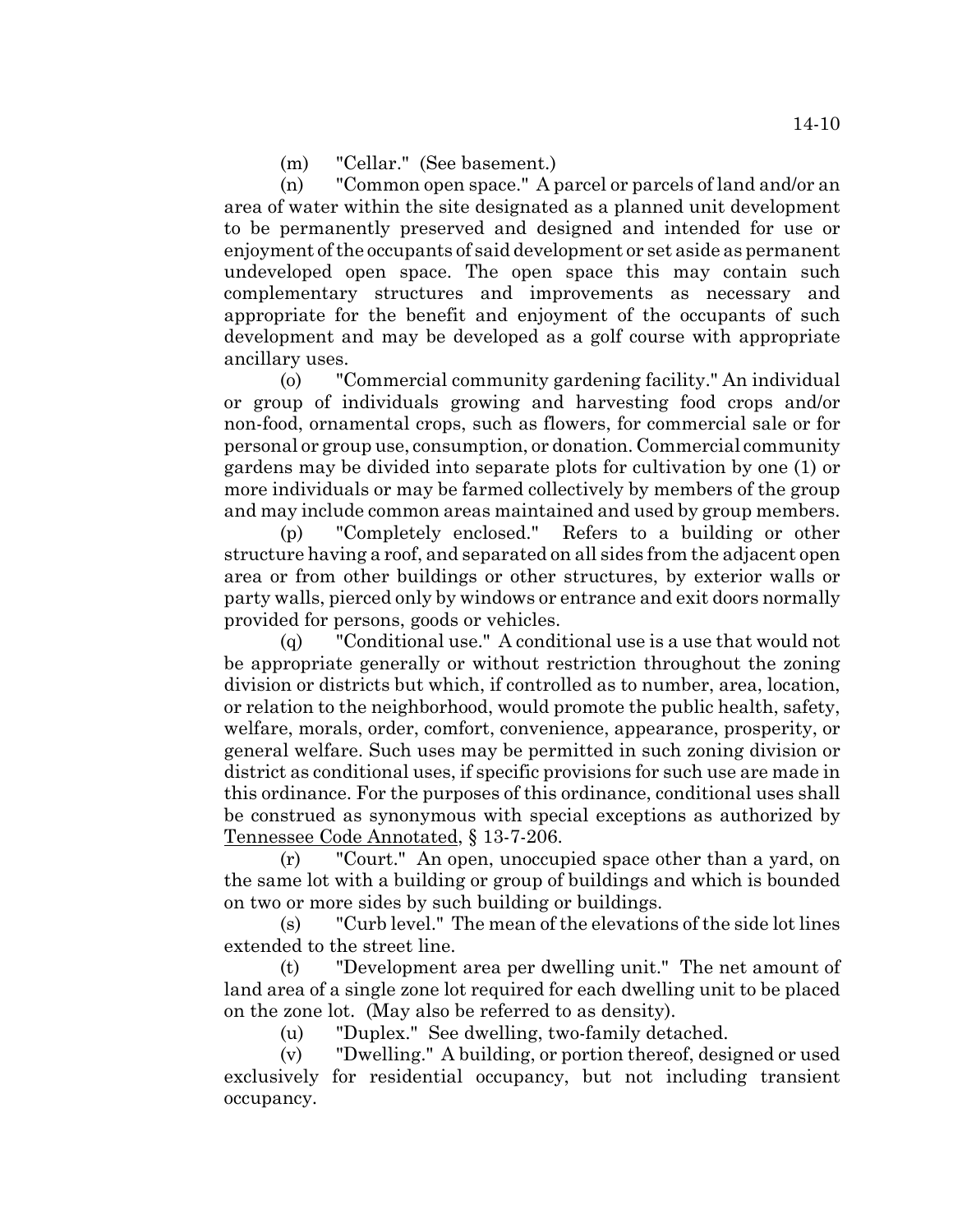(m) "Cellar." (See basement.)

(n) "Common open space." A parcel or parcels of land and/or an area of water within the site designated as a planned unit development to be permanently preserved and designed and intended for use or enjoyment of the occupants of said development or set aside as permanent undeveloped open space. The open space this may contain such complementary structures and improvements as necessary and appropriate for the benefit and enjoyment of the occupants of such development and may be developed as a golf course with appropriate ancillary uses.

(o) "Commercial community gardening facility." An individual or group of individuals growing and harvesting food crops and/or non-food, ornamental crops, such as flowers, for commercial sale or for personal or group use, consumption, or donation. Commercial community gardens may be divided into separate plots for cultivation by one (1) or more individuals or may be farmed collectively by members of the group and may include common areas maintained and used by group members.

(p) "Completely enclosed." Refers to a building or other structure having a roof, and separated on all sides from the adjacent open area or from other buildings or other structures, by exterior walls or party walls, pierced only by windows or entrance and exit doors normally provided for persons, goods or vehicles.

(q) "Conditional use." A conditional use is a use that would not be appropriate generally or without restriction throughout the zoning division or districts but which, if controlled as to number, area, location, or relation to the neighborhood, would promote the public health, safety, welfare, morals, order, comfort, convenience, appearance, prosperity, or general welfare. Such uses may be permitted in such zoning division or district as conditional uses, if specific provisions for such use are made in this ordinance. For the purposes of this ordinance, conditional uses shall be construed as synonymous with special exceptions as authorized by Tennessee Code Annotated, § 13-7-206.

(r) "Court." An open, unoccupied space other than a yard, on the same lot with a building or group of buildings and which is bounded on two or more sides by such building or buildings.

(s) "Curb level." The mean of the elevations of the side lot lines extended to the street line.

(t) "Development area per dwelling unit." The net amount of land area of a single zone lot required for each dwelling unit to be placed on the zone lot. (May also be referred to as density).

(u) "Duplex." See dwelling, two-family detached.

(v) "Dwelling." A building, or portion thereof, designed or used exclusively for residential occupancy, but not including transient occupancy.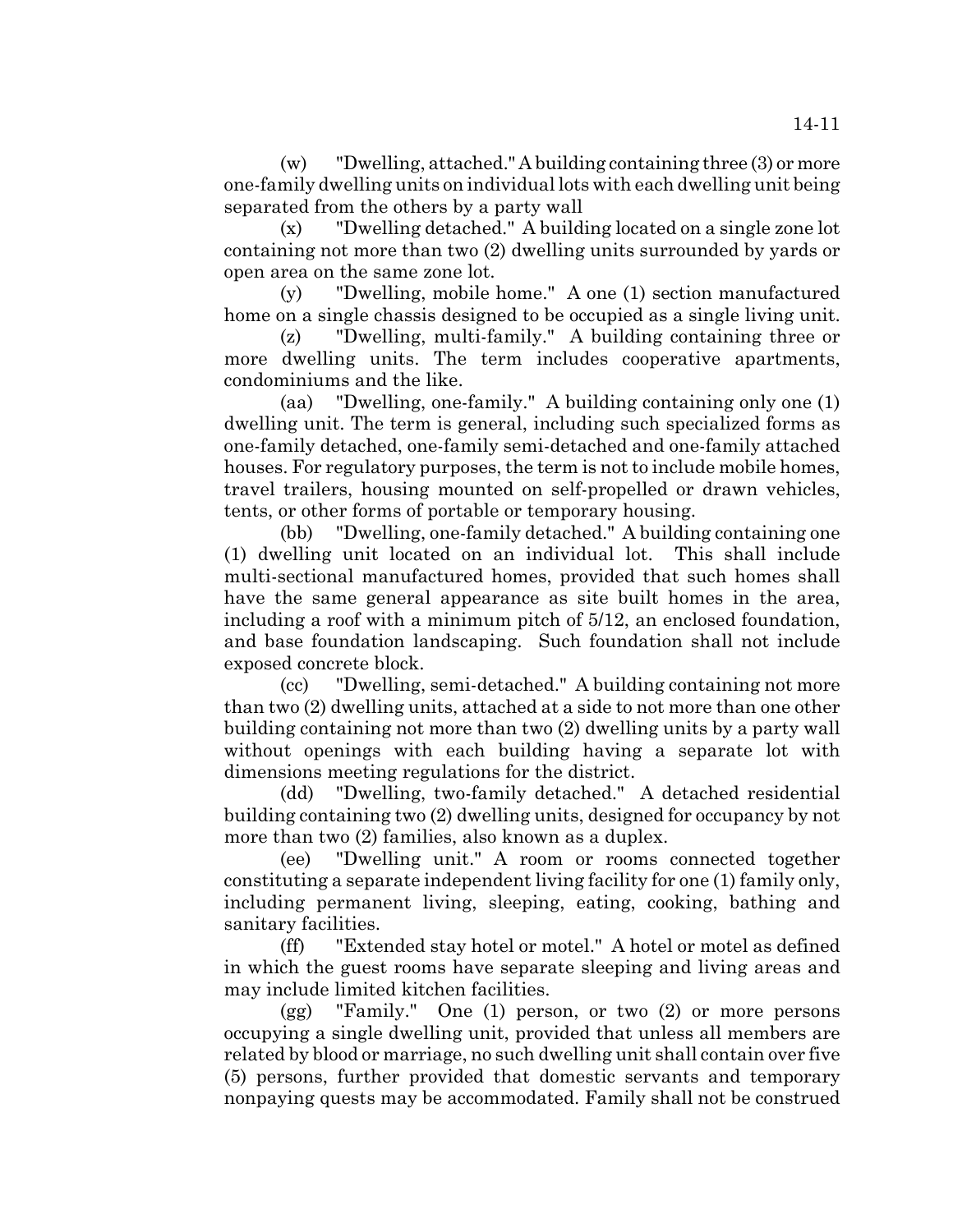(w) "Dwelling, attached." A building containing three (3) or more one-family dwelling units on individual lots with each dwelling unit being separated from the others by a party wall

(x) "Dwelling detached." A building located on a single zone lot containing not more than two (2) dwelling units surrounded by yards or open area on the same zone lot.

(y) "Dwelling, mobile home." A one (1) section manufactured home on a single chassis designed to be occupied as a single living unit.

(z) "Dwelling, multi-family." A building containing three or more dwelling units. The term includes cooperative apartments, condominiums and the like.

(aa) "Dwelling, one-family." A building containing only one (1) dwelling unit. The term is general, including such specialized forms as one-family detached, one-family semi-detached and one-family attached houses. For regulatory purposes, the term is not to include mobile homes, travel trailers, housing mounted on self-propelled or drawn vehicles, tents, or other forms of portable or temporary housing.

(bb) "Dwelling, one-family detached." A building containing one (1) dwelling unit located on an individual lot. This shall include multi-sectional manufactured homes, provided that such homes shall have the same general appearance as site built homes in the area, including a roof with a minimum pitch of 5/12, an enclosed foundation, and base foundation landscaping. Such foundation shall not include exposed concrete block.

(cc) "Dwelling, semi-detached." A building containing not more than two (2) dwelling units, attached at a side to not more than one other building containing not more than two (2) dwelling units by a party wall without openings with each building having a separate lot with dimensions meeting regulations for the district.

(dd) "Dwelling, two-family detached." A detached residential building containing two (2) dwelling units, designed for occupancy by not more than two (2) families, also known as a duplex.

(ee) "Dwelling unit." A room or rooms connected together constituting a separate independent living facility for one (1) family only, including permanent living, sleeping, eating, cooking, bathing and sanitary facilities.

(ff) "Extended stay hotel or motel." A hotel or motel as defined in which the guest rooms have separate sleeping and living areas and may include limited kitchen facilities.

(gg) "Family." One (1) person, or two (2) or more persons occupying a single dwelling unit, provided that unless all members are related by blood or marriage, no such dwelling unit shall contain over five (5) persons, further provided that domestic servants and temporary nonpaying quests may be accommodated. Family shall not be construed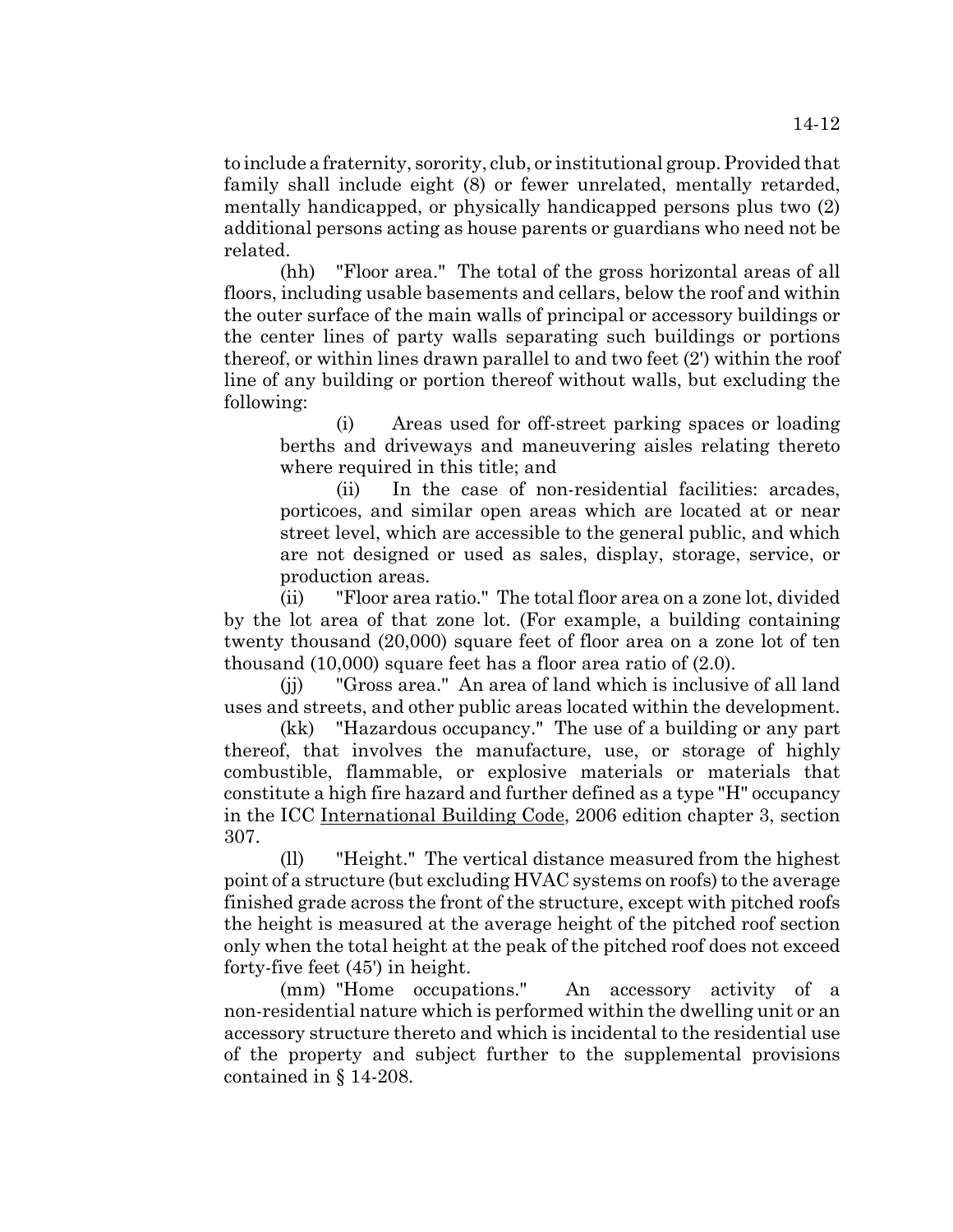to include a fraternity, sorority, club, or institutional group. Provided that family shall include eight (8) or fewer unrelated, mentally retarded, mentally handicapped, or physically handicapped persons plus two (2) additional persons acting as house parents or guardians who need not be related.

(hh) "Floor area." The total of the gross horizontal areas of all floors, including usable basements and cellars, below the roof and within the outer surface of the main walls of principal or accessory buildings or the center lines of party walls separating such buildings or portions thereof, or within lines drawn parallel to and two feet (2') within the roof line of any building or portion thereof without walls, but excluding the following:

(i) Areas used for off-street parking spaces or loading berths and driveways and maneuvering aisles relating thereto where required in this title; and

(ii) In the case of non-residential facilities: arcades, porticoes, and similar open areas which are located at or near street level, which are accessible to the general public, and which are not designed or used as sales, display, storage, service, or production areas.

(ii) "Floor area ratio." The total floor area on a zone lot, divided by the lot area of that zone lot. (For example, a building containing twenty thousand (20,000) square feet of floor area on a zone lot of ten thousand (10,000) square feet has a floor area ratio of (2.0).

(jj) "Gross area." An area of land which is inclusive of all land uses and streets, and other public areas located within the development.

(kk) "Hazardous occupancy." The use of a building or any part thereof, that involves the manufacture, use, or storage of highly combustible, flammable, or explosive materials or materials that constitute a high fire hazard and further defined as a type "H" occupancy in the ICC International Building Code, 2006 edition chapter 3, section 307.

(ll) "Height." The vertical distance measured from the highest point of a structure (but excluding HVAC systems on roofs) to the average finished grade across the front of the structure, except with pitched roofs the height is measured at the average height of the pitched roof section only when the total height at the peak of the pitched roof does not exceed forty-five feet (45') in height.

(mm) "Home occupations." An accessory activity of a non-residential nature which is performed within the dwelling unit or an accessory structure thereto and which is incidental to the residential use of the property and subject further to the supplemental provisions contained in § 14-208.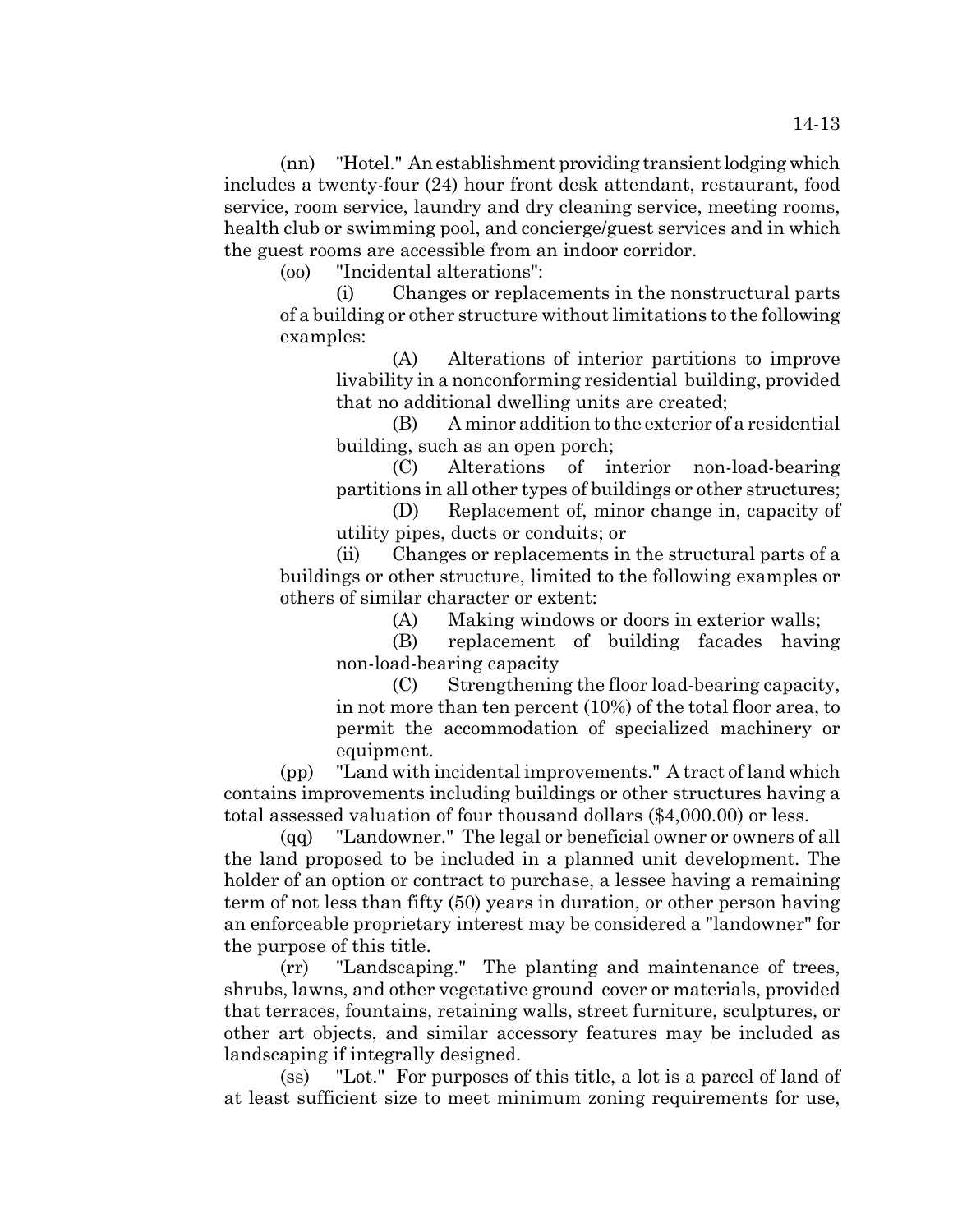(nn) "Hotel." An establishment providing transient lodging which includes a twenty-four (24) hour front desk attendant, restaurant, food service, room service, laundry and dry cleaning service, meeting rooms, health club or swimming pool, and concierge/guest services and in which the guest rooms are accessible from an indoor corridor.

(oo) "Incidental alterations":

(i) Changes or replacements in the nonstructural parts of a building or other structure without limitations to the following examples:

(A) Alterations of interior partitions to improve livability in a nonconforming residential building, provided that no additional dwelling units are created;

(B) A minor addition to the exterior of a residential building, such as an open porch;

(C) Alterations of interior non-load-bearing partitions in all other types of buildings or other structures;

(D) Replacement of, minor change in, capacity of utility pipes, ducts or conduits; or

(ii) Changes or replacements in the structural parts of a buildings or other structure, limited to the following examples or others of similar character or extent:

(A) Making windows or doors in exterior walls;

(B) replacement of building facades having non-load-bearing capacity

(C) Strengthening the floor load-bearing capacity, in not more than ten percent (10%) of the total floor area, to permit the accommodation of specialized machinery or equipment.

(pp) "Land with incidental improvements." A tract of land which contains improvements including buildings or other structures having a total assessed valuation of four thousand dollars (\$4,000.00) or less.

(qq) "Landowner." The legal or beneficial owner or owners of all the land proposed to be included in a planned unit development. The holder of an option or contract to purchase, a lessee having a remaining term of not less than fifty (50) years in duration, or other person having an enforceable proprietary interest may be considered a "landowner" for the purpose of this title.

(rr) "Landscaping." The planting and maintenance of trees, shrubs, lawns, and other vegetative ground cover or materials, provided that terraces, fountains, retaining walls, street furniture, sculptures, or other art objects, and similar accessory features may be included as landscaping if integrally designed.

(ss) "Lot." For purposes of this title, a lot is a parcel of land of at least sufficient size to meet minimum zoning requirements for use,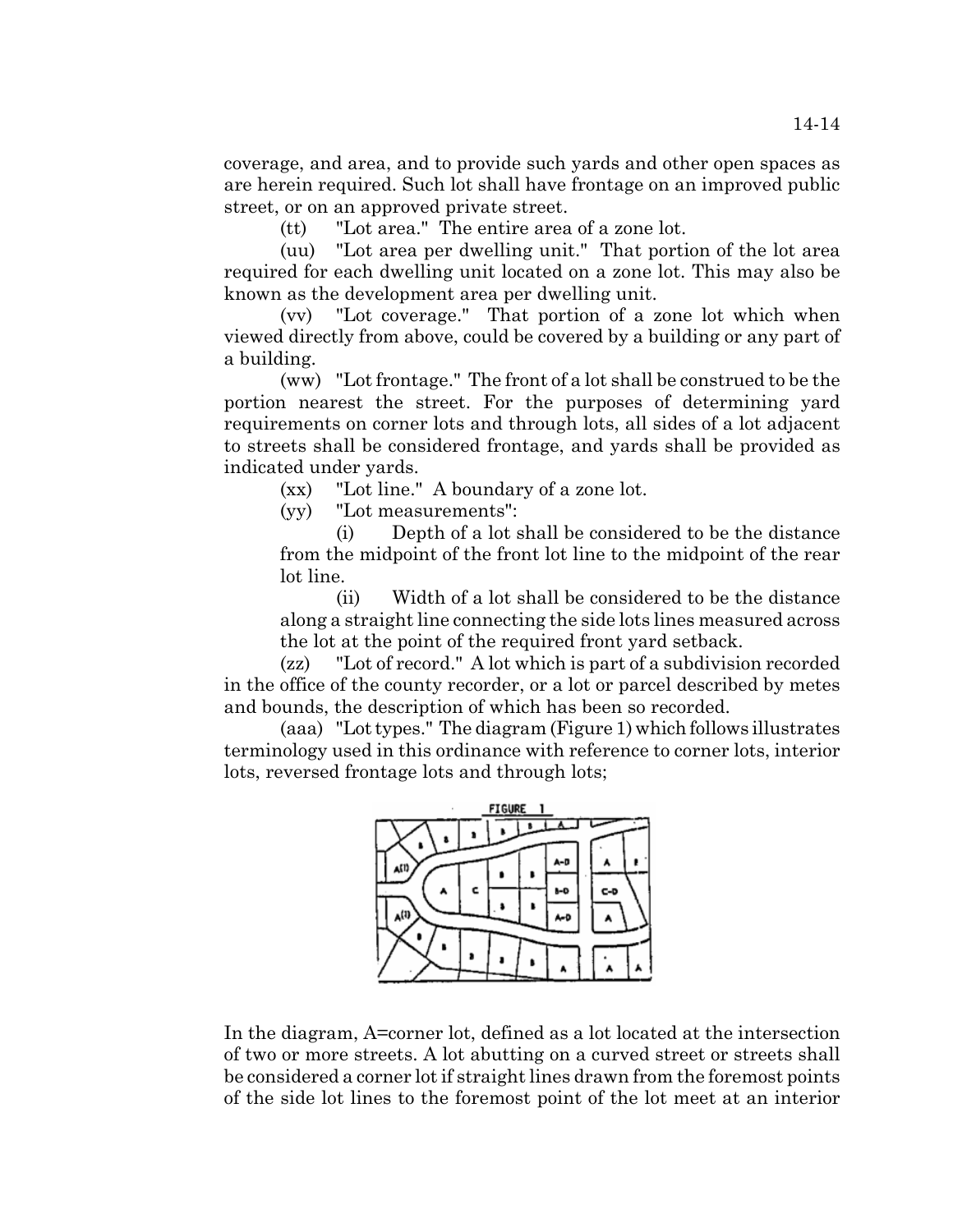coverage, and area, and to provide such yards and other open spaces as are herein required. Such lot shall have frontage on an improved public street, or on an approved private street.

(tt) "Lot area." The entire area of a zone lot.

(uu) "Lot area per dwelling unit." That portion of the lot area required for each dwelling unit located on a zone lot. This may also be known as the development area per dwelling unit.

(vv) "Lot coverage." That portion of a zone lot which when viewed directly from above, could be covered by a building or any part of a building.

(ww) "Lot frontage." The front of a lot shall be construed to be the portion nearest the street. For the purposes of determining yard requirements on corner lots and through lots, all sides of a lot adjacent to streets shall be considered frontage, and yards shall be provided as indicated under yards.

(xx) "Lot line." A boundary of a zone lot.

(yy) "Lot measurements":

(i) Depth of a lot shall be considered to be the distance from the midpoint of the front lot line to the midpoint of the rear lot line.

(ii) Width of a lot shall be considered to be the distance along a straight line connecting the side lots lines measured across the lot at the point of the required front yard setback.

(zz) "Lot of record." A lot which is part of a subdivision recorded in the office of the county recorder, or a lot or parcel described by metes and bounds, the description of which has been so recorded.

(aaa) "Lot types." The diagram (Figure 1) which follows illustrates terminology used in this ordinance with reference to corner lots, interior lots, reversed frontage lots and through lots;



In the diagram, A=corner lot, defined as a lot located at the intersection of two or more streets. A lot abutting on a curved street or streets shall be considered a corner lot if straight lines drawn from the foremost points of the side lot lines to the foremost point of the lot meet at an interior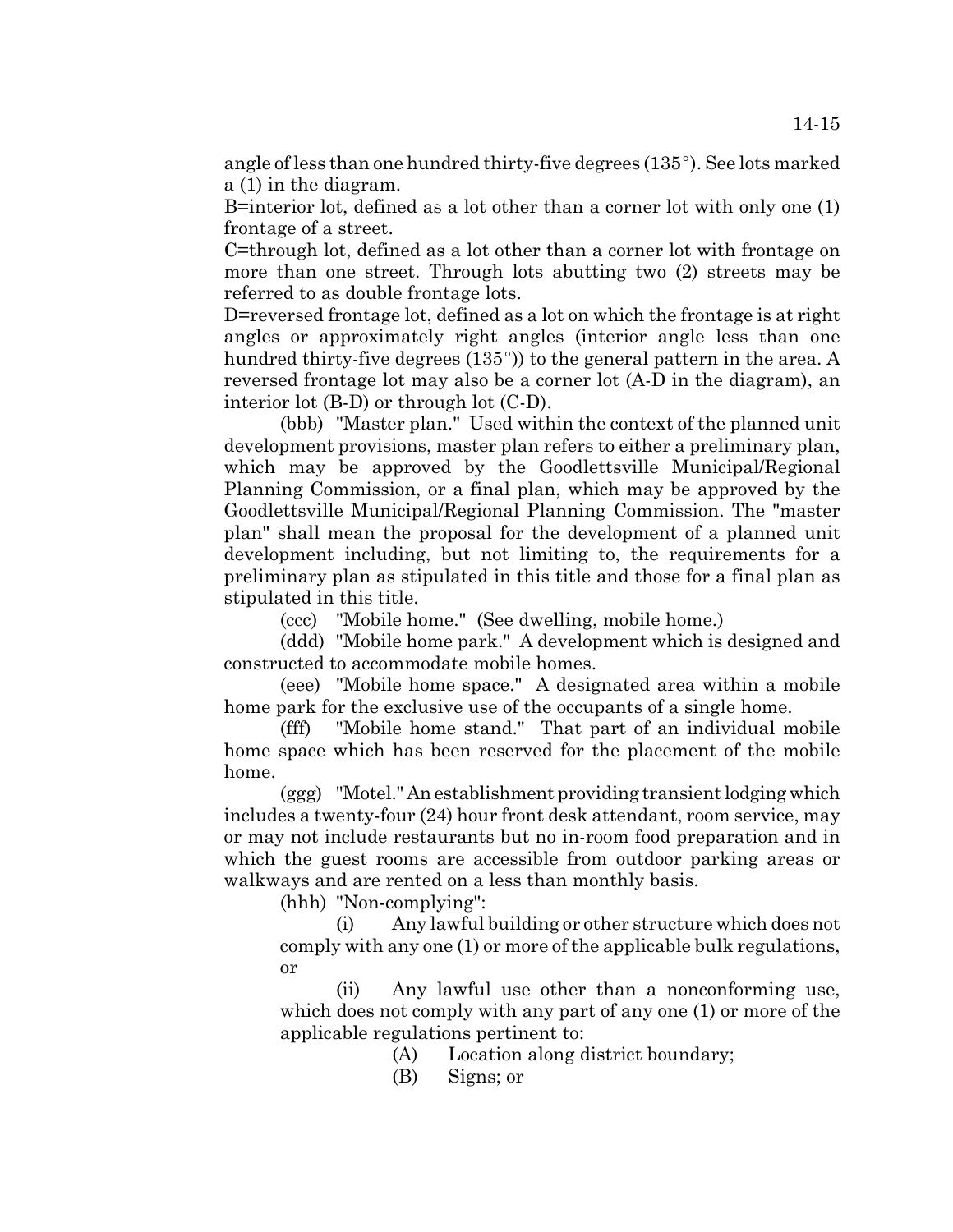angle of less than one hundred thirty-five degrees  $(135^{\circ})$ . See lots marked a (1) in the diagram.

B=interior lot, defined as a lot other than a corner lot with only one (1) frontage of a street.

C=through lot, defined as a lot other than a corner lot with frontage on more than one street. Through lots abutting two (2) streets may be referred to as double frontage lots.

D=reversed frontage lot, defined as a lot on which the frontage is at right angles or approximately right angles (interior angle less than one hundred thirty-five degrees  $(135^{\circ})$  to the general pattern in the area. A reversed frontage lot may also be a corner lot (A-D in the diagram), an interior lot (B-D) or through lot (C-D).

(bbb) "Master plan." Used within the context of the planned unit development provisions, master plan refers to either a preliminary plan, which may be approved by the Goodlettsville Municipal/Regional Planning Commission, or a final plan, which may be approved by the Goodlettsville Municipal/Regional Planning Commission. The "master plan" shall mean the proposal for the development of a planned unit development including, but not limiting to, the requirements for a preliminary plan as stipulated in this title and those for a final plan as stipulated in this title.

(ccc) "Mobile home." (See dwelling, mobile home.)

(ddd) "Mobile home park." A development which is designed and constructed to accommodate mobile homes.

(eee) "Mobile home space." A designated area within a mobile home park for the exclusive use of the occupants of a single home.

(fff) "Mobile home stand." That part of an individual mobile home space which has been reserved for the placement of the mobile home.

(ggg) "Motel." An establishment providing transient lodging which includes a twenty-four (24) hour front desk attendant, room service, may or may not include restaurants but no in-room food preparation and in which the guest rooms are accessible from outdoor parking areas or walkways and are rented on a less than monthly basis.

(hhh) "Non-complying":

(i) Any lawful building or other structure which does not comply with any one (1) or more of the applicable bulk regulations, or

(ii) Any lawful use other than a nonconforming use, which does not comply with any part of any one (1) or more of the applicable regulations pertinent to:

- (A) Location along district boundary;
- (B) Signs; or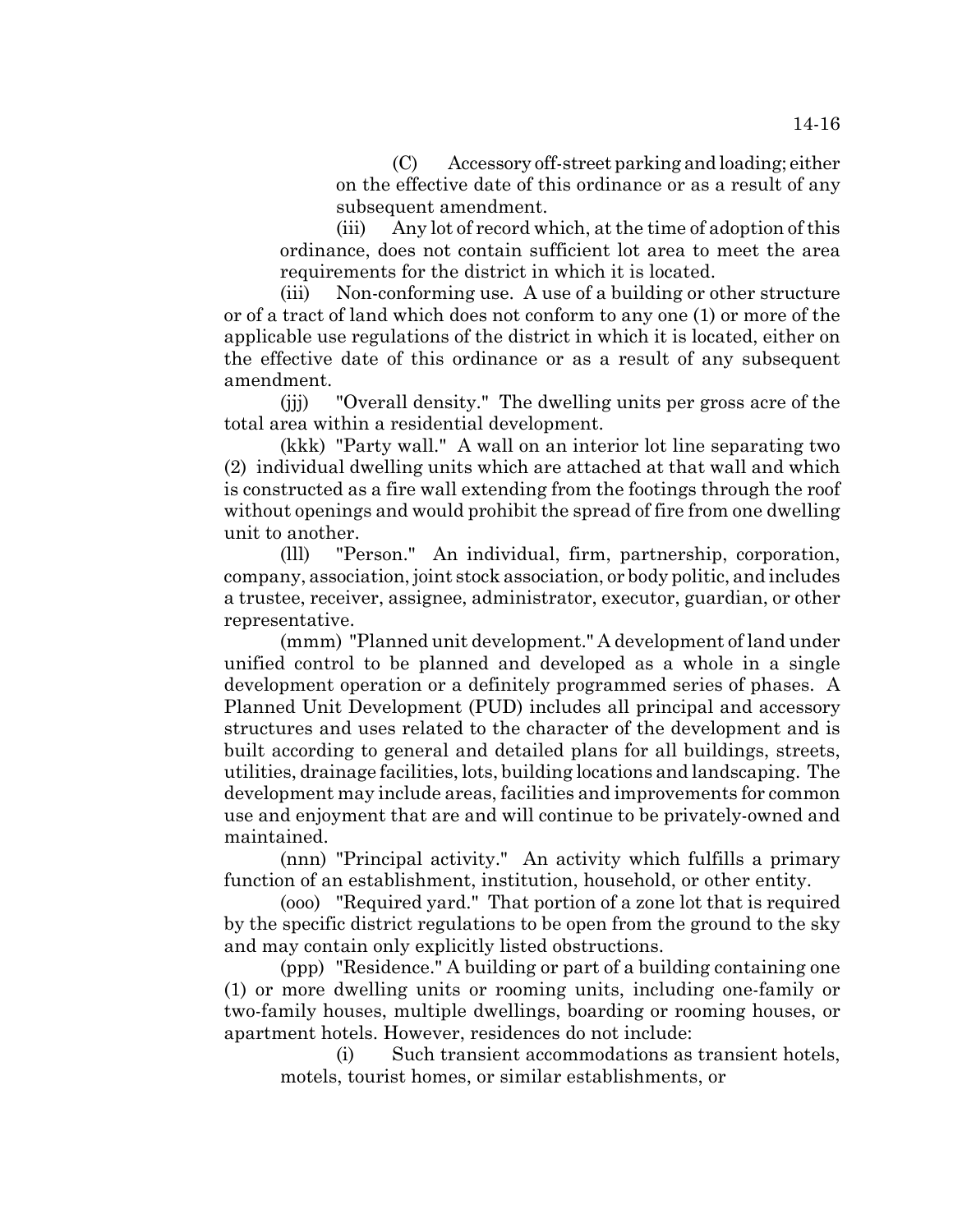(C) Accessory off-street parking and loading; either on the effective date of this ordinance or as a result of any subsequent amendment.

(iii) Any lot of record which, at the time of adoption of this ordinance, does not contain sufficient lot area to meet the area requirements for the district in which it is located.

(iii) Non-conforming use. A use of a building or other structure or of a tract of land which does not conform to any one (1) or more of the applicable use regulations of the district in which it is located, either on the effective date of this ordinance or as a result of any subsequent amendment.

(jjj) "Overall density." The dwelling units per gross acre of the total area within a residential development.

(kkk) "Party wall." A wall on an interior lot line separating two (2) individual dwelling units which are attached at that wall and which is constructed as a fire wall extending from the footings through the roof without openings and would prohibit the spread of fire from one dwelling unit to another.

(lll) "Person." An individual, firm, partnership, corporation, company, association, joint stock association, or body politic, and includes a trustee, receiver, assignee, administrator, executor, guardian, or other representative.

(mmm) "Planned unit development." A development of land under unified control to be planned and developed as a whole in a single development operation or a definitely programmed series of phases. A Planned Unit Development (PUD) includes all principal and accessory structures and uses related to the character of the development and is built according to general and detailed plans for all buildings, streets, utilities, drainage facilities, lots, building locations and landscaping. The development may include areas, facilities and improvements for common use and enjoyment that are and will continue to be privately-owned and maintained.

(nnn) "Principal activity." An activity which fulfills a primary function of an establishment, institution, household, or other entity.

(ooo) "Required yard." That portion of a zone lot that is required by the specific district regulations to be open from the ground to the sky and may contain only explicitly listed obstructions.

(ppp) "Residence." A building or part of a building containing one (1) or more dwelling units or rooming units, including one-family or two-family houses, multiple dwellings, boarding or rooming houses, or apartment hotels. However, residences do not include:

(i) Such transient accommodations as transient hotels, motels, tourist homes, or similar establishments, or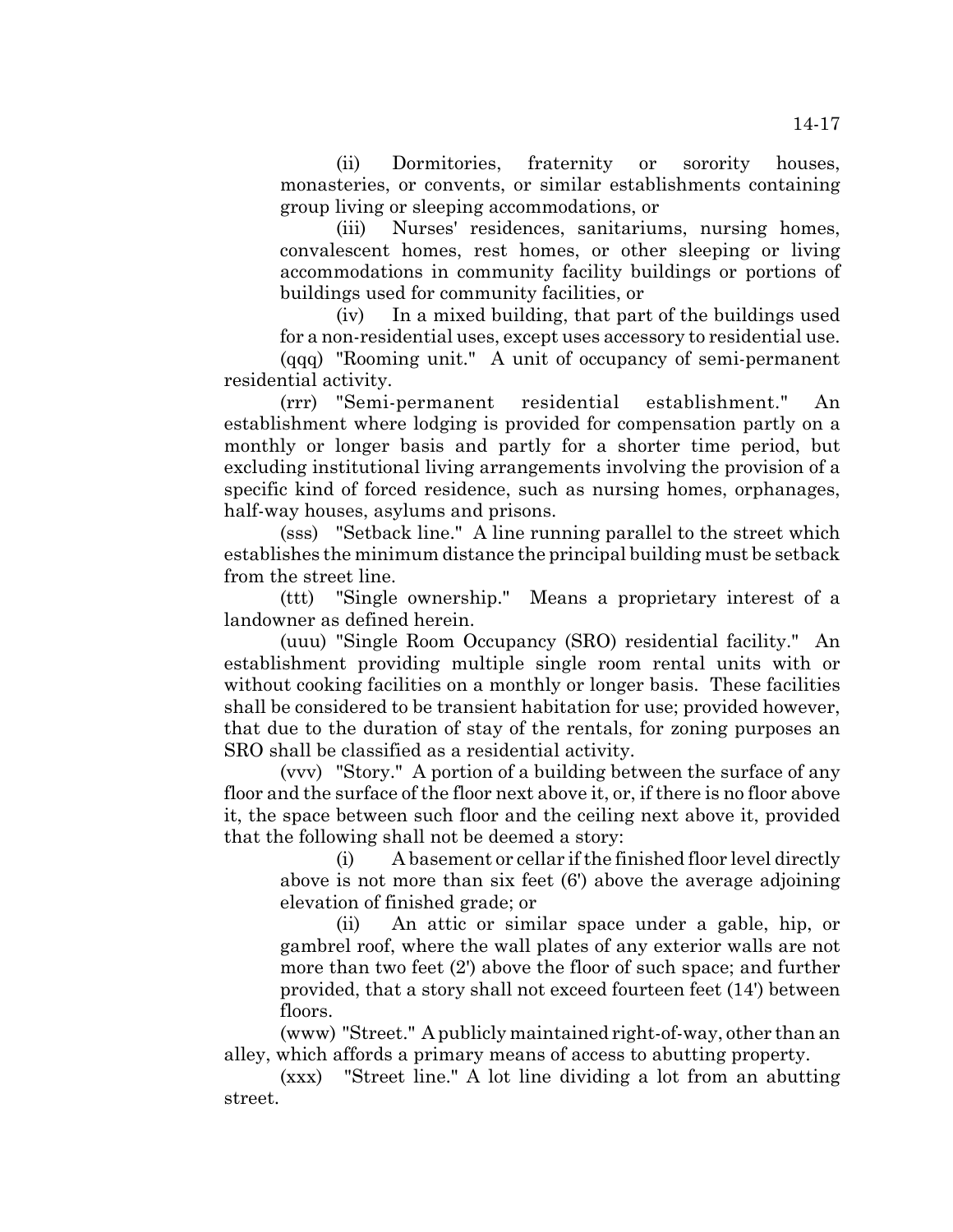(ii) Dormitories, fraternity or sorority houses, monasteries, or convents, or similar establishments containing group living or sleeping accommodations, or

(iii) Nurses' residences, sanitariums, nursing homes, convalescent homes, rest homes, or other sleeping or living accommodations in community facility buildings or portions of buildings used for community facilities, or

(iv) In a mixed building, that part of the buildings used for a non-residential uses, except uses accessory to residential use.

(qqq) "Rooming unit." A unit of occupancy of semi-permanent residential activity.

(rrr) "Semi-permanent residential establishment." An establishment where lodging is provided for compensation partly on a monthly or longer basis and partly for a shorter time period, but excluding institutional living arrangements involving the provision of a specific kind of forced residence, such as nursing homes, orphanages, half-way houses, asylums and prisons.

(sss) "Setback line." A line running parallel to the street which establishes the minimum distance the principal building must be setback from the street line.

(ttt) "Single ownership." Means a proprietary interest of a landowner as defined herein.

(uuu) "Single Room Occupancy (SRO) residential facility." An establishment providing multiple single room rental units with or without cooking facilities on a monthly or longer basis. These facilities shall be considered to be transient habitation for use; provided however, that due to the duration of stay of the rentals, for zoning purposes an SRO shall be classified as a residential activity.

(vvv) "Story." A portion of a building between the surface of any floor and the surface of the floor next above it, or, if there is no floor above it, the space between such floor and the ceiling next above it, provided that the following shall not be deemed a story:

(i) A basement or cellar if the finished floor level directly above is not more than six feet (6') above the average adjoining elevation of finished grade; or

(ii) An attic or similar space under a gable, hip, or gambrel roof, where the wall plates of any exterior walls are not more than two feet (2') above the floor of such space; and further provided, that a story shall not exceed fourteen feet (14') between floors.

(www) "Street." A publicly maintained right-of-way, other than an alley, which affords a primary means of access to abutting property.

(xxx) "Street line." A lot line dividing a lot from an abutting street.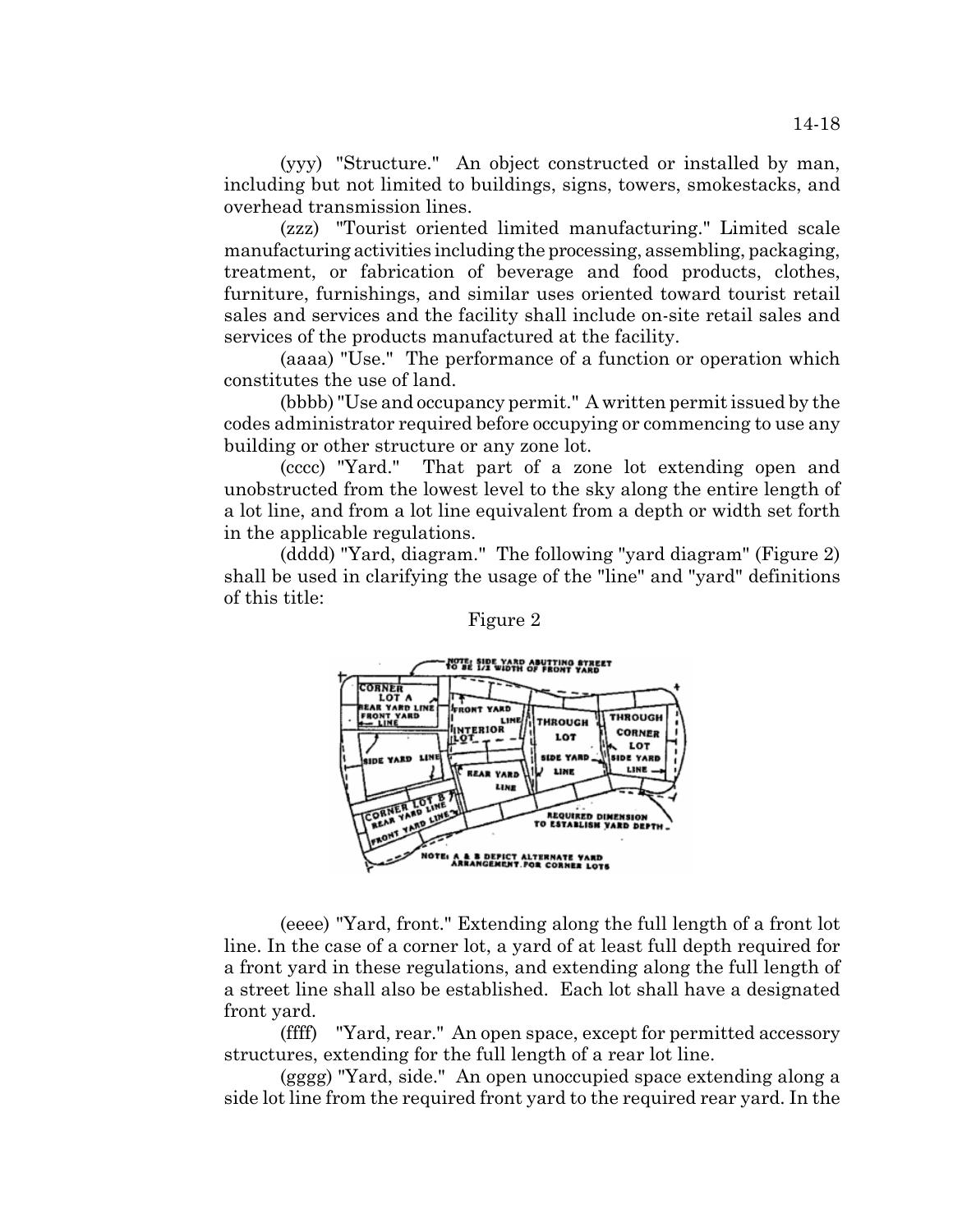(yyy) "Structure." An object constructed or installed by man, including but not limited to buildings, signs, towers, smokestacks, and overhead transmission lines.

(zzz) "Tourist oriented limited manufacturing." Limited scale manufacturing activities including the processing, assembling, packaging, treatment, or fabrication of beverage and food products, clothes, furniture, furnishings, and similar uses oriented toward tourist retail sales and services and the facility shall include on-site retail sales and services of the products manufactured at the facility.

(aaaa) "Use." The performance of a function or operation which constitutes the use of land.

(bbbb) "Use and occupancy permit." A written permit issued by the codes administrator required before occupying or commencing to use any building or other structure or any zone lot.

(cccc) "Yard." That part of a zone lot extending open and unobstructed from the lowest level to the sky along the entire length of a lot line, and from a lot line equivalent from a depth or width set forth in the applicable regulations.

(dddd) "Yard, diagram." The following "yard diagram" (Figure 2) shall be used in clarifying the usage of the "line" and "yard" definitions of this title:

#### Figure 2



(eeee) "Yard, front." Extending along the full length of a front lot line. In the case of a corner lot, a yard of at least full depth required for a front yard in these regulations, and extending along the full length of a street line shall also be established. Each lot shall have a designated front yard.

(ffff) "Yard, rear." An open space, except for permitted accessory structures, extending for the full length of a rear lot line.

(gggg) "Yard, side." An open unoccupied space extending along a side lot line from the required front yard to the required rear yard. In the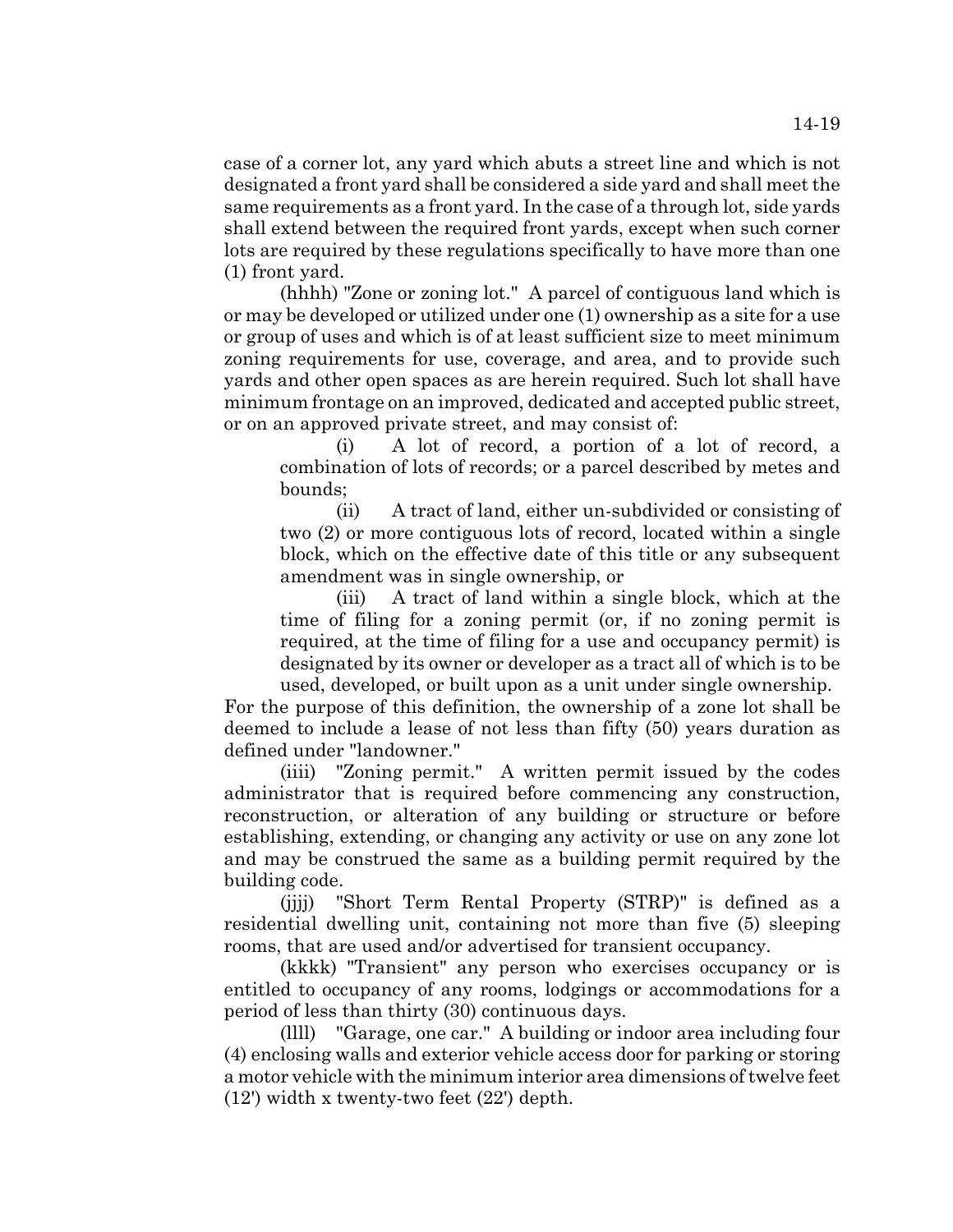case of a corner lot, any yard which abuts a street line and which is not designated a front yard shall be considered a side yard and shall meet the same requirements as a front yard. In the case of a through lot, side yards shall extend between the required front yards, except when such corner lots are required by these regulations specifically to have more than one (1) front yard.

(hhhh) "Zone or zoning lot." A parcel of contiguous land which is or may be developed or utilized under one (1) ownership as a site for a use or group of uses and which is of at least sufficient size to meet minimum zoning requirements for use, coverage, and area, and to provide such yards and other open spaces as are herein required. Such lot shall have minimum frontage on an improved, dedicated and accepted public street, or on an approved private street, and may consist of:

(i) A lot of record, a portion of a lot of record, a combination of lots of records; or a parcel described by metes and bounds;

(ii) A tract of land, either un-subdivided or consisting of two (2) or more contiguous lots of record, located within a single block, which on the effective date of this title or any subsequent amendment was in single ownership, or

(iii) A tract of land within a single block, which at the time of filing for a zoning permit (or, if no zoning permit is required, at the time of filing for a use and occupancy permit) is designated by its owner or developer as a tract all of which is to be used, developed, or built upon as a unit under single ownership.

For the purpose of this definition, the ownership of a zone lot shall be deemed to include a lease of not less than fifty (50) years duration as defined under "landowner."

(iiii) "Zoning permit." A written permit issued by the codes administrator that is required before commencing any construction, reconstruction, or alteration of any building or structure or before establishing, extending, or changing any activity or use on any zone lot and may be construed the same as a building permit required by the building code.

(jjjj) "Short Term Rental Property (STRP)" is defined as a residential dwelling unit, containing not more than five (5) sleeping rooms, that are used and/or advertised for transient occupancy.

(kkkk) "Transient" any person who exercises occupancy or is entitled to occupancy of any rooms, lodgings or accommodations for a period of less than thirty (30) continuous days.

(llll) "Garage, one car." A building or indoor area including four (4) enclosing walls and exterior vehicle access door for parking or storing a motor vehicle with the minimum interior area dimensions of twelve feet (12') width x twenty-two feet (22') depth.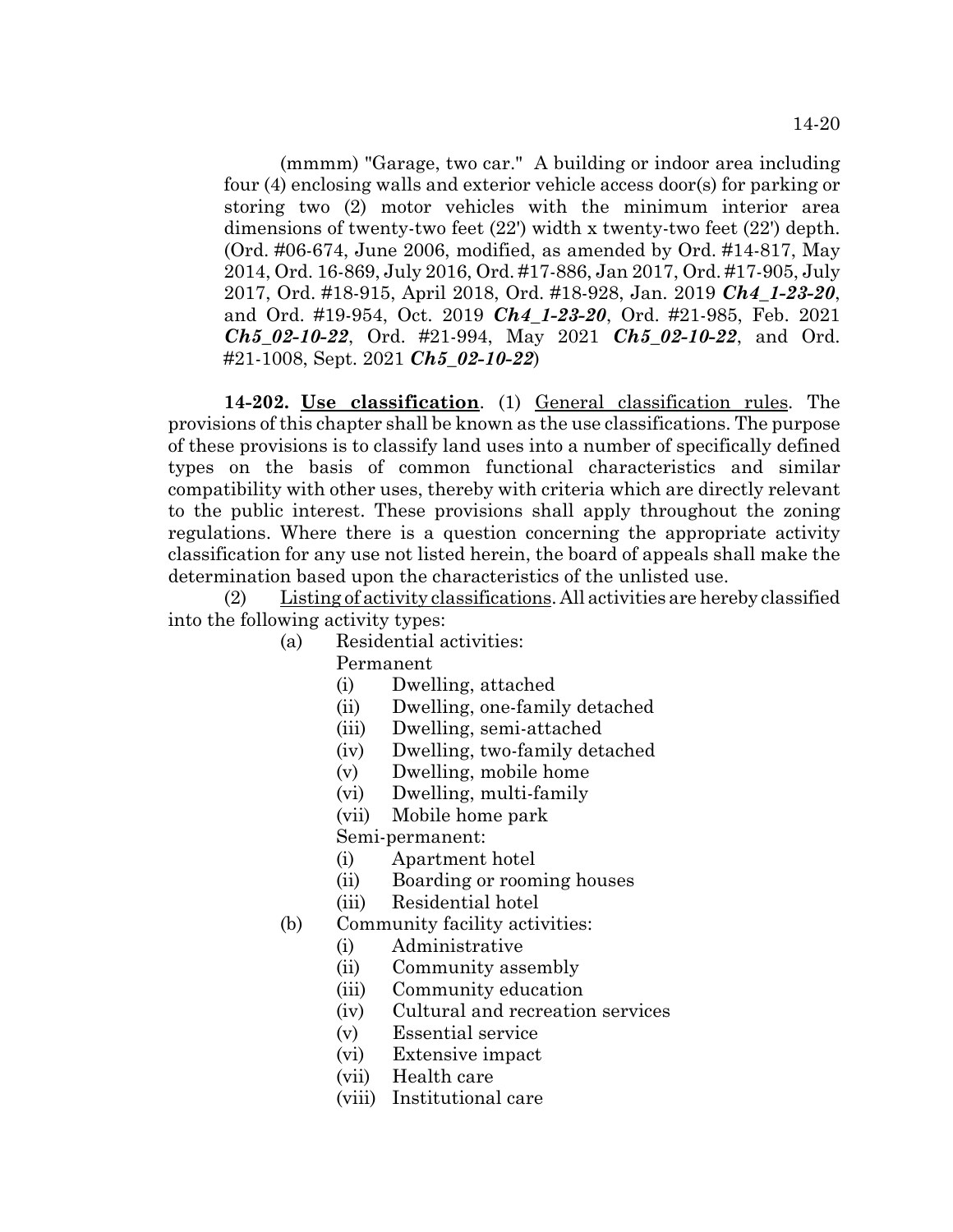(mmmm) "Garage, two car." A building or indoor area including four (4) enclosing walls and exterior vehicle access door(s) for parking or storing two (2) motor vehicles with the minimum interior area dimensions of twenty-two feet (22') width x twenty-two feet (22') depth. (Ord. #06-674, June 2006, modified, as amended by Ord. #14-817, May 2014, Ord. 16-869, July 2016, Ord. #17-886, Jan 2017, Ord. #17-905, July 2017, Ord. #18-915, April 2018, Ord. #18-928, Jan. 2019 *Ch4\_1-23-20*, and Ord. #19-954, Oct. 2019 *Ch4\_1-23-20*, Ord. #21-985, Feb. 2021 *Ch5\_02-10-22*, Ord. #21-994, May 2021 *Ch5\_02-10-22*, and Ord. #21-1008, Sept. 2021 *Ch5\_02-10-22*)

**14-202. Use classification**. (1) General classification rules. The provisions of this chapter shall be known as the use classifications. The purpose of these provisions is to classify land uses into a number of specifically defined types on the basis of common functional characteristics and similar compatibility with other uses, thereby with criteria which are directly relevant to the public interest. These provisions shall apply throughout the zoning regulations. Where there is a question concerning the appropriate activity classification for any use not listed herein, the board of appeals shall make the determination based upon the characteristics of the unlisted use.

(2) Listing of activity classifications. All activities are hereby classified into the following activity types:

(a) Residential activities:

Permanent

- (i) Dwelling, attached
- (ii) Dwelling, one-family detached
- (iii) Dwelling, semi-attached
- (iv) Dwelling, two-family detached
- (v) Dwelling, mobile home
- (vi) Dwelling, multi-family
- (vii) Mobile home park

Semi-permanent:

- (i) Apartment hotel
- (ii) Boarding or rooming houses
- (iii) Residential hotel
- (b) Community facility activities:
	- (i) Administrative
	- (ii) Community assembly
	- (iii) Community education
	- (iv) Cultural and recreation services
	- (v) Essential service
	- (vi) Extensive impact
	- (vii) Health care
	- (viii) Institutional care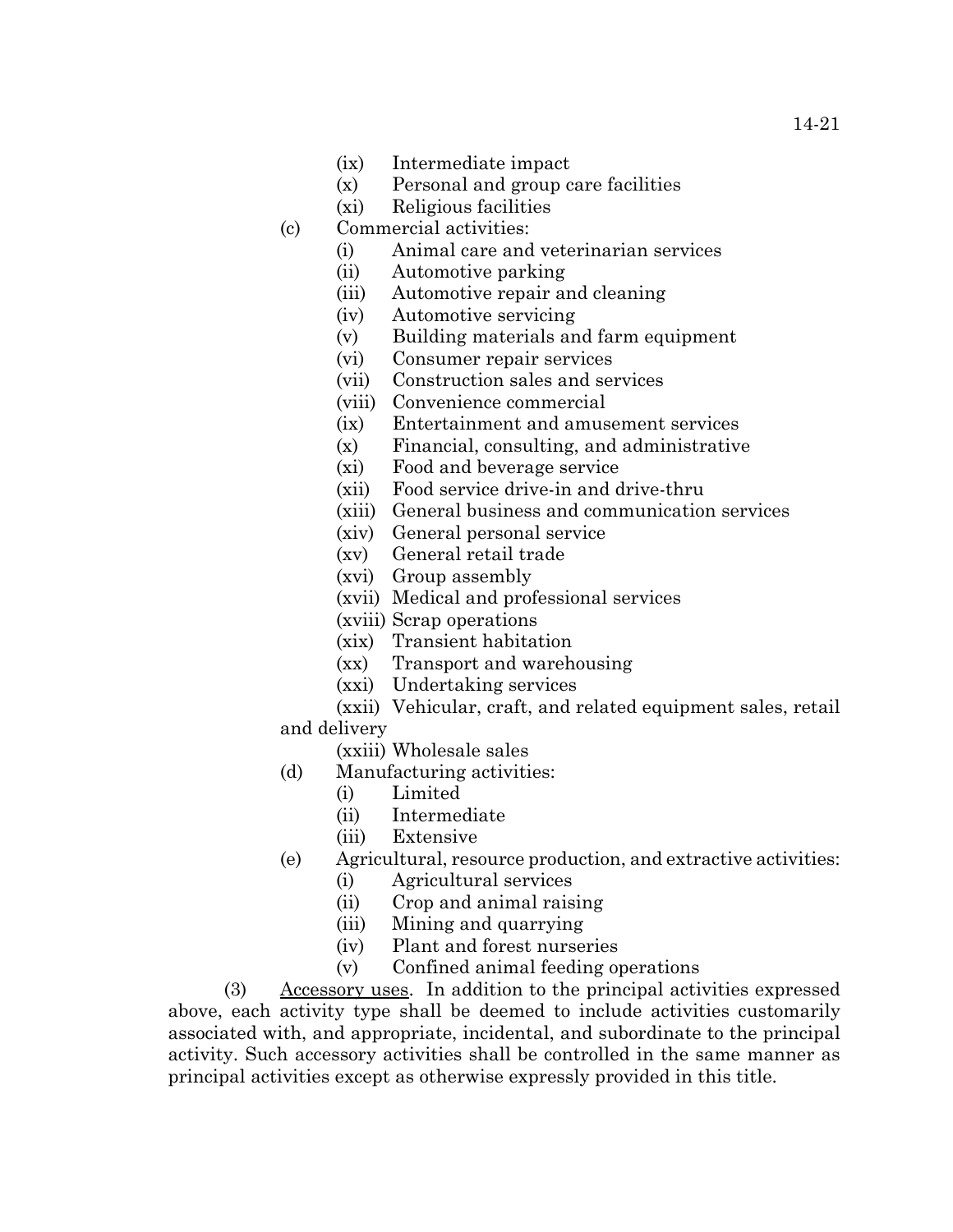- (ix) Intermediate impact
- (x) Personal and group care facilities
- (xi) Religious facilities
- (c) Commercial activities:
	- (i) Animal care and veterinarian services
	- (ii) Automotive parking
	- (iii) Automotive repair and cleaning
	- (iv) Automotive servicing
	- (v) Building materials and farm equipment
	- (vi) Consumer repair services
	- (vii) Construction sales and services
	- (viii) Convenience commercial
	- (ix) Entertainment and amusement services
	- (x) Financial, consulting, and administrative
	- (xi) Food and beverage service
	- (xii) Food service drive-in and drive-thru
	- (xiii) General business and communication services
	- (xiv) General personal service
	- (xv) General retail trade
	- (xvi) Group assembly
	- (xvii) Medical and professional services
	- (xviii) Scrap operations
	- (xix) Transient habitation
	- (xx) Transport and warehousing
	- (xxi) Undertaking services
- (xxii) Vehicular, craft, and related equipment sales, retail and delivery

(xxiii) Wholesale sales

- (d) Manufacturing activities:
	- (i) Limited
	- (ii) Intermediate
	- (iii) Extensive
- (e) Agricultural, resource production, and extractive activities:
	- (i) Agricultural services
	- (ii) Crop and animal raising
	- (iii) Mining and quarrying
	- (iv) Plant and forest nurseries
	- (v) Confined animal feeding operations

(3) Accessory uses. In addition to the principal activities expressed above, each activity type shall be deemed to include activities customarily associated with, and appropriate, incidental, and subordinate to the principal activity. Such accessory activities shall be controlled in the same manner as principal activities except as otherwise expressly provided in this title.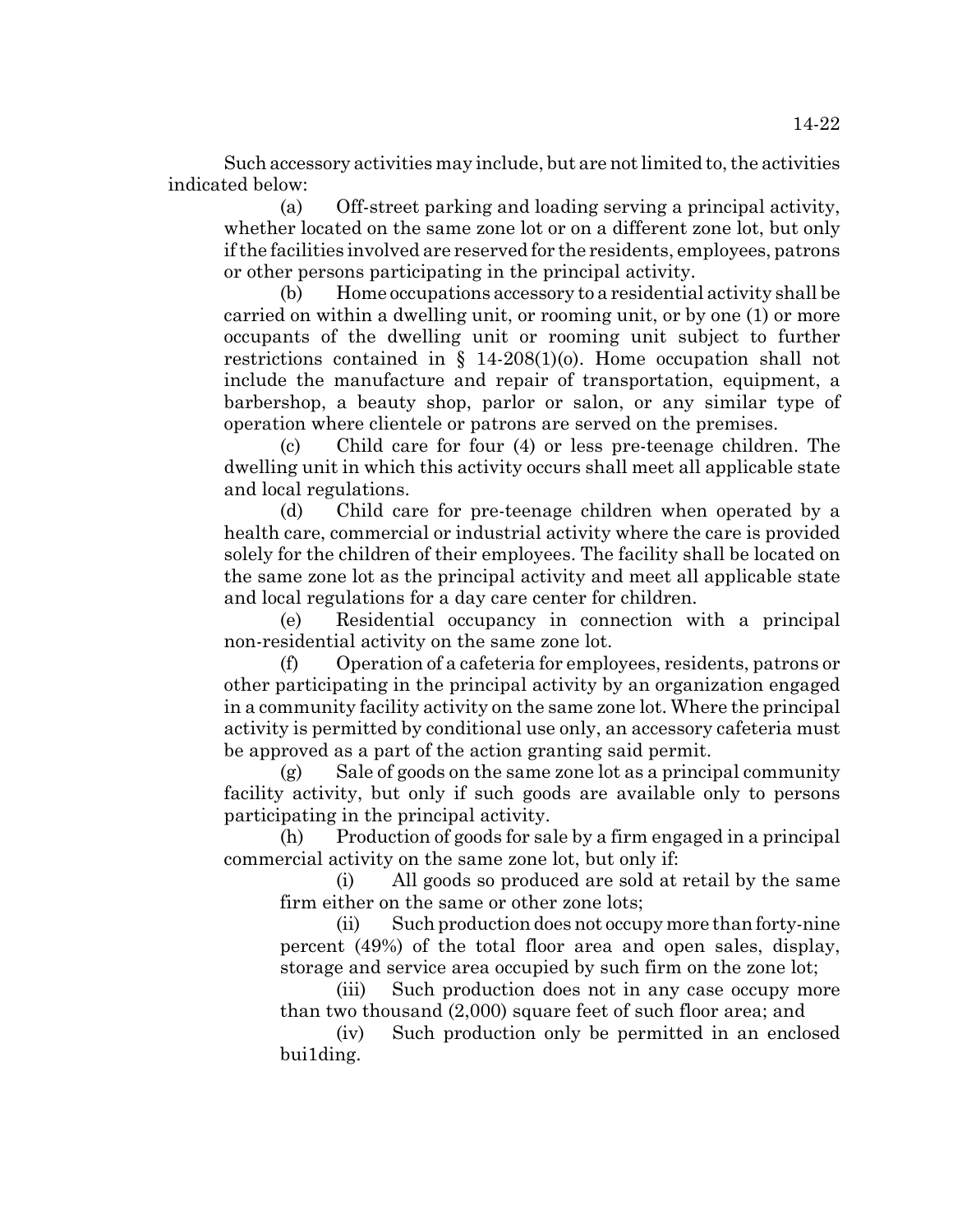Such accessory activities may include, but are not limited to, the activities indicated below:

(a) Off-street parking and loading serving a principal activity, whether located on the same zone lot or on a different zone lot, but only if the facilities involved are reserved for the residents, employees, patrons or other persons participating in the principal activity.

(b) Home occupations accessory to a residential activity shall be carried on within a dwelling unit, or rooming unit, or by one (1) or more occupants of the dwelling unit or rooming unit subject to further restrictions contained in  $\S$  14-208(1)(o). Home occupation shall not include the manufacture and repair of transportation, equipment, a barbershop, a beauty shop, parlor or salon, or any similar type of operation where clientele or patrons are served on the premises.

(c) Child care for four (4) or less pre-teenage children. The dwelling unit in which this activity occurs shall meet all applicable state and local regulations.

(d) Child care for pre-teenage children when operated by a health care, commercial or industrial activity where the care is provided solely for the children of their employees. The facility shall be located on the same zone lot as the principal activity and meet all applicable state and local regulations for a day care center for children.

(e) Residential occupancy in connection with a principal non-residential activity on the same zone lot.

(f) Operation of a cafeteria for employees, residents, patrons or other participating in the principal activity by an organization engaged in a community facility activity on the same zone lot. Where the principal activity is permitted by conditional use only, an accessory cafeteria must be approved as a part of the action granting said permit.

 $(g)$  Sale of goods on the same zone lot as a principal community facility activity, but only if such goods are available only to persons participating in the principal activity.

(h) Production of goods for sale by a firm engaged in a principal commercial activity on the same zone lot, but only if:

(i) All goods so produced are sold at retail by the same firm either on the same or other zone lots;

(ii) Such production does not occupy more than forty-nine percent (49%) of the total floor area and open sales, display, storage and service area occupied by such firm on the zone lot;

(iii) Such production does not in any case occupy more than two thousand (2,000) square feet of such floor area; and

(iv) Such production only be permitted in an enclosed bui1ding.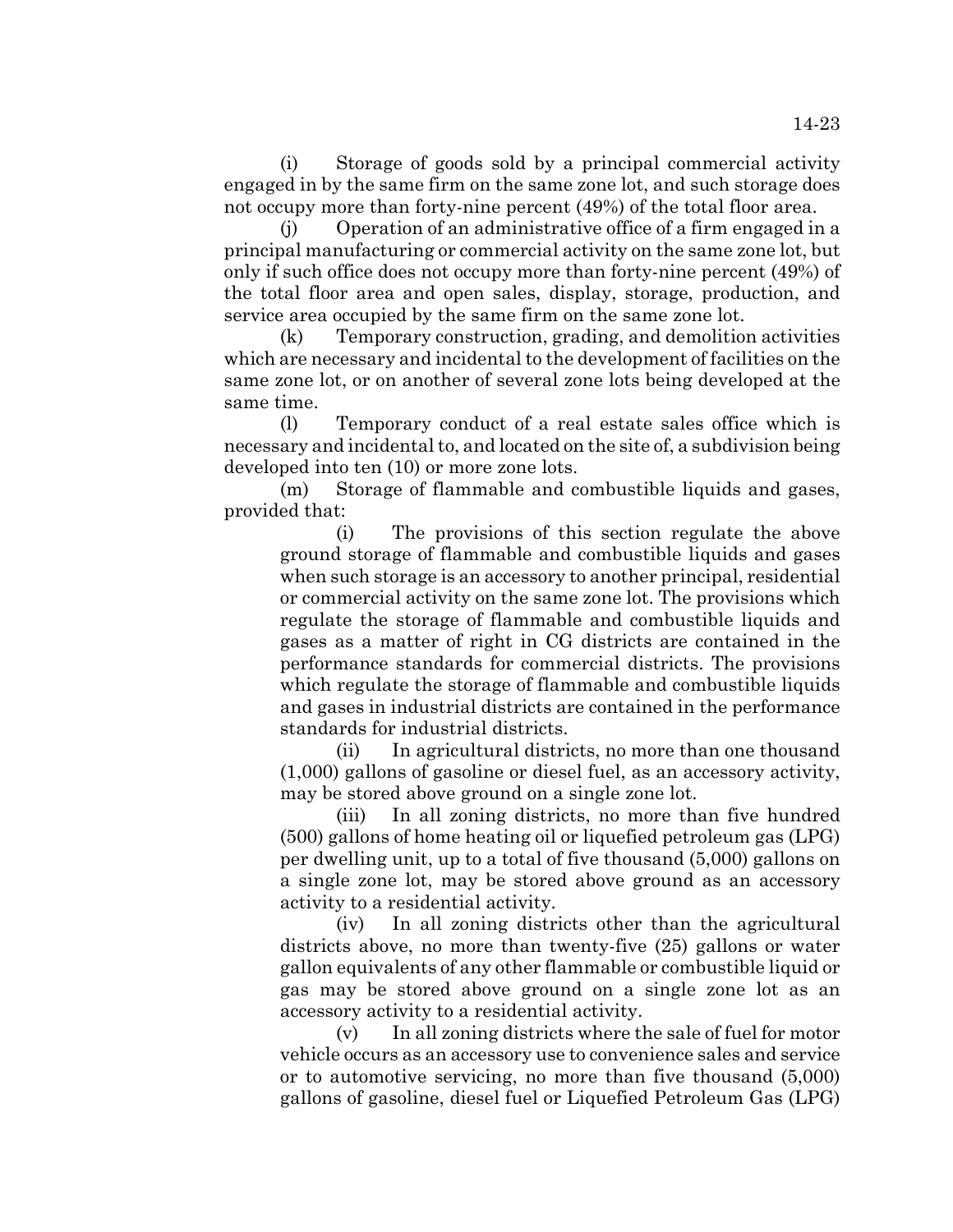(i) Storage of goods sold by a principal commercial activity engaged in by the same firm on the same zone lot, and such storage does not occupy more than forty-nine percent (49%) of the total floor area.

(j) Operation of an administrative office of a firm engaged in a principal manufacturing or commercial activity on the same zone lot, but only if such office does not occupy more than forty-nine percent (49%) of the total floor area and open sales, display, storage, production, and service area occupied by the same firm on the same zone lot.

(k) Temporary construction, grading, and demolition activities which are necessary and incidental to the development of facilities on the same zone lot, or on another of several zone lots being developed at the same time.

(l) Temporary conduct of a real estate sales office which is necessary and incidental to, and located on the site of, a subdivision being developed into ten (10) or more zone lots.

(m) Storage of flammable and combustible liquids and gases, provided that:

(i) The provisions of this section regulate the above ground storage of flammable and combustible liquids and gases when such storage is an accessory to another principal, residential or commercial activity on the same zone lot. The provisions which regulate the storage of flammable and combustible liquids and gases as a matter of right in CG districts are contained in the performance standards for commercial districts. The provisions which regulate the storage of flammable and combustible liquids and gases in industrial districts are contained in the performance standards for industrial districts.

(ii) In agricultural districts, no more than one thousand (1,000) gallons of gasoline or diesel fuel, as an accessory activity, may be stored above ground on a single zone lot.

(iii) In all zoning districts, no more than five hundred (500) gallons of home heating oil or liquefied petroleum gas (LPG) per dwelling unit, up to a total of five thousand (5,000) gallons on a single zone lot, may be stored above ground as an accessory activity to a residential activity.

(iv) In all zoning districts other than the agricultural districts above, no more than twenty-five (25) gallons or water gallon equivalents of any other flammable or combustible liquid or gas may be stored above ground on a single zone lot as an accessory activity to a residential activity.

(v) In all zoning districts where the sale of fuel for motor vehicle occurs as an accessory use to convenience sales and service or to automotive servicing, no more than five thousand (5,000) gallons of gasoline, diesel fuel or Liquefied Petroleum Gas (LPG)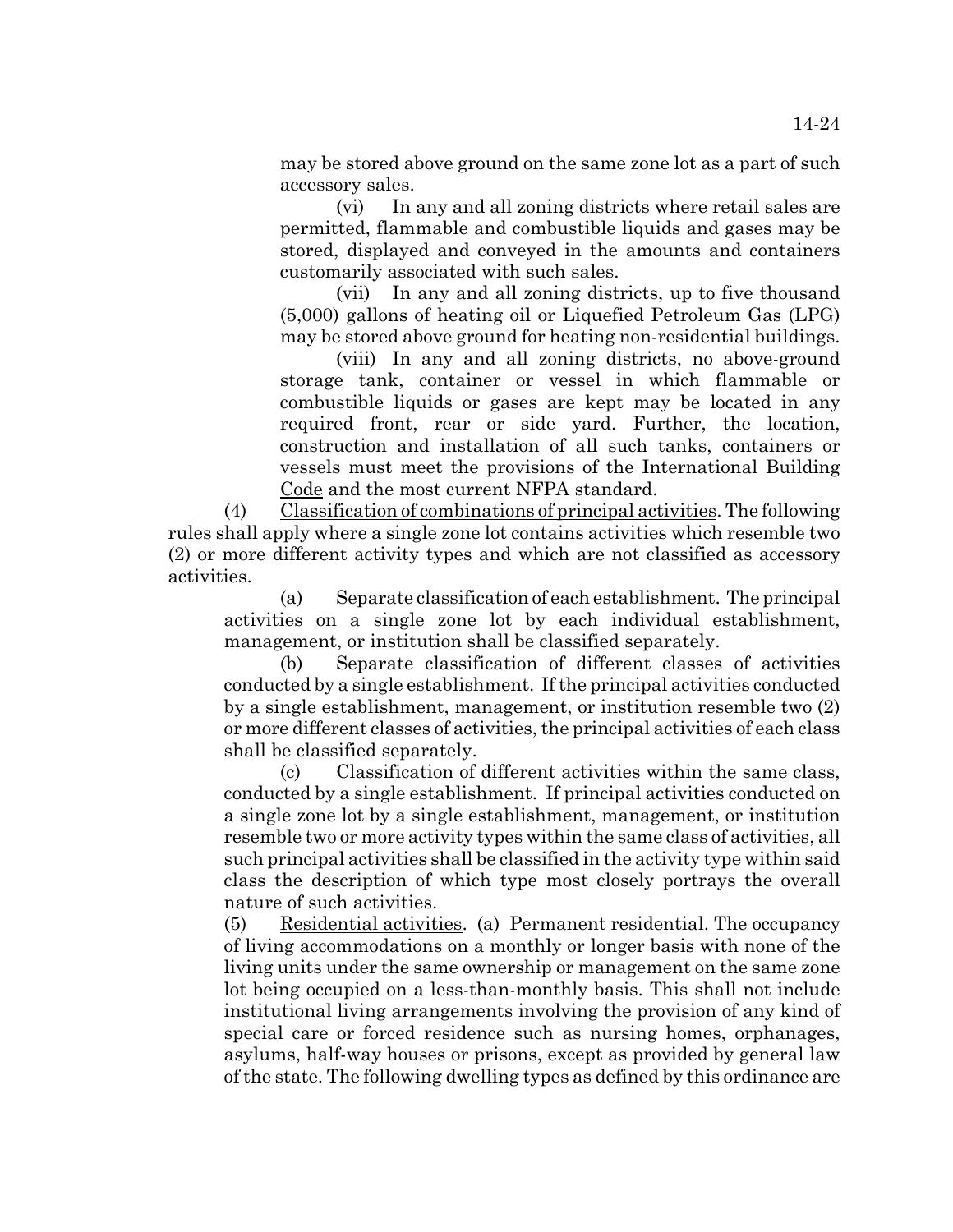may be stored above ground on the same zone lot as a part of such accessory sales.

(vi) In any and all zoning districts where retail sales are permitted, flammable and combustible liquids and gases may be stored, displayed and conveyed in the amounts and containers customarily associated with such sales.

(vii) In any and all zoning districts, up to five thousand (5,000) gallons of heating oil or Liquefied Petroleum Gas (LPG) may be stored above ground for heating non-residential buildings.

(viii) In any and all zoning districts, no above-ground storage tank, container or vessel in which flammable or combustible liquids or gases are kept may be located in any required front, rear or side yard. Further, the location, construction and installation of all such tanks, containers or vessels must meet the provisions of the International Building Code and the most current NFPA standard.

(4) Classification of combinations of principal activities. The following rules shall apply where a single zone lot contains activities which resemble two (2) or more different activity types and which are not classified as accessory activities.

(a) Separate classification of each establishment. The principal activities on a single zone lot by each individual establishment, management, or institution shall be classified separately.

(b) Separate classification of different classes of activities conducted by a single establishment. If the principal activities conducted by a single establishment, management, or institution resemble two (2) or more different classes of activities, the principal activities of each class shall be classified separately.

(c) Classification of different activities within the same class, conducted by a single establishment. If principal activities conducted on a single zone lot by a single establishment, management, or institution resemble two or more activity types within the same class of activities, all such principal activities shall be classified in the activity type within said class the description of which type most closely portrays the overall nature of such activities.

(5) Residential activities. (a) Permanent residential. The occupancy of living accommodations on a monthly or longer basis with none of the living units under the same ownership or management on the same zone lot being occupied on a less-than-monthly basis. This shall not include institutional living arrangements involving the provision of any kind of special care or forced residence such as nursing homes, orphanages, asylums, half-way houses or prisons, except as provided by general law of the state. The following dwelling types as defined by this ordinance are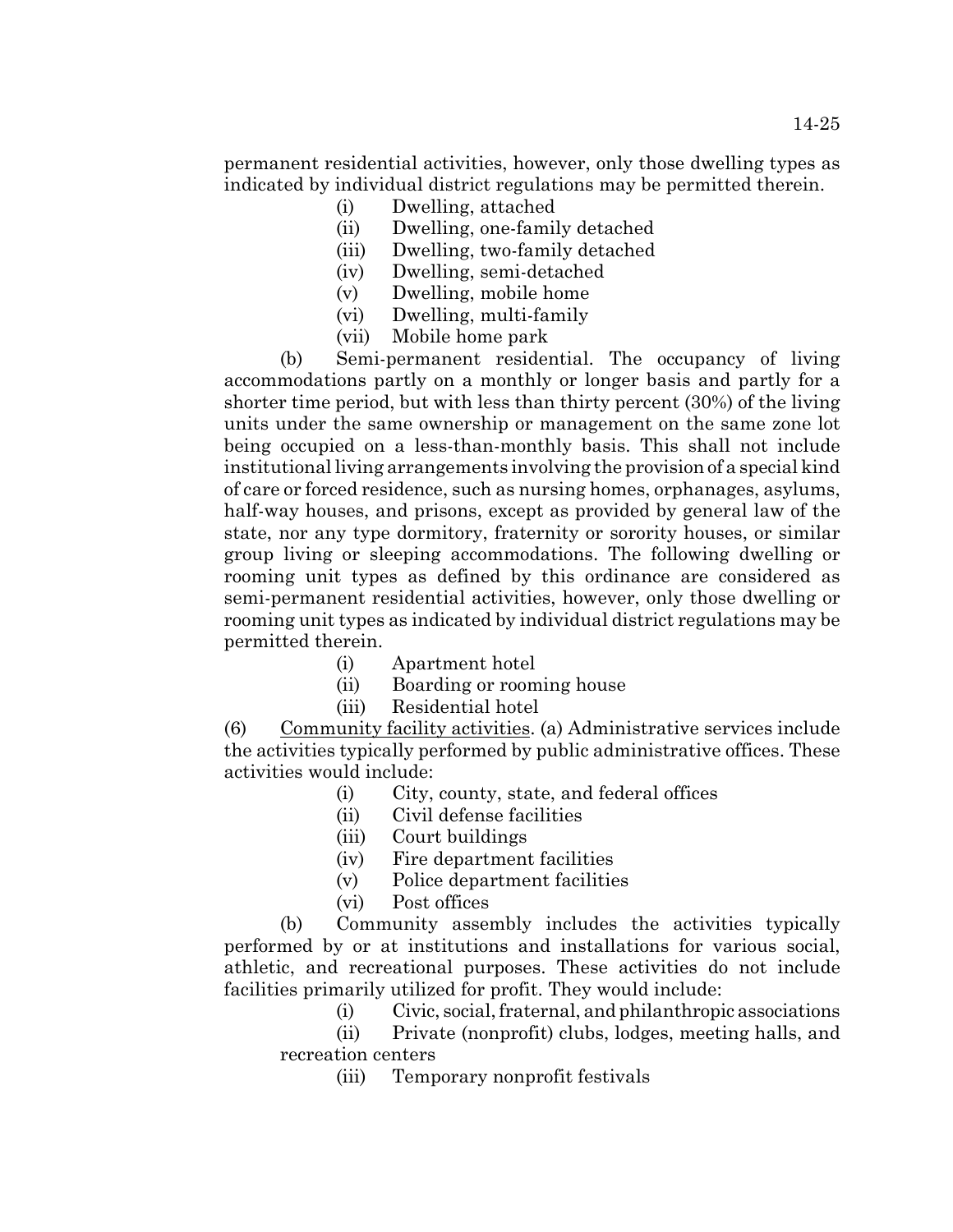permanent residential activities, however, only those dwelling types as indicated by individual district regulations may be permitted therein.

- (i) Dwelling, attached
- (ii) Dwelling, one-family detached
- (iii) Dwelling, two-family detached
- (iv) Dwelling, semi-detached
- (v) Dwelling, mobile home
- (vi) Dwelling, multi-family
- (vii) Mobile home park

(b) Semi-permanent residential. The occupancy of living accommodations partly on a monthly or longer basis and partly for a shorter time period, but with less than thirty percent (30%) of the living units under the same ownership or management on the same zone lot being occupied on a less-than-monthly basis. This shall not include institutional living arrangements involving the provision of a special kind of care or forced residence, such as nursing homes, orphanages, asylums, half-way houses, and prisons, except as provided by general law of the state, nor any type dormitory, fraternity or sorority houses, or similar group living or sleeping accommodations. The following dwelling or rooming unit types as defined by this ordinance are considered as semi-permanent residential activities, however, only those dwelling or rooming unit types as indicated by individual district regulations may be permitted therein.

- (i) Apartment hotel
- (ii) Boarding or rooming house
- (iii) Residential hotel

(6) Community facility activities. (a) Administrative services include the activities typically performed by public administrative offices. These activities would include:

- (i) City, county, state, and federal offices
- (ii) Civil defense facilities
- (iii) Court buildings
- (iv) Fire department facilities
- (v) Police department facilities
- (vi) Post offices

(b) Community assembly includes the activities typically performed by or at institutions and installations for various social, athletic, and recreational purposes. These activities do not include facilities primarily utilized for profit. They would include:

(i) Civic, social, fraternal, and philanthropic associations

(ii) Private (nonprofit) clubs, lodges, meeting halls, and recreation centers

(iii) Temporary nonprofit festivals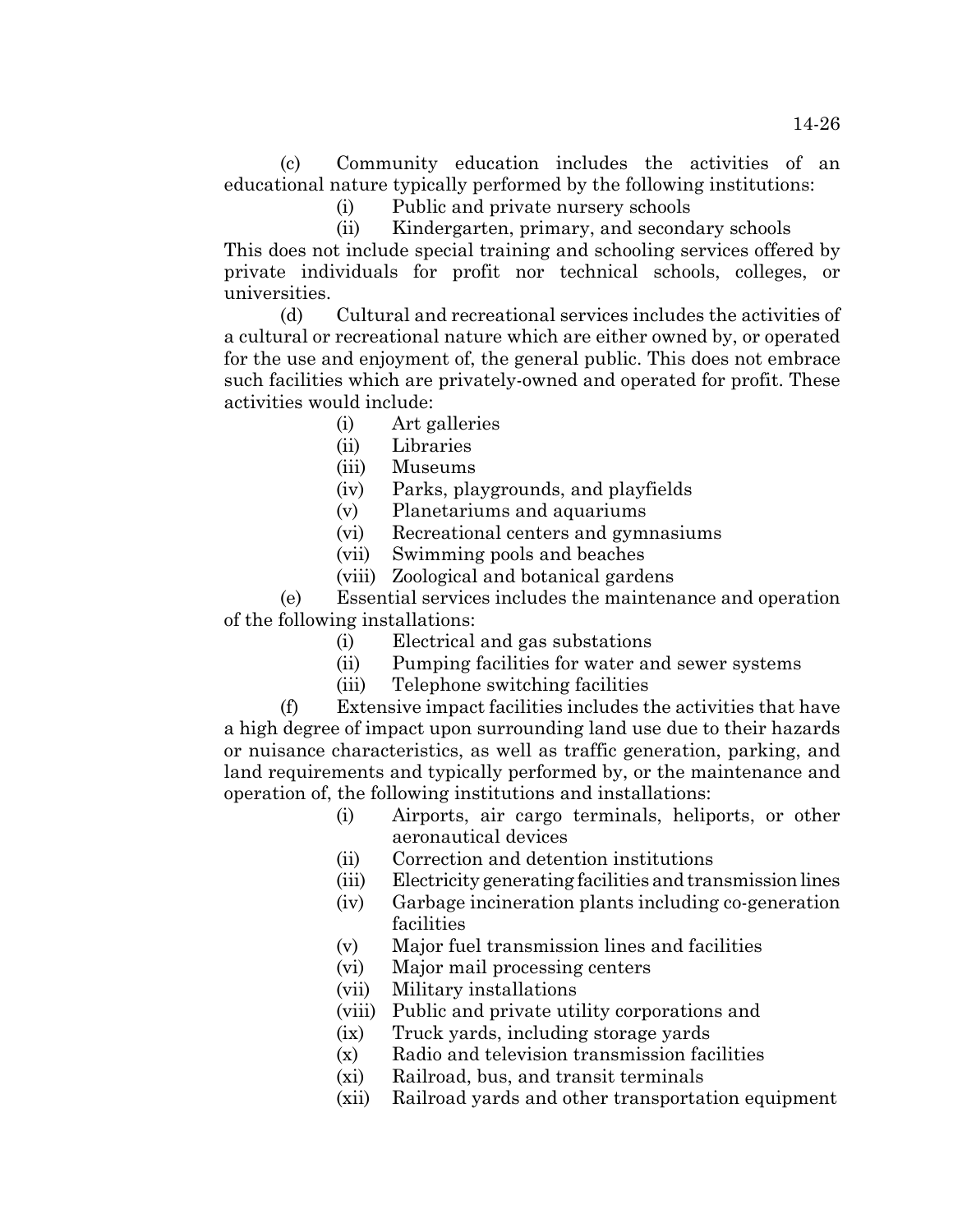(c) Community education includes the activities of an educational nature typically performed by the following institutions:

(i) Public and private nursery schools

(ii) Kindergarten, primary, and secondary schools

This does not include special training and schooling services offered by private individuals for profit nor technical schools, colleges, or universities.

(d) Cultural and recreational services includes the activities of a cultural or recreational nature which are either owned by, or operated for the use and enjoyment of, the general public. This does not embrace such facilities which are privately-owned and operated for profit. These activities would include:

- (i) Art galleries
- (ii) Libraries
- (iii) Museums
- (iv) Parks, playgrounds, and playfields
- (v) Planetariums and aquariums
- (vi) Recreational centers and gymnasiums
- (vii) Swimming pools and beaches
- (viii) Zoological and botanical gardens

(e) Essential services includes the maintenance and operation of the following installations:

- (i) Electrical and gas substations
- (ii) Pumping facilities for water and sewer systems
- (iii) Telephone switching facilities

(f) Extensive impact facilities includes the activities that have a high degree of impact upon surrounding land use due to their hazards or nuisance characteristics, as well as traffic generation, parking, and land requirements and typically performed by, or the maintenance and operation of, the following institutions and installations:

- (i) Airports, air cargo terminals, heliports, or other aeronautical devices
- (ii) Correction and detention institutions
- (iii) Electricity generating facilities and transmission lines
- (iv) Garbage incineration plants including co-generation facilities
- (v) Major fuel transmission lines and facilities
- (vi) Major mail processing centers
- (vii) Military installations
- (viii) Public and private utility corporations and
- (ix) Truck yards, including storage yards
- (x) Radio and television transmission facilities
- (xi) Railroad, bus, and transit terminals
- (xii) Railroad yards and other transportation equipment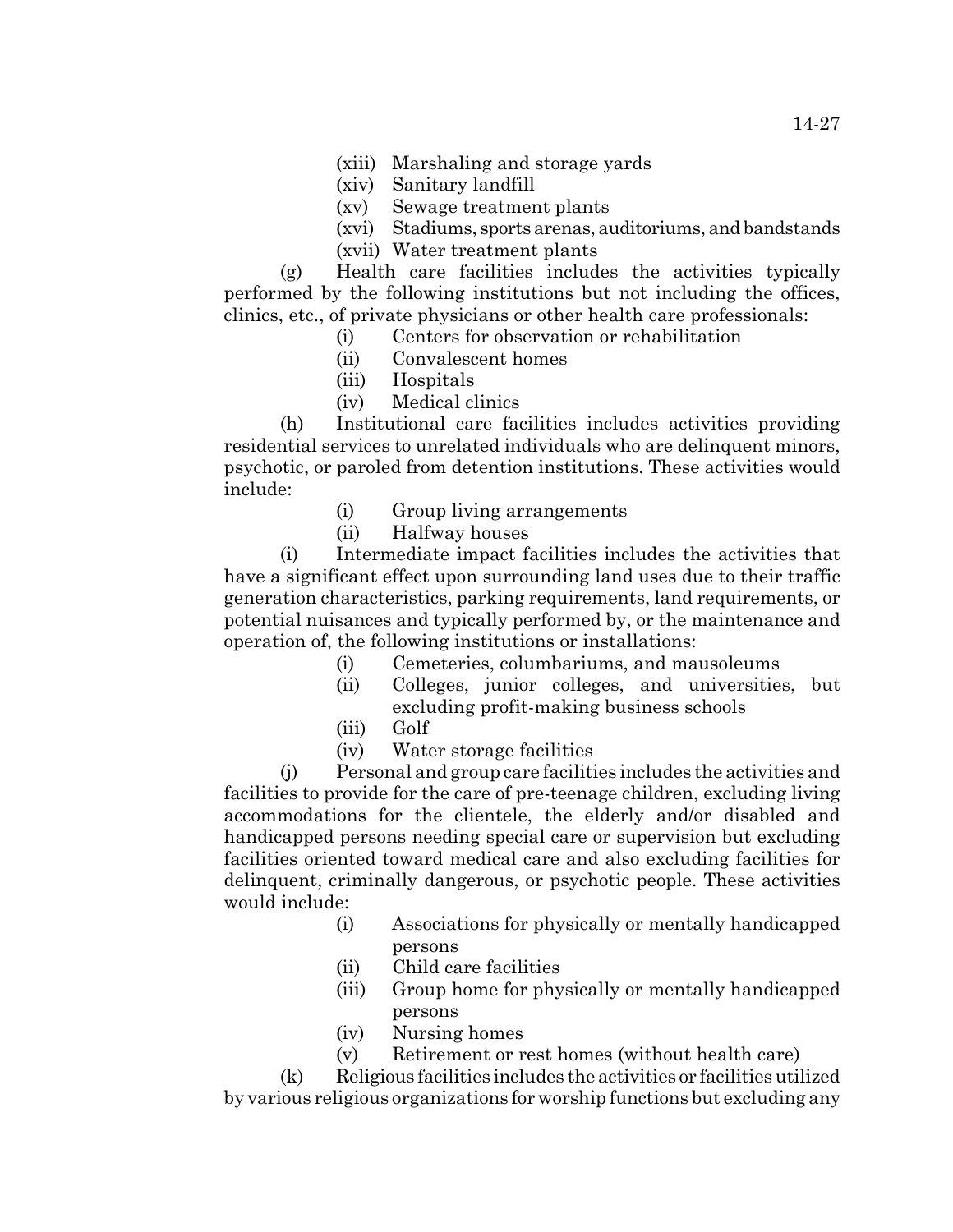- (xiv) Sanitary landfill
- (xv) Sewage treatment plants
- (xvi) Stadiums, sports arenas, auditoriums, and bandstands
- (xvii) Water treatment plants

(g) Health care facilities includes the activities typically performed by the following institutions but not including the offices, clinics, etc., of private physicians or other health care professionals:

- (i) Centers for observation or rehabilitation
- (ii) Convalescent homes
- (iii) Hospitals
- (iv) Medical clinics

(h) Institutional care facilities includes activities providing residential services to unrelated individuals who are delinquent minors, psychotic, or paroled from detention institutions. These activities would include:

- (i) Group living arrangements
- (ii) Halfway houses

(i) Intermediate impact facilities includes the activities that have a significant effect upon surrounding land uses due to their traffic generation characteristics, parking requirements, land requirements, or potential nuisances and typically performed by, or the maintenance and operation of, the following institutions or installations:

- (i) Cemeteries, columbariums, and mausoleums
- (ii) Colleges, junior colleges, and universities, but excluding profit-making business schools
- (iii) Golf
- (iv) Water storage facilities

(j) Personal and group care facilities includes the activities and facilities to provide for the care of pre-teenage children, excluding living accommodations for the clientele, the elderly and/or disabled and handicapped persons needing special care or supervision but excluding facilities oriented toward medical care and also excluding facilities for delinquent, criminally dangerous, or psychotic people. These activities would include:

- (i) Associations for physically or mentally handicapped persons
- (ii) Child care facilities
- (iii) Group home for physically or mentally handicapped persons
- (iv) Nursing homes
- (v) Retirement or rest homes (without health care)

(k) Religious facilities includes the activities or facilities utilized by various religious organizations for worship functions but excluding any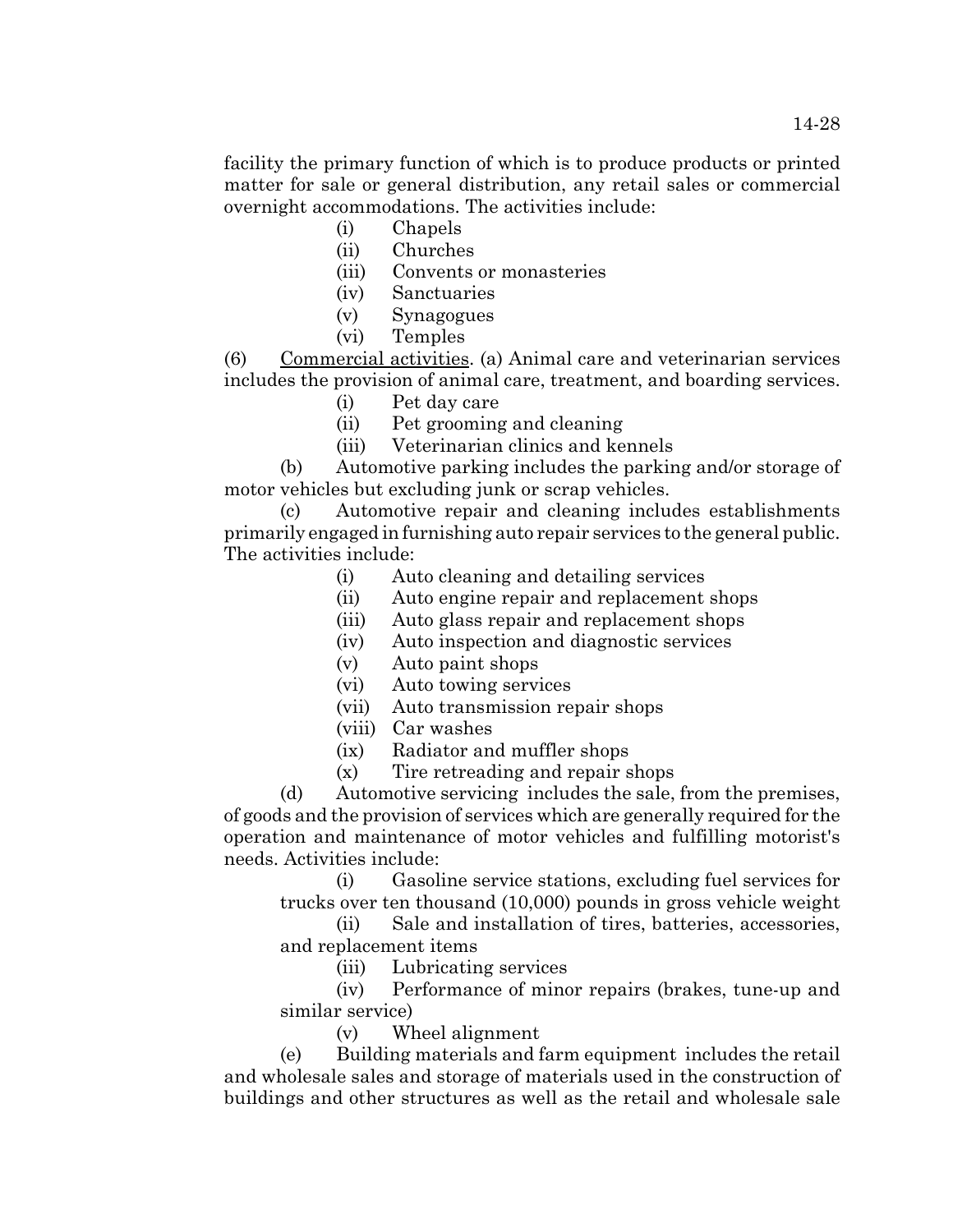facility the primary function of which is to produce products or printed matter for sale or general distribution, any retail sales or commercial overnight accommodations. The activities include:

- (i) Chapels
- (ii) Churches
- (iii) Convents or monasteries
- (iv) Sanctuaries
- (v) Synagogues
- (vi) Temples

(6) Commercial activities. (a) Animal care and veterinarian services includes the provision of animal care, treatment, and boarding services.

- (i) Pet day care
- (ii) Pet grooming and cleaning
- (iii) Veterinarian clinics and kennels

(b) Automotive parking includes the parking and/or storage of motor vehicles but excluding junk or scrap vehicles.

(c) Automotive repair and cleaning includes establishments primarily engaged in furnishing auto repair services to the general public. The activities include:

- (i) Auto cleaning and detailing services
- (ii) Auto engine repair and replacement shops
- (iii) Auto glass repair and replacement shops
- (iv) Auto inspection and diagnostic services
- (v) Auto paint shops
- (vi) Auto towing services
- (vii) Auto transmission repair shops
- (viii) Car washes
- (ix) Radiator and muffler shops
- (x) Tire retreading and repair shops

(d) Automotive servicing includes the sale, from the premises, of goods and the provision of services which are generally required for the operation and maintenance of motor vehicles and fulfilling motorist's needs. Activities include:

(i) Gasoline service stations, excluding fuel services for trucks over ten thousand (10,000) pounds in gross vehicle weight

(ii) Sale and installation of tires, batteries, accessories, and replacement items

(iii) Lubricating services

(iv) Performance of minor repairs (brakes, tune-up and similar service)

(v) Wheel alignment

(e) Building materials and farm equipment includes the retail and wholesale sales and storage of materials used in the construction of buildings and other structures as well as the retail and wholesale sale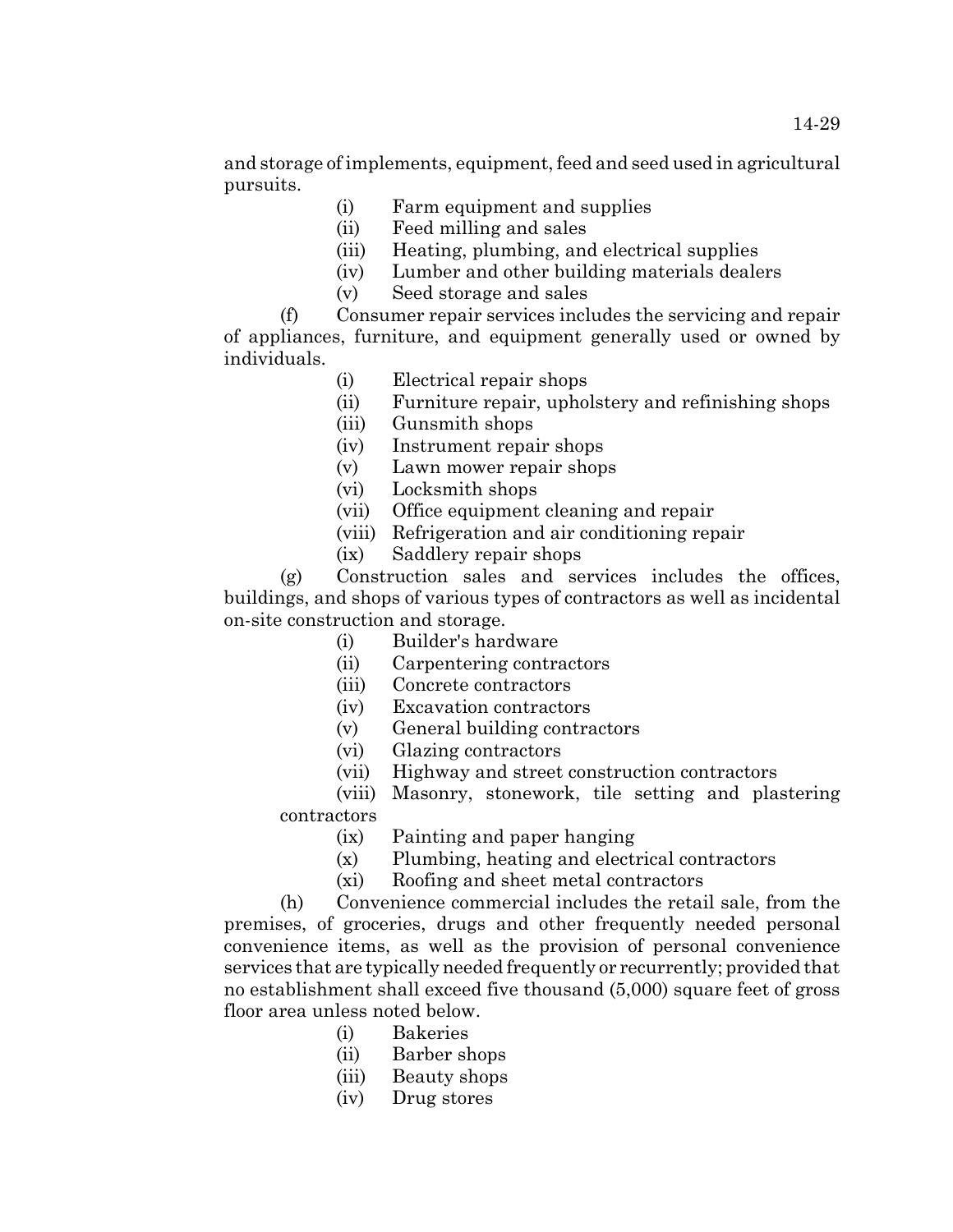and storage of implements, equipment, feed and seed used in agricultural pursuits.

- (i) Farm equipment and supplies
- (ii) Feed milling and sales
- (iii) Heating, plumbing, and electrical supplies
- (iv) Lumber and other building materials dealers
- (v) Seed storage and sales

(f) Consumer repair services includes the servicing and repair of appliances, furniture, and equipment generally used or owned by individuals.

- (i) Electrical repair shops
- (ii) Furniture repair, upholstery and refinishing shops
- (iii) Gunsmith shops
- (iv) Instrument repair shops
- (v) Lawn mower repair shops
- (vi) Locksmith shops
- (vii) Office equipment cleaning and repair
- (viii) Refrigeration and air conditioning repair
- (ix) Saddlery repair shops

(g) Construction sales and services includes the offices, buildings, and shops of various types of contractors as well as incidental on-site construction and storage.

- (i) Builder's hardware
- (ii) Carpentering contractors
- (iii) Concrete contractors
- (iv) Excavation contractors
- (v) General building contractors
- (vi) Glazing contractors
- (vii) Highway and street construction contractors

(viii) Masonry, stonework, tile setting and plastering contractors

- (ix) Painting and paper hanging
- (x) Plumbing, heating and electrical contractors
- (xi) Roofing and sheet metal contractors

(h) Convenience commercial includes the retail sale, from the premises, of groceries, drugs and other frequently needed personal convenience items, as well as the provision of personal convenience services that are typically needed frequently or recurrently; provided that no establishment shall exceed five thousand (5,000) square feet of gross floor area unless noted below.

- (i) Bakeries
- (ii) Barber shops
- (iii) Beauty shops
- (iv) Drug stores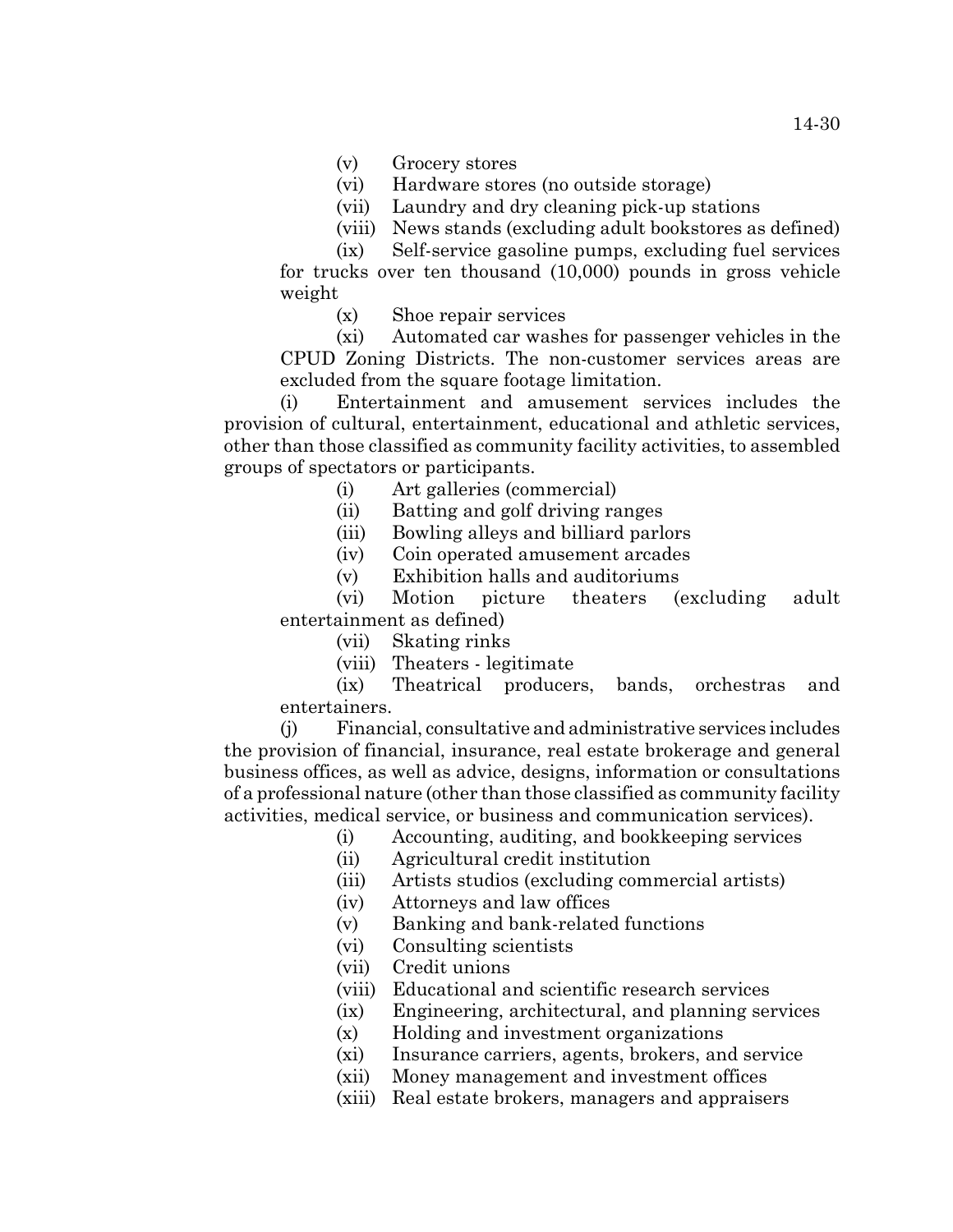(v) Grocery stores

(vi) Hardware stores (no outside storage)

(vii) Laundry and dry cleaning pick-up stations

(viii) News stands (excluding adult bookstores as defined)

(ix) Self-service gasoline pumps, excluding fuel services for trucks over ten thousand (10,000) pounds in gross vehicle weight

(x) Shoe repair services

(xi) Automated car washes for passenger vehicles in the CPUD Zoning Districts. The non-customer services areas are excluded from the square footage limitation.

(i) Entertainment and amusement services includes the provision of cultural, entertainment, educational and athletic services, other than those classified as community facility activities, to assembled groups of spectators or participants.

(i) Art galleries (commercial)

(ii) Batting and golf driving ranges

(iii) Bowling alleys and billiard parlors

(iv) Coin operated amusement arcades

(v) Exhibition halls and auditoriums

(vi) Motion picture theaters (excluding adult entertainment as defined)

(vii) Skating rinks

(viii) Theaters - legitimate

(ix) Theatrical producers, bands, orchestras and entertainers.

(j) Financial, consultative and administrative services includes the provision of financial, insurance, real estate brokerage and general business offices, as well as advice, designs, information or consultations of a professional nature (other than those classified as community facility activities, medical service, or business and communication services).

- (i) Accounting, auditing, and bookkeeping services
- (ii) Agricultural credit institution
- (iii) Artists studios (excluding commercial artists)
- (iv) Attorneys and law offices
- (v) Banking and bank-related functions
- (vi) Consulting scientists
- (vii) Credit unions
- (viii) Educational and scientific research services
- (ix) Engineering, architectural, and planning services
- (x) Holding and investment organizations
- (xi) Insurance carriers, agents, brokers, and service
- (xii) Money management and investment offices
- (xiii) Real estate brokers, managers and appraisers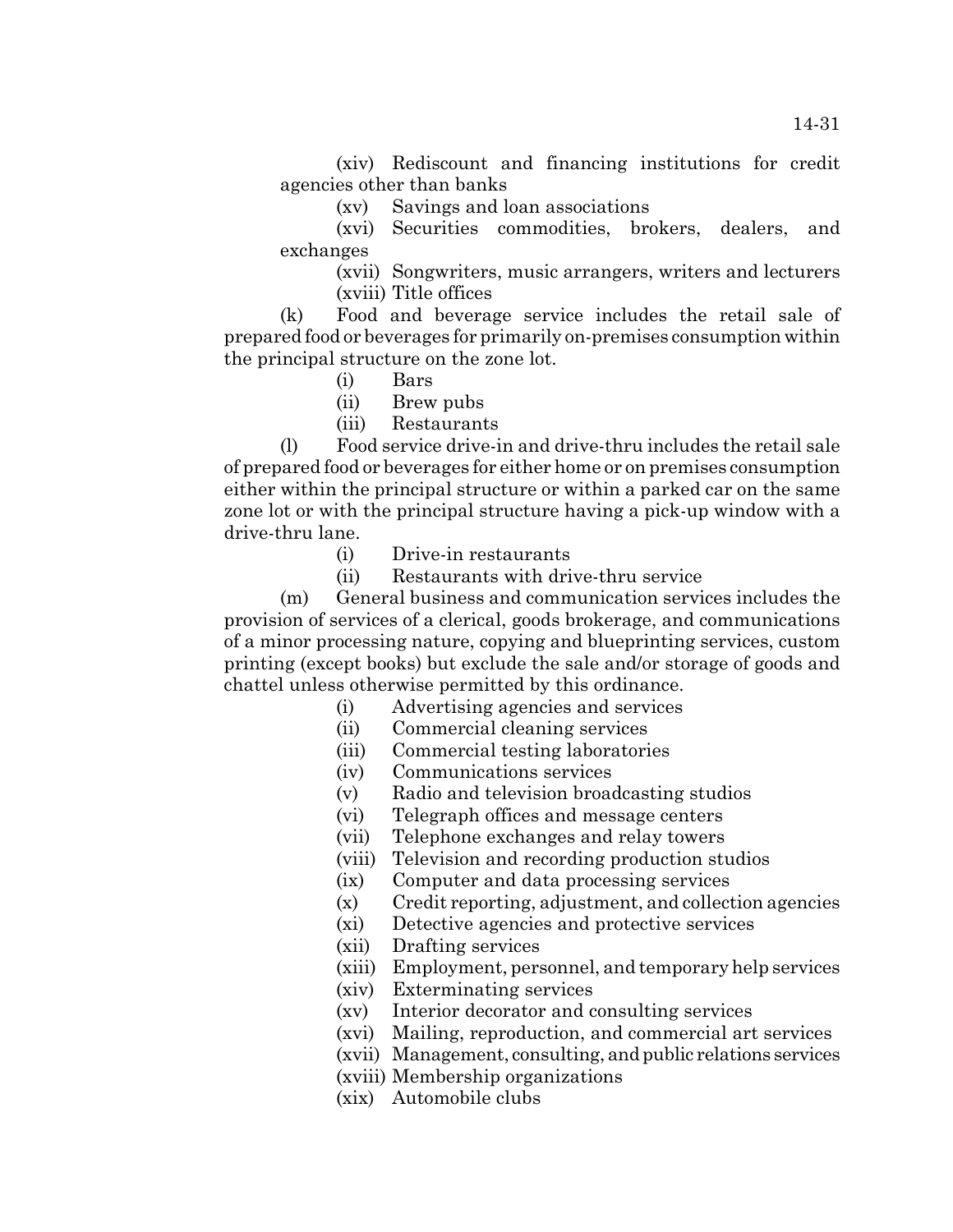(xiv) Rediscount and financing institutions for credit agencies other than banks

(xv) Savings and loan associations

(xvi) Securities commodities, brokers, dealers, and exchanges

(xvii) Songwriters, music arrangers, writers and lecturers (xviii) Title offices

(k) Food and beverage service includes the retail sale of prepared food or beverages for primarily on-premises consumption within the principal structure on the zone lot.

- (i) Bars
- (ii) Brew pubs
- (iii) Restaurants

(l) Food service drive-in and drive-thru includes the retail sale of prepared food or beverages for either home or on premises consumption either within the principal structure or within a parked car on the same zone lot or with the principal structure having a pick-up window with a drive-thru lane.

- (i) Drive-in restaurants
- (ii) Restaurants with drive-thru service

(m) General business and communication services includes the provision of services of a clerical, goods brokerage, and communications of a minor processing nature, copying and blueprinting services, custom printing (except books) but exclude the sale and/or storage of goods and chattel unless otherwise permitted by this ordinance.

- (i) Advertising agencies and services
- (ii) Commercial cleaning services
- (iii) Commercial testing laboratories
- (iv) Communications services
- (v) Radio and television broadcasting studios
- (vi) Telegraph offices and message centers
- (vii) Telephone exchanges and relay towers
- (viii) Television and recording production studios
- (ix) Computer and data processing services
- (x) Credit reporting, adjustment, and collection agencies
- (xi) Detective agencies and protective services
- (xii) Drafting services
- (xiii) Employment, personnel, and temporary help services
- (xiv) Exterminating services
- (xv) Interior decorator and consulting services
- (xvi) Mailing, reproduction, and commercial art services
- (xvii) Management, consulting, and public relations services
- (xviii) Membership organizations
- (xix) Automobile clubs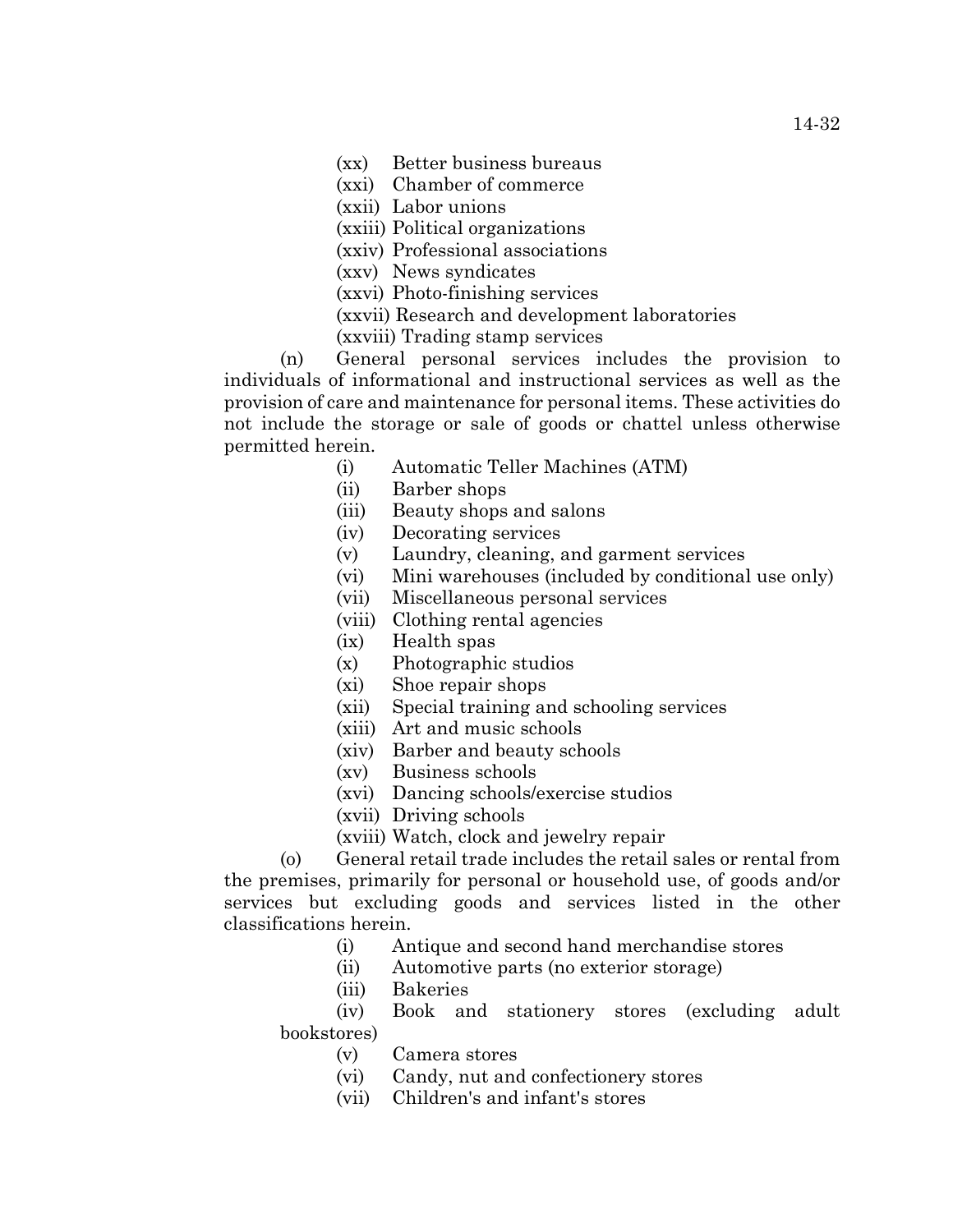- (xx) Better business bureaus
- (xxi) Chamber of commerce
- (xxii) Labor unions
- (xxiii) Political organizations
- (xxiv) Professional associations
- (xxv) News syndicates
- (xxvi) Photo-finishing services
- (xxvii) Research and development laboratories
- (xxviii) Trading stamp services

(n) General personal services includes the provision to individuals of informational and instructional services as well as the provision of care and maintenance for personal items. These activities do not include the storage or sale of goods or chattel unless otherwise permitted herein.

- (i) Automatic Teller Machines (ATM)
- (ii) Barber shops
- (iii) Beauty shops and salons
- (iv) Decorating services
- (v) Laundry, cleaning, and garment services
- (vi) Mini warehouses (included by conditional use only)
- (vii) Miscellaneous personal services
- (viii) Clothing rental agencies
- (ix) Health spas
- (x) Photographic studios
- (xi) Shoe repair shops
- (xii) Special training and schooling services
- (xiii) Art and music schools
- (xiv) Barber and beauty schools
- (xv) Business schools
- (xvi) Dancing schools/exercise studios
- (xvii) Driving schools
- (xviii) Watch, clock and jewelry repair

(o) General retail trade includes the retail sales or rental from the premises, primarily for personal or household use, of goods and/or services but excluding goods and services listed in the other classifications herein.

- (i) Antique and second hand merchandise stores
- (ii) Automotive parts (no exterior storage)
- (iii) Bakeries

(iv) Book and stationery stores (excluding adult bookstores)

- (v) Camera stores
- (vi) Candy, nut and confectionery stores
- (vii) Children's and infant's stores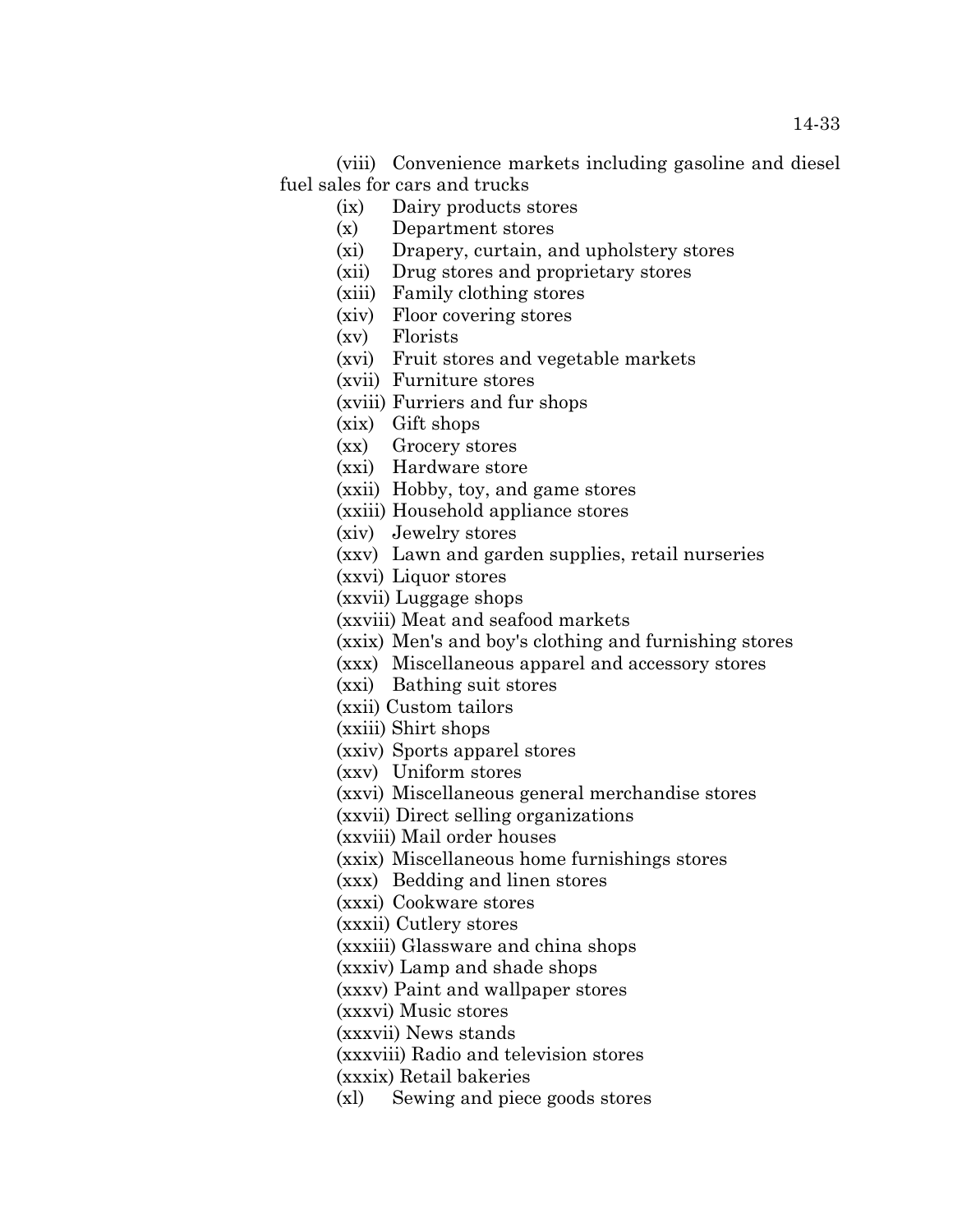(viii) Convenience markets including gasoline and diesel fuel sales for cars and trucks

- (ix) Dairy products stores
- (x) Department stores
- (xi) Drapery, curtain, and upholstery stores
- (xii) Drug stores and proprietary stores
- (xiii) Family clothing stores
- (xiv) Floor covering stores
- (xv) Florists
- (xvi) Fruit stores and vegetable markets
- (xvii) Furniture stores
- (xviii) Furriers and fur shops
- (xix) Gift shops
- (xx) Grocery stores
- (xxi) Hardware store
- (xxii) Hobby, toy, and game stores
- (xxiii) Household appliance stores
- (xiv) Jewelry stores
- (xxv) Lawn and garden supplies, retail nurseries
- (xxvi) Liquor stores
- (xxvii) Luggage shops
- (xxviii) Meat and seafood markets
- (xxix) Men's and boy's clothing and furnishing stores
- (xxx) Miscellaneous apparel and accessory stores
- (xxi) Bathing suit stores
- (xxii) Custom tailors
- (xxiii) Shirt shops
- (xxiv) Sports apparel stores
- (xxv) Uniform stores
- (xxvi) Miscellaneous general merchandise stores
- (xxvii) Direct selling organizations
- (xxviii) Mail order houses
- (xxix) Miscellaneous home furnishings stores
- (xxx) Bedding and linen stores
- (xxxi) Cookware stores
- (xxxii) Cutlery stores
- (xxxiii) Glassware and china shops
- (xxxiv) Lamp and shade shops
- (xxxv) Paint and wallpaper stores
- (xxxvi) Music stores
- (xxxvii) News stands
- (xxxviii) Radio and television stores
- (xxxix) Retail bakeries
- (xl) Sewing and piece goods stores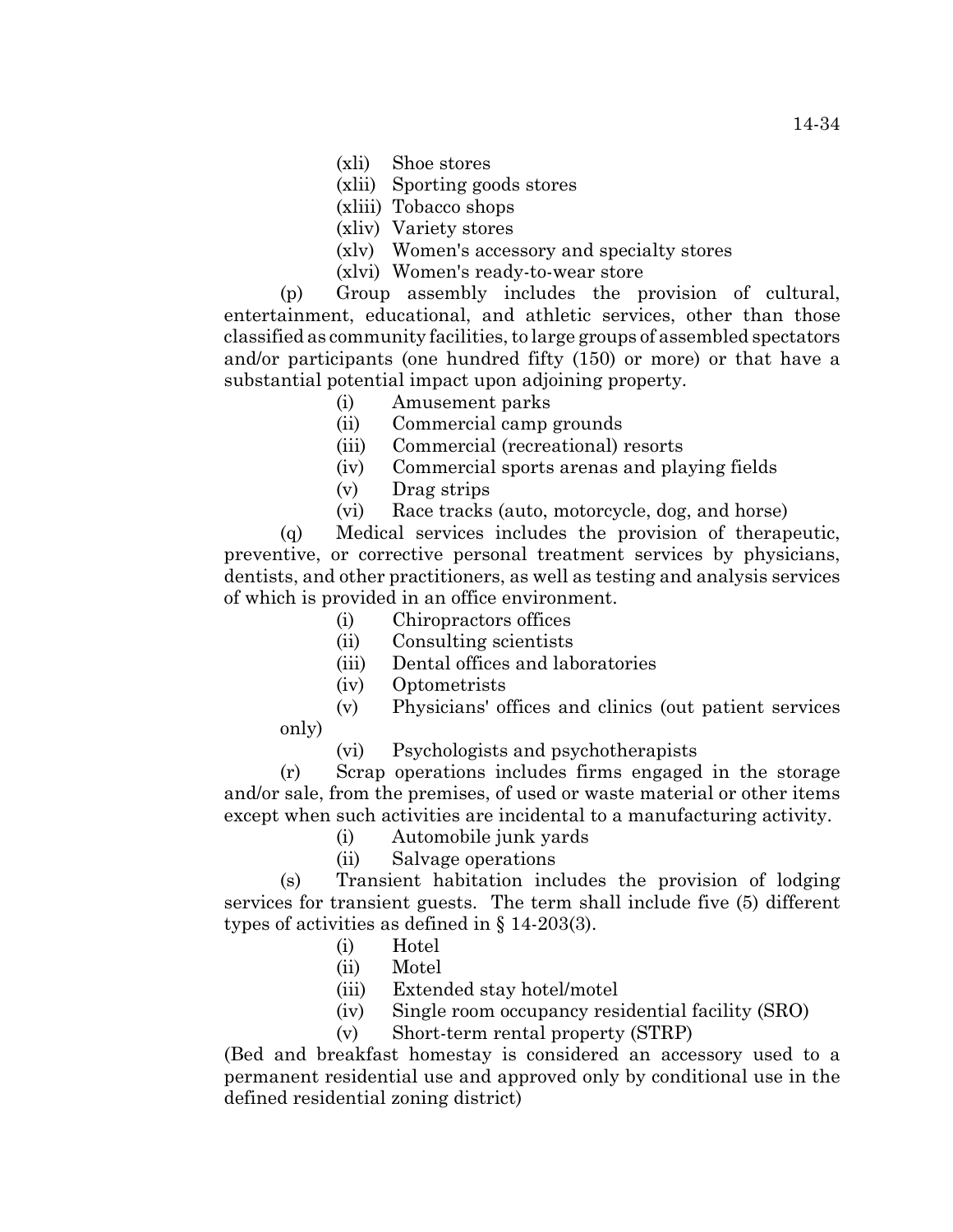- (xli) Shoe stores
- (xlii) Sporting goods stores
- (xliii) Tobacco shops
- (xliv) Variety stores
- (xlv) Women's accessory and specialty stores
- (xlvi) Women's ready-to-wear store

(p) Group assembly includes the provision of cultural, entertainment, educational, and athletic services, other than those classified as community facilities, to large groups of assembled spectators and/or participants (one hundred fifty (150) or more) or that have a substantial potential impact upon adjoining property.

- (i) Amusement parks
- (ii) Commercial camp grounds
- (iii) Commercial (recreational) resorts
- (iv) Commercial sports arenas and playing fields
- (v) Drag strips
- (vi) Race tracks (auto, motorcycle, dog, and horse)

(q) Medical services includes the provision of therapeutic, preventive, or corrective personal treatment services by physicians, dentists, and other practitioners, as well as testing and analysis services of which is provided in an office environment.

- (i) Chiropractors offices
- (ii) Consulting scientists
- (iii) Dental offices and laboratories
- (iv) Optometrists
- (v) Physicians' offices and clinics (out patient services only)

(vi) Psychologists and psychotherapists

(r) Scrap operations includes firms engaged in the storage and/or sale, from the premises, of used or waste material or other items except when such activities are incidental to a manufacturing activity.

- (i) Automobile junk yards
- (ii) Salvage operations

(s) Transient habitation includes the provision of lodging services for transient guests. The term shall include five (5) different types of activities as defined in § 14-203(3).

- (i) Hotel
- (ii) Motel
- (iii) Extended stay hotel/motel
- (iv) Single room occupancy residential facility (SRO)
- (v) Short-term rental property (STRP)

(Bed and breakfast homestay is considered an accessory used to a permanent residential use and approved only by conditional use in the defined residential zoning district)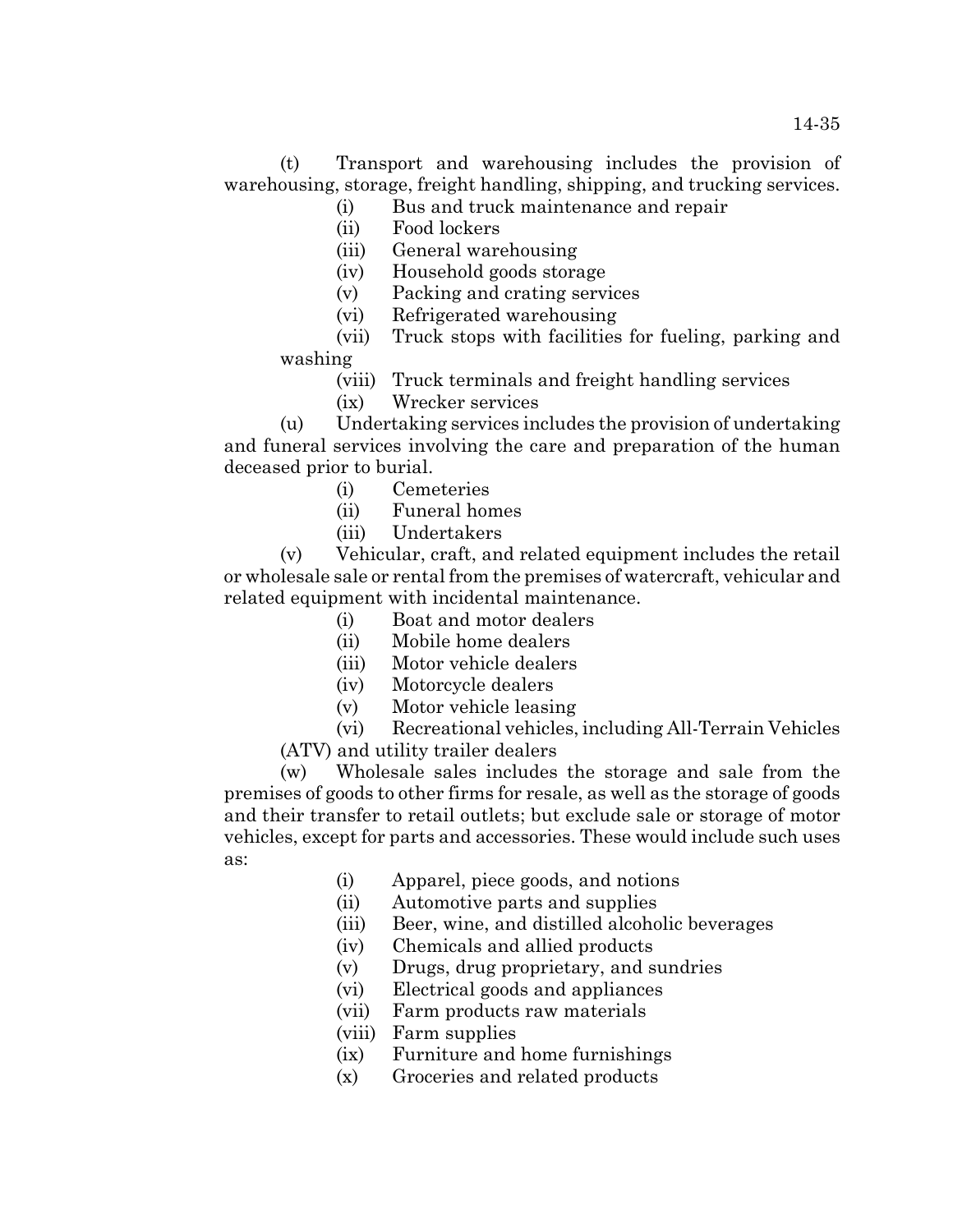(t) Transport and warehousing includes the provision of warehousing, storage, freight handling, shipping, and trucking services.

- (i) Bus and truck maintenance and repair
- (ii) Food lockers
- (iii) General warehousing
- (iv) Household goods storage
- (v) Packing and crating services
- (vi) Refrigerated warehousing
- (vii) Truck stops with facilities for fueling, parking and washing
	- (viii) Truck terminals and freight handling services
	- (ix) Wrecker services

(u) Undertaking services includes the provision of undertaking and funeral services involving the care and preparation of the human deceased prior to burial.

- (i) Cemeteries
- (ii) Funeral homes
- (iii) Undertakers

(v) Vehicular, craft, and related equipment includes the retail or wholesale sale or rental from the premises of watercraft, vehicular and related equipment with incidental maintenance.

- (i) Boat and motor dealers
- (ii) Mobile home dealers
- (iii) Motor vehicle dealers
- (iv) Motorcycle dealers
- (v) Motor vehicle leasing

(vi) Recreational vehicles, including All-Terrain Vehicles (ATV) and utility trailer dealers

(w) Wholesale sales includes the storage and sale from the premises of goods to other firms for resale, as well as the storage of goods and their transfer to retail outlets; but exclude sale or storage of motor vehicles, except for parts and accessories. These would include such uses as:

- (i) Apparel, piece goods, and notions
- (ii) Automotive parts and supplies
- (iii) Beer, wine, and distilled alcoholic beverages
- (iv) Chemicals and allied products
- (v) Drugs, drug proprietary, and sundries
- (vi) Electrical goods and appliances
- (vii) Farm products raw materials
- (viii) Farm supplies
- (ix) Furniture and home furnishings
- (x) Groceries and related products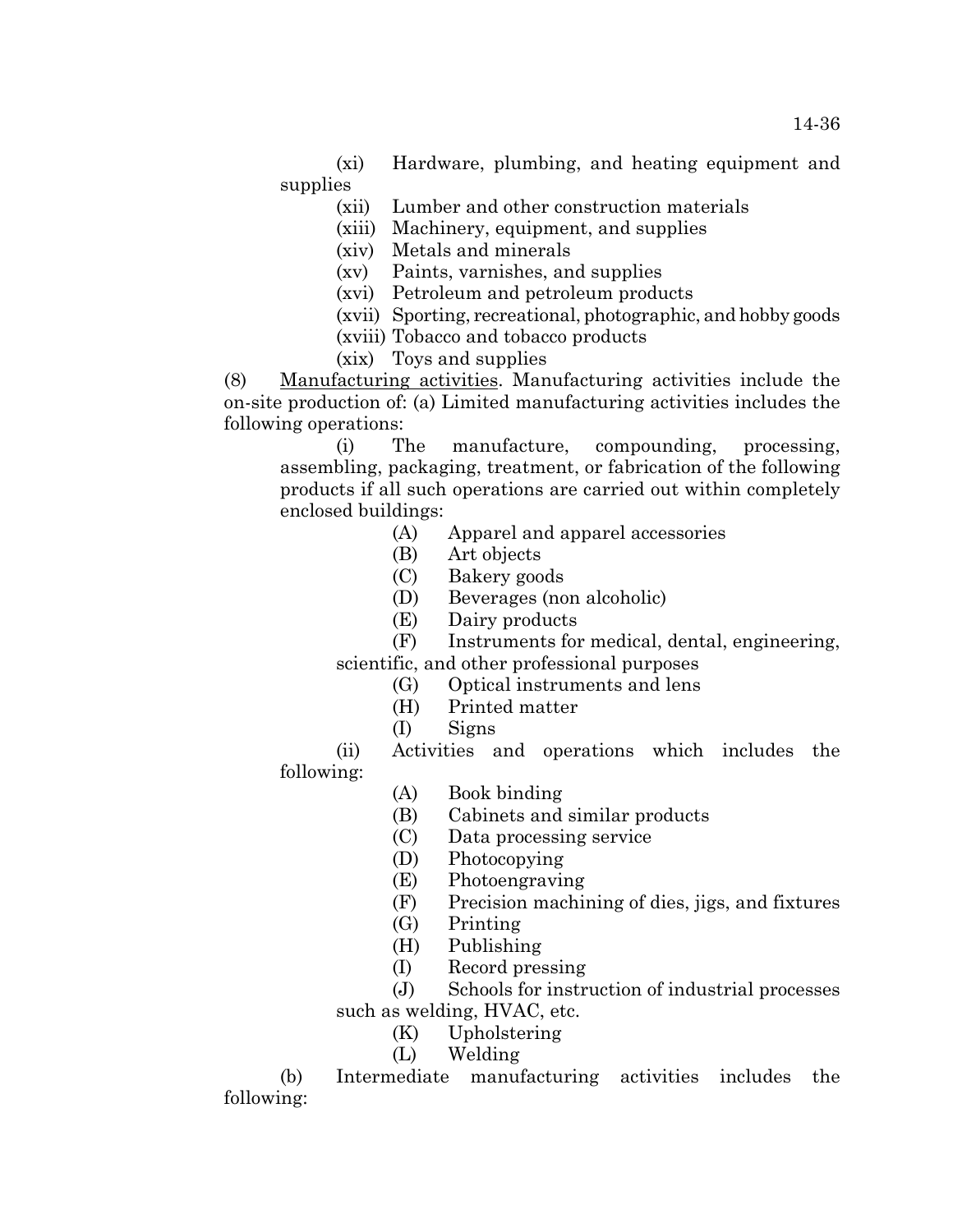(xi) Hardware, plumbing, and heating equipment and supplies

(xii) Lumber and other construction materials

- (xiii) Machinery, equipment, and supplies
- (xiv) Metals and minerals
- (xv) Paints, varnishes, and supplies
- (xvi) Petroleum and petroleum products
- (xvii) Sporting, recreational, photographic, and hobby goods
- (xviii) Tobacco and tobacco products
- (xix) Toys and supplies

(8) Manufacturing activities. Manufacturing activities include the on-site production of: (a) Limited manufacturing activities includes the following operations:

(i) The manufacture, compounding, processing, assembling, packaging, treatment, or fabrication of the following products if all such operations are carried out within completely enclosed buildings:

- (A) Apparel and apparel accessories
- (B) Art objects
- (C) Bakery goods
- (D) Beverages (non alcoholic)
- (E) Dairy products

(F) Instruments for medical, dental, engineering,

scientific, and other professional purposes

- (G) Optical instruments and lens
- (H) Printed matter
- (I) Signs

(ii) Activities and operations which includes the following:

- (A) Book binding
- (B) Cabinets and similar products
- (C) Data processing service
- (D) Photocopying
- (E) Photoengraving
- (F) Precision machining of dies, jigs, and fixtures
- (G) Printing
- (H) Publishing
- (I) Record pressing

(J) Schools for instruction of industrial processes such as welding, HVAC, etc.

- (K) Upholstering
- (L) Welding

(b) Intermediate manufacturing activities includes the following: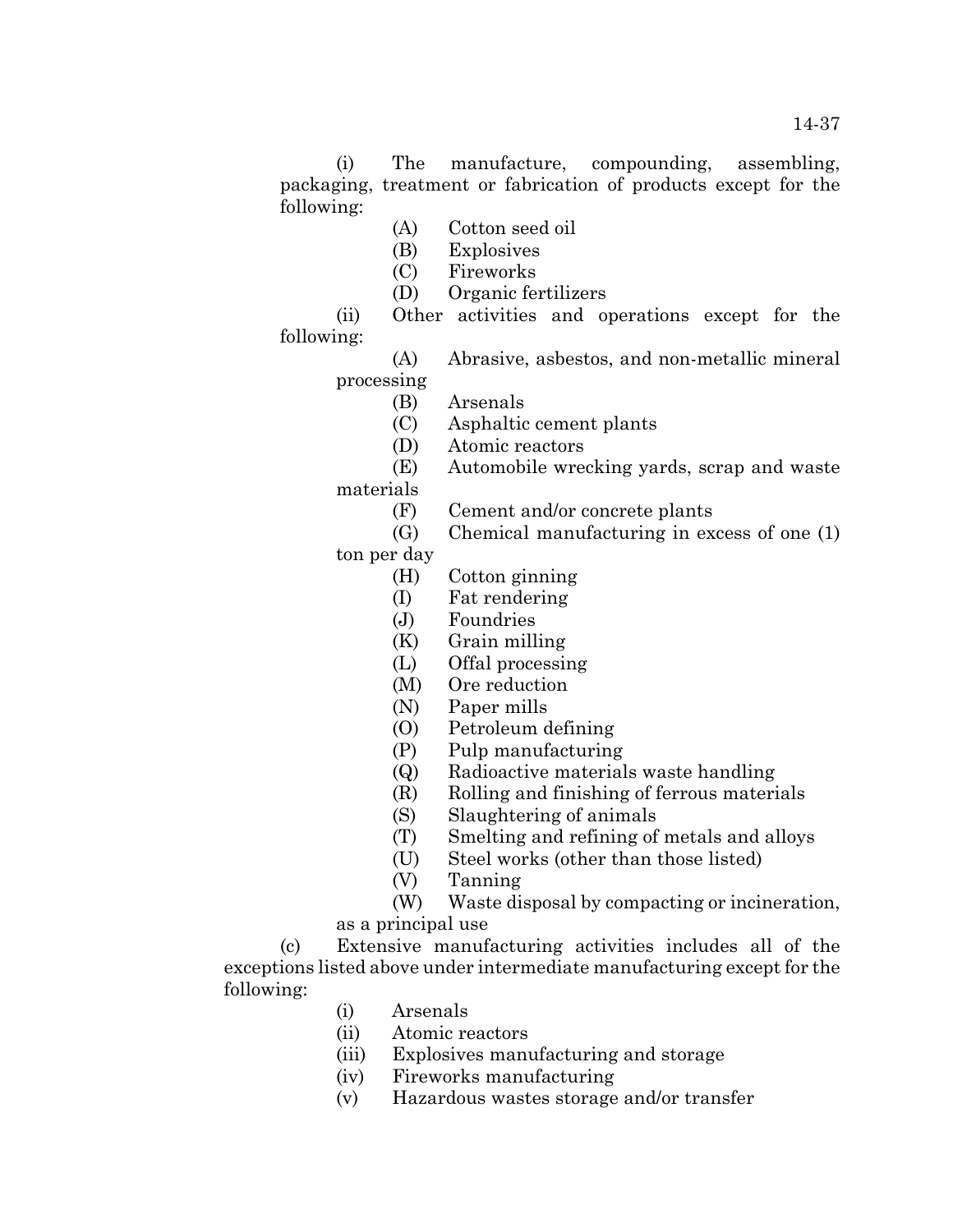(i) The manufacture, compounding, assembling, packaging, treatment or fabrication of products except for the following:

- (A) Cotton seed oil
- (B) Explosives
- (C) Fireworks
- (D) Organic fertilizers
- (ii) Other activities and operations except for the following:

(A) Abrasive, asbestos, and non-metallic mineral processing

- (B) Arsenals
- (C) Asphaltic cement plants
- (D) Atomic reactors
- (E) Automobile wrecking yards, scrap and waste materials
	- (F) Cement and/or concrete plants
	- (G) Chemical manufacturing in excess of one (1)

ton per day

- (H) Cotton ginning
- (I) Fat rendering
- (J) Foundries
- (K) Grain milling
- (L) Offal processing
- (M) Ore reduction
- (N) Paper mills
- (O) Petroleum defining
- (P) Pulp manufacturing
- (Q) Radioactive materials waste handling
- (R) Rolling and finishing of ferrous materials
- (S) Slaughtering of animals
- (T) Smelting and refining of metals and alloys
- (U) Steel works (other than those listed)
- (V) Tanning

(W) Waste disposal by compacting or incineration,

as a principal use

(c) Extensive manufacturing activities includes all of the exceptions listed above under intermediate manufacturing except for the following:

- (i) Arsenals
- (ii) Atomic reactors
- (iii) Explosives manufacturing and storage
- (iv) Fireworks manufacturing
- (v) Hazardous wastes storage and/or transfer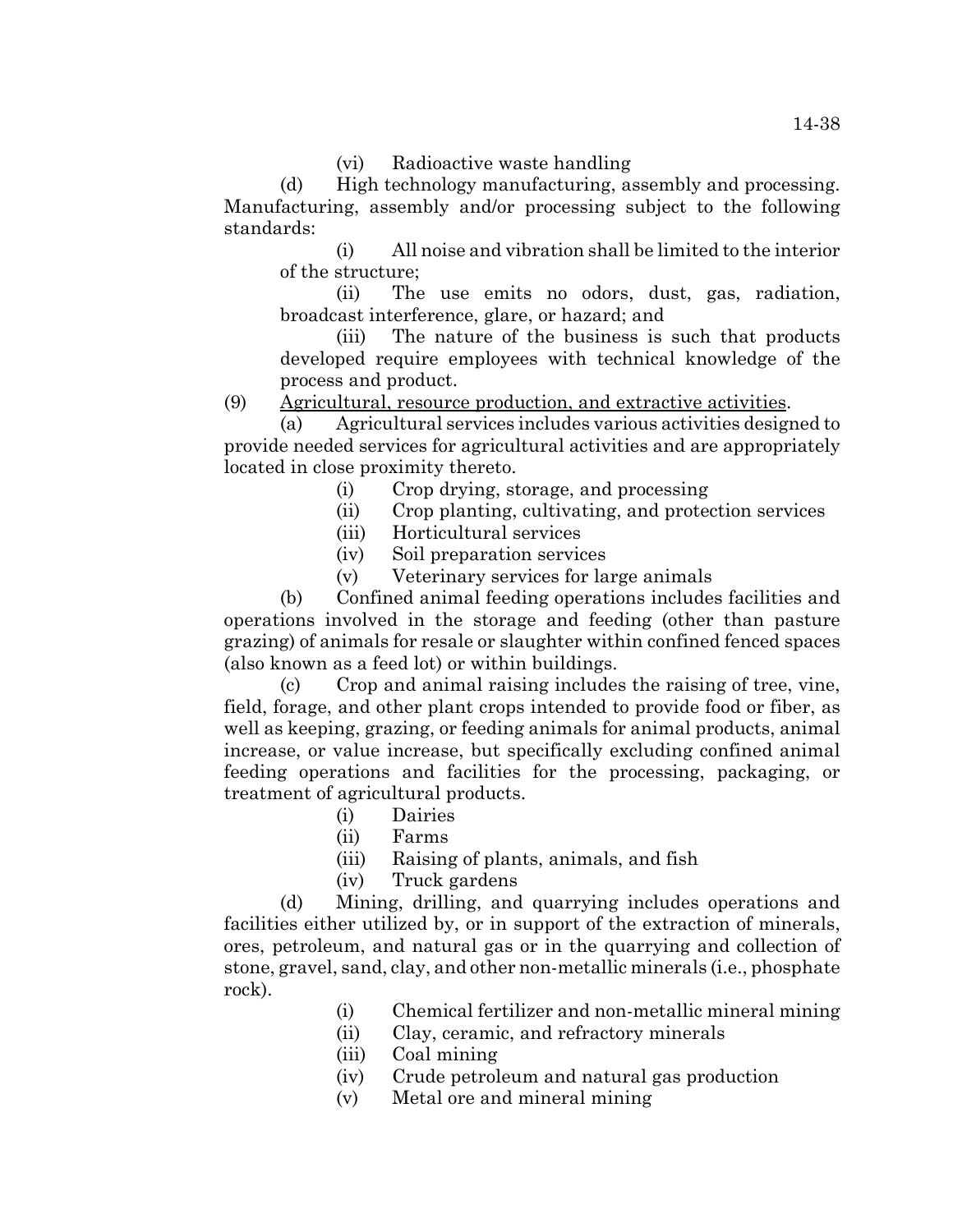(d) High technology manufacturing, assembly and processing. Manufacturing, assembly and/or processing subject to the following standards:

(i) All noise and vibration shall be limited to the interior of the structure;

(ii) The use emits no odors, dust, gas, radiation, broadcast interference, glare, or hazard; and

(iii) The nature of the business is such that products developed require employees with technical knowledge of the process and product.

(9) Agricultural, resource production, and extractive activities.

(a) Agricultural services includes various activities designed to provide needed services for agricultural activities and are appropriately located in close proximity thereto.

- (i) Crop drying, storage, and processing
- (ii) Crop planting, cultivating, and protection services
- (iii) Horticultural services
- (iv) Soil preparation services
- (v) Veterinary services for large animals

(b) Confined animal feeding operations includes facilities and operations involved in the storage and feeding (other than pasture grazing) of animals for resale or slaughter within confined fenced spaces (also known as a feed lot) or within buildings.

(c) Crop and animal raising includes the raising of tree, vine, field, forage, and other plant crops intended to provide food or fiber, as well as keeping, grazing, or feeding animals for animal products, animal increase, or value increase, but specifically excluding confined animal feeding operations and facilities for the processing, packaging, or treatment of agricultural products.

- (i) Dairies
- (ii) Farms
- (iii) Raising of plants, animals, and fish
- (iv) Truck gardens

(d) Mining, drilling, and quarrying includes operations and facilities either utilized by, or in support of the extraction of minerals, ores, petroleum, and natural gas or in the quarrying and collection of stone, gravel, sand, clay, and other non-metallic minerals (i.e., phosphate rock).

- (i) Chemical fertilizer and non-metallic mineral mining
- (ii) Clay, ceramic, and refractory minerals
- (iii) Coal mining
- (iv) Crude petroleum and natural gas production
- (v) Metal ore and mineral mining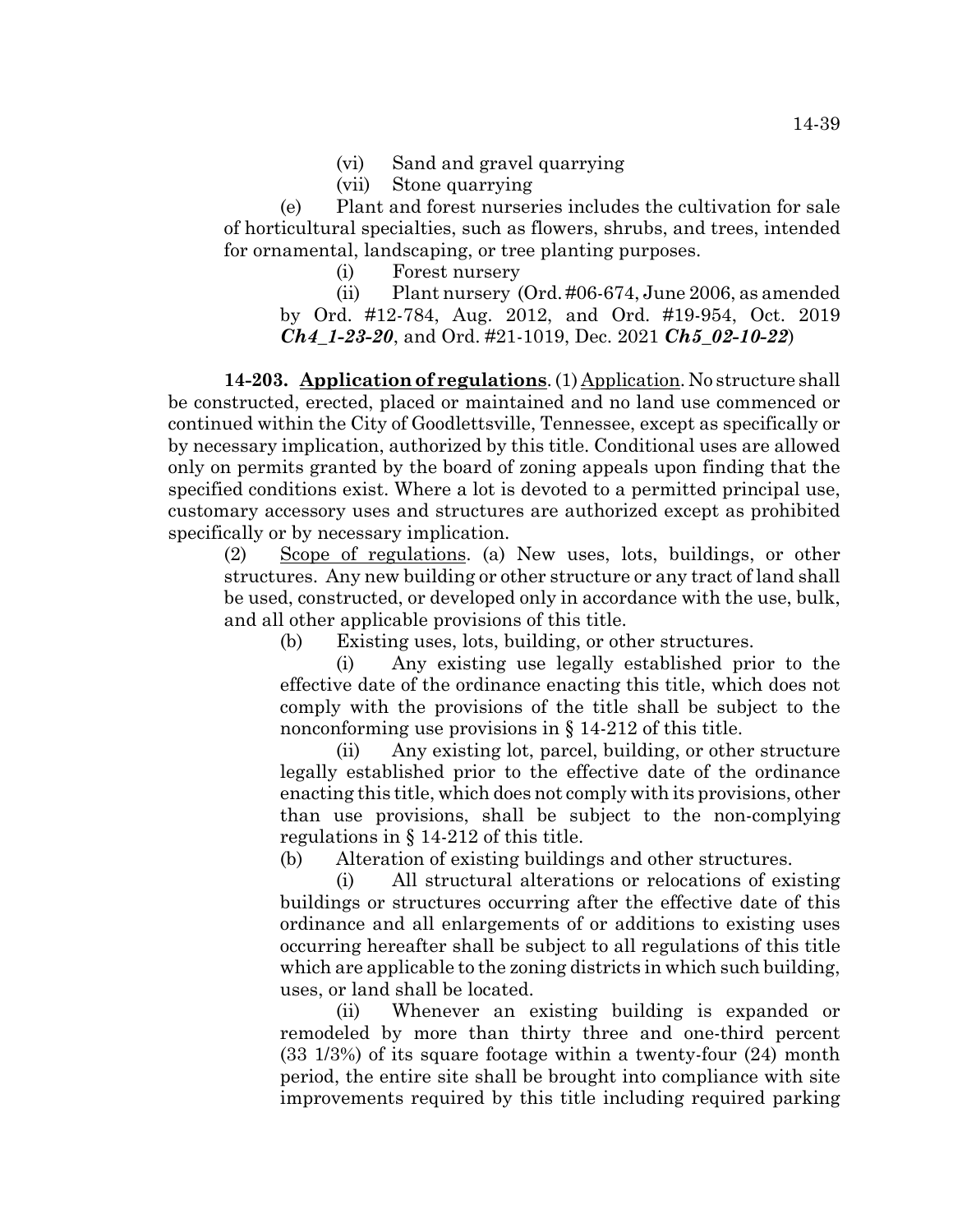- (vi) Sand and gravel quarrying
- (vii) Stone quarrying

(e) Plant and forest nurseries includes the cultivation for sale of horticultural specialties, such as flowers, shrubs, and trees, intended for ornamental, landscaping, or tree planting purposes.

(i) Forest nursery

(ii) Plant nursery (Ord. #06-674, June 2006, as amended by Ord. #12-784, Aug. 2012, and Ord. #19-954, Oct. 2019 *Ch4\_1-23-20*, and Ord. #21-1019, Dec. 2021 *Ch5\_02-10-22*)

**14-203. Application of regulations**. (1) Application. No structure shall be constructed, erected, placed or maintained and no land use commenced or continued within the City of Goodlettsville, Tennessee, except as specifically or by necessary implication, authorized by this title. Conditional uses are allowed only on permits granted by the board of zoning appeals upon finding that the specified conditions exist. Where a lot is devoted to a permitted principal use, customary accessory uses and structures are authorized except as prohibited specifically or by necessary implication.

(2) Scope of regulations. (a) New uses, lots, buildings, or other structures. Any new building or other structure or any tract of land shall be used, constructed, or developed only in accordance with the use, bulk, and all other applicable provisions of this title.

(b) Existing uses, lots, building, or other structures.

(i) Any existing use legally established prior to the effective date of the ordinance enacting this title, which does not comply with the provisions of the title shall be subject to the nonconforming use provisions in § 14-212 of this title.

(ii) Any existing lot, parcel, building, or other structure legally established prior to the effective date of the ordinance enacting this title, which does not comply with its provisions, other than use provisions, shall be subject to the non-complying regulations in § 14-212 of this title.

(b) Alteration of existing buildings and other structures.

(i) All structural alterations or relocations of existing buildings or structures occurring after the effective date of this ordinance and all enlargements of or additions to existing uses occurring hereafter shall be subject to all regulations of this title which are applicable to the zoning districts in which such building, uses, or land shall be located.

(ii) Whenever an existing building is expanded or remodeled by more than thirty three and one-third percent (33 1/3%) of its square footage within a twenty-four (24) month period, the entire site shall be brought into compliance with site improvements required by this title including required parking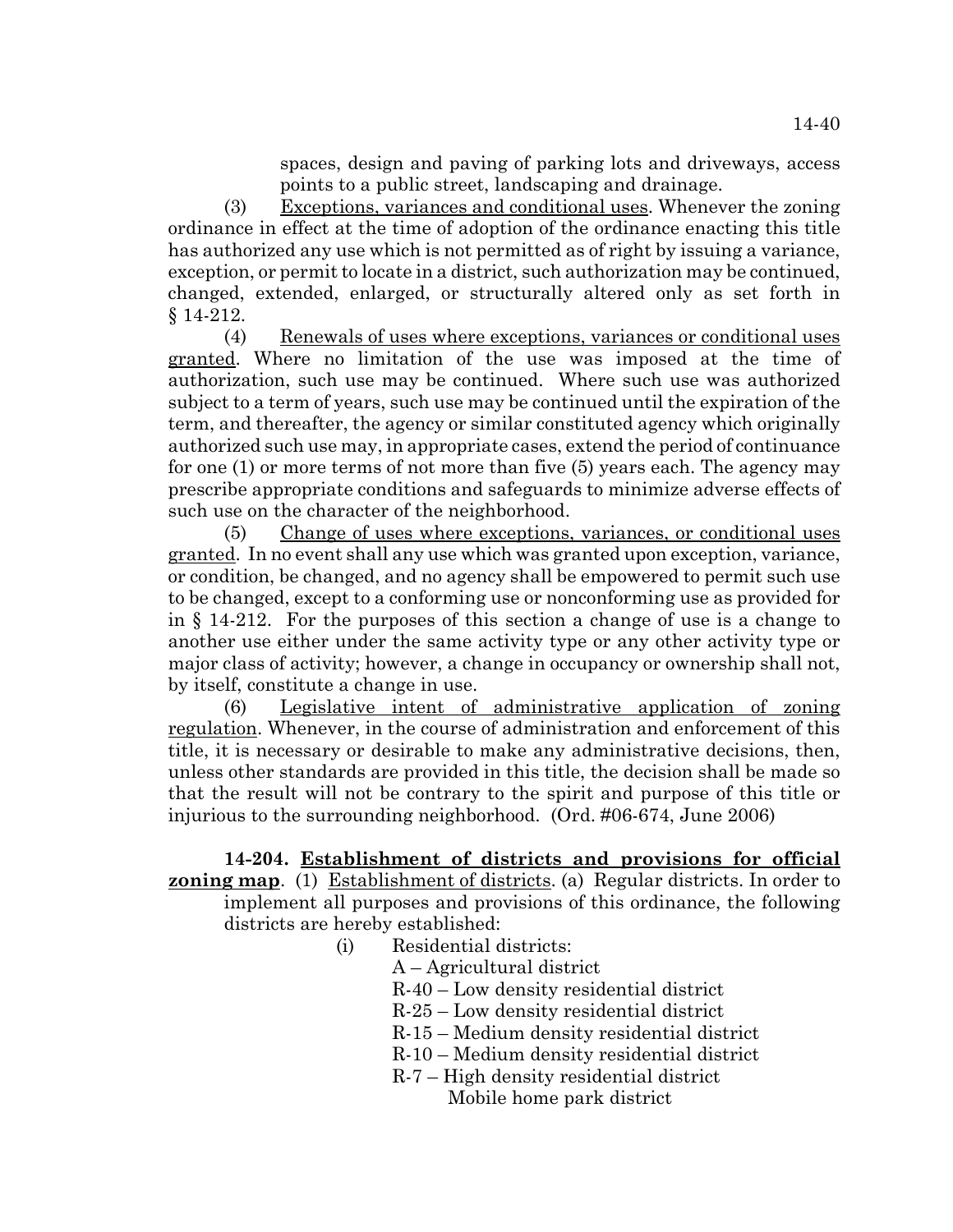spaces, design and paving of parking lots and driveways, access points to a public street, landscaping and drainage.

(3) Exceptions, variances and conditional uses. Whenever the zoning ordinance in effect at the time of adoption of the ordinance enacting this title has authorized any use which is not permitted as of right by issuing a variance, exception, or permit to locate in a district, such authorization may be continued, changed, extended, enlarged, or structurally altered only as set forth in § 14-212.

(4) Renewals of uses where exceptions, variances or conditional uses granted. Where no limitation of the use was imposed at the time of authorization, such use may be continued. Where such use was authorized subject to a term of years, such use may be continued until the expiration of the term, and thereafter, the agency or similar constituted agency which originally authorized such use may, in appropriate cases, extend the period of continuance for one (1) or more terms of not more than five (5) years each. The agency may prescribe appropriate conditions and safeguards to minimize adverse effects of such use on the character of the neighborhood.

(5) Change of uses where exceptions, variances, or conditional uses granted. In no event shall any use which was granted upon exception, variance, or condition, be changed, and no agency shall be empowered to permit such use to be changed, except to a conforming use or nonconforming use as provided for in § 14-212. For the purposes of this section a change of use is a change to another use either under the same activity type or any other activity type or major class of activity; however, a change in occupancy or ownership shall not, by itself, constitute a change in use.

(6) Legislative intent of administrative application of zoning regulation. Whenever, in the course of administration and enforcement of this title, it is necessary or desirable to make any administrative decisions, then, unless other standards are provided in this title, the decision shall be made so that the result will not be contrary to the spirit and purpose of this title or injurious to the surrounding neighborhood. (Ord. #06-674, June 2006)

**14-204. Establishment of districts and provisions for official zoning map**. (1) Establishment of districts. (a) Regular districts. In order to implement all purposes and provisions of this ordinance, the following districts are hereby established:

- (i) Residential districts:
	- A Agricultural district
	- R-40 Low density residential district
	- R-25 Low density residential district
	- R-15 Medium density residential district
	- R-10 Medium density residential district
	- R-7 High density residential district Mobile home park district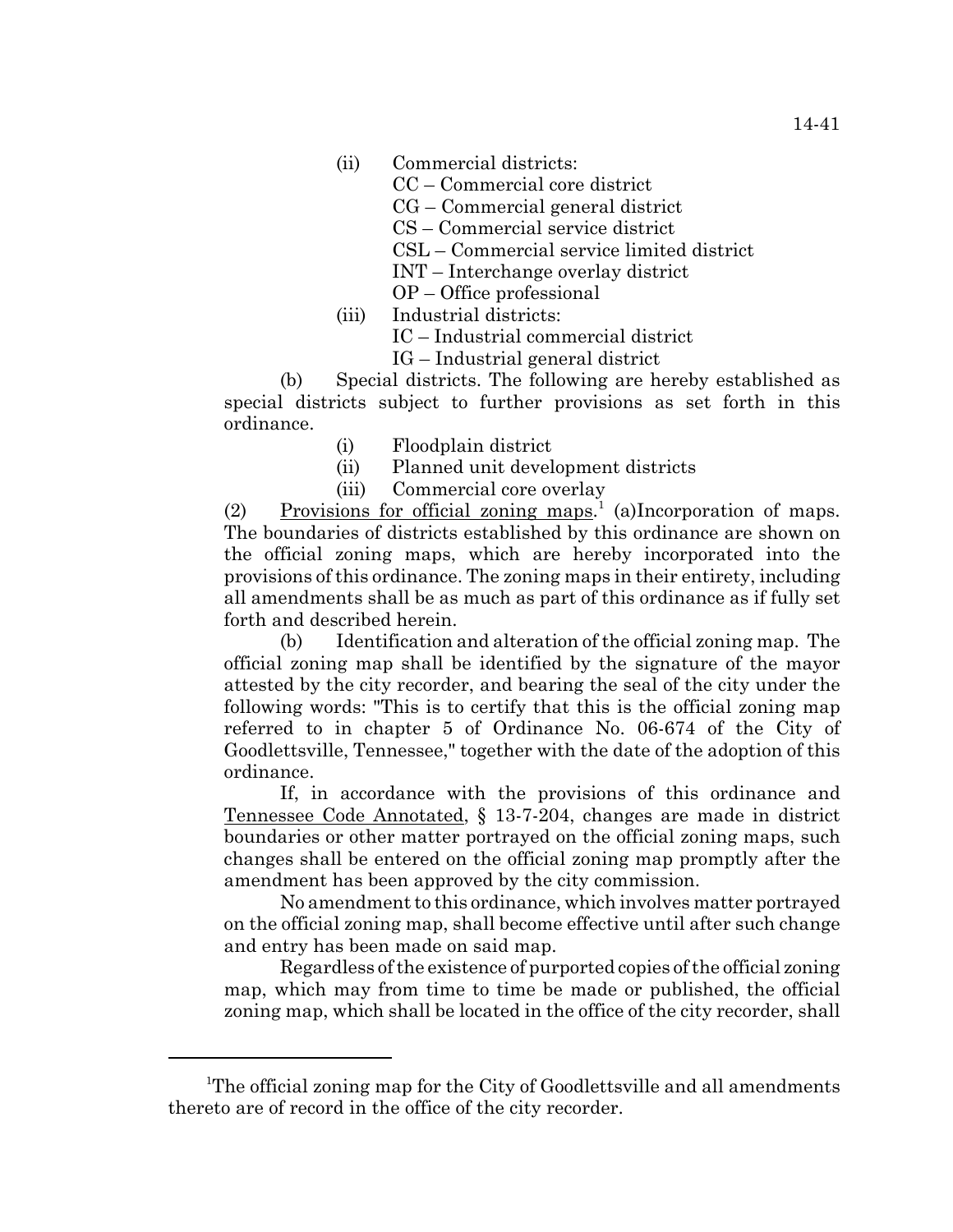- (ii) Commercial districts:
	- CC Commercial core district
	- CG Commercial general district
	- CS Commercial service district
	- CSL Commercial service limited district
	- INT Interchange overlay district
	- OP Office professional
- (iii) Industrial districts:
	- IC Industrial commercial district
	- IG Industrial general district

(b) Special districts. The following are hereby established as special districts subject to further provisions as set forth in this ordinance.

- (i) Floodplain district
- (ii) Planned unit development districts
- (iii) Commercial core overlay

(2) Provisions for official zoning maps.<sup>1</sup> (a)Incorporation of maps. The boundaries of districts established by this ordinance are shown on the official zoning maps, which are hereby incorporated into the provisions of this ordinance. The zoning maps in their entirety, including all amendments shall be as much as part of this ordinance as if fully set forth and described herein.

(b) Identification and alteration of the official zoning map. The official zoning map shall be identified by the signature of the mayor attested by the city recorder, and bearing the seal of the city under the following words: "This is to certify that this is the official zoning map referred to in chapter 5 of Ordinance No. 06-674 of the City of Goodlettsville, Tennessee," together with the date of the adoption of this ordinance.

If, in accordance with the provisions of this ordinance and Tennessee Code Annotated, § 13-7-204, changes are made in district boundaries or other matter portrayed on the official zoning maps, such changes shall be entered on the official zoning map promptly after the amendment has been approved by the city commission.

No amendment to this ordinance, which involves matter portrayed on the official zoning map, shall become effective until after such change and entry has been made on said map.

Regardless of the existence of purported copies of the official zoning map, which may from time to time be made or published, the official zoning map, which shall be located in the office of the city recorder, shall

<sup>&</sup>lt;sup>1</sup>The official zoning map for the City of Goodlettsville and all amendments thereto are of record in the office of the city recorder.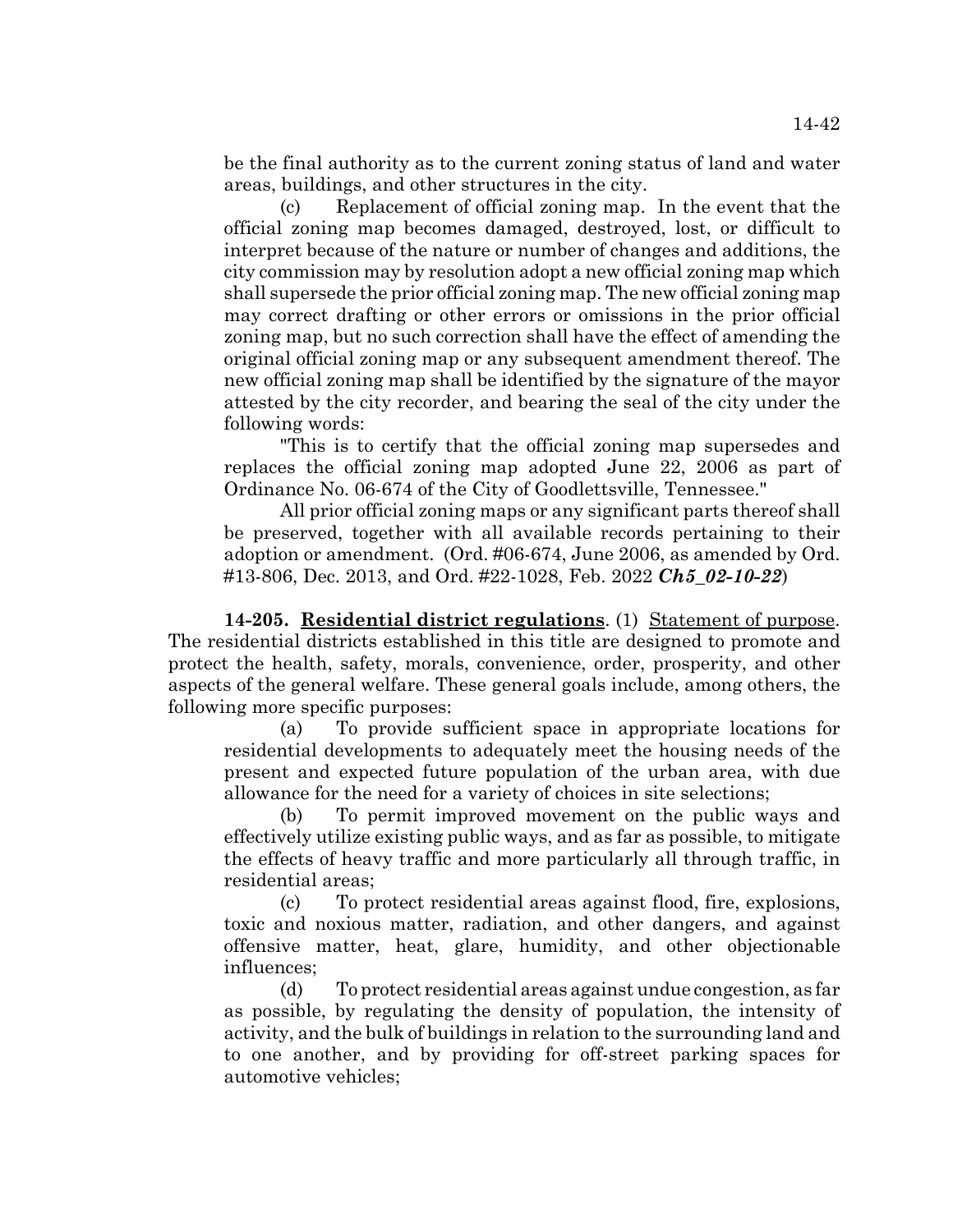be the final authority as to the current zoning status of land and water areas, buildings, and other structures in the city.

(c) Replacement of official zoning map. In the event that the official zoning map becomes damaged, destroyed, lost, or difficult to interpret because of the nature or number of changes and additions, the city commission may by resolution adopt a new official zoning map which shall supersede the prior official zoning map. The new official zoning map may correct drafting or other errors or omissions in the prior official zoning map, but no such correction shall have the effect of amending the original official zoning map or any subsequent amendment thereof. The new official zoning map shall be identified by the signature of the mayor attested by the city recorder, and bearing the seal of the city under the following words:

"This is to certify that the official zoning map supersedes and replaces the official zoning map adopted June 22, 2006 as part of Ordinance No. 06-674 of the City of Goodlettsville, Tennessee."

All prior official zoning maps or any significant parts thereof shall be preserved, together with all available records pertaining to their adoption or amendment. (Ord. #06-674, June 2006, as amended by Ord. #13-806, Dec. 2013, and Ord. #22-1028, Feb. 2022 *Ch5\_02-10-22*)

**14-205. Residential district regulations**. (1) Statement of purpose. The residential districts established in this title are designed to promote and protect the health, safety, morals, convenience, order, prosperity, and other aspects of the general welfare. These general goals include, among others, the following more specific purposes:

(a) To provide sufficient space in appropriate locations for residential developments to adequately meet the housing needs of the present and expected future population of the urban area, with due allowance for the need for a variety of choices in site selections;

(b) To permit improved movement on the public ways and effectively utilize existing public ways, and as far as possible, to mitigate the effects of heavy traffic and more particularly all through traffic, in residential areas;

(c) To protect residential areas against flood, fire, explosions, toxic and noxious matter, radiation, and other dangers, and against offensive matter, heat, glare, humidity, and other objectionable influences;

(d) To protect residential areas against undue congestion, as far as possible, by regulating the density of population, the intensity of activity, and the bulk of buildings in relation to the surrounding land and to one another, and by providing for off-street parking spaces for automotive vehicles;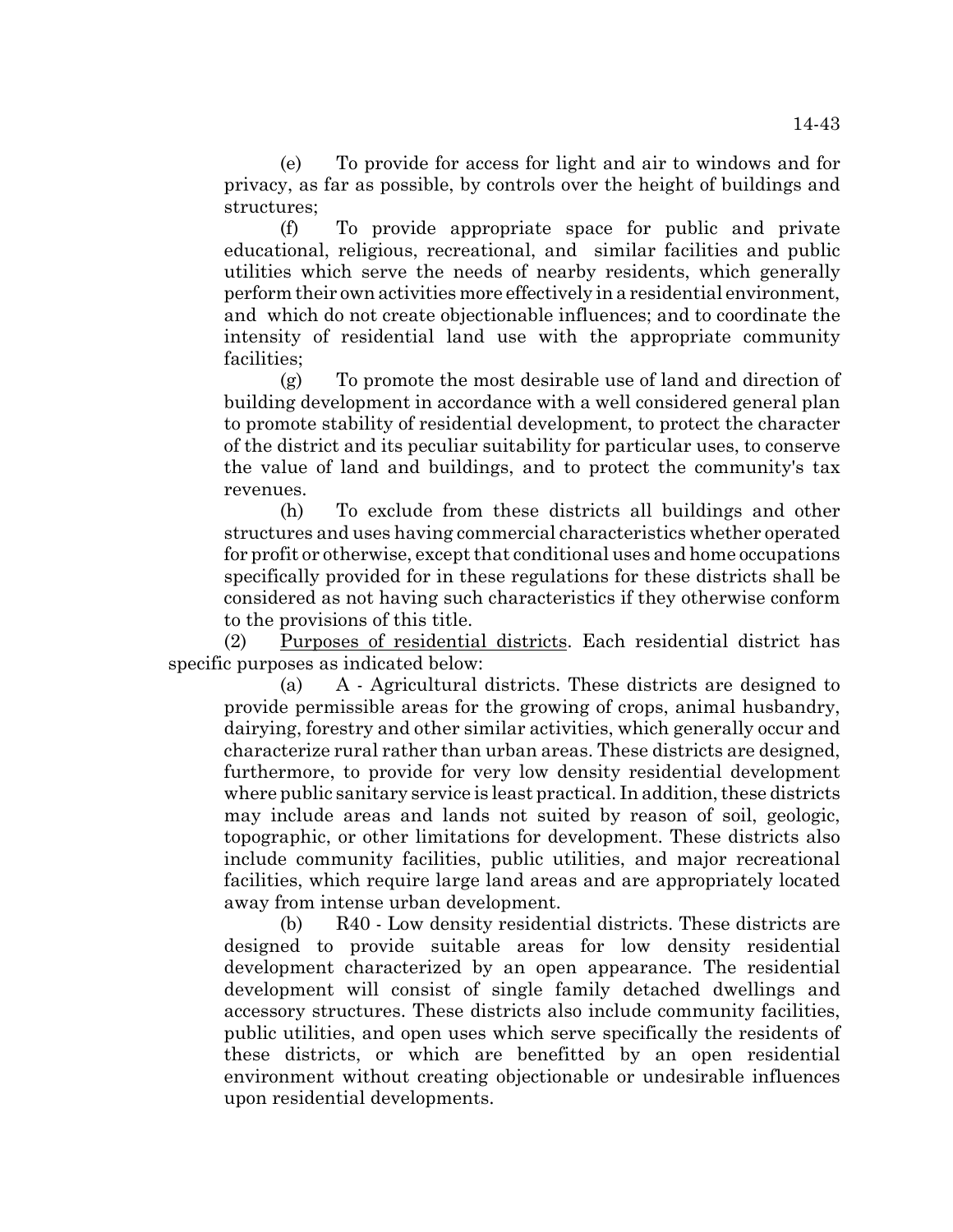(e) To provide for access for light and air to windows and for privacy, as far as possible, by controls over the height of buildings and structures;

(f) To provide appropriate space for public and private educational, religious, recreational, and similar facilities and public utilities which serve the needs of nearby residents, which generally perform their own activities more effectively in a residential environment, and which do not create objectionable influences; and to coordinate the intensity of residential land use with the appropriate community facilities;

(g) To promote the most desirable use of land and direction of building development in accordance with a well considered general plan to promote stability of residential development, to protect the character of the district and its peculiar suitability for particular uses, to conserve the value of land and buildings, and to protect the community's tax revenues.

(h) To exclude from these districts all buildings and other structures and uses having commercial characteristics whether operated for profit or otherwise, except that conditional uses and home occupations specifically provided for in these regulations for these districts shall be considered as not having such characteristics if they otherwise conform to the provisions of this title.

(2) Purposes of residential districts. Each residential district has specific purposes as indicated below:

(a) A - Agricultural districts. These districts are designed to provide permissible areas for the growing of crops, animal husbandry, dairying, forestry and other similar activities, which generally occur and characterize rural rather than urban areas. These districts are designed, furthermore, to provide for very low density residential development where public sanitary service is least practical. In addition, these districts may include areas and lands not suited by reason of soil, geologic, topographic, or other limitations for development. These districts also include community facilities, public utilities, and major recreational facilities, which require large land areas and are appropriately located away from intense urban development.

(b) R40 - Low density residential districts. These districts are designed to provide suitable areas for low density residential development characterized by an open appearance. The residential development will consist of single family detached dwellings and accessory structures. These districts also include community facilities, public utilities, and open uses which serve specifically the residents of these districts, or which are benefitted by an open residential environment without creating objectionable or undesirable influences upon residential developments.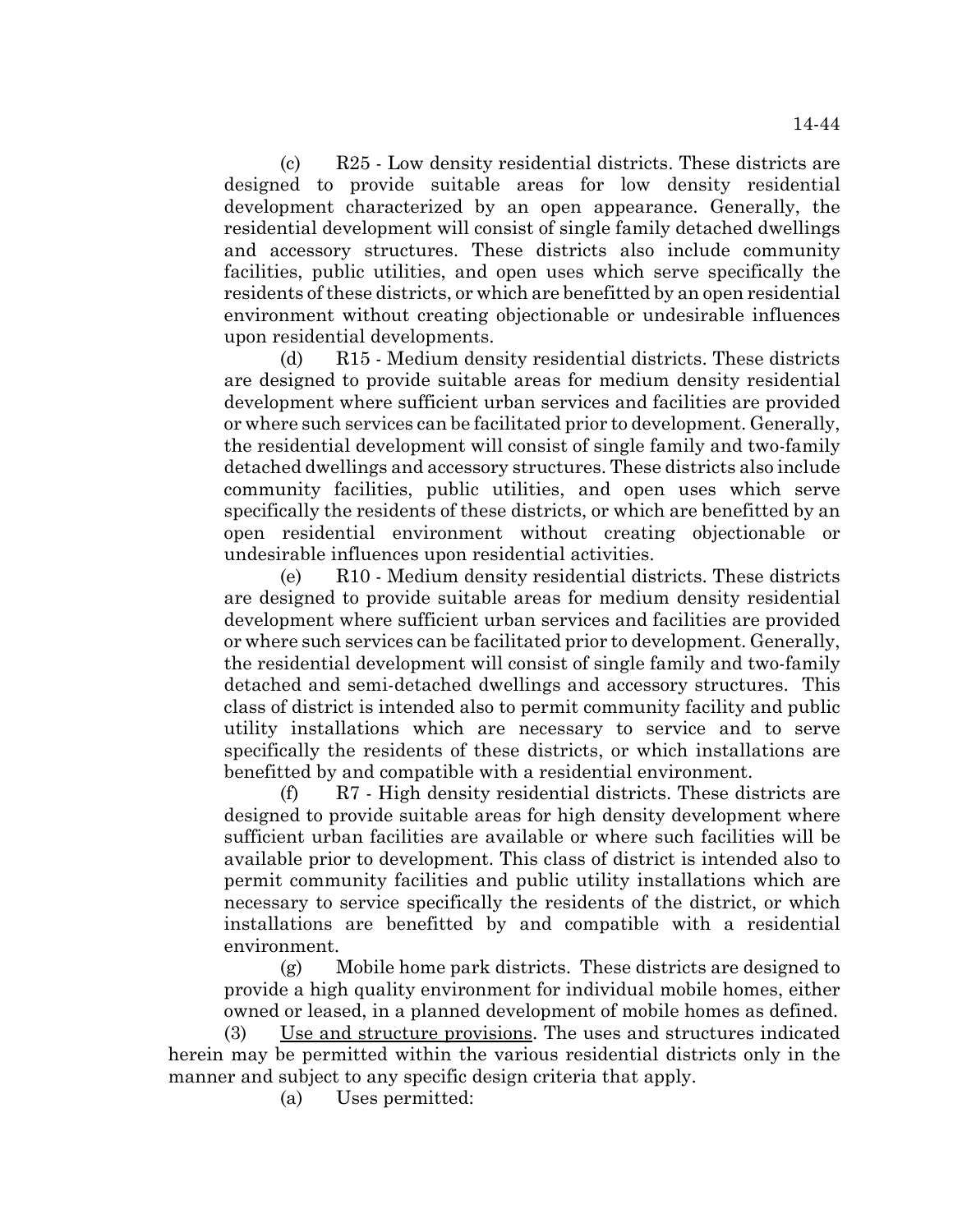14-44

(c) R25 - Low density residential districts. These districts are designed to provide suitable areas for low density residential development characterized by an open appearance. Generally, the residential development will consist of single family detached dwellings and accessory structures. These districts also include community facilities, public utilities, and open uses which serve specifically the residents of these districts, or which are benefitted by an open residential environment without creating objectionable or undesirable influences upon residential developments.

(d) R15 - Medium density residential districts. These districts are designed to provide suitable areas for medium density residential development where sufficient urban services and facilities are provided or where such services can be facilitated prior to development. Generally, the residential development will consist of single family and two-family detached dwellings and accessory structures. These districts also include community facilities, public utilities, and open uses which serve specifically the residents of these districts, or which are benefitted by an open residential environment without creating objectionable or undesirable influences upon residential activities.

(e) R10 - Medium density residential districts. These districts are designed to provide suitable areas for medium density residential development where sufficient urban services and facilities are provided or where such services can be facilitated prior to development. Generally, the residential development will consist of single family and two-family detached and semi-detached dwellings and accessory structures. This class of district is intended also to permit community facility and public utility installations which are necessary to service and to serve specifically the residents of these districts, or which installations are benefitted by and compatible with a residential environment.

(f) R7 - High density residential districts. These districts are designed to provide suitable areas for high density development where sufficient urban facilities are available or where such facilities will be available prior to development. This class of district is intended also to permit community facilities and public utility installations which are necessary to service specifically the residents of the district, or which installations are benefitted by and compatible with a residential environment.

(g) Mobile home park districts. These districts are designed to provide a high quality environment for individual mobile homes, either owned or leased, in a planned development of mobile homes as defined.

(3) Use and structure provisions. The uses and structures indicated herein may be permitted within the various residential districts only in the manner and subject to any specific design criteria that apply.

(a) Uses permitted: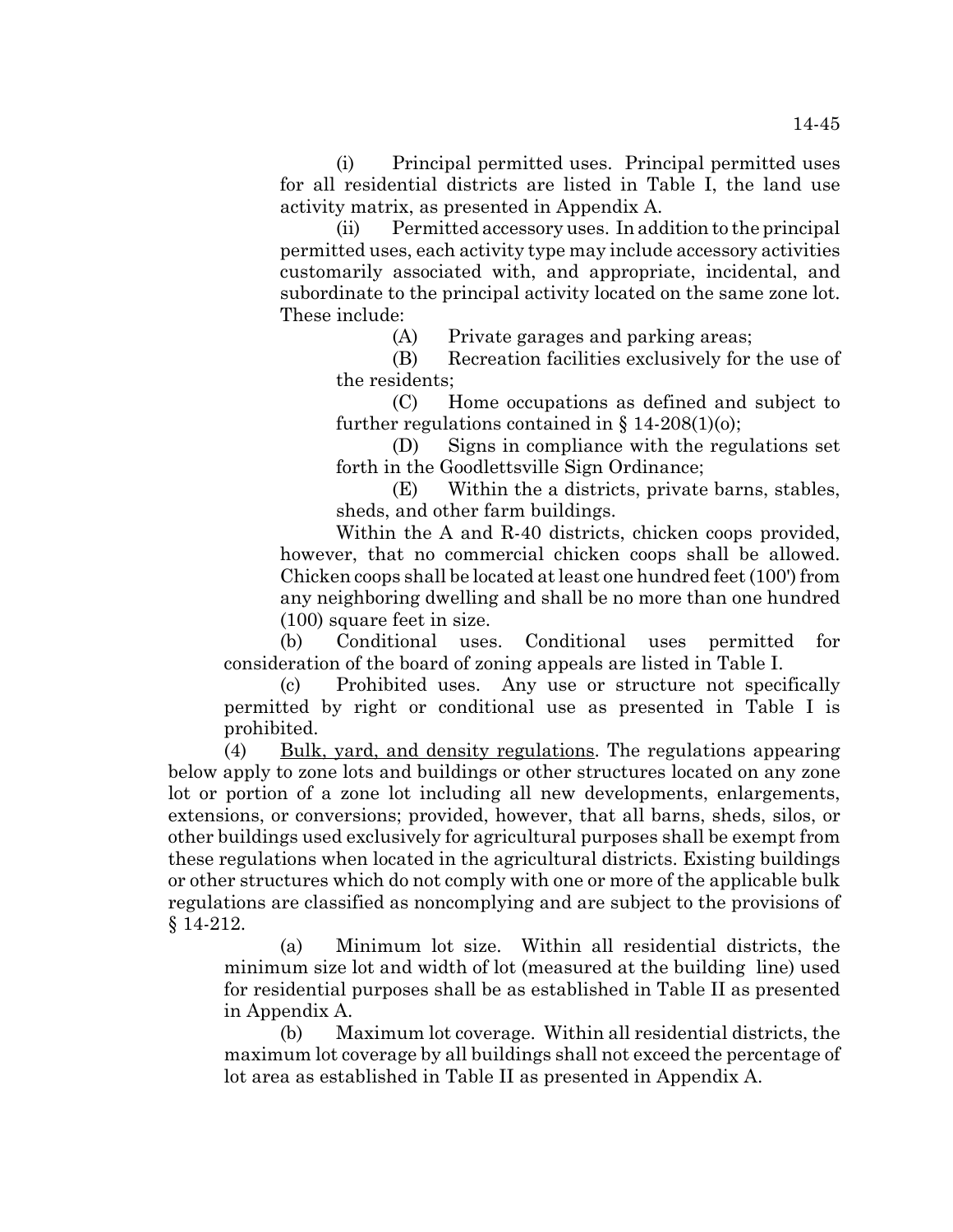(i) Principal permitted uses. Principal permitted uses for all residential districts are listed in Table I, the land use activity matrix, as presented in Appendix A.

(ii) Permitted accessory uses. In addition to the principal permitted uses, each activity type may include accessory activities customarily associated with, and appropriate, incidental, and subordinate to the principal activity located on the same zone lot. These include:

(A) Private garages and parking areas;

(B) Recreation facilities exclusively for the use of the residents;

(C) Home occupations as defined and subject to further regulations contained in  $\S$  14-208(1)(o);

(D) Signs in compliance with the regulations set forth in the Goodlettsville Sign Ordinance;

(E) Within the a districts, private barns, stables, sheds, and other farm buildings.

Within the A and R-40 districts, chicken coops provided, however, that no commercial chicken coops shall be allowed. Chicken coops shall be located at least one hundred feet (100') from any neighboring dwelling and shall be no more than one hundred (100) square feet in size.

(b) Conditional uses. Conditional uses permitted for consideration of the board of zoning appeals are listed in Table I.

(c) Prohibited uses. Any use or structure not specifically permitted by right or conditional use as presented in Table I is prohibited.

(4) Bulk, yard, and density regulations. The regulations appearing below apply to zone lots and buildings or other structures located on any zone lot or portion of a zone lot including all new developments, enlargements, extensions, or conversions; provided, however, that all barns, sheds, silos, or other buildings used exclusively for agricultural purposes shall be exempt from these regulations when located in the agricultural districts. Existing buildings or other structures which do not comply with one or more of the applicable bulk regulations are classified as noncomplying and are subject to the provisions of § 14-212.

(a) Minimum lot size. Within all residential districts, the minimum size lot and width of lot (measured at the building line) used for residential purposes shall be as established in Table II as presented in Appendix A.

(b) Maximum lot coverage. Within all residential districts, the maximum lot coverage by all buildings shall not exceed the percentage of lot area as established in Table II as presented in Appendix A.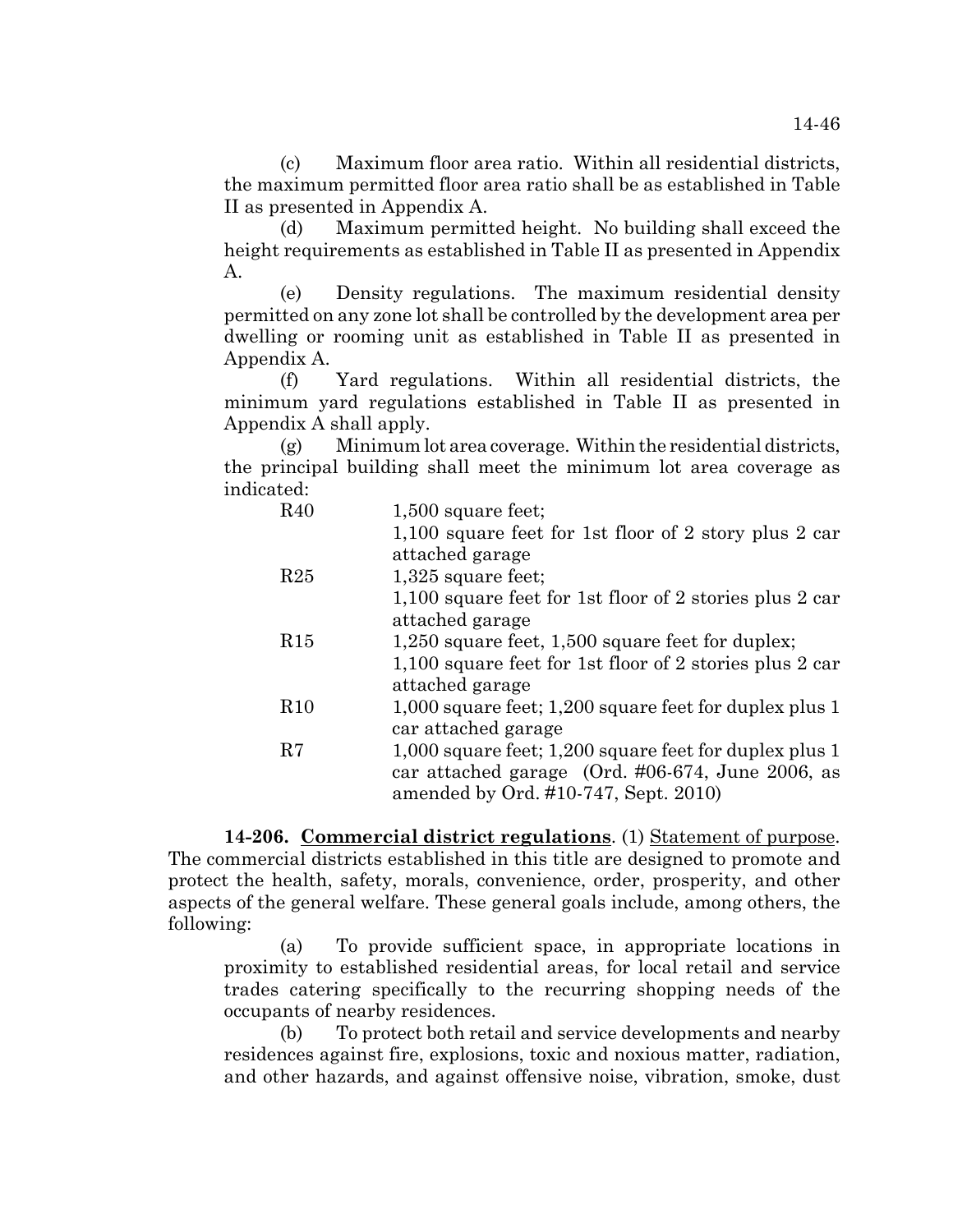(c) Maximum floor area ratio. Within all residential districts, the maximum permitted floor area ratio shall be as established in Table II as presented in Appendix A.

(d) Maximum permitted height. No building shall exceed the height requirements as established in Table II as presented in Appendix A.

(e) Density regulations. The maximum residential density permitted on any zone lot shall be controlled by the development area per dwelling or rooming unit as established in Table II as presented in Appendix A.

(f) Yard regulations. Within all residential districts, the minimum yard regulations established in Table II as presented in Appendix A shall apply.

(g) Minimum lot area coverage. Within the residential districts, the principal building shall meet the minimum lot area coverage as indicated:

| R <sub>40</sub> | $1,500$ square feet;                                    |
|-----------------|---------------------------------------------------------|
|                 | 1,100 square feet for 1st floor of 2 story plus 2 car   |
|                 | attached garage                                         |
| R <sub>25</sub> | $1,325$ square feet;                                    |
|                 | 1,100 square feet for 1st floor of 2 stories plus 2 car |
|                 | attached garage                                         |
| R15             | $1,250$ square feet, $1,500$ square feet for duplex;    |
|                 | 1,100 square feet for 1st floor of 2 stories plus 2 car |
|                 | attached garage                                         |
| R10             | 1,000 square feet; 1,200 square feet for duplex plus 1  |
|                 | car attached garage                                     |
| R7              | 1,000 square feet; 1,200 square feet for duplex plus 1  |
|                 | car attached garage (Ord. #06-674, June 2006, as        |
|                 | amended by Ord. #10-747, Sept. 2010)                    |

**14-206. Commercial district regulations**. (1) Statement of purpose. The commercial districts established in this title are designed to promote and protect the health, safety, morals, convenience, order, prosperity, and other aspects of the general welfare. These general goals include, among others, the following:

(a) To provide sufficient space, in appropriate locations in proximity to established residential areas, for local retail and service trades catering specifically to the recurring shopping needs of the occupants of nearby residences.

(b) To protect both retail and service developments and nearby residences against fire, explosions, toxic and noxious matter, radiation, and other hazards, and against offensive noise, vibration, smoke, dust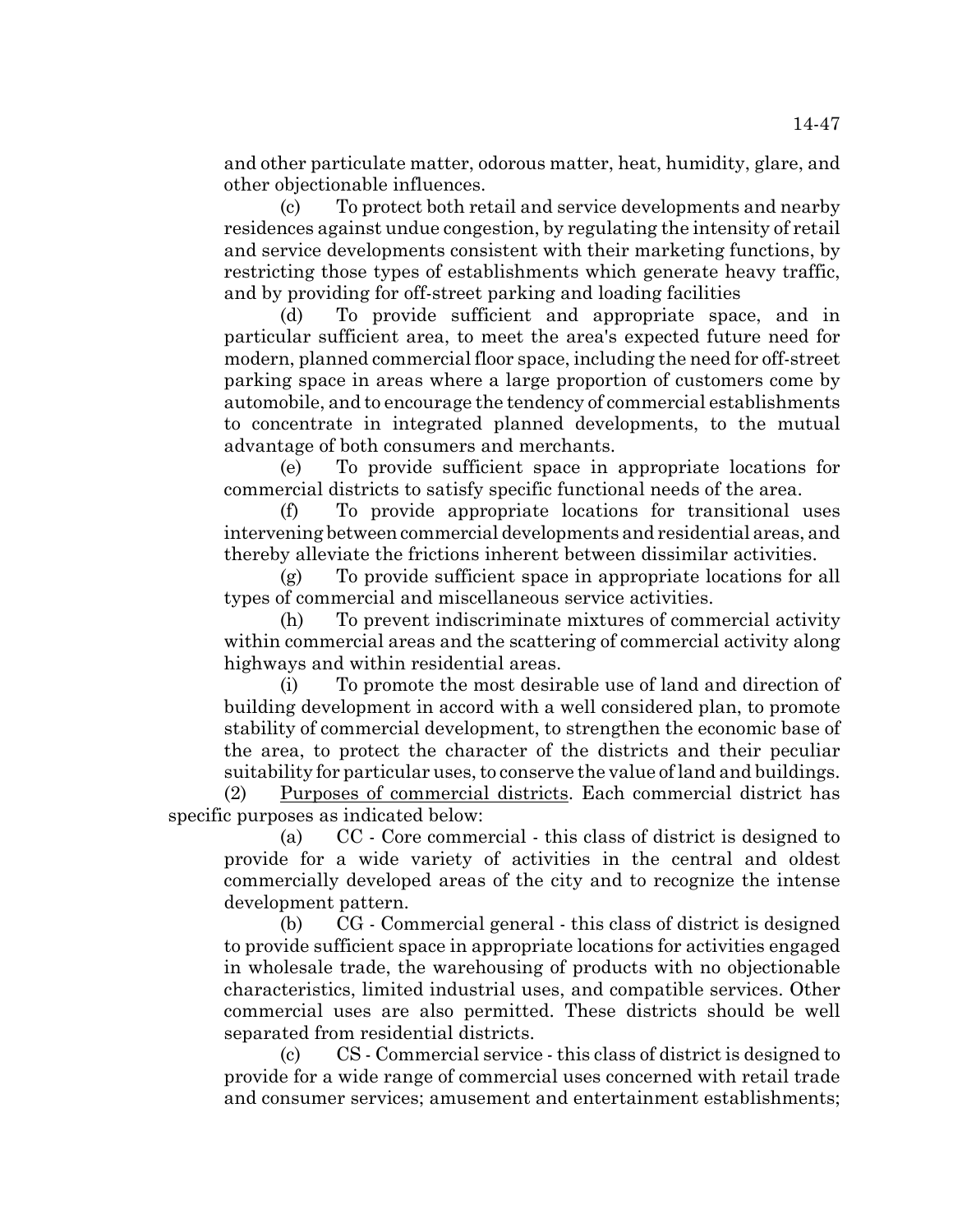and other particulate matter, odorous matter, heat, humidity, glare, and other objectionable influences.

(c) To protect both retail and service developments and nearby residences against undue congestion, by regulating the intensity of retail and service developments consistent with their marketing functions, by restricting those types of establishments which generate heavy traffic, and by providing for off-street parking and loading facilities

(d) To provide sufficient and appropriate space, and in particular sufficient area, to meet the area's expected future need for modern, planned commercial floor space, including the need for off-street parking space in areas where a large proportion of customers come by automobile, and to encourage the tendency of commercial establishments to concentrate in integrated planned developments, to the mutual advantage of both consumers and merchants.

(e) To provide sufficient space in appropriate locations for commercial districts to satisfy specific functional needs of the area.

(f) To provide appropriate locations for transitional uses intervening between commercial developments and residential areas, and thereby alleviate the frictions inherent between dissimilar activities.

(g) To provide sufficient space in appropriate locations for all types of commercial and miscellaneous service activities.

(h) To prevent indiscriminate mixtures of commercial activity within commercial areas and the scattering of commercial activity along highways and within residential areas.

(i) To promote the most desirable use of land and direction of building development in accord with a well considered plan, to promote stability of commercial development, to strengthen the economic base of the area, to protect the character of the districts and their peculiar suitability for particular uses, to conserve the value of land and buildings.

(2) Purposes of commercial districts. Each commercial district has specific purposes as indicated below:

(a) CC - Core commercial - this class of district is designed to provide for a wide variety of activities in the central and oldest commercially developed areas of the city and to recognize the intense development pattern.

(b) CG - Commercial general - this class of district is designed to provide sufficient space in appropriate locations for activities engaged in wholesale trade, the warehousing of products with no objectionable characteristics, limited industrial uses, and compatible services. Other commercial uses are also permitted. These districts should be well separated from residential districts.

(c) CS - Commercial service - this class of district is designed to provide for a wide range of commercial uses concerned with retail trade and consumer services; amusement and entertainment establishments;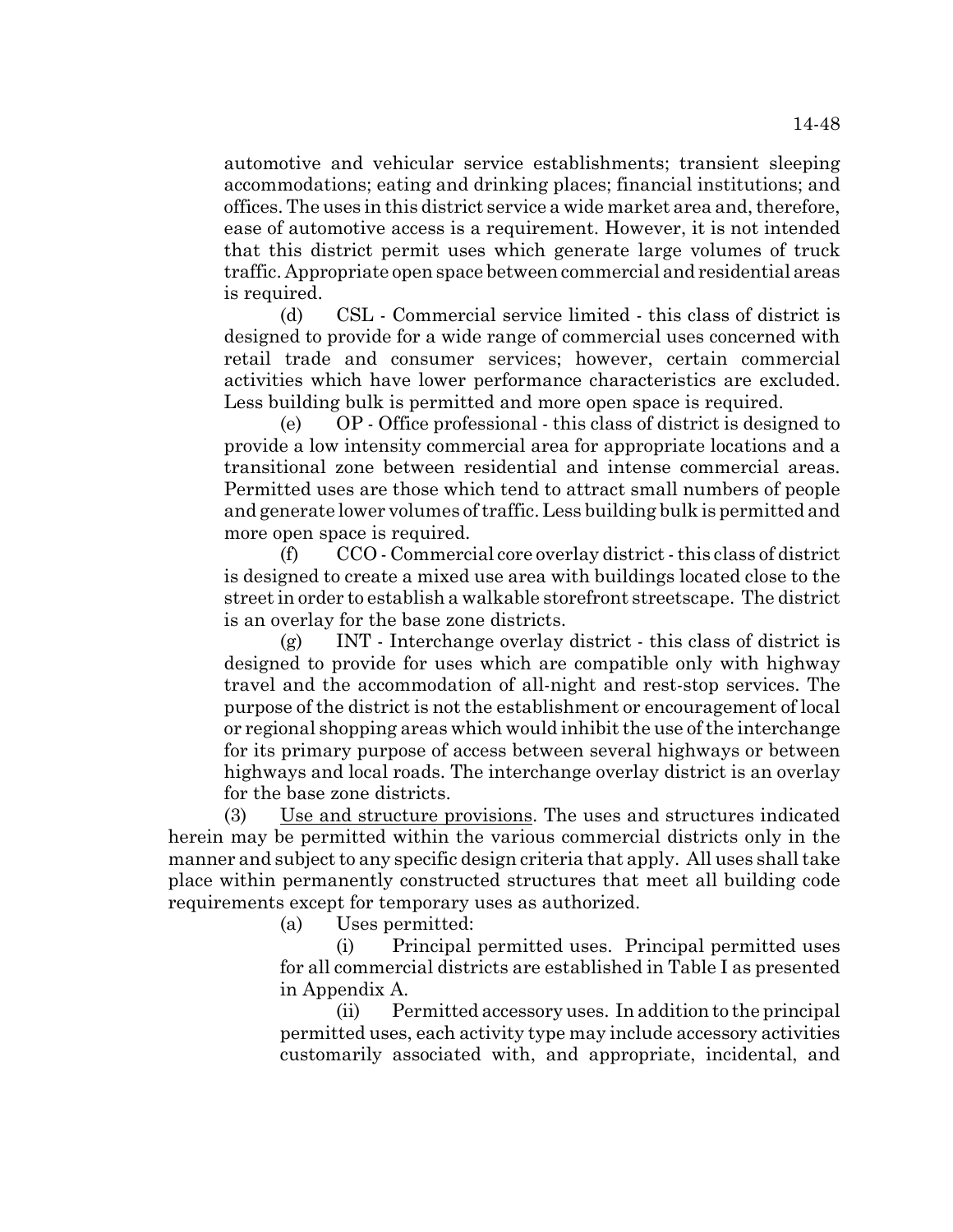automotive and vehicular service establishments; transient sleeping accommodations; eating and drinking places; financial institutions; and offices. The uses in this district service a wide market area and, therefore, ease of automotive access is a requirement. However, it is not intended that this district permit uses which generate large volumes of truck traffic. Appropriate open space between commercial and residential areas is required.

(d) CSL - Commercial service limited - this class of district is designed to provide for a wide range of commercial uses concerned with retail trade and consumer services; however, certain commercial activities which have lower performance characteristics are excluded. Less building bulk is permitted and more open space is required.

(e) OP - Office professional - this class of district is designed to provide a low intensity commercial area for appropriate locations and a transitional zone between residential and intense commercial areas. Permitted uses are those which tend to attract small numbers of people and generate lower volumes of traffic. Less building bulk is permitted and more open space is required.

(f) CCO - Commercial core overlay district - this class of district is designed to create a mixed use area with buildings located close to the street in order to establish a walkable storefront streetscape. The district is an overlay for the base zone districts.

(g) INT - Interchange overlay district - this class of district is designed to provide for uses which are compatible only with highway travel and the accommodation of all-night and rest-stop services. The purpose of the district is not the establishment or encouragement of local or regional shopping areas which would inhibit the use of the interchange for its primary purpose of access between several highways or between highways and local roads. The interchange overlay district is an overlay for the base zone districts.

(3) Use and structure provisions. The uses and structures indicated herein may be permitted within the various commercial districts only in the manner and subject to any specific design criteria that apply. All uses shall take place within permanently constructed structures that meet all building code requirements except for temporary uses as authorized.

(a) Uses permitted:

(i) Principal permitted uses. Principal permitted uses for all commercial districts are established in Table I as presented in Appendix A.

(ii) Permitted accessory uses. In addition to the principal permitted uses, each activity type may include accessory activities customarily associated with, and appropriate, incidental, and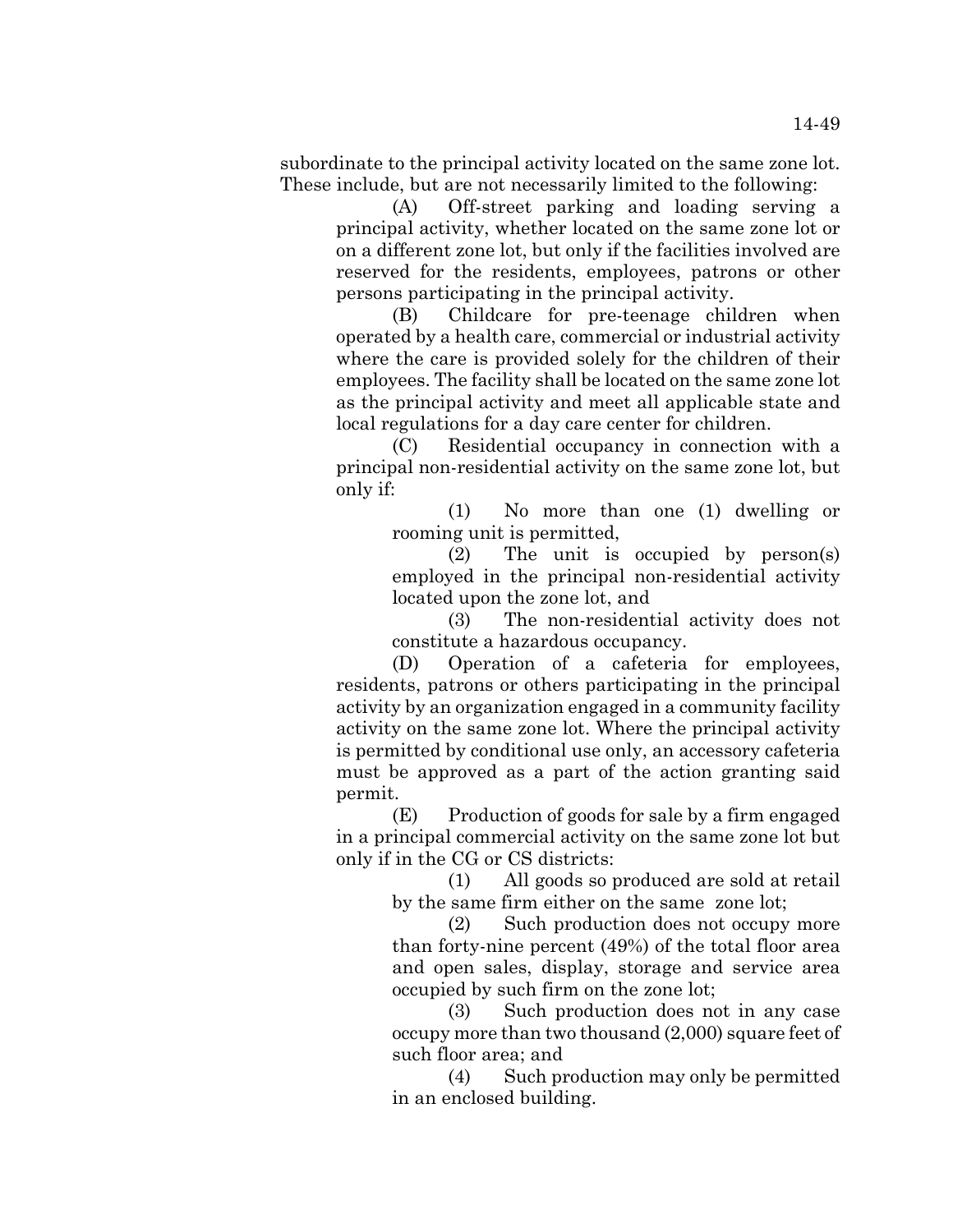subordinate to the principal activity located on the same zone lot. These include, but are not necessarily limited to the following:

(A) Off-street parking and loading serving a principal activity, whether located on the same zone lot or on a different zone lot, but only if the facilities involved are reserved for the residents, employees, patrons or other persons participating in the principal activity.

(B) Childcare for pre-teenage children when operated by a health care, commercial or industrial activity where the care is provided solely for the children of their employees. The facility shall be located on the same zone lot as the principal activity and meet all applicable state and local regulations for a day care center for children.

(C) Residential occupancy in connection with a principal non-residential activity on the same zone lot, but only if:

> (1) No more than one (1) dwelling or rooming unit is permitted,

> (2) The unit is occupied by person(s) employed in the principal non-residential activity located upon the zone lot, and

> (3) The non-residential activity does not constitute a hazardous occupancy.

(D) Operation of a cafeteria for employees, residents, patrons or others participating in the principal activity by an organization engaged in a community facility activity on the same zone lot. Where the principal activity is permitted by conditional use only, an accessory cafeteria must be approved as a part of the action granting said permit.

(E) Production of goods for sale by a firm engaged in a principal commercial activity on the same zone lot but only if in the CG or CS districts:

> (1) All goods so produced are sold at retail by the same firm either on the same zone lot;

> (2) Such production does not occupy more than forty-nine percent (49%) of the total floor area and open sales, display, storage and service area occupied by such firm on the zone lot;

> (3) Such production does not in any case occupy more than two thousand (2,000) square feet of such floor area; and

> (4) Such production may only be permitted in an enclosed building.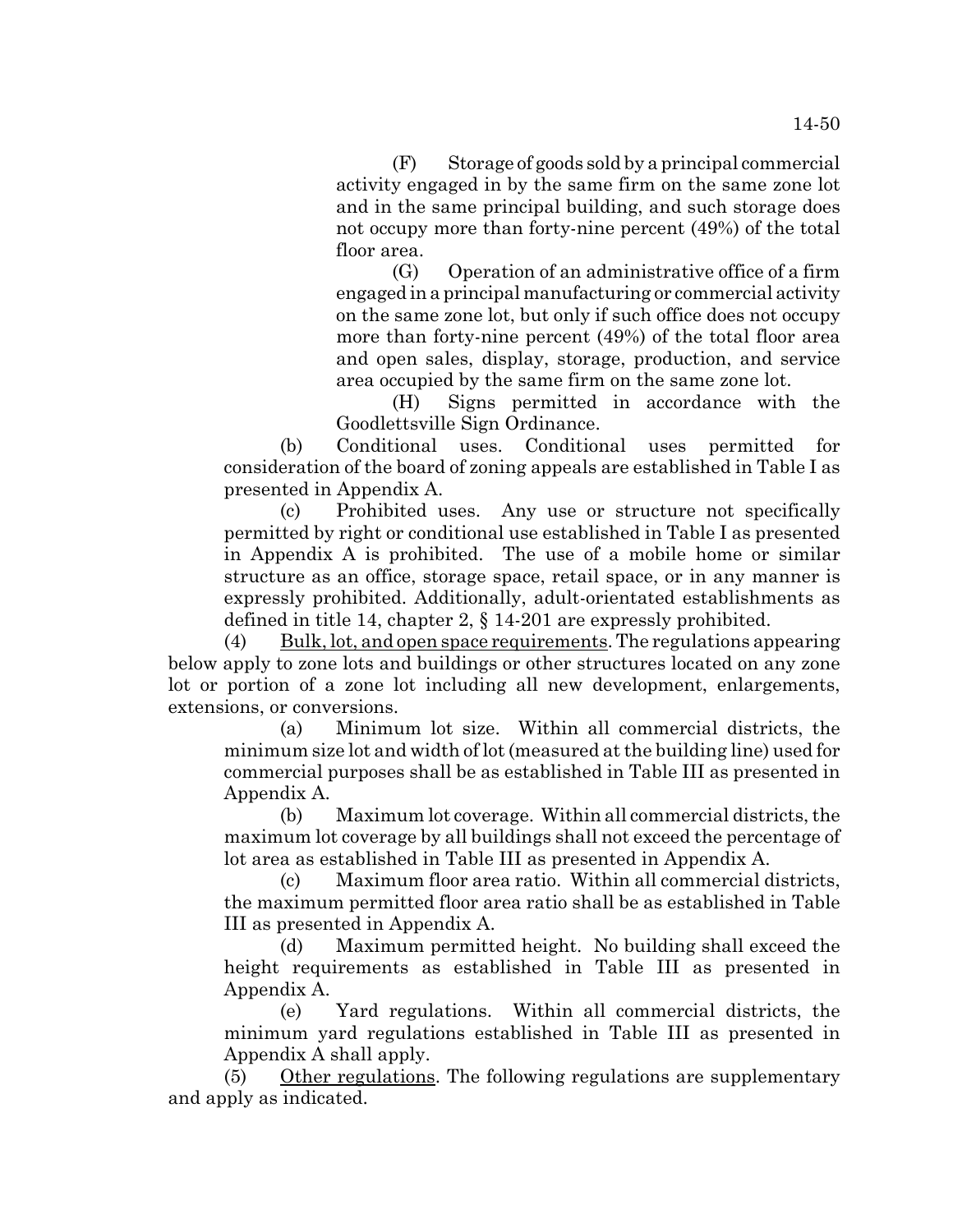(F) Storage of goods sold by a principal commercial activity engaged in by the same firm on the same zone lot and in the same principal building, and such storage does not occupy more than forty-nine percent (49%) of the total floor area.

(G) Operation of an administrative office of a firm engaged in a principal manufacturing or commercial activity on the same zone lot, but only if such office does not occupy more than forty-nine percent (49%) of the total floor area and open sales, display, storage, production, and service area occupied by the same firm on the same zone lot.

(H) Signs permitted in accordance with the Goodlettsville Sign Ordinance.

(b) Conditional uses. Conditional uses permitted for consideration of the board of zoning appeals are established in Table I as presented in Appendix A.

(c) Prohibited uses. Any use or structure not specifically permitted by right or conditional use established in Table I as presented in Appendix A is prohibited. The use of a mobile home or similar structure as an office, storage space, retail space, or in any manner is expressly prohibited. Additionally, adult-orientated establishments as defined in title 14, chapter 2, § 14-201 are expressly prohibited.

 $(4)$  Bulk, lot, and open space requirements. The regulations appearing below apply to zone lots and buildings or other structures located on any zone lot or portion of a zone lot including all new development, enlargements, extensions, or conversions.

(a) Minimum lot size. Within all commercial districts, the minimum size lot and width of lot (measured at the building line) used for commercial purposes shall be as established in Table III as presented in Appendix A.

(b) Maximum lot coverage. Within all commercial districts, the maximum lot coverage by all buildings shall not exceed the percentage of lot area as established in Table III as presented in Appendix A.

(c) Maximum floor area ratio. Within all commercial districts, the maximum permitted floor area ratio shall be as established in Table III as presented in Appendix A.

(d) Maximum permitted height. No building shall exceed the height requirements as established in Table III as presented in Appendix A.

(e) Yard regulations. Within all commercial districts, the minimum yard regulations established in Table III as presented in Appendix A shall apply.

(5) Other regulations. The following regulations are supplementary and apply as indicated.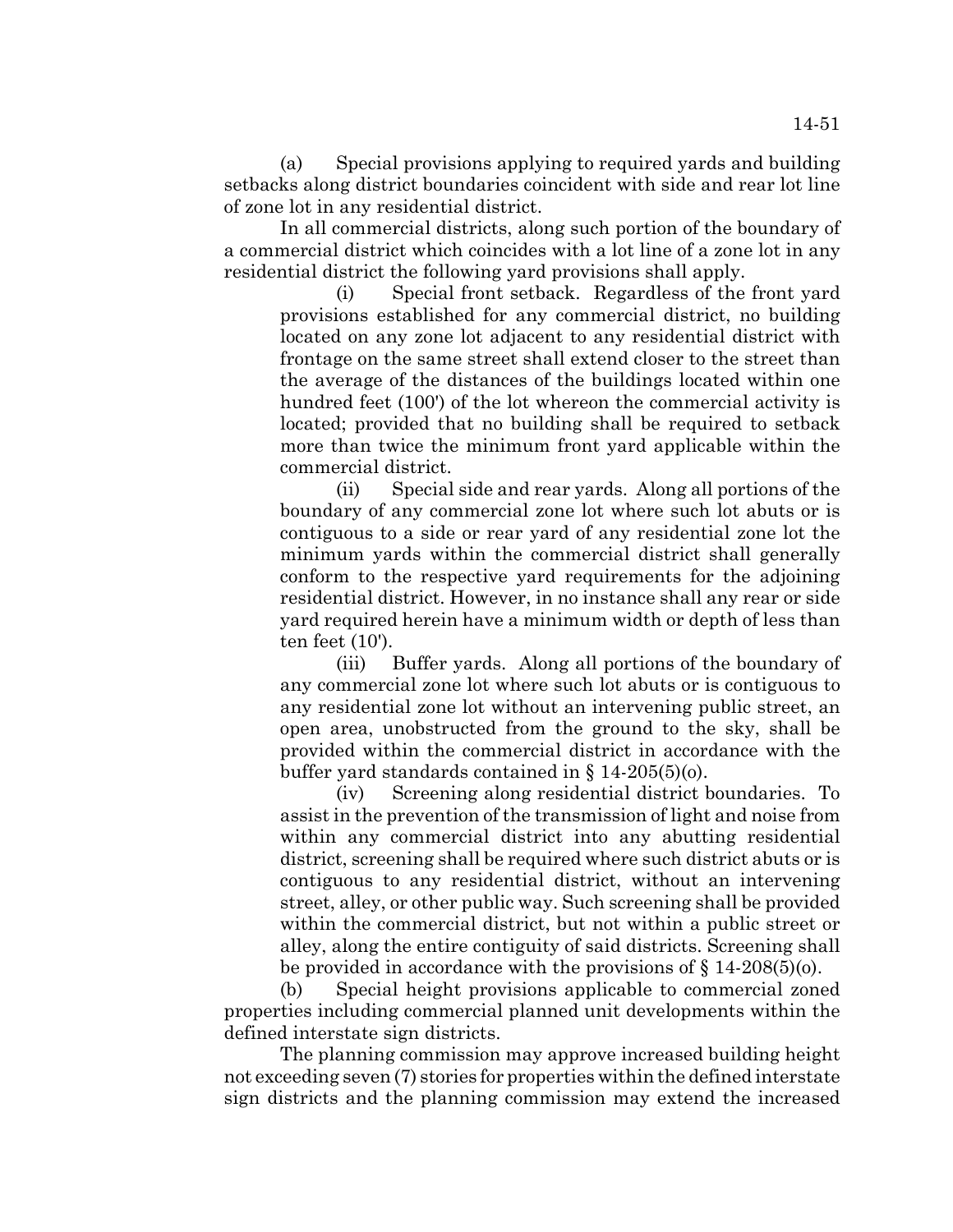(a) Special provisions applying to required yards and building setbacks along district boundaries coincident with side and rear lot line of zone lot in any residential district.

In all commercial districts, along such portion of the boundary of a commercial district which coincides with a lot line of a zone lot in any residential district the following yard provisions shall apply.

(i) Special front setback. Regardless of the front yard provisions established for any commercial district, no building located on any zone lot adjacent to any residential district with frontage on the same street shall extend closer to the street than the average of the distances of the buildings located within one hundred feet (100') of the lot whereon the commercial activity is located; provided that no building shall be required to setback more than twice the minimum front yard applicable within the commercial district.

(ii) Special side and rear yards. Along all portions of the boundary of any commercial zone lot where such lot abuts or is contiguous to a side or rear yard of any residential zone lot the minimum yards within the commercial district shall generally conform to the respective yard requirements for the adjoining residential district. However, in no instance shall any rear or side yard required herein have a minimum width or depth of less than ten feet (10').

(iii) Buffer yards. Along all portions of the boundary of any commercial zone lot where such lot abuts or is contiguous to any residential zone lot without an intervening public street, an open area, unobstructed from the ground to the sky, shall be provided within the commercial district in accordance with the buffer yard standards contained in § 14-205(5)(o).

(iv) Screening along residential district boundaries. To assist in the prevention of the transmission of light and noise from within any commercial district into any abutting residential district, screening shall be required where such district abuts or is contiguous to any residential district, without an intervening street, alley, or other public way. Such screening shall be provided within the commercial district, but not within a public street or alley, along the entire contiguity of said districts. Screening shall be provided in accordance with the provisions of  $\S 14-208(5)(0)$ .

(b) Special height provisions applicable to commercial zoned properties including commercial planned unit developments within the defined interstate sign districts.

The planning commission may approve increased building height not exceeding seven (7) stories for properties within the defined interstate sign districts and the planning commission may extend the increased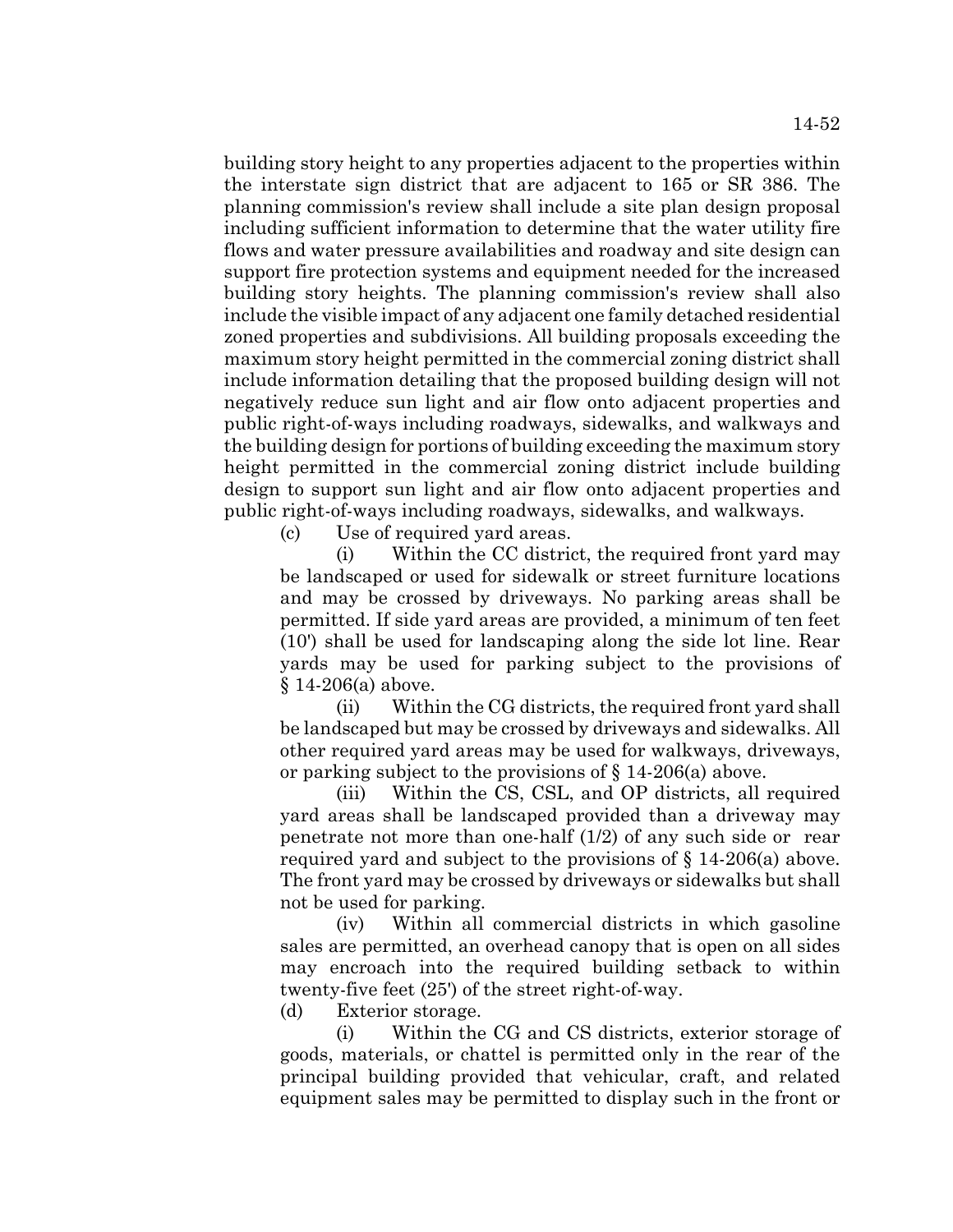building story height to any properties adjacent to the properties within the interstate sign district that are adjacent to 165 or SR 386. The planning commission's review shall include a site plan design proposal including sufficient information to determine that the water utility fire flows and water pressure availabilities and roadway and site design can support fire protection systems and equipment needed for the increased building story heights. The planning commission's review shall also include the visible impact of any adjacent one family detached residential zoned properties and subdivisions. All building proposals exceeding the maximum story height permitted in the commercial zoning district shall include information detailing that the proposed building design will not negatively reduce sun light and air flow onto adjacent properties and public right-of-ways including roadways, sidewalks, and walkways and the building design for portions of building exceeding the maximum story height permitted in the commercial zoning district include building design to support sun light and air flow onto adjacent properties and public right-of-ways including roadways, sidewalks, and walkways.

(c) Use of required yard areas.

(i) Within the CC district, the required front yard may be landscaped or used for sidewalk or street furniture locations and may be crossed by driveways. No parking areas shall be permitted. If side yard areas are provided, a minimum of ten feet (10') shall be used for landscaping along the side lot line. Rear yards may be used for parking subject to the provisions of § 14-206(a) above.

(ii) Within the CG districts, the required front yard shall be landscaped but may be crossed by driveways and sidewalks. All other required yard areas may be used for walkways, driveways, or parking subject to the provisions of § 14-206(a) above.

(iii) Within the CS, CSL, and OP districts, all required yard areas shall be landscaped provided than a driveway may penetrate not more than one-half (1/2) of any such side or rear required yard and subject to the provisions of § 14-206(a) above. The front yard may be crossed by driveways or sidewalks but shall not be used for parking.

(iv) Within all commercial districts in which gasoline sales are permitted, an overhead canopy that is open on all sides may encroach into the required building setback to within twenty-five feet (25') of the street right-of-way.

(d) Exterior storage.

(i) Within the CG and CS districts, exterior storage of goods, materials, or chattel is permitted only in the rear of the principal building provided that vehicular, craft, and related equipment sales may be permitted to display such in the front or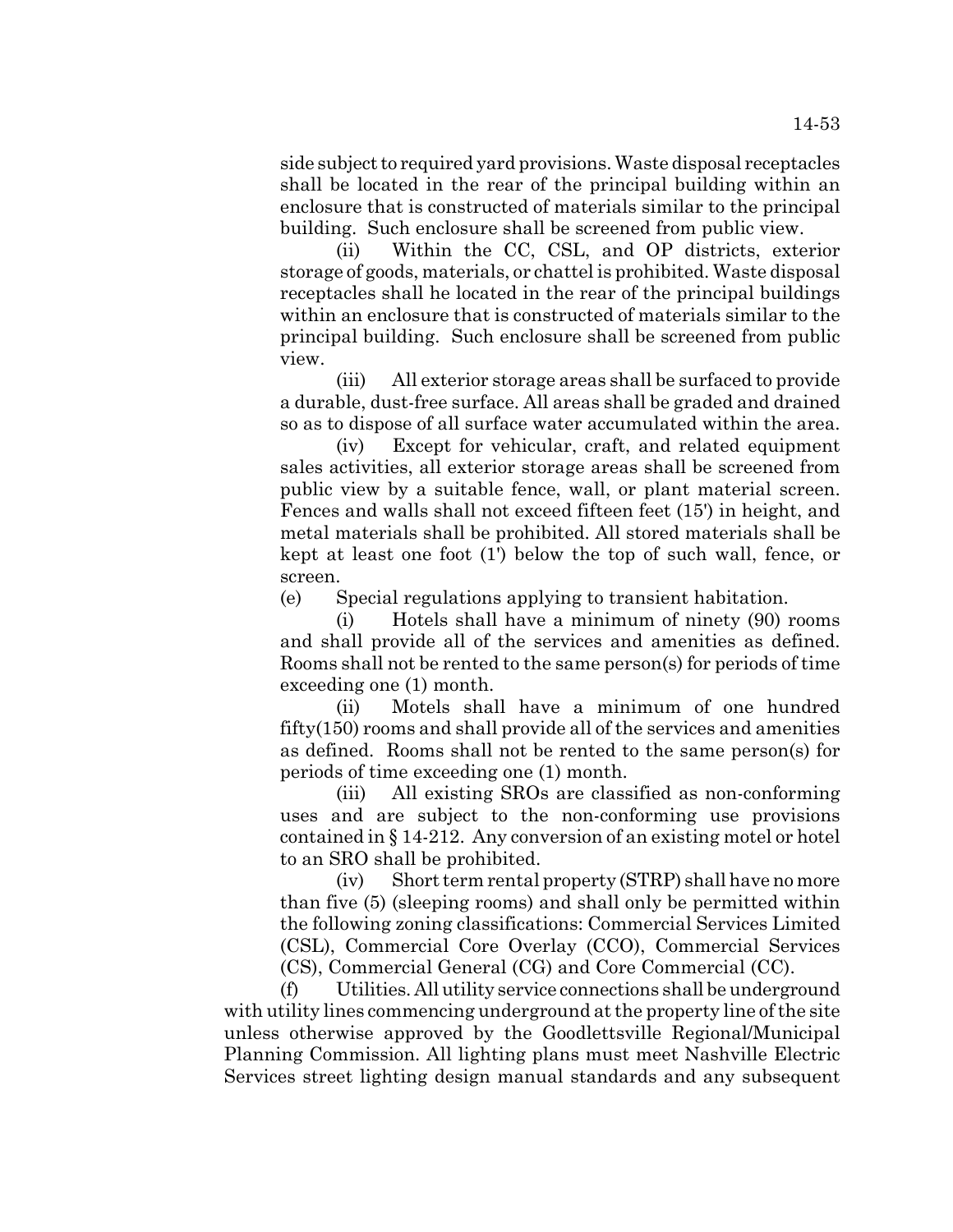side subject to required yard provisions. Waste disposal receptacles shall be located in the rear of the principal building within an enclosure that is constructed of materials similar to the principal building. Such enclosure shall be screened from public view.

(ii) Within the CC, CSL, and OP districts, exterior storage of goods, materials, or chattel is prohibited. Waste disposal receptacles shall he located in the rear of the principal buildings within an enclosure that is constructed of materials similar to the principal building. Such enclosure shall be screened from public view.

(iii) All exterior storage areas shall be surfaced to provide a durable, dust-free surface. All areas shall be graded and drained so as to dispose of all surface water accumulated within the area.

(iv) Except for vehicular, craft, and related equipment sales activities, all exterior storage areas shall be screened from public view by a suitable fence, wall, or plant material screen. Fences and walls shall not exceed fifteen feet (15') in height, and metal materials shall be prohibited. All stored materials shall be kept at least one foot (1') below the top of such wall, fence, or screen.

(e) Special regulations applying to transient habitation.

(i) Hotels shall have a minimum of ninety (90) rooms and shall provide all of the services and amenities as defined. Rooms shall not be rented to the same person(s) for periods of time exceeding one (1) month.

(ii) Motels shall have a minimum of one hundred fifty(150) rooms and shall provide all of the services and amenities as defined. Rooms shall not be rented to the same person(s) for periods of time exceeding one (1) month.

(iii) All existing SROs are classified as non-conforming uses and are subject to the non-conforming use provisions contained in § 14-212. Any conversion of an existing motel or hotel to an SRO shall be prohibited.

(iv) Short term rental property (STRP) shall have no more than five (5) (sleeping rooms) and shall only be permitted within the following zoning classifications: Commercial Services Limited (CSL), Commercial Core Overlay (CCO), Commercial Services (CS), Commercial General (CG) and Core Commercial (CC).

(f) Utilities. All utility service connections shall be underground with utility lines commencing underground at the property line of the site unless otherwise approved by the Goodlettsville Regional/Municipal Planning Commission. All lighting plans must meet Nashville Electric Services street lighting design manual standards and any subsequent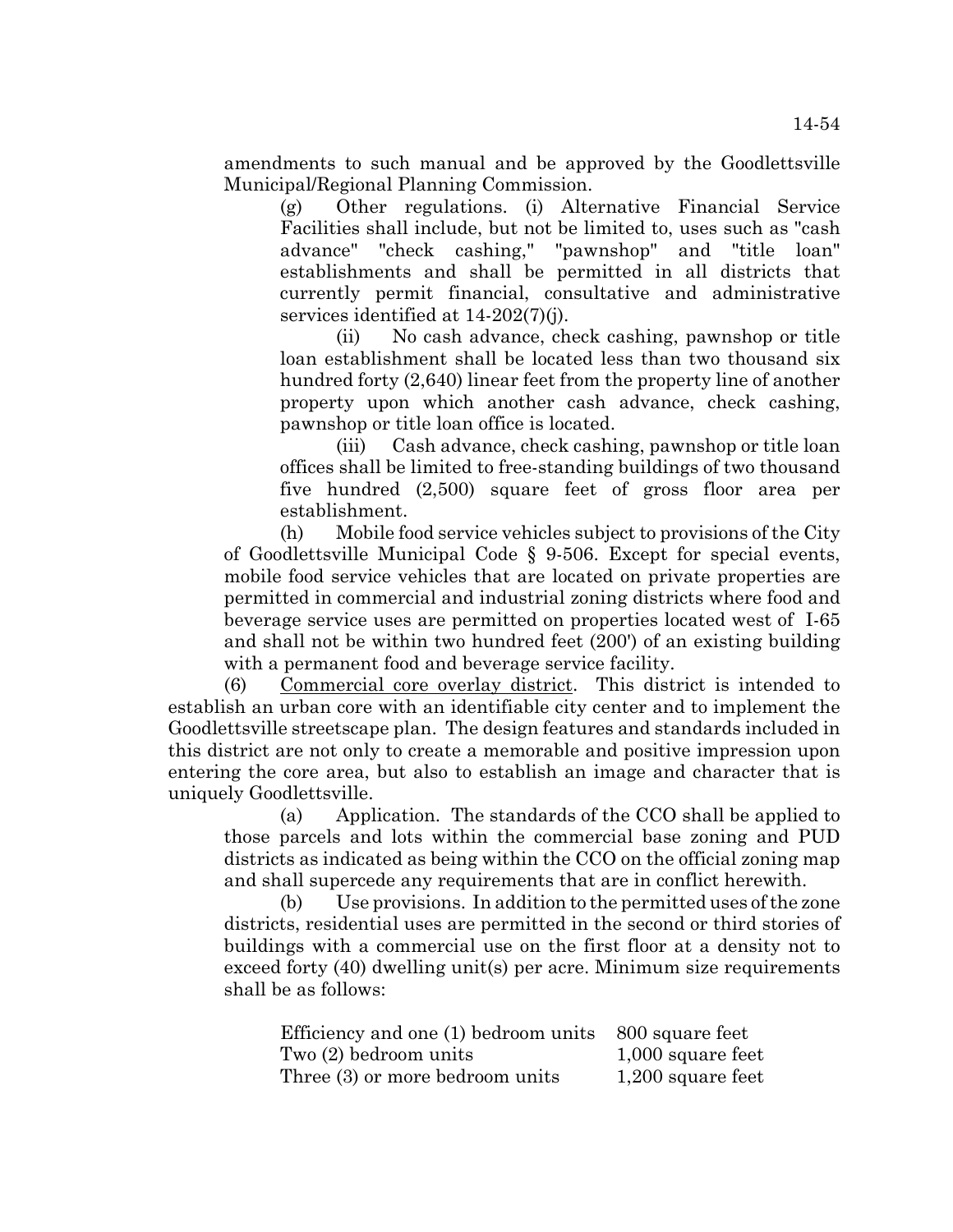amendments to such manual and be approved by the Goodlettsville Municipal/Regional Planning Commission.

(g) Other regulations. (i) Alternative Financial Service Facilities shall include, but not be limited to, uses such as "cash advance" "check cashing," "pawnshop" and "title loan" establishments and shall be permitted in all districts that currently permit financial, consultative and administrative services identified at 14-202(7)(j).

(ii) No cash advance, check cashing, pawnshop or title loan establishment shall be located less than two thousand six hundred forty (2,640) linear feet from the property line of another property upon which another cash advance, check cashing, pawnshop or title loan office is located.

(iii) Cash advance, check cashing, pawnshop or title loan offices shall be limited to free-standing buildings of two thousand five hundred (2,500) square feet of gross floor area per establishment.

(h) Mobile food service vehicles subject to provisions of the City of Goodlettsville Municipal Code § 9-506. Except for special events, mobile food service vehicles that are located on private properties are permitted in commercial and industrial zoning districts where food and beverage service uses are permitted on properties located west of I-65 and shall not be within two hundred feet (200') of an existing building with a permanent food and beverage service facility.

(6) Commercial core overlay district. This district is intended to establish an urban core with an identifiable city center and to implement the Goodlettsville streetscape plan. The design features and standards included in this district are not only to create a memorable and positive impression upon entering the core area, but also to establish an image and character that is uniquely Goodlettsville.

(a) Application. The standards of the CCO shall be applied to those parcels and lots within the commercial base zoning and PUD districts as indicated as being within the CCO on the official zoning map and shall supercede any requirements that are in conflict herewith.

(b) Use provisions. In addition to the permitted uses of the zone districts, residential uses are permitted in the second or third stories of buildings with a commercial use on the first floor at a density not to exceed forty (40) dwelling unit(s) per acre. Minimum size requirements shall be as follows:

| Efficiency and one (1) bedroom units | 800 square feet     |
|--------------------------------------|---------------------|
| Two $(2)$ bedroom units              | $1,000$ square feet |
| Three (3) or more bedroom units      | $1,200$ square feet |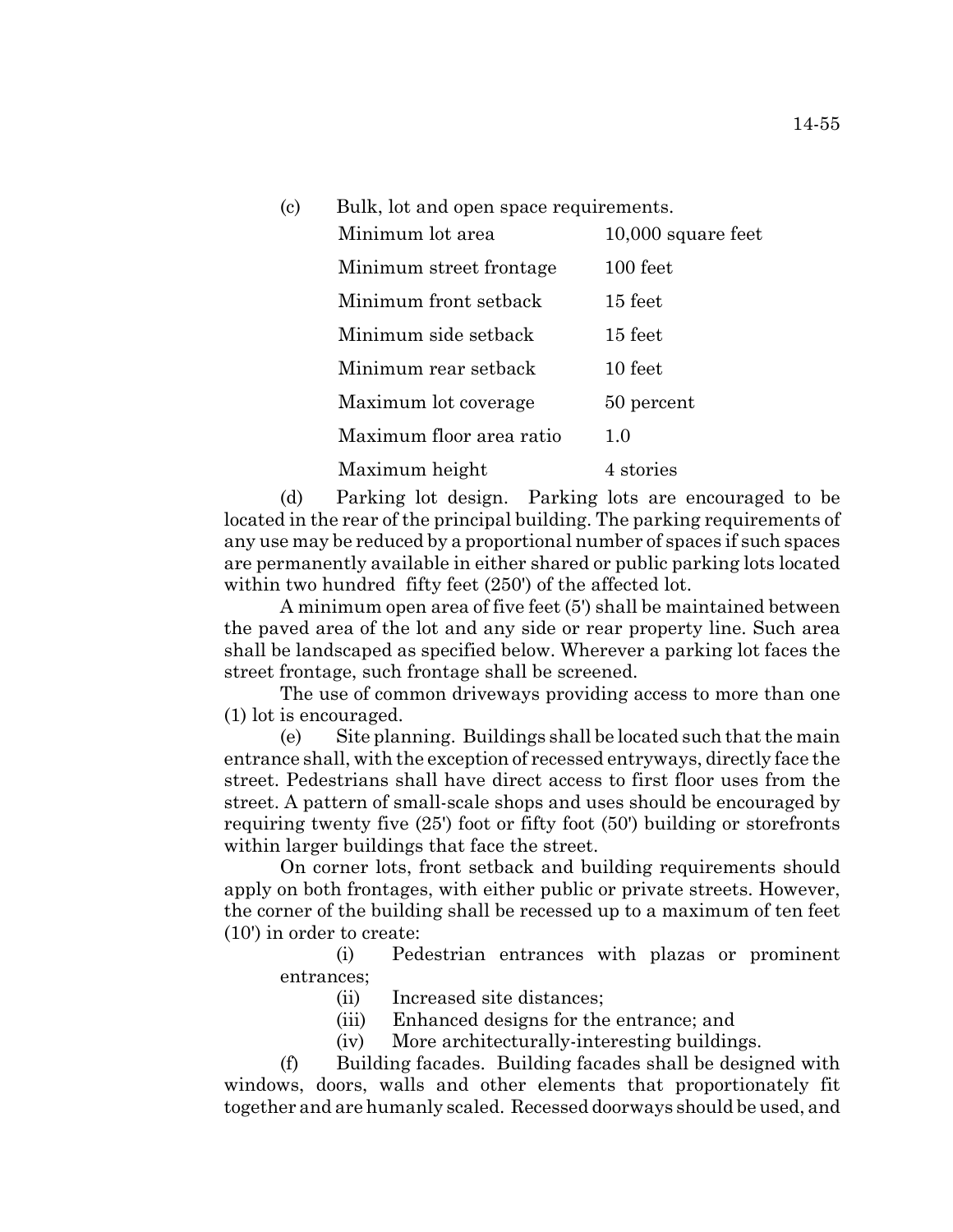(c) Bulk, lot and open space requirements.

| Minimum lot area         | $10,000$ square feet |
|--------------------------|----------------------|
| Minimum street frontage  | $100$ feet           |
| Minimum front setback    | $15$ feet            |
| Minimum side setback     | $15 \text{ feet}$    |
| Minimum rear setback     | 10 feet              |
| Maximum lot coverage     | 50 percent           |
| Maximum floor area ratio | 1.0                  |
| Maximum height           | 4 stories            |

(d) Parking lot design. Parking lots are encouraged to be located in the rear of the principal building. The parking requirements of any use may be reduced by a proportional number of spaces if such spaces are permanently available in either shared or public parking lots located within two hundred fifty feet (250') of the affected lot.

A minimum open area of five feet (5') shall be maintained between the paved area of the lot and any side or rear property line. Such area shall be landscaped as specified below. Wherever a parking lot faces the street frontage, such frontage shall be screened.

The use of common driveways providing access to more than one (1) lot is encouraged.

(e) Site planning. Buildings shall be located such that the main entrance shall, with the exception of recessed entryways, directly face the street. Pedestrians shall have direct access to first floor uses from the street. A pattern of small-scale shops and uses should be encouraged by requiring twenty five (25') foot or fifty foot (50') building or storefronts within larger buildings that face the street.

On corner lots, front setback and building requirements should apply on both frontages, with either public or private streets. However, the corner of the building shall be recessed up to a maximum of ten feet (10') in order to create:

(i) Pedestrian entrances with plazas or prominent entrances;

- (ii) Increased site distances;
- (iii) Enhanced designs for the entrance; and
- (iv) More architecturally-interesting buildings.

(f) Building facades. Building facades shall be designed with windows, doors, walls and other elements that proportionately fit together and are humanly scaled. Recessed doorways should be used, and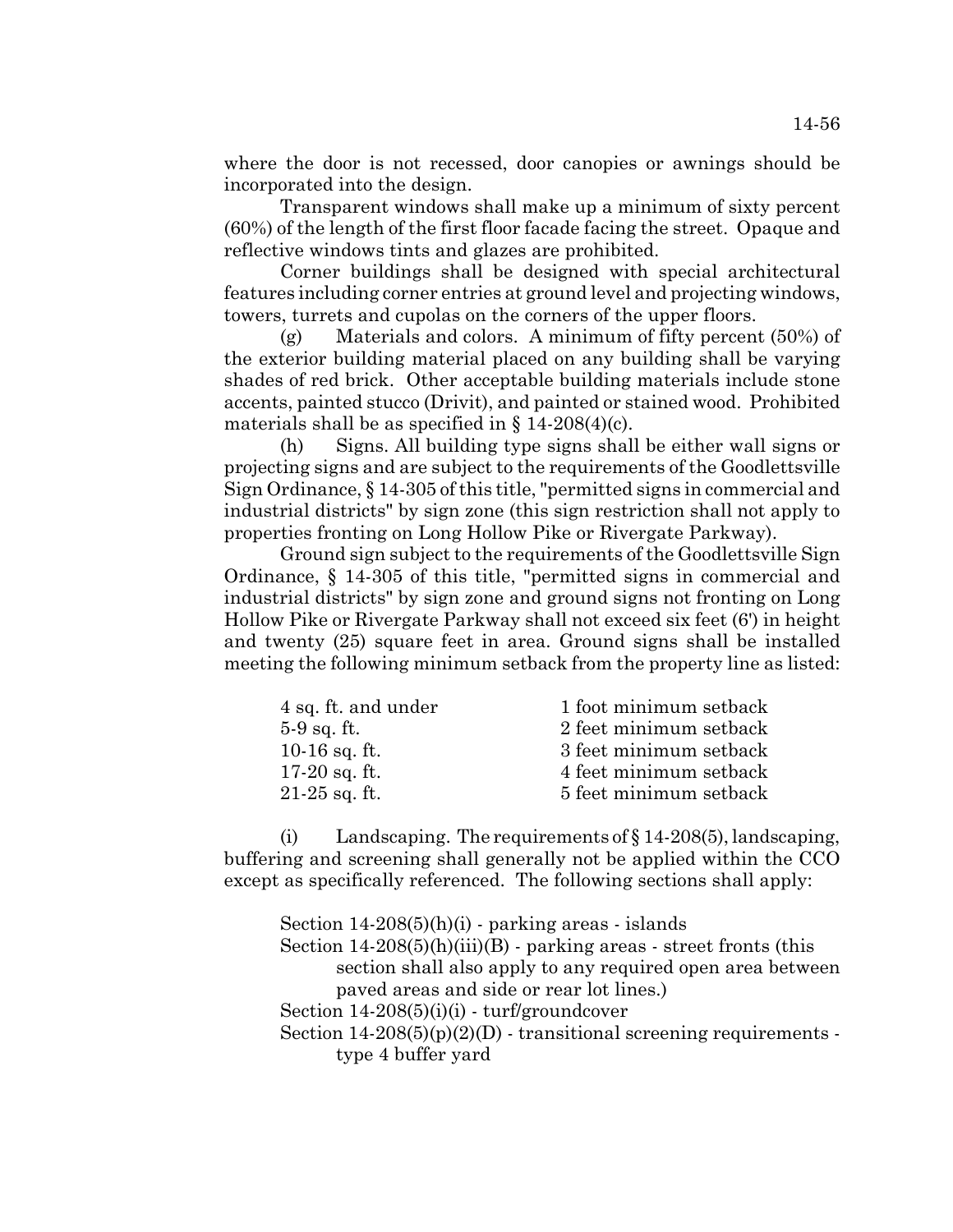where the door is not recessed, door canopies or awnings should be incorporated into the design.

Transparent windows shall make up a minimum of sixty percent (60%) of the length of the first floor facade facing the street. Opaque and reflective windows tints and glazes are prohibited.

Corner buildings shall be designed with special architectural features including corner entries at ground level and projecting windows, towers, turrets and cupolas on the corners of the upper floors.

(g) Materials and colors. A minimum of fifty percent (50%) of the exterior building material placed on any building shall be varying shades of red brick. Other acceptable building materials include stone accents, painted stucco (Drivit), and painted or stained wood. Prohibited materials shall be as specified in  $\S$  14-208(4)(c).

(h) Signs. All building type signs shall be either wall signs or projecting signs and are subject to the requirements of the Goodlettsville Sign Ordinance, § 14-305 of this title, "permitted signs in commercial and industrial districts" by sign zone (this sign restriction shall not apply to properties fronting on Long Hollow Pike or Rivergate Parkway).

Ground sign subject to the requirements of the Goodlettsville Sign Ordinance, § 14-305 of this title, "permitted signs in commercial and industrial districts" by sign zone and ground signs not fronting on Long Hollow Pike or Rivergate Parkway shall not exceed six feet (6') in height and twenty (25) square feet in area. Ground signs shall be installed meeting the following minimum setback from the property line as listed:

| 4 sq. ft. and under | 1 foot minimum setback |
|---------------------|------------------------|
| $5-9$ sq. ft.       | 2 feet minimum setback |
| $10-16$ sq. ft.     | 3 feet minimum setback |
| $17-20$ sq. ft.     | 4 feet minimum setback |
| $21-25$ sq. ft.     | 5 feet minimum setback |

(i) Landscaping. The requirements of  $\S 14-208(5)$ , landscaping, buffering and screening shall generally not be applied within the CCO except as specifically referenced. The following sections shall apply:

Section 14-208(5)(h)(i) - parking areas - islands Section  $14-208(5)$ (h)(iii)(B) - parking areas - street fronts (this section shall also apply to any required open area between paved areas and side or rear lot lines.) Section 14-208(5)(i)(i) - turf/groundcover Section  $14-208(5)(p)(2)(D)$  - transitional screening requirements type 4 buffer yard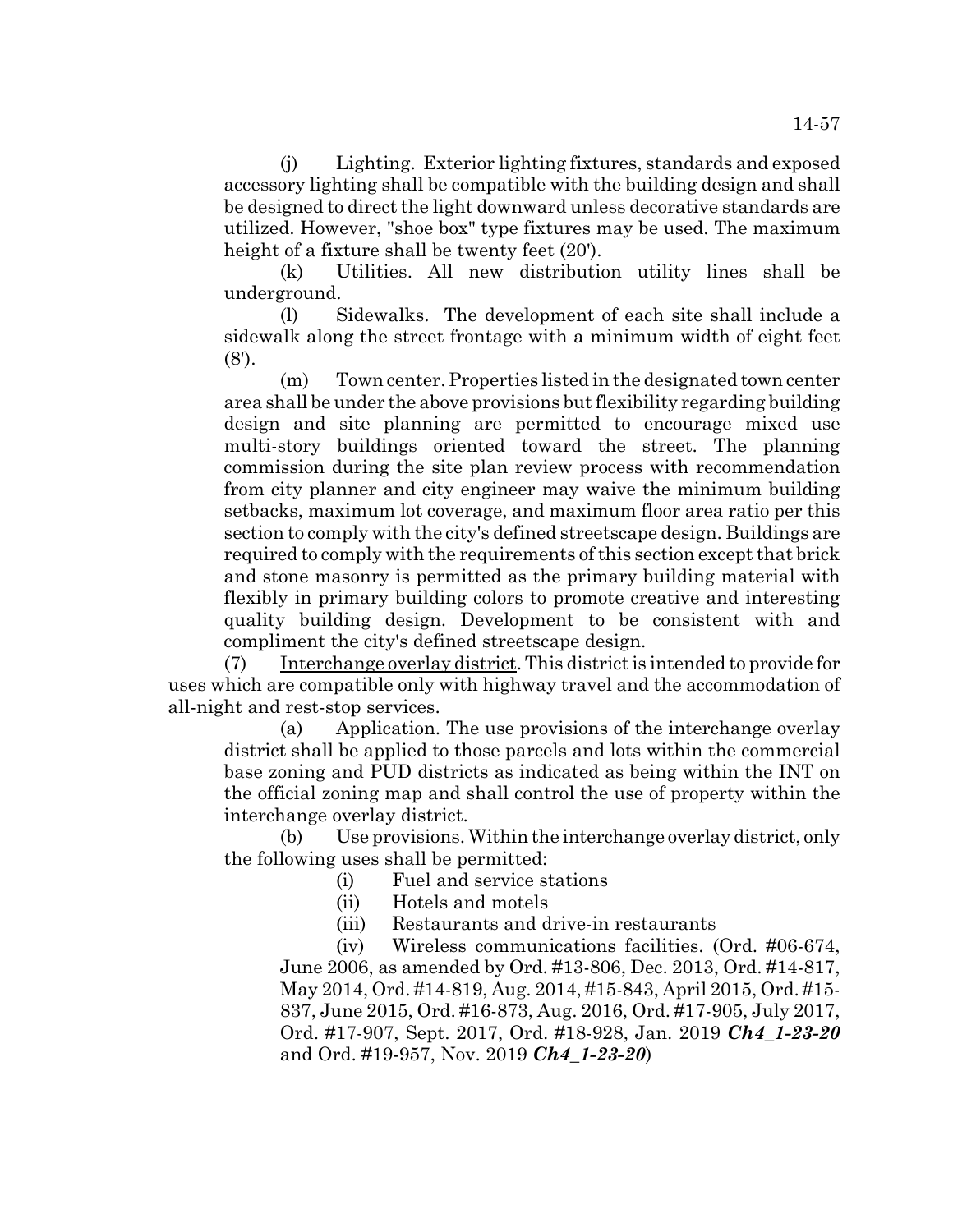(j) Lighting. Exterior lighting fixtures, standards and exposed accessory lighting shall be compatible with the building design and shall be designed to direct the light downward unless decorative standards are utilized. However, "shoe box" type fixtures may be used. The maximum height of a fixture shall be twenty feet (20').

(k) Utilities. All new distribution utility lines shall be underground.

(l) Sidewalks. The development of each site shall include a sidewalk along the street frontage with a minimum width of eight feet (8').

(m) Town center. Properties listed in the designated town center area shall be under the above provisions but flexibility regarding building design and site planning are permitted to encourage mixed use multi-story buildings oriented toward the street. The planning commission during the site plan review process with recommendation from city planner and city engineer may waive the minimum building setbacks, maximum lot coverage, and maximum floor area ratio per this section to comply with the city's defined streetscape design. Buildings are required to comply with the requirements of this section except that brick and stone masonry is permitted as the primary building material with flexibly in primary building colors to promote creative and interesting quality building design. Development to be consistent with and compliment the city's defined streetscape design.

(7) Interchange overlay district. This district is intended to provide for uses which are compatible only with highway travel and the accommodation of all-night and rest-stop services.

(a) Application. The use provisions of the interchange overlay district shall be applied to those parcels and lots within the commercial base zoning and PUD districts as indicated as being within the INT on the official zoning map and shall control the use of property within the interchange overlay district.

(b) Use provisions. Within the interchange overlay district, only the following uses shall be permitted:

- (i) Fuel and service stations
- (ii) Hotels and motels
- (iii) Restaurants and drive-in restaurants

(iv) Wireless communications facilities. (Ord. #06-674, June 2006, as amended by Ord. #13-806, Dec. 2013, Ord. #14-817, May 2014, Ord. #14-819, Aug. 2014, #15-843, April 2015, Ord. #15- 837, June 2015, Ord. #16-873, Aug. 2016, Ord. #17-905, July 2017, Ord. #17-907, Sept. 2017, Ord. #18-928, Jan. 2019 *Ch4\_1-23-20* and Ord. #19-957, Nov. 2019 *Ch4\_1-23-20*)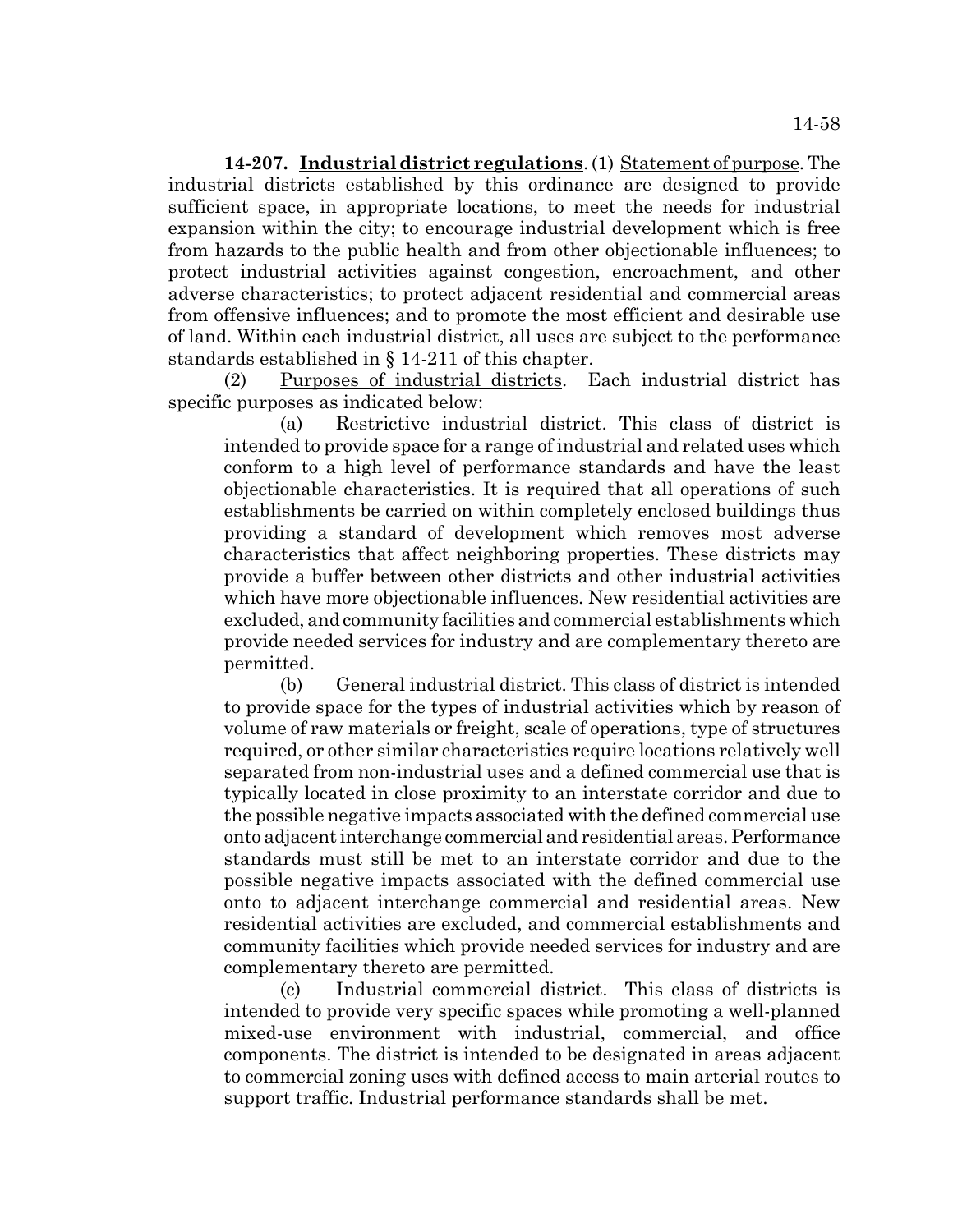**14-207. Industrial district regulations**. (1) Statement of purpose. The industrial districts established by this ordinance are designed to provide sufficient space, in appropriate locations, to meet the needs for industrial expansion within the city; to encourage industrial development which is free from hazards to the public health and from other objectionable influences; to protect industrial activities against congestion, encroachment, and other adverse characteristics; to protect adjacent residential and commercial areas from offensive influences; and to promote the most efficient and desirable use of land. Within each industrial district, all uses are subject to the performance standards established in § 14-211 of this chapter.

(2) Purposes of industrial districts. Each industrial district has specific purposes as indicated below:

(a) Restrictive industrial district. This class of district is intended to provide space for a range of industrial and related uses which conform to a high level of performance standards and have the least objectionable characteristics. It is required that all operations of such establishments be carried on within completely enclosed buildings thus providing a standard of development which removes most adverse characteristics that affect neighboring properties. These districts may provide a buffer between other districts and other industrial activities which have more objectionable influences. New residential activities are excluded, and community facilities and commercial establishments which provide needed services for industry and are complementary thereto are permitted.

(b) General industrial district. This class of district is intended to provide space for the types of industrial activities which by reason of volume of raw materials or freight, scale of operations, type of structures required, or other similar characteristics require locations relatively well separated from non-industrial uses and a defined commercial use that is typically located in close proximity to an interstate corridor and due to the possible negative impacts associated with the defined commercial use onto adjacent interchange commercial and residential areas. Performance standards must still be met to an interstate corridor and due to the possible negative impacts associated with the defined commercial use onto to adjacent interchange commercial and residential areas. New residential activities are excluded, and commercial establishments and community facilities which provide needed services for industry and are complementary thereto are permitted.

(c) Industrial commercial district. This class of districts is intended to provide very specific spaces while promoting a well-planned mixed-use environment with industrial, commercial, and office components. The district is intended to be designated in areas adjacent to commercial zoning uses with defined access to main arterial routes to support traffic. Industrial performance standards shall be met.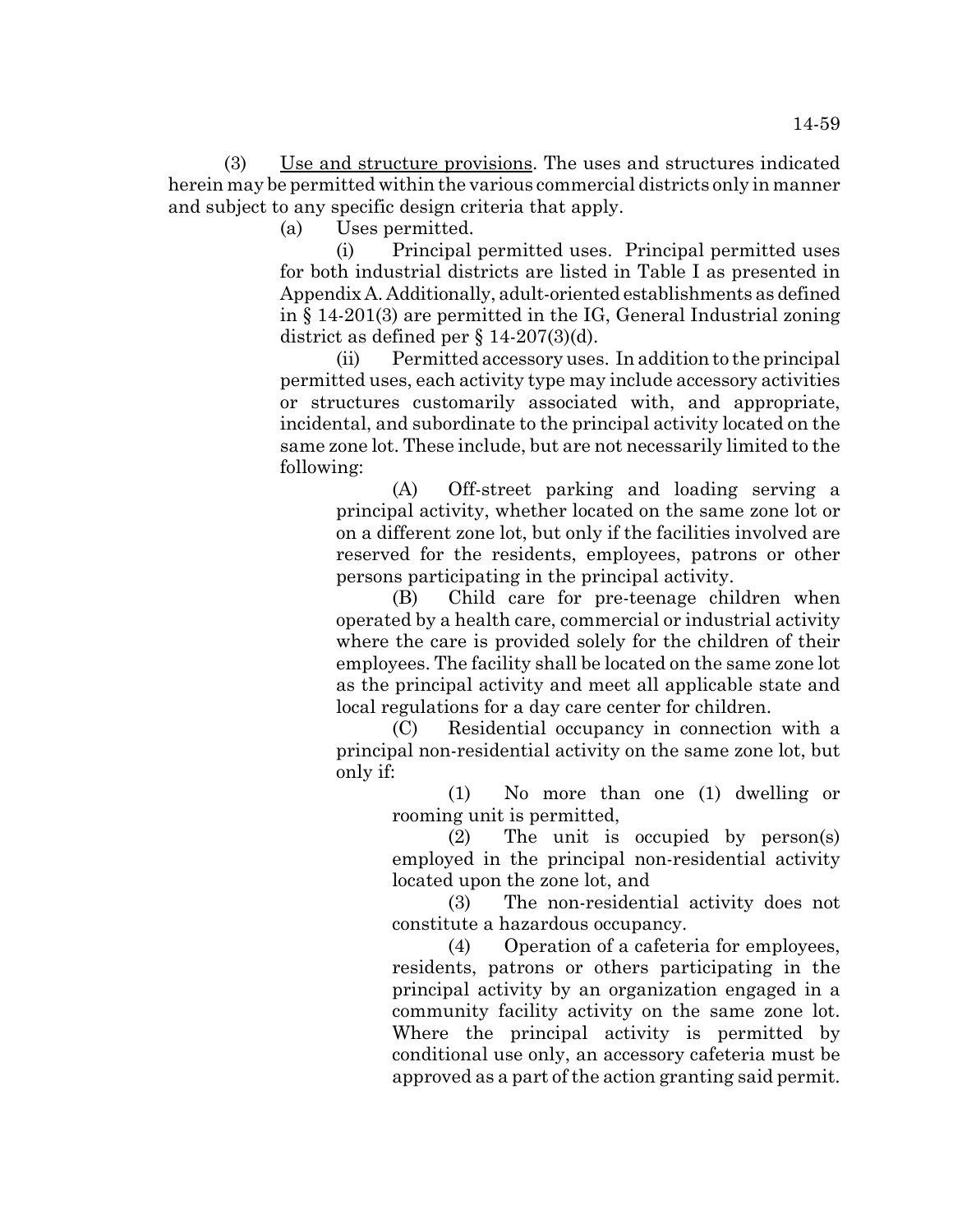(3) Use and structure provisions. The uses and structures indicated herein may be permitted within the various commercial districts only in manner and subject to any specific design criteria that apply.

(a) Uses permitted.

(i) Principal permitted uses. Principal permitted uses for both industrial districts are listed in Table I as presented in Appendix A. Additionally, adult-oriented establishments as defined in § 14-201(3) are permitted in the IG, General Industrial zoning district as defined per § 14-207(3)(d).

(ii) Permitted accessory uses. In addition to the principal permitted uses, each activity type may include accessory activities or structures customarily associated with, and appropriate, incidental, and subordinate to the principal activity located on the same zone lot. These include, but are not necessarily limited to the following:

(A) Off-street parking and loading serving a principal activity, whether located on the same zone lot or on a different zone lot, but only if the facilities involved are reserved for the residents, employees, patrons or other persons participating in the principal activity.

(B) Child care for pre-teenage children when operated by a health care, commercial or industrial activity where the care is provided solely for the children of their employees. The facility shall be located on the same zone lot as the principal activity and meet all applicable state and local regulations for a day care center for children.

(C) Residential occupancy in connection with a principal non-residential activity on the same zone lot, but only if:

(1) No more than one (1) dwelling or rooming unit is permitted,

(2) The unit is occupied by person(s) employed in the principal non-residential activity located upon the zone lot, and

(3) The non-residential activity does not constitute a hazardous occupancy.

(4) Operation of a cafeteria for employees, residents, patrons or others participating in the principal activity by an organization engaged in a community facility activity on the same zone lot. Where the principal activity is permitted by conditional use only, an accessory cafeteria must be approved as a part of the action granting said permit.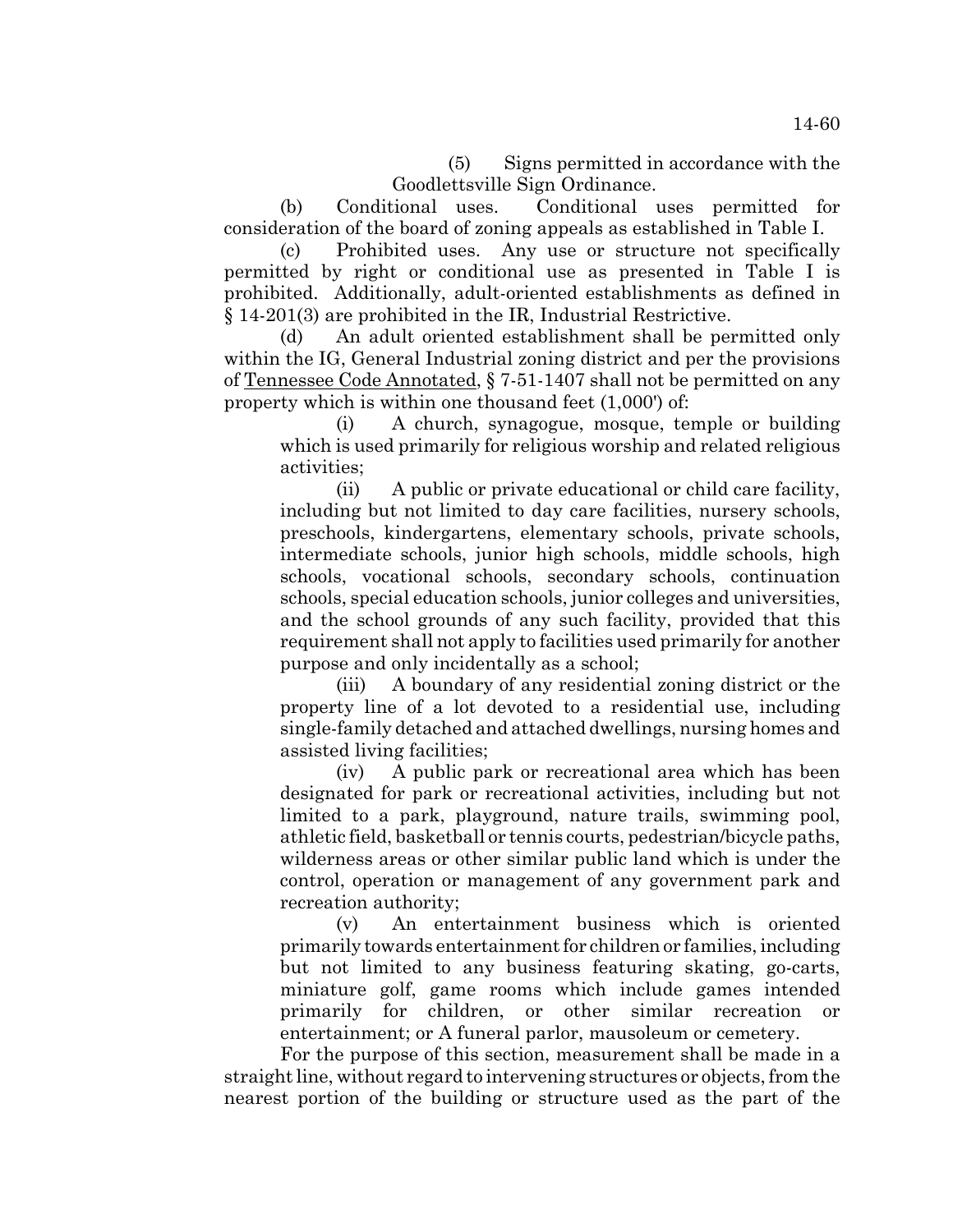(5) Signs permitted in accordance with the Goodlettsville Sign Ordinance.

(b) Conditional uses. Conditional uses permitted for consideration of the board of zoning appeals as established in Table I.

(c) Prohibited uses. Any use or structure not specifically permitted by right or conditional use as presented in Table I is prohibited. Additionally, adult-oriented establishments as defined in § 14-201(3) are prohibited in the IR, Industrial Restrictive.

(d) An adult oriented establishment shall be permitted only within the IG, General Industrial zoning district and per the provisions of Tennessee Code Annotated, § 7-51-1407 shall not be permitted on any property which is within one thousand feet (1,000') of:

(i) A church, synagogue, mosque, temple or building which is used primarily for religious worship and related religious activities;

(ii) A public or private educational or child care facility, including but not limited to day care facilities, nursery schools, preschools, kindergartens, elementary schools, private schools, intermediate schools, junior high schools, middle schools, high schools, vocational schools, secondary schools, continuation schools, special education schools, junior colleges and universities, and the school grounds of any such facility, provided that this requirement shall not apply to facilities used primarily for another purpose and only incidentally as a school;

(iii) A boundary of any residential zoning district or the property line of a lot devoted to a residential use, including single-family detached and attached dwellings, nursing homes and assisted living facilities;

(iv) A public park or recreational area which has been designated for park or recreational activities, including but not limited to a park, playground, nature trails, swimming pool, athletic field, basketball or tennis courts, pedestrian/bicycle paths, wilderness areas or other similar public land which is under the control, operation or management of any government park and recreation authority;

(v) An entertainment business which is oriented primarily towards entertainment for children or families, including but not limited to any business featuring skating, go-carts, miniature golf, game rooms which include games intended primarily for children, or other similar recreation or entertainment; or A funeral parlor, mausoleum or cemetery.

For the purpose of this section, measurement shall be made in a straight line, without regard to intervening structures or objects, from the nearest portion of the building or structure used as the part of the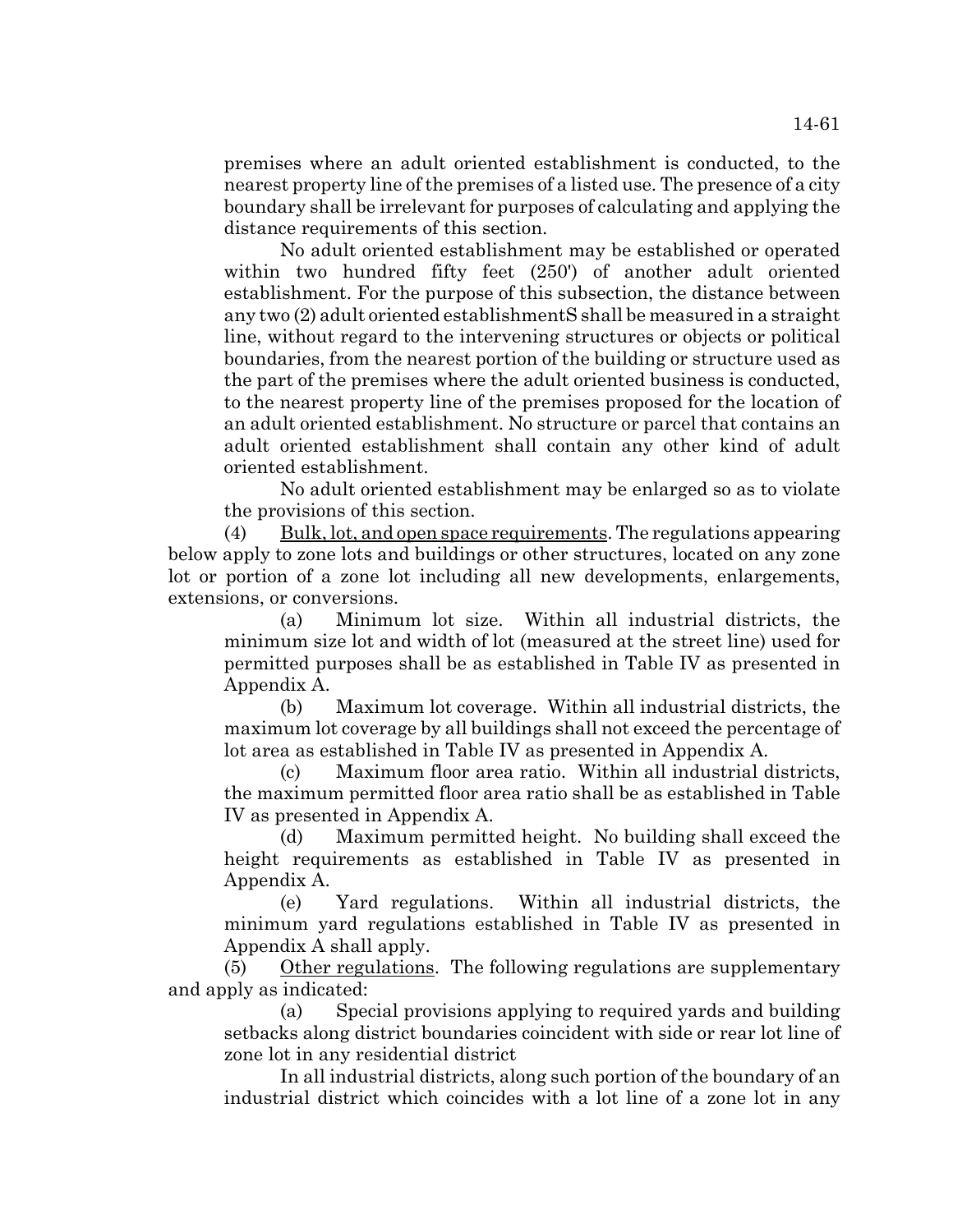premises where an adult oriented establishment is conducted, to the nearest property line of the premises of a listed use. The presence of a city boundary shall be irrelevant for purposes of calculating and applying the distance requirements of this section.

No adult oriented establishment may be established or operated within two hundred fifty feet (250') of another adult oriented establishment. For the purpose of this subsection, the distance between any two (2) adult oriented establishmentS shall be measured in a straight line, without regard to the intervening structures or objects or political boundaries, from the nearest portion of the building or structure used as the part of the premises where the adult oriented business is conducted, to the nearest property line of the premises proposed for the location of an adult oriented establishment. No structure or parcel that contains an adult oriented establishment shall contain any other kind of adult oriented establishment.

No adult oriented establishment may be enlarged so as to violate the provisions of this section.

(4) Bulk, lot, and open space requirements. The regulations appearing below apply to zone lots and buildings or other structures, located on any zone lot or portion of a zone lot including all new developments, enlargements, extensions, or conversions.

(a) Minimum lot size. Within all industrial districts, the minimum size lot and width of lot (measured at the street line) used for permitted purposes shall be as established in Table IV as presented in Appendix A.

(b) Maximum lot coverage. Within all industrial districts, the maximum lot coverage by all buildings shall not exceed the percentage of lot area as established in Table IV as presented in Appendix A.

(c) Maximum floor area ratio. Within all industrial districts, the maximum permitted floor area ratio shall be as established in Table IV as presented in Appendix A.

(d) Maximum permitted height. No building shall exceed the height requirements as established in Table IV as presented in Appendix A.

(e) Yard regulations. Within all industrial districts, the minimum yard regulations established in Table IV as presented in Appendix A shall apply.

 $(5)$  Other regulations. The following regulations are supplementary and apply as indicated:

(a) Special provisions applying to required yards and building setbacks along district boundaries coincident with side or rear lot line of zone lot in any residential district

In all industrial districts, along such portion of the boundary of an industrial district which coincides with a lot line of a zone lot in any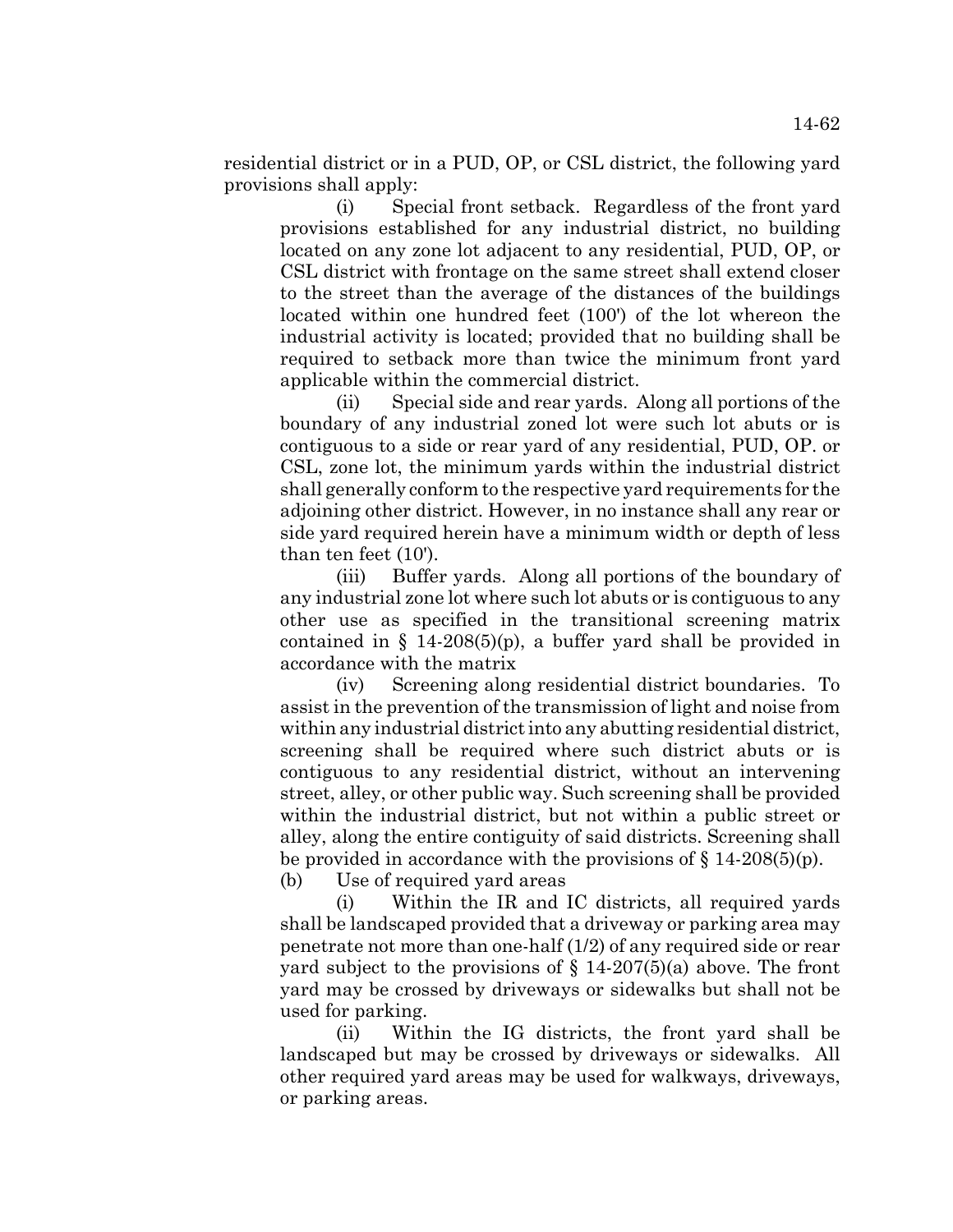residential district or in a PUD, OP, or CSL district, the following yard provisions shall apply:

(i) Special front setback. Regardless of the front yard provisions established for any industrial district, no building located on any zone lot adjacent to any residential, PUD, OP, or CSL district with frontage on the same street shall extend closer to the street than the average of the distances of the buildings located within one hundred feet (100') of the lot whereon the industrial activity is located; provided that no building shall be required to setback more than twice the minimum front yard applicable within the commercial district.

(ii) Special side and rear yards. Along all portions of the boundary of any industrial zoned lot were such lot abuts or is contiguous to a side or rear yard of any residential, PUD, OP. or CSL, zone lot, the minimum yards within the industrial district shall generally conform to the respective yard requirements for the adjoining other district. However, in no instance shall any rear or side yard required herein have a minimum width or depth of less than ten feet (10').

(iii) Buffer yards. Along all portions of the boundary of any industrial zone lot where such lot abuts or is contiguous to any other use as specified in the transitional screening matrix contained in  $\S$  14-208(5)(p), a buffer yard shall be provided in accordance with the matrix

(iv) Screening along residential district boundaries. To assist in the prevention of the transmission of light and noise from within any industrial district into any abutting residential district, screening shall be required where such district abuts or is contiguous to any residential district, without an intervening street, alley, or other public way. Such screening shall be provided within the industrial district, but not within a public street or alley, along the entire contiguity of said districts. Screening shall be provided in accordance with the provisions of  $\S 14-208(5)(p)$ .

(b) Use of required yard areas

(i) Within the IR and IC districts, all required yards shall be landscaped provided that a driveway or parking area may penetrate not more than one-half (1/2) of any required side or rear yard subject to the provisions of  $\S$  14-207(5)(a) above. The front yard may be crossed by driveways or sidewalks but shall not be used for parking.

(ii) Within the IG districts, the front yard shall be landscaped but may be crossed by driveways or sidewalks. All other required yard areas may be used for walkways, driveways, or parking areas.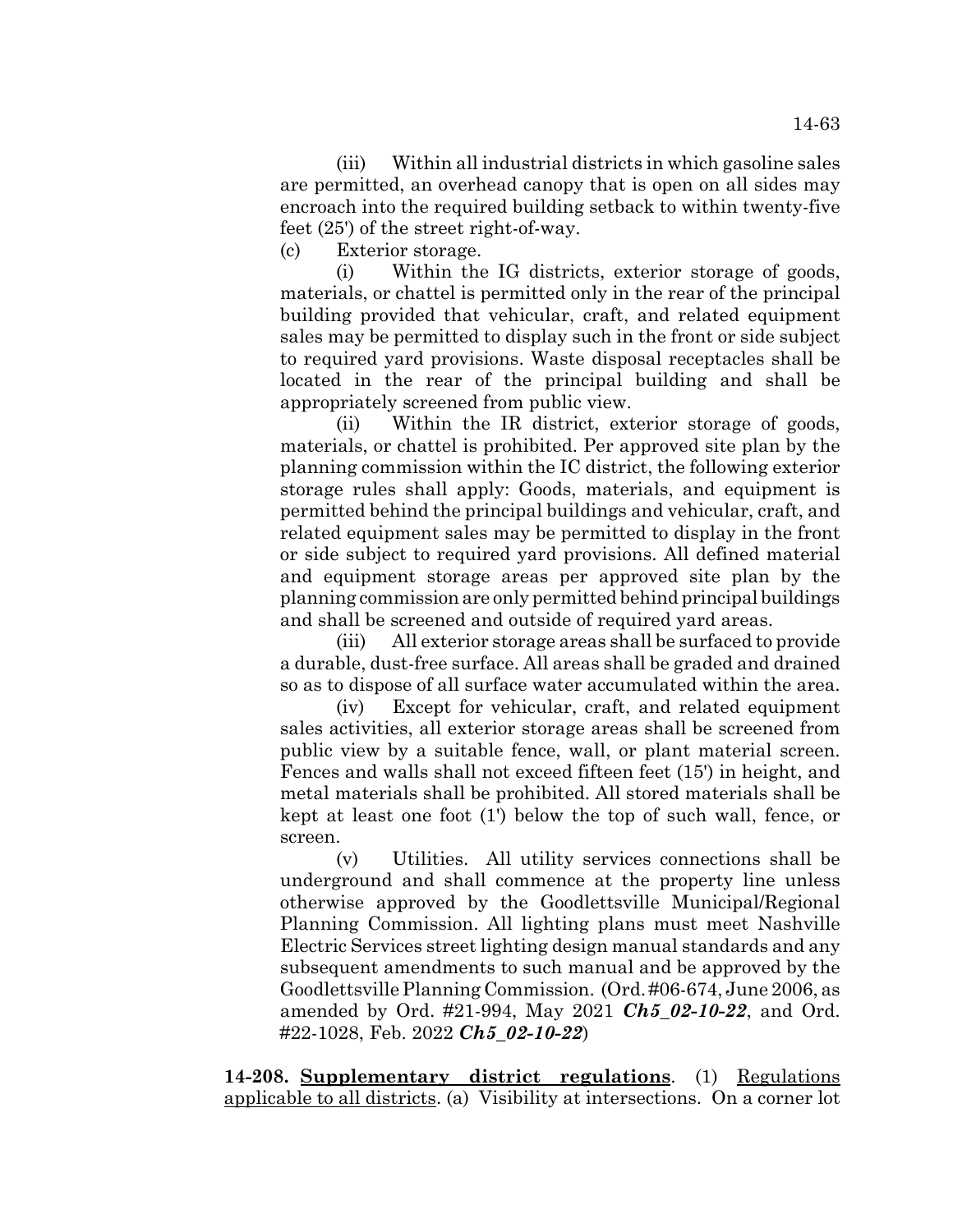(iii) Within all industrial districts in which gasoline sales are permitted, an overhead canopy that is open on all sides may encroach into the required building setback to within twenty-five feet (25') of the street right-of-way.

(c) Exterior storage.

(i) Within the IG districts, exterior storage of goods, materials, or chattel is permitted only in the rear of the principal building provided that vehicular, craft, and related equipment sales may be permitted to display such in the front or side subject to required yard provisions. Waste disposal receptacles shall be located in the rear of the principal building and shall be appropriately screened from public view.

(ii) Within the IR district, exterior storage of goods, materials, or chattel is prohibited. Per approved site plan by the planning commission within the IC district, the following exterior storage rules shall apply: Goods, materials, and equipment is permitted behind the principal buildings and vehicular, craft, and related equipment sales may be permitted to display in the front or side subject to required yard provisions. All defined material and equipment storage areas per approved site plan by the planning commission are only permitted behind principal buildings and shall be screened and outside of required yard areas.

(iii) All exterior storage areas shall be surfaced to provide a durable, dust-free surface. All areas shall be graded and drained so as to dispose of all surface water accumulated within the area.

(iv) Except for vehicular, craft, and related equipment sales activities, all exterior storage areas shall be screened from public view by a suitable fence, wall, or plant material screen. Fences and walls shall not exceed fifteen feet (15') in height, and metal materials shall be prohibited. All stored materials shall be kept at least one foot (1') below the top of such wall, fence, or screen.

(v) Utilities. All utility services connections shall be underground and shall commence at the property line unless otherwise approved by the Goodlettsville Municipal/Regional Planning Commission. All lighting plans must meet Nashville Electric Services street lighting design manual standards and any subsequent amendments to such manual and be approved by the Goodlettsville Planning Commission. (Ord. #06-674, June 2006, as amended by Ord. #21-994, May 2021 *Ch5\_02-10-22*, and Ord. #22-1028, Feb. 2022 *Ch5\_02-10-22*)

**14-208. Supplementary district regulations**. (1) Regulations applicable to all districts. (a) Visibility at intersections. On a corner lot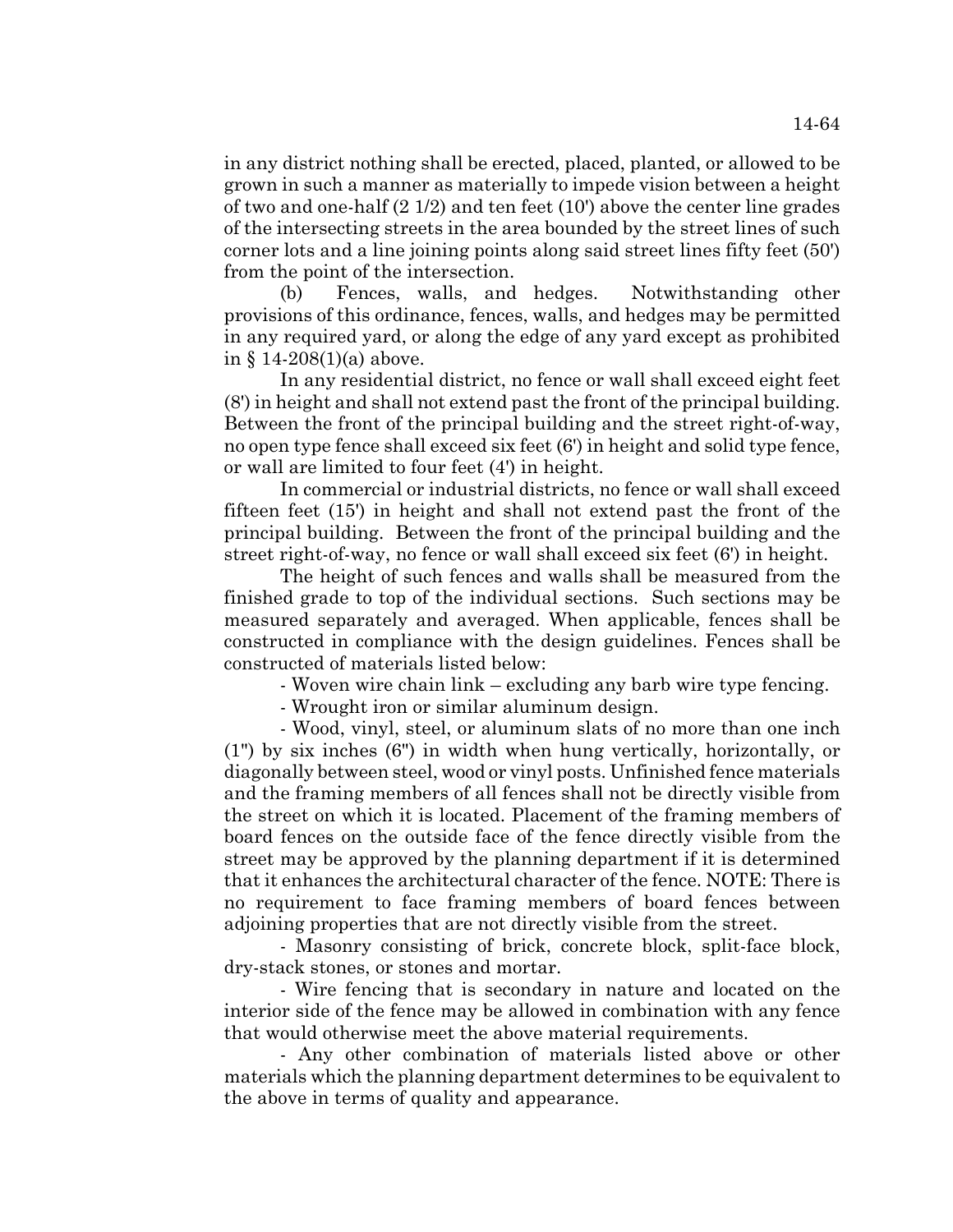in any district nothing shall be erected, placed, planted, or allowed to be grown in such a manner as materially to impede vision between a height of two and one-half (2 1/2) and ten feet (10') above the center line grades of the intersecting streets in the area bounded by the street lines of such corner lots and a line joining points along said street lines fifty feet (50') from the point of the intersection.

(b) Fences, walls, and hedges. Notwithstanding other provisions of this ordinance, fences, walls, and hedges may be permitted in any required yard, or along the edge of any yard except as prohibited in § 14-208(1)(a) above.

In any residential district, no fence or wall shall exceed eight feet (8') in height and shall not extend past the front of the principal building. Between the front of the principal building and the street right-of-way, no open type fence shall exceed six feet (6') in height and solid type fence, or wall are limited to four feet (4') in height.

In commercial or industrial districts, no fence or wall shall exceed fifteen feet (15') in height and shall not extend past the front of the principal building. Between the front of the principal building and the street right-of-way, no fence or wall shall exceed six feet (6') in height.

The height of such fences and walls shall be measured from the finished grade to top of the individual sections. Such sections may be measured separately and averaged. When applicable, fences shall be constructed in compliance with the design guidelines. Fences shall be constructed of materials listed below:

- Woven wire chain link – excluding any barb wire type fencing.

- Wrought iron or similar aluminum design.

- Wood, vinyl, steel, or aluminum slats of no more than one inch (1") by six inches (6") in width when hung vertically, horizontally, or diagonally between steel, wood or vinyl posts. Unfinished fence materials and the framing members of all fences shall not be directly visible from the street on which it is located. Placement of the framing members of board fences on the outside face of the fence directly visible from the street may be approved by the planning department if it is determined that it enhances the architectural character of the fence. NOTE: There is no requirement to face framing members of board fences between adjoining properties that are not directly visible from the street.

- Masonry consisting of brick, concrete block, split-face block, dry-stack stones, or stones and mortar.

- Wire fencing that is secondary in nature and located on the interior side of the fence may be allowed in combination with any fence that would otherwise meet the above material requirements.

- Any other combination of materials listed above or other materials which the planning department determines to be equivalent to the above in terms of quality and appearance.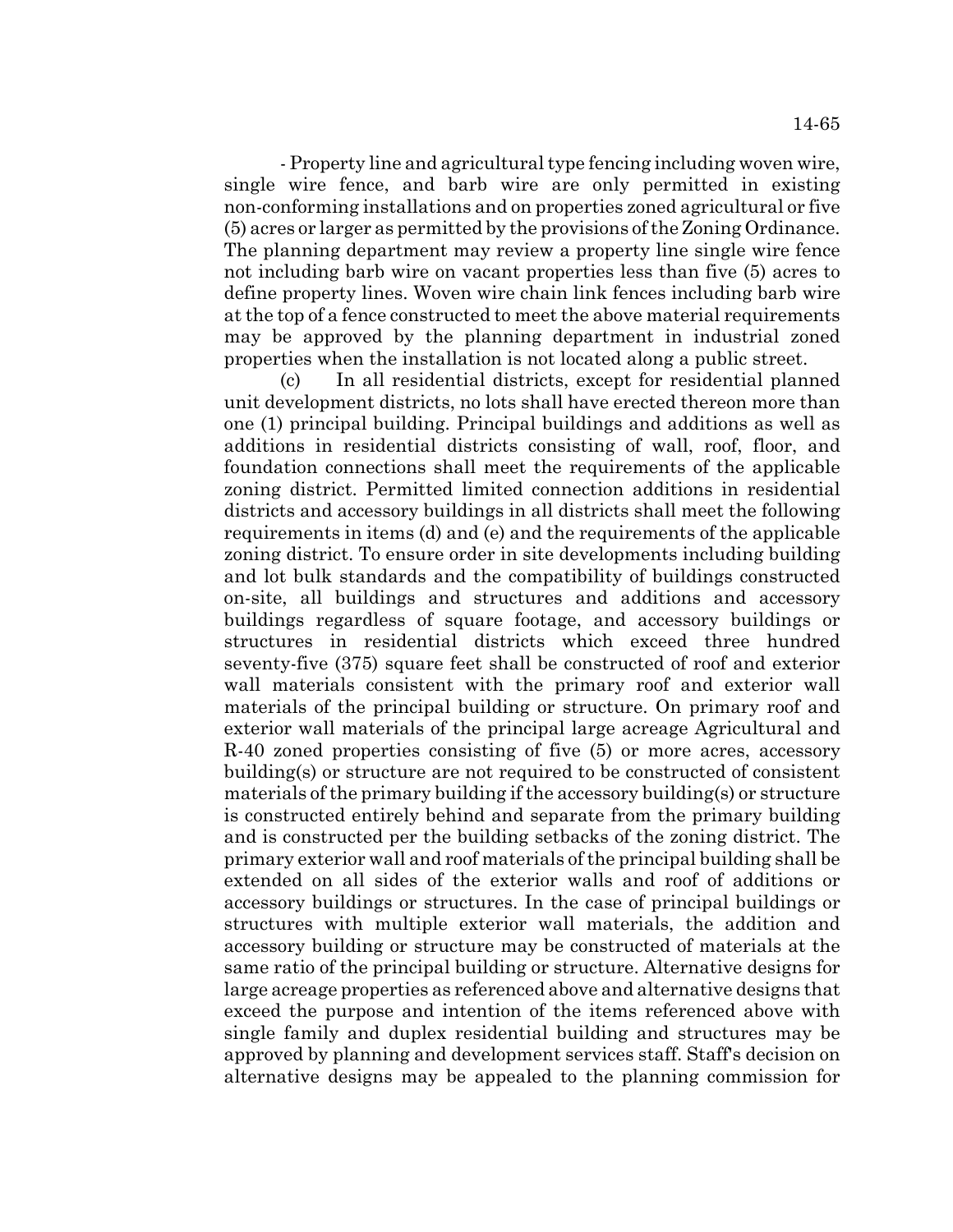- Property line and agricultural type fencing including woven wire, single wire fence, and barb wire are only permitted in existing non-conforming installations and on properties zoned agricultural or five (5) acres or larger as permitted by the provisions of the Zoning Ordinance. The planning department may review a property line single wire fence not including barb wire on vacant properties less than five (5) acres to define property lines. Woven wire chain link fences including barb wire at the top of a fence constructed to meet the above material requirements may be approved by the planning department in industrial zoned properties when the installation is not located along a public street.

(c) In all residential districts, except for residential planned unit development districts, no lots shall have erected thereon more than one (1) principal building. Principal buildings and additions as well as additions in residential districts consisting of wall, roof, floor, and foundation connections shall meet the requirements of the applicable zoning district. Permitted limited connection additions in residential districts and accessory buildings in all districts shall meet the following requirements in items (d) and (e) and the requirements of the applicable zoning district. To ensure order in site developments including building and lot bulk standards and the compatibility of buildings constructed on-site, all buildings and structures and additions and accessory buildings regardless of square footage, and accessory buildings or structures in residential districts which exceed three hundred seventy-five (375) square feet shall be constructed of roof and exterior wall materials consistent with the primary roof and exterior wall materials of the principal building or structure. On primary roof and exterior wall materials of the principal large acreage Agricultural and R-40 zoned properties consisting of five (5) or more acres, accessory building(s) or structure are not required to be constructed of consistent materials of the primary building if the accessory building(s) or structure is constructed entirely behind and separate from the primary building and is constructed per the building setbacks of the zoning district. The primary exterior wall and roof materials of the principal building shall be extended on all sides of the exterior walls and roof of additions or accessory buildings or structures. In the case of principal buildings or structures with multiple exterior wall materials, the addition and accessory building or structure may be constructed of materials at the same ratio of the principal building or structure. Alternative designs for large acreage properties as referenced above and alternative designs that exceed the purpose and intention of the items referenced above with single family and duplex residential building and structures may be approved by planning and development services staff. Staff's decision on alternative designs may be appealed to the planning commission for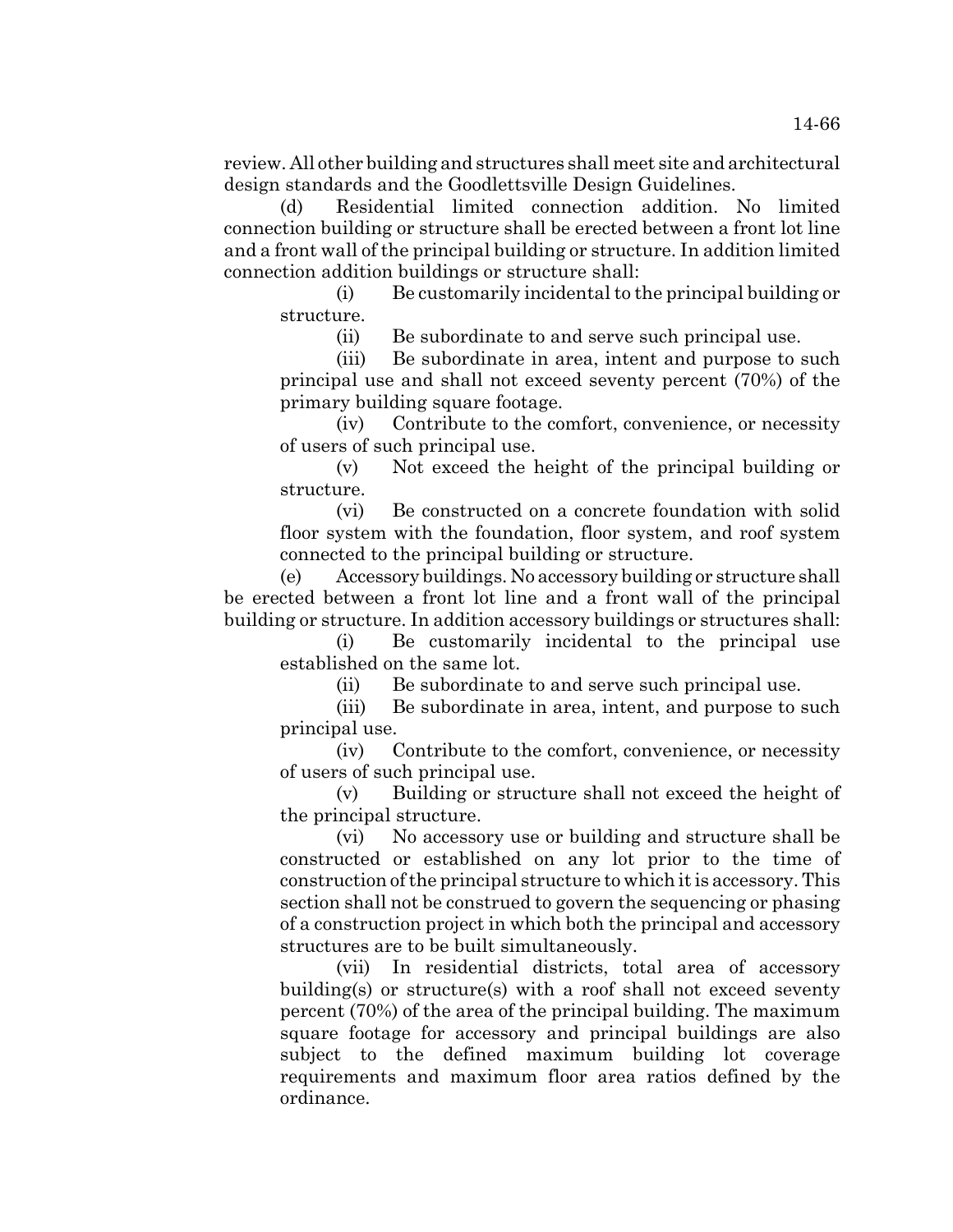review. All other building and structures shall meet site and architectural design standards and the Goodlettsville Design Guidelines.

(d) Residential limited connection addition. No limited connection building or structure shall be erected between a front lot line and a front wall of the principal building or structure. In addition limited connection addition buildings or structure shall:

(i) Be customarily incidental to the principal building or structure.

(ii) Be subordinate to and serve such principal use.

(iii) Be subordinate in area, intent and purpose to such principal use and shall not exceed seventy percent (70%) of the primary building square footage.

(iv) Contribute to the comfort, convenience, or necessity of users of such principal use.

(v) Not exceed the height of the principal building or structure.

(vi) Be constructed on a concrete foundation with solid floor system with the foundation, floor system, and roof system connected to the principal building or structure.

(e) Accessory buildings. No accessory building or structure shall be erected between a front lot line and a front wall of the principal building or structure. In addition accessory buildings or structures shall:

(i) Be customarily incidental to the principal use established on the same lot.

(ii) Be subordinate to and serve such principal use.

(iii) Be subordinate in area, intent, and purpose to such principal use.

(iv) Contribute to the comfort, convenience, or necessity of users of such principal use.

(v) Building or structure shall not exceed the height of the principal structure.

(vi) No accessory use or building and structure shall be constructed or established on any lot prior to the time of construction of the principal structure to which it is accessory. This section shall not be construed to govern the sequencing or phasing of a construction project in which both the principal and accessory structures are to be built simultaneously.

(vii) In residential districts, total area of accessory building(s) or structure(s) with a roof shall not exceed seventy percent (70%) of the area of the principal building. The maximum square footage for accessory and principal buildings are also subject to the defined maximum building lot coverage requirements and maximum floor area ratios defined by the ordinance.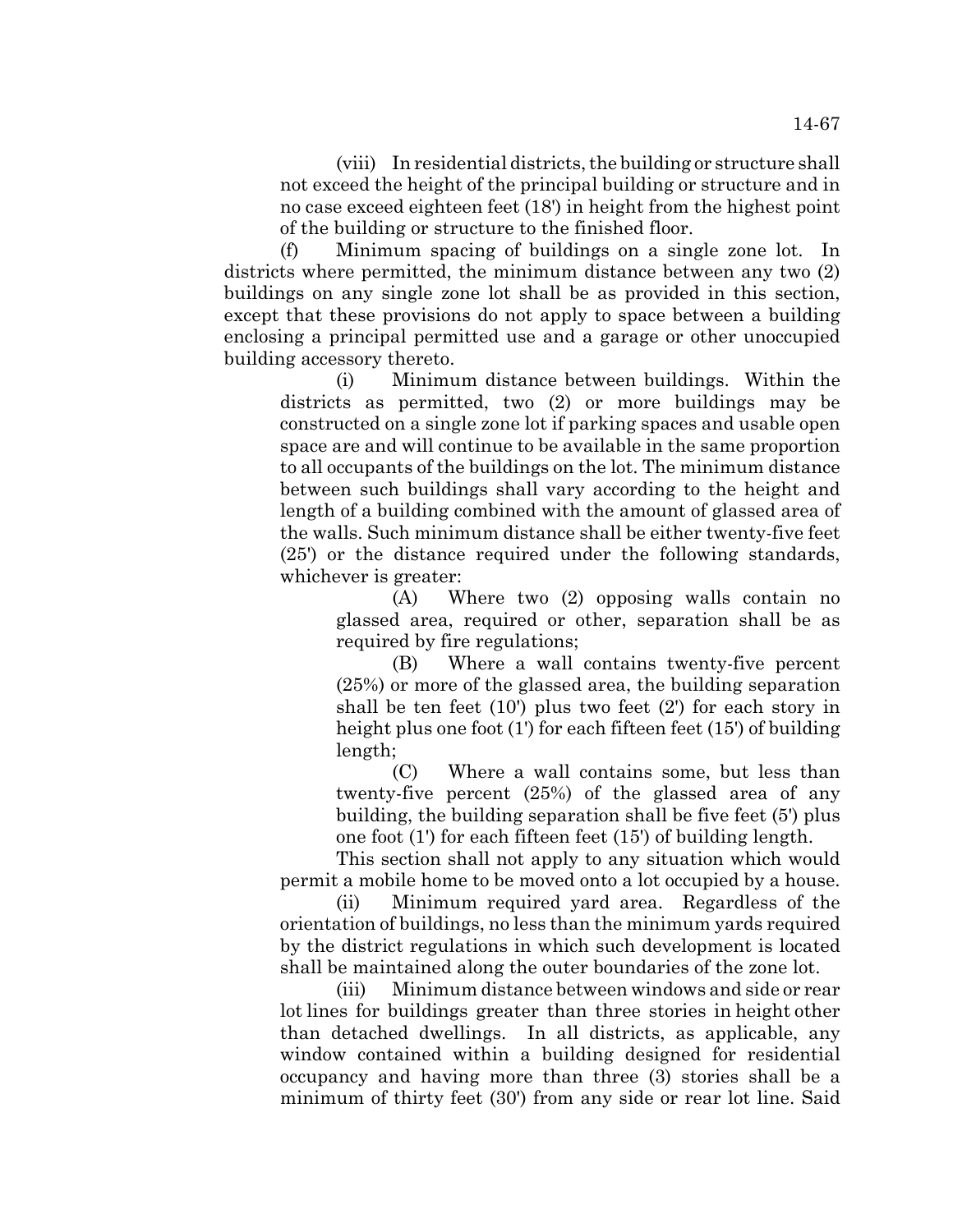(viii) In residential districts, the building or structure shall not exceed the height of the principal building or structure and in no case exceed eighteen feet (18') in height from the highest point of the building or structure to the finished floor.

(f) Minimum spacing of buildings on a single zone lot. In districts where permitted, the minimum distance between any two (2) buildings on any single zone lot shall be as provided in this section, except that these provisions do not apply to space between a building enclosing a principal permitted use and a garage or other unoccupied building accessory thereto.

(i) Minimum distance between buildings. Within the districts as permitted, two (2) or more buildings may be constructed on a single zone lot if parking spaces and usable open space are and will continue to be available in the same proportion to all occupants of the buildings on the lot. The minimum distance between such buildings shall vary according to the height and length of a building combined with the amount of glassed area of the walls. Such minimum distance shall be either twenty-five feet (25') or the distance required under the following standards, whichever is greater:

> (A) Where two (2) opposing walls contain no glassed area, required or other, separation shall be as required by fire regulations;

> (B) Where a wall contains twenty-five percent (25%) or more of the glassed area, the building separation shall be ten feet (10') plus two feet (2') for each story in height plus one foot (1') for each fifteen feet (15') of building length;

> (C) Where a wall contains some, but less than twenty-five percent (25%) of the glassed area of any building, the building separation shall be five feet (5') plus one foot (1') for each fifteen feet (15') of building length.

This section shall not apply to any situation which would permit a mobile home to be moved onto a lot occupied by a house.

(ii) Minimum required yard area. Regardless of the orientation of buildings, no less than the minimum yards required by the district regulations in which such development is located shall be maintained along the outer boundaries of the zone lot.

(iii) Minimum distance between windows and side or rear lot lines for buildings greater than three stories in height other than detached dwellings. In all districts, as applicable, any window contained within a building designed for residential occupancy and having more than three (3) stories shall be a minimum of thirty feet (30') from any side or rear lot line. Said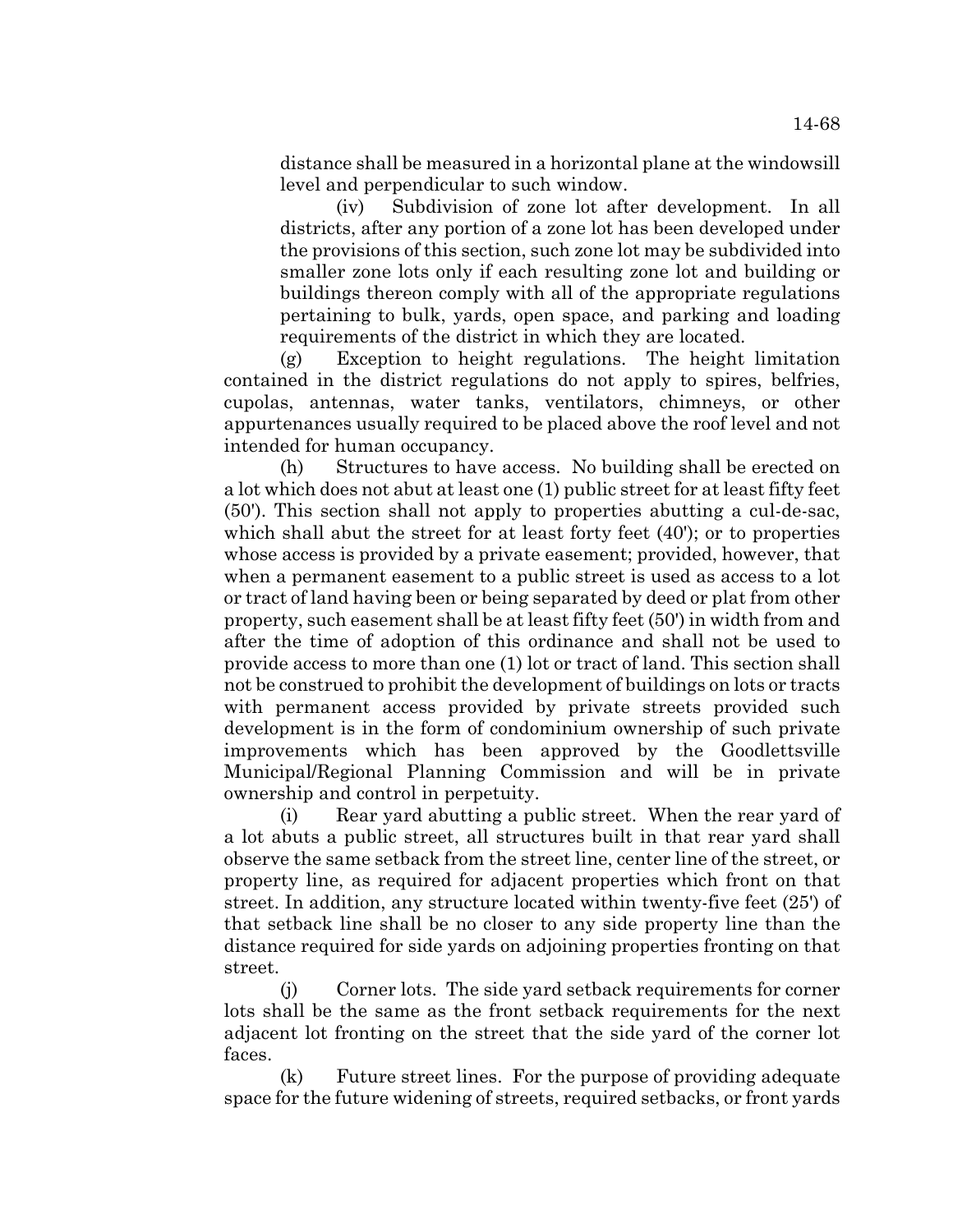distance shall be measured in a horizontal plane at the windowsill level and perpendicular to such window.

(iv) Subdivision of zone lot after development. In all districts, after any portion of a zone lot has been developed under the provisions of this section, such zone lot may be subdivided into smaller zone lots only if each resulting zone lot and building or buildings thereon comply with all of the appropriate regulations pertaining to bulk, yards, open space, and parking and loading requirements of the district in which they are located.

(g) Exception to height regulations. The height limitation contained in the district regulations do not apply to spires, belfries, cupolas, antennas, water tanks, ventilators, chimneys, or other appurtenances usually required to be placed above the roof level and not intended for human occupancy.

(h) Structures to have access. No building shall be erected on a lot which does not abut at least one (1) public street for at least fifty feet (50'). This section shall not apply to properties abutting a cul-de-sac, which shall abut the street for at least forty feet (40'); or to properties whose access is provided by a private easement; provided, however, that when a permanent easement to a public street is used as access to a lot or tract of land having been or being separated by deed or plat from other property, such easement shall be at least fifty feet (50') in width from and after the time of adoption of this ordinance and shall not be used to provide access to more than one (1) lot or tract of land. This section shall not be construed to prohibit the development of buildings on lots or tracts with permanent access provided by private streets provided such development is in the form of condominium ownership of such private improvements which has been approved by the Goodlettsville Municipal/Regional Planning Commission and will be in private ownership and control in perpetuity.

(i) Rear yard abutting a public street. When the rear yard of a lot abuts a public street, all structures built in that rear yard shall observe the same setback from the street line, center line of the street, or property line, as required for adjacent properties which front on that street. In addition, any structure located within twenty-five feet (25') of that setback line shall be no closer to any side property line than the distance required for side yards on adjoining properties fronting on that street.

(j) Corner lots. The side yard setback requirements for corner lots shall be the same as the front setback requirements for the next adjacent lot fronting on the street that the side yard of the corner lot faces.

(k) Future street lines. For the purpose of providing adequate space for the future widening of streets, required setbacks, or front yards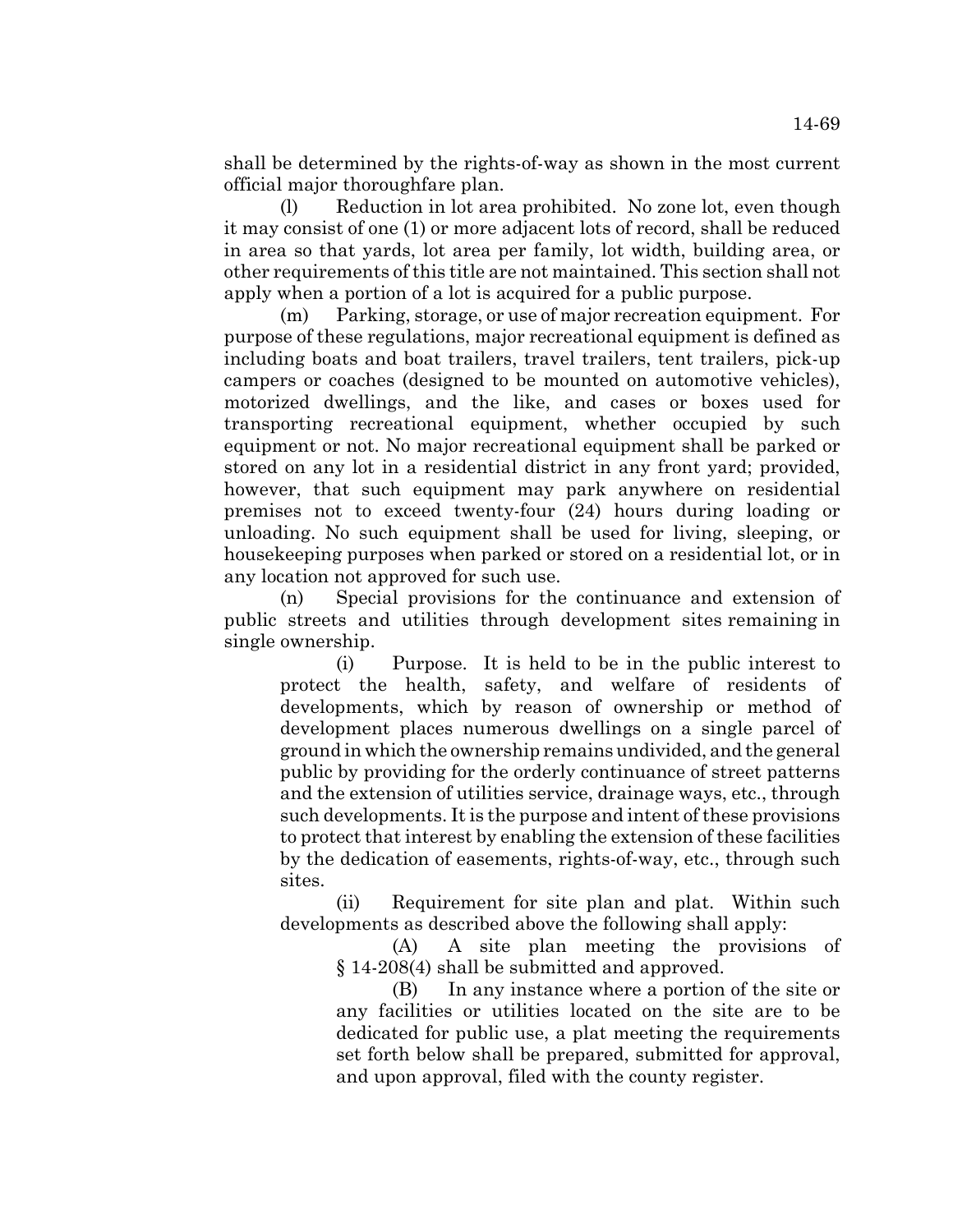shall be determined by the rights-of-way as shown in the most current official major thoroughfare plan.

(l) Reduction in lot area prohibited. No zone lot, even though it may consist of one (1) or more adjacent lots of record, shall be reduced in area so that yards, lot area per family, lot width, building area, or other requirements of this title are not maintained. This section shall not apply when a portion of a lot is acquired for a public purpose.

(m) Parking, storage, or use of major recreation equipment. For purpose of these regulations, major recreational equipment is defined as including boats and boat trailers, travel trailers, tent trailers, pick-up campers or coaches (designed to be mounted on automotive vehicles), motorized dwellings, and the like, and cases or boxes used for transporting recreational equipment, whether occupied by such equipment or not. No major recreational equipment shall be parked or stored on any lot in a residential district in any front yard; provided, however, that such equipment may park anywhere on residential premises not to exceed twenty-four (24) hours during loading or unloading. No such equipment shall be used for living, sleeping, or housekeeping purposes when parked or stored on a residential lot, or in any location not approved for such use.

(n) Special provisions for the continuance and extension of public streets and utilities through development sites remaining in single ownership.

(i) Purpose. It is held to be in the public interest to protect the health, safety, and welfare of residents of developments, which by reason of ownership or method of development places numerous dwellings on a single parcel of ground in which the ownership remains undivided, and the general public by providing for the orderly continuance of street patterns and the extension of utilities service, drainage ways, etc., through such developments. It is the purpose and intent of these provisions to protect that interest by enabling the extension of these facilities by the dedication of easements, rights-of-way, etc., through such sites.

(ii) Requirement for site plan and plat. Within such developments as described above the following shall apply:

(A) A site plan meeting the provisions of § 14-208(4) shall be submitted and approved.

(B) In any instance where a portion of the site or any facilities or utilities located on the site are to be dedicated for public use, a plat meeting the requirements set forth below shall be prepared, submitted for approval, and upon approval, filed with the county register.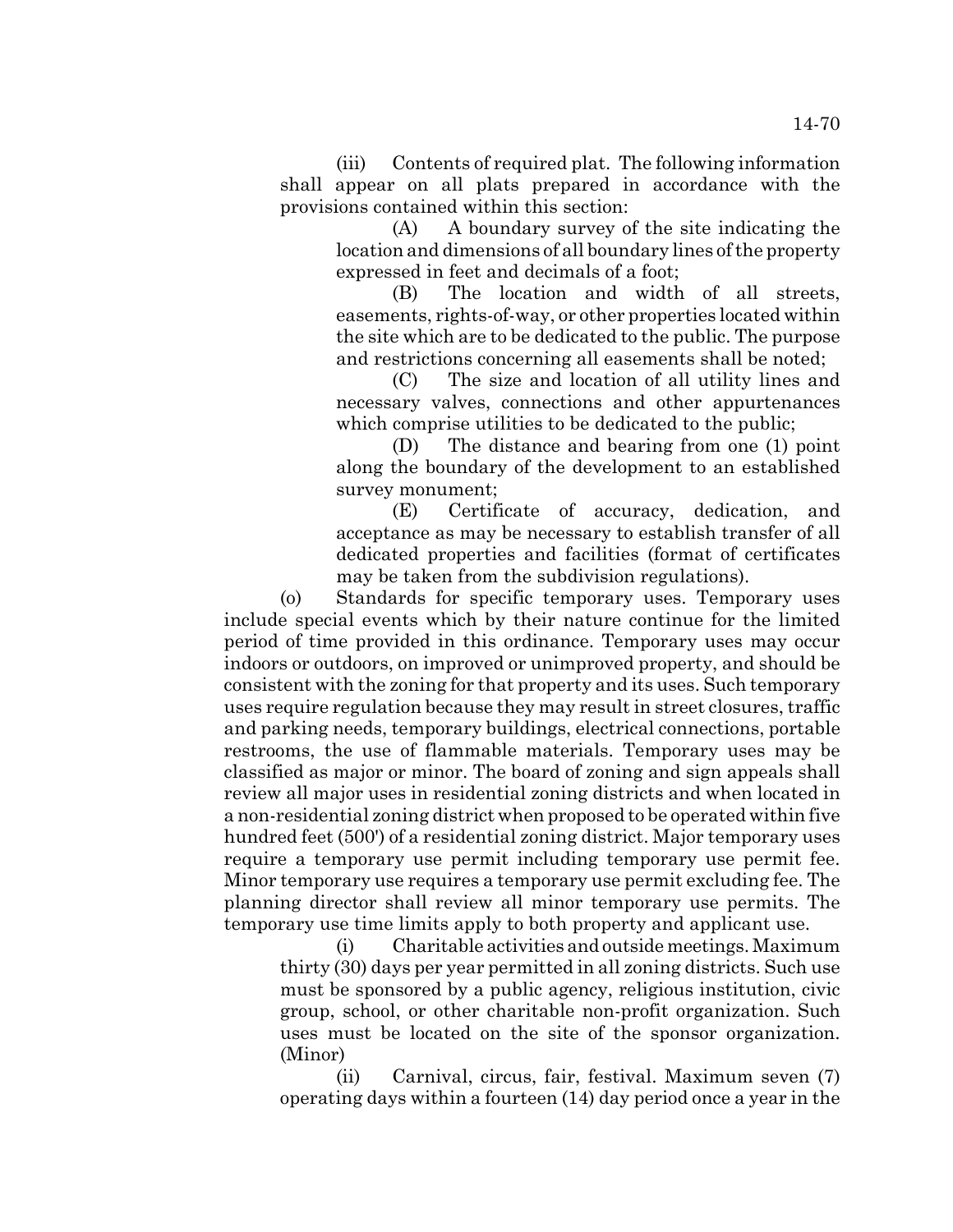(iii) Contents of required plat. The following information shall appear on all plats prepared in accordance with the provisions contained within this section:

(A) A boundary survey of the site indicating the location and dimensions of all boundary lines of the property expressed in feet and decimals of a foot;

(B) The location and width of all streets, easements, rights-of-way, or other properties located within the site which are to be dedicated to the public. The purpose and restrictions concerning all easements shall be noted;

(C) The size and location of all utility lines and necessary valves, connections and other appurtenances which comprise utilities to be dedicated to the public;

(D) The distance and bearing from one (1) point along the boundary of the development to an established survey monument;

(E) Certificate of accuracy, dedication, and acceptance as may be necessary to establish transfer of all dedicated properties and facilities (format of certificates may be taken from the subdivision regulations).

(o) Standards for specific temporary uses. Temporary uses include special events which by their nature continue for the limited period of time provided in this ordinance. Temporary uses may occur indoors or outdoors, on improved or unimproved property, and should be consistent with the zoning for that property and its uses. Such temporary uses require regulation because they may result in street closures, traffic and parking needs, temporary buildings, electrical connections, portable restrooms, the use of flammable materials. Temporary uses may be classified as major or minor. The board of zoning and sign appeals shall review all major uses in residential zoning districts and when located in a non-residential zoning district when proposed to be operated within five hundred feet (500') of a residential zoning district. Major temporary uses require a temporary use permit including temporary use permit fee. Minor temporary use requires a temporary use permit excluding fee. The planning director shall review all minor temporary use permits. The temporary use time limits apply to both property and applicant use.

(i) Charitable activities and outside meetings. Maximum thirty (30) days per year permitted in all zoning districts. Such use must be sponsored by a public agency, religious institution, civic group, school, or other charitable non-profit organization. Such uses must be located on the site of the sponsor organization. (Minor)

(ii) Carnival, circus, fair, festival. Maximum seven (7) operating days within a fourteen (14) day period once a year in the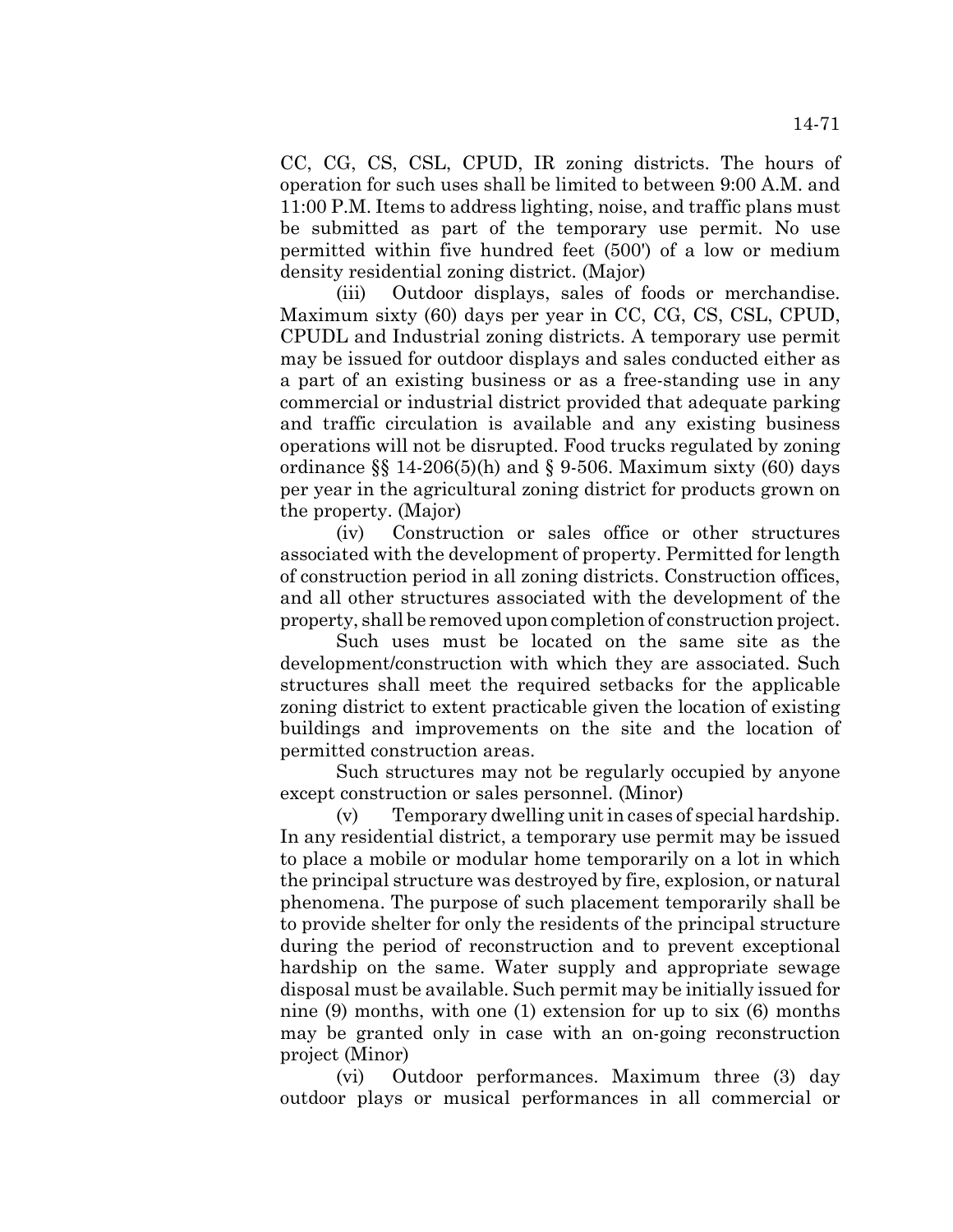CC, CG, CS, CSL, CPUD, IR zoning districts. The hours of operation for such uses shall be limited to between 9:00 A.M. and 11:00 P.M. Items to address lighting, noise, and traffic plans must be submitted as part of the temporary use permit. No use permitted within five hundred feet (500') of a low or medium density residential zoning district. (Major)

(iii) Outdoor displays, sales of foods or merchandise. Maximum sixty (60) days per year in CC, CG, CS, CSL, CPUD, CPUDL and Industrial zoning districts. A temporary use permit may be issued for outdoor displays and sales conducted either as a part of an existing business or as a free-standing use in any commercial or industrial district provided that adequate parking and traffic circulation is available and any existing business operations will not be disrupted. Food trucks regulated by zoning ordinance  $\S$  14-206(5)(h) and  $\S$  9-506. Maximum sixty (60) days per year in the agricultural zoning district for products grown on the property. (Major)

(iv) Construction or sales office or other structures associated with the development of property. Permitted for length of construction period in all zoning districts. Construction offices, and all other structures associated with the development of the property, shall be removed upon completion of construction project.

Such uses must be located on the same site as the development/construction with which they are associated. Such structures shall meet the required setbacks for the applicable zoning district to extent practicable given the location of existing buildings and improvements on the site and the location of permitted construction areas.

Such structures may not be regularly occupied by anyone except construction or sales personnel. (Minor)

(v) Temporary dwelling unit in cases of special hardship. In any residential district, a temporary use permit may be issued to place a mobile or modular home temporarily on a lot in which the principal structure was destroyed by fire, explosion, or natural phenomena. The purpose of such placement temporarily shall be to provide shelter for only the residents of the principal structure during the period of reconstruction and to prevent exceptional hardship on the same. Water supply and appropriate sewage disposal must be available. Such permit may be initially issued for nine (9) months, with one (1) extension for up to six (6) months may be granted only in case with an on-going reconstruction project (Minor)

(vi) Outdoor performances. Maximum three (3) day outdoor plays or musical performances in all commercial or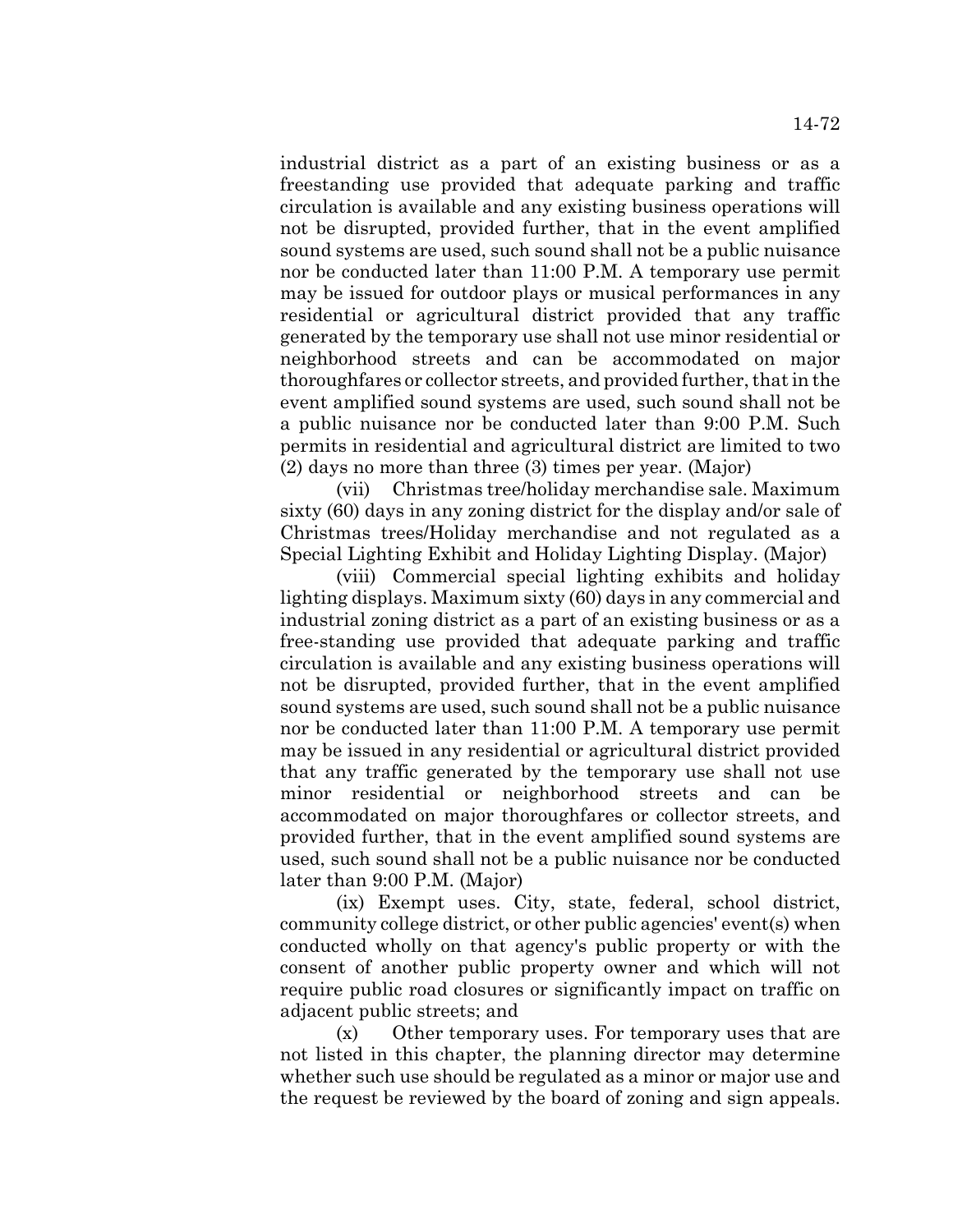industrial district as a part of an existing business or as a freestanding use provided that adequate parking and traffic circulation is available and any existing business operations will not be disrupted, provided further, that in the event amplified sound systems are used, such sound shall not be a public nuisance nor be conducted later than 11:00 P.M. A temporary use permit may be issued for outdoor plays or musical performances in any residential or agricultural district provided that any traffic generated by the temporary use shall not use minor residential or neighborhood streets and can be accommodated on major thoroughfares or collector streets, and provided further, that in the event amplified sound systems are used, such sound shall not be a public nuisance nor be conducted later than 9:00 P.M. Such permits in residential and agricultural district are limited to two (2) days no more than three (3) times per year. (Major)

(vii) Christmas tree/holiday merchandise sale. Maximum sixty (60) days in any zoning district for the display and/or sale of Christmas trees/Holiday merchandise and not regulated as a Special Lighting Exhibit and Holiday Lighting Display. (Major)

(viii) Commercial special lighting exhibits and holiday lighting displays. Maximum sixty (60) days in any commercial and industrial zoning district as a part of an existing business or as a free-standing use provided that adequate parking and traffic circulation is available and any existing business operations will not be disrupted, provided further, that in the event amplified sound systems are used, such sound shall not be a public nuisance nor be conducted later than 11:00 P.M. A temporary use permit may be issued in any residential or agricultural district provided that any traffic generated by the temporary use shall not use minor residential or neighborhood streets and can be accommodated on major thoroughfares or collector streets, and provided further, that in the event amplified sound systems are used, such sound shall not be a public nuisance nor be conducted later than 9:00 P.M. (Major)

(ix) Exempt uses. City, state, federal, school district, community college district, or other public agencies' event(s) when conducted wholly on that agency's public property or with the consent of another public property owner and which will not require public road closures or significantly impact on traffic on adjacent public streets; and

(x) Other temporary uses. For temporary uses that are not listed in this chapter, the planning director may determine whether such use should be regulated as a minor or major use and the request be reviewed by the board of zoning and sign appeals.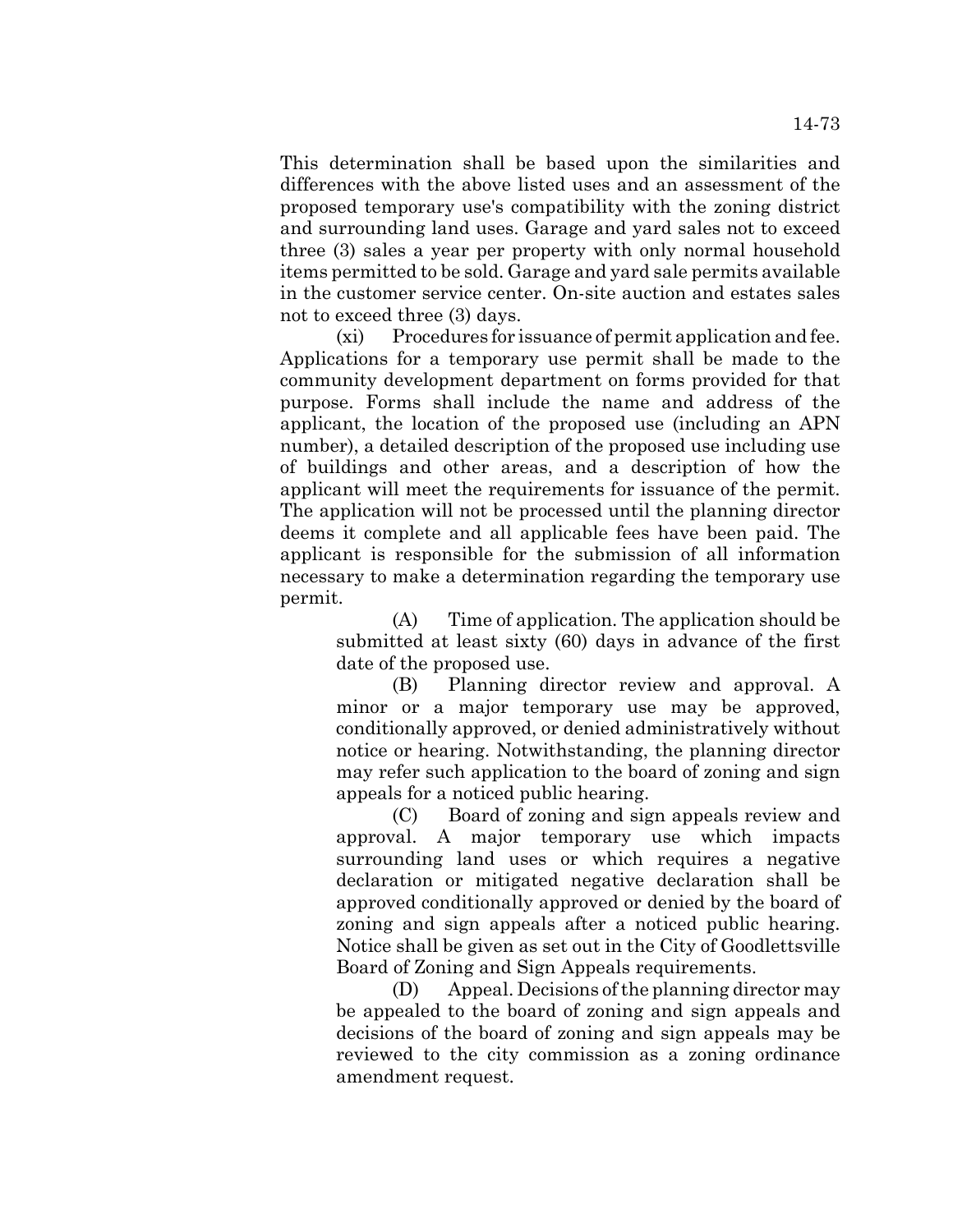This determination shall be based upon the similarities and differences with the above listed uses and an assessment of the proposed temporary use's compatibility with the zoning district and surrounding land uses. Garage and yard sales not to exceed three (3) sales a year per property with only normal household items permitted to be sold. Garage and yard sale permits available in the customer service center. On-site auction and estates sales not to exceed three (3) days.

(xi) Procedures for issuance of permit application and fee. Applications for a temporary use permit shall be made to the community development department on forms provided for that purpose. Forms shall include the name and address of the applicant, the location of the proposed use (including an APN number), a detailed description of the proposed use including use of buildings and other areas, and a description of how the applicant will meet the requirements for issuance of the permit. The application will not be processed until the planning director deems it complete and all applicable fees have been paid. The applicant is responsible for the submission of all information necessary to make a determination regarding the temporary use permit.

(A) Time of application. The application should be submitted at least sixty (60) days in advance of the first date of the proposed use.

(B) Planning director review and approval. A minor or a major temporary use may be approved, conditionally approved, or denied administratively without notice or hearing. Notwithstanding, the planning director may refer such application to the board of zoning and sign appeals for a noticed public hearing.

(C) Board of zoning and sign appeals review and approval. A major temporary use which impacts surrounding land uses or which requires a negative declaration or mitigated negative declaration shall be approved conditionally approved or denied by the board of zoning and sign appeals after a noticed public hearing. Notice shall be given as set out in the City of Goodlettsville Board of Zoning and Sign Appeals requirements.

(D) Appeal. Decisions of the planning director may be appealed to the board of zoning and sign appeals and decisions of the board of zoning and sign appeals may be reviewed to the city commission as a zoning ordinance amendment request.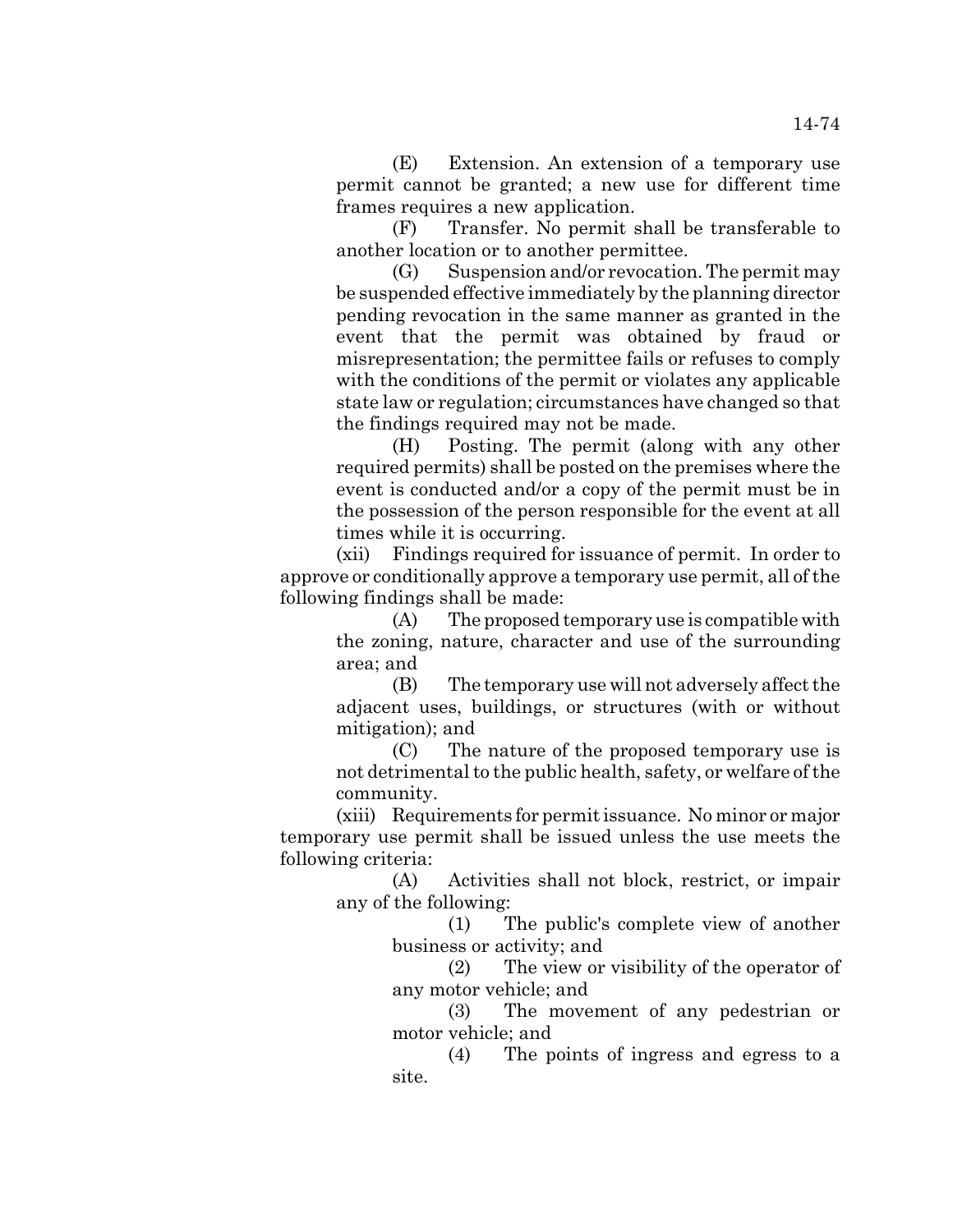(E) Extension. An extension of a temporary use permit cannot be granted; a new use for different time frames requires a new application.

(F) Transfer. No permit shall be transferable to another location or to another permittee.

(G) Suspension and/or revocation. The permit may be suspended effective immediately by the planning director pending revocation in the same manner as granted in the event that the permit was obtained by fraud or misrepresentation; the permittee fails or refuses to comply with the conditions of the permit or violates any applicable state law or regulation; circumstances have changed so that the findings required may not be made.

(H) Posting. The permit (along with any other required permits) shall be posted on the premises where the event is conducted and/or a copy of the permit must be in the possession of the person responsible for the event at all times while it is occurring.

(xii) Findings required for issuance of permit. In order to approve or conditionally approve a temporary use permit, all of the following findings shall be made:

> (A) The proposed temporary use is compatible with the zoning, nature, character and use of the surrounding area; and

> (B) The temporary use will not adversely affect the adjacent uses, buildings, or structures (with or without mitigation); and

> (C) The nature of the proposed temporary use is not detrimental to the public health, safety, or welfare of the community.

(xiii) Requirements for permit issuance. No minor or major temporary use permit shall be issued unless the use meets the following criteria:

(A) Activities shall not block, restrict, or impair any of the following:

> (1) The public's complete view of another business or activity; and

> (2) The view or visibility of the operator of any motor vehicle; and

> (3) The movement of any pedestrian or motor vehicle; and

(4) The points of ingress and egress to a site.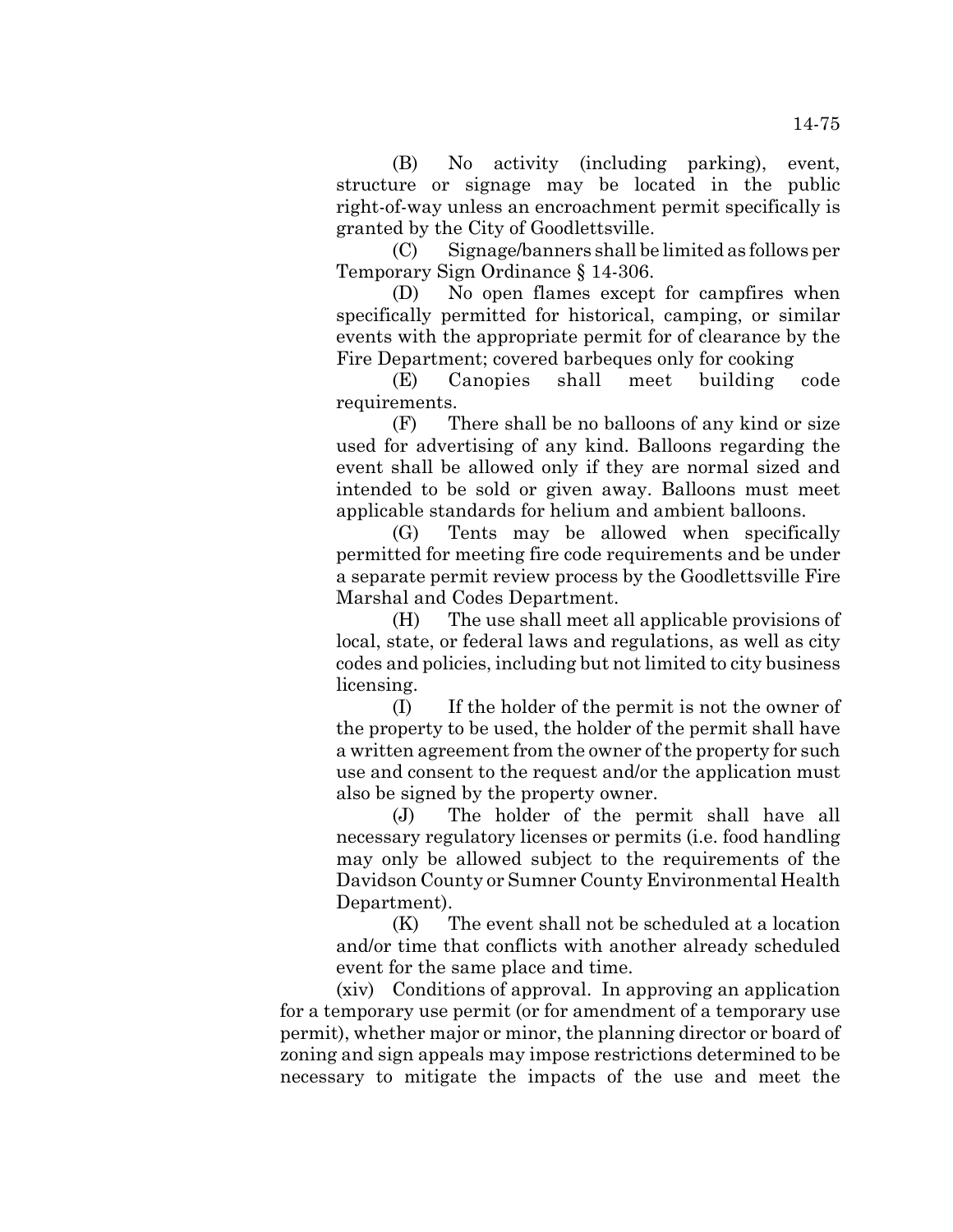(B) No activity (including parking), event, structure or signage may be located in the public right-of-way unless an encroachment permit specifically is granted by the City of Goodlettsville.

(C) Signage/banners shall be limited as follows per Temporary Sign Ordinance § 14-306.

(D) No open flames except for campfires when specifically permitted for historical, camping, or similar events with the appropriate permit for of clearance by the Fire Department; covered barbeques only for cooking

(E) Canopies shall meet building code requirements.

(F) There shall be no balloons of any kind or size used for advertising of any kind. Balloons regarding the event shall be allowed only if they are normal sized and intended to be sold or given away. Balloons must meet applicable standards for helium and ambient balloons.

(G) Tents may be allowed when specifically permitted for meeting fire code requirements and be under a separate permit review process by the Goodlettsville Fire Marshal and Codes Department.

(H) The use shall meet all applicable provisions of local, state, or federal laws and regulations, as well as city codes and policies, including but not limited to city business licensing.

(I) If the holder of the permit is not the owner of the property to be used, the holder of the permit shall have a written agreement from the owner of the property for such use and consent to the request and/or the application must also be signed by the property owner.

(J) The holder of the permit shall have all necessary regulatory licenses or permits (i.e. food handling may only be allowed subject to the requirements of the Davidson County or Sumner County Environmental Health Department).

(K) The event shall not be scheduled at a location and/or time that conflicts with another already scheduled event for the same place and time.

(xiv) Conditions of approval. In approving an application for a temporary use permit (or for amendment of a temporary use permit), whether major or minor, the planning director or board of zoning and sign appeals may impose restrictions determined to be necessary to mitigate the impacts of the use and meet the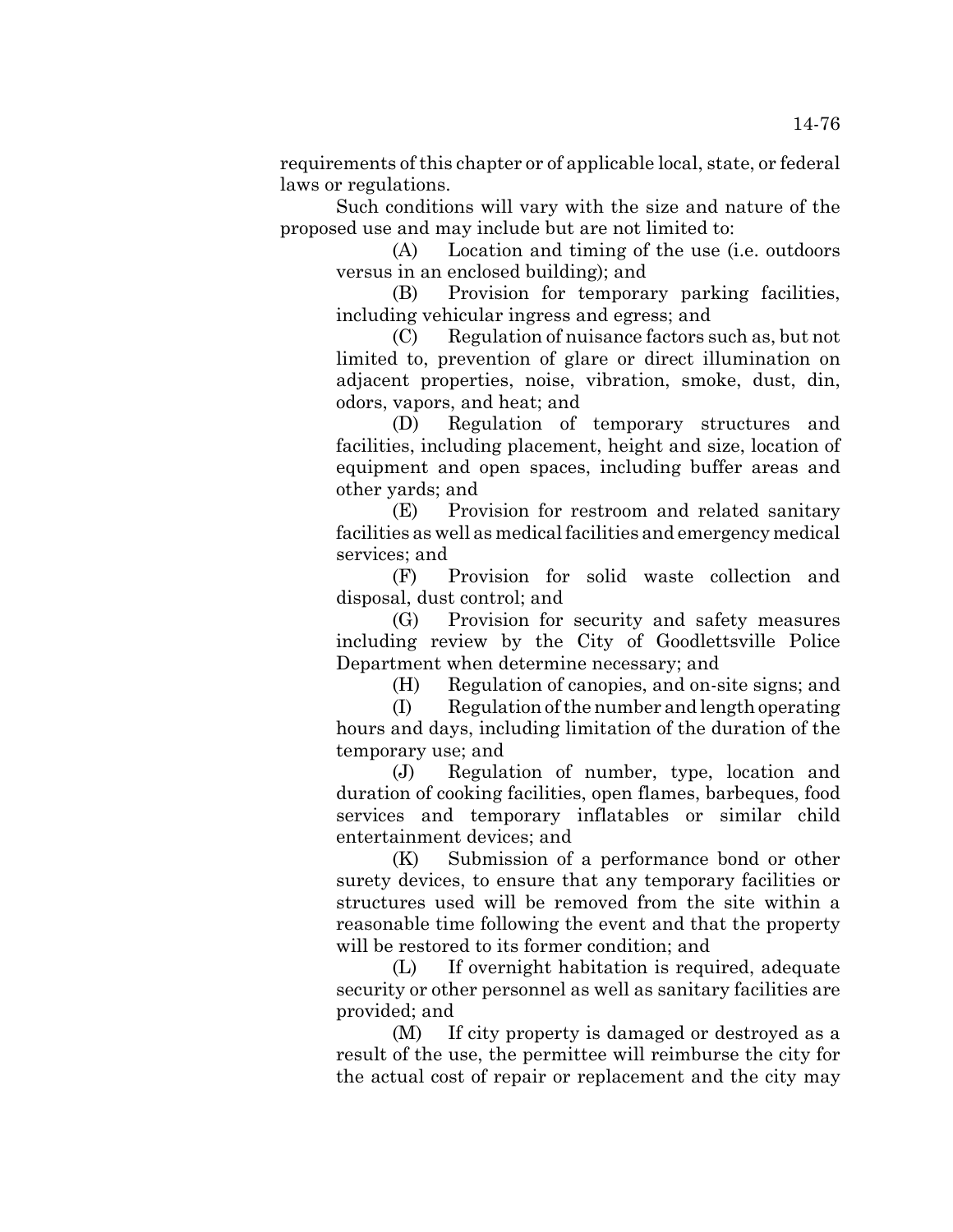requirements of this chapter or of applicable local, state, or federal laws or regulations.

Such conditions will vary with the size and nature of the proposed use and may include but are not limited to:

(A) Location and timing of the use (i.e. outdoors versus in an enclosed building); and

(B) Provision for temporary parking facilities, including vehicular ingress and egress; and

(C) Regulation of nuisance factors such as, but not limited to, prevention of glare or direct illumination on adjacent properties, noise, vibration, smoke, dust, din, odors, vapors, and heat; and

(D) Regulation of temporary structures and facilities, including placement, height and size, location of equipment and open spaces, including buffer areas and other yards; and

(E) Provision for restroom and related sanitary facilities as well as medical facilities and emergency medical services; and

(F) Provision for solid waste collection and disposal, dust control; and

(G) Provision for security and safety measures including review by the City of Goodlettsville Police Department when determine necessary; and

(H) Regulation of canopies, and on-site signs; and

(I) Regulation of the number and length operating hours and days, including limitation of the duration of the temporary use; and

(J) Regulation of number, type, location and duration of cooking facilities, open flames, barbeques, food services and temporary inflatables or similar child entertainment devices; and

(K) Submission of a performance bond or other surety devices, to ensure that any temporary facilities or structures used will be removed from the site within a reasonable time following the event and that the property will be restored to its former condition; and

(L) If overnight habitation is required, adequate security or other personnel as well as sanitary facilities are provided; and

(M) If city property is damaged or destroyed as a result of the use, the permittee will reimburse the city for the actual cost of repair or replacement and the city may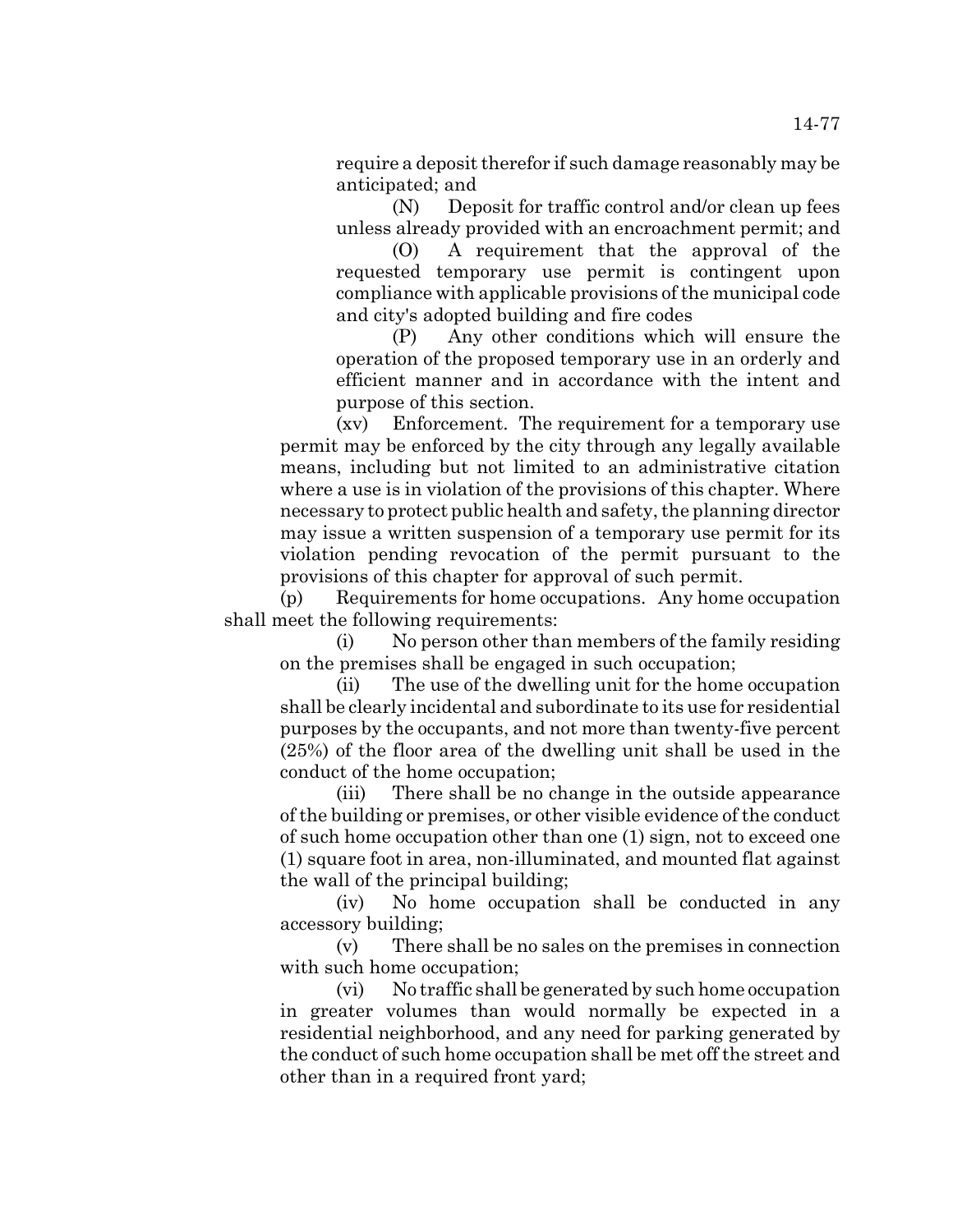anticipated; and (N) Deposit for traffic control and/or clean up fees

unless already provided with an encroachment permit; and (O) A requirement that the approval of the requested temporary use permit is contingent upon

compliance with applicable provisions of the municipal code and city's adopted building and fire codes

(P) Any other conditions which will ensure the operation of the proposed temporary use in an orderly and efficient manner and in accordance with the intent and purpose of this section.

(xv) Enforcement. The requirement for a temporary use permit may be enforced by the city through any legally available means, including but not limited to an administrative citation where a use is in violation of the provisions of this chapter. Where necessary to protect public health and safety, the planning director may issue a written suspension of a temporary use permit for its violation pending revocation of the permit pursuant to the provisions of this chapter for approval of such permit.

(p) Requirements for home occupations. Any home occupation shall meet the following requirements:

(i) No person other than members of the family residing on the premises shall be engaged in such occupation;

(ii) The use of the dwelling unit for the home occupation shall be clearly incidental and subordinate to its use for residential purposes by the occupants, and not more than twenty-five percent (25%) of the floor area of the dwelling unit shall be used in the conduct of the home occupation;

(iii) There shall be no change in the outside appearance of the building or premises, or other visible evidence of the conduct of such home occupation other than one (1) sign, not to exceed one (1) square foot in area, non-illuminated, and mounted flat against the wall of the principal building;

(iv) No home occupation shall be conducted in any accessory building;

(v) There shall be no sales on the premises in connection with such home occupation;

(vi) No traffic shall be generated by such home occupation in greater volumes than would normally be expected in a residential neighborhood, and any need for parking generated by the conduct of such home occupation shall be met off the street and other than in a required front yard;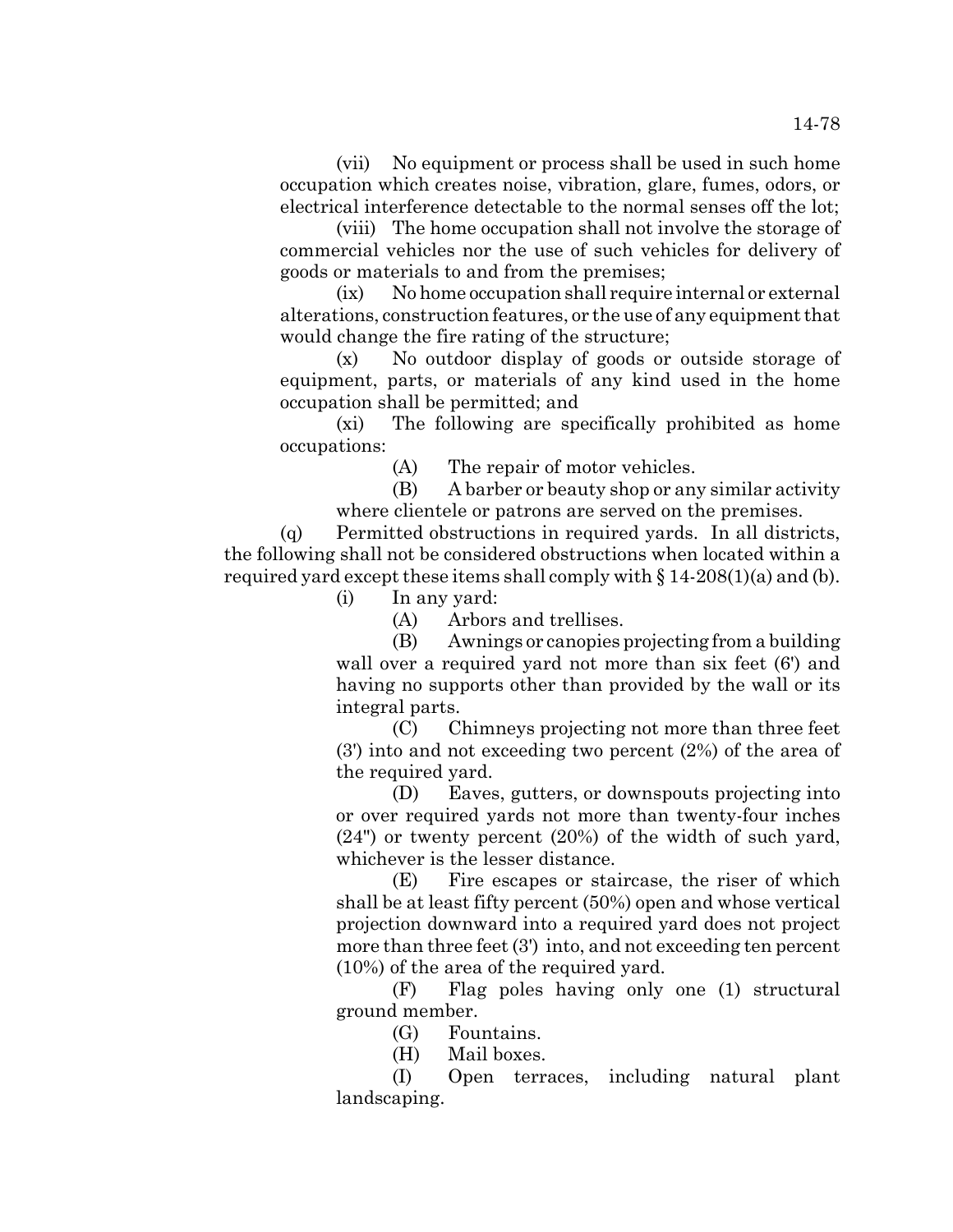(vii) No equipment or process shall be used in such home occupation which creates noise, vibration, glare, fumes, odors, or electrical interference detectable to the normal senses off the lot;

(viii) The home occupation shall not involve the storage of commercial vehicles nor the use of such vehicles for delivery of goods or materials to and from the premises;

(ix) No home occupation shall require internal or external alterations, construction features, or the use of any equipment that would change the fire rating of the structure;

(x) No outdoor display of goods or outside storage of equipment, parts, or materials of any kind used in the home occupation shall be permitted; and

(xi) The following are specifically prohibited as home occupations:

(A) The repair of motor vehicles.

(B) A barber or beauty shop or any similar activity where clientele or patrons are served on the premises.

(q) Permitted obstructions in required yards. In all districts, the following shall not be considered obstructions when located within a required yard except these items shall comply with  $\S 14-208(1)(a)$  and (b).

(i) In any yard:

(A) Arbors and trellises.

(B) Awnings or canopies projecting from a building wall over a required yard not more than six feet (6') and having no supports other than provided by the wall or its integral parts.

(C) Chimneys projecting not more than three feet (3') into and not exceeding two percent (2%) of the area of the required yard.

(D) Eaves, gutters, or downspouts projecting into or over required yards not more than twenty-four inches (24") or twenty percent (20%) of the width of such yard, whichever is the lesser distance.

(E) Fire escapes or staircase, the riser of which shall be at least fifty percent (50%) open and whose vertical projection downward into a required yard does not project more than three feet (3') into, and not exceeding ten percent (10%) of the area of the required yard.

(F) Flag poles having only one (1) structural ground member.

(G) Fountains.

(H) Mail boxes.

(I) Open terraces, including natural plant landscaping.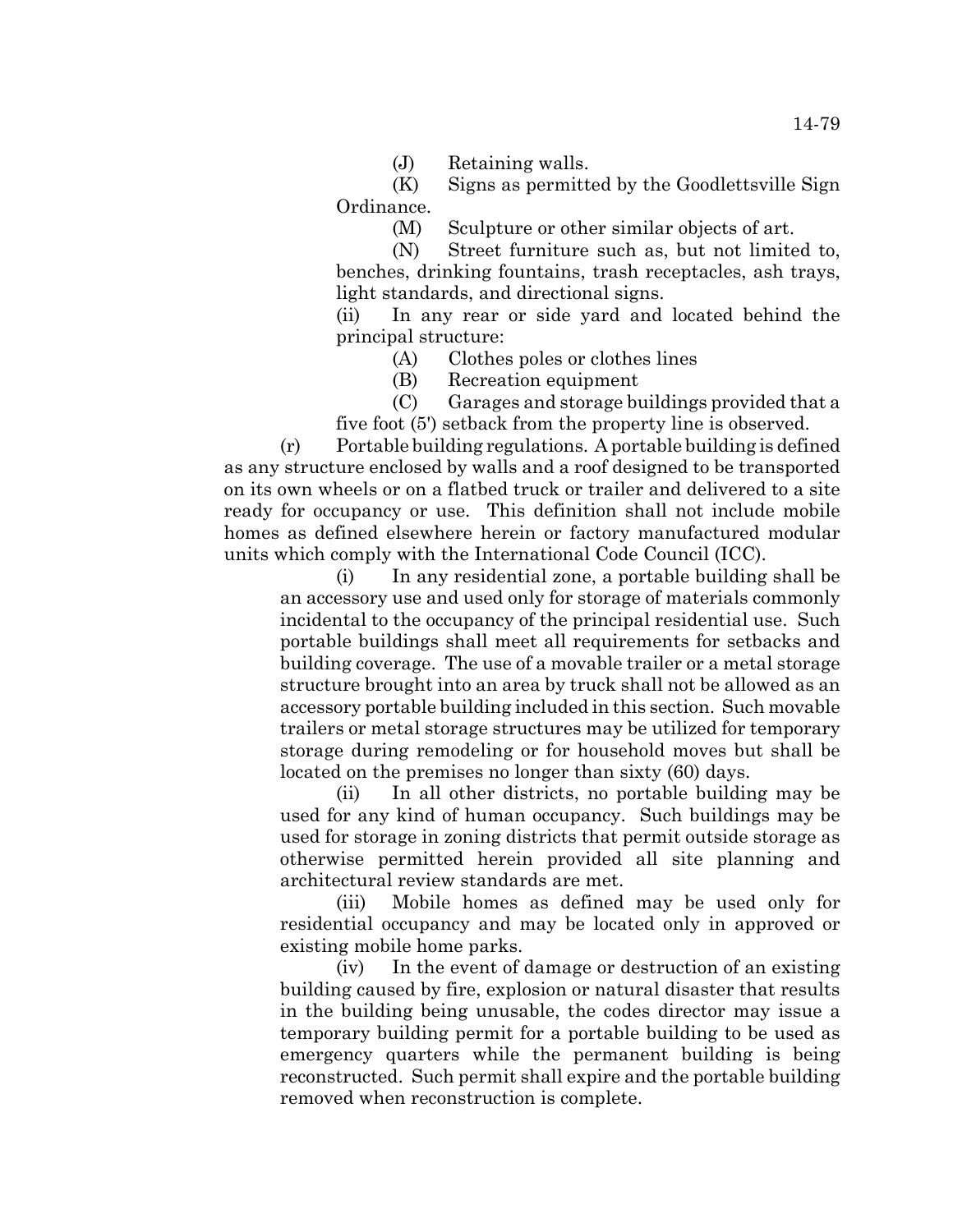(J) Retaining walls.

(K) Signs as permitted by the Goodlettsville Sign Ordinance.

(M) Sculpture or other similar objects of art.

(N) Street furniture such as, but not limited to, benches, drinking fountains, trash receptacles, ash trays, light standards, and directional signs.

(ii) In any rear or side yard and located behind the principal structure:

- (A) Clothes poles or clothes lines
- (B) Recreation equipment

(C) Garages and storage buildings provided that a five foot (5') setback from the property line is observed.

(r) Portable building regulations. A portable building is defined as any structure enclosed by walls and a roof designed to be transported on its own wheels or on a flatbed truck or trailer and delivered to a site ready for occupancy or use. This definition shall not include mobile homes as defined elsewhere herein or factory manufactured modular units which comply with the International Code Council (ICC).

(i) In any residential zone, a portable building shall be an accessory use and used only for storage of materials commonly incidental to the occupancy of the principal residential use. Such portable buildings shall meet all requirements for setbacks and building coverage. The use of a movable trailer or a metal storage structure brought into an area by truck shall not be allowed as an accessory portable building included in this section. Such movable trailers or metal storage structures may be utilized for temporary storage during remodeling or for household moves but shall be located on the premises no longer than sixty (60) days.

(ii) In all other districts, no portable building may be used for any kind of human occupancy. Such buildings may be used for storage in zoning districts that permit outside storage as otherwise permitted herein provided all site planning and architectural review standards are met.

(iii) Mobile homes as defined may be used only for residential occupancy and may be located only in approved or existing mobile home parks.

(iv) In the event of damage or destruction of an existing building caused by fire, explosion or natural disaster that results in the building being unusable, the codes director may issue a temporary building permit for a portable building to be used as emergency quarters while the permanent building is being reconstructed. Such permit shall expire and the portable building removed when reconstruction is complete.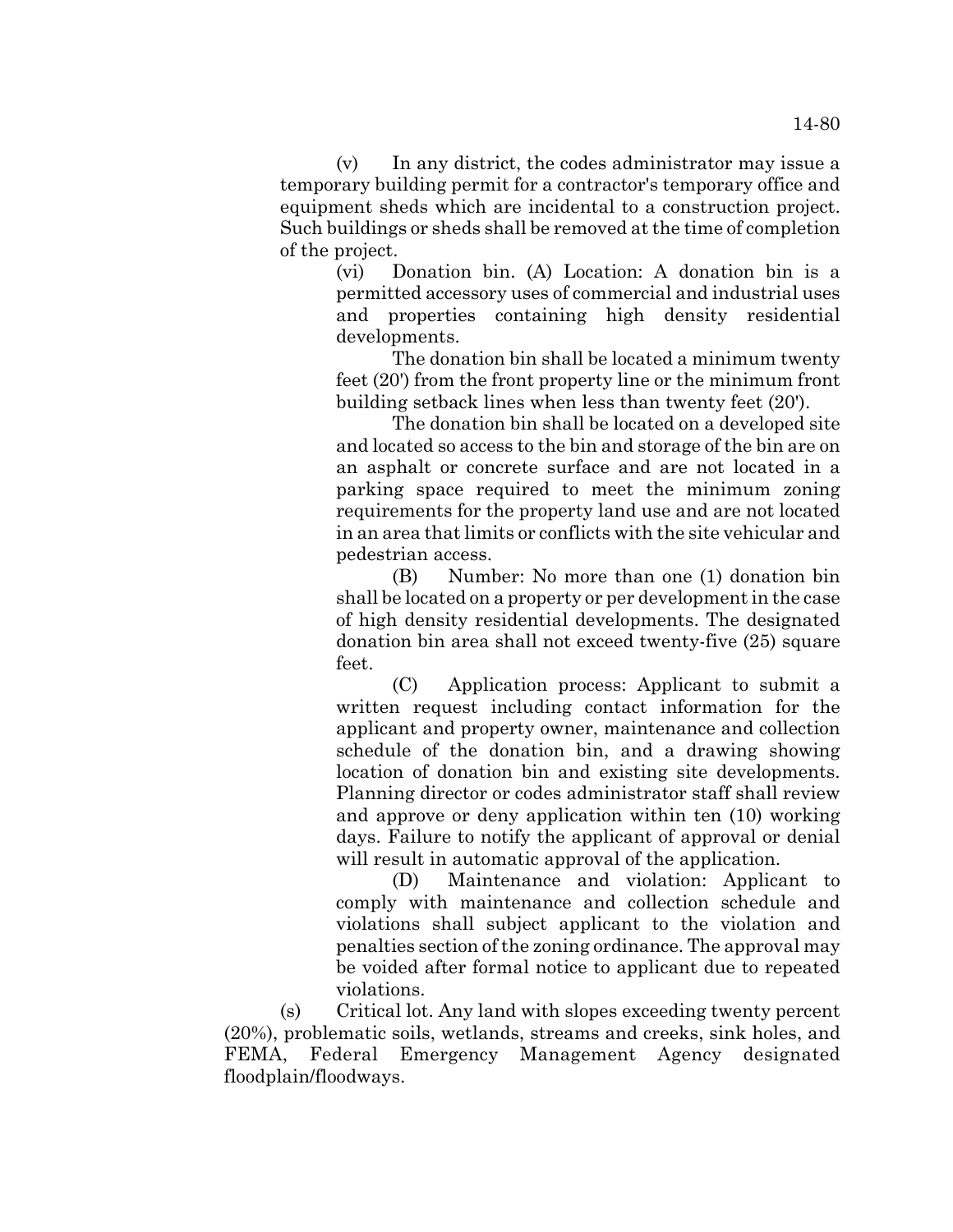(v) In any district, the codes administrator may issue a temporary building permit for a contractor's temporary office and equipment sheds which are incidental to a construction project. Such buildings or sheds shall be removed at the time of completion of the project.

(vi) Donation bin. (A) Location: A donation bin is a permitted accessory uses of commercial and industrial uses and properties containing high density residential developments.

The donation bin shall be located a minimum twenty feet (20') from the front property line or the minimum front building setback lines when less than twenty feet (20').

The donation bin shall be located on a developed site and located so access to the bin and storage of the bin are on an asphalt or concrete surface and are not located in a parking space required to meet the minimum zoning requirements for the property land use and are not located in an area that limits or conflicts with the site vehicular and pedestrian access.

(B) Number: No more than one (1) donation bin shall be located on a property or per development in the case of high density residential developments. The designated donation bin area shall not exceed twenty-five (25) square feet.

(C) Application process: Applicant to submit a written request including contact information for the applicant and property owner, maintenance and collection schedule of the donation bin, and a drawing showing location of donation bin and existing site developments. Planning director or codes administrator staff shall review and approve or deny application within ten (10) working days. Failure to notify the applicant of approval or denial will result in automatic approval of the application.

(D) Maintenance and violation: Applicant to comply with maintenance and collection schedule and violations shall subject applicant to the violation and penalties section of the zoning ordinance. The approval may be voided after formal notice to applicant due to repeated violations.

(s) Critical lot. Any land with slopes exceeding twenty percent (20%), problematic soils, wetlands, streams and creeks, sink holes, and FEMA, Federal Emergency Management Agency designated floodplain/floodways.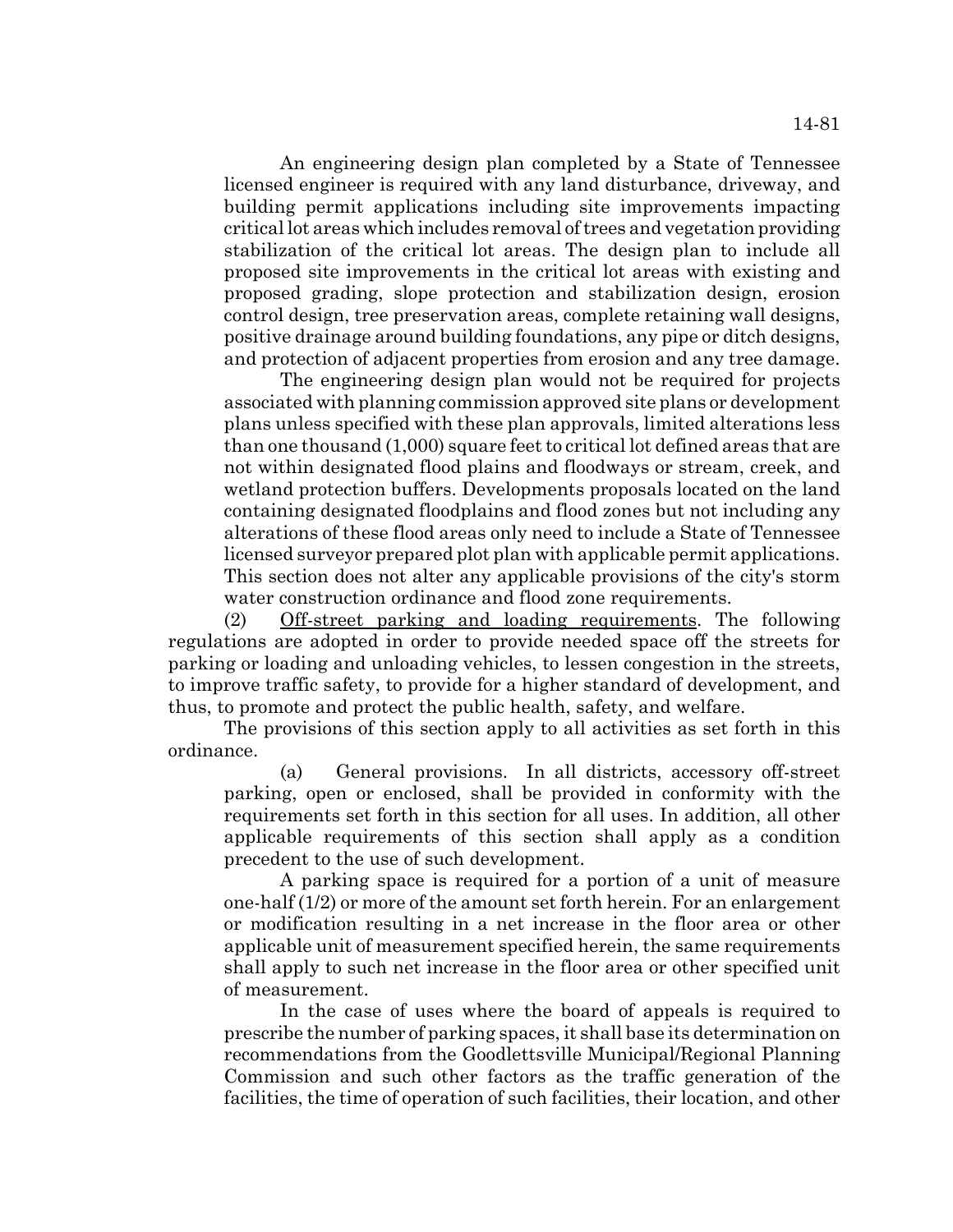An engineering design plan completed by a State of Tennessee licensed engineer is required with any land disturbance, driveway, and building permit applications including site improvements impacting critical lot areas which includes removal of trees and vegetation providing stabilization of the critical lot areas. The design plan to include all proposed site improvements in the critical lot areas with existing and proposed grading, slope protection and stabilization design, erosion control design, tree preservation areas, complete retaining wall designs, positive drainage around building foundations, any pipe or ditch designs, and protection of adjacent properties from erosion and any tree damage.

The engineering design plan would not be required for projects associated with planning commission approved site plans or development plans unless specified with these plan approvals, limited alterations less than one thousand (1,000) square feet to critical lot defined areas that are not within designated flood plains and floodways or stream, creek, and wetland protection buffers. Developments proposals located on the land containing designated floodplains and flood zones but not including any alterations of these flood areas only need to include a State of Tennessee licensed surveyor prepared plot plan with applicable permit applications. This section does not alter any applicable provisions of the city's storm water construction ordinance and flood zone requirements.

(2) Off-street parking and loading requirements. The following regulations are adopted in order to provide needed space off the streets for parking or loading and unloading vehicles, to lessen congestion in the streets, to improve traffic safety, to provide for a higher standard of development, and thus, to promote and protect the public health, safety, and welfare.

The provisions of this section apply to all activities as set forth in this ordinance.

(a) General provisions. In all districts, accessory off-street parking, open or enclosed, shall be provided in conformity with the requirements set forth in this section for all uses. In addition, all other applicable requirements of this section shall apply as a condition precedent to the use of such development.

A parking space is required for a portion of a unit of measure one-half (1/2) or more of the amount set forth herein. For an enlargement or modification resulting in a net increase in the floor area or other applicable unit of measurement specified herein, the same requirements shall apply to such net increase in the floor area or other specified unit of measurement.

In the case of uses where the board of appeals is required to prescribe the number of parking spaces, it shall base its determination on recommendations from the Goodlettsville Municipal/Regional Planning Commission and such other factors as the traffic generation of the facilities, the time of operation of such facilities, their location, and other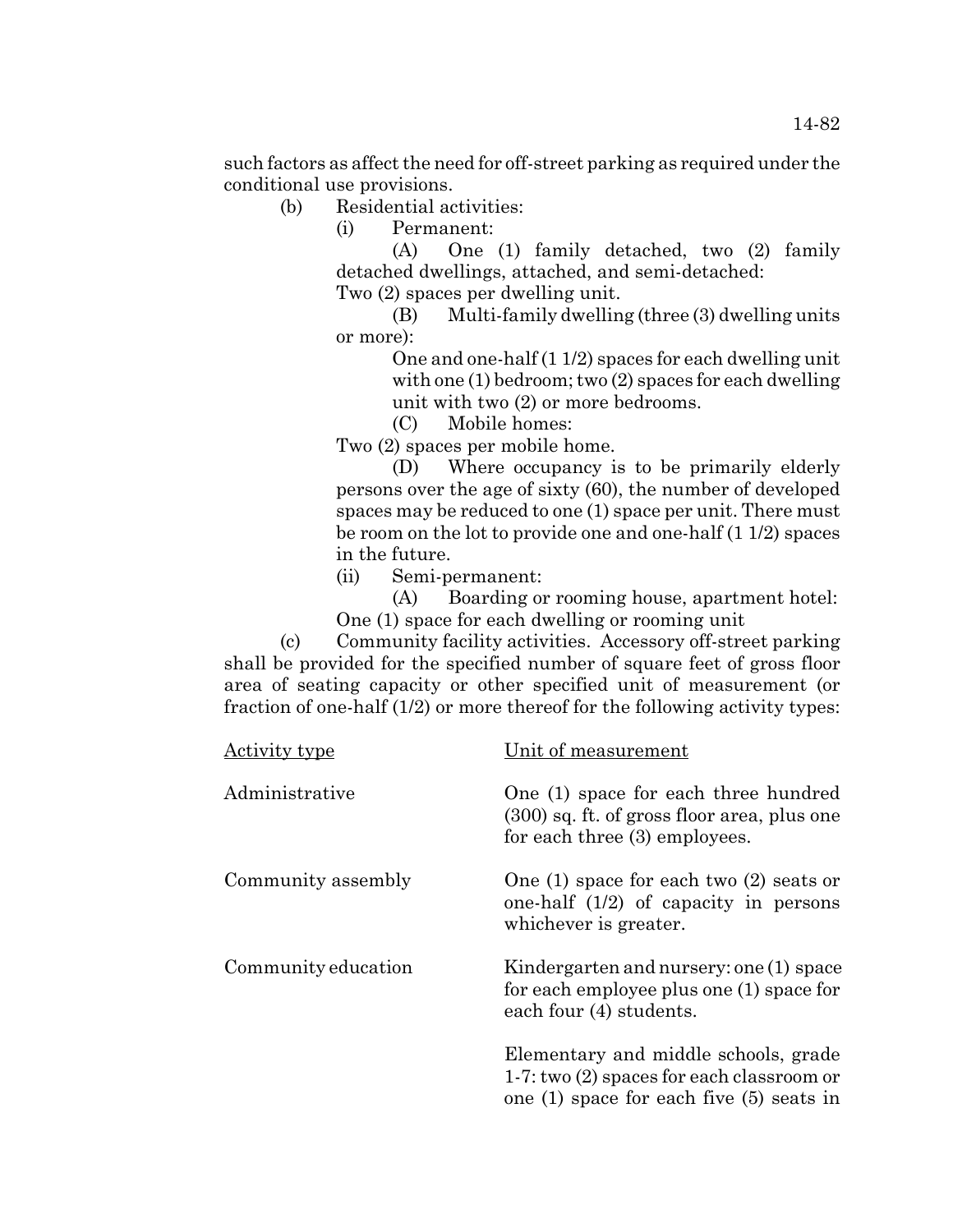such factors as affect the need for off-street parking as required under the conditional use provisions.

- (b) Residential activities:
	- (i) Permanent:

(A) One (1) family detached, two (2) family detached dwellings, attached, and semi-detached:

Two (2) spaces per dwelling unit.

(B) Multi-family dwelling (three (3) dwelling units or more):

> One and one-half (1 1/2) spaces for each dwelling unit with one (1) bedroom; two (2) spaces for each dwelling unit with two (2) or more bedrooms.

(C) Mobile homes:

Two (2) spaces per mobile home.

(D) Where occupancy is to be primarily elderly persons over the age of sixty (60), the number of developed spaces may be reduced to one (1) space per unit. There must be room on the lot to provide one and one-half (1 1/2) spaces in the future.

(ii) Semi-permanent:

(A) Boarding or rooming house, apartment hotel: One (1) space for each dwelling or rooming unit

(c) Community facility activities. Accessory off-street parking shall be provided for the specified number of square feet of gross floor area of seating capacity or other specified unit of measurement (or fraction of one-half (1/2) or more thereof for the following activity types:

| Activity type       | Unit of measurement                                                                                                                    |
|---------------------|----------------------------------------------------------------------------------------------------------------------------------------|
| Administrative      | One (1) space for each three hundred<br>$(300)$ sq. ft. of gross floor area, plus one<br>for each three (3) employees.                 |
| Community assembly  | One $(1)$ space for each two $(2)$ seats or<br>one-half $(1/2)$ of capacity in persons<br>whichever is greater.                        |
| Community education | Kindergarten and nursery: one (1) space<br>for each employee plus one (1) space for<br>each four (4) students.                         |
|                     | Elementary and middle schools, grade<br>$1-7$ : two $(2)$ spaces for each classroom or<br>one $(1)$ space for each five $(5)$ seats in |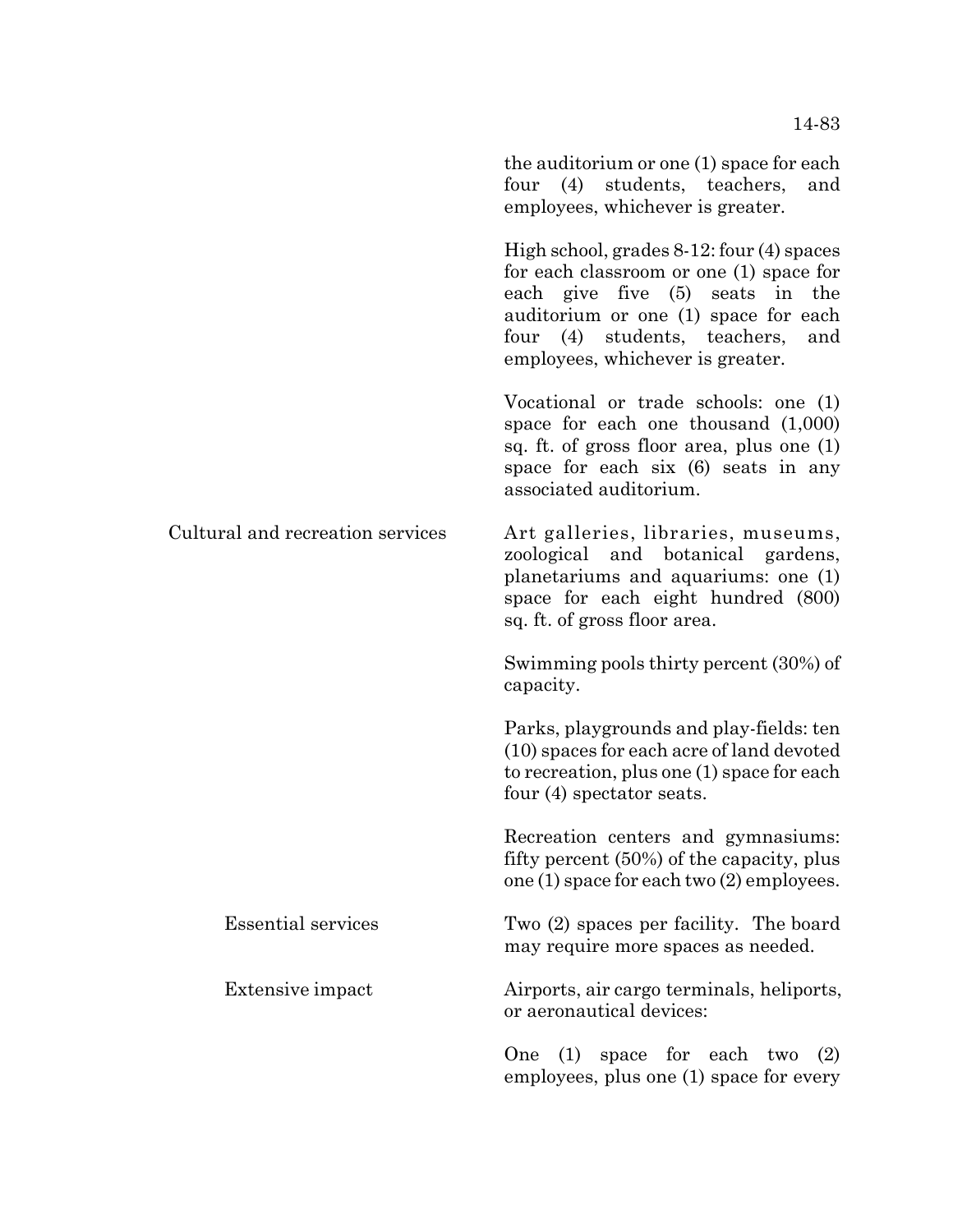|                                  | the auditorium or one (1) space for each<br>four (4) students, teachers,<br>and<br>employees, whichever is greater.                                                                                                                             |
|----------------------------------|-------------------------------------------------------------------------------------------------------------------------------------------------------------------------------------------------------------------------------------------------|
|                                  | High school, grades $8-12$ : four $(4)$ spaces<br>for each classroom or one (1) space for<br>each give five (5) seats in the<br>auditorium or one (1) space for each<br>four (4) students, teachers,<br>and<br>employees, whichever is greater. |
|                                  | Vocational or trade schools: one (1)<br>space for each one thousand $(1,000)$<br>sq. ft. of gross floor area, plus one (1)<br>space for each six (6) seats in any<br>associated auditorium.                                                     |
| Cultural and recreation services | Art galleries, libraries, museums,<br>zoological and botanical gardens,<br>planetariums and aquariums: one (1)<br>space for each eight hundred (800)<br>sq. ft. of gross floor area.                                                            |
|                                  | Swimming pools thirty percent (30%) of<br>capacity.                                                                                                                                                                                             |
|                                  | Parks, playgrounds and play-fields: ten<br>(10) spaces for each acre of land devoted<br>to recreation, plus one (1) space for each<br>four $(4)$ spectator seats.                                                                               |
|                                  | Recreation centers and gymnasiums:<br>fifty percent $(50%)$ of the capacity, plus<br>one (1) space for each two (2) employees.                                                                                                                  |
| <b>Essential services</b>        | Two (2) spaces per facility. The board<br>may require more spaces as needed.                                                                                                                                                                    |
| Extensive impact                 | Airports, air cargo terminals, heliports,<br>or aeronautical devices:                                                                                                                                                                           |
|                                  | One $(1)$<br>space for each two<br>(2)<br>employees, plus one (1) space for every                                                                                                                                                               |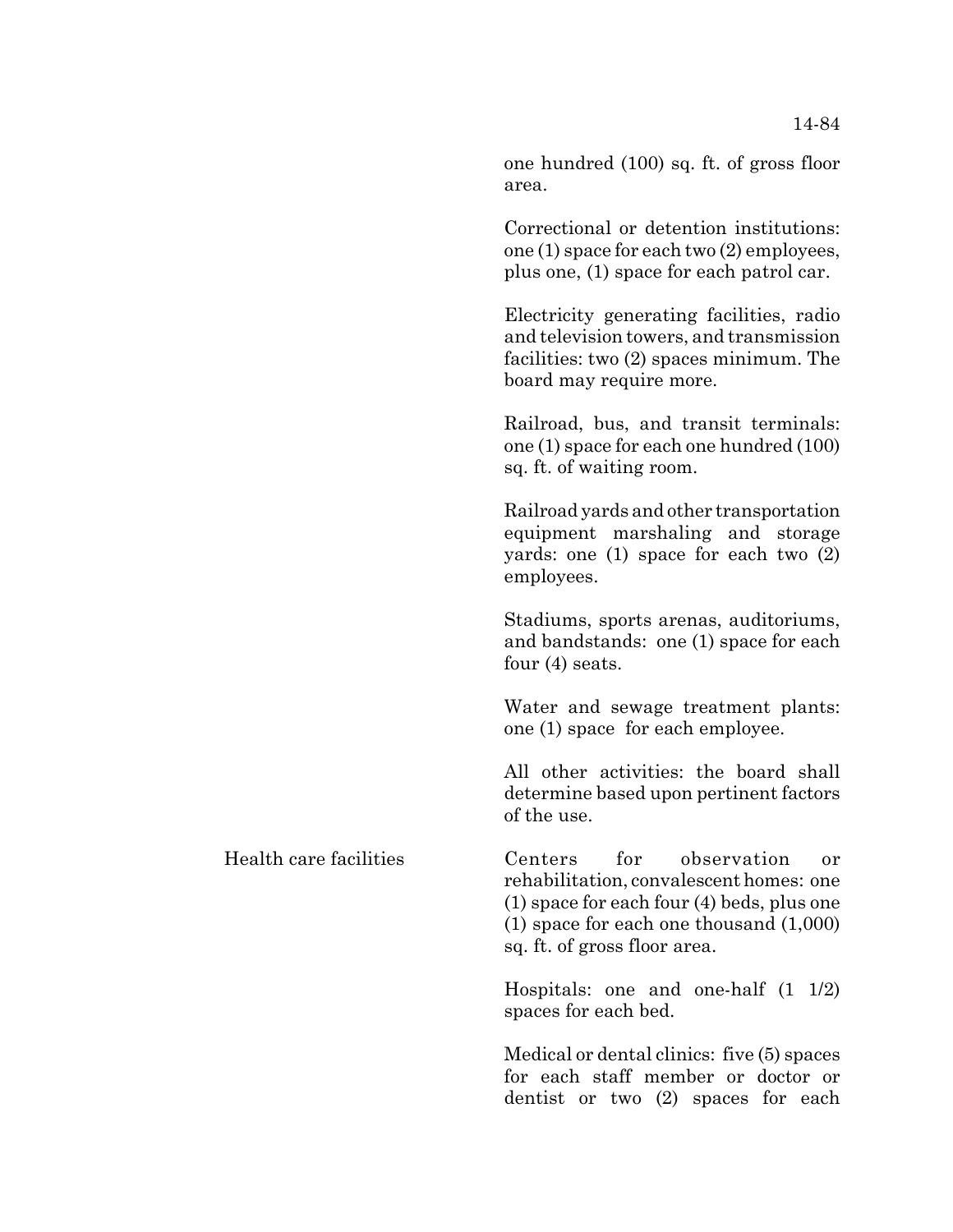one hundred (100) sq. ft. of gross floor area.

Correctional or detention institutions: one (1) space for each two (2) employees, plus one, (1) space for each patrol car.

Electricity generating facilities, radio and television towers, and transmission facilities: two (2) spaces minimum. The board may require more.

Railroad, bus, and transit terminals: one (1) space for each one hundred (100) sq. ft. of waiting room.

Railroad yards and other transportation equipment marshaling and storage yards: one (1) space for each two (2) employees.

Stadiums, sports arenas, auditoriums, and bandstands: one (1) space for each four (4) seats.

Water and sewage treatment plants: one (1) space for each employee.

All other activities: the board shall determine based upon pertinent factors of the use.

Health care facilities Centers for observation or rehabilitation, convalescent homes: one (1) space for each four (4) beds, plus one (1) space for each one thousand (1,000) sq. ft. of gross floor area.

Hospitals: one and one-half (1 1/2) spaces for each bed.

Medical or dental clinics: five (5) spaces for each staff member or doctor or dentist or two (2) spaces for each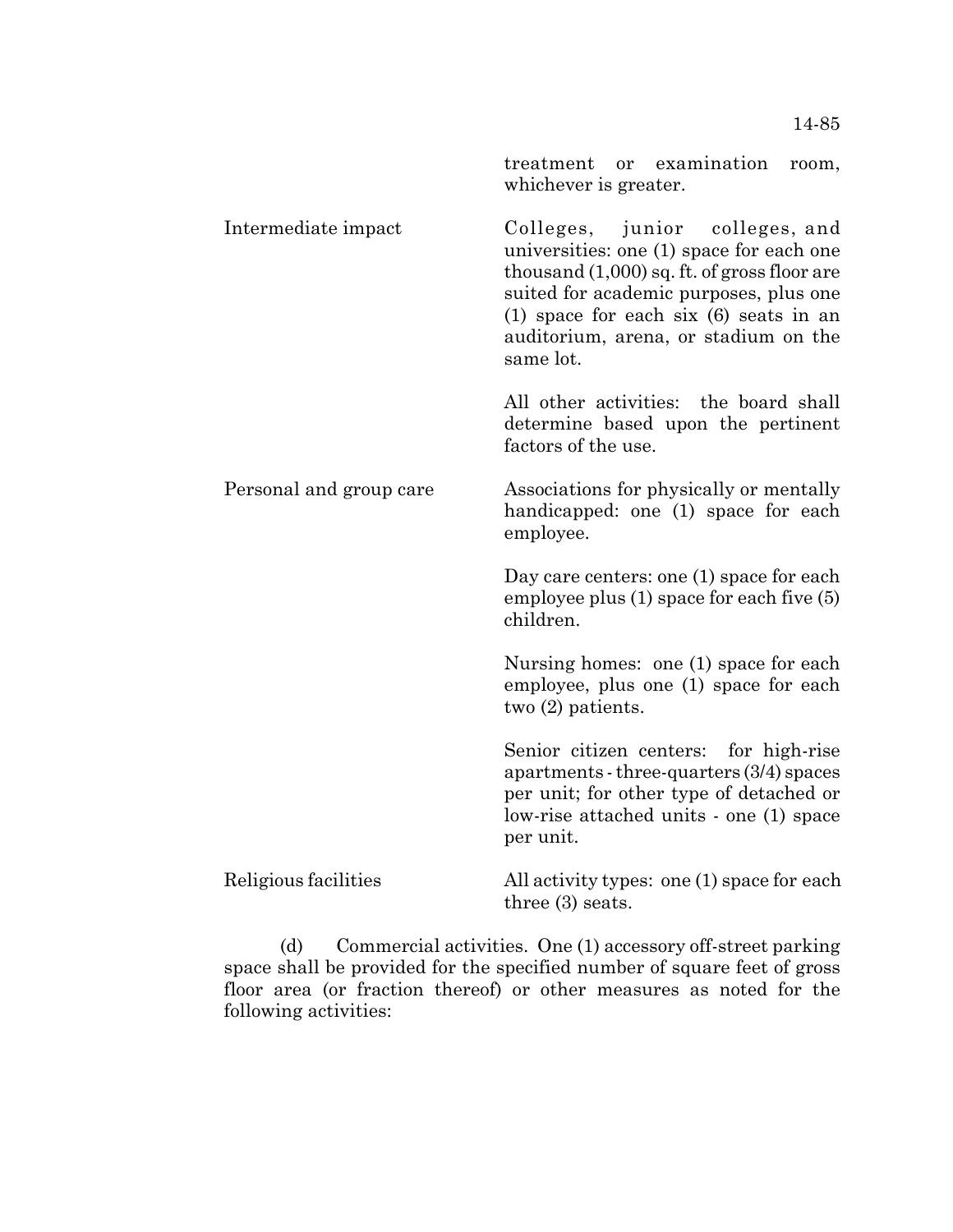|                         | treatment or examination<br>room,<br>whichever is greater.                                                                                                                                                                                                                |
|-------------------------|---------------------------------------------------------------------------------------------------------------------------------------------------------------------------------------------------------------------------------------------------------------------------|
| Intermediate impact     | junior colleges, and<br>Colleges,<br>universities: one (1) space for each one<br>thousand $(1,000)$ sq. ft. of gross floor are<br>suited for academic purposes, plus one<br>(1) space for each six $(6)$ seats in an<br>auditorium, arena, or stadium on the<br>same lot. |
|                         | All other activities: the board shall<br>determine based upon the pertinent<br>factors of the use.                                                                                                                                                                        |
| Personal and group care | Associations for physically or mentally<br>handicapped: one (1) space for each<br>employee.                                                                                                                                                                               |
|                         | Day care centers: one (1) space for each<br>employee plus $(1)$ space for each five $(5)$<br>children.                                                                                                                                                                    |
|                         | Nursing homes: one (1) space for each<br>employee, plus one (1) space for each<br>two $(2)$ patients.                                                                                                                                                                     |
|                         | Senior citizen centers: for high-rise<br>apartments - three-quarters $(3/4)$ spaces<br>per unit; for other type of detached or<br>low-rise attached units - one (1) space<br>per unit.                                                                                    |
| Religious facilities    | All activity types: one (1) space for each<br>three $(3)$ seats.                                                                                                                                                                                                          |

(d) Commercial activities. One (1) accessory off-street parking space shall be provided for the specified number of square feet of gross floor area (or fraction thereof) or other measures as noted for the following activities: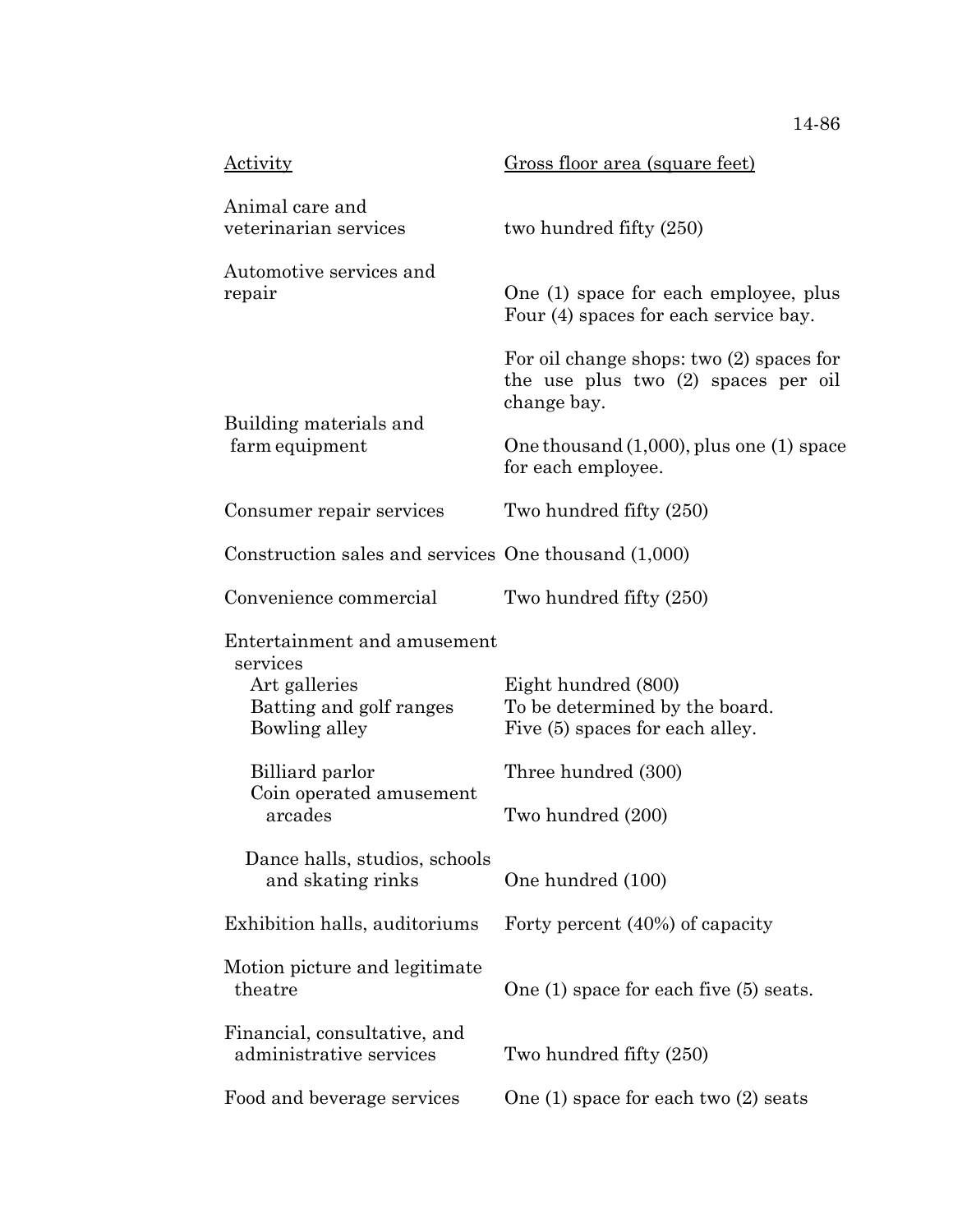| Activity                                                                                             | Gross floor area (square feet)                                                                     |
|------------------------------------------------------------------------------------------------------|----------------------------------------------------------------------------------------------------|
| Animal care and<br>veterinarian services                                                             | two hundred fifty (250)                                                                            |
| Automotive services and<br>repair                                                                    | One (1) space for each employee, plus<br>Four (4) spaces for each service bay.                     |
|                                                                                                      | For oil change shops: two $(2)$ spaces for<br>the use plus two $(2)$ spaces per oil<br>change bay. |
| Building materials and<br>farm equipment                                                             | One thousand $(1,000)$ , plus one $(1)$ space<br>for each employee.                                |
| Consumer repair services                                                                             | Two hundred fifty (250)                                                                            |
| Construction sales and services One thousand (1,000)                                                 |                                                                                                    |
| Convenience commercial                                                                               | Two hundred fifty (250)                                                                            |
| Entertainment and amusement<br>services<br>Art galleries<br>Batting and golf ranges<br>Bowling alley | Eight hundred (800)<br>To be determined by the board.<br>Five (5) spaces for each alley.           |
| Billiard parlor                                                                                      | Three hundred (300)                                                                                |
| Coin operated amusement<br>arcades                                                                   | Two hundred (200)                                                                                  |
| Dance halls, studios, schools<br>and skating rinks                                                   | One hundred (100)                                                                                  |
| Exhibition halls, auditoriums                                                                        | Forty percent (40%) of capacity                                                                    |
| Motion picture and legitimate<br>theatre                                                             | One $(1)$ space for each five $(5)$ seats.                                                         |
| Financial, consultative, and<br>administrative services                                              | Two hundred fifty (250)                                                                            |
| Food and beverage services                                                                           | One $(1)$ space for each two $(2)$ seats                                                           |

14-86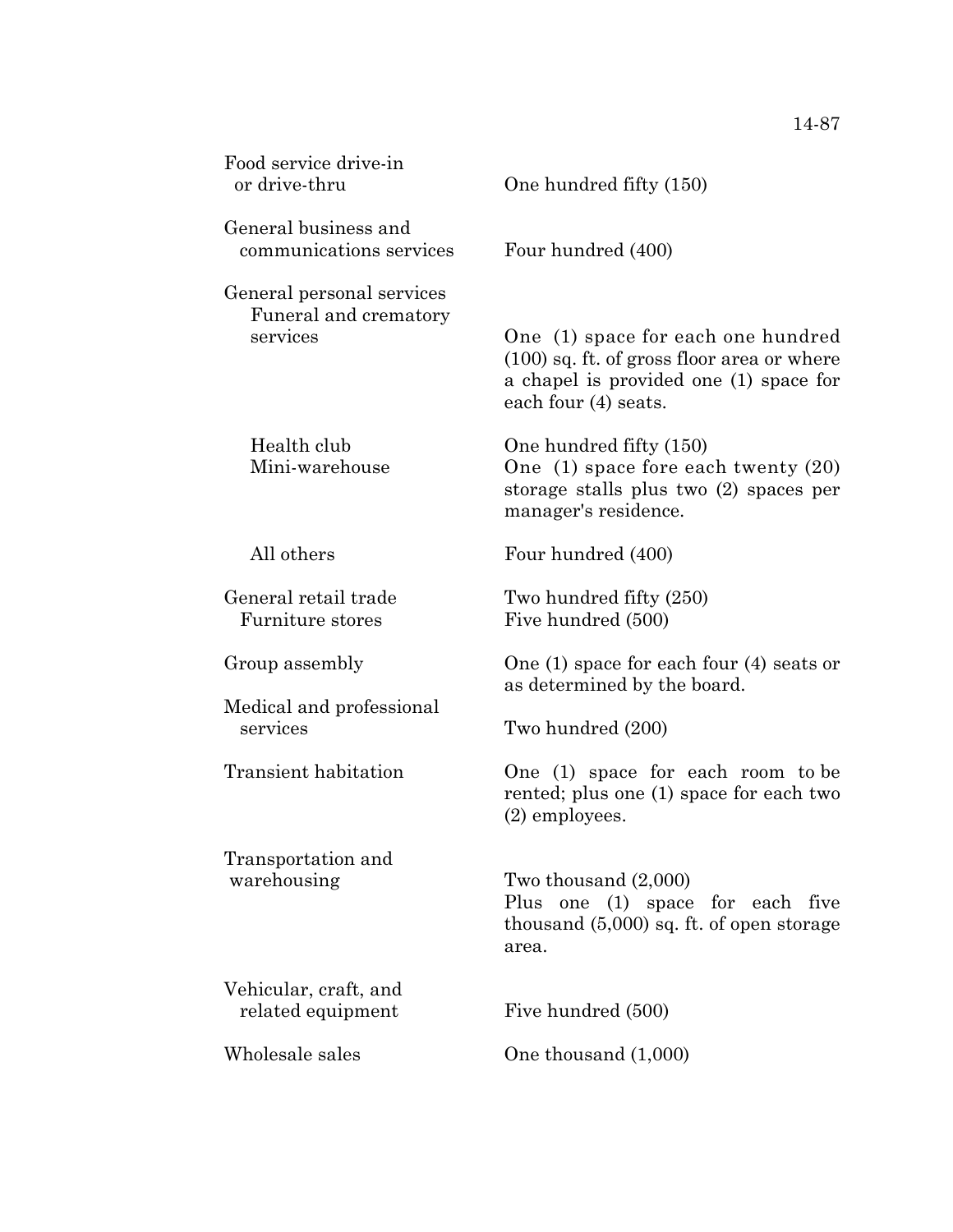| Food service drive-in<br>or drive-thru                         | One hundred fifty (150)                                                                                                                              |
|----------------------------------------------------------------|------------------------------------------------------------------------------------------------------------------------------------------------------|
| General business and<br>communications services                | Four hundred (400)                                                                                                                                   |
| General personal services<br>Funeral and crematory<br>services | One (1) space for each one hundred<br>$(100)$ sq. ft. of gross floor area or where<br>a chapel is provided one (1) space for<br>each four (4) seats. |
| Health club<br>Mini-warehouse                                  | One hundred fifty (150)<br>One $(1)$ space fore each twenty $(20)$<br>storage stalls plus two (2) spaces per<br>manager's residence.                 |
| All others                                                     | Four hundred (400)                                                                                                                                   |
| General retail trade<br>Furniture stores                       | Two hundred fifty (250)<br>Five hundred (500)                                                                                                        |
| Group assembly                                                 | One $(1)$ space for each four $(4)$ seats or<br>as determined by the board.                                                                          |
| Medical and professional<br>services                           | Two hundred (200)                                                                                                                                    |
| Transient habitation                                           | One (1) space for each room to be<br>rented; plus one (1) space for each two<br>$(2)$ employees.                                                     |
| Transportation and<br>warehousing                              | Two thousand $(2,000)$<br>Plus one (1) space for each five<br>thousand $(5,000)$ sq. ft. of open storage<br>area.                                    |
| Vehicular, craft, and<br>related equipment                     | Five hundred (500)                                                                                                                                   |
| Wholesale sales                                                | One thousand $(1,000)$                                                                                                                               |

14-87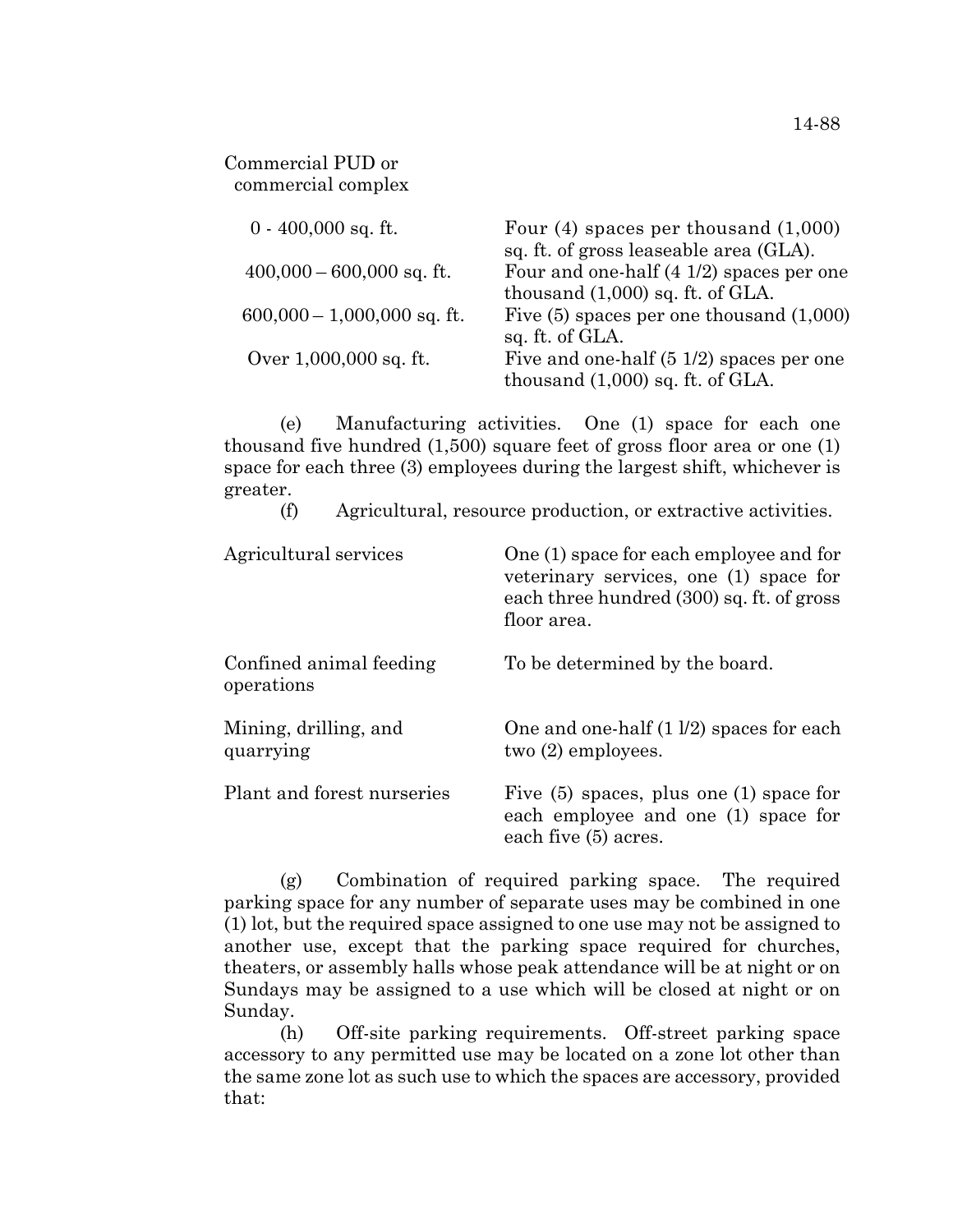## Commercial PUD or commercial complex

| $0 - 400,000$ sq. ft.         | Four $(4)$ spaces per thousand $(1,000)$     |
|-------------------------------|----------------------------------------------|
|                               | sq. ft. of gross leaseable area (GLA).       |
| $400,000 - 600,000$ sq. ft.   | Four and one-half $(4\ 1/2)$ spaces per one  |
|                               | thousand $(1,000)$ sq. ft. of GLA.           |
| $600,000 - 1,000,000$ sq. ft. | Five $(5)$ spaces per one thousand $(1,000)$ |
|                               | sq. ft. of GLA.                              |
| Over 1,000,000 sq. ft.        | Five and one-half $(51/2)$ spaces per one    |
|                               | thousand $(1,000)$ sq. ft. of GLA.           |

(e) Manufacturing activities. One (1) space for each one thousand five hundred (1,500) square feet of gross floor area or one (1) space for each three (3) employees during the largest shift, whichever is greater.

(f) Agricultural, resource production, or extractive activities.

| Agricultural services                 | One (1) space for each employee and for<br>veterinary services, one (1) space for<br>each three hundred (300) sq. ft. of gross<br>floor area. |
|---------------------------------------|-----------------------------------------------------------------------------------------------------------------------------------------------|
| Confined animal feeding<br>operations | To be determined by the board.                                                                                                                |
| Mining, drilling, and<br>quarrying    | One and one-half $(1 \frac{1}{2})$ spaces for each<br>two $(2)$ employees.                                                                    |
| Plant and forest nurseries            | Five $(5)$ spaces, plus one $(1)$ space for<br>each employee and one (1) space for<br>each five (5) acres.                                    |

(g) Combination of required parking space. The required parking space for any number of separate uses may be combined in one (1) lot, but the required space assigned to one use may not be assigned to another use, except that the parking space required for churches, theaters, or assembly halls whose peak attendance will be at night or on Sundays may be assigned to a use which will be closed at night or on Sunday.

(h) Off-site parking requirements. Off-street parking space accessory to any permitted use may be located on a zone lot other than the same zone lot as such use to which the spaces are accessory, provided that: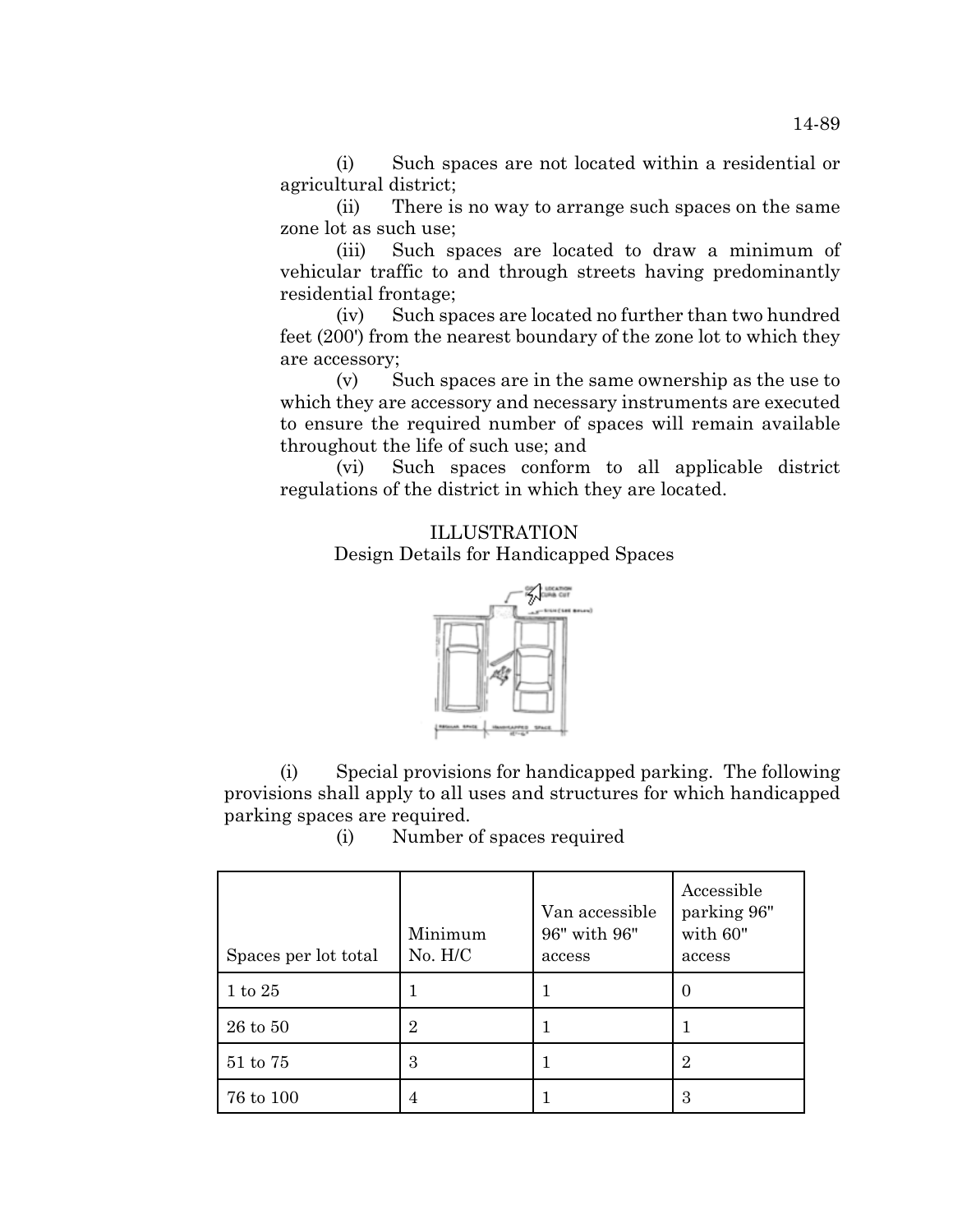(i) Such spaces are not located within a residential or agricultural district;

(ii) There is no way to arrange such spaces on the same zone lot as such use;

(iii) Such spaces are located to draw a minimum of vehicular traffic to and through streets having predominantly residential frontage;

(iv) Such spaces are located no further than two hundred feet (200') from the nearest boundary of the zone lot to which they are accessory;

(v) Such spaces are in the same ownership as the use to which they are accessory and necessary instruments are executed to ensure the required number of spaces will remain available throughout the life of such use; and

(vi) Such spaces conform to all applicable district regulations of the district in which they are located.

## ILLUSTRATION

Design Details for Handicapped Spaces



(i) Special provisions for handicapped parking. The following provisions shall apply to all uses and structures for which handicapped parking spaces are required.

| Spaces per lot total | Minimum<br>No. H/C | Van accessible<br>96" with 96"<br>access | Accessible<br>parking 96"<br>with 60"<br>access |
|----------------------|--------------------|------------------------------------------|-------------------------------------------------|
| $1$ to $25$          |                    |                                          | 0                                               |
| 26 to 50             | 2                  |                                          |                                                 |
| 51 to 75             | 3                  |                                          | $\overline{2}$                                  |
| 76 to 100            | 4                  |                                          | 3                                               |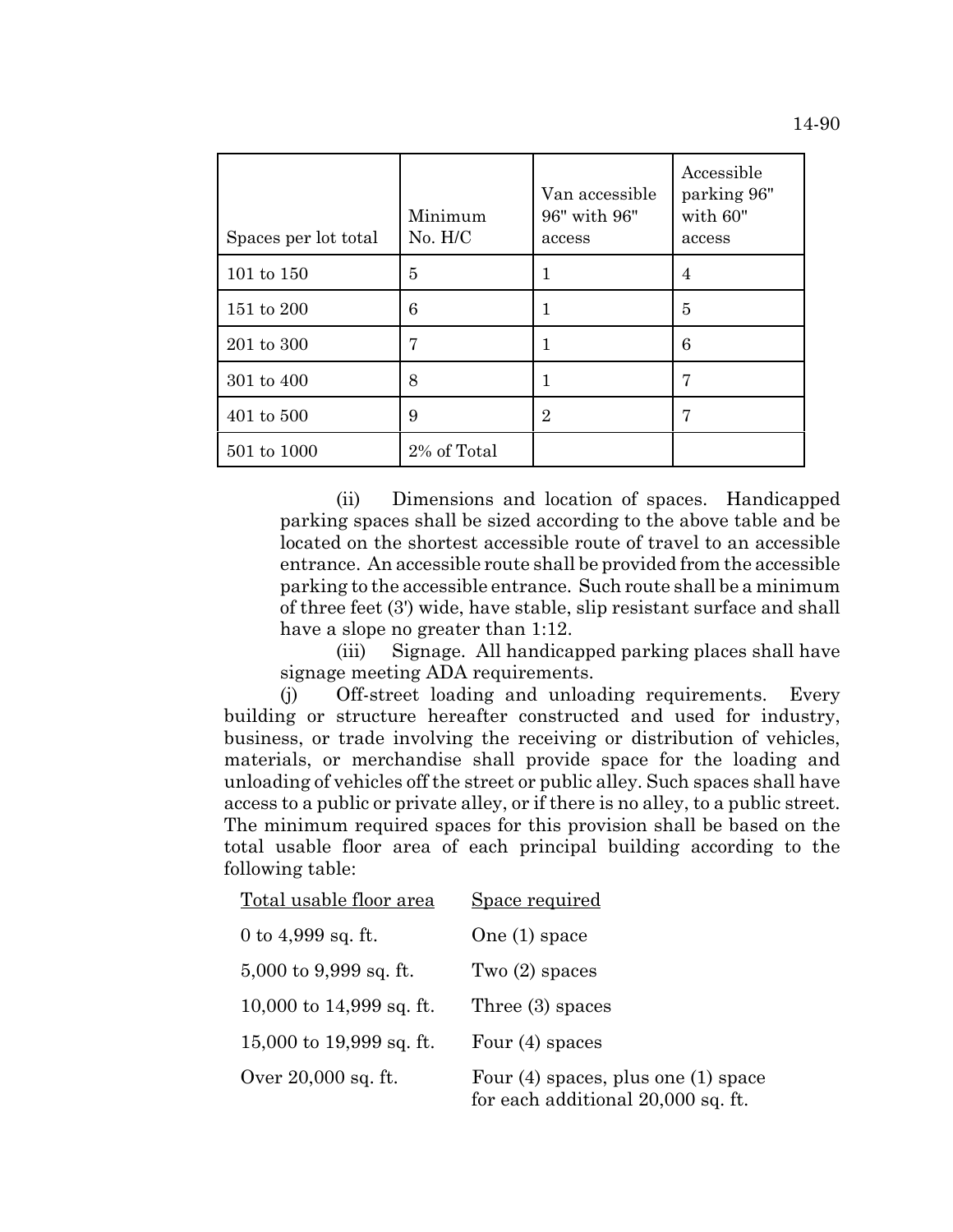| Spaces per lot total | Minimum<br>No. H/C | Van accessible<br>96" with 96"<br>access | Accessible<br>parking 96"<br>with 60"<br>access |
|----------------------|--------------------|------------------------------------------|-------------------------------------------------|
| $101$ to $150$       | 5                  | 1                                        | 4                                               |
| 151 to 200           | 6                  | 1                                        | 5                                               |
| 201 to 300           | 7                  | 1                                        | 6                                               |
| 301 to 400           | 8                  | 1                                        | 7                                               |
| $401$ to $500$       | 9                  | $\overline{2}$                           | 7                                               |
| 501 to 1000          | 2% of Total        |                                          |                                                 |

(ii) Dimensions and location of spaces. Handicapped parking spaces shall be sized according to the above table and be located on the shortest accessible route of travel to an accessible entrance. An accessible route shall be provided from the accessible parking to the accessible entrance. Such route shall be a minimum of three feet (3') wide, have stable, slip resistant surface and shall have a slope no greater than 1:12.

(iii) Signage. All handicapped parking places shall have signage meeting ADA requirements.

(j) Off-street loading and unloading requirements. Every building or structure hereafter constructed and used for industry, business, or trade involving the receiving or distribution of vehicles, materials, or merchandise shall provide space for the loading and unloading of vehicles off the street or public alley. Such spaces shall have access to a public or private alley, or if there is no alley, to a public street. The minimum required spaces for this provision shall be based on the total usable floor area of each principal building according to the following table:

| Total usable floor area    | Space required                                                                |
|----------------------------|-------------------------------------------------------------------------------|
| 0 to $4,999$ sq. ft.       | One $(1)$ space                                                               |
| 5,000 to 9,999 sq. ft.     | Two $(2)$ spaces                                                              |
| 10,000 to $14,999$ sq. ft. | Three $(3)$ spaces                                                            |
| 15,000 to 19,999 sq. ft.   | Four $(4)$ spaces                                                             |
| Over 20,000 sq. ft.        | Four $(4)$ spaces, plus one $(1)$ space<br>for each additional 20,000 sq. ft. |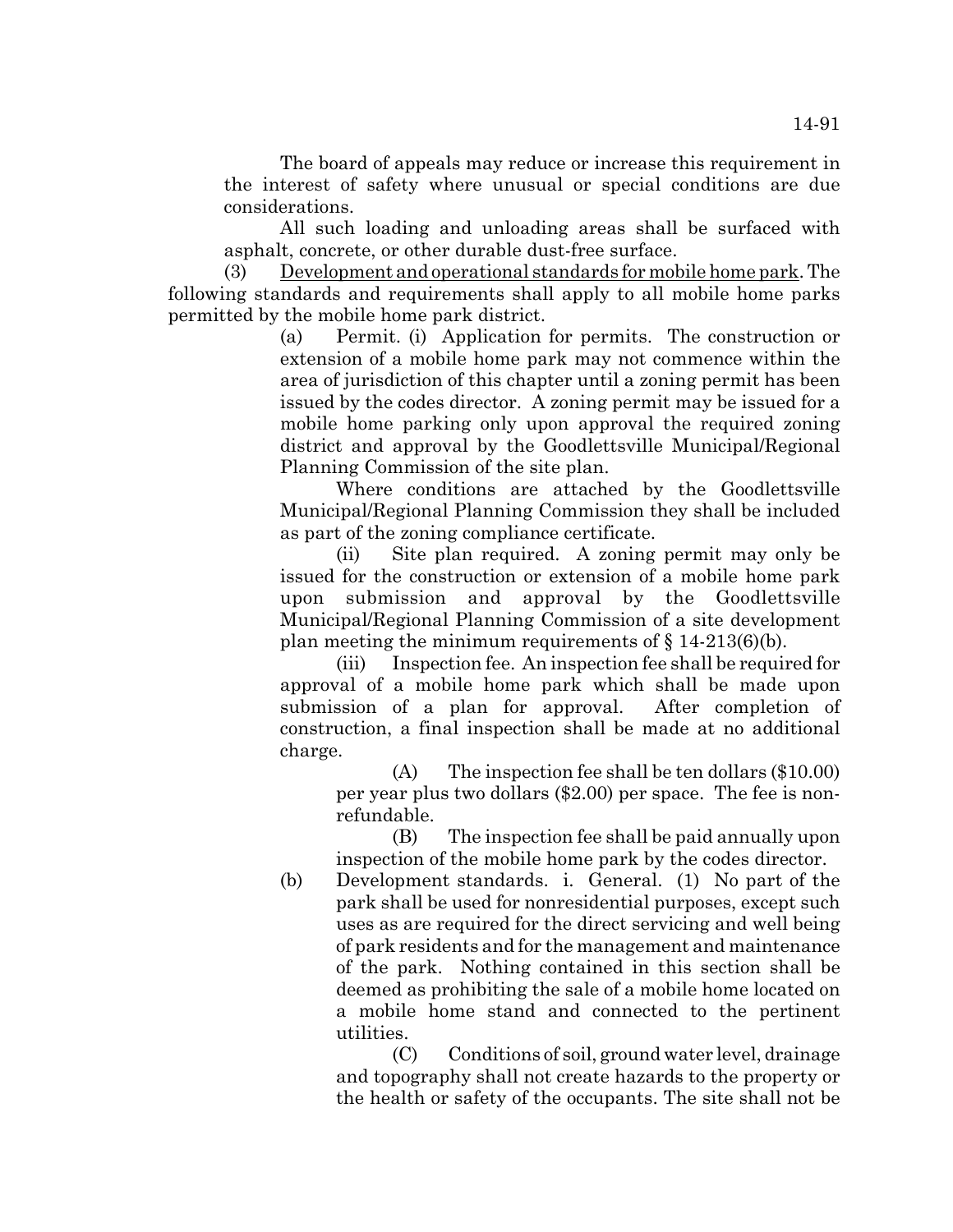The board of appeals may reduce or increase this requirement in the interest of safety where unusual or special conditions are due considerations.

All such loading and unloading areas shall be surfaced with asphalt, concrete, or other durable dust-free surface.

(3) Development and operational standards for mobile home park. The following standards and requirements shall apply to all mobile home parks permitted by the mobile home park district.

(a) Permit. (i) Application for permits. The construction or extension of a mobile home park may not commence within the area of jurisdiction of this chapter until a zoning permit has been issued by the codes director. A zoning permit may be issued for a mobile home parking only upon approval the required zoning district and approval by the Goodlettsville Municipal/Regional Planning Commission of the site plan.

Where conditions are attached by the Goodlettsville Municipal/Regional Planning Commission they shall be included as part of the zoning compliance certificate.

(ii) Site plan required. A zoning permit may only be issued for the construction or extension of a mobile home park upon submission and approval by the Goodlettsville Municipal/Regional Planning Commission of a site development plan meeting the minimum requirements of  $\S 14-213(6)(b)$ .

(iii) Inspection fee. An inspection fee shall be required for approval of a mobile home park which shall be made upon submission of a plan for approval. After completion of construction, a final inspection shall be made at no additional charge.

(A) The inspection fee shall be ten dollars (\$10.00) per year plus two dollars (\$2.00) per space. The fee is nonrefundable.

(B) The inspection fee shall be paid annually upon inspection of the mobile home park by the codes director.

(b) Development standards. i. General. (1) No part of the park shall be used for nonresidential purposes, except such uses as are required for the direct servicing and well being of park residents and for the management and maintenance of the park. Nothing contained in this section shall be deemed as prohibiting the sale of a mobile home located on a mobile home stand and connected to the pertinent utilities.

(C) Conditions of soil, ground water level, drainage and topography shall not create hazards to the property or the health or safety of the occupants. The site shall not be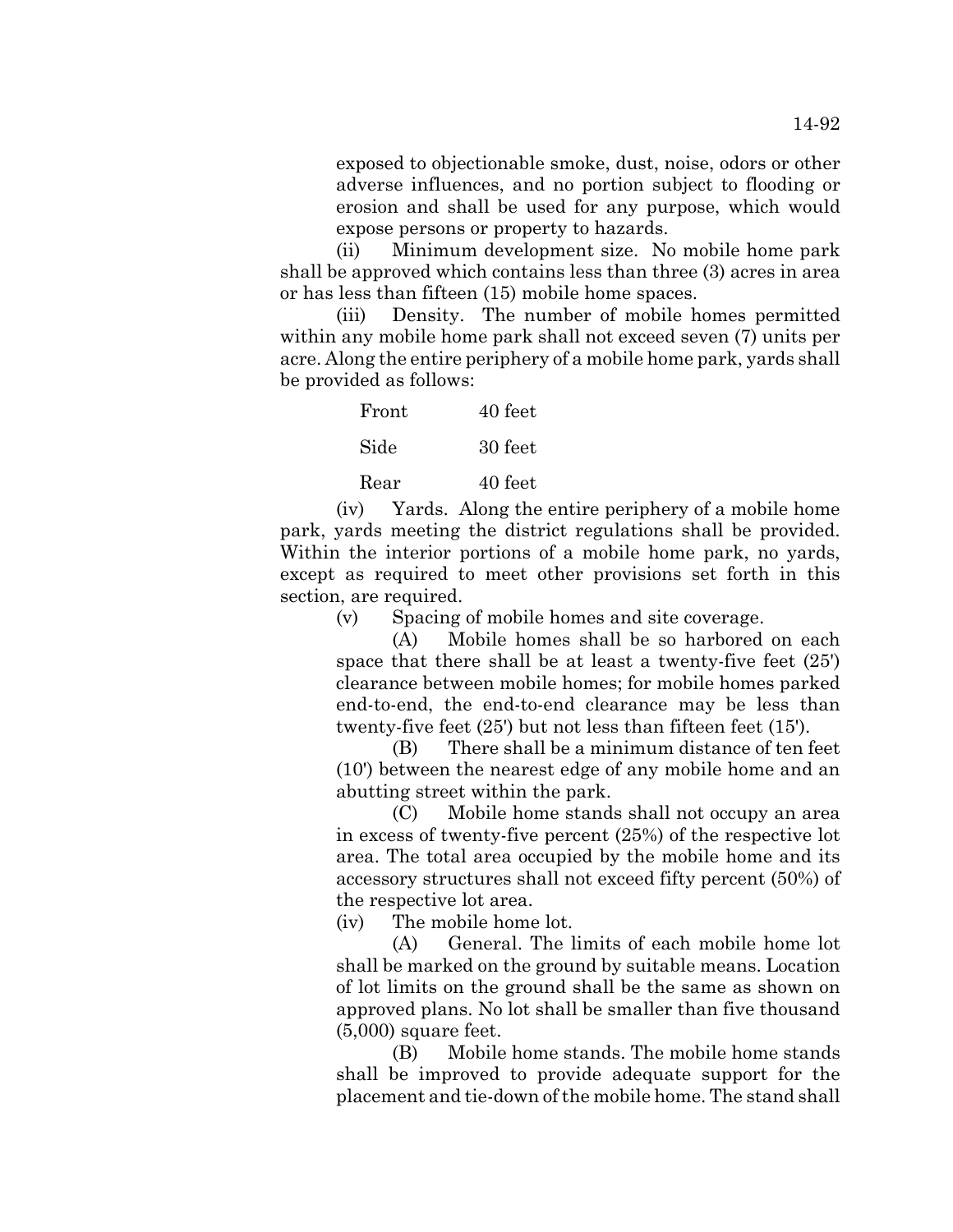exposed to objectionable smoke, dust, noise, odors or other adverse influences, and no portion subject to flooding or erosion and shall be used for any purpose, which would expose persons or property to hazards.

(ii) Minimum development size. No mobile home park shall be approved which contains less than three (3) acres in area or has less than fifteen (15) mobile home spaces.

(iii) Density. The number of mobile homes permitted within any mobile home park shall not exceed seven (7) units per acre. Along the entire periphery of a mobile home park, yards shall be provided as follows:

| Front | 40 feet |
|-------|---------|
| Side  | 30 feet |
| Rear  | 40 feet |

(iv) Yards. Along the entire periphery of a mobile home park, yards meeting the district regulations shall be provided. Within the interior portions of a mobile home park, no yards, except as required to meet other provisions set forth in this section, are required.

(v) Spacing of mobile homes and site coverage.

(A) Mobile homes shall be so harbored on each space that there shall be at least a twenty-five feet (25') clearance between mobile homes; for mobile homes parked end-to-end, the end-to-end clearance may be less than twenty-five feet (25') but not less than fifteen feet (15').

(B) There shall be a minimum distance of ten feet (10') between the nearest edge of any mobile home and an abutting street within the park.

(C) Mobile home stands shall not occupy an area in excess of twenty-five percent (25%) of the respective lot area. The total area occupied by the mobile home and its accessory structures shall not exceed fifty percent (50%) of the respective lot area.

(iv) The mobile home lot.

(A) General. The limits of each mobile home lot shall be marked on the ground by suitable means. Location of lot limits on the ground shall be the same as shown on approved plans. No lot shall be smaller than five thousand (5,000) square feet.

(B) Mobile home stands. The mobile home stands shall be improved to provide adequate support for the placement and tie-down of the mobile home. The stand shall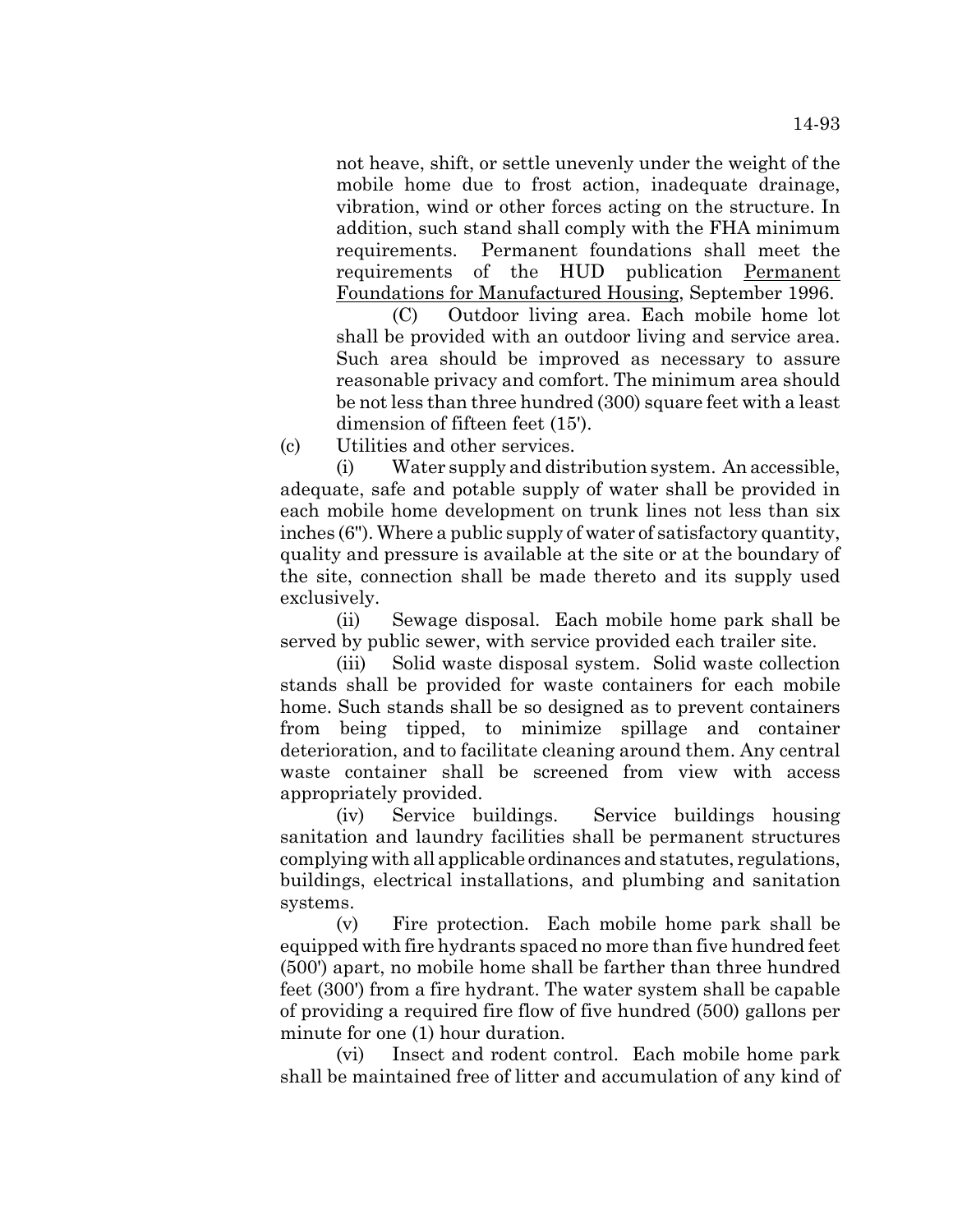not heave, shift, or settle unevenly under the weight of the mobile home due to frost action, inadequate drainage, vibration, wind or other forces acting on the structure. In addition, such stand shall comply with the FHA minimum requirements. Permanent foundations shall meet the requirements of the HUD publication Permanent Foundations for Manufactured Housing, September 1996.

(C) Outdoor living area. Each mobile home lot shall be provided with an outdoor living and service area. Such area should be improved as necessary to assure reasonable privacy and comfort. The minimum area should be not less than three hundred (300) square feet with a least dimension of fifteen feet (15').

(c) Utilities and other services.

(i) Water supply and distribution system. An accessible, adequate, safe and potable supply of water shall be provided in each mobile home development on trunk lines not less than six inches (6"). Where a public supply of water of satisfactory quantity, quality and pressure is available at the site or at the boundary of the site, connection shall be made thereto and its supply used exclusively.

(ii) Sewage disposal. Each mobile home park shall be served by public sewer, with service provided each trailer site.

(iii) Solid waste disposal system. Solid waste collection stands shall be provided for waste containers for each mobile home. Such stands shall be so designed as to prevent containers from being tipped, to minimize spillage and container deterioration, and to facilitate cleaning around them. Any central waste container shall be screened from view with access appropriately provided.

(iv) Service buildings. Service buildings housing sanitation and laundry facilities shall be permanent structures complying with all applicable ordinances and statutes, regulations, buildings, electrical installations, and plumbing and sanitation systems.

(v) Fire protection. Each mobile home park shall be equipped with fire hydrants spaced no more than five hundred feet (500') apart, no mobile home shall be farther than three hundred feet (300') from a fire hydrant. The water system shall be capable of providing a required fire flow of five hundred (500) gallons per minute for one (1) hour duration.

(vi) Insect and rodent control. Each mobile home park shall be maintained free of litter and accumulation of any kind of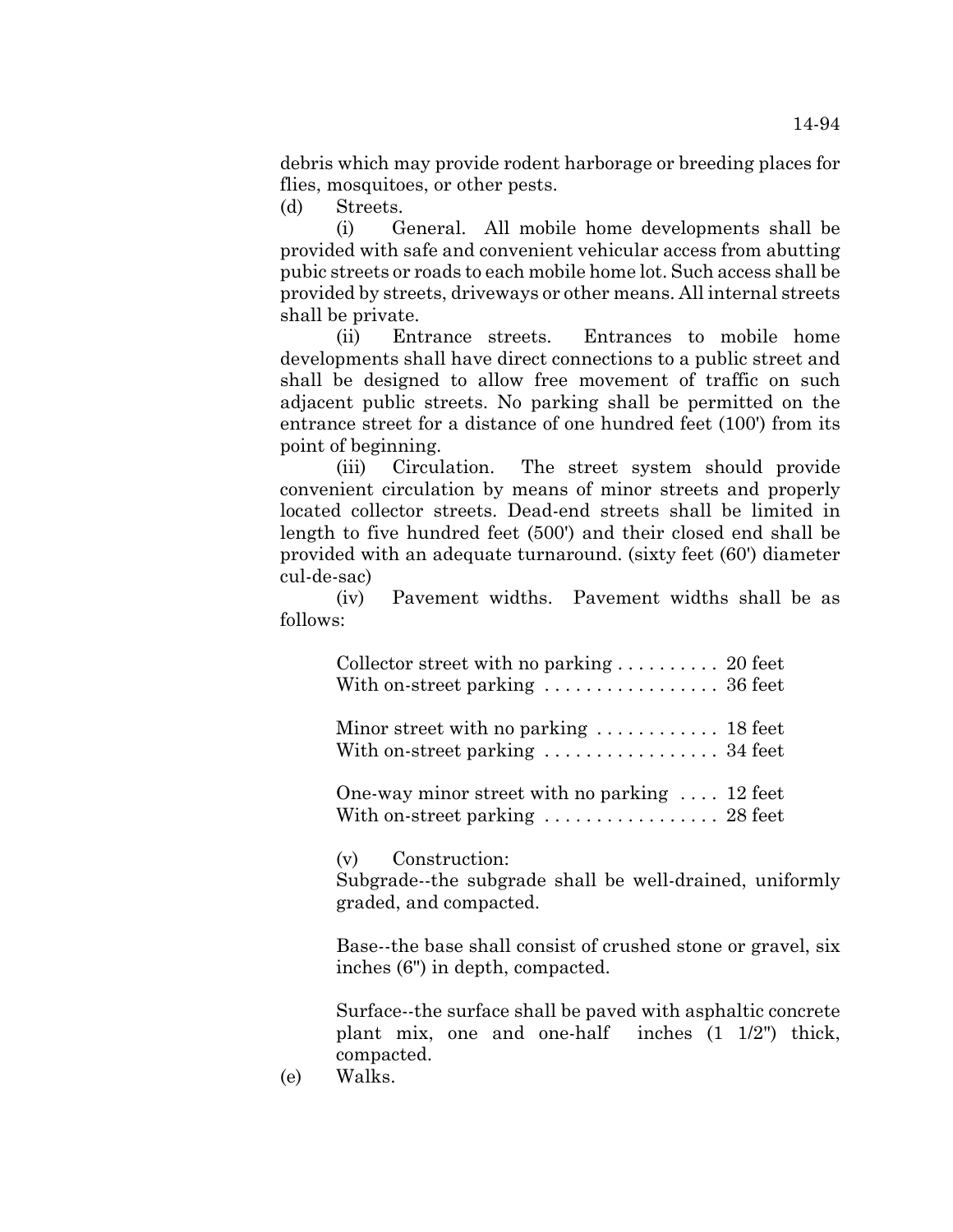debris which may provide rodent harborage or breeding places for flies, mosquitoes, or other pests.

(d) Streets.

(i) General. All mobile home developments shall be provided with safe and convenient vehicular access from abutting pubic streets or roads to each mobile home lot. Such access shall be provided by streets, driveways or other means. All internal streets shall be private.

(ii) Entrance streets. Entrances to mobile home developments shall have direct connections to a public street and shall be designed to allow free movement of traffic on such adjacent public streets. No parking shall be permitted on the entrance street for a distance of one hundred feet (100') from its point of beginning.

(iii) Circulation. The street system should provide convenient circulation by means of minor streets and properly located collector streets. Dead-end streets shall be limited in length to five hundred feet (500') and their closed end shall be provided with an adequate turnaround. (sixty feet (60') diameter cul-de-sac)

(iv) Pavement widths. Pavement widths shall be as follows:

| Collector street with no parking $\ldots \ldots \ldots$ 20 feet                                                                  |  |
|----------------------------------------------------------------------------------------------------------------------------------|--|
| Minor street with no parking $\dots \dots \dots \dots$ 18 feet<br>With on-street parking $\dots \dots \dots \dots \dots 34$ feet |  |
| One-way minor street with no parking  12 feet                                                                                    |  |

With on-street parking ................... 28 feet

(v) Construction:

Subgrade--the subgrade shall be well-drained, uniformly graded, and compacted.

Base--the base shall consist of crushed stone or gravel, six inches (6") in depth, compacted.

Surface--the surface shall be paved with asphaltic concrete plant mix, one and one-half inches (1 1/2") thick, compacted.

(e) Walks.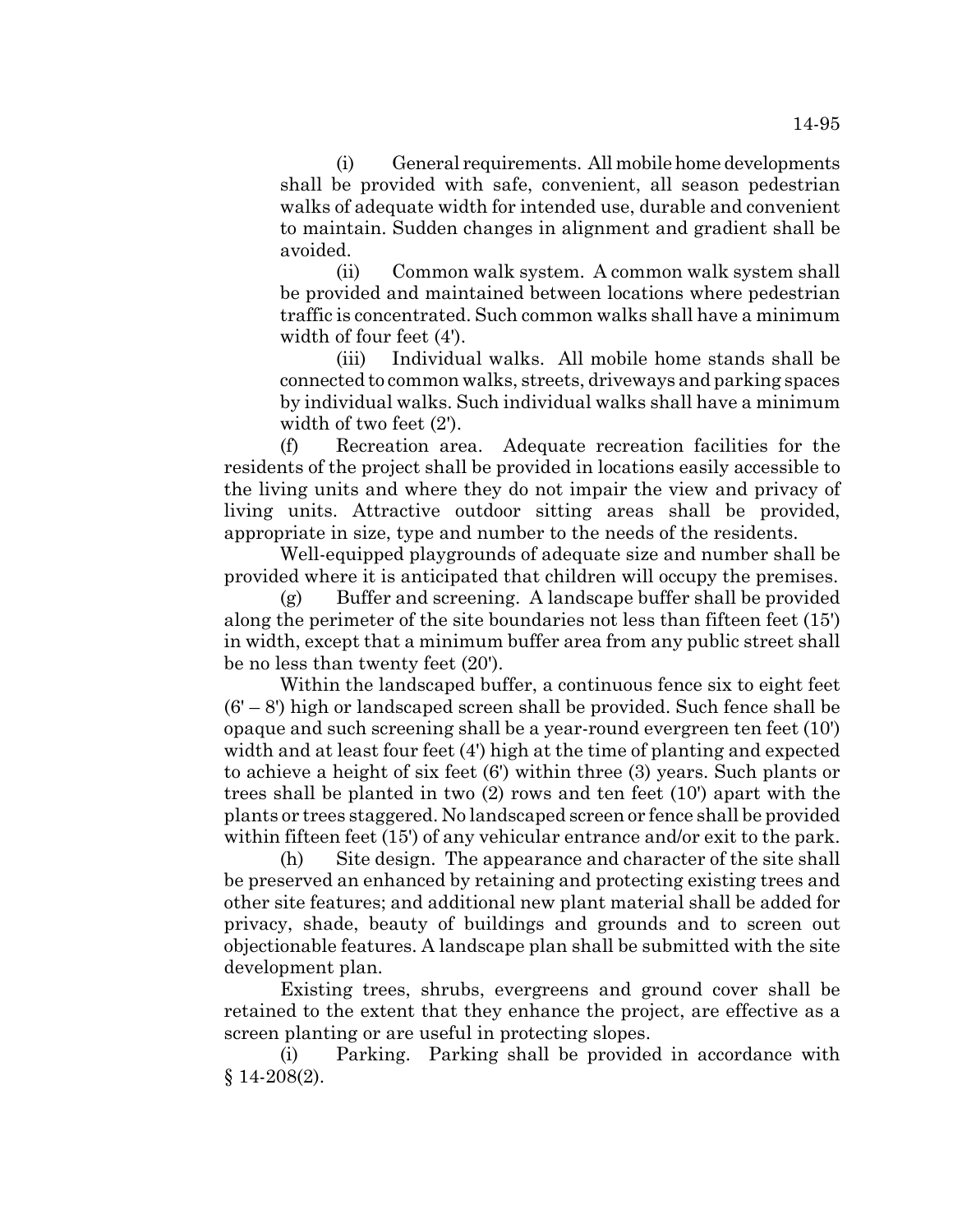14-95

(i) General requirements. All mobile home developments shall be provided with safe, convenient, all season pedestrian walks of adequate width for intended use, durable and convenient to maintain. Sudden changes in alignment and gradient shall be avoided.

(ii) Common walk system. A common walk system shall be provided and maintained between locations where pedestrian traffic is concentrated. Such common walks shall have a minimum width of four feet (4').

(iii) Individual walks. All mobile home stands shall be connected to common walks, streets, driveways and parking spaces by individual walks. Such individual walks shall have a minimum width of two feet (2').

(f) Recreation area. Adequate recreation facilities for the residents of the project shall be provided in locations easily accessible to the living units and where they do not impair the view and privacy of living units. Attractive outdoor sitting areas shall be provided, appropriate in size, type and number to the needs of the residents.

Well-equipped playgrounds of adequate size and number shall be provided where it is anticipated that children will occupy the premises.

(g) Buffer and screening. A landscape buffer shall be provided along the perimeter of the site boundaries not less than fifteen feet (15') in width, except that a minimum buffer area from any public street shall be no less than twenty feet (20').

Within the landscaped buffer, a continuous fence six to eight feet (6' – 8') high or landscaped screen shall be provided. Such fence shall be opaque and such screening shall be a year-round evergreen ten feet (10') width and at least four feet (4') high at the time of planting and expected to achieve a height of six feet (6') within three (3) years. Such plants or trees shall be planted in two (2) rows and ten feet (10') apart with the plants or trees staggered. No landscaped screen or fence shall be provided within fifteen feet (15') of any vehicular entrance and/or exit to the park.

(h) Site design. The appearance and character of the site shall be preserved an enhanced by retaining and protecting existing trees and other site features; and additional new plant material shall be added for privacy, shade, beauty of buildings and grounds and to screen out objectionable features. A landscape plan shall be submitted with the site development plan.

Existing trees, shrubs, evergreens and ground cover shall be retained to the extent that they enhance the project, are effective as a screen planting or are useful in protecting slopes.

(i) Parking. Parking shall be provided in accordance with  $§ 14-208(2).$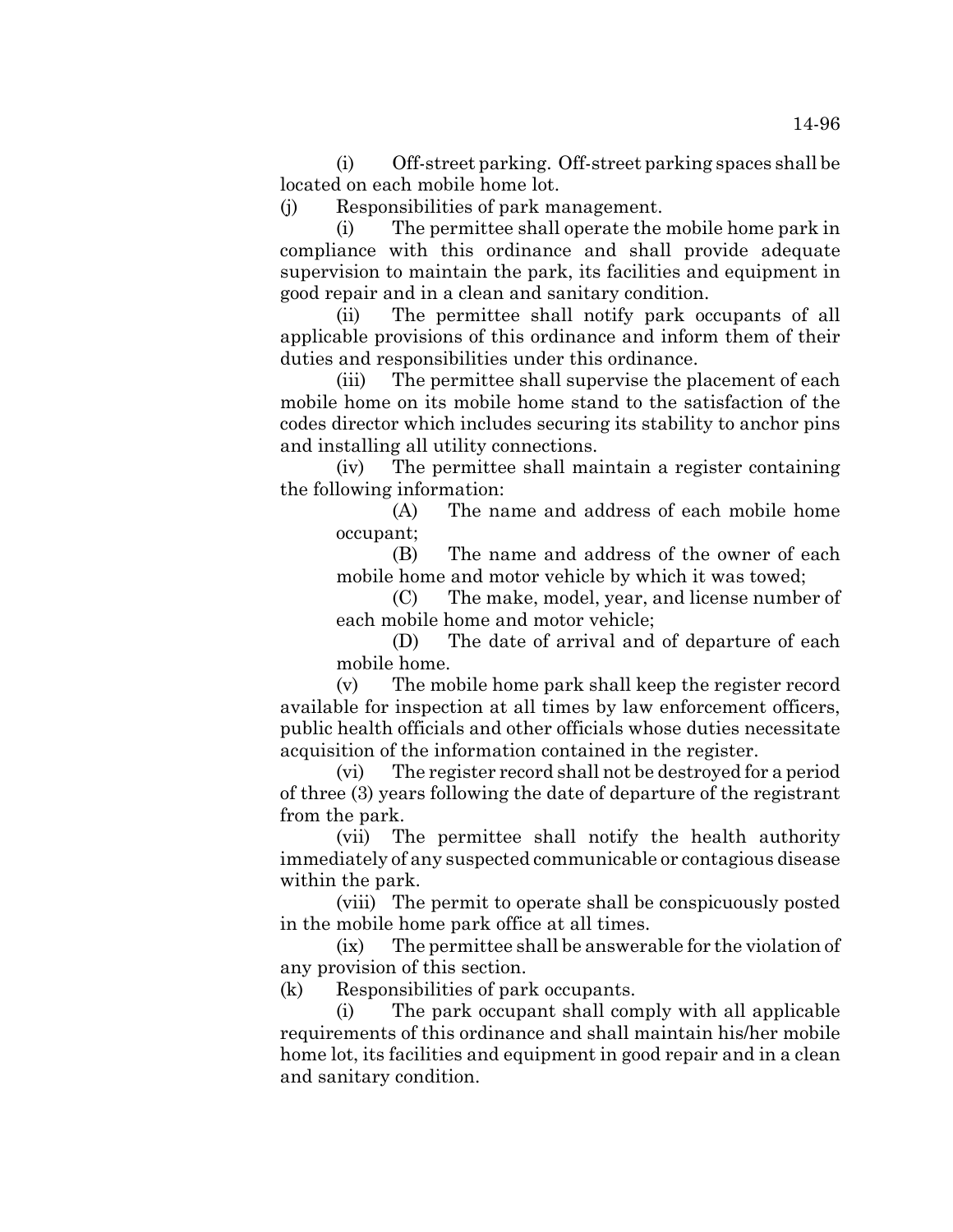(i) Off-street parking. Off-street parking spaces shall be located on each mobile home lot.

(j) Responsibilities of park management.

(i) The permittee shall operate the mobile home park in compliance with this ordinance and shall provide adequate supervision to maintain the park, its facilities and equipment in good repair and in a clean and sanitary condition.

(ii) The permittee shall notify park occupants of all applicable provisions of this ordinance and inform them of their duties and responsibilities under this ordinance.

(iii) The permittee shall supervise the placement of each mobile home on its mobile home stand to the satisfaction of the codes director which includes securing its stability to anchor pins and installing all utility connections.

(iv) The permittee shall maintain a register containing the following information:

(A) The name and address of each mobile home occupant;

(B) The name and address of the owner of each mobile home and motor vehicle by which it was towed;

(C) The make, model, year, and license number of each mobile home and motor vehicle;

(D) The date of arrival and of departure of each mobile home.

(v) The mobile home park shall keep the register record available for inspection at all times by law enforcement officers, public health officials and other officials whose duties necessitate acquisition of the information contained in the register.

(vi) The register record shall not be destroyed for a period of three (3) years following the date of departure of the registrant from the park.

(vii) The permittee shall notify the health authority immediately of any suspected communicable or contagious disease within the park.

(viii) The permit to operate shall be conspicuously posted in the mobile home park office at all times.

(ix) The permittee shall be answerable for the violation of any provision of this section.

(k) Responsibilities of park occupants.

(i) The park occupant shall comply with all applicable requirements of this ordinance and shall maintain his/her mobile home lot, its facilities and equipment in good repair and in a clean and sanitary condition.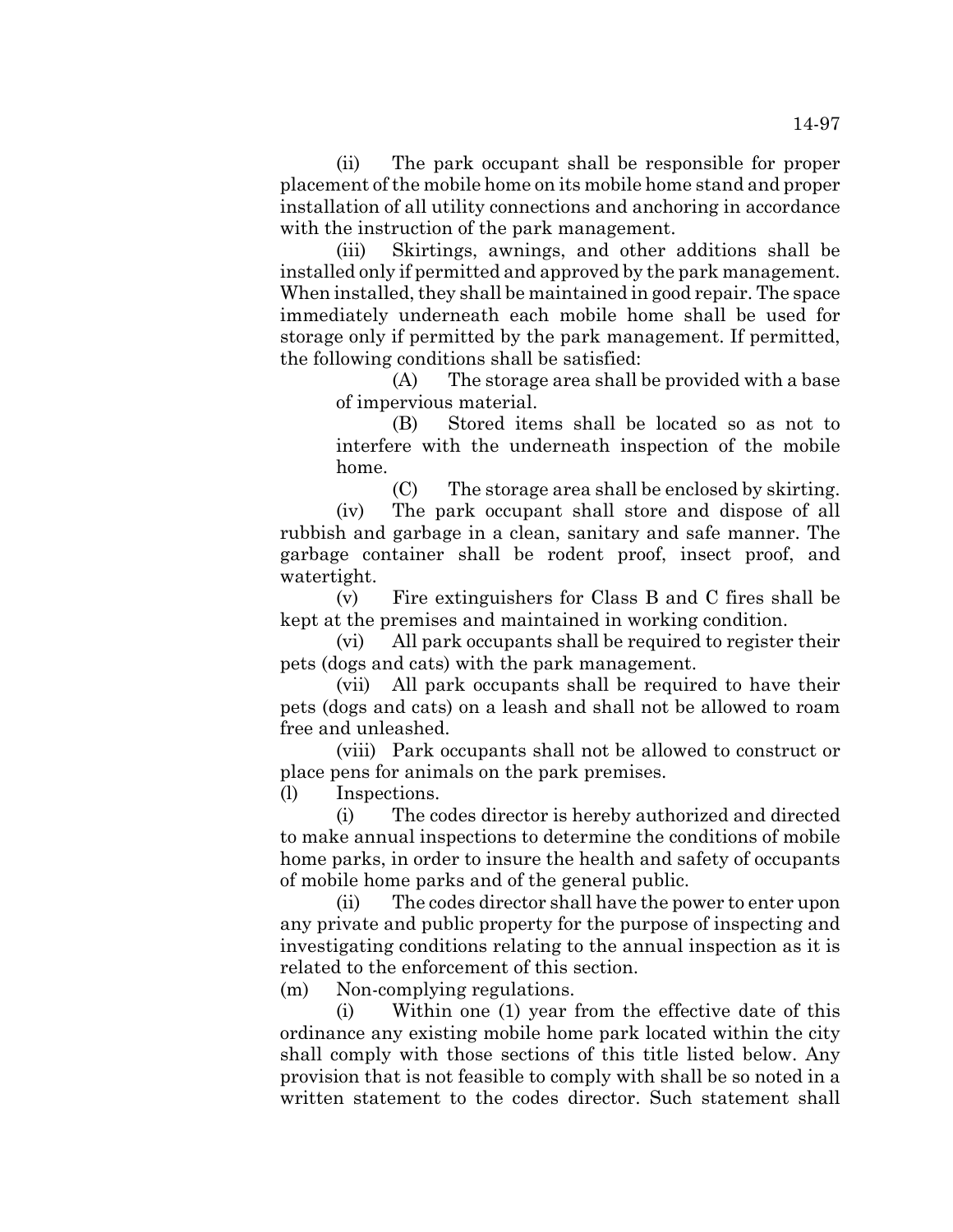(ii) The park occupant shall be responsible for proper placement of the mobile home on its mobile home stand and proper installation of all utility connections and anchoring in accordance with the instruction of the park management.

(iii) Skirtings, awnings, and other additions shall be installed only if permitted and approved by the park management. When installed, they shall be maintained in good repair. The space immediately underneath each mobile home shall be used for storage only if permitted by the park management. If permitted, the following conditions shall be satisfied:

(A) The storage area shall be provided with a base of impervious material.

(B) Stored items shall be located so as not to interfere with the underneath inspection of the mobile home.

(C) The storage area shall be enclosed by skirting.

(iv) The park occupant shall store and dispose of all rubbish and garbage in a clean, sanitary and safe manner. The garbage container shall be rodent proof, insect proof, and watertight.

(v) Fire extinguishers for Class B and C fires shall be kept at the premises and maintained in working condition.

(vi) All park occupants shall be required to register their pets (dogs and cats) with the park management.

(vii) All park occupants shall be required to have their pets (dogs and cats) on a leash and shall not be allowed to roam free and unleashed.

(viii) Park occupants shall not be allowed to construct or place pens for animals on the park premises.

(l) Inspections.

(i) The codes director is hereby authorized and directed to make annual inspections to determine the conditions of mobile home parks, in order to insure the health and safety of occupants of mobile home parks and of the general public.

(ii) The codes director shall have the power to enter upon any private and public property for the purpose of inspecting and investigating conditions relating to the annual inspection as it is related to the enforcement of this section.

(m) Non-complying regulations.

(i) Within one (1) year from the effective date of this ordinance any existing mobile home park located within the city shall comply with those sections of this title listed below. Any provision that is not feasible to comply with shall be so noted in a written statement to the codes director. Such statement shall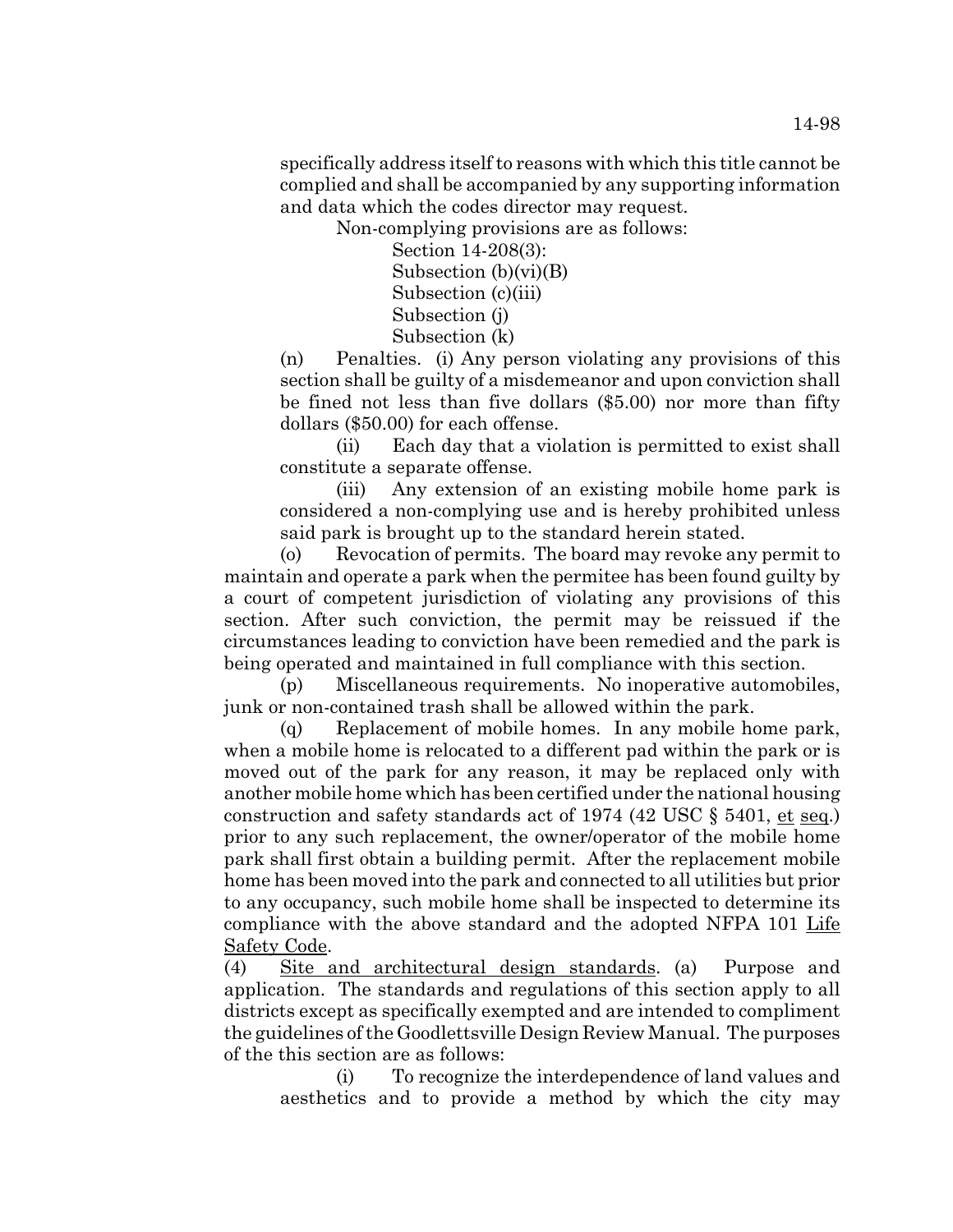specifically address itself to reasons with which this title cannot be complied and shall be accompanied by any supporting information and data which the codes director may request.

Non-complying provisions are as follows:

Section 14-208(3): Subsection (b)(vi)(B) Subsection (c)(iii) Subsection (j) Subsection (k)

(n) Penalties. (i) Any person violating any provisions of this section shall be guilty of a misdemeanor and upon conviction shall be fined not less than five dollars (\$5.00) nor more than fifty dollars (\$50.00) for each offense.

(ii) Each day that a violation is permitted to exist shall constitute a separate offense.

(iii) Any extension of an existing mobile home park is considered a non-complying use and is hereby prohibited unless said park is brought up to the standard herein stated.

(o) Revocation of permits. The board may revoke any permit to maintain and operate a park when the permitee has been found guilty by a court of competent jurisdiction of violating any provisions of this section. After such conviction, the permit may be reissued if the circumstances leading to conviction have been remedied and the park is being operated and maintained in full compliance with this section.

(p) Miscellaneous requirements. No inoperative automobiles, junk or non-contained trash shall be allowed within the park.

(q) Replacement of mobile homes. In any mobile home park, when a mobile home is relocated to a different pad within the park or is moved out of the park for any reason, it may be replaced only with another mobile home which has been certified under the national housing construction and safety standards act of 1974 (42 USC  $\S$  5401, et seq.) prior to any such replacement, the owner/operator of the mobile home park shall first obtain a building permit. After the replacement mobile home has been moved into the park and connected to all utilities but prior to any occupancy, such mobile home shall be inspected to determine its compliance with the above standard and the adopted NFPA 101 Life Safety Code.

(4) Site and architectural design standards. (a) Purpose and application. The standards and regulations of this section apply to all districts except as specifically exempted and are intended to compliment the guidelines of the Goodlettsville Design Review Manual. The purposes of the this section are as follows:

(i) To recognize the interdependence of land values and aesthetics and to provide a method by which the city may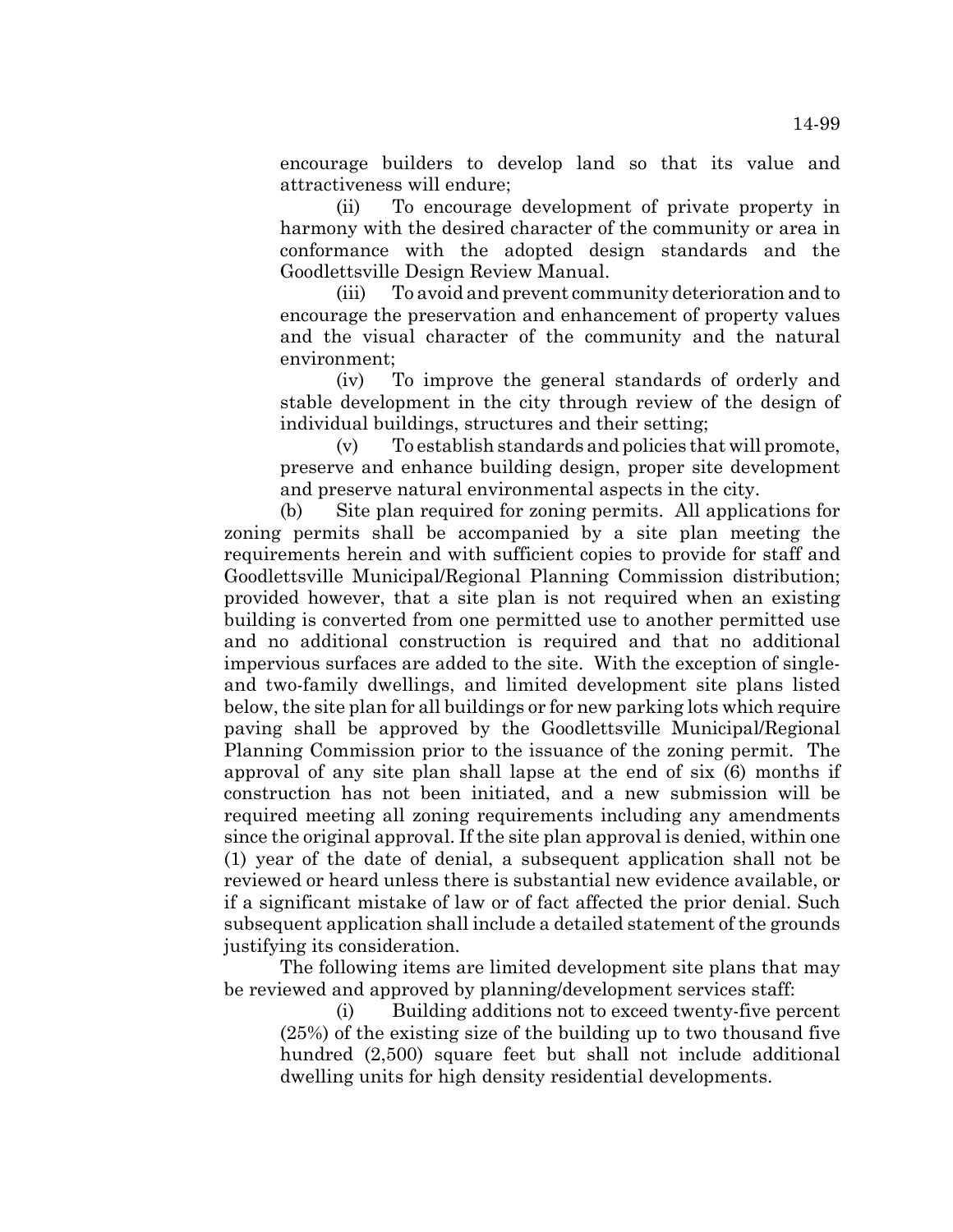encourage builders to develop land so that its value and attractiveness will endure;

(ii) To encourage development of private property in harmony with the desired character of the community or area in conformance with the adopted design standards and the Goodlettsville Design Review Manual.

(iii) To avoid and prevent community deterioration and to encourage the preservation and enhancement of property values and the visual character of the community and the natural environment;

(iv) To improve the general standards of orderly and stable development in the city through review of the design of individual buildings, structures and their setting;

(v) To establish standards and policies that will promote, preserve and enhance building design, proper site development and preserve natural environmental aspects in the city.

(b) Site plan required for zoning permits. All applications for zoning permits shall be accompanied by a site plan meeting the requirements herein and with sufficient copies to provide for staff and Goodlettsville Municipal/Regional Planning Commission distribution; provided however, that a site plan is not required when an existing building is converted from one permitted use to another permitted use and no additional construction is required and that no additional impervious surfaces are added to the site. With the exception of singleand two-family dwellings, and limited development site plans listed below, the site plan for all buildings or for new parking lots which require paving shall be approved by the Goodlettsville Municipal/Regional Planning Commission prior to the issuance of the zoning permit. The approval of any site plan shall lapse at the end of six (6) months if construction has not been initiated, and a new submission will be required meeting all zoning requirements including any amendments since the original approval. If the site plan approval is denied, within one (1) year of the date of denial, a subsequent application shall not be reviewed or heard unless there is substantial new evidence available, or if a significant mistake of law or of fact affected the prior denial. Such subsequent application shall include a detailed statement of the grounds justifying its consideration.

The following items are limited development site plans that may be reviewed and approved by planning/development services staff:

(i) Building additions not to exceed twenty-five percent (25%) of the existing size of the building up to two thousand five hundred (2,500) square feet but shall not include additional dwelling units for high density residential developments.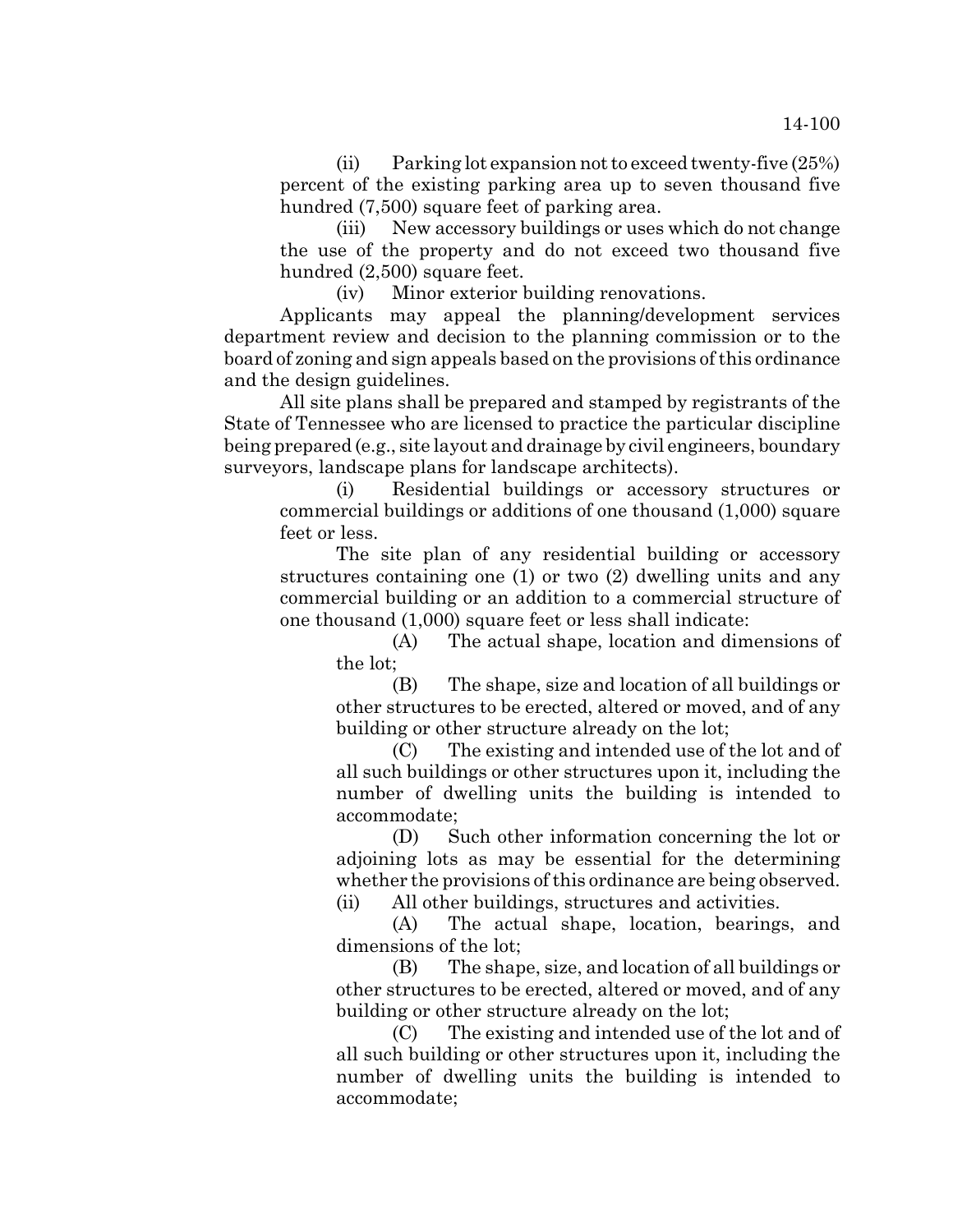(ii) Parking lot expansion not to exceed twenty-five (25%) percent of the existing parking area up to seven thousand five hundred (7,500) square feet of parking area.

(iii) New accessory buildings or uses which do not change the use of the property and do not exceed two thousand five hundred (2,500) square feet.

(iv) Minor exterior building renovations.

Applicants may appeal the planning/development services department review and decision to the planning commission or to the board of zoning and sign appeals based on the provisions of this ordinance and the design guidelines.

All site plans shall be prepared and stamped by registrants of the State of Tennessee who are licensed to practice the particular discipline being prepared (e.g., site layout and drainage by civil engineers, boundary surveyors, landscape plans for landscape architects).

(i) Residential buildings or accessory structures or commercial buildings or additions of one thousand (1,000) square feet or less.

The site plan of any residential building or accessory structures containing one (1) or two (2) dwelling units and any commercial building or an addition to a commercial structure of one thousand (1,000) square feet or less shall indicate:

(A) The actual shape, location and dimensions of the lot;

(B) The shape, size and location of all buildings or other structures to be erected, altered or moved, and of any building or other structure already on the lot;

(C) The existing and intended use of the lot and of all such buildings or other structures upon it, including the number of dwelling units the building is intended to accommodate;

(D) Such other information concerning the lot or adjoining lots as may be essential for the determining whether the provisions of this ordinance are being observed. (ii) All other buildings, structures and activities.

(A) The actual shape, location, bearings, and dimensions of the lot;

(B) The shape, size, and location of all buildings or other structures to be erected, altered or moved, and of any building or other structure already on the lot;

(C) The existing and intended use of the lot and of all such building or other structures upon it, including the number of dwelling units the building is intended to accommodate;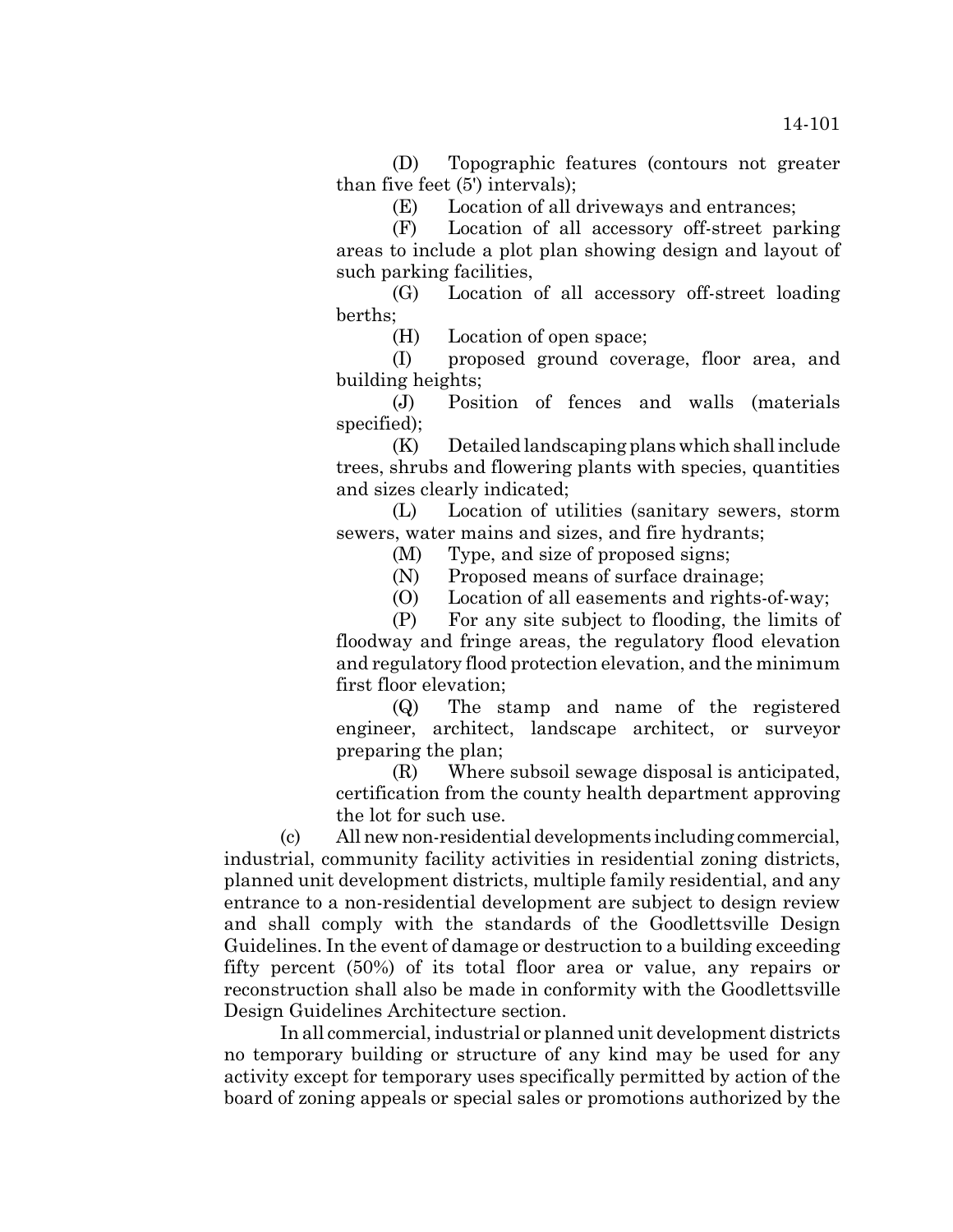(D) Topographic features (contours not greater than five feet (5') intervals);

(E) Location of all driveways and entrances;

(F) Location of all accessory off-street parking areas to include a plot plan showing design and layout of such parking facilities,

(G) Location of all accessory off-street loading berths;

(H) Location of open space;

(I) proposed ground coverage, floor area, and building heights;

(J) Position of fences and walls (materials specified);

(K) Detailed landscaping plans which shall include trees, shrubs and flowering plants with species, quantities and sizes clearly indicated;

(L) Location of utilities (sanitary sewers, storm sewers, water mains and sizes, and fire hydrants;

- (M) Type, and size of proposed signs;
- (N) Proposed means of surface drainage;
- (O) Location of all easements and rights-of-way;

(P) For any site subject to flooding, the limits of floodway and fringe areas, the regulatory flood elevation and regulatory flood protection elevation, and the minimum first floor elevation;

(Q) The stamp and name of the registered engineer, architect, landscape architect, or surveyor preparing the plan;

(R) Where subsoil sewage disposal is anticipated, certification from the county health department approving the lot for such use.

(c) All new non-residential developments including commercial, industrial, community facility activities in residential zoning districts, planned unit development districts, multiple family residential, and any entrance to a non-residential development are subject to design review and shall comply with the standards of the Goodlettsville Design Guidelines. In the event of damage or destruction to a building exceeding fifty percent (50%) of its total floor area or value, any repairs or reconstruction shall also be made in conformity with the Goodlettsville Design Guidelines Architecture section.

In all commercial, industrial or planned unit development districts no temporary building or structure of any kind may be used for any activity except for temporary uses specifically permitted by action of the board of zoning appeals or special sales or promotions authorized by the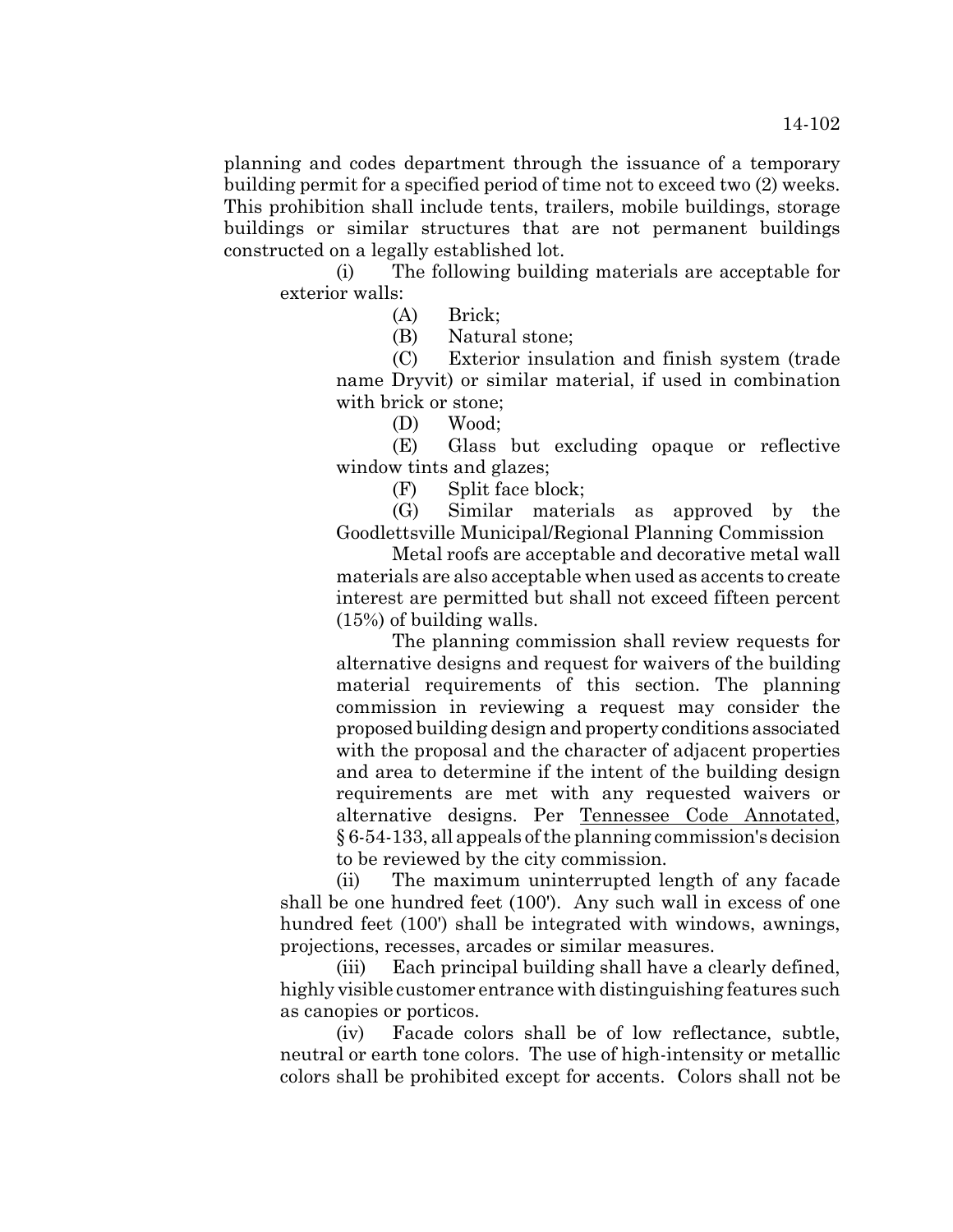planning and codes department through the issuance of a temporary building permit for a specified period of time not to exceed two (2) weeks. This prohibition shall include tents, trailers, mobile buildings, storage buildings or similar structures that are not permanent buildings constructed on a legally established lot.

(i) The following building materials are acceptable for exterior walls:

(A) Brick;

(B) Natural stone;

(C) Exterior insulation and finish system (trade name Dryvit) or similar material, if used in combination with brick or stone;

(D) Wood;

(E) Glass but excluding opaque or reflective window tints and glazes;

(F) Split face block;

(G) Similar materials as approved by the Goodlettsville Municipal/Regional Planning Commission

Metal roofs are acceptable and decorative metal wall materials are also acceptable when used as accents to create interest are permitted but shall not exceed fifteen percent (15%) of building walls.

The planning commission shall review requests for alternative designs and request for waivers of the building material requirements of this section. The planning commission in reviewing a request may consider the proposed building design and property conditions associated with the proposal and the character of adjacent properties and area to determine if the intent of the building design requirements are met with any requested waivers or alternative designs. Per Tennessee Code Annotated, § 6-54-133, all appeals of the planning commission's decision to be reviewed by the city commission.

(ii) The maximum uninterrupted length of any facade shall be one hundred feet (100'). Any such wall in excess of one hundred feet (100') shall be integrated with windows, awnings, projections, recesses, arcades or similar measures.

(iii) Each principal building shall have a clearly defined, highly visible customer entrance with distinguishing features such as canopies or porticos.

(iv) Facade colors shall be of low reflectance, subtle, neutral or earth tone colors. The use of high-intensity or metallic colors shall be prohibited except for accents. Colors shall not be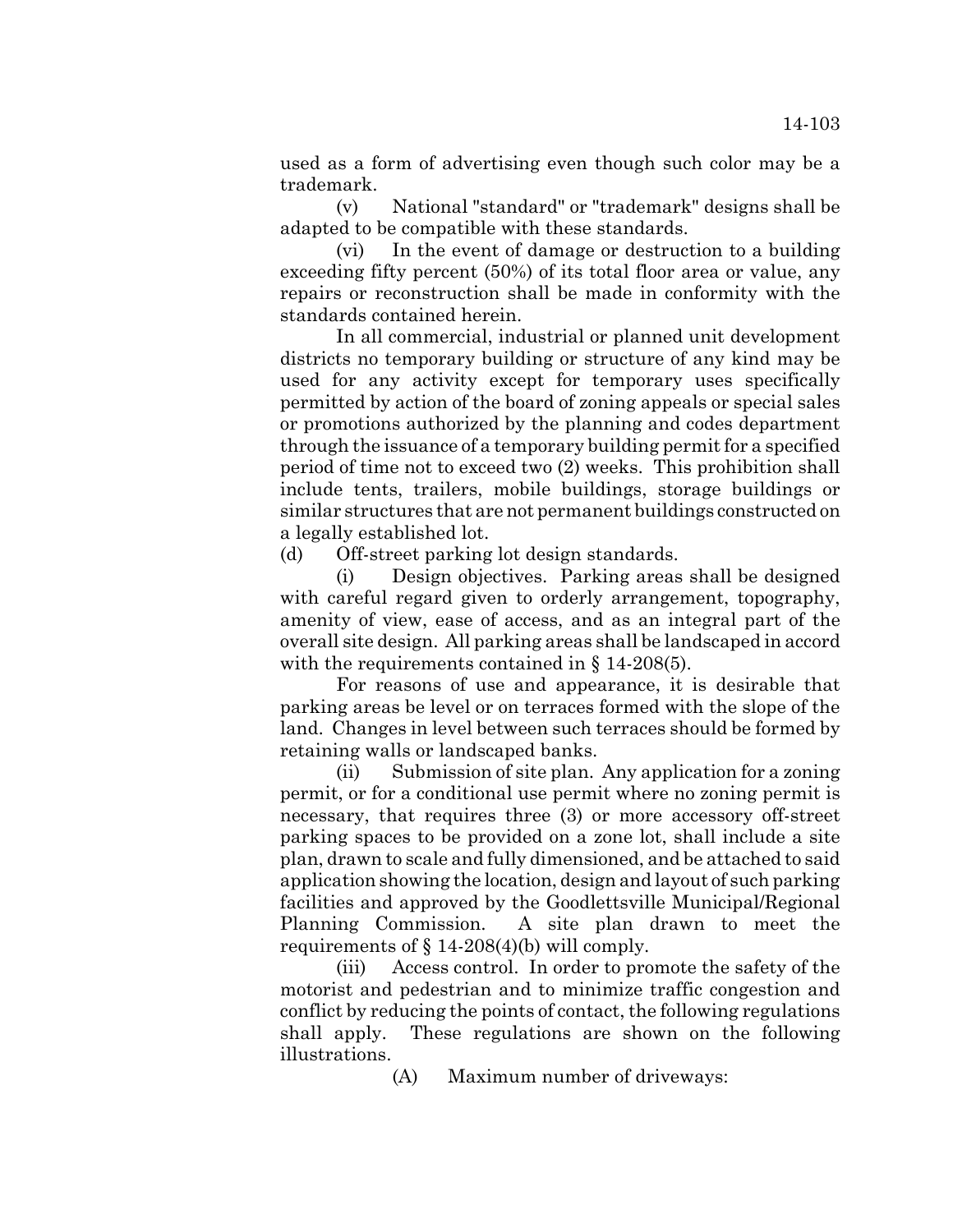used as a form of advertising even though such color may be a trademark.

(v) National "standard" or "trademark" designs shall be adapted to be compatible with these standards.

(vi) In the event of damage or destruction to a building exceeding fifty percent (50%) of its total floor area or value, any repairs or reconstruction shall be made in conformity with the standards contained herein.

In all commercial, industrial or planned unit development districts no temporary building or structure of any kind may be used for any activity except for temporary uses specifically permitted by action of the board of zoning appeals or special sales or promotions authorized by the planning and codes department through the issuance of a temporary building permit for a specified period of time not to exceed two (2) weeks. This prohibition shall include tents, trailers, mobile buildings, storage buildings or similar structures that are not permanent buildings constructed on a legally established lot.

(d) Off-street parking lot design standards.

(i) Design objectives. Parking areas shall be designed with careful regard given to orderly arrangement, topography, amenity of view, ease of access, and as an integral part of the overall site design. All parking areas shall be landscaped in accord with the requirements contained in § 14-208(5).

For reasons of use and appearance, it is desirable that parking areas be level or on terraces formed with the slope of the land. Changes in level between such terraces should be formed by retaining walls or landscaped banks.

(ii) Submission of site plan. Any application for a zoning permit, or for a conditional use permit where no zoning permit is necessary, that requires three (3) or more accessory off-street parking spaces to be provided on a zone lot, shall include a site plan, drawn to scale and fully dimensioned, and be attached to said application showing the location, design and layout of such parking facilities and approved by the Goodlettsville Municipal/Regional Planning Commission. A site plan drawn to meet the requirements of  $\S 14-208(4)(b)$  will comply.

(iii) Access control. In order to promote the safety of the motorist and pedestrian and to minimize traffic congestion and conflict by reducing the points of contact, the following regulations shall apply. These regulations are shown on the following illustrations.

(A) Maximum number of driveways: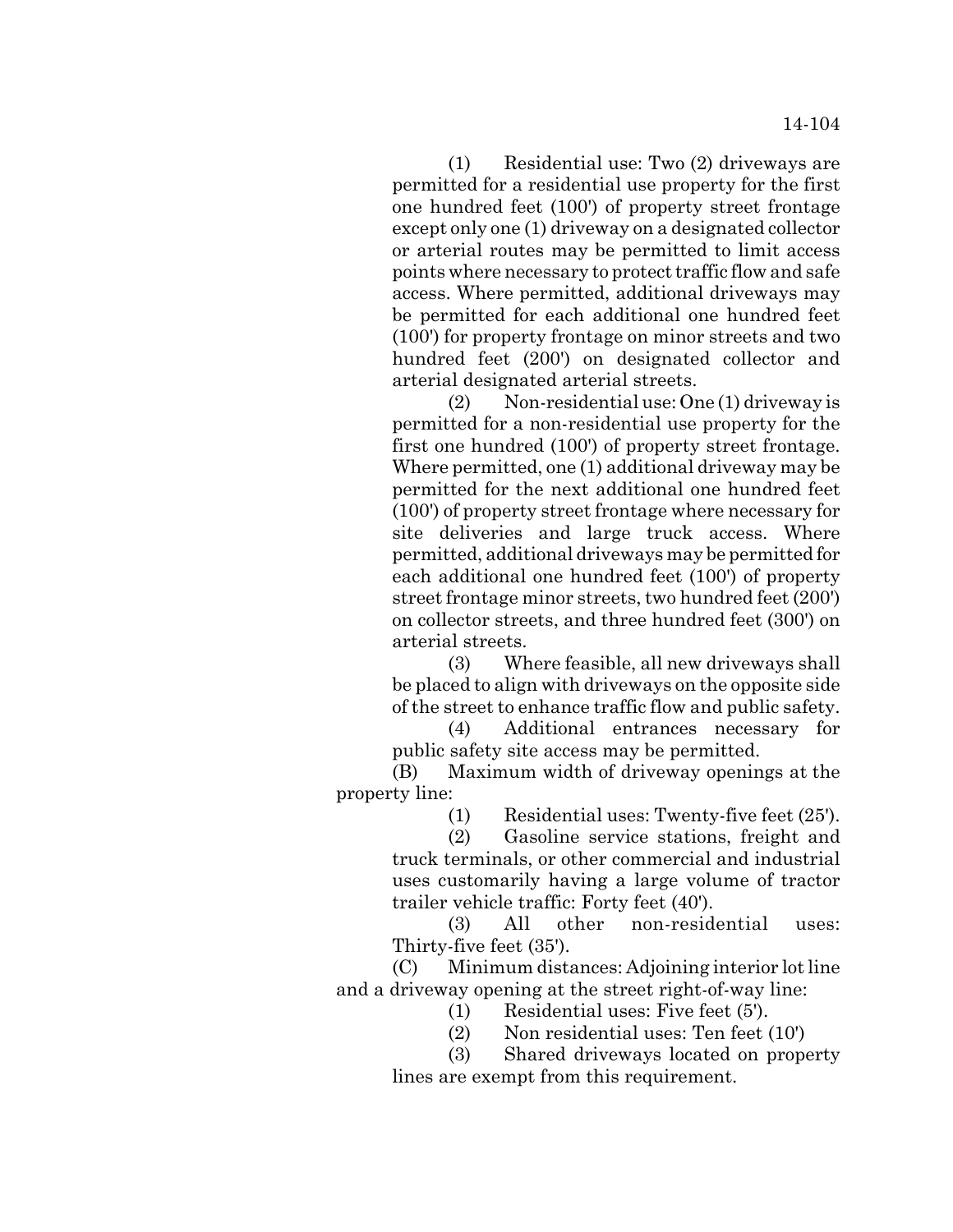(1) Residential use: Two (2) driveways are permitted for a residential use property for the first one hundred feet (100') of property street frontage except only one (1) driveway on a designated collector or arterial routes may be permitted to limit access points where necessary to protect traffic flow and safe access. Where permitted, additional driveways may be permitted for each additional one hundred feet (100') for property frontage on minor streets and two hundred feet (200') on designated collector and arterial designated arterial streets.

(2) Non-residential use: One (1) driveway is permitted for a non-residential use property for the first one hundred (100') of property street frontage. Where permitted, one (1) additional driveway may be permitted for the next additional one hundred feet (100') of property street frontage where necessary for site deliveries and large truck access. Where permitted, additional driveways may be permitted for each additional one hundred feet (100') of property street frontage minor streets, two hundred feet (200') on collector streets, and three hundred feet (300') on arterial streets.

(3) Where feasible, all new driveways shall be placed to align with driveways on the opposite side of the street to enhance traffic flow and public safety.

(4) Additional entrances necessary for public safety site access may be permitted.

 (B) Maximum width of driveway openings at the property line:

(1) Residential uses: Twenty-five feet (25').

(2) Gasoline service stations, freight and truck terminals, or other commercial and industrial uses customarily having a large volume of tractor trailer vehicle traffic: Forty feet (40').

(3) All other non-residential uses: Thirty-five feet (35').

(C) Minimum distances: Adjoining interior lot line and a driveway opening at the street right-of-way line:

(1) Residential uses: Five feet (5').

(2) Non residential uses: Ten feet (10')

(3) Shared driveways located on property lines are exempt from this requirement.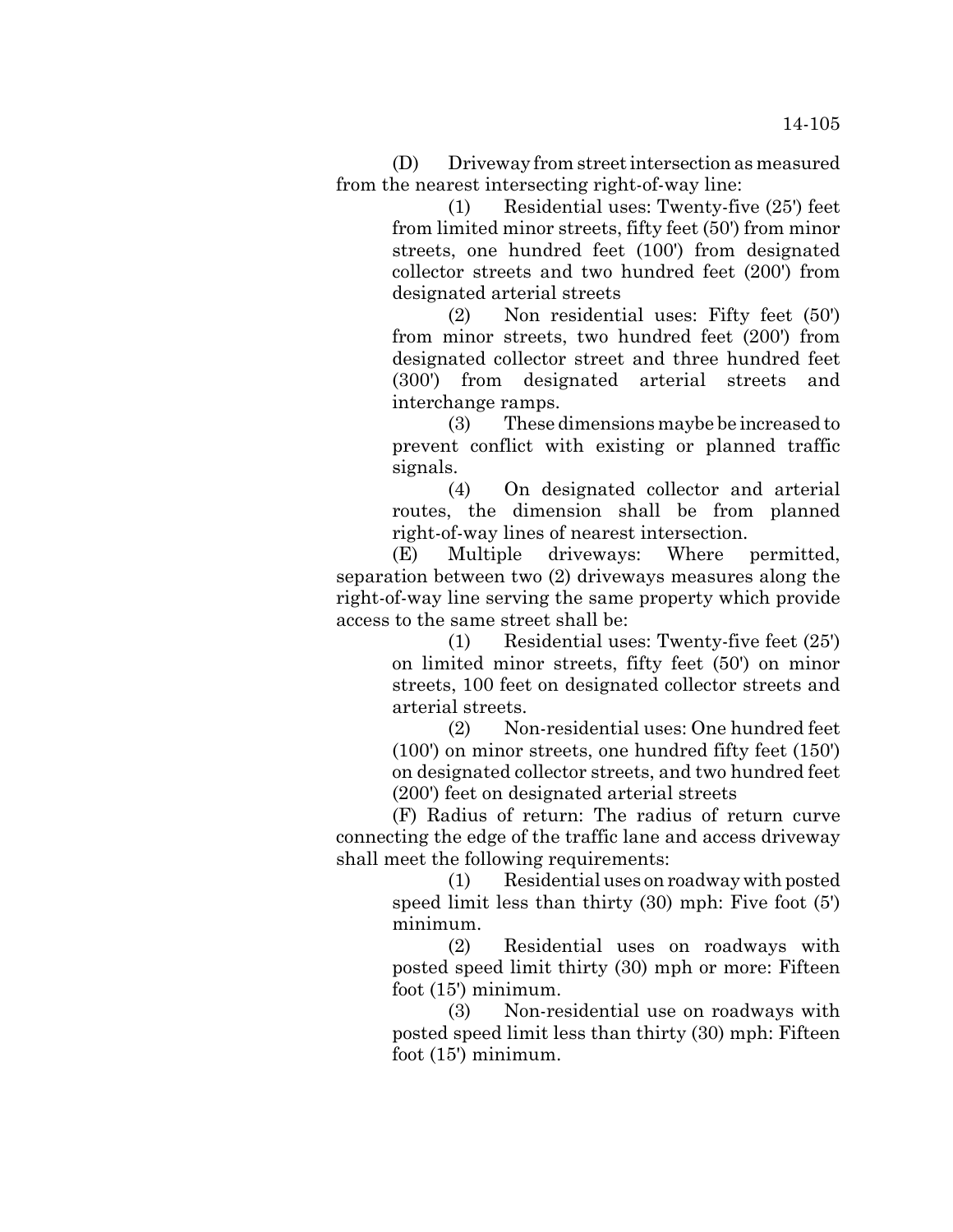(D) Driveway from street intersection as measured from the nearest intersecting right-of-way line:

> (1) Residential uses: Twenty-five (25') feet from limited minor streets, fifty feet (50') from minor streets, one hundred feet (100') from designated collector streets and two hundred feet (200') from designated arterial streets

> (2) Non residential uses: Fifty feet (50') from minor streets, two hundred feet (200') from designated collector street and three hundred feet (300') from designated arterial streets and interchange ramps.

> (3) These dimensions maybe be increased to prevent conflict with existing or planned traffic signals.

> (4) On designated collector and arterial routes, the dimension shall be from planned right-of-way lines of nearest intersection.

(E) Multiple driveways: Where permitted, separation between two (2) driveways measures along the right-of-way line serving the same property which provide access to the same street shall be:

(1) Residential uses: Twenty-five feet (25') on limited minor streets, fifty feet (50') on minor streets, 100 feet on designated collector streets and arterial streets.

(2) Non-residential uses: One hundred feet (100') on minor streets, one hundred fifty feet (150') on designated collector streets, and two hundred feet (200') feet on designated arterial streets

(F) Radius of return: The radius of return curve connecting the edge of the traffic lane and access driveway shall meet the following requirements:

(1) Residential uses on roadway with posted speed limit less than thirty (30) mph: Five foot (5') minimum.

(2) Residential uses on roadways with posted speed limit thirty (30) mph or more: Fifteen foot (15') minimum.

(3) Non-residential use on roadways with posted speed limit less than thirty (30) mph: Fifteen foot (15') minimum.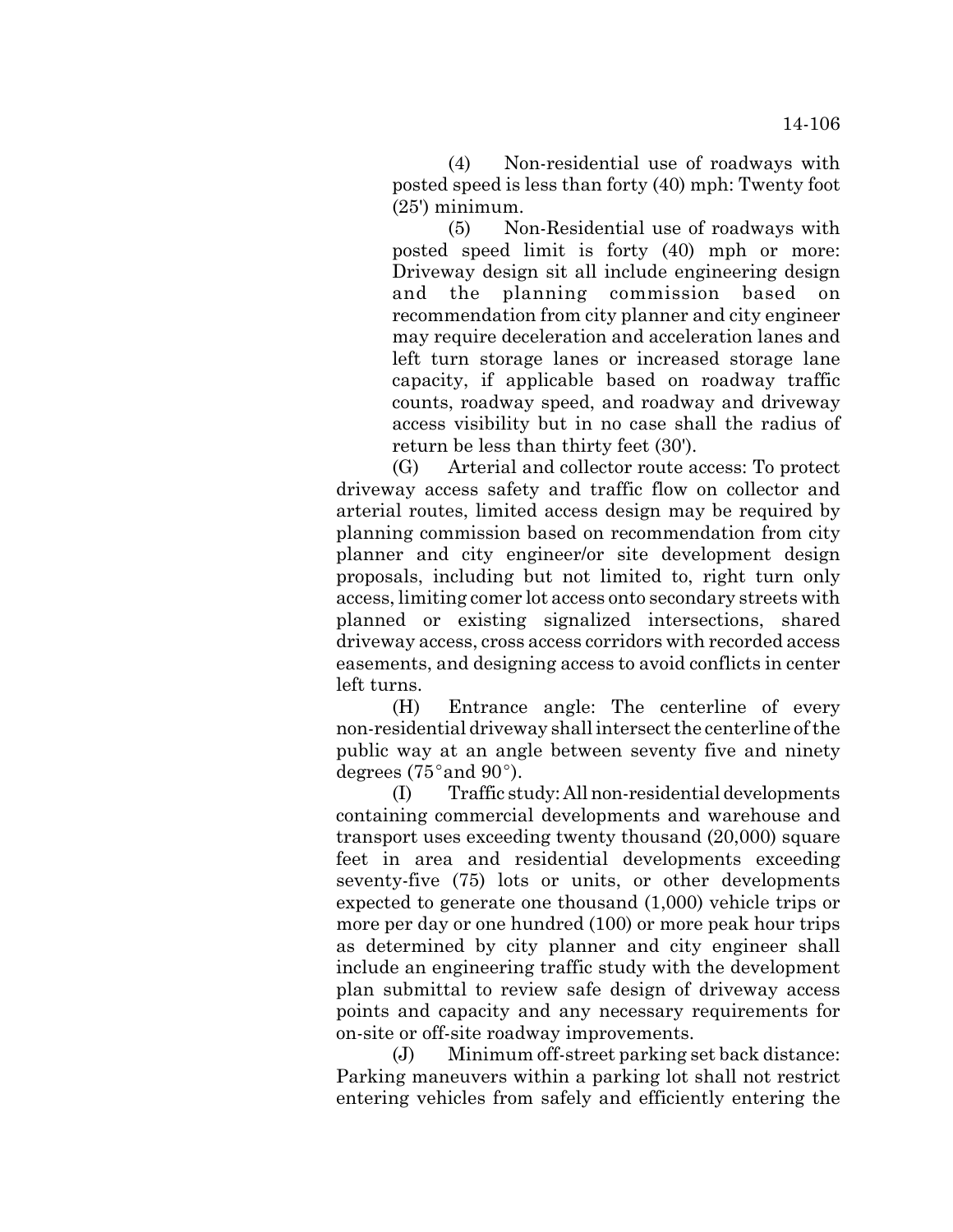(4) Non-residential use of roadways with posted speed is less than forty (40) mph: Twenty foot (25') minimum.

(5) Non-Residential use of roadways with posted speed limit is forty (40) mph or more: Driveway design sit all include engineering design and the planning commission based on recommendation from city planner and city engineer may require deceleration and acceleration lanes and left turn storage lanes or increased storage lane capacity, if applicable based on roadway traffic counts, roadway speed, and roadway and driveway access visibility but in no case shall the radius of return be less than thirty feet (30').

(G) Arterial and collector route access: To protect driveway access safety and traffic flow on collector and arterial routes, limited access design may be required by planning commission based on recommendation from city planner and city engineer/or site development design proposals, including but not limited to, right turn only access, limiting comer lot access onto secondary streets with planned or existing signalized intersections, shared driveway access, cross access corridors with recorded access easements, and designing access to avoid conflicts in center left turns.

(H) Entrance angle: The centerline of every non-residential driveway shall intersect the centerline of the public way at an angle between seventy five and ninety degrees (75 $^{\circ}$ and 90 $^{\circ}$ ).

(I) Traffic study: All non-residential developments containing commercial developments and warehouse and transport uses exceeding twenty thousand (20,000) square feet in area and residential developments exceeding seventy-five (75) lots or units, or other developments expected to generate one thousand (1,000) vehicle trips or more per day or one hundred (100) or more peak hour trips as determined by city planner and city engineer shall include an engineering traffic study with the development plan submittal to review safe design of driveway access points and capacity and any necessary requirements for on-site or off-site roadway improvements.

(J) Minimum off-street parking set back distance: Parking maneuvers within a parking lot shall not restrict entering vehicles from safely and efficiently entering the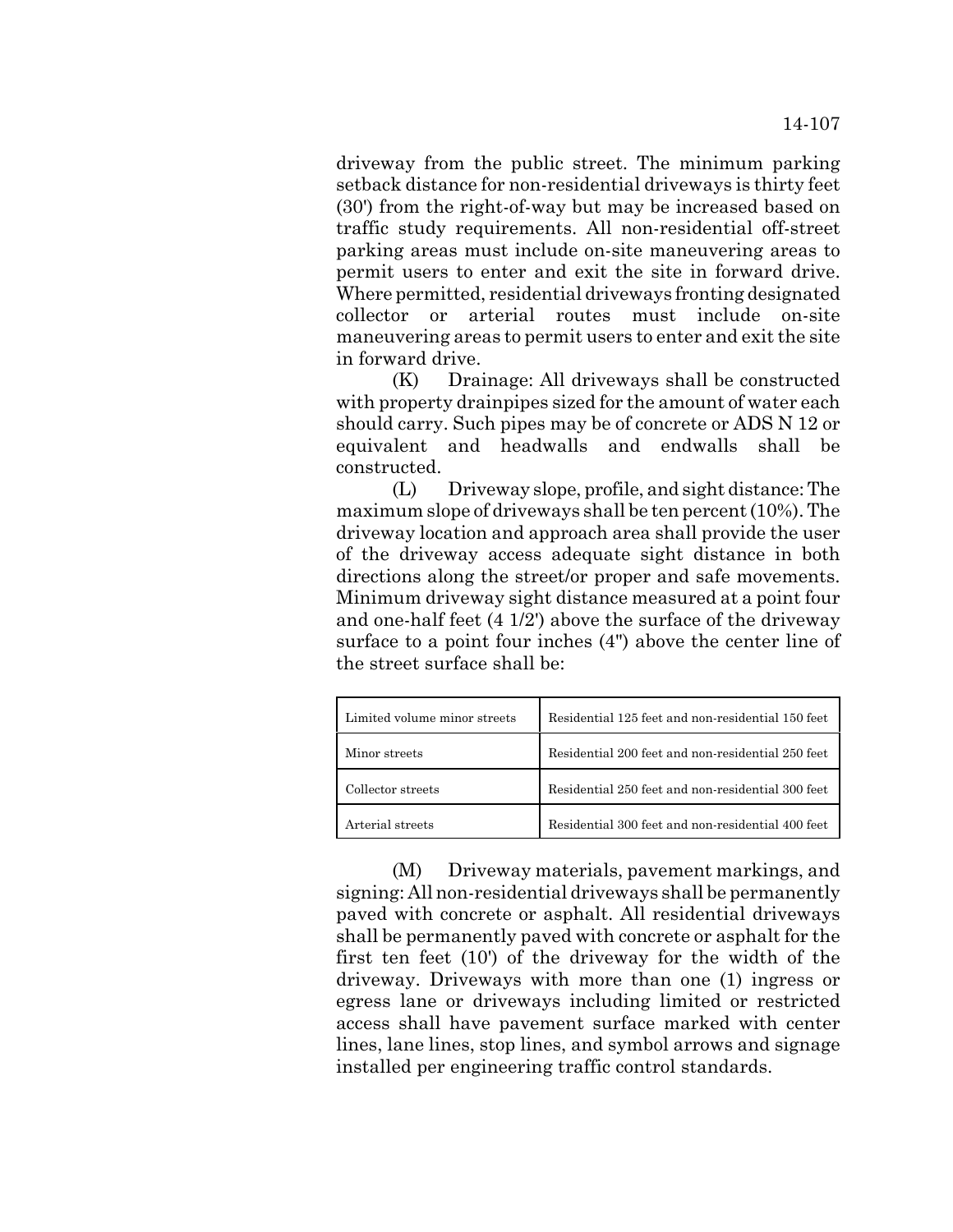driveway from the public street. The minimum parking setback distance for non-residential driveways is thirty feet (30') from the right-of-way but may be increased based on traffic study requirements. All non-residential off-street parking areas must include on-site maneuvering areas to permit users to enter and exit the site in forward drive. Where permitted, residential driveways fronting designated collector or arterial routes must include on-site maneuvering areas to permit users to enter and exit the site in forward drive.

(K) Drainage: All driveways shall be constructed with property drainpipes sized for the amount of water each should carry. Such pipes may be of concrete or ADS N 12 or equivalent and headwalls and endwalls shall be constructed.

(L) Driveway slope, profile, and sight distance: The maximum slope of driveways shall be ten percent (10%). The driveway location and approach area shall provide the user of the driveway access adequate sight distance in both directions along the street/or proper and safe movements. Minimum driveway sight distance measured at a point four and one-half feet (4 1/2') above the surface of the driveway surface to a point four inches (4") above the center line of the street surface shall be:

| Limited volume minor streets | Residential 125 feet and non-residential 150 feet |
|------------------------------|---------------------------------------------------|
| Minor streets                | Residential 200 feet and non-residential 250 feet |
| Collector streets            | Residential 250 feet and non-residential 300 feet |
| Arterial streets             | Residential 300 feet and non-residential 400 feet |

(M) Driveway materials, pavement markings, and signing: All non-residential driveways shall be permanently paved with concrete or asphalt. All residential driveways shall be permanently paved with concrete or asphalt for the first ten feet (10') of the driveway for the width of the driveway. Driveways with more than one (1) ingress or egress lane or driveways including limited or restricted access shall have pavement surface marked with center lines, lane lines, stop lines, and symbol arrows and signage installed per engineering traffic control standards.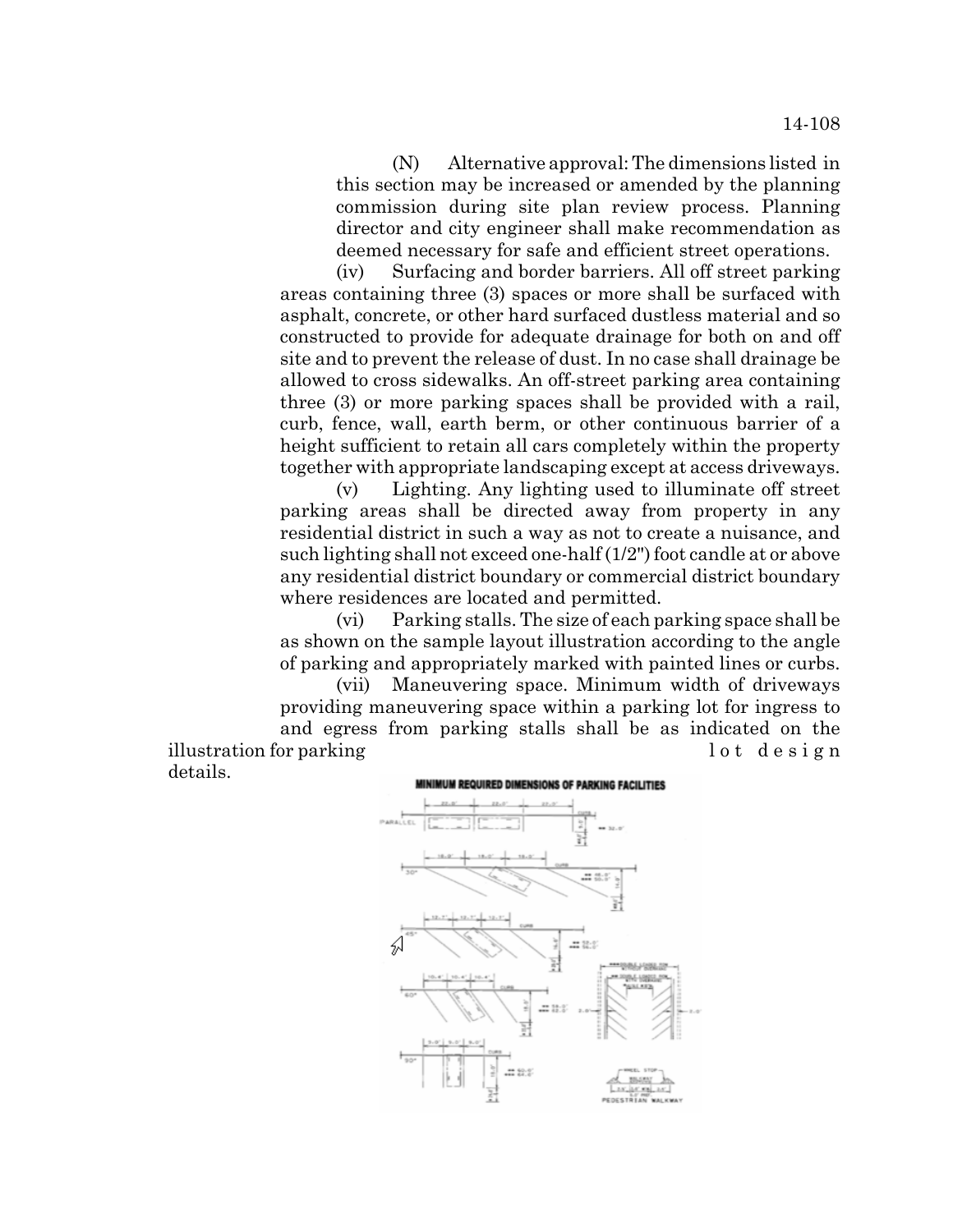(N) Alternative approval: The dimensions listed in this section may be increased or amended by the planning commission during site plan review process. Planning director and city engineer shall make recommendation as deemed necessary for safe and efficient street operations.

(iv) Surfacing and border barriers. All off street parking areas containing three (3) spaces or more shall be surfaced with asphalt, concrete, or other hard surfaced dustless material and so constructed to provide for adequate drainage for both on and off site and to prevent the release of dust. In no case shall drainage be allowed to cross sidewalks. An off-street parking area containing three (3) or more parking spaces shall be provided with a rail, curb, fence, wall, earth berm, or other continuous barrier of a height sufficient to retain all cars completely within the property together with appropriate landscaping except at access driveways.

(v) Lighting. Any lighting used to illuminate off street parking areas shall be directed away from property in any residential district in such a way as not to create a nuisance, and such lighting shall not exceed one-half (1/2") foot candle at or above any residential district boundary or commercial district boundary where residences are located and permitted.

(vi) Parking stalls. The size of each parking space shall be as shown on the sample layout illustration according to the angle of parking and appropriately marked with painted lines or curbs.

(vii) Maneuvering space. Minimum width of driveways providing maneuvering space within a parking lot for ingress to

and egress from parking stalls shall be as indicated on the illustration for parking example to the set of the set of the set of the set of the set of the set of the set o details.

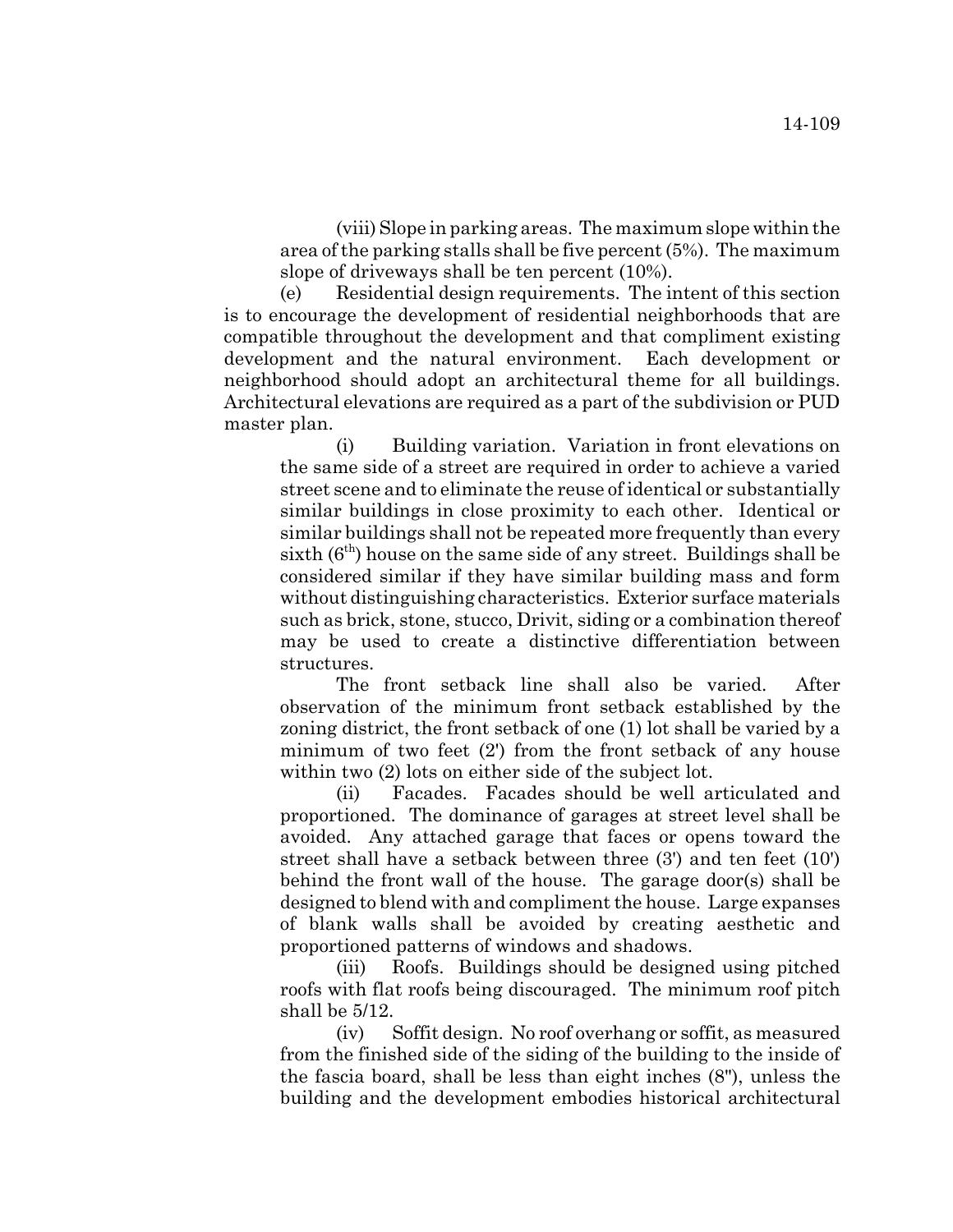(viii) Slope in parking areas. The maximum slope within the area of the parking stalls shall be five percent (5%). The maximum slope of driveways shall be ten percent (10%).

(e) Residential design requirements. The intent of this section is to encourage the development of residential neighborhoods that are compatible throughout the development and that compliment existing development and the natural environment. Each development or neighborhood should adopt an architectural theme for all buildings. Architectural elevations are required as a part of the subdivision or PUD master plan.

(i) Building variation. Variation in front elevations on the same side of a street are required in order to achieve a varied street scene and to eliminate the reuse of identical or substantially similar buildings in close proximity to each other. Identical or similar buildings shall not be repeated more frequently than every sixth  $(6<sup>th</sup>)$  house on the same side of any street. Buildings shall be considered similar if they have similar building mass and form without distinguishing characteristics. Exterior surface materials such as brick, stone, stucco, Drivit, siding or a combination thereof may be used to create a distinctive differentiation between structures.

The front setback line shall also be varied. After observation of the minimum front setback established by the zoning district, the front setback of one (1) lot shall be varied by a minimum of two feet (2') from the front setback of any house within two  $(2)$  lots on either side of the subject lot.

(ii) Facades. Facades should be well articulated and proportioned. The dominance of garages at street level shall be avoided. Any attached garage that faces or opens toward the street shall have a setback between three (3') and ten feet (10') behind the front wall of the house. The garage door(s) shall be designed to blend with and compliment the house. Large expanses of blank walls shall be avoided by creating aesthetic and proportioned patterns of windows and shadows.

(iii) Roofs. Buildings should be designed using pitched roofs with flat roofs being discouraged. The minimum roof pitch shall be 5/12.

(iv) Soffit design. No roof overhang or soffit, as measured from the finished side of the siding of the building to the inside of the fascia board, shall be less than eight inches (8"), unless the building and the development embodies historical architectural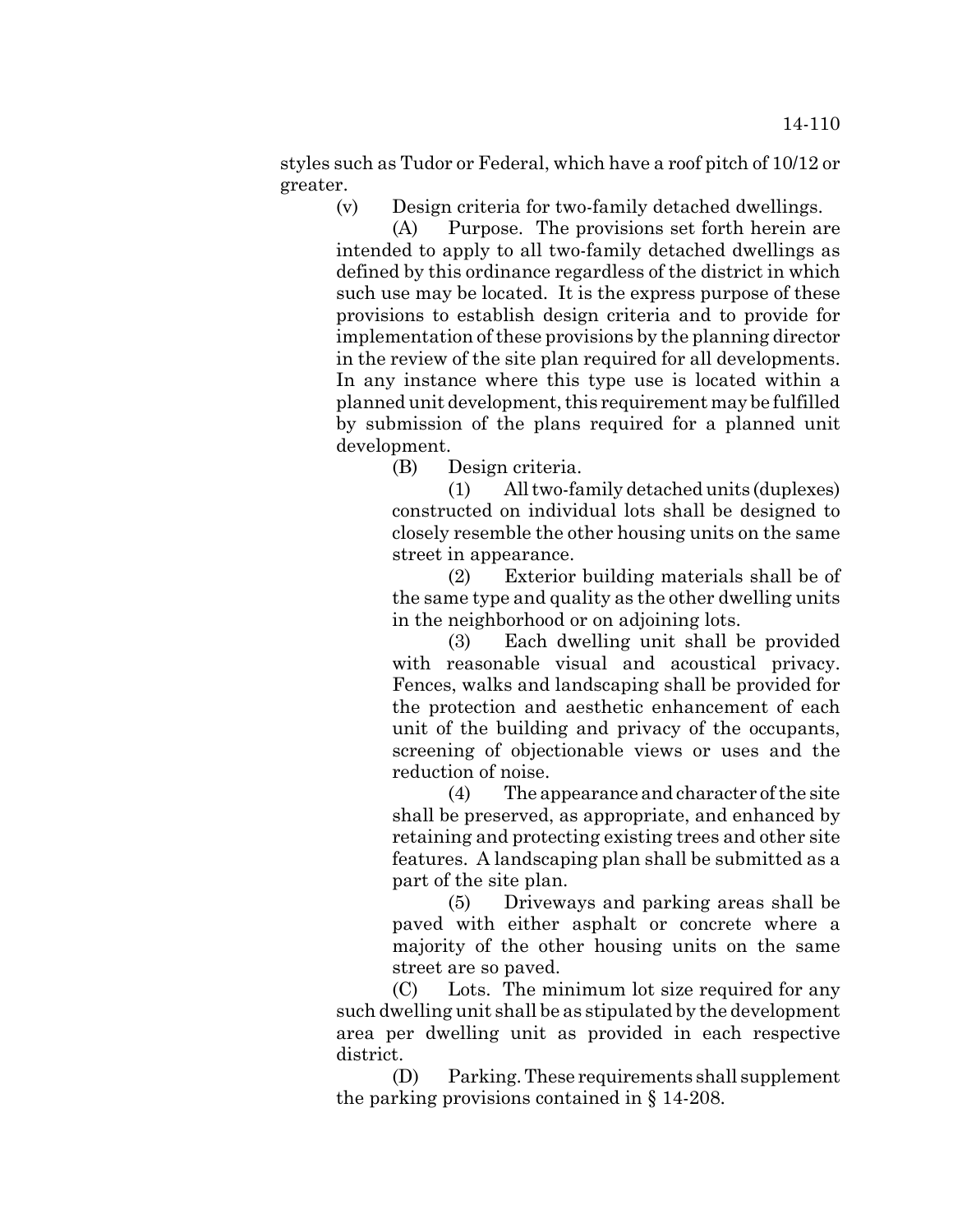styles such as Tudor or Federal, which have a roof pitch of 10/12 or greater.

(v) Design criteria for two-family detached dwellings.

(A) Purpose. The provisions set forth herein are intended to apply to all two-family detached dwellings as defined by this ordinance regardless of the district in which such use may be located. It is the express purpose of these provisions to establish design criteria and to provide for implementation of these provisions by the planning director in the review of the site plan required for all developments. In any instance where this type use is located within a planned unit development, this requirement may be fulfilled by submission of the plans required for a planned unit development.

(B) Design criteria.

(1) All two-family detached units (duplexes) constructed on individual lots shall be designed to closely resemble the other housing units on the same street in appearance.

(2) Exterior building materials shall be of the same type and quality as the other dwelling units in the neighborhood or on adjoining lots.

(3) Each dwelling unit shall be provided with reasonable visual and acoustical privacy. Fences, walks and landscaping shall be provided for the protection and aesthetic enhancement of each unit of the building and privacy of the occupants, screening of objectionable views or uses and the reduction of noise.

(4) The appearance and character of the site shall be preserved, as appropriate, and enhanced by retaining and protecting existing trees and other site features. A landscaping plan shall be submitted as a part of the site plan.

(5) Driveways and parking areas shall be paved with either asphalt or concrete where a majority of the other housing units on the same street are so paved.

(C) Lots. The minimum lot size required for any such dwelling unit shall be as stipulated by the development area per dwelling unit as provided in each respective district.

(D) Parking. These requirements shall supplement the parking provisions contained in § 14-208.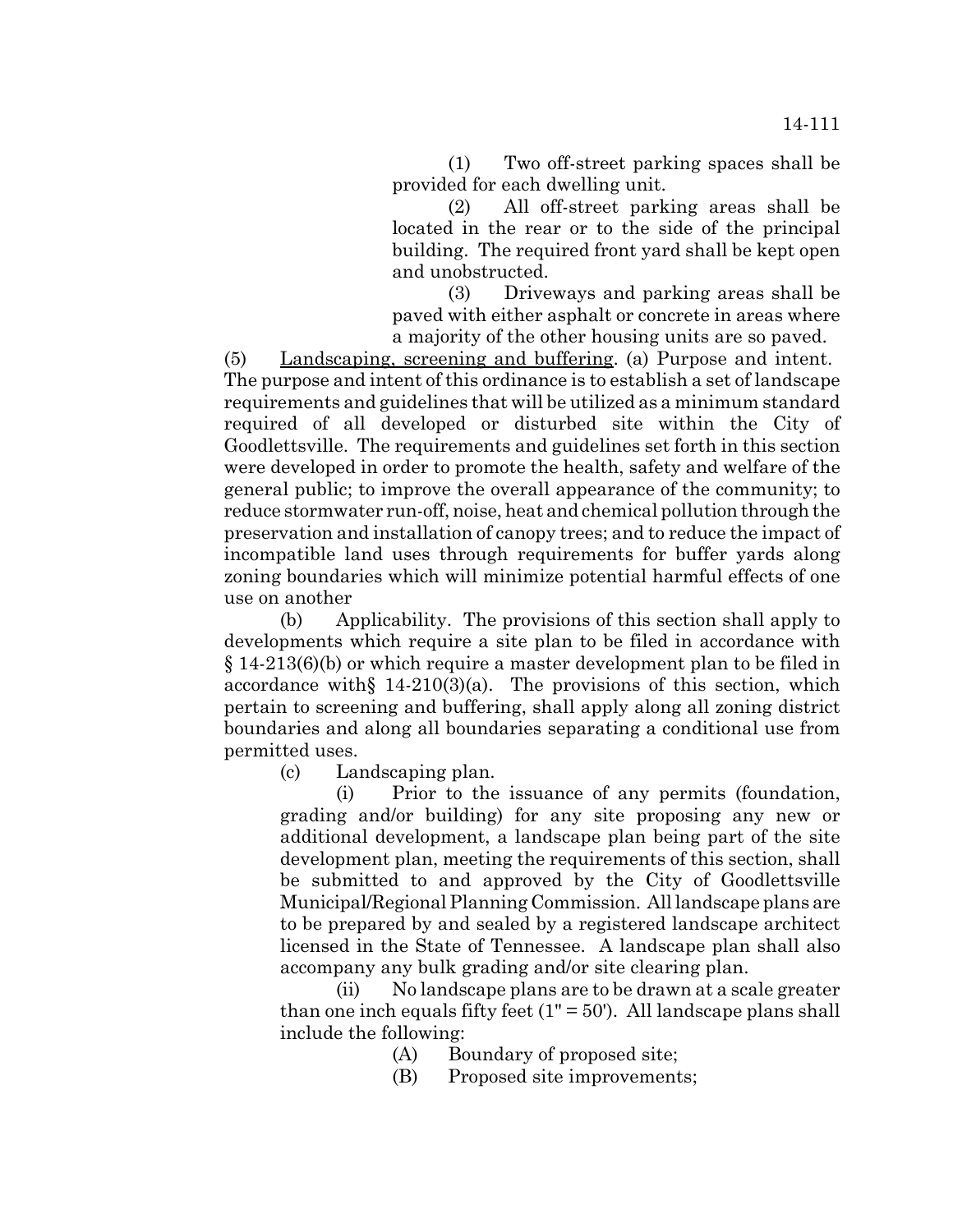(1) Two off-street parking spaces shall be provided for each dwelling unit.

(2) All off-street parking areas shall be located in the rear or to the side of the principal building. The required front yard shall be kept open and unobstructed.

(3) Driveways and parking areas shall be paved with either asphalt or concrete in areas where a majority of the other housing units are so paved.

(5) Landscaping, screening and buffering. (a) Purpose and intent. The purpose and intent of this ordinance is to establish a set of landscape requirements and guidelines that will be utilized as a minimum standard required of all developed or disturbed site within the City of Goodlettsville. The requirements and guidelines set forth in this section were developed in order to promote the health, safety and welfare of the general public; to improve the overall appearance of the community; to reduce stormwater run-off, noise, heat and chemical pollution through the preservation and installation of canopy trees; and to reduce the impact of incompatible land uses through requirements for buffer yards along zoning boundaries which will minimize potential harmful effects of one use on another

(b) Applicability. The provisions of this section shall apply to developments which require a site plan to be filed in accordance with § 14-213(6)(b) or which require a master development plan to be filed in accordance with  $\{14-210(3)(a)\}$ . The provisions of this section, which pertain to screening and buffering, shall apply along all zoning district boundaries and along all boundaries separating a conditional use from permitted uses.

(c) Landscaping plan.

(i) Prior to the issuance of any permits (foundation, grading and/or building) for any site proposing any new or additional development, a landscape plan being part of the site development plan, meeting the requirements of this section, shall be submitted to and approved by the City of Goodlettsville Municipal/Regional Planning Commission. All landscape plans are to be prepared by and sealed by a registered landscape architect licensed in the State of Tennessee. A landscape plan shall also accompany any bulk grading and/or site clearing plan.

(ii) No landscape plans are to be drawn at a scale greater than one inch equals fifty feet  $(1" = 50')$ . All landscape plans shall include the following:

- (A) Boundary of proposed site;
- (B) Proposed site improvements;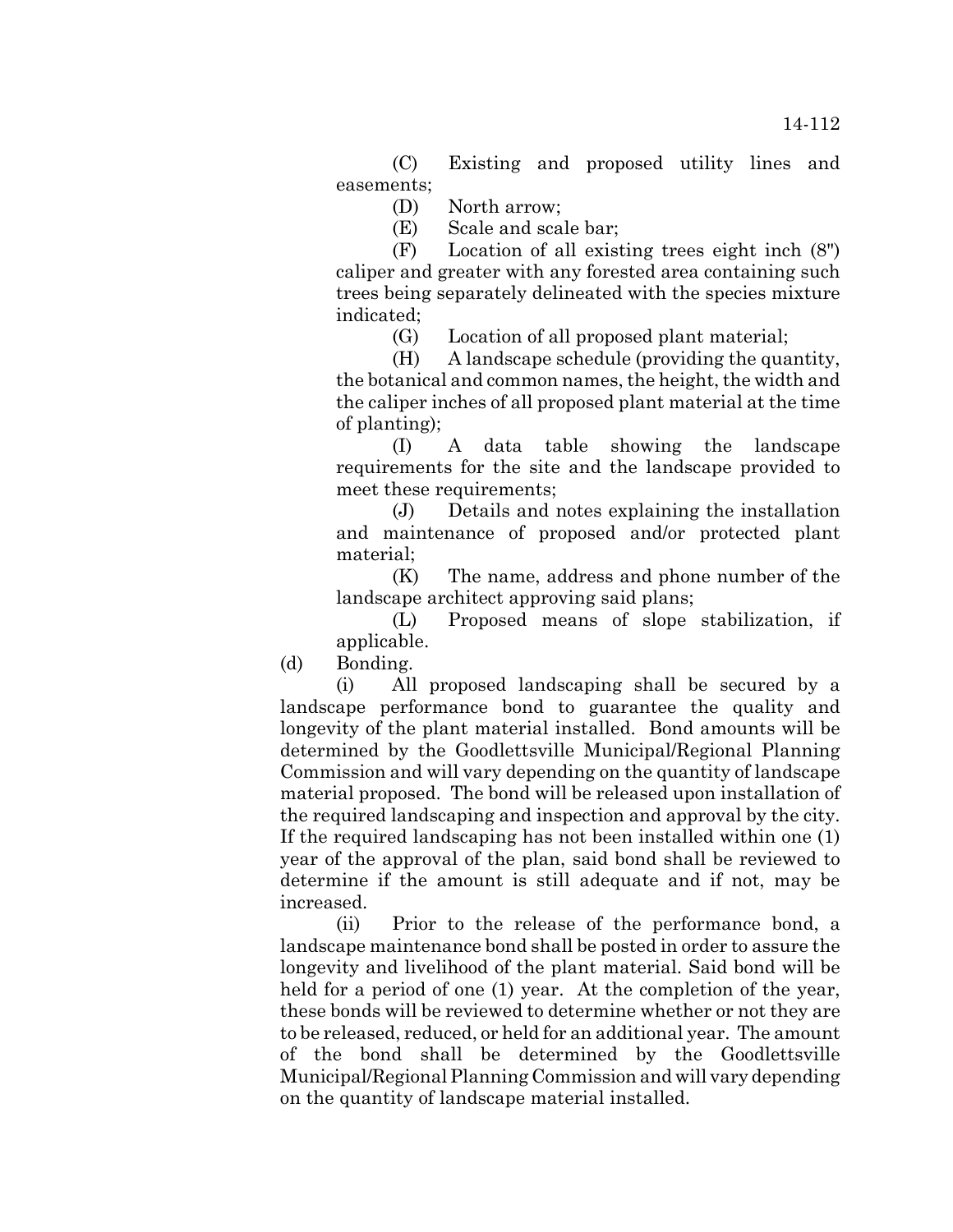(C) Existing and proposed utility lines and easements;

(D) North arrow;

(E) Scale and scale bar;

(F) Location of all existing trees eight inch (8") caliper and greater with any forested area containing such trees being separately delineated with the species mixture indicated;

(G) Location of all proposed plant material;

(H) A landscape schedule (providing the quantity, the botanical and common names, the height, the width and the caliper inches of all proposed plant material at the time of planting);

(I) A data table showing the landscape requirements for the site and the landscape provided to meet these requirements;

(J) Details and notes explaining the installation and maintenance of proposed and/or protected plant material;

(K) The name, address and phone number of the landscape architect approving said plans;

(L) Proposed means of slope stabilization, if applicable.

(d) Bonding.

(i) All proposed landscaping shall be secured by a landscape performance bond to guarantee the quality and longevity of the plant material installed. Bond amounts will be determined by the Goodlettsville Municipal/Regional Planning Commission and will vary depending on the quantity of landscape material proposed. The bond will be released upon installation of the required landscaping and inspection and approval by the city. If the required landscaping has not been installed within one (1) year of the approval of the plan, said bond shall be reviewed to determine if the amount is still adequate and if not, may be increased.

(ii) Prior to the release of the performance bond, a landscape maintenance bond shall be posted in order to assure the longevity and livelihood of the plant material. Said bond will be held for a period of one (1) year. At the completion of the year, these bonds will be reviewed to determine whether or not they are to be released, reduced, or held for an additional year. The amount of the bond shall be determined by the Goodlettsville Municipal/Regional Planning Commission and will vary depending on the quantity of landscape material installed.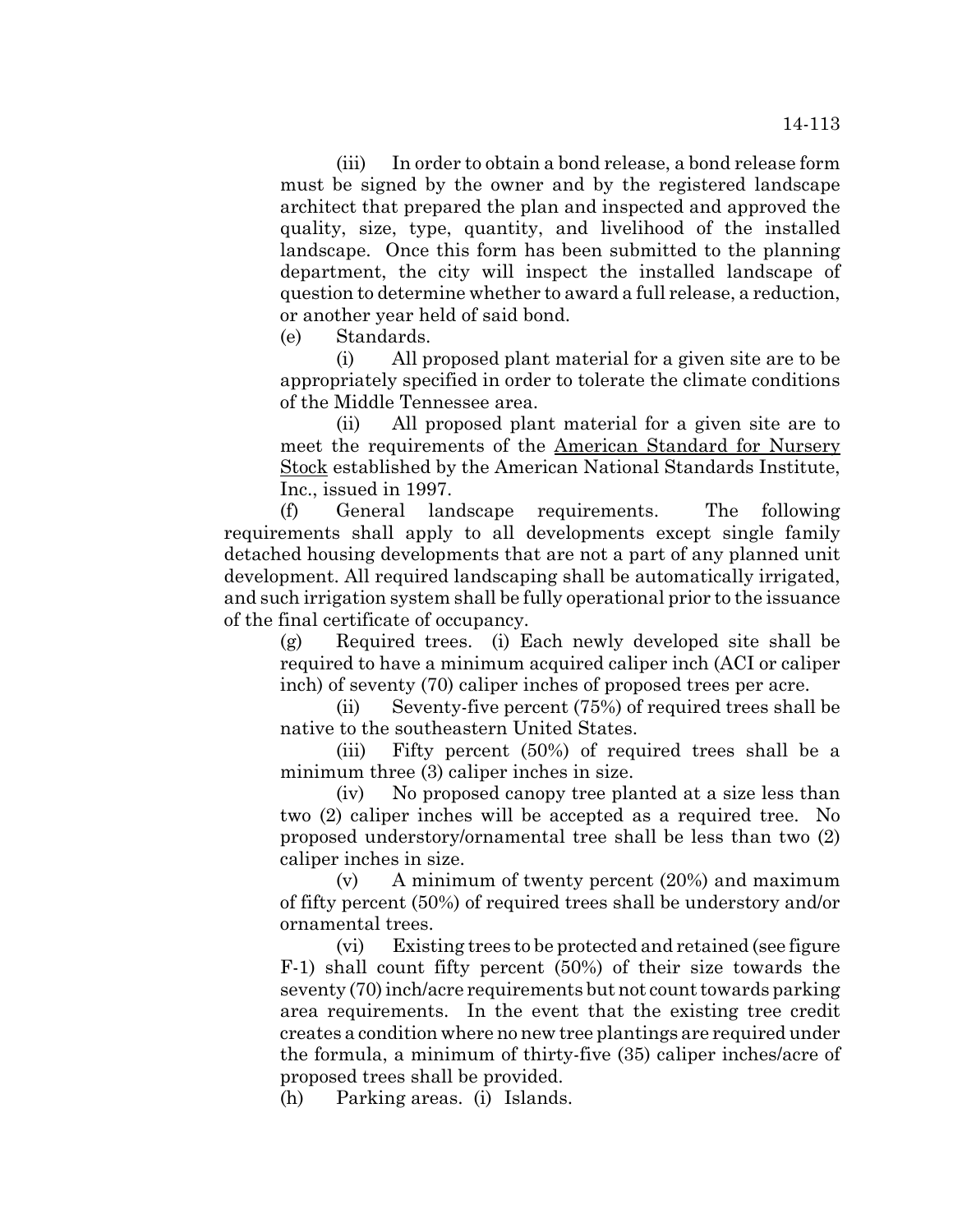(iii) In order to obtain a bond release, a bond release form must be signed by the owner and by the registered landscape architect that prepared the plan and inspected and approved the quality, size, type, quantity, and livelihood of the installed landscape. Once this form has been submitted to the planning department, the city will inspect the installed landscape of question to determine whether to award a full release, a reduction, or another year held of said bond.

(e) Standards.

(i) All proposed plant material for a given site are to be appropriately specified in order to tolerate the climate conditions of the Middle Tennessee area.

(ii) All proposed plant material for a given site are to meet the requirements of the American Standard for Nursery Stock established by the American National Standards Institute, Inc., issued in 1997.

(f) General landscape requirements. The following requirements shall apply to all developments except single family detached housing developments that are not a part of any planned unit development. All required landscaping shall be automatically irrigated, and such irrigation system shall be fully operational prior to the issuance of the final certificate of occupancy.

(g) Required trees. (i) Each newly developed site shall be required to have a minimum acquired caliper inch (ACI or caliper inch) of seventy (70) caliper inches of proposed trees per acre.

(ii) Seventy-five percent (75%) of required trees shall be native to the southeastern United States.

(iii) Fifty percent (50%) of required trees shall be a minimum three (3) caliper inches in size.

(iv) No proposed canopy tree planted at a size less than two (2) caliper inches will be accepted as a required tree. No proposed understory/ornamental tree shall be less than two (2) caliper inches in size.

(v) A minimum of twenty percent (20%) and maximum of fifty percent (50%) of required trees shall be understory and/or ornamental trees.

(vi) Existing trees to be protected and retained (see figure F-1) shall count fifty percent (50%) of their size towards the seventy (70) inch/acre requirements but not count towards parking area requirements. In the event that the existing tree credit creates a condition where no new tree plantings are required under the formula, a minimum of thirty-five (35) caliper inches/acre of proposed trees shall be provided.

(h) Parking areas. (i) Islands.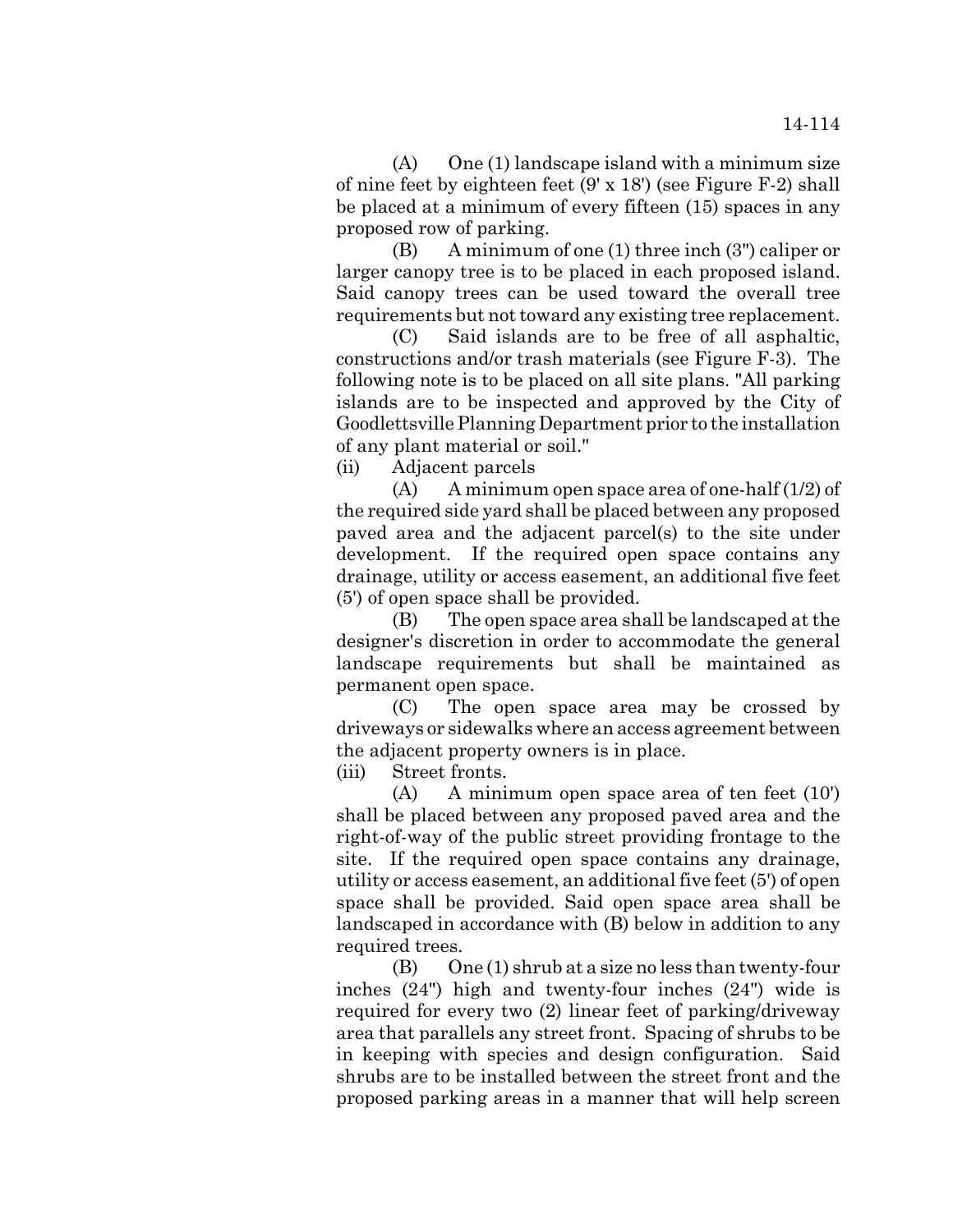(A) One (1) landscape island with a minimum size of nine feet by eighteen feet (9' x 18') (see Figure F-2) shall be placed at a minimum of every fifteen (15) spaces in any proposed row of parking.

(B) A minimum of one (1) three inch (3") caliper or larger canopy tree is to be placed in each proposed island. Said canopy trees can be used toward the overall tree requirements but not toward any existing tree replacement.

(C) Said islands are to be free of all asphaltic, constructions and/or trash materials (see Figure F-3). The following note is to be placed on all site plans. "All parking islands are to be inspected and approved by the City of Goodlettsville Planning Department prior to the installation of any plant material or soil."

(ii) Adjacent parcels

 $(A)$  A minimum open space area of one-half  $(1/2)$  of the required side yard shall be placed between any proposed paved area and the adjacent parcel(s) to the site under development. If the required open space contains any drainage, utility or access easement, an additional five feet (5') of open space shall be provided.

(B) The open space area shall be landscaped at the designer's discretion in order to accommodate the general landscape requirements but shall be maintained as permanent open space.

(C) The open space area may be crossed by driveways or sidewalks where an access agreement between the adjacent property owners is in place.

(iii) Street fronts.

(A) A minimum open space area of ten feet (10') shall be placed between any proposed paved area and the right-of-way of the public street providing frontage to the site. If the required open space contains any drainage, utility or access easement, an additional five feet (5') of open space shall be provided. Said open space area shall be landscaped in accordance with (B) below in addition to any required trees.

(B) One (1) shrub at a size no less than twenty-four inches (24") high and twenty-four inches (24") wide is required for every two (2) linear feet of parking/driveway area that parallels any street front. Spacing of shrubs to be in keeping with species and design configuration. Said shrubs are to be installed between the street front and the proposed parking areas in a manner that will help screen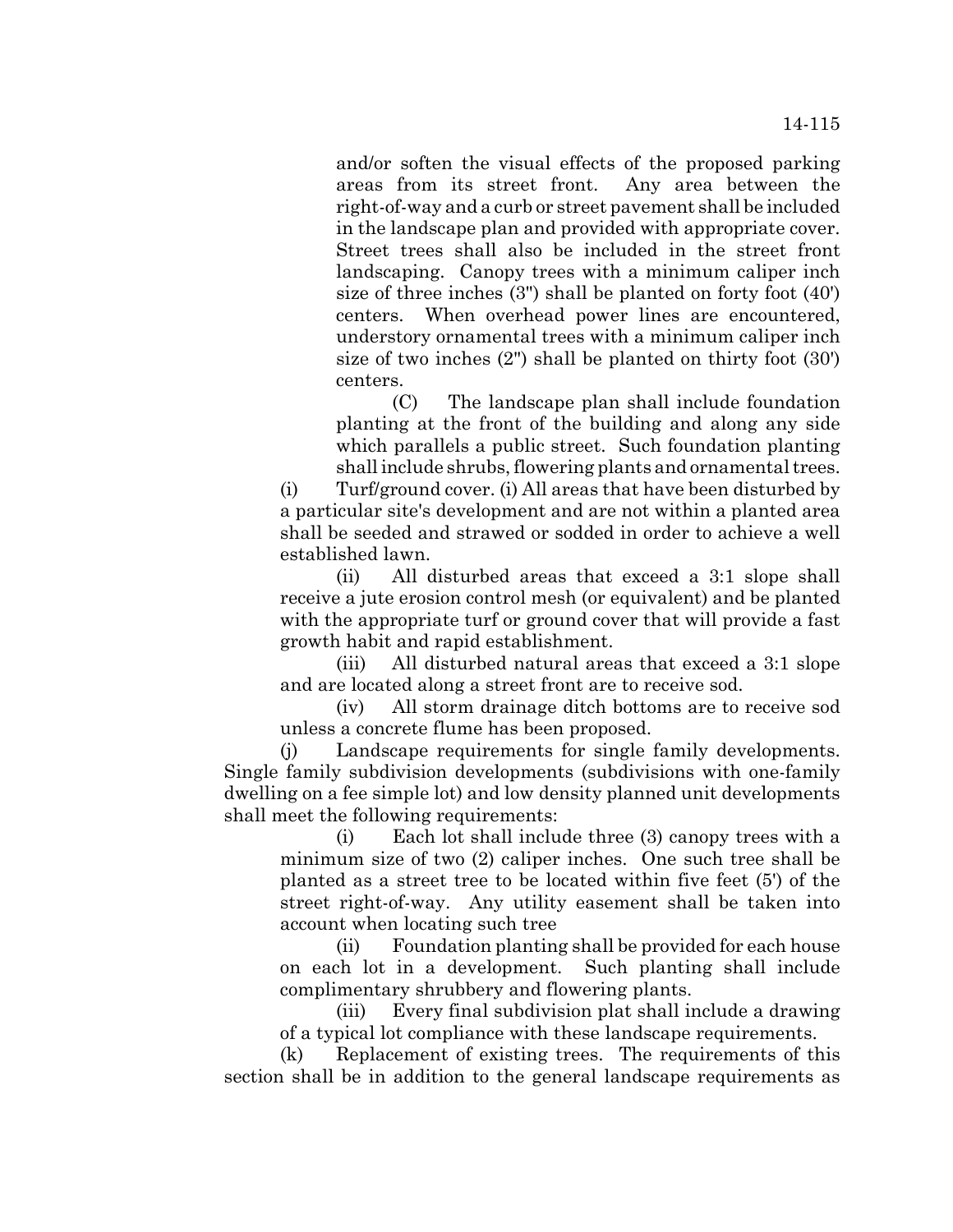and/or soften the visual effects of the proposed parking areas from its street front. Any area between the right-of-way and a curb or street pavement shall be included in the landscape plan and provided with appropriate cover. Street trees shall also be included in the street front landscaping. Canopy trees with a minimum caliper inch size of three inches (3") shall be planted on forty foot (40') centers. When overhead power lines are encountered, understory ornamental trees with a minimum caliper inch size of two inches (2") shall be planted on thirty foot (30') centers.

(C) The landscape plan shall include foundation planting at the front of the building and along any side which parallels a public street. Such foundation planting shall include shrubs, flowering plants and ornamental trees.

(i) Turf/ground cover. (i) All areas that have been disturbed by a particular site's development and are not within a planted area shall be seeded and strawed or sodded in order to achieve a well established lawn.

(ii) All disturbed areas that exceed a 3:1 slope shall receive a jute erosion control mesh (or equivalent) and be planted with the appropriate turf or ground cover that will provide a fast growth habit and rapid establishment.

(iii) All disturbed natural areas that exceed a 3:1 slope and are located along a street front are to receive sod.

(iv) All storm drainage ditch bottoms are to receive sod unless a concrete flume has been proposed.

(j) Landscape requirements for single family developments. Single family subdivision developments (subdivisions with one-family dwelling on a fee simple lot) and low density planned unit developments shall meet the following requirements:

(i) Each lot shall include three (3) canopy trees with a minimum size of two (2) caliper inches. One such tree shall be planted as a street tree to be located within five feet (5') of the street right-of-way. Any utility easement shall be taken into account when locating such tree

(ii) Foundation planting shall be provided for each house on each lot in a development. Such planting shall include complimentary shrubbery and flowering plants.

(iii) Every final subdivision plat shall include a drawing of a typical lot compliance with these landscape requirements.

(k) Replacement of existing trees. The requirements of this section shall be in addition to the general landscape requirements as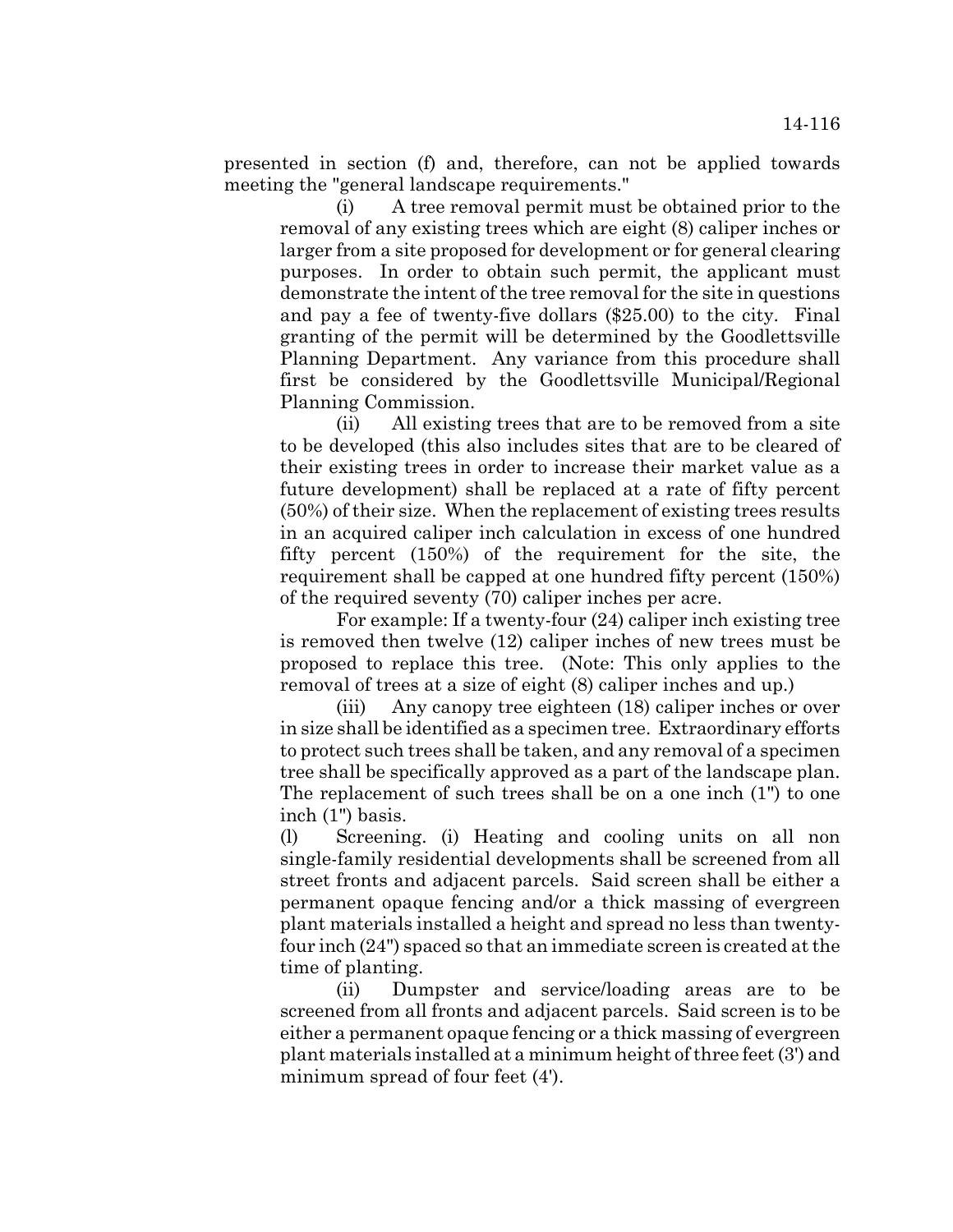presented in section (f) and, therefore, can not be applied towards meeting the "general landscape requirements."

(i) A tree removal permit must be obtained prior to the removal of any existing trees which are eight (8) caliper inches or larger from a site proposed for development or for general clearing purposes. In order to obtain such permit, the applicant must demonstrate the intent of the tree removal for the site in questions and pay a fee of twenty-five dollars (\$25.00) to the city. Final granting of the permit will be determined by the Goodlettsville Planning Department. Any variance from this procedure shall first be considered by the Goodlettsville Municipal/Regional Planning Commission.

(ii) All existing trees that are to be removed from a site to be developed (this also includes sites that are to be cleared of their existing trees in order to increase their market value as a future development) shall be replaced at a rate of fifty percent (50%) of their size. When the replacement of existing trees results in an acquired caliper inch calculation in excess of one hundred fifty percent (150%) of the requirement for the site, the requirement shall be capped at one hundred fifty percent (150%) of the required seventy (70) caliper inches per acre.

For example: If a twenty-four (24) caliper inch existing tree is removed then twelve (12) caliper inches of new trees must be proposed to replace this tree. (Note: This only applies to the removal of trees at a size of eight (8) caliper inches and up.)

(iii) Any canopy tree eighteen (18) caliper inches or over in size shall be identified as a specimen tree. Extraordinary efforts to protect such trees shall be taken, and any removal of a specimen tree shall be specifically approved as a part of the landscape plan. The replacement of such trees shall be on a one inch (1") to one inch (1") basis.

(l) Screening. (i) Heating and cooling units on all non single-family residential developments shall be screened from all street fronts and adjacent parcels. Said screen shall be either a permanent opaque fencing and/or a thick massing of evergreen plant materials installed a height and spread no less than twentyfour inch (24") spaced so that an immediate screen is created at the time of planting.

(ii) Dumpster and service/loading areas are to be screened from all fronts and adjacent parcels. Said screen is to be either a permanent opaque fencing or a thick massing of evergreen plant materials installed at a minimum height of three feet (3') and minimum spread of four feet (4').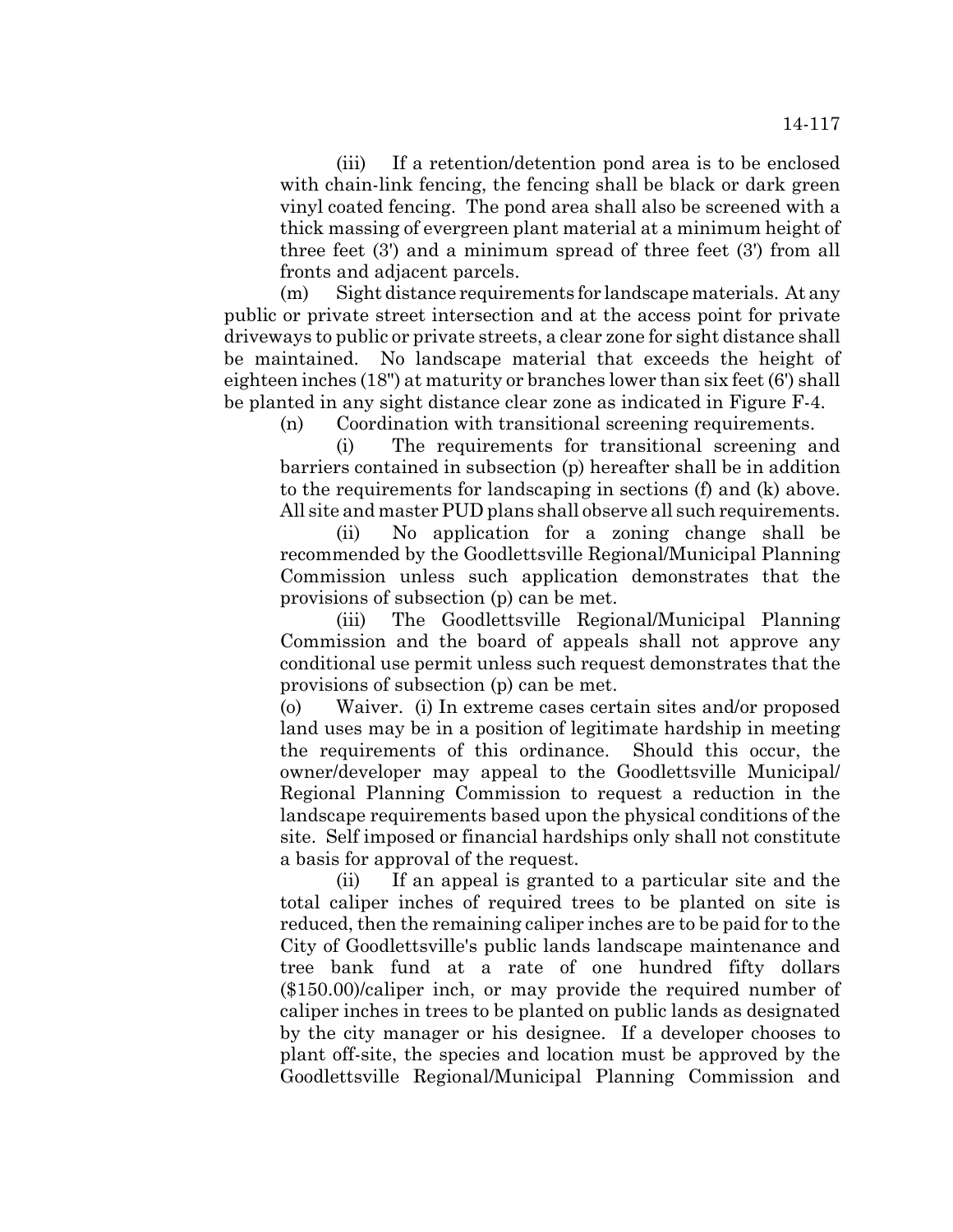(iii) If a retention/detention pond area is to be enclosed with chain-link fencing, the fencing shall be black or dark green vinyl coated fencing. The pond area shall also be screened with a thick massing of evergreen plant material at a minimum height of three feet (3') and a minimum spread of three feet (3') from all fronts and adjacent parcels.

(m) Sight distance requirements for landscape materials. At any public or private street intersection and at the access point for private driveways to public or private streets, a clear zone for sight distance shall be maintained. No landscape material that exceeds the height of eighteen inches (18") at maturity or branches lower than six feet (6') shall be planted in any sight distance clear zone as indicated in Figure F-4.

(n) Coordination with transitional screening requirements.

(i) The requirements for transitional screening and barriers contained in subsection (p) hereafter shall be in addition to the requirements for landscaping in sections (f) and (k) above. All site and master PUD plans shall observe all such requirements.

(ii) No application for a zoning change shall be recommended by the Goodlettsville Regional/Municipal Planning Commission unless such application demonstrates that the provisions of subsection (p) can be met.

(iii) The Goodlettsville Regional/Municipal Planning Commission and the board of appeals shall not approve any conditional use permit unless such request demonstrates that the provisions of subsection (p) can be met.

(o) Waiver. (i) In extreme cases certain sites and/or proposed land uses may be in a position of legitimate hardship in meeting the requirements of this ordinance. Should this occur, the owner/developer may appeal to the Goodlettsville Municipal/ Regional Planning Commission to request a reduction in the landscape requirements based upon the physical conditions of the site. Self imposed or financial hardships only shall not constitute a basis for approval of the request.

(ii) If an appeal is granted to a particular site and the total caliper inches of required trees to be planted on site is reduced, then the remaining caliper inches are to be paid for to the City of Goodlettsville's public lands landscape maintenance and tree bank fund at a rate of one hundred fifty dollars (\$150.00)/caliper inch, or may provide the required number of caliper inches in trees to be planted on public lands as designated by the city manager or his designee. If a developer chooses to plant off-site, the species and location must be approved by the Goodlettsville Regional/Municipal Planning Commission and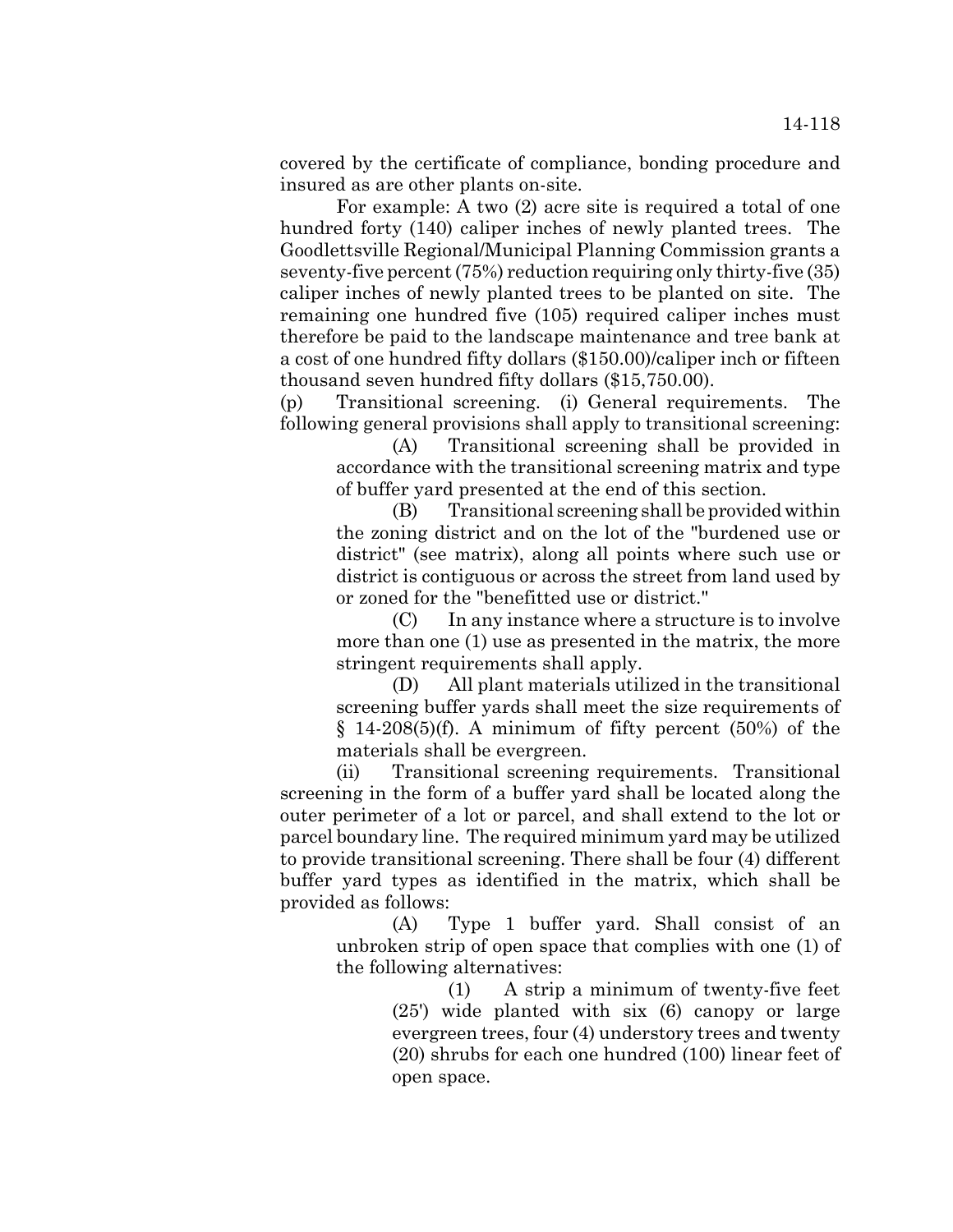covered by the certificate of compliance, bonding procedure and insured as are other plants on-site.

For example: A two (2) acre site is required a total of one hundred forty (140) caliper inches of newly planted trees. The Goodlettsville Regional/Municipal Planning Commission grants a seventy-five percent (75%) reduction requiring only thirty-five (35) caliper inches of newly planted trees to be planted on site. The remaining one hundred five (105) required caliper inches must therefore be paid to the landscape maintenance and tree bank at a cost of one hundred fifty dollars (\$150.00)/caliper inch or fifteen thousand seven hundred fifty dollars (\$15,750.00).

(p) Transitional screening. (i) General requirements. The following general provisions shall apply to transitional screening:

(A) Transitional screening shall be provided in accordance with the transitional screening matrix and type of buffer yard presented at the end of this section.

(B) Transitional screening shall be provided within the zoning district and on the lot of the "burdened use or district" (see matrix), along all points where such use or district is contiguous or across the street from land used by or zoned for the "benefitted use or district."

(C) In any instance where a structure is to involve more than one (1) use as presented in the matrix, the more stringent requirements shall apply.

(D) All plant materials utilized in the transitional screening buffer yards shall meet the size requirements of  $§$  14-208(5)(f). A minimum of fifty percent (50%) of the materials shall be evergreen.

(ii) Transitional screening requirements. Transitional screening in the form of a buffer yard shall be located along the outer perimeter of a lot or parcel, and shall extend to the lot or parcel boundary line. The required minimum yard may be utilized to provide transitional screening. There shall be four (4) different buffer yard types as identified in the matrix, which shall be provided as follows:

(A) Type 1 buffer yard. Shall consist of an unbroken strip of open space that complies with one (1) of the following alternatives:

> (1) A strip a minimum of twenty-five feet (25') wide planted with six (6) canopy or large evergreen trees, four (4) understory trees and twenty (20) shrubs for each one hundred (100) linear feet of open space.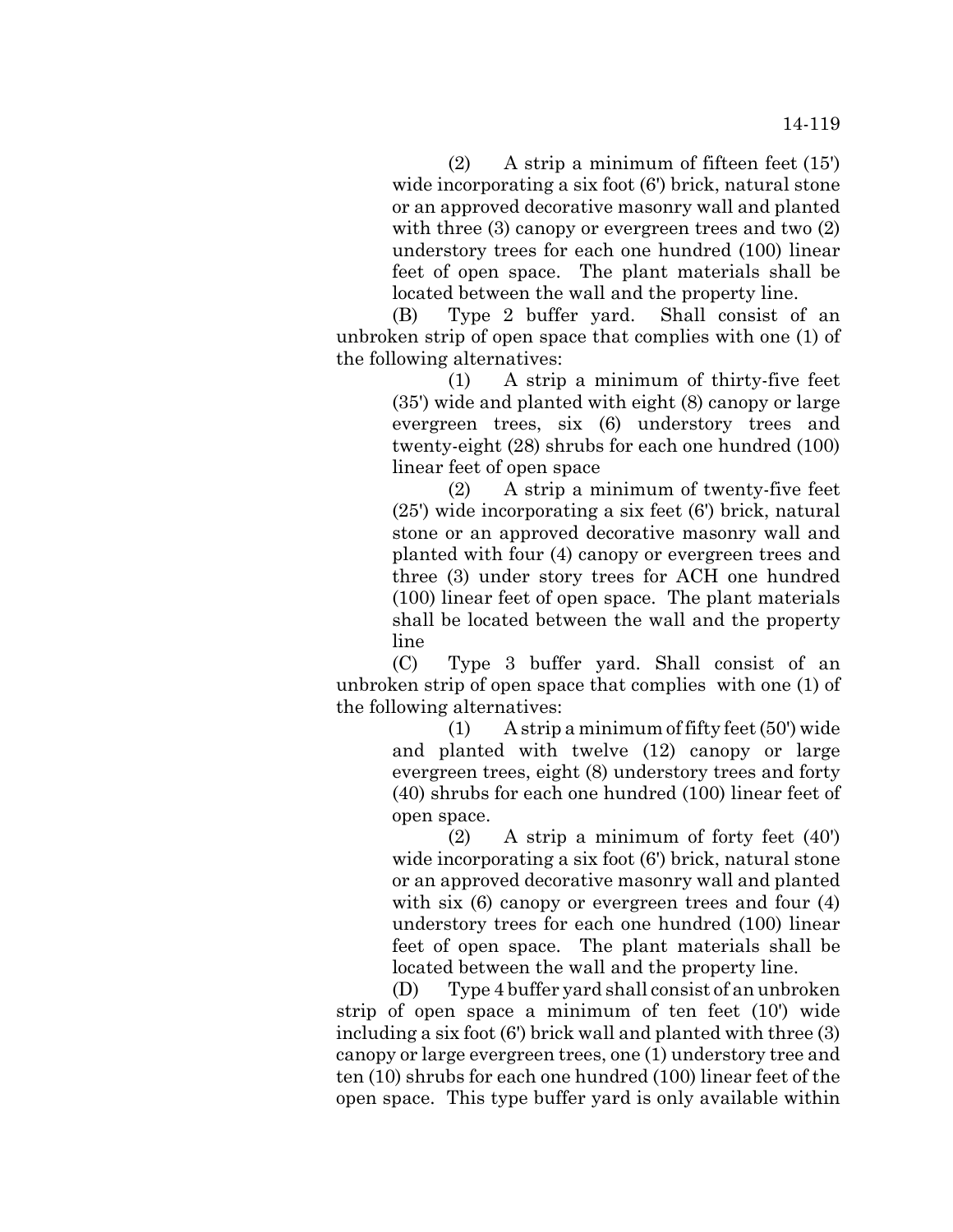(2) A strip a minimum of fifteen feet (15') wide incorporating a six foot (6') brick, natural stone or an approved decorative masonry wall and planted with three (3) canopy or evergreen trees and two (2) understory trees for each one hundred (100) linear feet of open space. The plant materials shall be located between the wall and the property line.

(B) Type 2 buffer yard. Shall consist of an unbroken strip of open space that complies with one (1) of the following alternatives:

> (1) A strip a minimum of thirty-five feet (35') wide and planted with eight (8) canopy or large evergreen trees, six (6) understory trees and twenty-eight (28) shrubs for each one hundred (100) linear feet of open space

> (2) A strip a minimum of twenty-five feet (25') wide incorporating a six feet (6') brick, natural stone or an approved decorative masonry wall and planted with four (4) canopy or evergreen trees and three (3) under story trees for ACH one hundred (100) linear feet of open space. The plant materials shall be located between the wall and the property line

(C) Type 3 buffer yard. Shall consist of an unbroken strip of open space that complies with one (1) of the following alternatives:

> (1) A strip a minimum of fifty feet (50') wide and planted with twelve (12) canopy or large evergreen trees, eight (8) understory trees and forty (40) shrubs for each one hundred (100) linear feet of open space.

> (2) A strip a minimum of forty feet (40') wide incorporating a six foot (6') brick, natural stone or an approved decorative masonry wall and planted with six (6) canopy or evergreen trees and four (4) understory trees for each one hundred (100) linear feet of open space. The plant materials shall be located between the wall and the property line.

(D) Type 4 buffer yard shall consist of an unbroken strip of open space a minimum of ten feet (10') wide including a six foot (6') brick wall and planted with three (3) canopy or large evergreen trees, one (1) understory tree and ten (10) shrubs for each one hundred (100) linear feet of the open space. This type buffer yard is only available within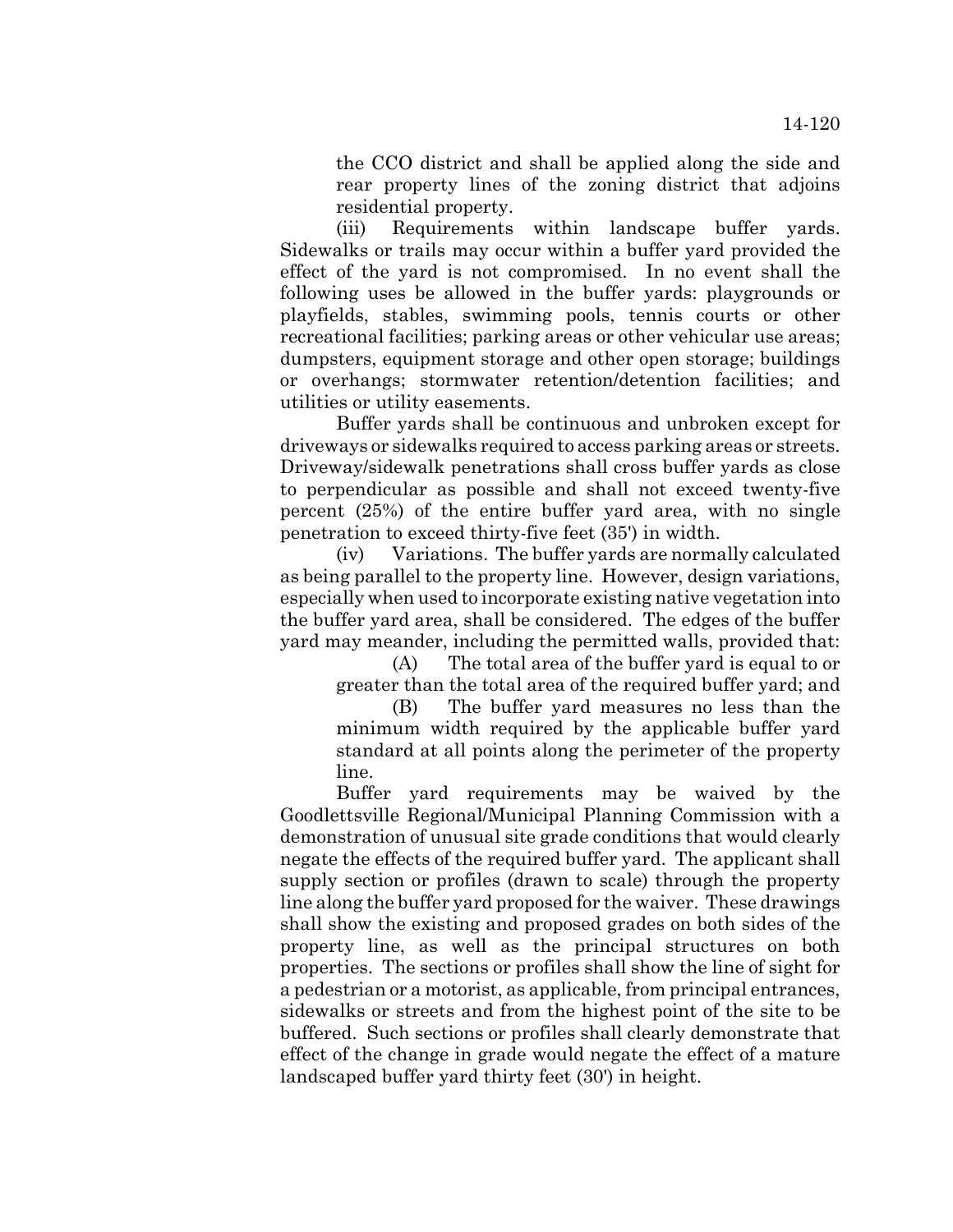the CCO district and shall be applied along the side and rear property lines of the zoning district that adjoins residential property.

(iii) Requirements within landscape buffer yards. Sidewalks or trails may occur within a buffer yard provided the effect of the yard is not compromised. In no event shall the following uses be allowed in the buffer yards: playgrounds or playfields, stables, swimming pools, tennis courts or other recreational facilities; parking areas or other vehicular use areas; dumpsters, equipment storage and other open storage; buildings or overhangs; stormwater retention/detention facilities; and utilities or utility easements.

Buffer yards shall be continuous and unbroken except for driveways or sidewalks required to access parking areas or streets. Driveway/sidewalk penetrations shall cross buffer yards as close to perpendicular as possible and shall not exceed twenty-five percent (25%) of the entire buffer yard area, with no single penetration to exceed thirty-five feet (35') in width.

(iv) Variations. The buffer yards are normally calculated as being parallel to the property line. However, design variations, especially when used to incorporate existing native vegetation into the buffer yard area, shall be considered. The edges of the buffer yard may meander, including the permitted walls, provided that:

(A) The total area of the buffer yard is equal to or greater than the total area of the required buffer yard; and

(B) The buffer yard measures no less than the minimum width required by the applicable buffer yard standard at all points along the perimeter of the property line.

Buffer yard requirements may be waived by the Goodlettsville Regional/Municipal Planning Commission with a demonstration of unusual site grade conditions that would clearly negate the effects of the required buffer yard. The applicant shall supply section or profiles (drawn to scale) through the property line along the buffer yard proposed for the waiver. These drawings shall show the existing and proposed grades on both sides of the property line, as well as the principal structures on both properties. The sections or profiles shall show the line of sight for a pedestrian or a motorist, as applicable, from principal entrances, sidewalks or streets and from the highest point of the site to be buffered. Such sections or profiles shall clearly demonstrate that effect of the change in grade would negate the effect of a mature landscaped buffer yard thirty feet (30') in height.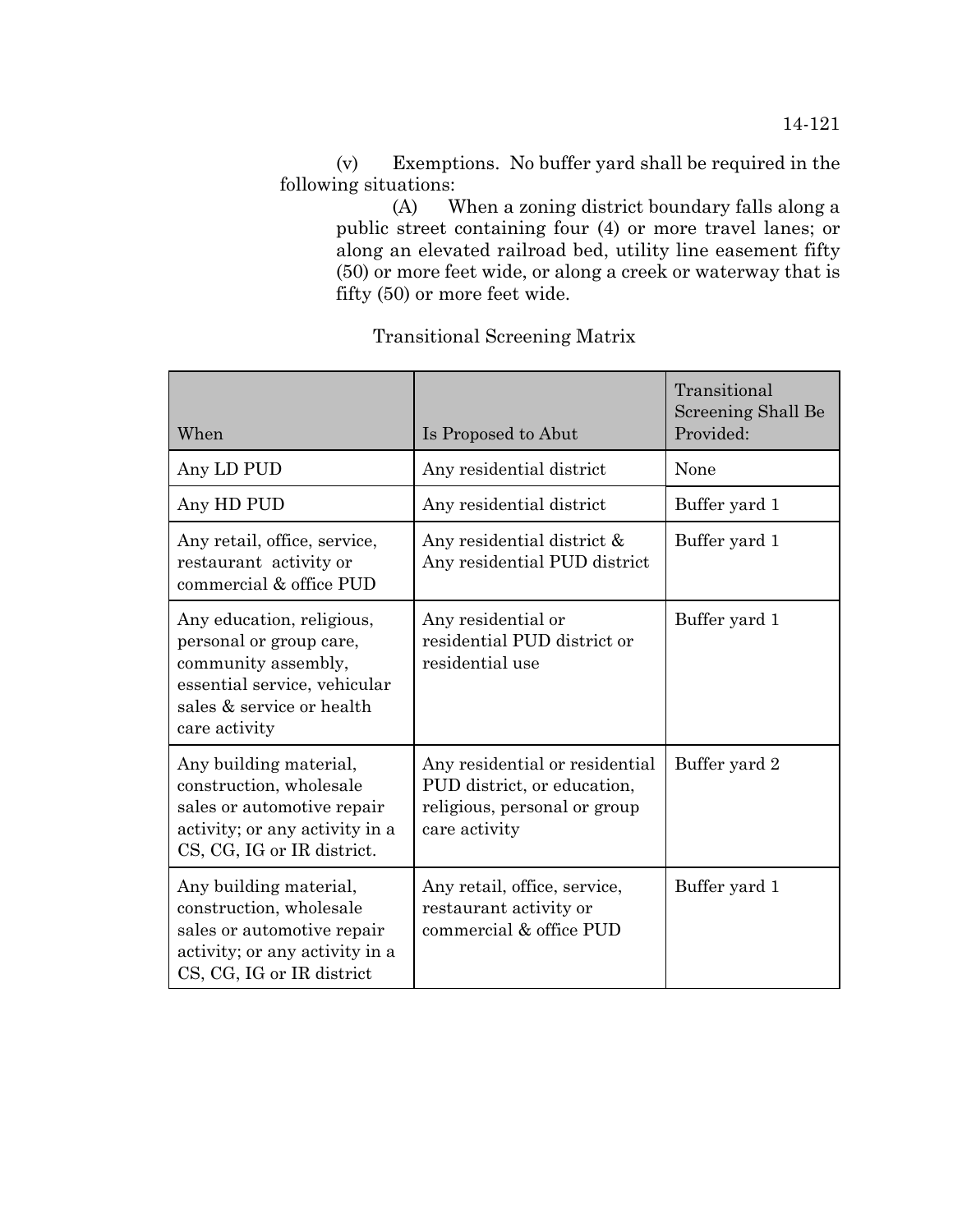(v) Exemptions. No buffer yard shall be required in the following situations:

(A) When a zoning district boundary falls along a public street containing four (4) or more travel lanes; or along an elevated railroad bed, utility line easement fifty (50) or more feet wide, or along a creek or waterway that is fifty (50) or more feet wide.

| When                                                                                                                                                      | Is Proposed to Abut                                                                                            | Transitional<br>Screening Shall Be<br>Provided: |
|-----------------------------------------------------------------------------------------------------------------------------------------------------------|----------------------------------------------------------------------------------------------------------------|-------------------------------------------------|
| Any LD PUD                                                                                                                                                | Any residential district                                                                                       | None                                            |
| Any HD PUD                                                                                                                                                | Any residential district                                                                                       | Buffer yard 1                                   |
| Any retail, office, service,<br>restaurant activity or<br>commercial & office PUD                                                                         | Any residential district &<br>Any residential PUD district                                                     | Buffer yard 1                                   |
| Any education, religious,<br>personal or group care,<br>community assembly,<br>essential service, vehicular<br>sales & service or health<br>care activity | Any residential or<br>residential PUD district or<br>residential use                                           | Buffer yard 1                                   |
| Any building material,<br>construction, wholesale<br>sales or automotive repair<br>activity; or any activity in a<br>CS, CG, IG or IR district.           | Any residential or residential<br>PUD district, or education,<br>religious, personal or group<br>care activity | Buffer yard 2                                   |
| Any building material,<br>construction, wholesale<br>sales or automotive repair<br>activity; or any activity in a<br>CS, CG, IG or IR district            | Any retail, office, service,<br>restaurant activity or<br>commercial & office PUD                              | Buffer yard 1                                   |

## Transitional Screening Matrix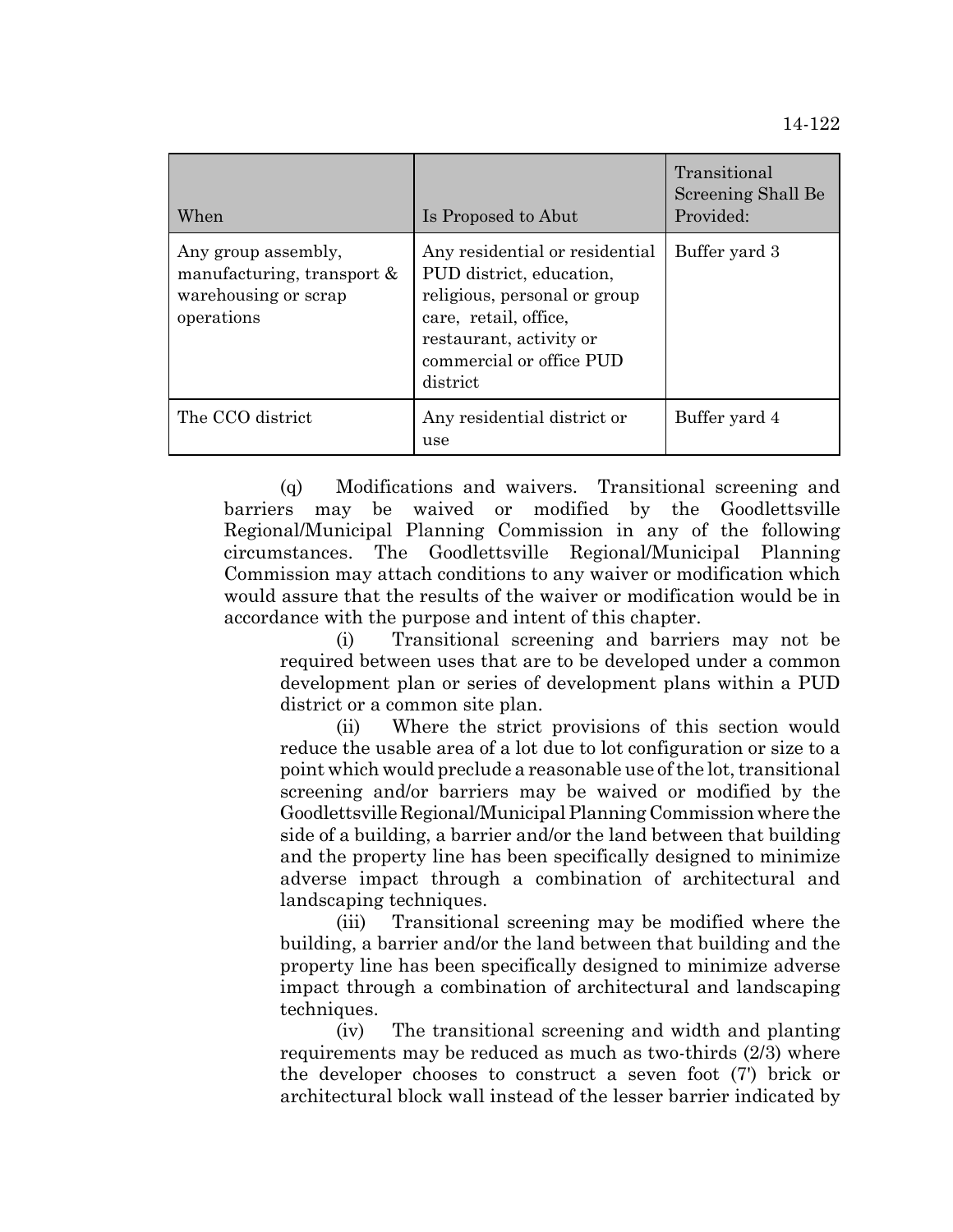| When                                                                                       | Is Proposed to Abut                                                                                                                                                                    | Transitional<br>Screening Shall Be<br>Provided: |
|--------------------------------------------------------------------------------------------|----------------------------------------------------------------------------------------------------------------------------------------------------------------------------------------|-------------------------------------------------|
| Any group assembly,<br>manufacturing, transport $\&$<br>warehousing or scrap<br>operations | Any residential or residential<br>PUD district, education,<br>religious, personal or group<br>care, retail, office,<br>restaurant, activity or<br>commercial or office PUD<br>district | Buffer yard 3                                   |
| The CCO district                                                                           | Any residential district or<br>use                                                                                                                                                     | Buffer yard 4                                   |

(q) Modifications and waivers. Transitional screening and barriers may be waived or modified by the Goodlettsville Regional/Municipal Planning Commission in any of the following circumstances. The Goodlettsville Regional/Municipal Planning Commission may attach conditions to any waiver or modification which would assure that the results of the waiver or modification would be in accordance with the purpose and intent of this chapter.

(i) Transitional screening and barriers may not be required between uses that are to be developed under a common development plan or series of development plans within a PUD district or a common site plan.

(ii) Where the strict provisions of this section would reduce the usable area of a lot due to lot configuration or size to a point which would preclude a reasonable use of the lot, transitional screening and/or barriers may be waived or modified by the Goodlettsville Regional/Municipal Planning Commission where the side of a building, a barrier and/or the land between that building and the property line has been specifically designed to minimize adverse impact through a combination of architectural and landscaping techniques.

(iii) Transitional screening may be modified where the building, a barrier and/or the land between that building and the property line has been specifically designed to minimize adverse impact through a combination of architectural and landscaping techniques.

(iv) The transitional screening and width and planting requirements may be reduced as much as two-thirds (2/3) where the developer chooses to construct a seven foot (7') brick or architectural block wall instead of the lesser barrier indicated by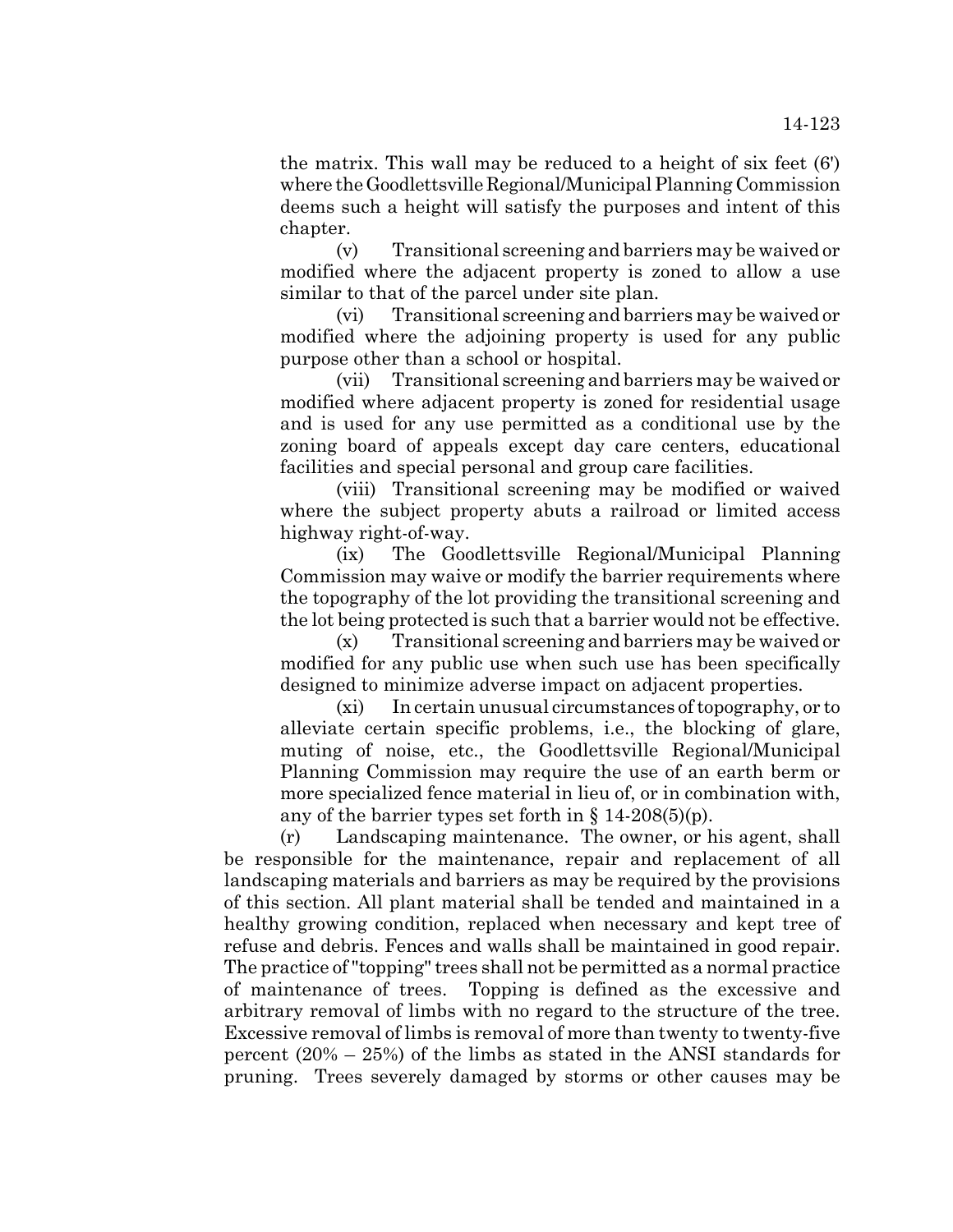the matrix. This wall may be reduced to a height of six feet (6') where the Goodlettsville Regional/Municipal Planning Commission deems such a height will satisfy the purposes and intent of this chapter.

(v) Transitional screening and barriers may be waived or modified where the adjacent property is zoned to allow a use similar to that of the parcel under site plan.

(vi) Transitional screening and barriers may be waived or modified where the adjoining property is used for any public purpose other than a school or hospital.

(vii) Transitional screening and barriers may be waived or modified where adjacent property is zoned for residential usage and is used for any use permitted as a conditional use by the zoning board of appeals except day care centers, educational facilities and special personal and group care facilities.

(viii) Transitional screening may be modified or waived where the subject property abuts a railroad or limited access highway right-of-way.

(ix) The Goodlettsville Regional/Municipal Planning Commission may waive or modify the barrier requirements where the topography of the lot providing the transitional screening and the lot being protected is such that a barrier would not be effective.

(x) Transitional screening and barriers may be waived or modified for any public use when such use has been specifically designed to minimize adverse impact on adjacent properties.

(xi) In certain unusual circumstances of topography, or to alleviate certain specific problems, i.e., the blocking of glare, muting of noise, etc., the Goodlettsville Regional/Municipal Planning Commission may require the use of an earth berm or more specialized fence material in lieu of, or in combination with, any of the barrier types set forth in  $\S 14-208(5)(p)$ .

(r) Landscaping maintenance. The owner, or his agent, shall be responsible for the maintenance, repair and replacement of all landscaping materials and barriers as may be required by the provisions of this section. All plant material shall be tended and maintained in a healthy growing condition, replaced when necessary and kept tree of refuse and debris. Fences and walls shall be maintained in good repair. The practice of "topping" trees shall not be permitted as a normal practice of maintenance of trees. Topping is defined as the excessive and arbitrary removal of limbs with no regard to the structure of the tree. Excessive removal of limbs is removal of more than twenty to twenty-five percent (20% – 25%) of the limbs as stated in the ANSI standards for pruning. Trees severely damaged by storms or other causes may be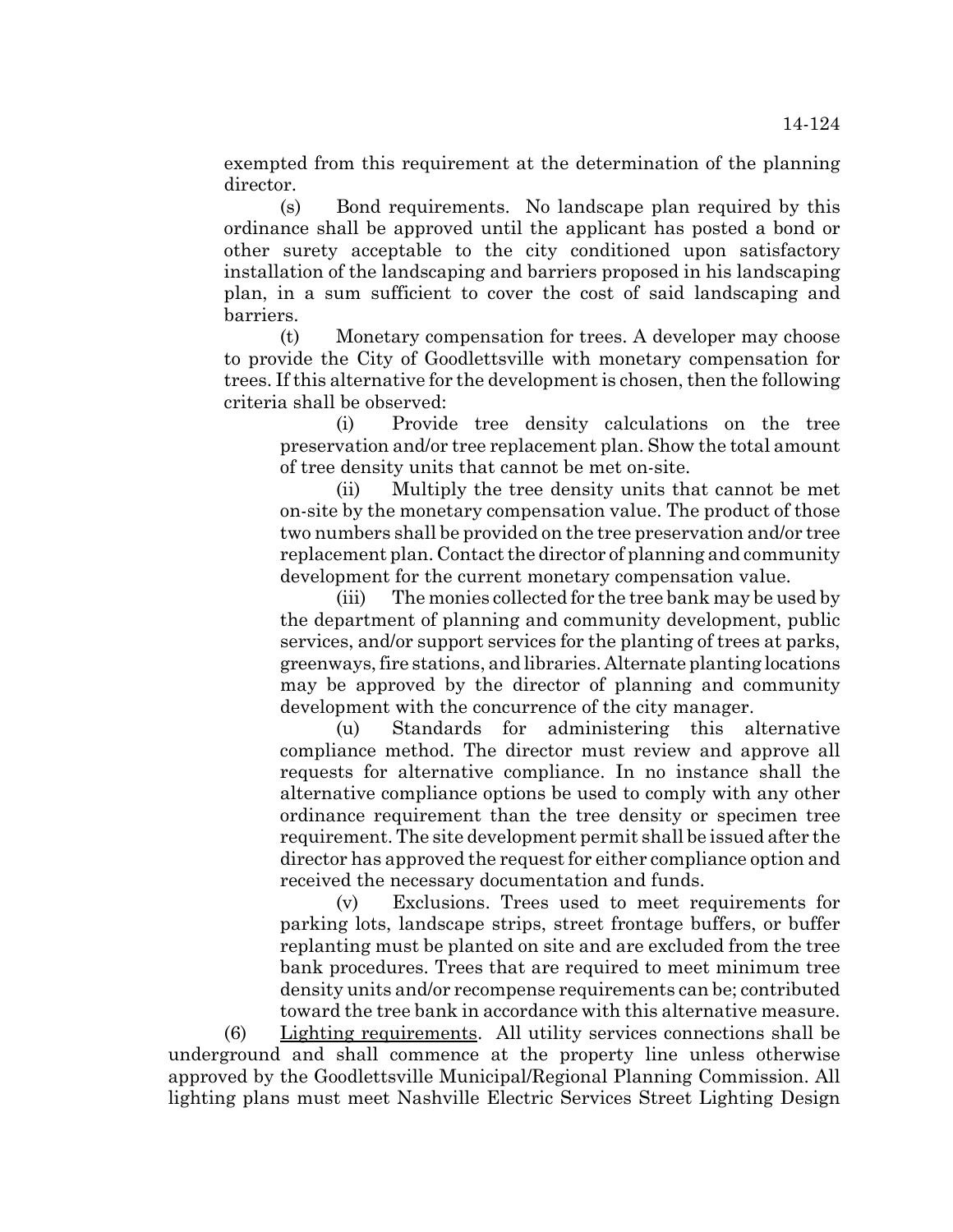exempted from this requirement at the determination of the planning director.

(s) Bond requirements. No landscape plan required by this ordinance shall be approved until the applicant has posted a bond or other surety acceptable to the city conditioned upon satisfactory installation of the landscaping and barriers proposed in his landscaping plan, in a sum sufficient to cover the cost of said landscaping and barriers.

(t) Monetary compensation for trees. A developer may choose to provide the City of Goodlettsville with monetary compensation for trees. If this alternative for the development is chosen, then the following criteria shall be observed:

(i) Provide tree density calculations on the tree preservation and/or tree replacement plan. Show the total amount of tree density units that cannot be met on-site.

(ii) Multiply the tree density units that cannot be met on-site by the monetary compensation value. The product of those two numbers shall be provided on the tree preservation and/or tree replacement plan. Contact the director of planning and community development for the current monetary compensation value.

(iii) The monies collected for the tree bank may be used by the department of planning and community development, public services, and/or support services for the planting of trees at parks, greenways, fire stations, and libraries. Alternate planting locations may be approved by the director of planning and community development with the concurrence of the city manager.

(u) Standards for administering this alternative compliance method. The director must review and approve all requests for alternative compliance. In no instance shall the alternative compliance options be used to comply with any other ordinance requirement than the tree density or specimen tree requirement. The site development permit shall be issued after the director has approved the request for either compliance option and received the necessary documentation and funds.

(v) Exclusions. Trees used to meet requirements for parking lots, landscape strips, street frontage buffers, or buffer replanting must be planted on site and are excluded from the tree bank procedures. Trees that are required to meet minimum tree density units and/or recompense requirements can be; contributed toward the tree bank in accordance with this alternative measure.

(6) Lighting requirements. All utility services connections shall be underground and shall commence at the property line unless otherwise approved by the Goodlettsville Municipal/Regional Planning Commission. All lighting plans must meet Nashville Electric Services Street Lighting Design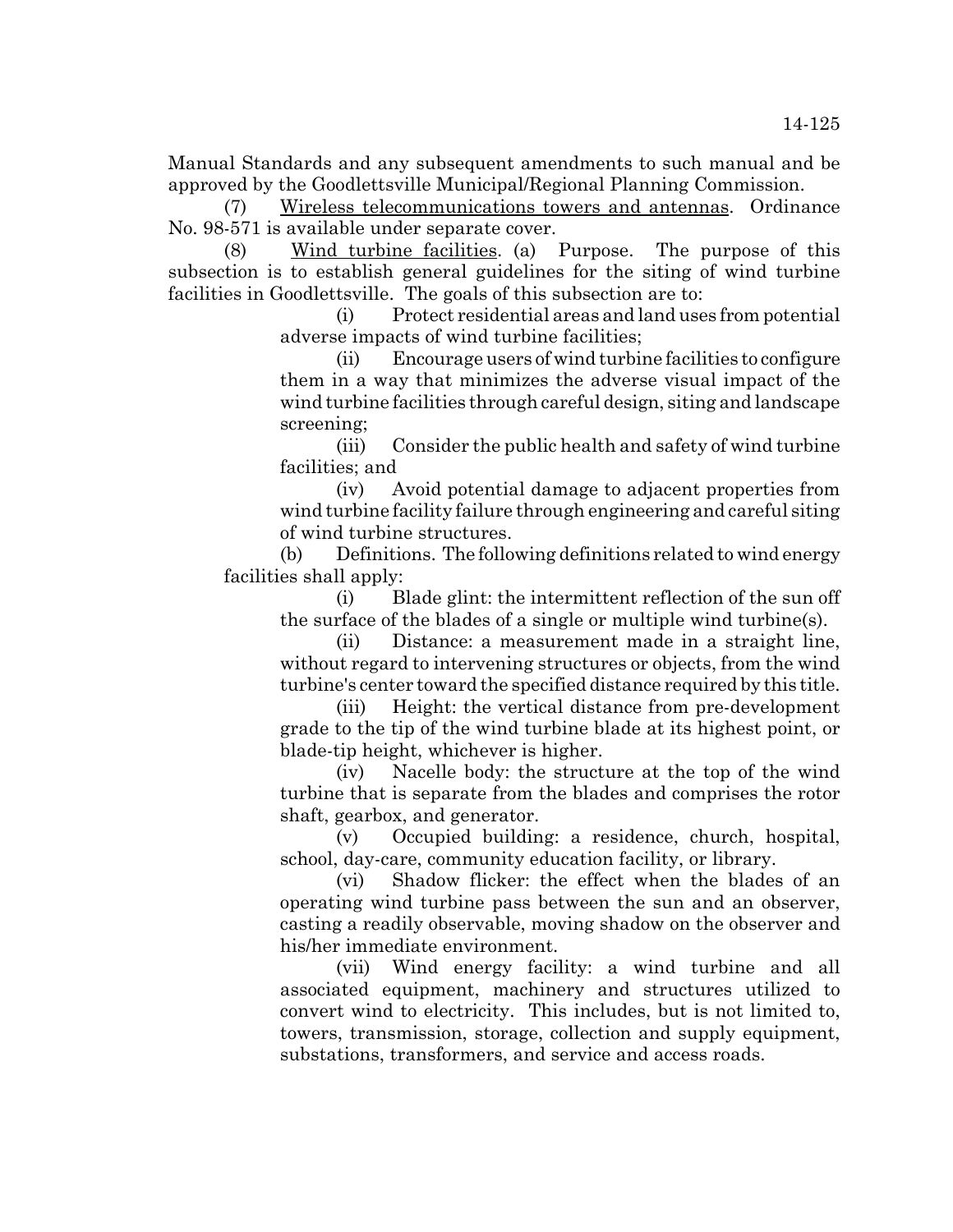Manual Standards and any subsequent amendments to such manual and be approved by the Goodlettsville Municipal/Regional Planning Commission.

(7) Wireless telecommunications towers and antennas. Ordinance No. 98-571 is available under separate cover.

(8) Wind turbine facilities. (a) Purpose. The purpose of this subsection is to establish general guidelines for the siting of wind turbine facilities in Goodlettsville. The goals of this subsection are to:

> (i) Protect residential areas and land uses from potential adverse impacts of wind turbine facilities;

> (ii) Encourage users of wind turbine facilities to configure them in a way that minimizes the adverse visual impact of the wind turbine facilities through careful design, siting and landscape screening;

> (iii) Consider the public health and safety of wind turbine facilities; and

> (iv) Avoid potential damage to adjacent properties from wind turbine facility failure through engineering and careful siting of wind turbine structures.

(b) Definitions. The following definitions related to wind energy facilities shall apply:

(i) Blade glint: the intermittent reflection of the sun off the surface of the blades of a single or multiple wind turbine(s).

(ii) Distance: a measurement made in a straight line, without regard to intervening structures or objects, from the wind turbine's center toward the specified distance required by this title.

(iii) Height: the vertical distance from pre-development grade to the tip of the wind turbine blade at its highest point, or blade-tip height, whichever is higher.

(iv) Nacelle body: the structure at the top of the wind turbine that is separate from the blades and comprises the rotor shaft, gearbox, and generator.

(v) Occupied building: a residence, church, hospital, school, day-care, community education facility, or library.

(vi) Shadow flicker: the effect when the blades of an operating wind turbine pass between the sun and an observer, casting a readily observable, moving shadow on the observer and his/her immediate environment.

(vii) Wind energy facility: a wind turbine and all associated equipment, machinery and structures utilized to convert wind to electricity. This includes, but is not limited to, towers, transmission, storage, collection and supply equipment, substations, transformers, and service and access roads.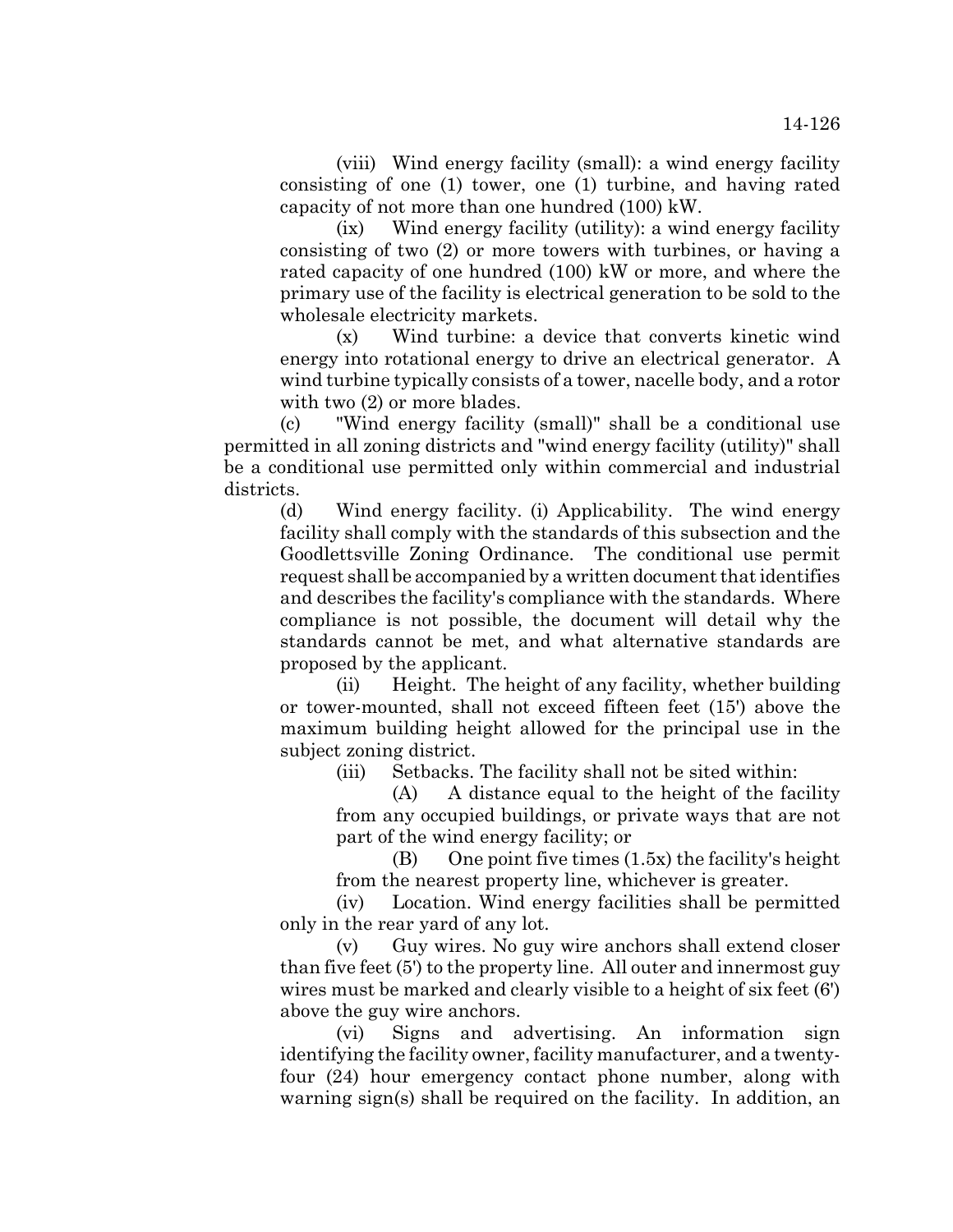(viii) Wind energy facility (small): a wind energy facility consisting of one (1) tower, one (1) turbine, and having rated capacity of not more than one hundred (100) kW.

(ix) Wind energy facility (utility): a wind energy facility consisting of two (2) or more towers with turbines, or having a rated capacity of one hundred (100) kW or more, and where the primary use of the facility is electrical generation to be sold to the wholesale electricity markets.

(x) Wind turbine: a device that converts kinetic wind energy into rotational energy to drive an electrical generator. A wind turbine typically consists of a tower, nacelle body, and a rotor with two  $(2)$  or more blades.

(c) "Wind energy facility (small)" shall be a conditional use permitted in all zoning districts and "wind energy facility (utility)" shall be a conditional use permitted only within commercial and industrial districts.

(d) Wind energy facility. (i) Applicability. The wind energy facility shall comply with the standards of this subsection and the Goodlettsville Zoning Ordinance. The conditional use permit request shall be accompanied by a written document that identifies and describes the facility's compliance with the standards. Where compliance is not possible, the document will detail why the standards cannot be met, and what alternative standards are proposed by the applicant.

(ii) Height. The height of any facility, whether building or tower-mounted, shall not exceed fifteen feet (15') above the maximum building height allowed for the principal use in the subject zoning district.

(iii) Setbacks. The facility shall not be sited within:

(A) A distance equal to the height of the facility from any occupied buildings, or private ways that are not part of the wind energy facility; or

(B) One point five times (1.5x) the facility's height from the nearest property line, whichever is greater.

(iv) Location. Wind energy facilities shall be permitted only in the rear yard of any lot.

(v) Guy wires. No guy wire anchors shall extend closer than five feet (5') to the property line. All outer and innermost guy wires must be marked and clearly visible to a height of six feet (6') above the guy wire anchors.

(vi) Signs and advertising. An information sign identifying the facility owner, facility manufacturer, and a twentyfour (24) hour emergency contact phone number, along with warning sign(s) shall be required on the facility. In addition, an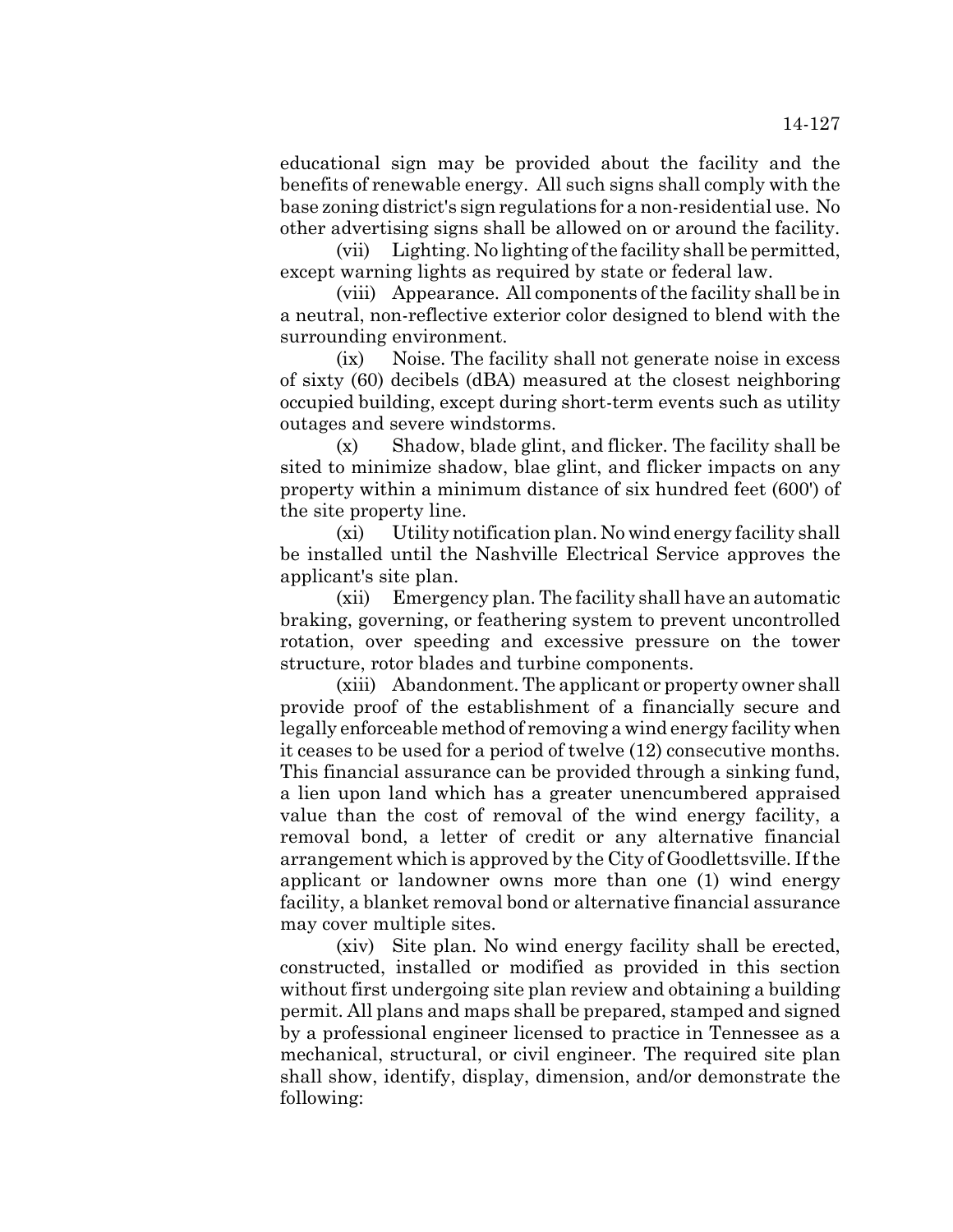educational sign may be provided about the facility and the benefits of renewable energy. All such signs shall comply with the base zoning district's sign regulations for a non-residential use. No other advertising signs shall be allowed on or around the facility.

(vii) Lighting. No lighting of the facility shall be permitted, except warning lights as required by state or federal law.

(viii) Appearance. All components of the facility shall be in a neutral, non-reflective exterior color designed to blend with the surrounding environment.

(ix) Noise. The facility shall not generate noise in excess of sixty (60) decibels (dBA) measured at the closest neighboring occupied building, except during short-term events such as utility outages and severe windstorms.

(x) Shadow, blade glint, and flicker. The facility shall be sited to minimize shadow, blae glint, and flicker impacts on any property within a minimum distance of six hundred feet (600') of the site property line.

(xi) Utility notification plan. No wind energy facility shall be installed until the Nashville Electrical Service approves the applicant's site plan.

(xii) Emergency plan. The facility shall have an automatic braking, governing, or feathering system to prevent uncontrolled rotation, over speeding and excessive pressure on the tower structure, rotor blades and turbine components.

(xiii) Abandonment. The applicant or property owner shall provide proof of the establishment of a financially secure and legally enforceable method of removing a wind energy facility when it ceases to be used for a period of twelve (12) consecutive months. This financial assurance can be provided through a sinking fund, a lien upon land which has a greater unencumbered appraised value than the cost of removal of the wind energy facility, a removal bond, a letter of credit or any alternative financial arrangement which is approved by the City of Goodlettsville. If the applicant or landowner owns more than one (1) wind energy facility, a blanket removal bond or alternative financial assurance may cover multiple sites.

(xiv) Site plan. No wind energy facility shall be erected, constructed, installed or modified as provided in this section without first undergoing site plan review and obtaining a building permit. All plans and maps shall be prepared, stamped and signed by a professional engineer licensed to practice in Tennessee as a mechanical, structural, or civil engineer. The required site plan shall show, identify, display, dimension, and/or demonstrate the following: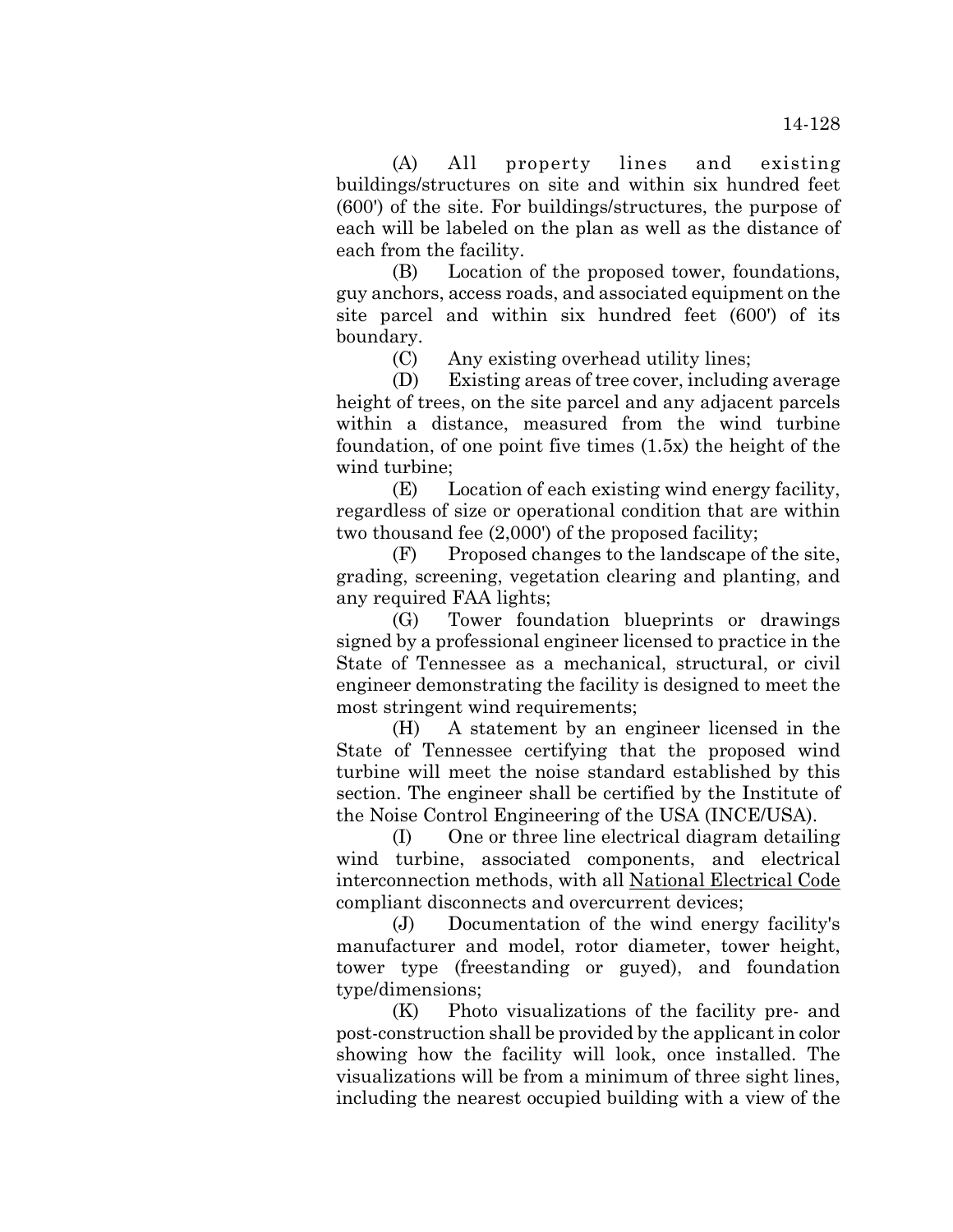(A) All property lines and existing buildings/structures on site and within six hundred feet (600') of the site. For buildings/structures, the purpose of each will be labeled on the plan as well as the distance of each from the facility.

(B) Location of the proposed tower, foundations, guy anchors, access roads, and associated equipment on the site parcel and within six hundred feet (600') of its boundary.

(C) Any existing overhead utility lines;

(D) Existing areas of tree cover, including average height of trees, on the site parcel and any adjacent parcels within a distance, measured from the wind turbine foundation, of one point five times (1.5x) the height of the wind turbine;

(E) Location of each existing wind energy facility, regardless of size or operational condition that are within two thousand fee (2,000') of the proposed facility;

(F) Proposed changes to the landscape of the site, grading, screening, vegetation clearing and planting, and any required FAA lights;

(G) Tower foundation blueprints or drawings signed by a professional engineer licensed to practice in the State of Tennessee as a mechanical, structural, or civil engineer demonstrating the facility is designed to meet the most stringent wind requirements;

(H) A statement by an engineer licensed in the State of Tennessee certifying that the proposed wind turbine will meet the noise standard established by this section. The engineer shall be certified by the Institute of the Noise Control Engineering of the USA (INCE/USA).

(I) One or three line electrical diagram detailing wind turbine, associated components, and electrical interconnection methods, with all National Electrical Code compliant disconnects and overcurrent devices;

(J) Documentation of the wind energy facility's manufacturer and model, rotor diameter, tower height, tower type (freestanding or guyed), and foundation type/dimensions;

(K) Photo visualizations of the facility pre- and post-construction shall be provided by the applicant in color showing how the facility will look, once installed. The visualizations will be from a minimum of three sight lines, including the nearest occupied building with a view of the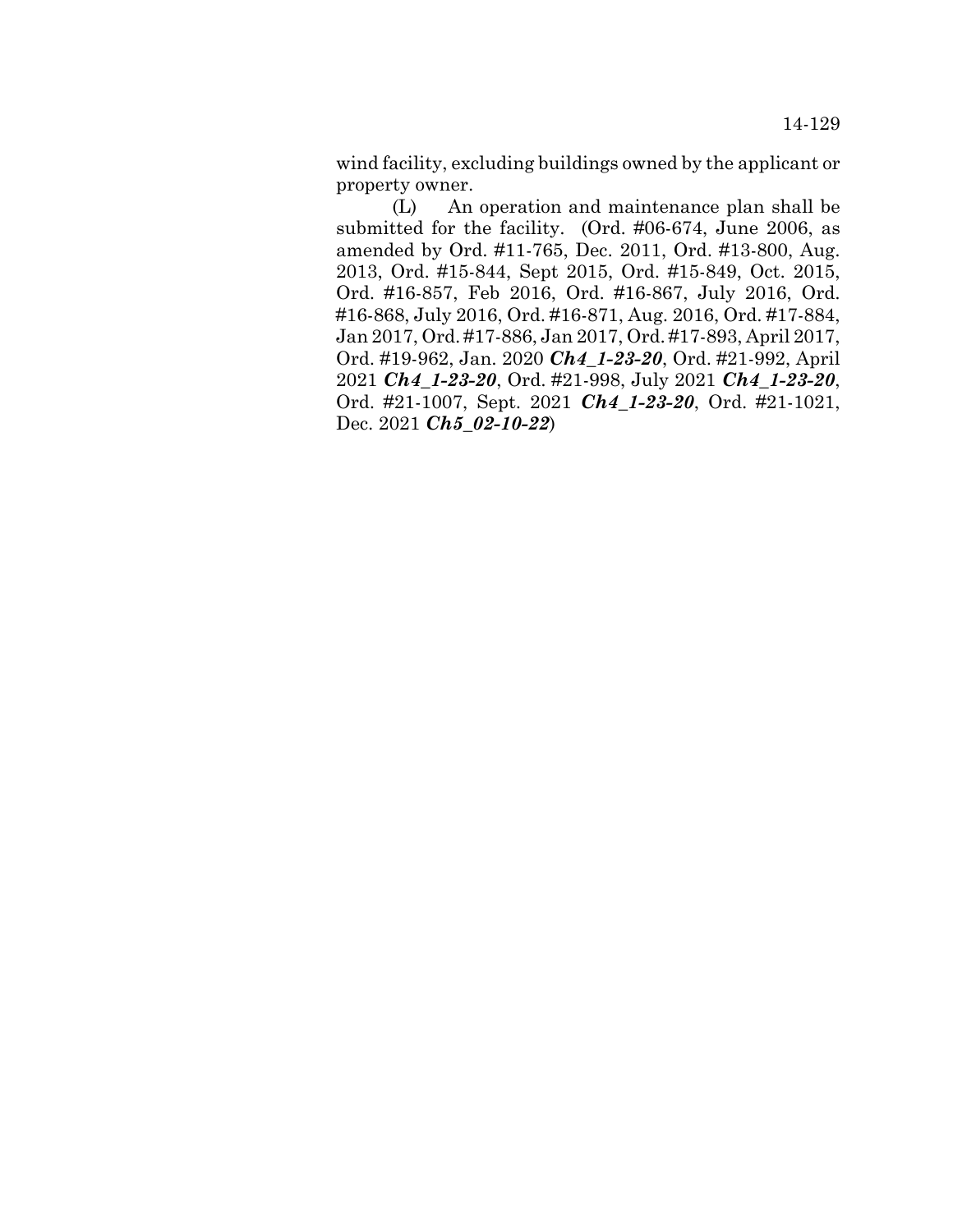wind facility, excluding buildings owned by the applicant or property owner.

(L) An operation and maintenance plan shall be submitted for the facility. (Ord. #06-674, June 2006, as amended by Ord. #11-765, Dec. 2011, Ord. #13-800, Aug. 2013, Ord. #15-844, Sept 2015, Ord. #15-849, Oct. 2015, Ord. #16-857, Feb 2016, Ord. #16-867, July 2016, Ord. #16-868, July 2016, Ord. #16-871, Aug. 2016, Ord. #17-884, Jan 2017, Ord. #17-886, Jan 2017, Ord. #17-893, April 2017, Ord. #19-962, Jan. 2020 *Ch4\_1-23-20*, Ord. #21-992, April 2021 *Ch4\_1-23-20*, Ord. #21-998, July 2021 *Ch4\_1-23-20*, Ord. #21-1007, Sept. 2021 *Ch4\_1-23-20*, Ord. #21-1021, Dec. 2021 *Ch5\_02-10-22*)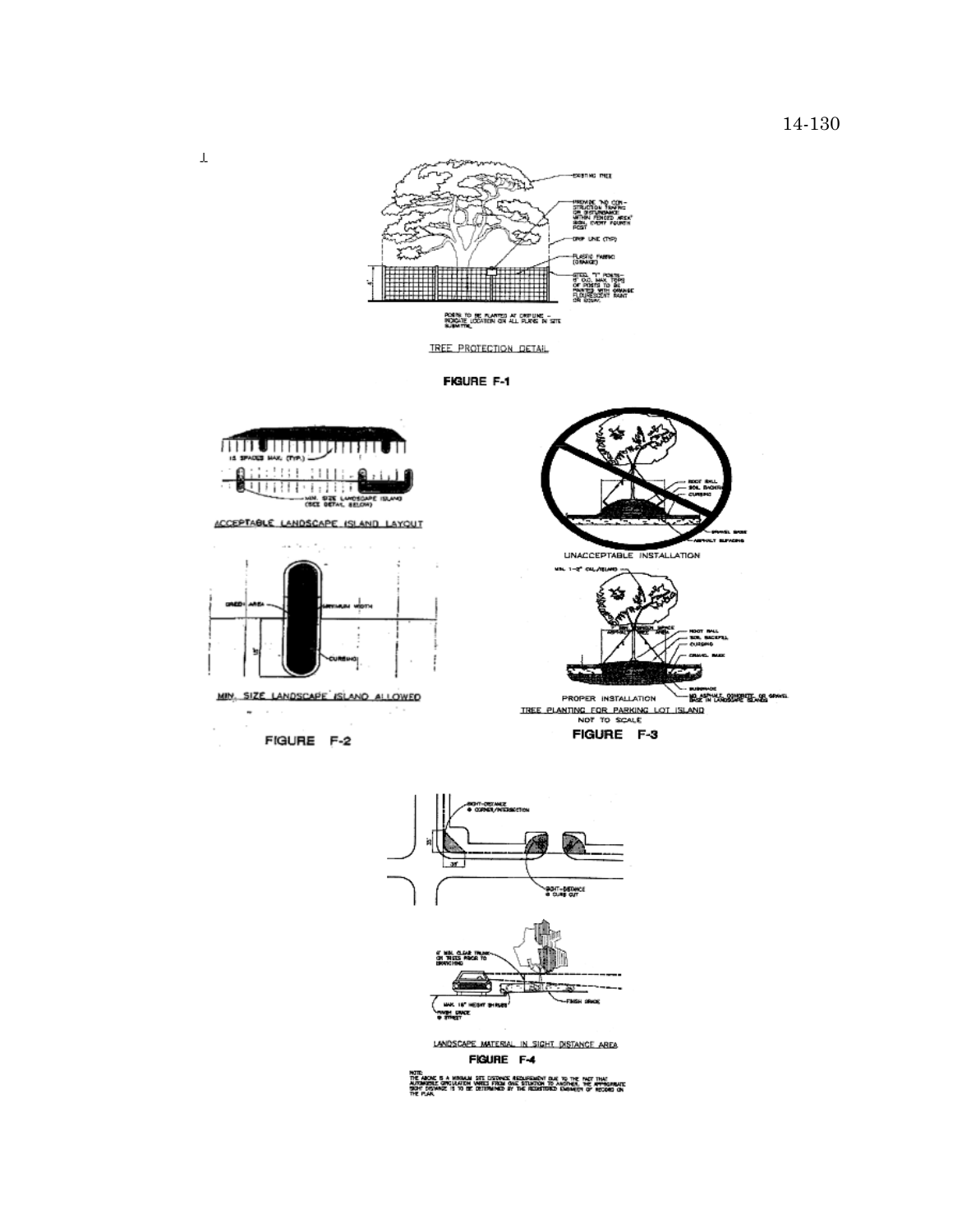

**TREE PROTECTION DETAIL** 

FIGURE F-1



ACCEPTABLE LANDSCAPE ISLAND LAYOUT





FIGURE F-2





PROPER INSTALLATION **BASH YA SHEETE SE SPANE** TREE PLANTING FOR PARKING LOT ISLAND

FIGURE F-3



FIGURE F-4

s a minimum set distonce requisitively cup to the mat that<br>Grounden write from one studion to another, the appr<br>Ge is to be cettringd by the registered employer of reck ண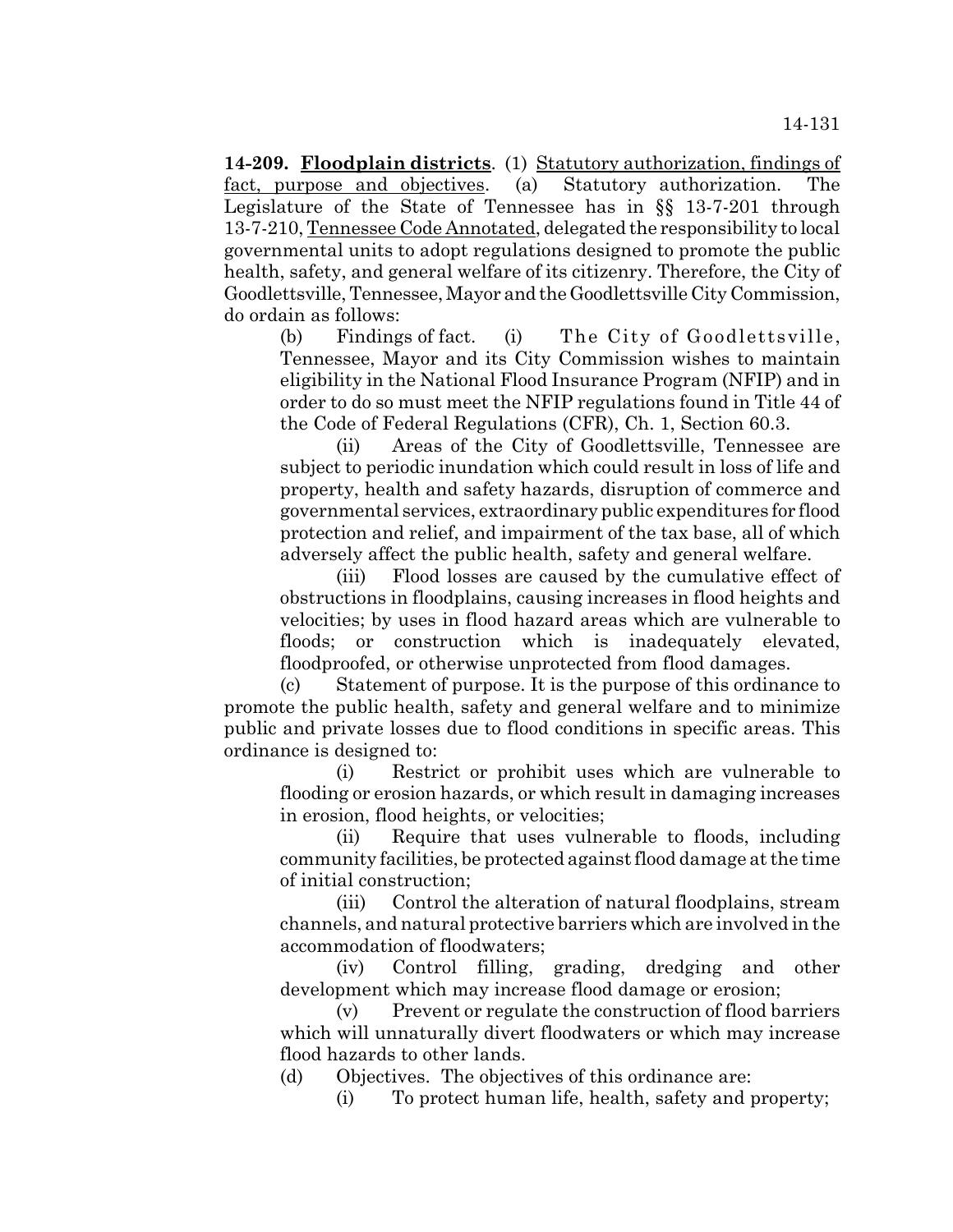**14-209. Floodplain districts**. (1) Statutory authorization, findings of fact, purpose and objectives. (a) Statutory authorization. Legislature of the State of Tennessee has in §§ 13-7-201 through 13-7-210, Tennessee Code Annotated, delegated the responsibility to local governmental units to adopt regulations designed to promote the public health, safety, and general welfare of its citizenry. Therefore, the City of Goodlettsville, Tennessee, Mayor and the Goodlettsville City Commission, do ordain as follows:

(b) Findings of fact. (i) The City of Goodlettsville, Tennessee, Mayor and its City Commission wishes to maintain eligibility in the National Flood Insurance Program (NFIP) and in order to do so must meet the NFIP regulations found in Title 44 of the Code of Federal Regulations (CFR), Ch. 1, Section 60.3.

(ii) Areas of the City of Goodlettsville, Tennessee are subject to periodic inundation which could result in loss of life and property, health and safety hazards, disruption of commerce and governmental services, extraordinary public expenditures for flood protection and relief, and impairment of the tax base, all of which adversely affect the public health, safety and general welfare.

(iii) Flood losses are caused by the cumulative effect of obstructions in floodplains, causing increases in flood heights and velocities; by uses in flood hazard areas which are vulnerable to floods; or construction which is inadequately elevated, floodproofed, or otherwise unprotected from flood damages.

(c) Statement of purpose. It is the purpose of this ordinance to promote the public health, safety and general welfare and to minimize public and private losses due to flood conditions in specific areas. This ordinance is designed to:

(i) Restrict or prohibit uses which are vulnerable to flooding or erosion hazards, or which result in damaging increases in erosion, flood heights, or velocities;

(ii) Require that uses vulnerable to floods, including community facilities, be protected against flood damage at the time of initial construction;

(iii) Control the alteration of natural floodplains, stream channels, and natural protective barriers which are involved in the accommodation of floodwaters;

(iv) Control filling, grading, dredging and other development which may increase flood damage or erosion;

(v) Prevent or regulate the construction of flood barriers which will unnaturally divert floodwaters or which may increase flood hazards to other lands.

(d) Objectives. The objectives of this ordinance are:

(i) To protect human life, health, safety and property;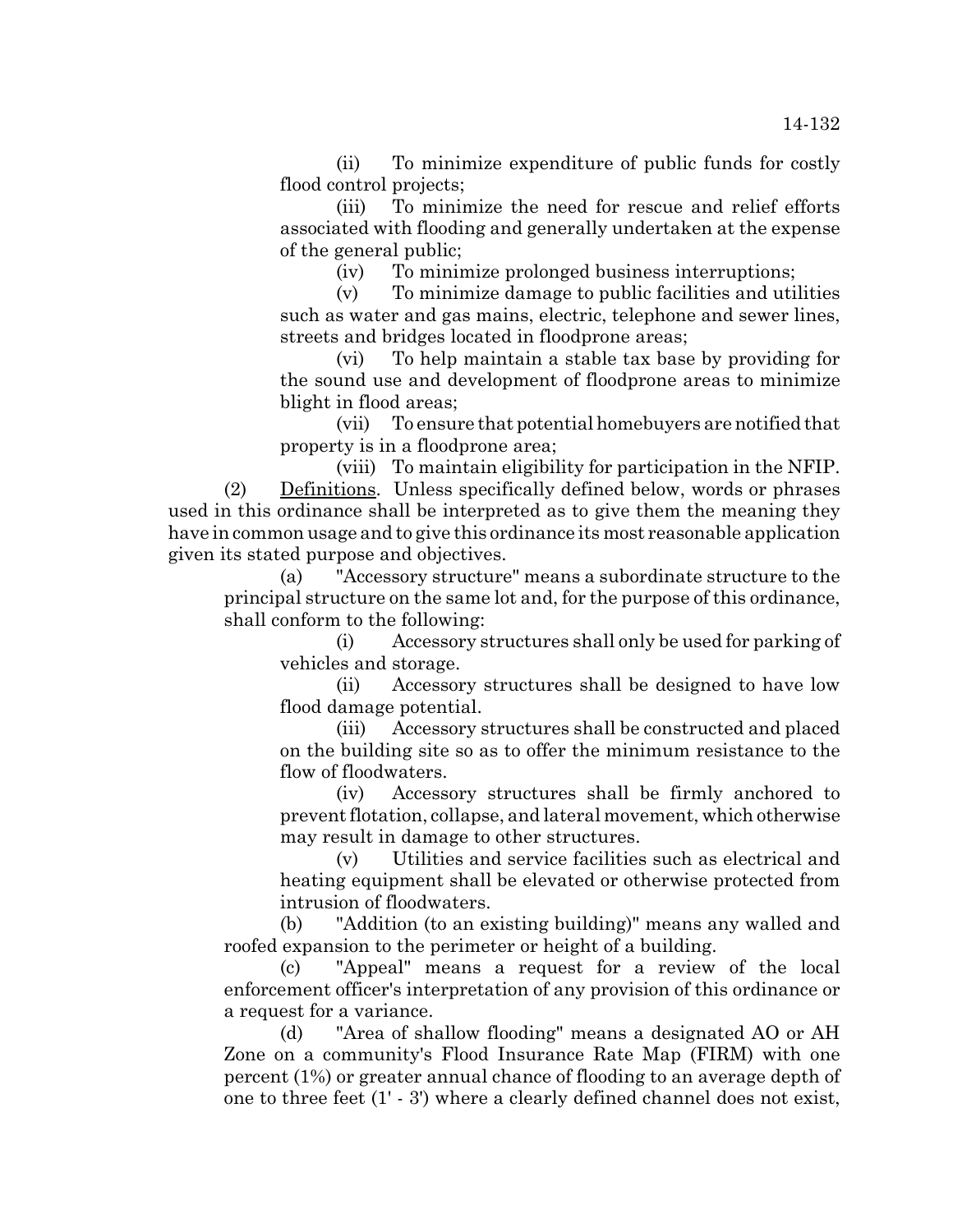(ii) To minimize expenditure of public funds for costly flood control projects:

(iii) To minimize the need for rescue and relief efforts associated with flooding and generally undertaken at the expense of the general public;

(iv) To minimize prolonged business interruptions;

(v) To minimize damage to public facilities and utilities such as water and gas mains, electric, telephone and sewer lines, streets and bridges located in floodprone areas;

(vi) To help maintain a stable tax base by providing for the sound use and development of floodprone areas to minimize blight in flood areas;

(vii) To ensure that potential homebuyers are notified that property is in a floodprone area;

(viii) To maintain eligibility for participation in the NFIP. (2) Definitions. Unless specifically defined below, words or phrases used in this ordinance shall be interpreted as to give them the meaning they have in common usage and to give this ordinance its most reasonable application given its stated purpose and objectives.

(a) "Accessory structure" means a subordinate structure to the principal structure on the same lot and, for the purpose of this ordinance, shall conform to the following:

(i) Accessory structures shall only be used for parking of vehicles and storage.

(ii) Accessory structures shall be designed to have low flood damage potential.

(iii) Accessory structures shall be constructed and placed on the building site so as to offer the minimum resistance to the flow of floodwaters.

(iv) Accessory structures shall be firmly anchored to prevent flotation, collapse, and lateral movement, which otherwise may result in damage to other structures.

(v) Utilities and service facilities such as electrical and heating equipment shall be elevated or otherwise protected from intrusion of floodwaters.

(b) "Addition (to an existing building)" means any walled and roofed expansion to the perimeter or height of a building.

(c) "Appeal" means a request for a review of the local enforcement officer's interpretation of any provision of this ordinance or a request for a variance.

(d) "Area of shallow flooding" means a designated AO or AH Zone on a community's Flood Insurance Rate Map (FIRM) with one percent (1%) or greater annual chance of flooding to an average depth of one to three feet (1' - 3') where a clearly defined channel does not exist,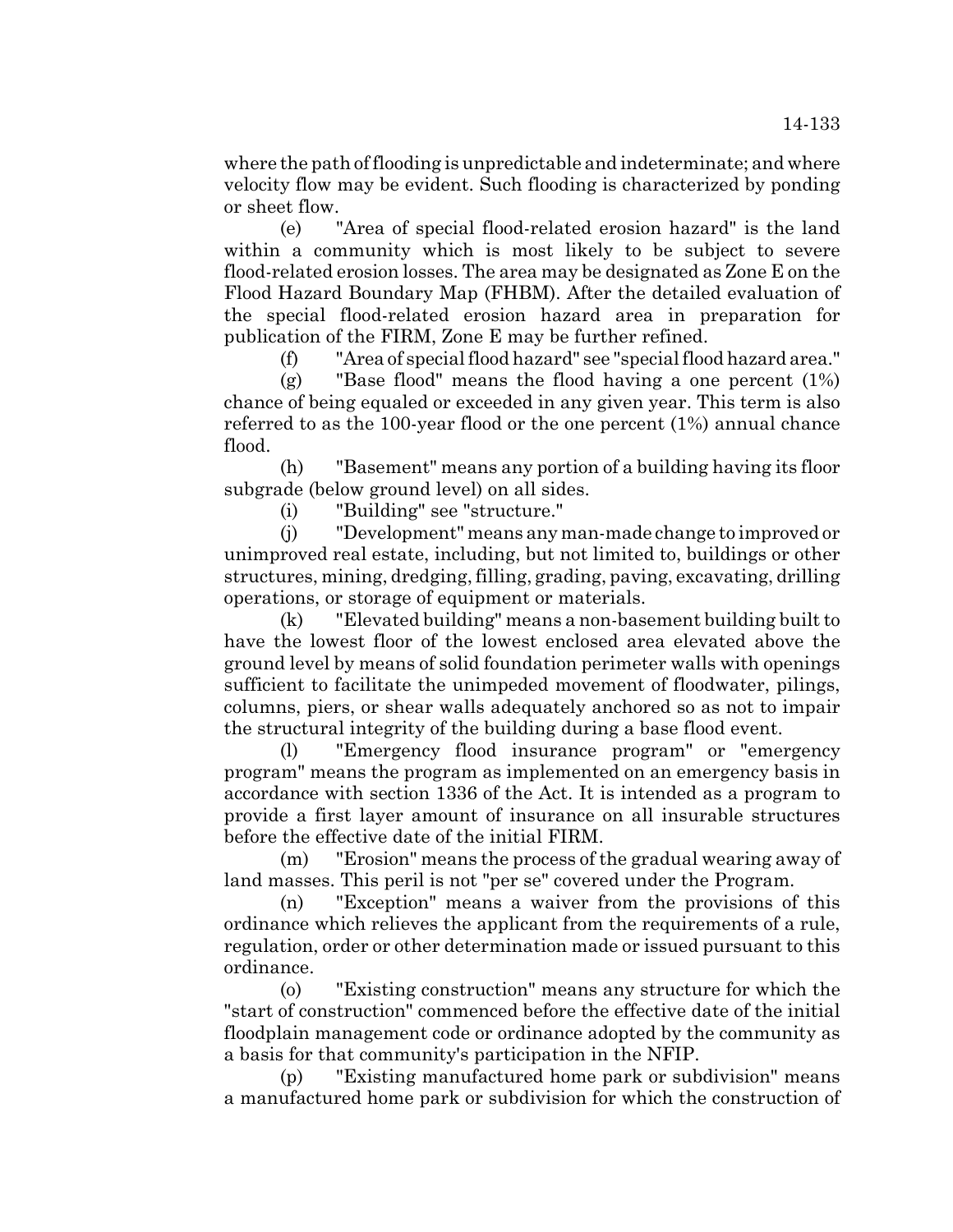where the path of flooding is unpredictable and indeterminate; and where velocity flow may be evident. Such flooding is characterized by ponding or sheet flow.

(e) "Area of special flood-related erosion hazard" is the land within a community which is most likely to be subject to severe flood-related erosion losses. The area may be designated as Zone E on the Flood Hazard Boundary Map (FHBM). After the detailed evaluation of the special flood-related erosion hazard area in preparation for publication of the FIRM, Zone E may be further refined.

(f) "Area of special flood hazard" see "special flood hazard area."

(g) "Base flood" means the flood having a one percent (1%) chance of being equaled or exceeded in any given year. This term is also referred to as the 100-year flood or the one percent (1%) annual chance flood.

(h) "Basement" means any portion of a building having its floor subgrade (below ground level) on all sides.

(i) "Building" see "structure."

(j) "Development" means any man-made change to improved or unimproved real estate, including, but not limited to, buildings or other structures, mining, dredging, filling, grading, paving, excavating, drilling operations, or storage of equipment or materials.

(k) "Elevated building" means a non-basement building built to have the lowest floor of the lowest enclosed area elevated above the ground level by means of solid foundation perimeter walls with openings sufficient to facilitate the unimpeded movement of floodwater, pilings, columns, piers, or shear walls adequately anchored so as not to impair the structural integrity of the building during a base flood event.

(l) "Emergency flood insurance program" or "emergency program" means the program as implemented on an emergency basis in accordance with section 1336 of the Act. It is intended as a program to provide a first layer amount of insurance on all insurable structures before the effective date of the initial FIRM.

(m) "Erosion" means the process of the gradual wearing away of land masses. This peril is not "per se" covered under the Program.

(n) "Exception" means a waiver from the provisions of this ordinance which relieves the applicant from the requirements of a rule, regulation, order or other determination made or issued pursuant to this ordinance.

(o) "Existing construction" means any structure for which the "start of construction" commenced before the effective date of the initial floodplain management code or ordinance adopted by the community as a basis for that community's participation in the NFIP.

(p) "Existing manufactured home park or subdivision" means a manufactured home park or subdivision for which the construction of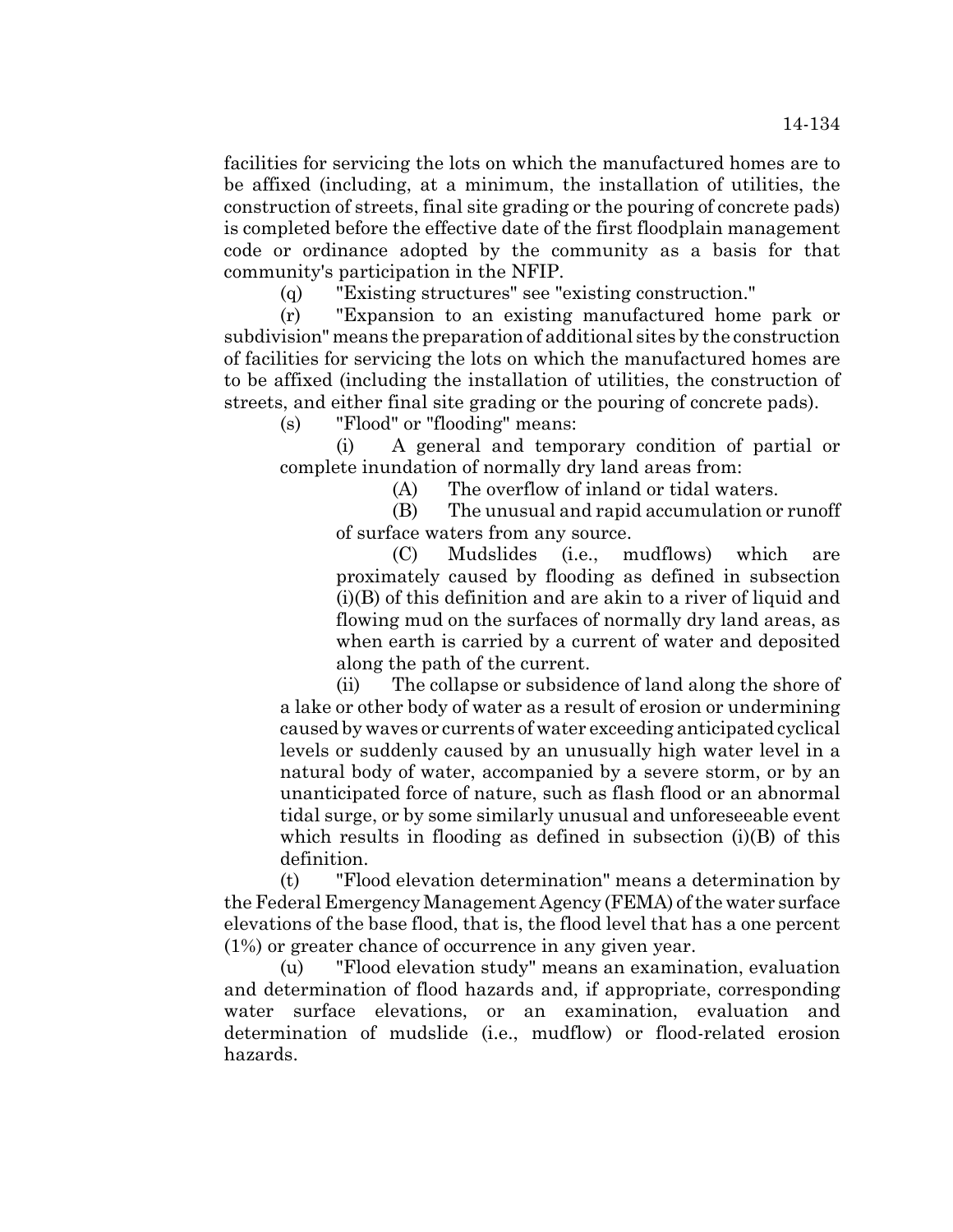facilities for servicing the lots on which the manufactured homes are to be affixed (including, at a minimum, the installation of utilities, the construction of streets, final site grading or the pouring of concrete pads) is completed before the effective date of the first floodplain management code or ordinance adopted by the community as a basis for that community's participation in the NFIP.

(q) "Existing structures" see "existing construction."

(r) "Expansion to an existing manufactured home park or subdivision" means the preparation of additional sites by the construction of facilities for servicing the lots on which the manufactured homes are to be affixed (including the installation of utilities, the construction of streets, and either final site grading or the pouring of concrete pads).

(s) "Flood" or "flooding" means:

(i) A general and temporary condition of partial or complete inundation of normally dry land areas from:

(A) The overflow of inland or tidal waters.

(B) The unusual and rapid accumulation or runoff of surface waters from any source.

(C) Mudslides (i.e., mudflows) which are proximately caused by flooding as defined in subsection (i)(B) of this definition and are akin to a river of liquid and flowing mud on the surfaces of normally dry land areas, as when earth is carried by a current of water and deposited along the path of the current.

(ii) The collapse or subsidence of land along the shore of a lake or other body of water as a result of erosion or undermining caused by waves or currents of water exceeding anticipated cyclical levels or suddenly caused by an unusually high water level in a natural body of water, accompanied by a severe storm, or by an unanticipated force of nature, such as flash flood or an abnormal tidal surge, or by some similarly unusual and unforeseeable event which results in flooding as defined in subsection (i)(B) of this definition.

(t) "Flood elevation determination" means a determination by the Federal Emergency Management Agency (FEMA) of the water surface elevations of the base flood, that is, the flood level that has a one percent (1%) or greater chance of occurrence in any given year.

(u) "Flood elevation study" means an examination, evaluation and determination of flood hazards and, if appropriate, corresponding water surface elevations, or an examination, evaluation and determination of mudslide (i.e., mudflow) or flood-related erosion hazards.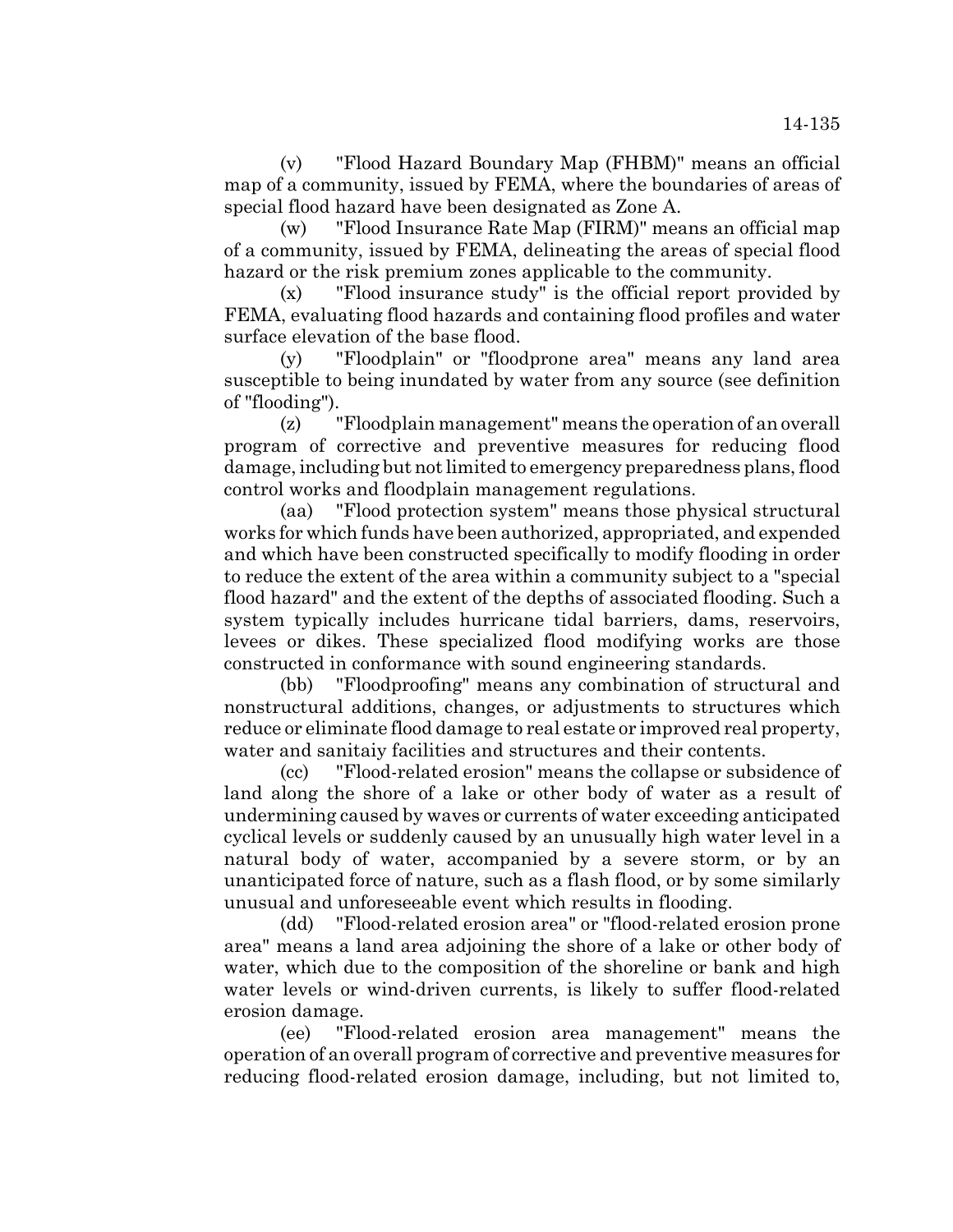(v) "Flood Hazard Boundary Map (FHBM)" means an official map of a community, issued by FEMA, where the boundaries of areas of special flood hazard have been designated as Zone A.

(w) "Flood Insurance Rate Map (FIRM)" means an official map of a community, issued by FEMA, delineating the areas of special flood hazard or the risk premium zones applicable to the community.

(x) "Flood insurance study" is the official report provided by FEMA, evaluating flood hazards and containing flood profiles and water surface elevation of the base flood.

(y) "Floodplain" or "floodprone area" means any land area susceptible to being inundated by water from any source (see definition of "flooding").

(z) "Floodplain management" means the operation of an overall program of corrective and preventive measures for reducing flood damage, including but not limited to emergency preparedness plans, flood control works and floodplain management regulations.

(aa) "Flood protection system" means those physical structural works for which funds have been authorized, appropriated, and expended and which have been constructed specifically to modify flooding in order to reduce the extent of the area within a community subject to a "special flood hazard" and the extent of the depths of associated flooding. Such a system typically includes hurricane tidal barriers, dams, reservoirs, levees or dikes. These specialized flood modifying works are those constructed in conformance with sound engineering standards.

(bb) "Floodproofing" means any combination of structural and nonstructural additions, changes, or adjustments to structures which reduce or eliminate flood damage to real estate or improved real property, water and sanitaiy facilities and structures and their contents.

(cc) "Flood-related erosion" means the collapse or subsidence of land along the shore of a lake or other body of water as a result of undermining caused by waves or currents of water exceeding anticipated cyclical levels or suddenly caused by an unusually high water level in a natural body of water, accompanied by a severe storm, or by an unanticipated force of nature, such as a flash flood, or by some similarly unusual and unforeseeable event which results in flooding.

(dd) "Flood-related erosion area" or "flood-related erosion prone area" means a land area adjoining the shore of a lake or other body of water, which due to the composition of the shoreline or bank and high water levels or wind-driven currents, is likely to suffer flood-related erosion damage.

(ee) "Flood-related erosion area management" means the operation of an overall program of corrective and preventive measures for reducing flood-related erosion damage, including, but not limited to,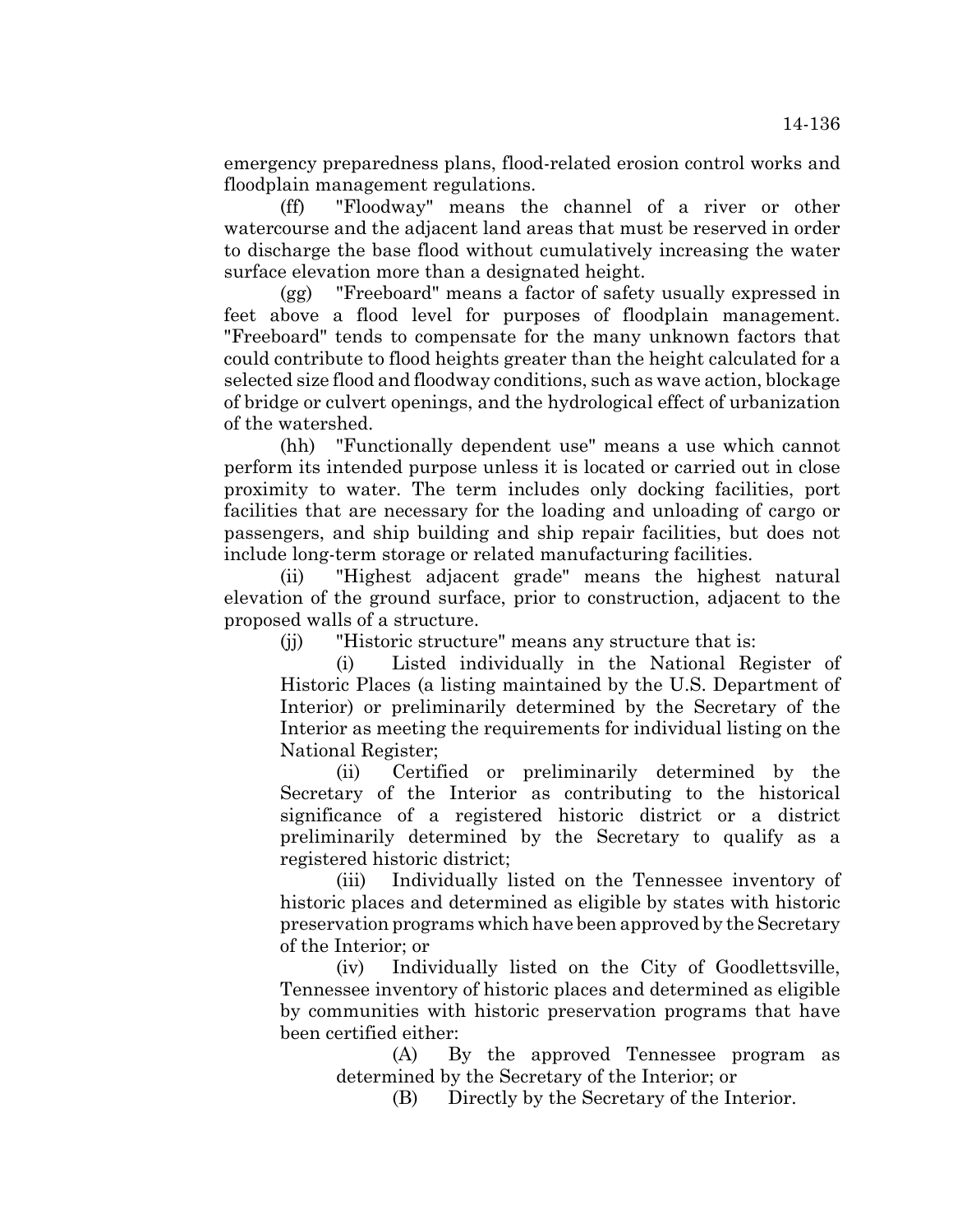emergency preparedness plans, flood-related erosion control works and floodplain management regulations.

(ff) "Floodway" means the channel of a river or other watercourse and the adjacent land areas that must be reserved in order to discharge the base flood without cumulatively increasing the water surface elevation more than a designated height.

(gg) "Freeboard" means a factor of safety usually expressed in feet above a flood level for purposes of floodplain management. "Freeboard" tends to compensate for the many unknown factors that could contribute to flood heights greater than the height calculated for a selected size flood and floodway conditions, such as wave action, blockage of bridge or culvert openings, and the hydrological effect of urbanization of the watershed.

(hh) "Functionally dependent use" means a use which cannot perform its intended purpose unless it is located or carried out in close proximity to water. The term includes only docking facilities, port facilities that are necessary for the loading and unloading of cargo or passengers, and ship building and ship repair facilities, but does not include long-term storage or related manufacturing facilities.

(ii) "Highest adjacent grade" means the highest natural elevation of the ground surface, prior to construction, adjacent to the proposed walls of a structure.

(jj) "Historic structure" means any structure that is:

(i) Listed individually in the National Register of Historic Places (a listing maintained by the U.S. Department of Interior) or preliminarily determined by the Secretary of the Interior as meeting the requirements for individual listing on the National Register;

(ii) Certified or preliminarily determined by the Secretary of the Interior as contributing to the historical significance of a registered historic district or a district preliminarily determined by the Secretary to qualify as a registered historic district;

(iii) Individually listed on the Tennessee inventory of historic places and determined as eligible by states with historic preservation programs which have been approved by the Secretary of the Interior; or

(iv) Individually listed on the City of Goodlettsville, Tennessee inventory of historic places and determined as eligible by communities with historic preservation programs that have been certified either:

(A) By the approved Tennessee program as determined by the Secretary of the Interior; or

(B) Directly by the Secretary of the Interior.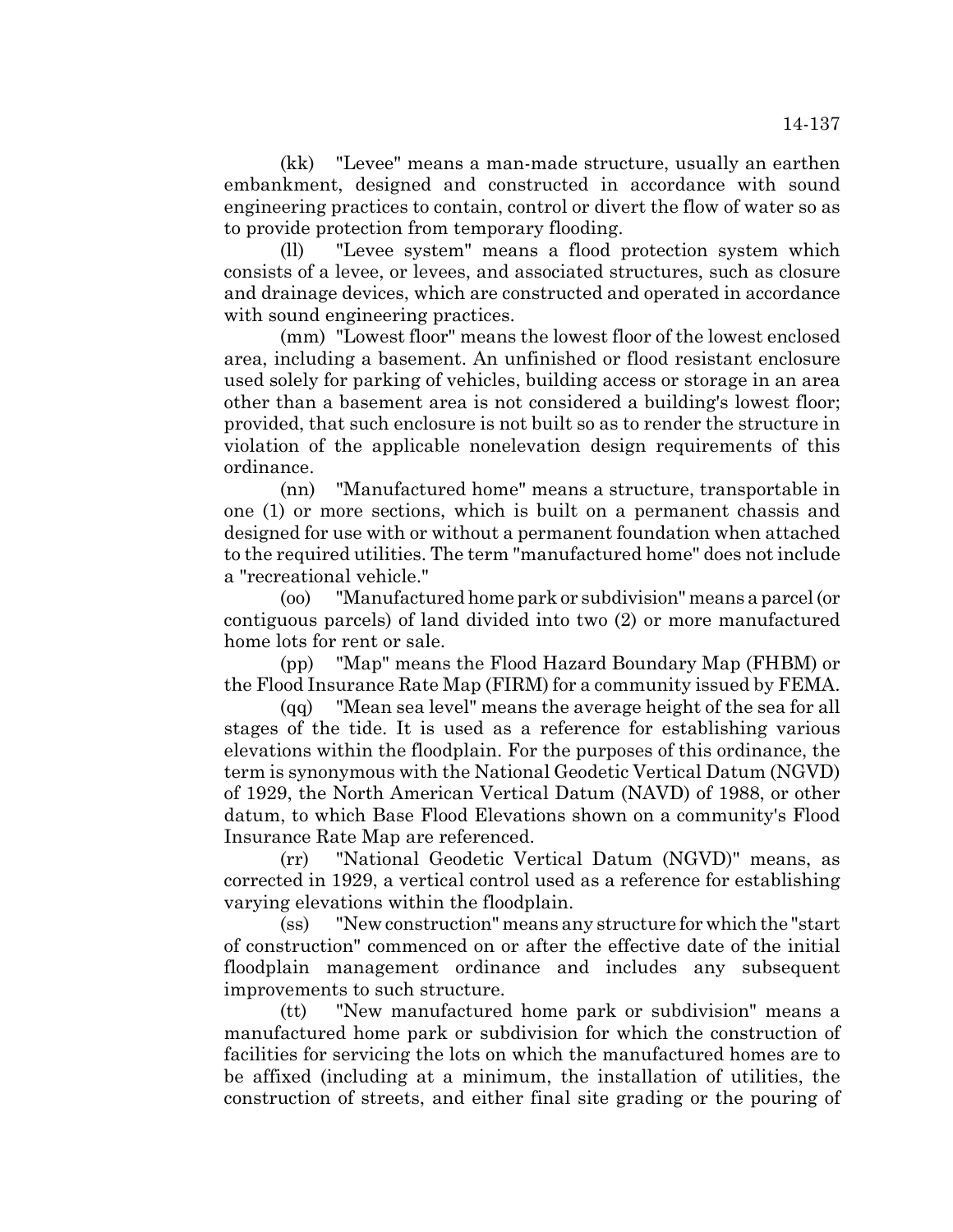(kk) "Levee" means a man-made structure, usually an earthen embankment, designed and constructed in accordance with sound engineering practices to contain, control or divert the flow of water so as to provide protection from temporary flooding.

(ll) "Levee system" means a flood protection system which consists of a levee, or levees, and associated structures, such as closure and drainage devices, which are constructed and operated in accordance with sound engineering practices.

(mm) "Lowest floor" means the lowest floor of the lowest enclosed area, including a basement. An unfinished or flood resistant enclosure used solely for parking of vehicles, building access or storage in an area other than a basement area is not considered a building's lowest floor; provided, that such enclosure is not built so as to render the structure in violation of the applicable nonelevation design requirements of this ordinance.

(nn) "Manufactured home" means a structure, transportable in one (1) or more sections, which is built on a permanent chassis and designed for use with or without a permanent foundation when attached to the required utilities. The term "manufactured home" does not include a "recreational vehicle."

(oo) "Manufactured home park or subdivision" means a parcel (or contiguous parcels) of land divided into two (2) or more manufactured home lots for rent or sale.

(pp) "Map" means the Flood Hazard Boundary Map (FHBM) or the Flood Insurance Rate Map (FIRM) for a community issued by FEMA.

(qq) "Mean sea level" means the average height of the sea for all stages of the tide. It is used as a reference for establishing various elevations within the floodplain. For the purposes of this ordinance, the term is synonymous with the National Geodetic Vertical Datum (NGVD) of 1929, the North American Vertical Datum (NAVD) of 1988, or other datum, to which Base Flood Elevations shown on a community's Flood Insurance Rate Map are referenced.

(rr) "National Geodetic Vertical Datum (NGVD)" means, as corrected in 1929, a vertical control used as a reference for establishing varying elevations within the floodplain.

(ss) "New construction" means any structure for which the "start of construction" commenced on or after the effective date of the initial floodplain management ordinance and includes any subsequent improvements to such structure.

(tt) "New manufactured home park or subdivision" means a manufactured home park or subdivision for which the construction of facilities for servicing the lots on which the manufactured homes are to be affixed (including at a minimum, the installation of utilities, the construction of streets, and either final site grading or the pouring of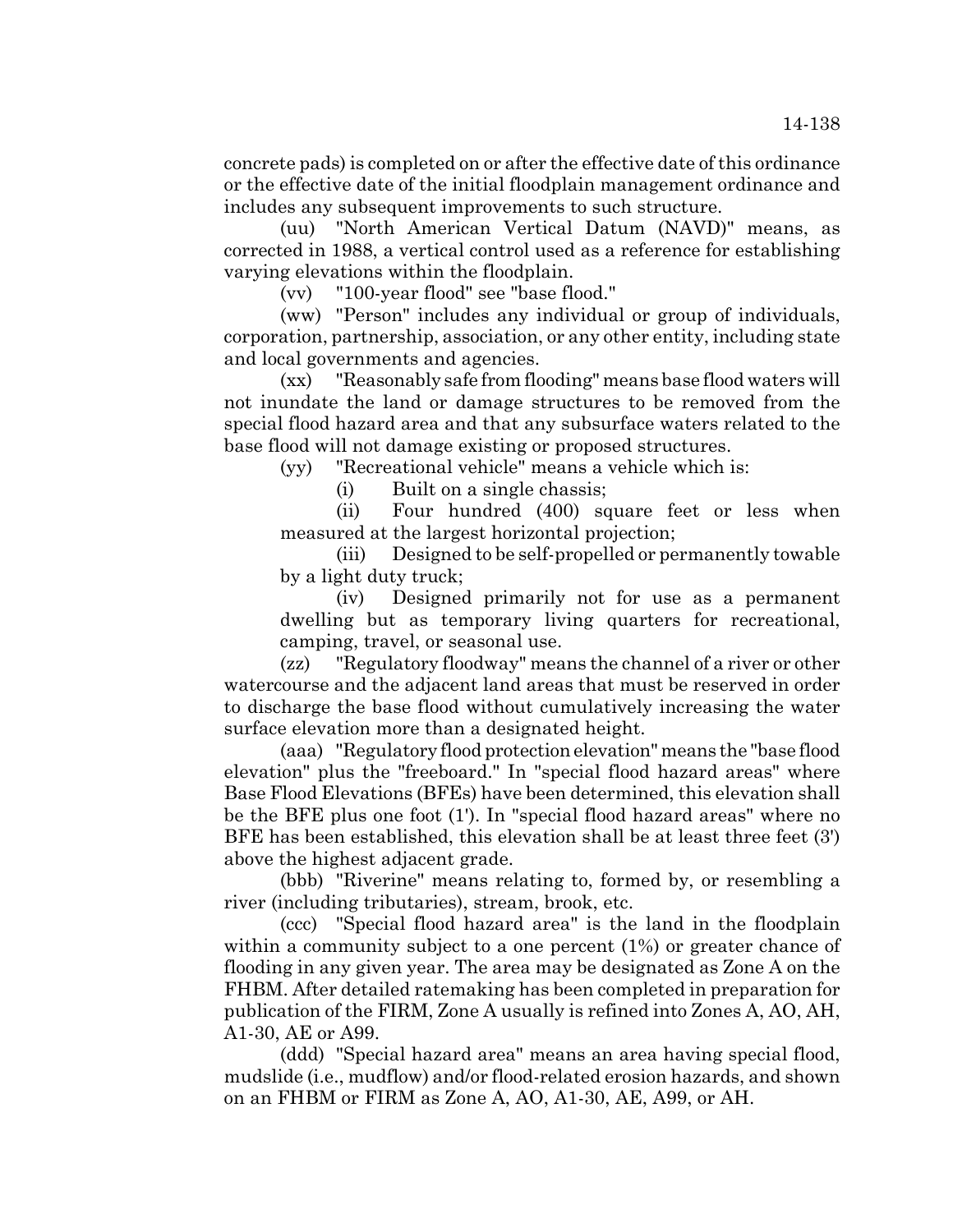concrete pads) is completed on or after the effective date of this ordinance or the effective date of the initial floodplain management ordinance and includes any subsequent improvements to such structure.

(uu) "North American Vertical Datum (NAVD)" means, as corrected in 1988, a vertical control used as a reference for establishing varying elevations within the floodplain.

(vv) "100-year flood" see "base flood."

(ww) "Person" includes any individual or group of individuals, corporation, partnership, association, or any other entity, including state and local governments and agencies.

(xx) "Reasonably safe from flooding" means base flood waters will not inundate the land or damage structures to be removed from the special flood hazard area and that any subsurface waters related to the base flood will not damage existing or proposed structures.

(yy) "Recreational vehicle" means a vehicle which is:

(i) Built on a single chassis;

(ii) Four hundred (400) square feet or less when measured at the largest horizontal projection;

(iii) Designed to be self-propelled or permanently towable by a light duty truck;

(iv) Designed primarily not for use as a permanent dwelling but as temporary living quarters for recreational, camping, travel, or seasonal use.

(zz) "Regulatory floodway" means the channel of a river or other watercourse and the adjacent land areas that must be reserved in order to discharge the base flood without cumulatively increasing the water surface elevation more than a designated height.

(aaa) "Regulatory flood protection elevation" means the "base flood elevation" plus the "freeboard." In "special flood hazard areas" where Base Flood Elevations (BFEs) have been determined, this elevation shall be the BFE plus one foot (1'). In "special flood hazard areas" where no BFE has been established, this elevation shall be at least three feet (3') above the highest adjacent grade.

(bbb) "Riverine" means relating to, formed by, or resembling a river (including tributaries), stream, brook, etc.

(ccc) "Special flood hazard area" is the land in the floodplain within a community subject to a one percent (1%) or greater chance of flooding in any given year. The area may be designated as Zone A on the FHBM. After detailed ratemaking has been completed in preparation for publication of the FIRM, Zone A usually is refined into Zones A, AO, AH, A1-30, AE or A99.

(ddd) "Special hazard area" means an area having special flood, mudslide (i.e., mudflow) and/or flood-related erosion hazards, and shown on an FHBM or FIRM as Zone A, AO, A1-30, AE, A99, or AH.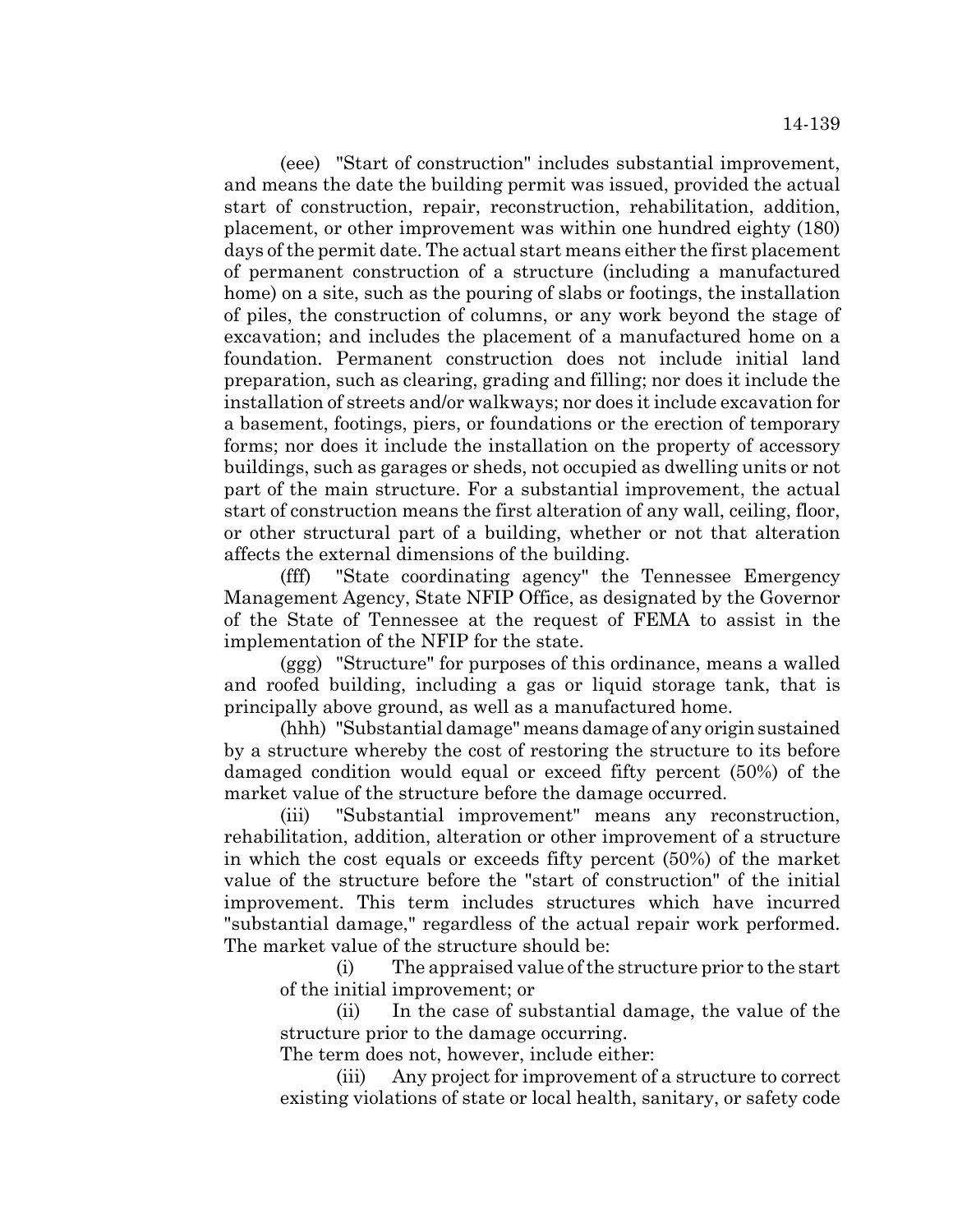(eee) "Start of construction" includes substantial improvement, and means the date the building permit was issued, provided the actual start of construction, repair, reconstruction, rehabilitation, addition, placement, or other improvement was within one hundred eighty (180) days of the permit date. The actual start means either the first placement of permanent construction of a structure (including a manufactured home) on a site, such as the pouring of slabs or footings, the installation of piles, the construction of columns, or any work beyond the stage of excavation; and includes the placement of a manufactured home on a foundation. Permanent construction does not include initial land preparation, such as clearing, grading and filling; nor does it include the installation of streets and/or walkways; nor does it include excavation for a basement, footings, piers, or foundations or the erection of temporary forms; nor does it include the installation on the property of accessory buildings, such as garages or sheds, not occupied as dwelling units or not part of the main structure. For a substantial improvement, the actual start of construction means the first alteration of any wall, ceiling, floor, or other structural part of a building, whether or not that alteration affects the external dimensions of the building.

(fff) "State coordinating agency" the Tennessee Emergency Management Agency, State NFIP Office, as designated by the Governor of the State of Tennessee at the request of FEMA to assist in the implementation of the NFIP for the state.

(ggg) "Structure" for purposes of this ordinance, means a walled and roofed building, including a gas or liquid storage tank, that is principally above ground, as well as a manufactured home.

(hhh) "Substantial damage" means damage of any origin sustained by a structure whereby the cost of restoring the structure to its before damaged condition would equal or exceed fifty percent (50%) of the market value of the structure before the damage occurred.

(iii) "Substantial improvement" means any reconstruction, rehabilitation, addition, alteration or other improvement of a structure in which the cost equals or exceeds fifty percent (50%) of the market value of the structure before the "start of construction" of the initial improvement. This term includes structures which have incurred "substantial damage," regardless of the actual repair work performed. The market value of the structure should be:

(i) The appraised value of the structure prior to the start of the initial improvement; or

(ii) In the case of substantial damage, the value of the structure prior to the damage occurring.

The term does not, however, include either:

(iii) Any project for improvement of a structure to correct existing violations of state or local health, sanitary, or safety code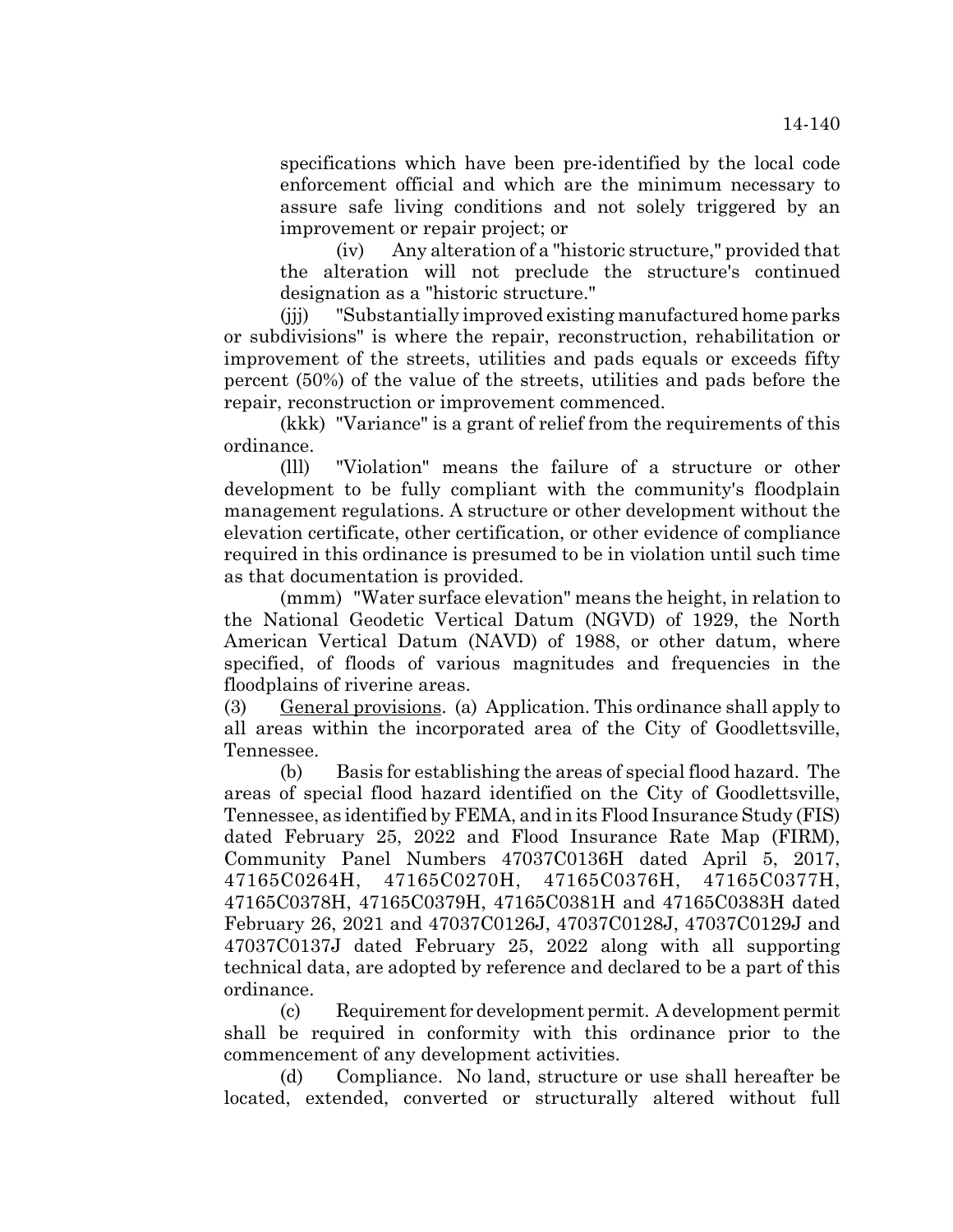specifications which have been pre-identified by the local code enforcement official and which are the minimum necessary to assure safe living conditions and not solely triggered by an improvement or repair project; or

(iv) Any alteration of a "historic structure," provided that the alteration will not preclude the structure's continued designation as a "historic structure."

(jjj) "Substantially improved existing manufactured home parks or subdivisions" is where the repair, reconstruction, rehabilitation or improvement of the streets, utilities and pads equals or exceeds fifty percent (50%) of the value of the streets, utilities and pads before the repair, reconstruction or improvement commenced.

(kkk) "Variance" is a grant of relief from the requirements of this ordinance.

(lll) "Violation" means the failure of a structure or other development to be fully compliant with the community's floodplain management regulations. A structure or other development without the elevation certificate, other certification, or other evidence of compliance required in this ordinance is presumed to be in violation until such time as that documentation is provided.

(mmm) "Water surface elevation" means the height, in relation to the National Geodetic Vertical Datum (NGVD) of 1929, the North American Vertical Datum (NAVD) of 1988, or other datum, where specified, of floods of various magnitudes and frequencies in the floodplains of riverine areas.

(3) General provisions. (a) Application. This ordinance shall apply to all areas within the incorporated area of the City of Goodlettsville, Tennessee.

(b) Basis for establishing the areas of special flood hazard. The areas of special flood hazard identified on the City of Goodlettsville, Tennessee, as identified by FEMA, and in its Flood Insurance Study (FIS) dated February 25, 2022 and Flood Insurance Rate Map (FIRM), Community Panel Numbers 47037C0136H dated April 5, 2017, 47165C0264H, 47165C0270H, 47165C0376H, 47165C0377H, 47165C0378H, 47165C0379H, 47165C0381H and 47165C0383H dated February 26, 2021 and 47037C0126J, 47037C0128J, 47037C0129J and 47037C0137J dated February 25, 2022 along with all supporting technical data, are adopted by reference and declared to be a part of this ordinance.

(c) Requirement for development permit. A development permit shall be required in conformity with this ordinance prior to the commencement of any development activities.

(d) Compliance. No land, structure or use shall hereafter be located, extended, converted or structurally altered without full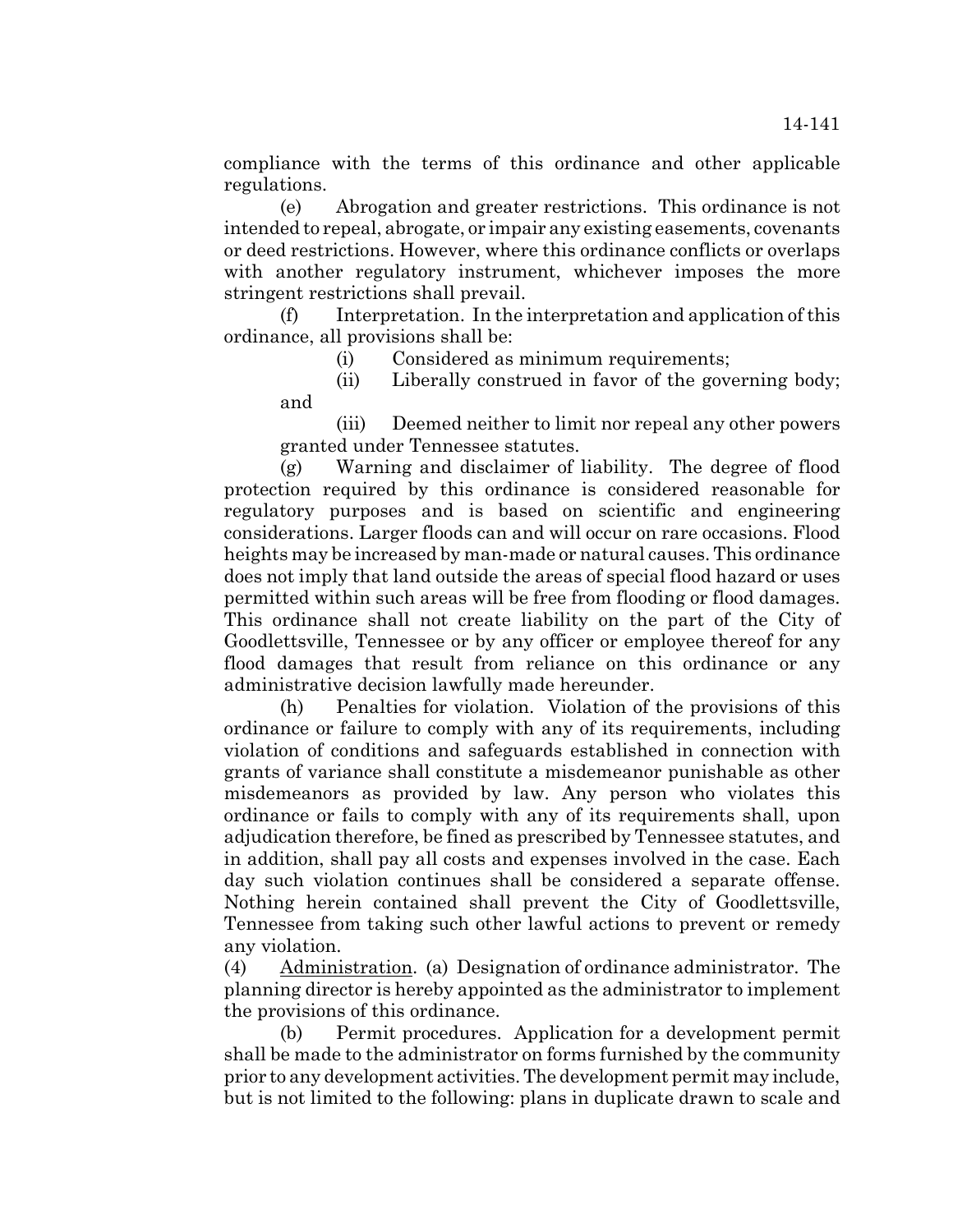compliance with the terms of this ordinance and other applicable regulations.

(e) Abrogation and greater restrictions. This ordinance is not intended to repeal, abrogate, or impair any existing easements, covenants or deed restrictions. However, where this ordinance conflicts or overlaps with another regulatory instrument, whichever imposes the more stringent restrictions shall prevail.

(f) Interpretation. In the interpretation and application of this ordinance, all provisions shall be:

(i) Considered as minimum requirements;

(ii) Liberally construed in favor of the governing body; and

(iii) Deemed neither to limit nor repeal any other powers granted under Tennessee statutes.

(g) Warning and disclaimer of liability. The degree of flood protection required by this ordinance is considered reasonable for regulatory purposes and is based on scientific and engineering considerations. Larger floods can and will occur on rare occasions. Flood heights may be increased by man-made or natural causes. This ordinance does not imply that land outside the areas of special flood hazard or uses permitted within such areas will be free from flooding or flood damages. This ordinance shall not create liability on the part of the City of Goodlettsville, Tennessee or by any officer or employee thereof for any flood damages that result from reliance on this ordinance or any administrative decision lawfully made hereunder.

(h) Penalties for violation. Violation of the provisions of this ordinance or failure to comply with any of its requirements, including violation of conditions and safeguards established in connection with grants of variance shall constitute a misdemeanor punishable as other misdemeanors as provided by law. Any person who violates this ordinance or fails to comply with any of its requirements shall, upon adjudication therefore, be fined as prescribed by Tennessee statutes, and in addition, shall pay all costs and expenses involved in the case. Each day such violation continues shall be considered a separate offense. Nothing herein contained shall prevent the City of Goodlettsville, Tennessee from taking such other lawful actions to prevent or remedy any violation.

(4) Administration. (a) Designation of ordinance administrator. The planning director is hereby appointed as the administrator to implement the provisions of this ordinance.

(b) Permit procedures. Application for a development permit shall be made to the administrator on forms furnished by the community prior to any development activities. The development permit may include, but is not limited to the following: plans in duplicate drawn to scale and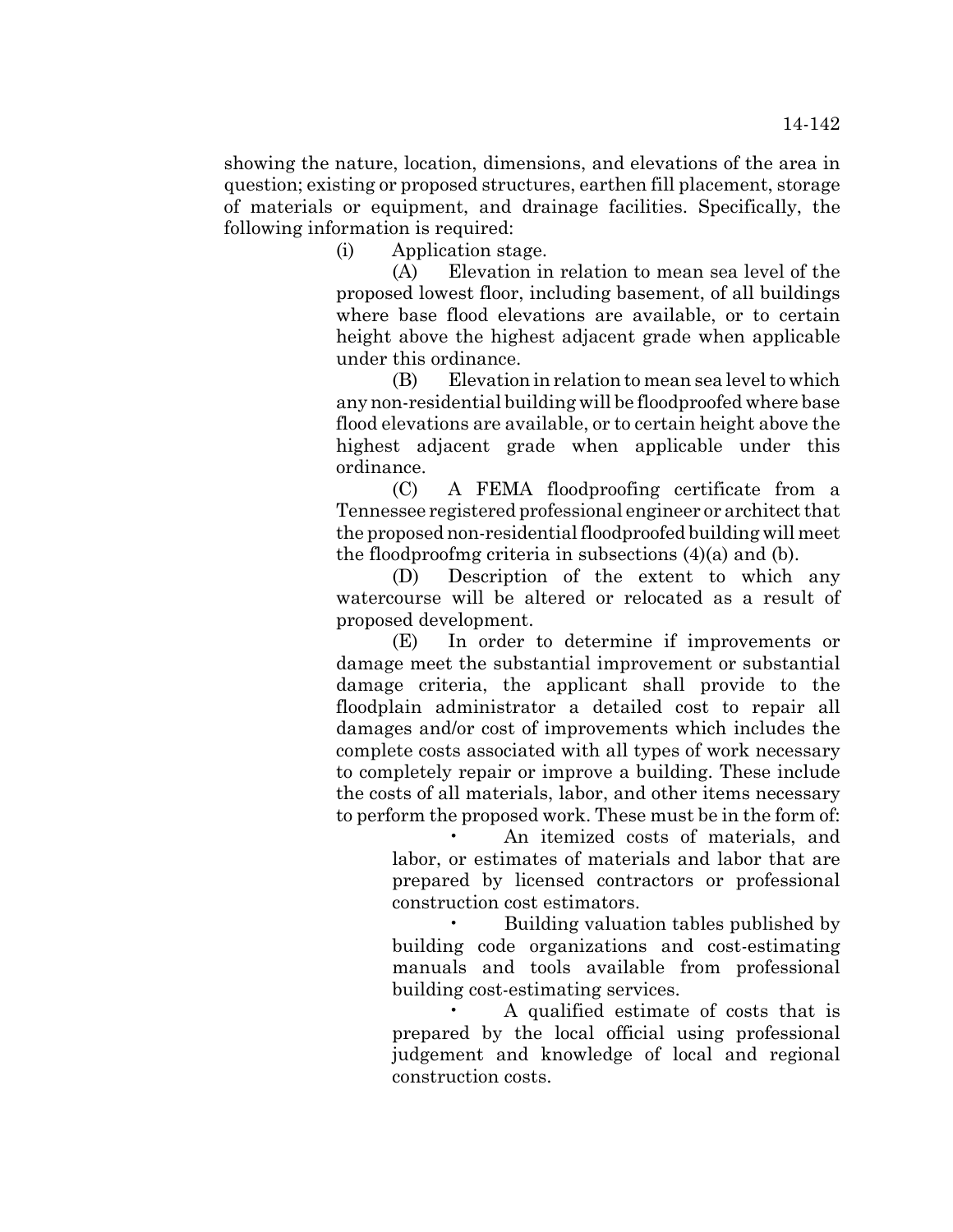showing the nature, location, dimensions, and elevations of the area in question; existing or proposed structures, earthen fill placement, storage of materials or equipment, and drainage facilities. Specifically, the following information is required:

(i) Application stage.

(A) Elevation in relation to mean sea level of the proposed lowest floor, including basement, of all buildings where base flood elevations are available, or to certain height above the highest adjacent grade when applicable under this ordinance.

(B) Elevation in relation to mean sea level to which any non-residential building will be floodproofed where base flood elevations are available, or to certain height above the highest adjacent grade when applicable under this ordinance.

(C) A FEMA floodproofing certificate from a Tennessee registered professional engineer or architect that the proposed non-residential floodproofed building will meet the floodproofmg criteria in subsections (4)(a) and (b).

(D) Description of the extent to which any watercourse will be altered or relocated as a result of proposed development.

(E) In order to determine if improvements or damage meet the substantial improvement or substantial damage criteria, the applicant shall provide to the floodplain administrator a detailed cost to repair all damages and/or cost of improvements which includes the complete costs associated with all types of work necessary to completely repair or improve a building. These include the costs of all materials, labor, and other items necessary to perform the proposed work. These must be in the form of:

> • An itemized costs of materials, and labor, or estimates of materials and labor that are prepared by licensed contractors or professional construction cost estimators.

> • Building valuation tables published by building code organizations and cost-estimating manuals and tools available from professional building cost-estimating services.

> • A qualified estimate of costs that is prepared by the local official using professional judgement and knowledge of local and regional construction costs.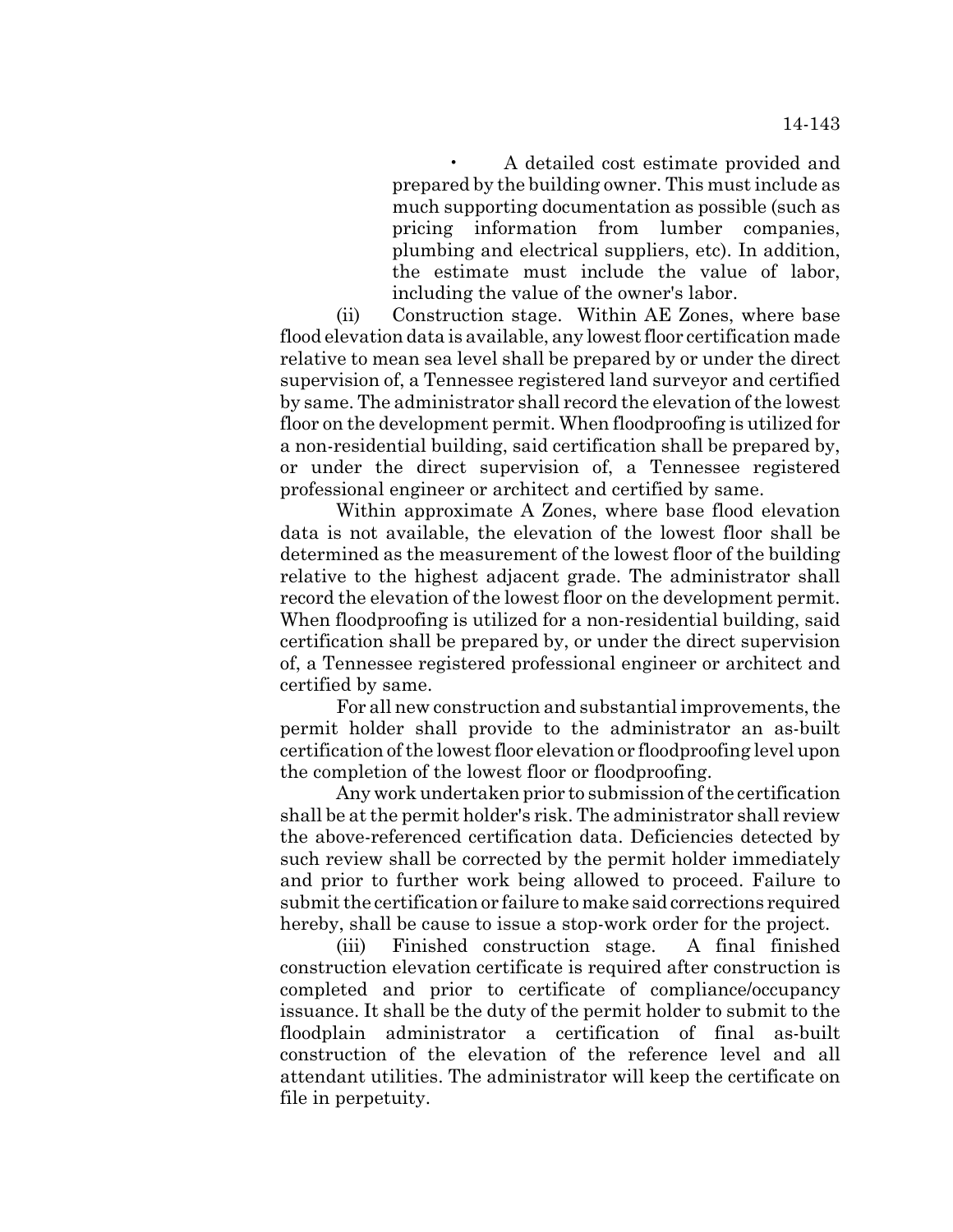• A detailed cost estimate provided and prepared by the building owner. This must include as much supporting documentation as possible (such as pricing information from lumber companies, plumbing and electrical suppliers, etc). In addition, the estimate must include the value of labor, including the value of the owner's labor.

(ii) Construction stage. Within AE Zones, where base flood elevation data is available, any lowest floor certification made relative to mean sea level shall be prepared by or under the direct supervision of, a Tennessee registered land surveyor and certified by same. The administrator shall record the elevation of the lowest floor on the development permit. When floodproofing is utilized for a non-residential building, said certification shall be prepared by, or under the direct supervision of, a Tennessee registered professional engineer or architect and certified by same.

Within approximate A Zones, where base flood elevation data is not available, the elevation of the lowest floor shall be determined as the measurement of the lowest floor of the building relative to the highest adjacent grade. The administrator shall record the elevation of the lowest floor on the development permit. When floodproofing is utilized for a non-residential building, said certification shall be prepared by, or under the direct supervision of, a Tennessee registered professional engineer or architect and certified by same.

For all new construction and substantial improvements, the permit holder shall provide to the administrator an as-built certification of the lowest floor elevation or floodproofing level upon the completion of the lowest floor or floodproofing.

Any work undertaken prior to submission of the certification shall be at the permit holder's risk. The administrator shall review the above-referenced certification data. Deficiencies detected by such review shall be corrected by the permit holder immediately and prior to further work being allowed to proceed. Failure to submit the certification or failure to make said corrections required hereby, shall be cause to issue a stop-work order for the project.

(iii) Finished construction stage. A final finished construction elevation certificate is required after construction is completed and prior to certificate of compliance/occupancy issuance. It shall be the duty of the permit holder to submit to the floodplain administrator a certification of final as-built construction of the elevation of the reference level and all attendant utilities. The administrator will keep the certificate on file in perpetuity.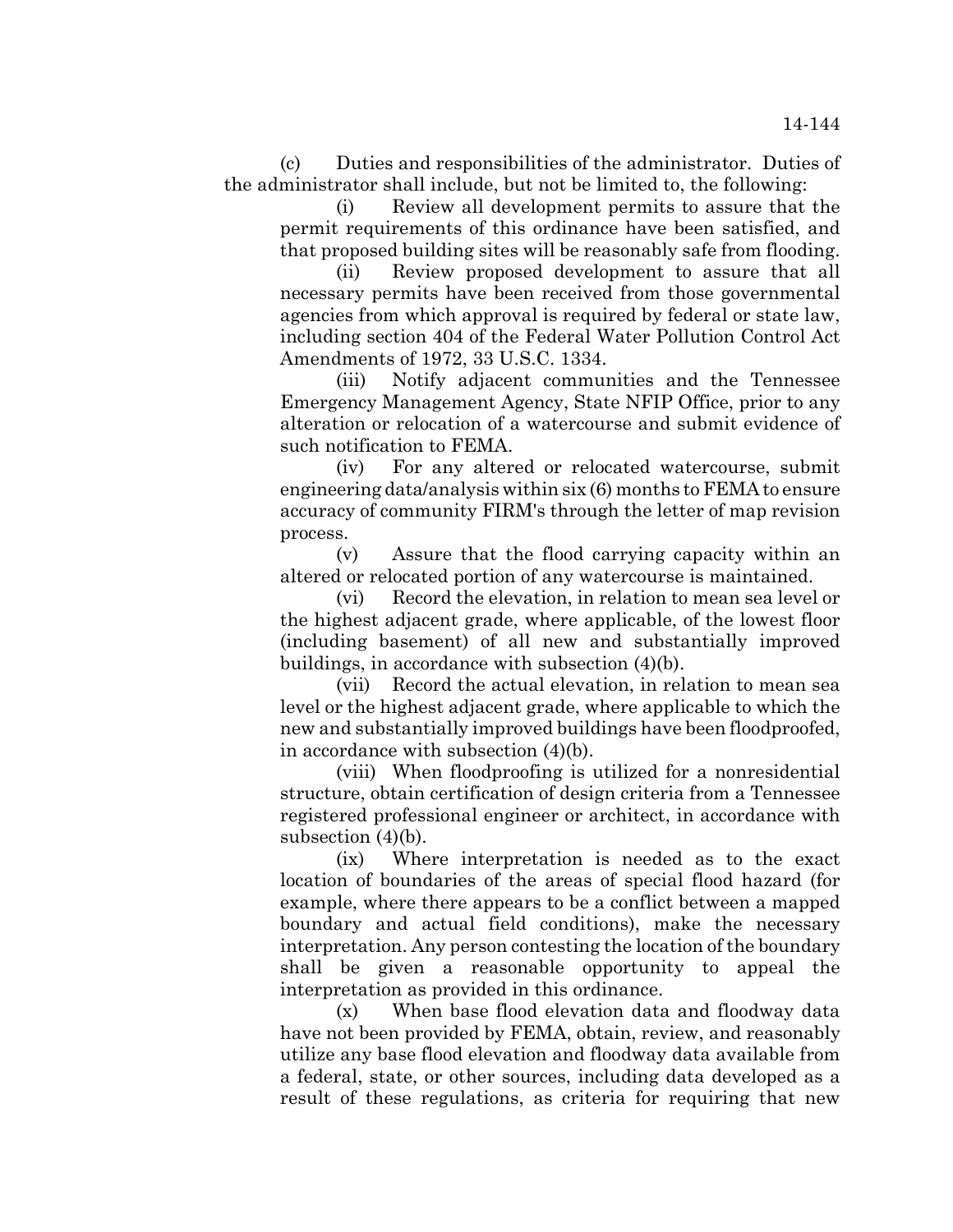(c) Duties and responsibilities of the administrator. Duties of the administrator shall include, but not be limited to, the following:

(i) Review all development permits to assure that the permit requirements of this ordinance have been satisfied, and that proposed building sites will be reasonably safe from flooding.

(ii) Review proposed development to assure that all necessary permits have been received from those governmental agencies from which approval is required by federal or state law, including section 404 of the Federal Water Pollution Control Act Amendments of 1972, 33 U.S.C. 1334.

(iii) Notify adjacent communities and the Tennessee Emergency Management Agency, State NFIP Office, prior to any alteration or relocation of a watercourse and submit evidence of such notification to FEMA.

(iv) For any altered or relocated watercourse, submit engineering data/analysis within six (6) months to FEMA to ensure accuracy of community FIRM's through the letter of map revision process.

(v) Assure that the flood carrying capacity within an altered or relocated portion of any watercourse is maintained.

(vi) Record the elevation, in relation to mean sea level or the highest adjacent grade, where applicable, of the lowest floor (including basement) of all new and substantially improved buildings, in accordance with subsection (4)(b).

(vii) Record the actual elevation, in relation to mean sea level or the highest adjacent grade, where applicable to which the new and substantially improved buildings have been floodproofed, in accordance with subsection (4)(b).

(viii) When floodproofing is utilized for a nonresidential structure, obtain certification of design criteria from a Tennessee registered professional engineer or architect, in accordance with subsection (4)(b).

(ix) Where interpretation is needed as to the exact location of boundaries of the areas of special flood hazard (for example, where there appears to be a conflict between a mapped boundary and actual field conditions), make the necessary interpretation. Any person contesting the location of the boundary shall be given a reasonable opportunity to appeal the interpretation as provided in this ordinance.

(x) When base flood elevation data and floodway data have not been provided by FEMA, obtain, review, and reasonably utilize any base flood elevation and floodway data available from a federal, state, or other sources, including data developed as a result of these regulations, as criteria for requiring that new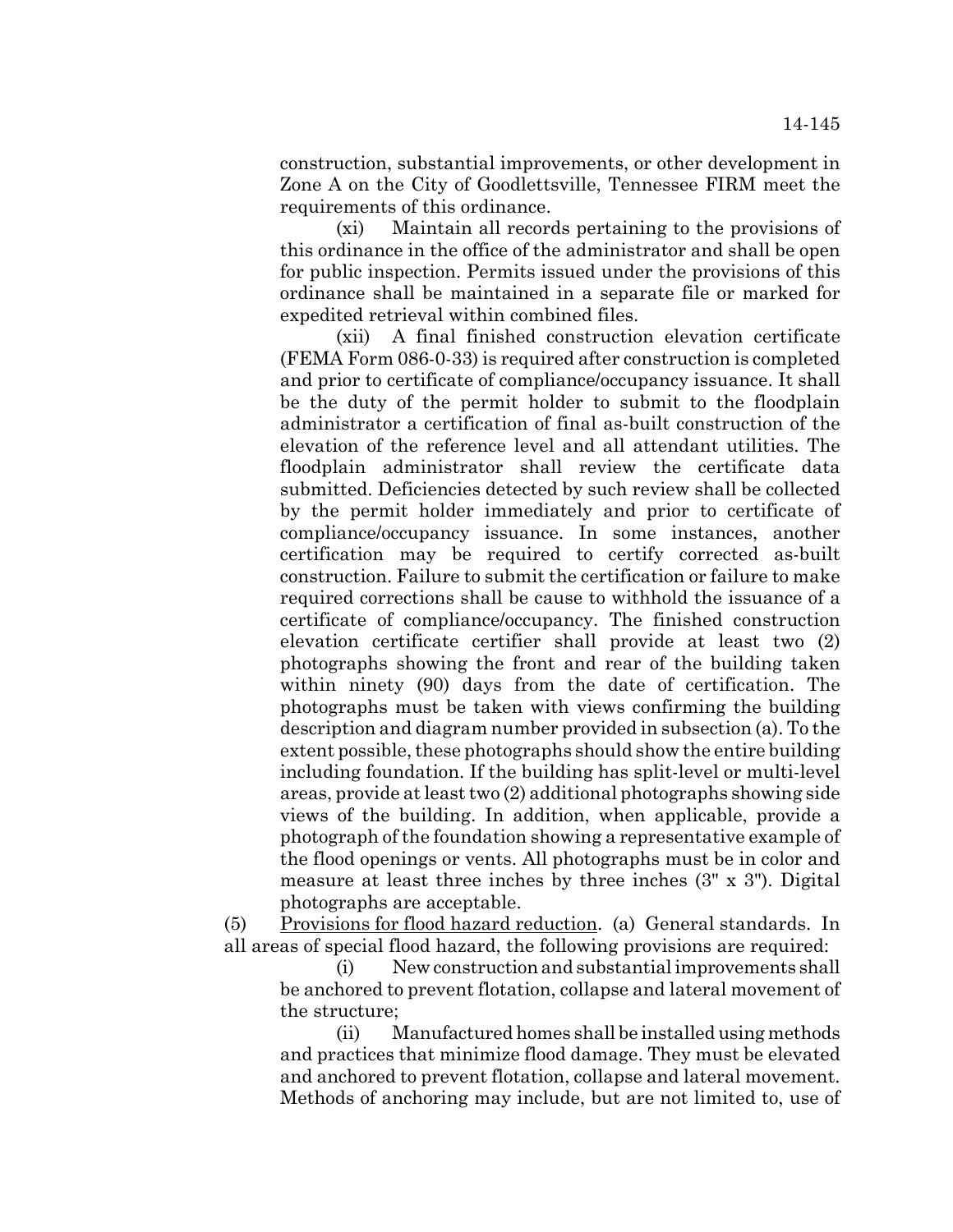construction, substantial improvements, or other development in Zone A on the City of Goodlettsville, Tennessee FIRM meet the requirements of this ordinance.

(xi) Maintain all records pertaining to the provisions of this ordinance in the office of the administrator and shall be open for public inspection. Permits issued under the provisions of this ordinance shall be maintained in a separate file or marked for expedited retrieval within combined files.

(xii) A final finished construction elevation certificate (FEMA Form 086-0-33) is required after construction is completed and prior to certificate of compliance/occupancy issuance. It shall be the duty of the permit holder to submit to the floodplain administrator a certification of final as-built construction of the elevation of the reference level and all attendant utilities. The floodplain administrator shall review the certificate data submitted. Deficiencies detected by such review shall be collected by the permit holder immediately and prior to certificate of compliance/occupancy issuance. In some instances, another certification may be required to certify corrected as-built construction. Failure to submit the certification or failure to make required corrections shall be cause to withhold the issuance of a certificate of compliance/occupancy. The finished construction elevation certificate certifier shall provide at least two (2) photographs showing the front and rear of the building taken within ninety (90) days from the date of certification. The photographs must be taken with views confirming the building description and diagram number provided in subsection (a). To the extent possible, these photographs should show the entire building including foundation. If the building has split-level or multi-level areas, provide at least two (2) additional photographs showing side views of the building. In addition, when applicable, provide a photograph of the foundation showing a representative example of the flood openings or vents. All photographs must be in color and measure at least three inches by three inches (3" x 3"). Digital photographs are acceptable.

(5) Provisions for flood hazard reduction. (a) General standards. In all areas of special flood hazard, the following provisions are required:

(i) New construction and substantial improvements shall be anchored to prevent flotation, collapse and lateral movement of the structure;

(ii) Manufactured homes shall be installed using methods and practices that minimize flood damage. They must be elevated and anchored to prevent flotation, collapse and lateral movement. Methods of anchoring may include, but are not limited to, use of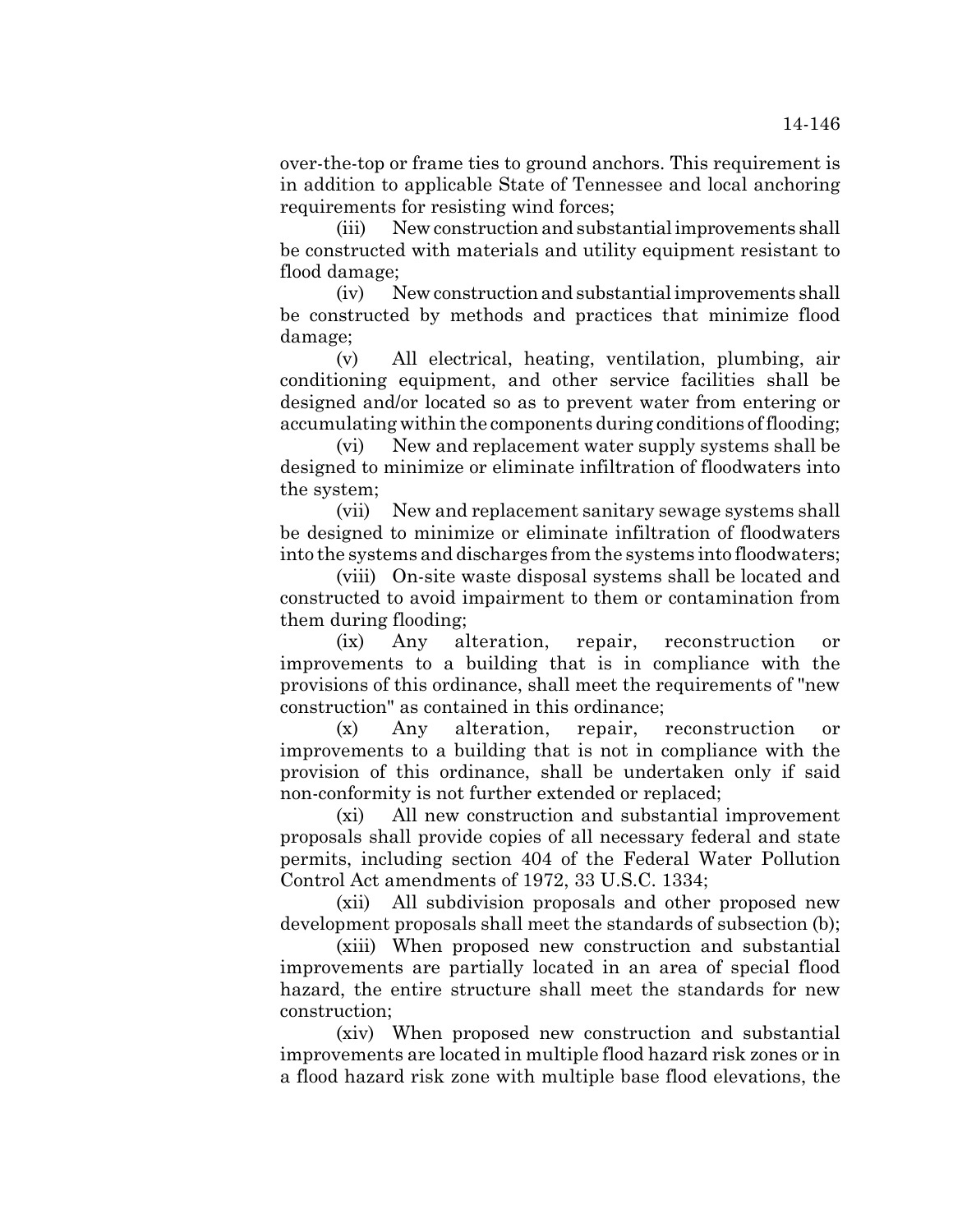over-the-top or frame ties to ground anchors. This requirement is in addition to applicable State of Tennessee and local anchoring requirements for resisting wind forces;

(iii) New construction and substantial improvements shall be constructed with materials and utility equipment resistant to flood damage;

(iv) New construction and substantial improvements shall be constructed by methods and practices that minimize flood damage;

(v) All electrical, heating, ventilation, plumbing, air conditioning equipment, and other service facilities shall be designed and/or located so as to prevent water from entering or accumulating within the components during conditions of flooding;

(vi) New and replacement water supply systems shall be designed to minimize or eliminate infiltration of floodwaters into the system;

(vii) New and replacement sanitary sewage systems shall be designed to minimize or eliminate infiltration of floodwaters into the systems and discharges from the systems into floodwaters;

(viii) On-site waste disposal systems shall be located and constructed to avoid impairment to them or contamination from them during flooding;

(ix) Any alteration, repair, reconstruction or improvements to a building that is in compliance with the provisions of this ordinance, shall meet the requirements of "new construction" as contained in this ordinance;

(x) Any alteration, repair, reconstruction or improvements to a building that is not in compliance with the provision of this ordinance, shall be undertaken only if said non-conformity is not further extended or replaced;

(xi) All new construction and substantial improvement proposals shall provide copies of all necessary federal and state permits, including section 404 of the Federal Water Pollution Control Act amendments of 1972, 33 U.S.C. 1334;

(xii) All subdivision proposals and other proposed new development proposals shall meet the standards of subsection (b);

(xiii) When proposed new construction and substantial improvements are partially located in an area of special flood hazard, the entire structure shall meet the standards for new construction;

(xiv) When proposed new construction and substantial improvements are located in multiple flood hazard risk zones or in a flood hazard risk zone with multiple base flood elevations, the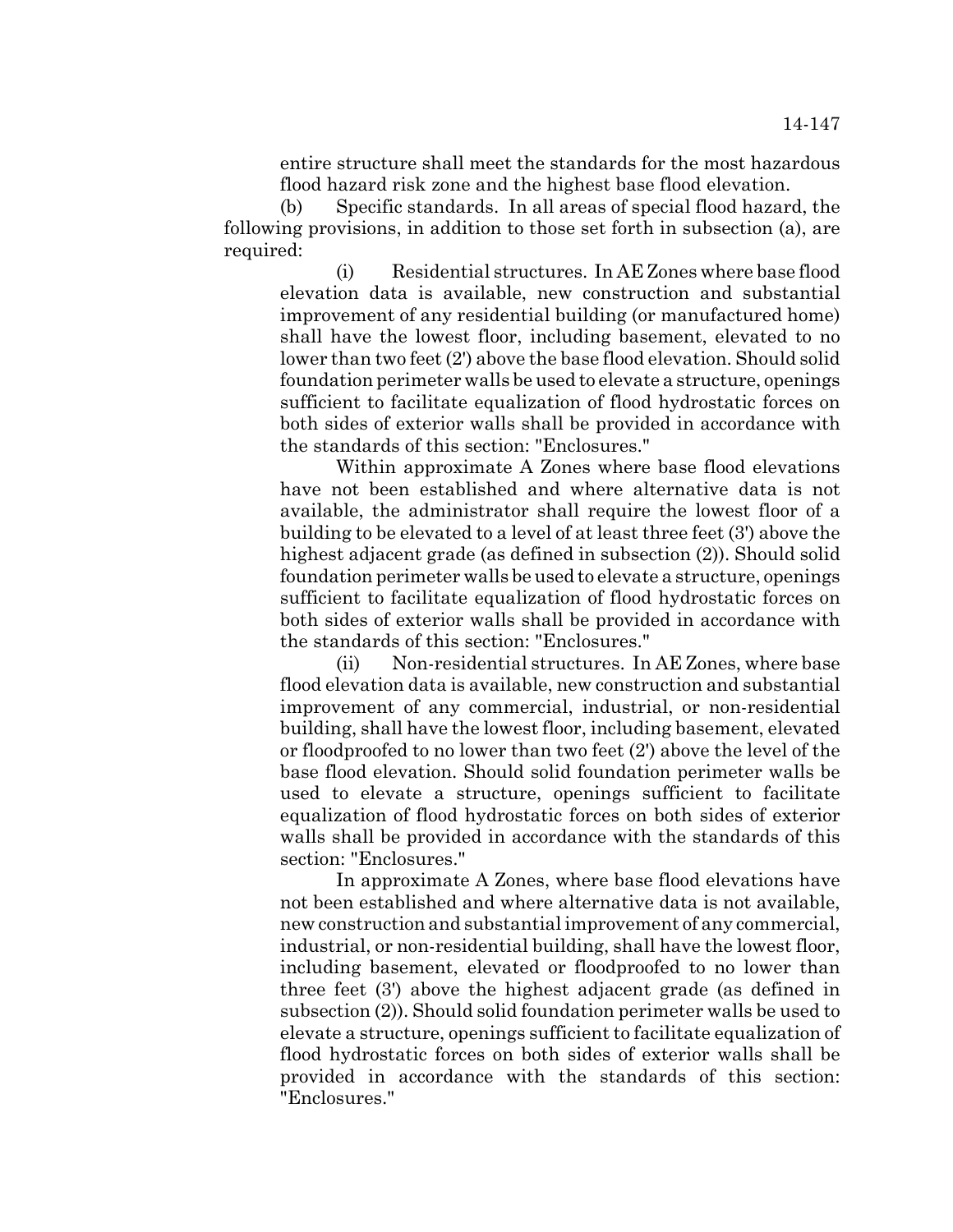entire structure shall meet the standards for the most hazardous flood hazard risk zone and the highest base flood elevation.

(b) Specific standards. In all areas of special flood hazard, the following provisions, in addition to those set forth in subsection (a), are required:

(i) Residential structures. In AE Zones where base flood elevation data is available, new construction and substantial improvement of any residential building (or manufactured home) shall have the lowest floor, including basement, elevated to no lower than two feet (2') above the base flood elevation. Should solid foundation perimeter walls be used to elevate a structure, openings sufficient to facilitate equalization of flood hydrostatic forces on both sides of exterior walls shall be provided in accordance with the standards of this section: "Enclosures."

Within approximate A Zones where base flood elevations have not been established and where alternative data is not available, the administrator shall require the lowest floor of a building to be elevated to a level of at least three feet (3') above the highest adjacent grade (as defined in subsection (2)). Should solid foundation perimeter walls be used to elevate a structure, openings sufficient to facilitate equalization of flood hydrostatic forces on both sides of exterior walls shall be provided in accordance with the standards of this section: "Enclosures."

(ii) Non-residential structures. In AE Zones, where base flood elevation data is available, new construction and substantial improvement of any commercial, industrial, or non-residential building, shall have the lowest floor, including basement, elevated or floodproofed to no lower than two feet (2') above the level of the base flood elevation. Should solid foundation perimeter walls be used to elevate a structure, openings sufficient to facilitate equalization of flood hydrostatic forces on both sides of exterior walls shall be provided in accordance with the standards of this section: "Enclosures."

In approximate A Zones, where base flood elevations have not been established and where alternative data is not available, new construction and substantial improvement of any commercial, industrial, or non-residential building, shall have the lowest floor, including basement, elevated or floodproofed to no lower than three feet (3') above the highest adjacent grade (as defined in subsection (2)). Should solid foundation perimeter walls be used to elevate a structure, openings sufficient to facilitate equalization of flood hydrostatic forces on both sides of exterior walls shall be provided in accordance with the standards of this section: "Enclosures."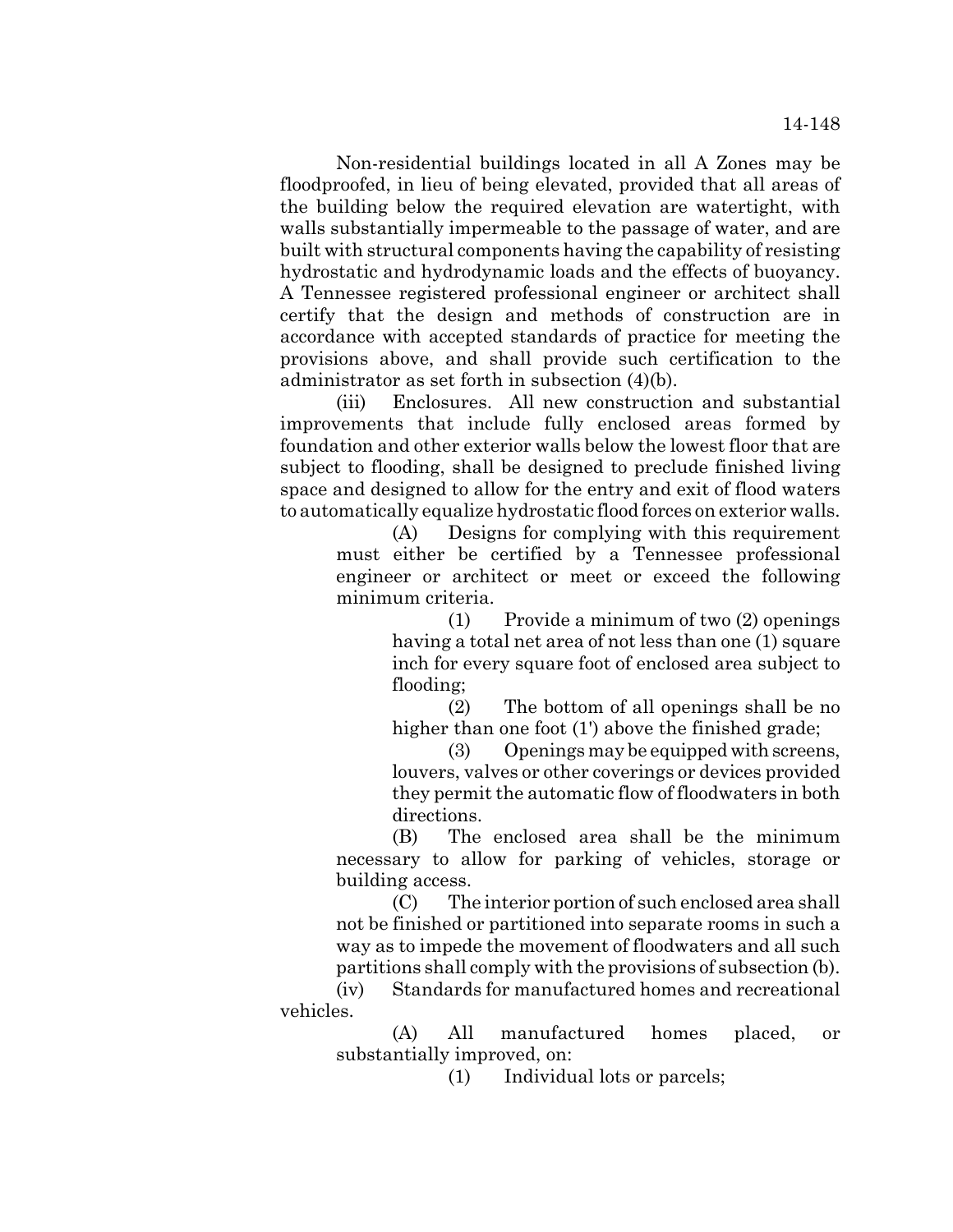Non-residential buildings located in all A Zones may be floodproofed, in lieu of being elevated, provided that all areas of the building below the required elevation are watertight, with walls substantially impermeable to the passage of water, and are built with structural components having the capability of resisting hydrostatic and hydrodynamic loads and the effects of buoyancy. A Tennessee registered professional engineer or architect shall certify that the design and methods of construction are in accordance with accepted standards of practice for meeting the provisions above, and shall provide such certification to the administrator as set forth in subsection (4)(b).

(iii) Enclosures. All new construction and substantial improvements that include fully enclosed areas formed by foundation and other exterior walls below the lowest floor that are subject to flooding, shall be designed to preclude finished living space and designed to allow for the entry and exit of flood waters to automatically equalize hydrostatic flood forces on exterior walls.

(A) Designs for complying with this requirement must either be certified by a Tennessee professional engineer or architect or meet or exceed the following minimum criteria.

> (1) Provide a minimum of two (2) openings having a total net area of not less than one (1) square inch for every square foot of enclosed area subject to flooding;

> (2) The bottom of all openings shall be no higher than one foot (1') above the finished grade;

> (3) Openings may be equipped with screens, louvers, valves or other coverings or devices provided they permit the automatic flow of floodwaters in both directions.

(B) The enclosed area shall be the minimum necessary to allow for parking of vehicles, storage or building access.

(C) The interior portion of such enclosed area shall not be finished or partitioned into separate rooms in such a way as to impede the movement of floodwaters and all such partitions shall comply with the provisions of subsection (b).

(iv) Standards for manufactured homes and recreational vehicles.

(A) All manufactured homes placed, or substantially improved, on:

(1) Individual lots or parcels;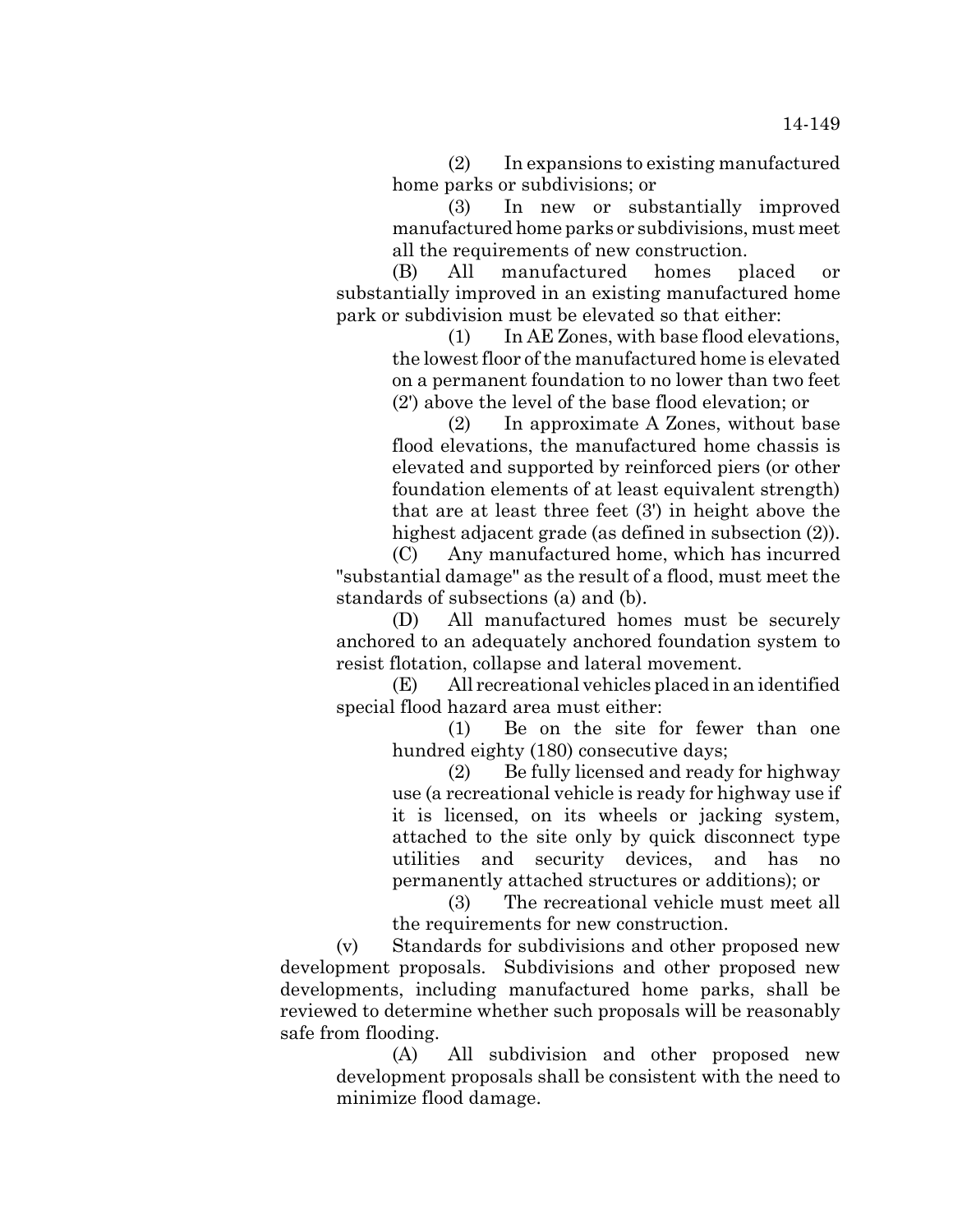(2) In expansions to existing manufactured home parks or subdivisions; or

(3) In new or substantially improved manufactured home parks or subdivisions, must meet all the requirements of new construction.

(B) All manufactured homes placed or substantially improved in an existing manufactured home park or subdivision must be elevated so that either:

> (1) In AE Zones, with base flood elevations, the lowest floor of the manufactured home is elevated on a permanent foundation to no lower than two feet (2') above the level of the base flood elevation; or

> (2) In approximate A Zones, without base flood elevations, the manufactured home chassis is elevated and supported by reinforced piers (or other foundation elements of at least equivalent strength) that are at least three feet (3') in height above the highest adjacent grade (as defined in subsection (2)).

(C) Any manufactured home, which has incurred "substantial damage" as the result of a flood, must meet the standards of subsections (a) and (b).

(D) All manufactured homes must be securely anchored to an adequately anchored foundation system to resist flotation, collapse and lateral movement.

(E) All recreational vehicles placed in an identified special flood hazard area must either:

(1) Be on the site for fewer than one hundred eighty (180) consecutive days;

(2) Be fully licensed and ready for highway use (a recreational vehicle is ready for highway use if it is licensed, on its wheels or jacking system, attached to the site only by quick disconnect type utilities and security devices, and has no permanently attached structures or additions); or

(3) The recreational vehicle must meet all the requirements for new construction.

(v) Standards for subdivisions and other proposed new development proposals. Subdivisions and other proposed new developments, including manufactured home parks, shall be reviewed to determine whether such proposals will be reasonably safe from flooding.

(A) All subdivision and other proposed new development proposals shall be consistent with the need to minimize flood damage.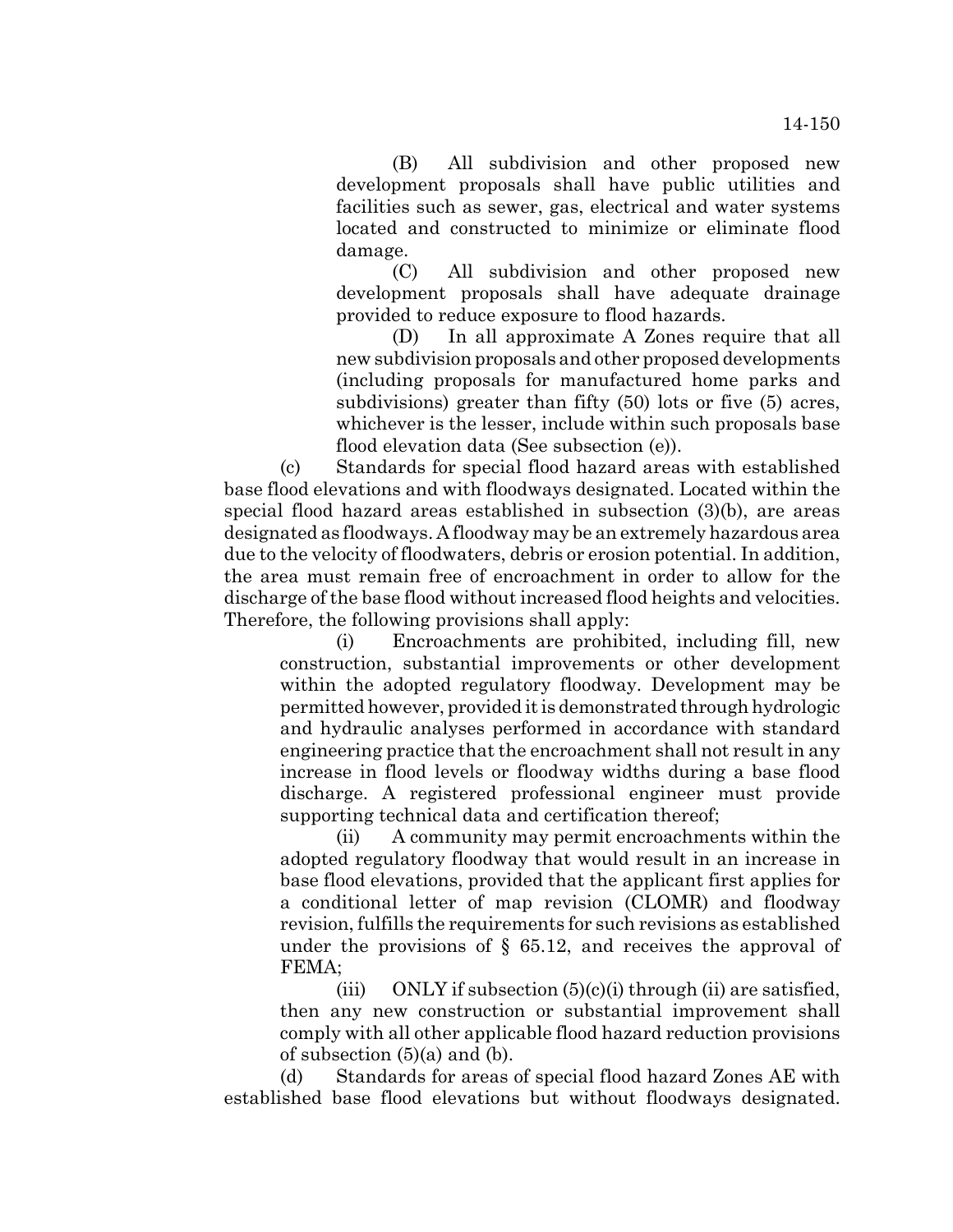(B) All subdivision and other proposed new development proposals shall have public utilities and facilities such as sewer, gas, electrical and water systems located and constructed to minimize or eliminate flood damage.

(C) All subdivision and other proposed new development proposals shall have adequate drainage provided to reduce exposure to flood hazards.

(D) In all approximate A Zones require that all new subdivision proposals and other proposed developments (including proposals for manufactured home parks and subdivisions) greater than fifty (50) lots or five (5) acres, whichever is the lesser, include within such proposals base flood elevation data (See subsection (e)).

(c) Standards for special flood hazard areas with established base flood elevations and with floodways designated. Located within the special flood hazard areas established in subsection (3)(b), are areas designated as floodways. A floodway may be an extremely hazardous area due to the velocity of floodwaters, debris or erosion potential. In addition, the area must remain free of encroachment in order to allow for the discharge of the base flood without increased flood heights and velocities. Therefore, the following provisions shall apply:

(i) Encroachments are prohibited, including fill, new construction, substantial improvements or other development within the adopted regulatory floodway. Development may be permitted however, provided it is demonstrated through hydrologic and hydraulic analyses performed in accordance with standard engineering practice that the encroachment shall not result in any increase in flood levels or floodway widths during a base flood discharge. A registered professional engineer must provide supporting technical data and certification thereof;

(ii) A community may permit encroachments within the adopted regulatory floodway that would result in an increase in base flood elevations, provided that the applicant first applies for a conditional letter of map revision (CLOMR) and floodway revision, fulfills the requirements for such revisions as established under the provisions of  $\S$  65.12, and receives the approval of FEMA;

(iii) ONLY if subsection  $(5)(c)(i)$  through (ii) are satisfied, then any new construction or substantial improvement shall comply with all other applicable flood hazard reduction provisions of subsection (5)(a) and (b).

(d) Standards for areas of special flood hazard Zones AE with established base flood elevations but without floodways designated.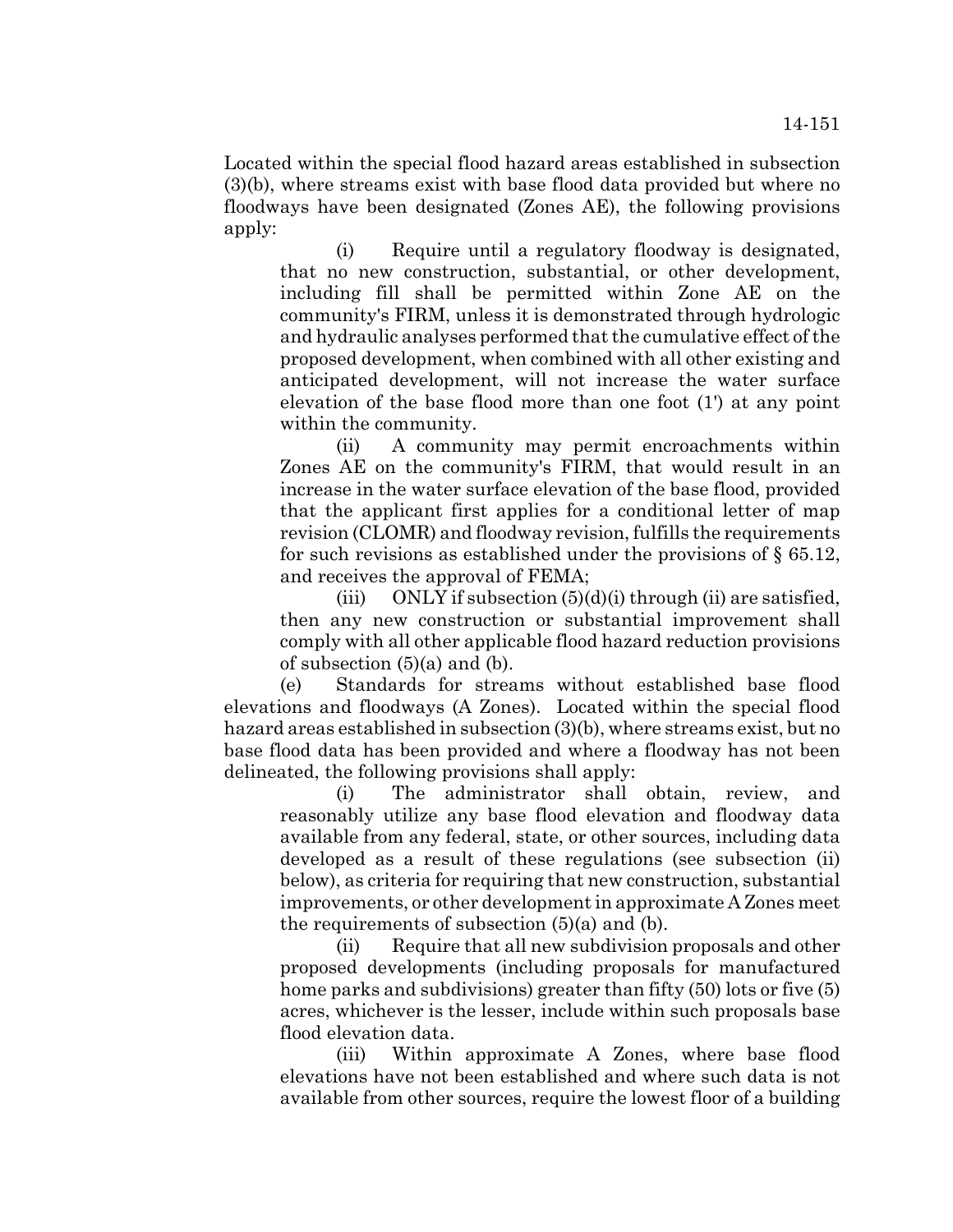Located within the special flood hazard areas established in subsection (3)(b), where streams exist with base flood data provided but where no floodways have been designated (Zones AE), the following provisions apply:

(i) Require until a regulatory floodway is designated, that no new construction, substantial, or other development, including fill shall be permitted within Zone AE on the community's FIRM, unless it is demonstrated through hydrologic and hydraulic analyses performed that the cumulative effect of the proposed development, when combined with all other existing and anticipated development, will not increase the water surface elevation of the base flood more than one foot (1') at any point within the community.

(ii) A community may permit encroachments within Zones AE on the community's FIRM, that would result in an increase in the water surface elevation of the base flood, provided that the applicant first applies for a conditional letter of map revision (CLOMR) and floodway revision, fulfills the requirements for such revisions as established under the provisions of  $\S 65.12$ , and receives the approval of FEMA;

(iii) ONLY if subsection  $(5)(d)(i)$  through (ii) are satisfied, then any new construction or substantial improvement shall comply with all other applicable flood hazard reduction provisions of subsection  $(5)(a)$  and  $(b)$ .

(e) Standards for streams without established base flood elevations and floodways (A Zones). Located within the special flood hazard areas established in subsection (3)(b), where streams exist, but no base flood data has been provided and where a floodway has not been delineated, the following provisions shall apply:

(i) The administrator shall obtain, review, and reasonably utilize any base flood elevation and floodway data available from any federal, state, or other sources, including data developed as a result of these regulations (see subsection (ii) below), as criteria for requiring that new construction, substantial improvements, or other development in approximate A Zones meet the requirements of subsection (5)(a) and (b).

(ii) Require that all new subdivision proposals and other proposed developments (including proposals for manufactured home parks and subdivisions) greater than fifty (50) lots or five (5) acres, whichever is the lesser, include within such proposals base flood elevation data.

(iii) Within approximate A Zones, where base flood elevations have not been established and where such data is not available from other sources, require the lowest floor of a building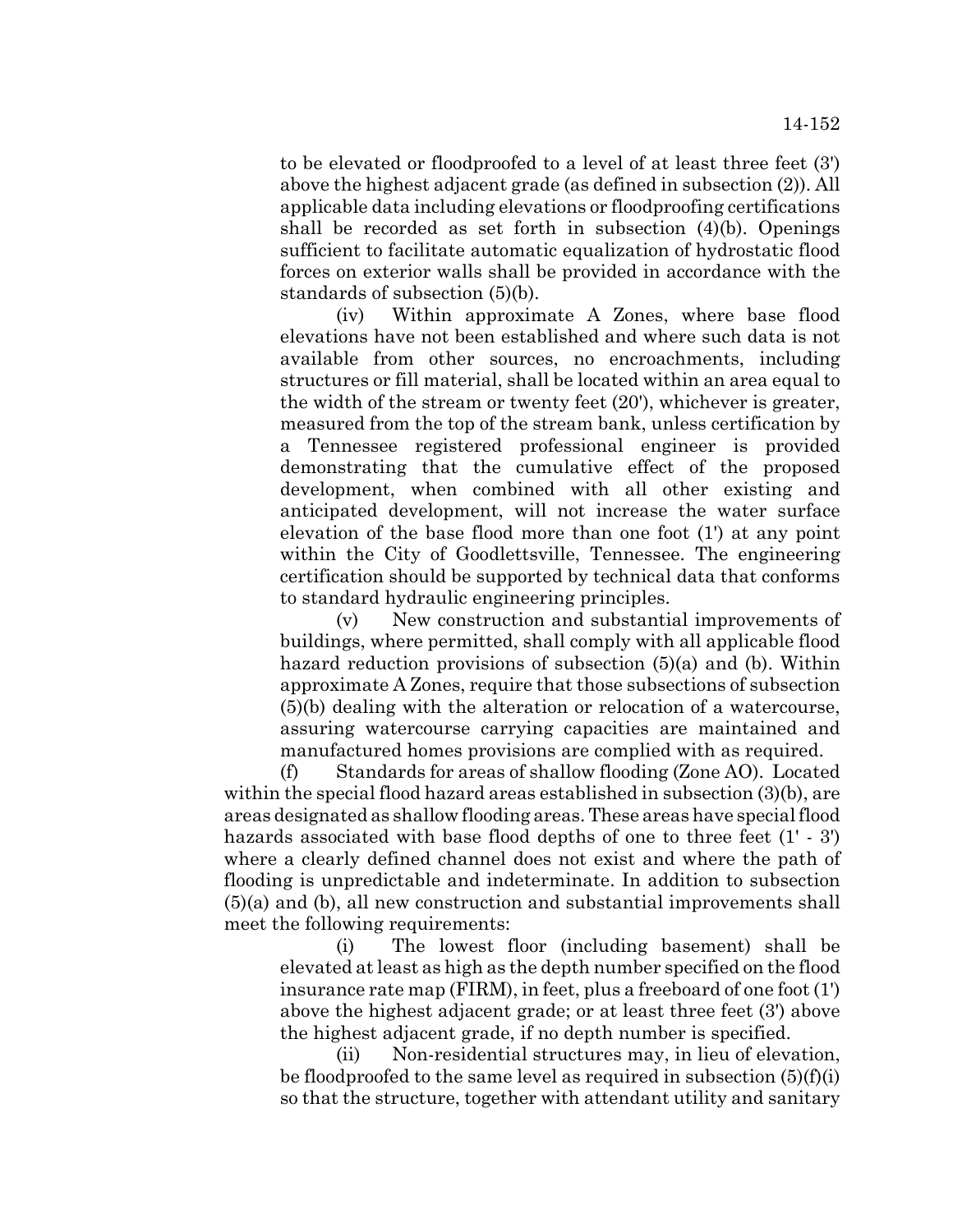to be elevated or floodproofed to a level of at least three feet (3') above the highest adjacent grade (as defined in subsection (2)). All applicable data including elevations or floodproofing certifications shall be recorded as set forth in subsection  $(4)(b)$ . Openings sufficient to facilitate automatic equalization of hydrostatic flood forces on exterior walls shall be provided in accordance with the standards of subsection (5)(b).

(iv) Within approximate A Zones, where base flood elevations have not been established and where such data is not available from other sources, no encroachments, including structures or fill material, shall be located within an area equal to the width of the stream or twenty feet (20'), whichever is greater, measured from the top of the stream bank, unless certification by a Tennessee registered professional engineer is provided demonstrating that the cumulative effect of the proposed development, when combined with all other existing and anticipated development, will not increase the water surface elevation of the base flood more than one foot (1') at any point within the City of Goodlettsville, Tennessee. The engineering certification should be supported by technical data that conforms to standard hydraulic engineering principles.

(v) New construction and substantial improvements of buildings, where permitted, shall comply with all applicable flood hazard reduction provisions of subsection (5)(a) and (b). Within approximate A Zones, require that those subsections of subsection (5)(b) dealing with the alteration or relocation of a watercourse, assuring watercourse carrying capacities are maintained and manufactured homes provisions are complied with as required.

(f) Standards for areas of shallow flooding (Zone AO). Located within the special flood hazard areas established in subsection (3)(b), are areas designated as shallow flooding areas. These areas have special flood hazards associated with base flood depths of one to three feet  $(1' \cdot 3')$ where a clearly defined channel does not exist and where the path of flooding is unpredictable and indeterminate. In addition to subsection (5)(a) and (b), all new construction and substantial improvements shall meet the following requirements:

(i) The lowest floor (including basement) shall be elevated at least as high as the depth number specified on the flood insurance rate map (FIRM), in feet, plus a freeboard of one foot (1') above the highest adjacent grade; or at least three feet (3') above the highest adjacent grade, if no depth number is specified.

(ii) Non-residential structures may, in lieu of elevation, be floodproofed to the same level as required in subsection  $(5)(f)(i)$ so that the structure, together with attendant utility and sanitary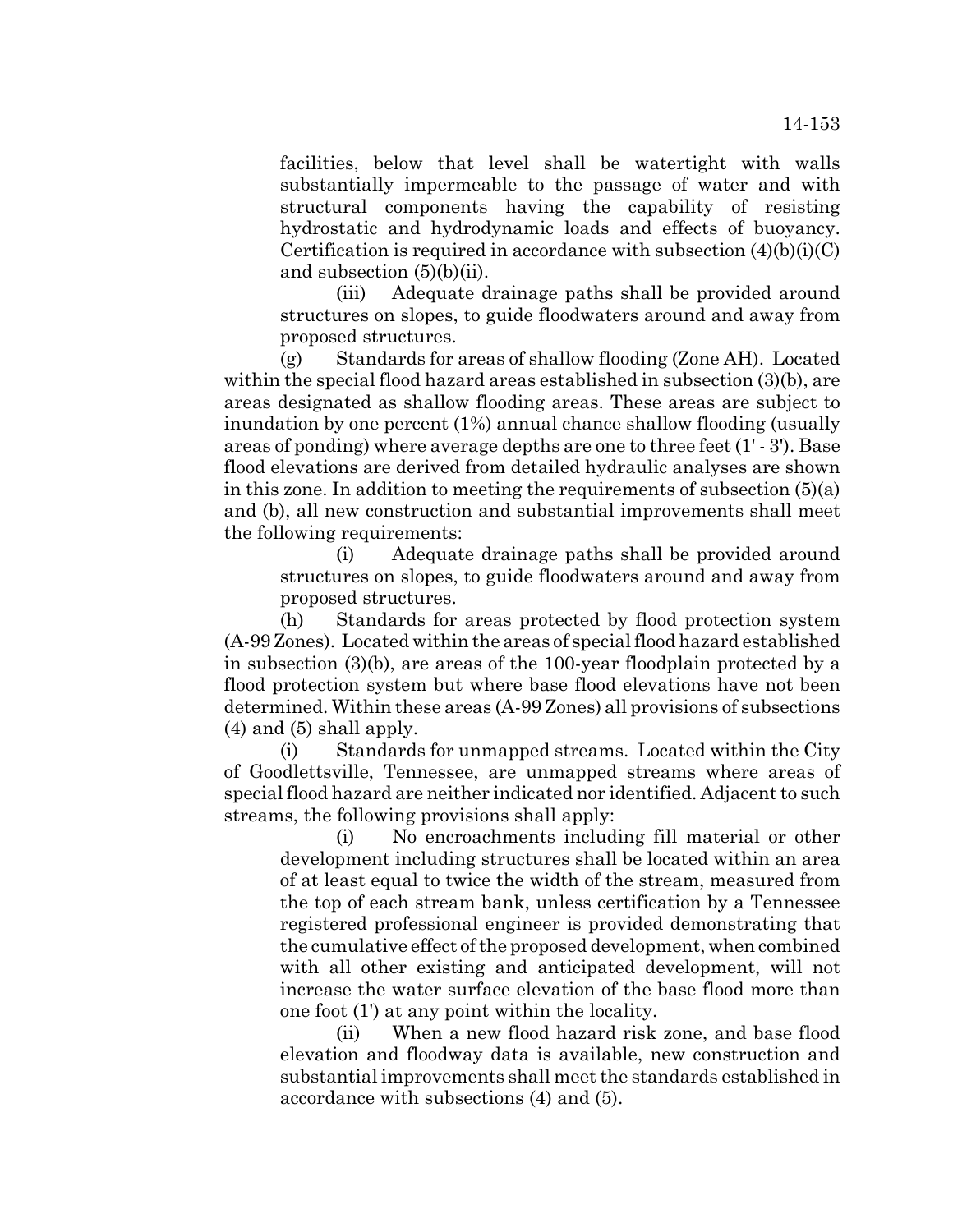facilities, below that level shall be watertight with walls substantially impermeable to the passage of water and with structural components having the capability of resisting hydrostatic and hydrodynamic loads and effects of buoyancy. Certification is required in accordance with subsection  $(4)(b)(i)(C)$ and subsection (5)(b)(ii).

(iii) Adequate drainage paths shall be provided around structures on slopes, to guide floodwaters around and away from proposed structures.

(g) Standards for areas of shallow flooding (Zone AH). Located within the special flood hazard areas established in subsection (3)(b), are areas designated as shallow flooding areas. These areas are subject to inundation by one percent (1%) annual chance shallow flooding (usually areas of ponding) where average depths are one to three feet (1' - 3'). Base flood elevations are derived from detailed hydraulic analyses are shown in this zone. In addition to meeting the requirements of subsection  $(5)(a)$ and (b), all new construction and substantial improvements shall meet the following requirements:

(i) Adequate drainage paths shall be provided around structures on slopes, to guide floodwaters around and away from proposed structures.

(h) Standards for areas protected by flood protection system (A-99 Zones). Located within the areas of special flood hazard established in subsection (3)(b), are areas of the 100-year floodplain protected by a flood protection system but where base flood elevations have not been determined. Within these areas (A-99 Zones) all provisions of subsections (4) and (5) shall apply.

(i) Standards for unmapped streams. Located within the City of Goodlettsville, Tennessee, are unmapped streams where areas of special flood hazard are neither indicated nor identified. Adjacent to such streams, the following provisions shall apply:

(i) No encroachments including fill material or other development including structures shall be located within an area of at least equal to twice the width of the stream, measured from the top of each stream bank, unless certification by a Tennessee registered professional engineer is provided demonstrating that the cumulative effect of the proposed development, when combined with all other existing and anticipated development, will not increase the water surface elevation of the base flood more than one foot (1') at any point within the locality.

(ii) When a new flood hazard risk zone, and base flood elevation and floodway data is available, new construction and substantial improvements shall meet the standards established in accordance with subsections (4) and (5).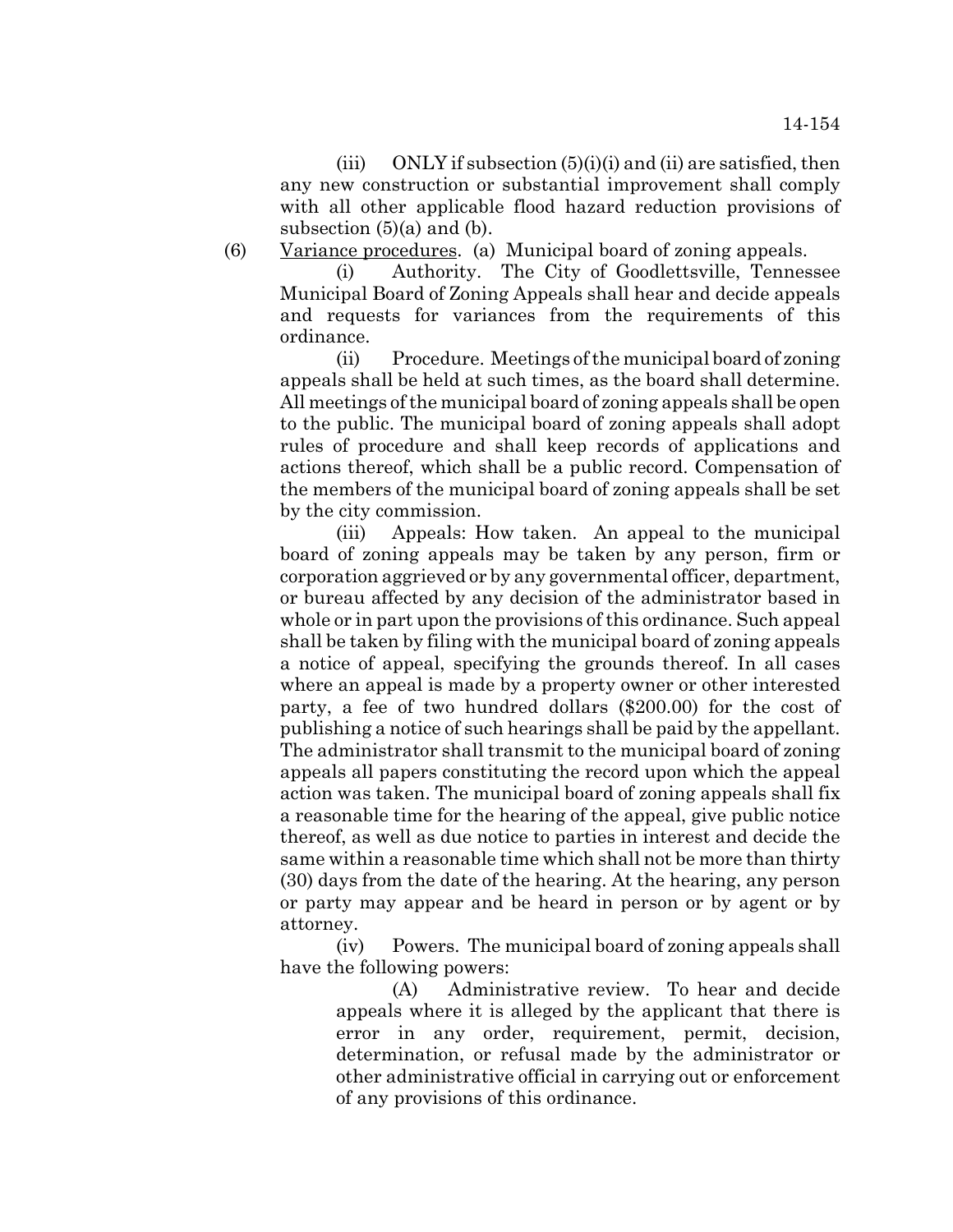(iii) ONLY if subsection  $(5)(i)(i)$  and (ii) are satisfied, then any new construction or substantial improvement shall comply with all other applicable flood hazard reduction provisions of subsection  $(5)(a)$  and  $(b)$ .

(6) Variance procedures. (a) Municipal board of zoning appeals.

(i) Authority. The City of Goodlettsville, Tennessee Municipal Board of Zoning Appeals shall hear and decide appeals and requests for variances from the requirements of this ordinance.

(ii) Procedure. Meetings of the municipal board of zoning appeals shall be held at such times, as the board shall determine. All meetings of the municipal board of zoning appeals shall be open to the public. The municipal board of zoning appeals shall adopt rules of procedure and shall keep records of applications and actions thereof, which shall be a public record. Compensation of the members of the municipal board of zoning appeals shall be set by the city commission.

(iii) Appeals: How taken. An appeal to the municipal board of zoning appeals may be taken by any person, firm or corporation aggrieved or by any governmental officer, department, or bureau affected by any decision of the administrator based in whole or in part upon the provisions of this ordinance. Such appeal shall be taken by filing with the municipal board of zoning appeals a notice of appeal, specifying the grounds thereof. In all cases where an appeal is made by a property owner or other interested party, a fee of two hundred dollars (\$200.00) for the cost of publishing a notice of such hearings shall be paid by the appellant. The administrator shall transmit to the municipal board of zoning appeals all papers constituting the record upon which the appeal action was taken. The municipal board of zoning appeals shall fix a reasonable time for the hearing of the appeal, give public notice thereof, as well as due notice to parties in interest and decide the same within a reasonable time which shall not be more than thirty (30) days from the date of the hearing. At the hearing, any person or party may appear and be heard in person or by agent or by attorney.

(iv) Powers. The municipal board of zoning appeals shall have the following powers:

> (A) Administrative review. To hear and decide appeals where it is alleged by the applicant that there is error in any order, requirement, permit, decision, determination, or refusal made by the administrator or other administrative official in carrying out or enforcement of any provisions of this ordinance.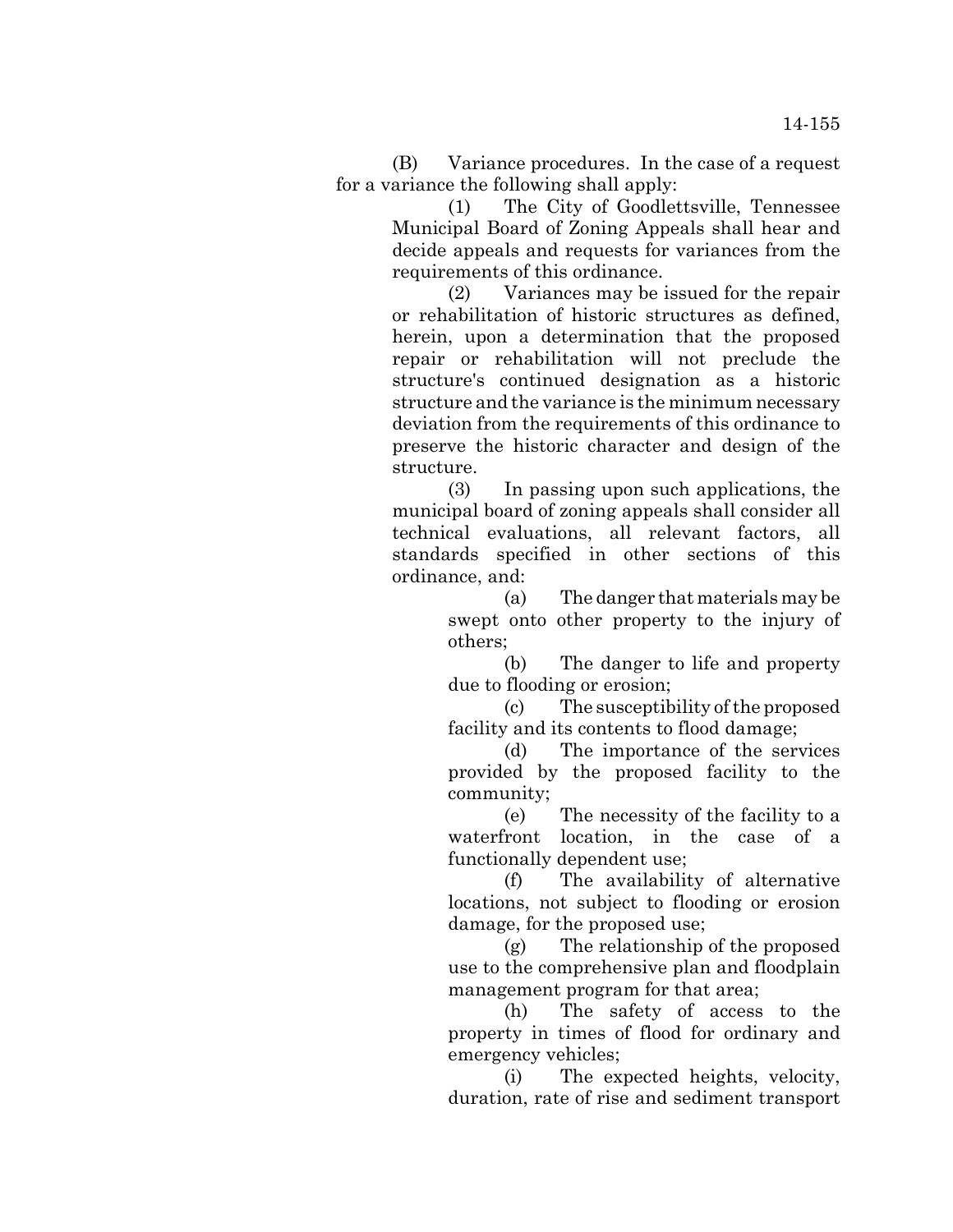(B) Variance procedures. In the case of a request for a variance the following shall apply:

> (1) The City of Goodlettsville, Tennessee Municipal Board of Zoning Appeals shall hear and decide appeals and requests for variances from the requirements of this ordinance.

> (2) Variances may be issued for the repair or rehabilitation of historic structures as defined, herein, upon a determination that the proposed repair or rehabilitation will not preclude the structure's continued designation as a historic structure and the variance is the minimum necessary deviation from the requirements of this ordinance to preserve the historic character and design of the structure.

> (3) In passing upon such applications, the municipal board of zoning appeals shall consider all technical evaluations, all relevant factors, all standards specified in other sections of this ordinance, and:

> > (a) The danger that materials may be swept onto other property to the injury of others;

> > (b) The danger to life and property due to flooding or erosion;

> > (c) The susceptibility of the proposed facility and its contents to flood damage;

> > (d) The importance of the services provided by the proposed facility to the community;

> > (e) The necessity of the facility to a waterfront location, in the case of a functionally dependent use;

> > (f) The availability of alternative locations, not subject to flooding or erosion damage, for the proposed use;

> > (g) The relationship of the proposed use to the comprehensive plan and floodplain management program for that area;

> > (h) The safety of access to the property in times of flood for ordinary and emergency vehicles;

> > (i) The expected heights, velocity, duration, rate of rise and sediment transport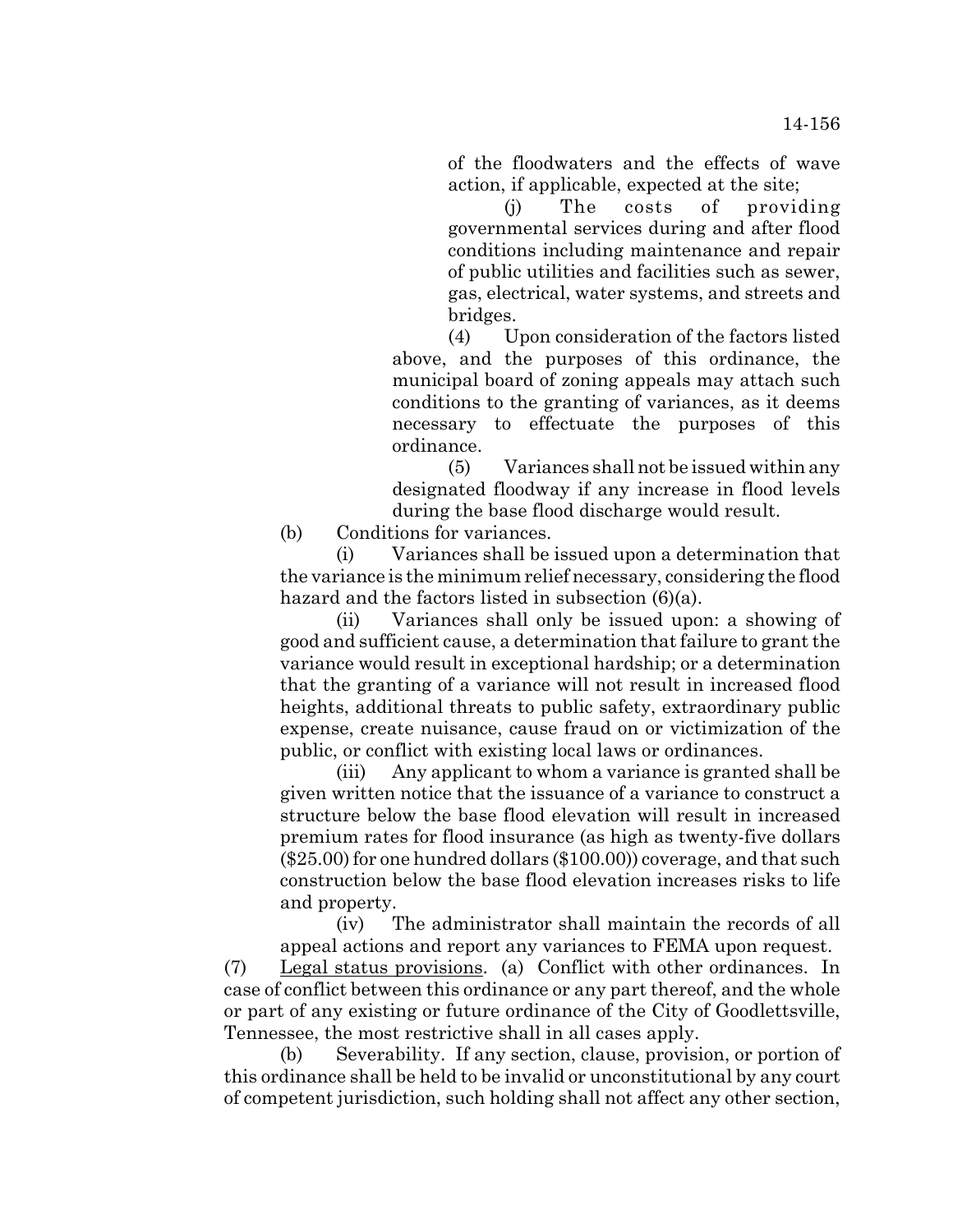of the floodwaters and the effects of wave action, if applicable, expected at the site;

(j) The costs of providing governmental services during and after flood conditions including maintenance and repair of public utilities and facilities such as sewer, gas, electrical, water systems, and streets and bridges.

(4) Upon consideration of the factors listed above, and the purposes of this ordinance, the municipal board of zoning appeals may attach such conditions to the granting of variances, as it deems necessary to effectuate the purposes of this ordinance.

(5) Variances shall not be issued within any designated floodway if any increase in flood levels during the base flood discharge would result.

(b) Conditions for variances.

(i) Variances shall be issued upon a determination that the variance is the minimum relief necessary, considering the flood hazard and the factors listed in subsection (6)(a).

(ii) Variances shall only be issued upon: a showing of good and sufficient cause, a determination that failure to grant the variance would result in exceptional hardship; or a determination that the granting of a variance will not result in increased flood heights, additional threats to public safety, extraordinary public expense, create nuisance, cause fraud on or victimization of the public, or conflict with existing local laws or ordinances.

(iii) Any applicant to whom a variance is granted shall be given written notice that the issuance of a variance to construct a structure below the base flood elevation will result in increased premium rates for flood insurance (as high as twenty-five dollars (\$25.00) for one hundred dollars (\$100.00)) coverage, and that such construction below the base flood elevation increases risks to life and property.

(iv) The administrator shall maintain the records of all appeal actions and report any variances to FEMA upon request.

(7) Legal status provisions. (a) Conflict with other ordinances. In case of conflict between this ordinance or any part thereof, and the whole or part of any existing or future ordinance of the City of Goodlettsville, Tennessee, the most restrictive shall in all cases apply.

(b) Severability. If any section, clause, provision, or portion of this ordinance shall be held to be invalid or unconstitutional by any court of competent jurisdiction, such holding shall not affect any other section,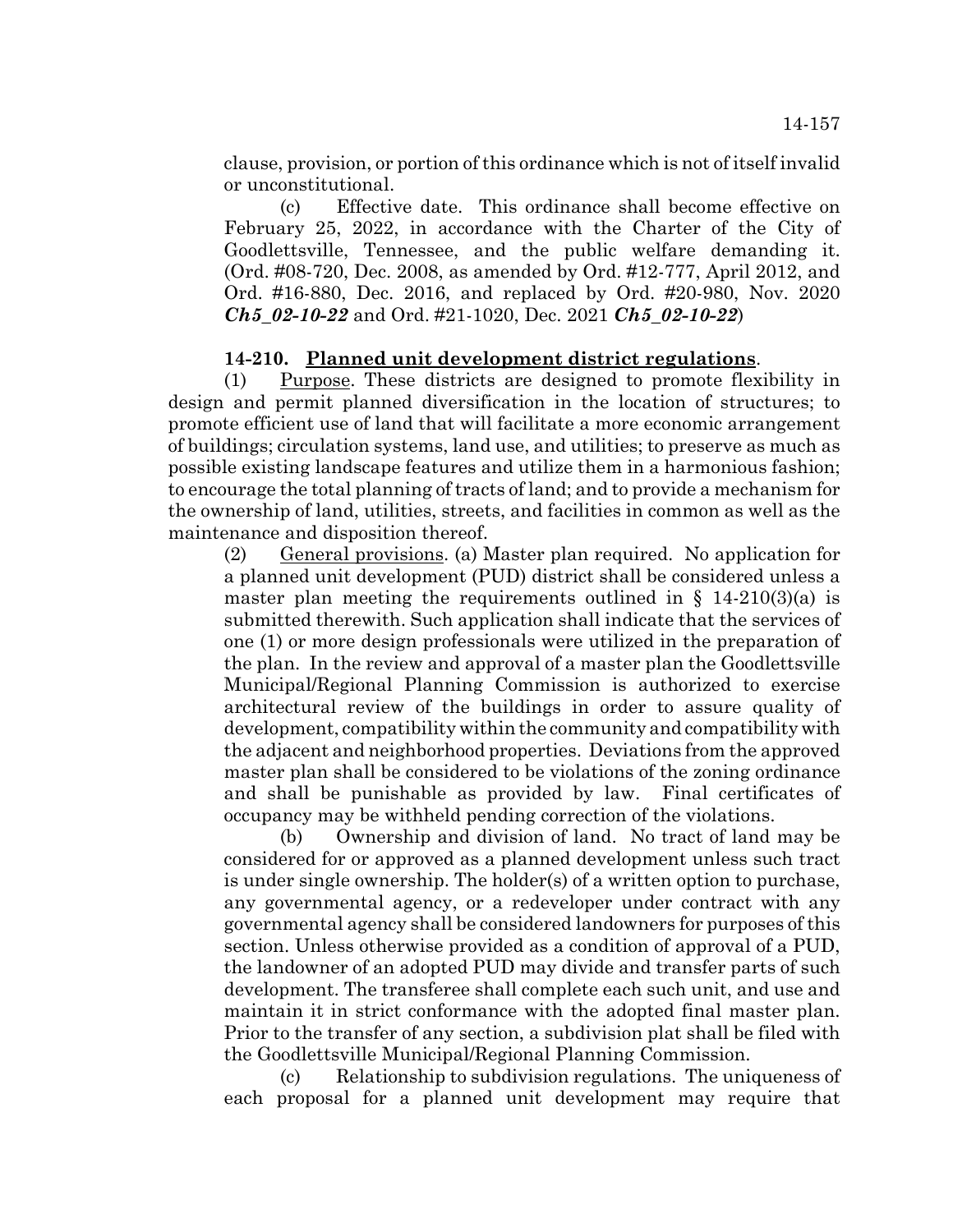clause, provision, or portion of this ordinance which is not of itself invalid or unconstitutional.

(c) Effective date. This ordinance shall become effective on February 25, 2022, in accordance with the Charter of the City of Goodlettsville, Tennessee, and the public welfare demanding it. (Ord. #08-720, Dec. 2008, as amended by Ord. #12-777, April 2012, and Ord. #16-880, Dec. 2016, and replaced by Ord. #20-980, Nov. 2020 *Ch5\_02-10-22* and Ord. #21-1020, Dec. 2021 *Ch5\_02-10-22*)

## **14-210. Planned unit development district regulations**.

(1) Purpose. These districts are designed to promote flexibility in design and permit planned diversification in the location of structures; to promote efficient use of land that will facilitate a more economic arrangement of buildings; circulation systems, land use, and utilities; to preserve as much as possible existing landscape features and utilize them in a harmonious fashion; to encourage the total planning of tracts of land; and to provide a mechanism for the ownership of land, utilities, streets, and facilities in common as well as the maintenance and disposition thereof.

(2) General provisions. (a) Master plan required. No application for a planned unit development (PUD) district shall be considered unless a master plan meeting the requirements outlined in  $\S$  14-210(3)(a) is submitted therewith. Such application shall indicate that the services of one (1) or more design professionals were utilized in the preparation of the plan. In the review and approval of a master plan the Goodlettsville Municipal/Regional Planning Commission is authorized to exercise architectural review of the buildings in order to assure quality of development, compatibility within the community and compatibility with the adjacent and neighborhood properties. Deviations from the approved master plan shall be considered to be violations of the zoning ordinance and shall be punishable as provided by law. Final certificates of occupancy may be withheld pending correction of the violations.

(b) Ownership and division of land. No tract of land may be considered for or approved as a planned development unless such tract is under single ownership. The holder(s) of a written option to purchase, any governmental agency, or a redeveloper under contract with any governmental agency shall be considered landowners for purposes of this section. Unless otherwise provided as a condition of approval of a PUD, the landowner of an adopted PUD may divide and transfer parts of such development. The transferee shall complete each such unit, and use and maintain it in strict conformance with the adopted final master plan. Prior to the transfer of any section, a subdivision plat shall be filed with the Goodlettsville Municipal/Regional Planning Commission.

(c) Relationship to subdivision regulations. The uniqueness of each proposal for a planned unit development may require that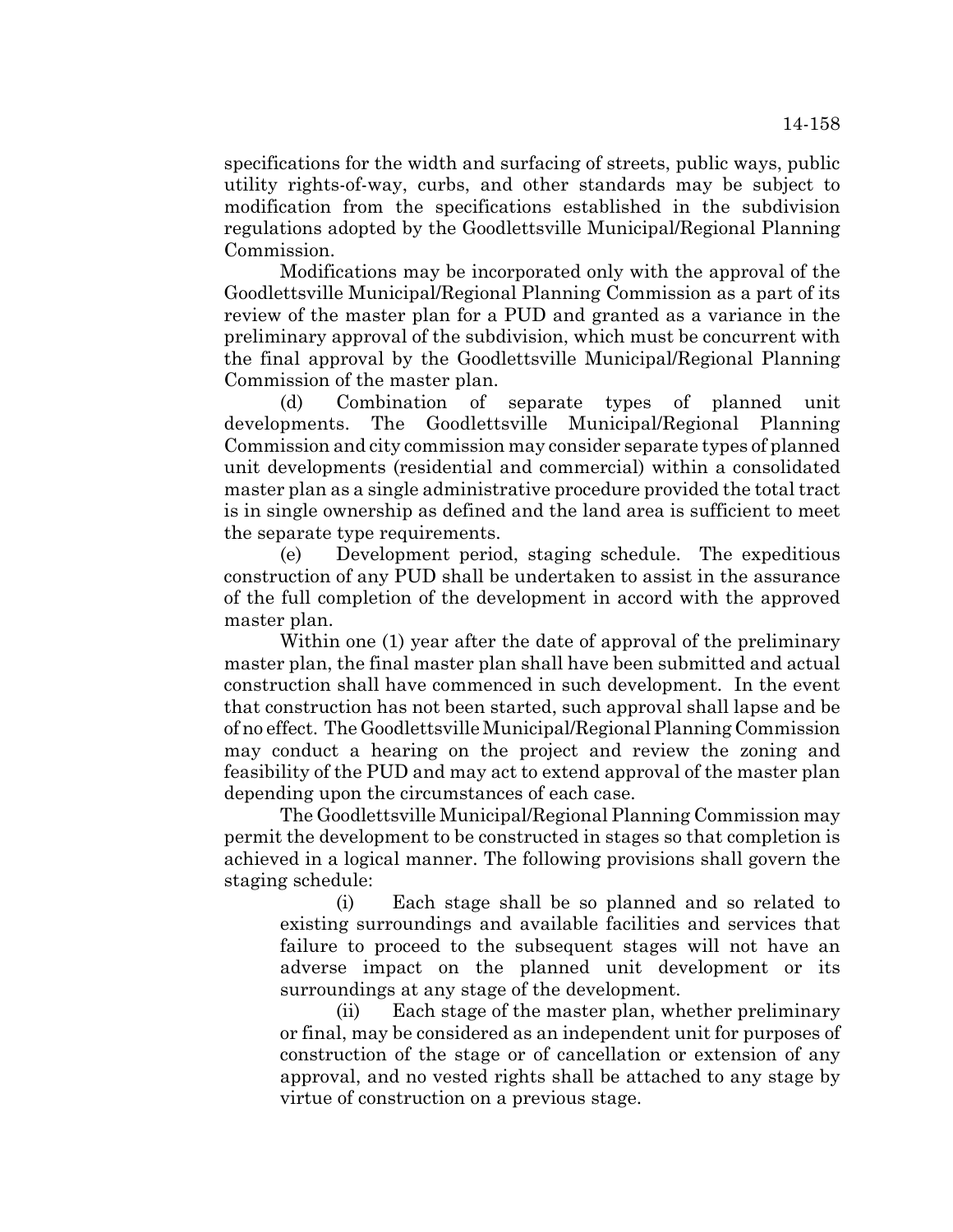specifications for the width and surfacing of streets, public ways, public utility rights-of-way, curbs, and other standards may be subject to modification from the specifications established in the subdivision regulations adopted by the Goodlettsville Municipal/Regional Planning Commission.

Modifications may be incorporated only with the approval of the Goodlettsville Municipal/Regional Planning Commission as a part of its review of the master plan for a PUD and granted as a variance in the preliminary approval of the subdivision, which must be concurrent with the final approval by the Goodlettsville Municipal/Regional Planning Commission of the master plan.

(d) Combination of separate types of planned unit developments. The Goodlettsville Municipal/Regional Planning Commission and city commission may consider separate types of planned unit developments (residential and commercial) within a consolidated master plan as a single administrative procedure provided the total tract is in single ownership as defined and the land area is sufficient to meet the separate type requirements.

(e) Development period, staging schedule. The expeditious construction of any PUD shall be undertaken to assist in the assurance of the full completion of the development in accord with the approved master plan.

Within one (1) year after the date of approval of the preliminary master plan, the final master plan shall have been submitted and actual construction shall have commenced in such development. In the event that construction has not been started, such approval shall lapse and be of no effect. The Goodlettsville Municipal/Regional Planning Commission may conduct a hearing on the project and review the zoning and feasibility of the PUD and may act to extend approval of the master plan depending upon the circumstances of each case.

The Goodlettsville Municipal/Regional Planning Commission may permit the development to be constructed in stages so that completion is achieved in a logical manner. The following provisions shall govern the staging schedule:

(i) Each stage shall be so planned and so related to existing surroundings and available facilities and services that failure to proceed to the subsequent stages will not have an adverse impact on the planned unit development or its surroundings at any stage of the development.

(ii) Each stage of the master plan, whether preliminary or final, may be considered as an independent unit for purposes of construction of the stage or of cancellation or extension of any approval, and no vested rights shall be attached to any stage by virtue of construction on a previous stage.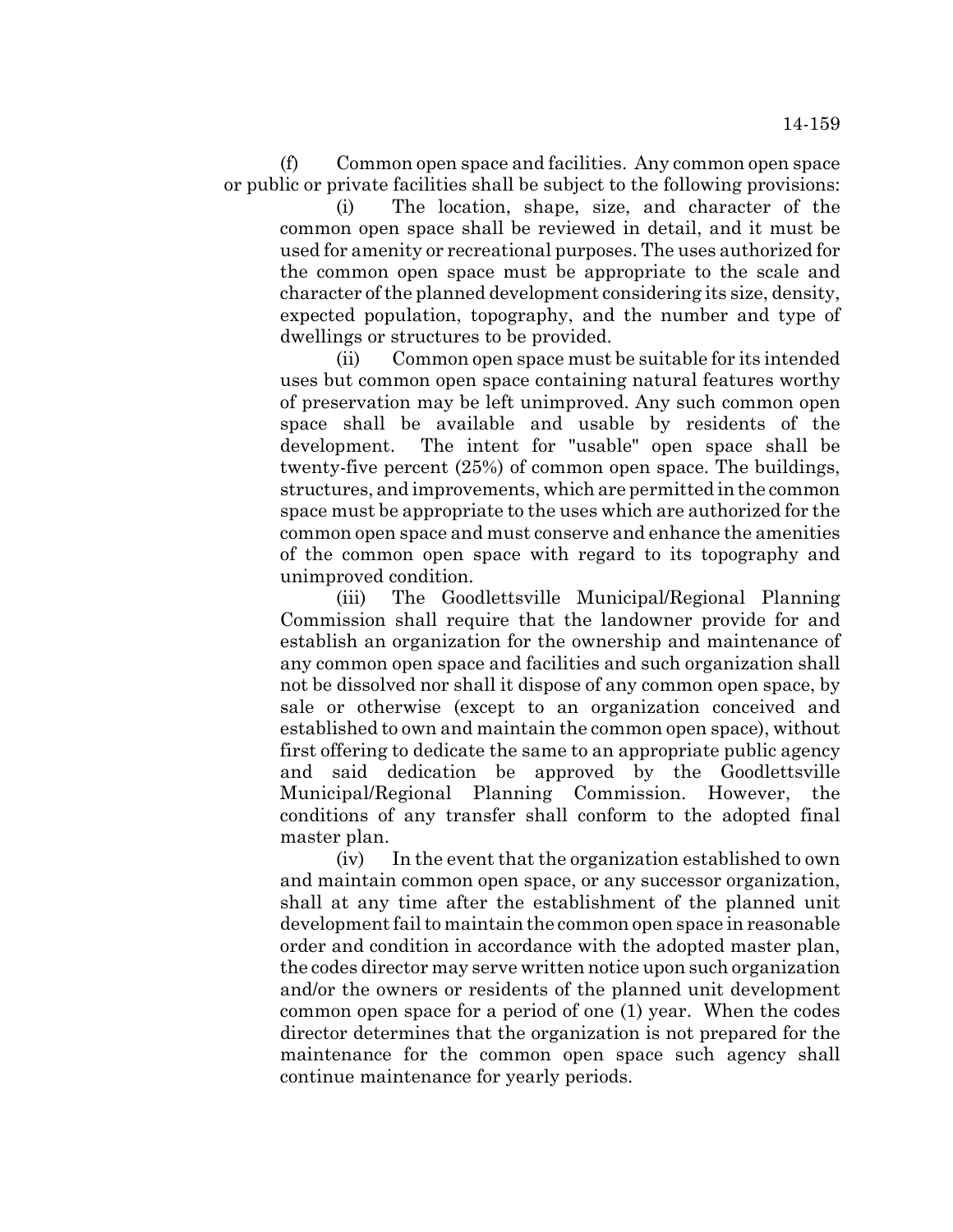(f) Common open space and facilities. Any common open space or public or private facilities shall be subject to the following provisions:

(i) The location, shape, size, and character of the common open space shall be reviewed in detail, and it must be used for amenity or recreational purposes. The uses authorized for the common open space must be appropriate to the scale and character of the planned development considering its size, density, expected population, topography, and the number and type of dwellings or structures to be provided.

(ii) Common open space must be suitable for its intended uses but common open space containing natural features worthy of preservation may be left unimproved. Any such common open space shall be available and usable by residents of the development. The intent for "usable" open space shall be twenty-five percent (25%) of common open space. The buildings, structures, and improvements, which are permitted in the common space must be appropriate to the uses which are authorized for the common open space and must conserve and enhance the amenities of the common open space with regard to its topography and unimproved condition.

(iii) The Goodlettsville Municipal/Regional Planning Commission shall require that the landowner provide for and establish an organization for the ownership and maintenance of any common open space and facilities and such organization shall not be dissolved nor shall it dispose of any common open space, by sale or otherwise (except to an organization conceived and established to own and maintain the common open space), without first offering to dedicate the same to an appropriate public agency and said dedication be approved by the Goodlettsville Municipal/Regional Planning Commission. However, the conditions of any transfer shall conform to the adopted final master plan.

(iv) In the event that the organization established to own and maintain common open space, or any successor organization, shall at any time after the establishment of the planned unit development fail to maintain the common open space in reasonable order and condition in accordance with the adopted master plan, the codes director may serve written notice upon such organization and/or the owners or residents of the planned unit development common open space for a period of one (1) year. When the codes director determines that the organization is not prepared for the maintenance for the common open space such agency shall continue maintenance for yearly periods.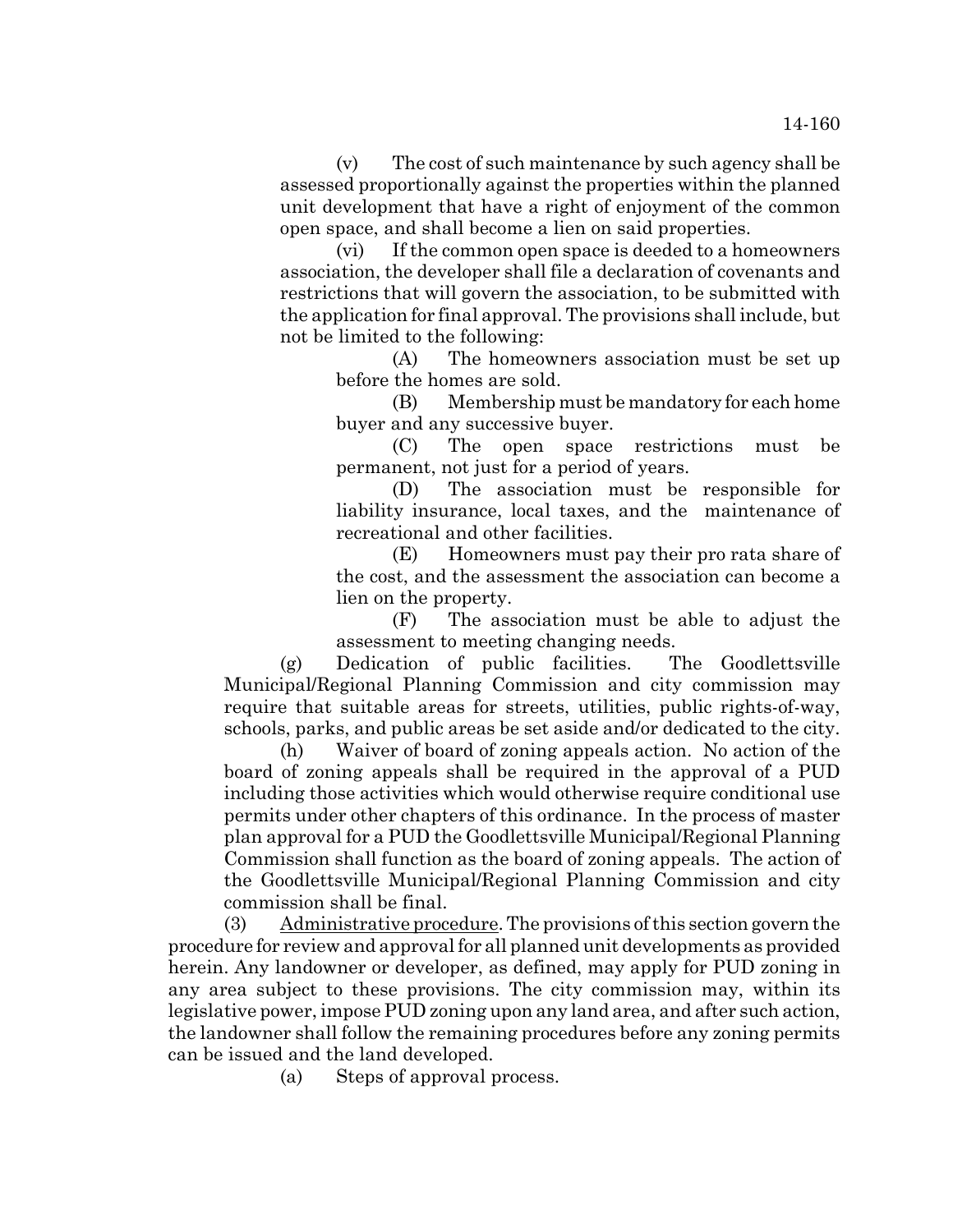(v) The cost of such maintenance by such agency shall be assessed proportionally against the properties within the planned unit development that have a right of enjoyment of the common open space, and shall become a lien on said properties.

(vi) If the common open space is deeded to a homeowners association, the developer shall file a declaration of covenants and restrictions that will govern the association, to be submitted with the application for final approval. The provisions shall include, but not be limited to the following:

(A) The homeowners association must be set up before the homes are sold.

(B) Membership must be mandatory for each home buyer and any successive buyer.

(C) The open space restrictions must be permanent, not just for a period of years.

(D) The association must be responsible for liability insurance, local taxes, and the maintenance of recreational and other facilities.

(E) Homeowners must pay their pro rata share of the cost, and the assessment the association can become a lien on the property.

(F) The association must be able to adjust the assessment to meeting changing needs.

(g) Dedication of public facilities. The Goodlettsville Municipal/Regional Planning Commission and city commission may require that suitable areas for streets, utilities, public rights-of-way, schools, parks, and public areas be set aside and/or dedicated to the city.

(h) Waiver of board of zoning appeals action. No action of the board of zoning appeals shall be required in the approval of a PUD including those activities which would otherwise require conditional use permits under other chapters of this ordinance. In the process of master plan approval for a PUD the Goodlettsville Municipal/Regional Planning Commission shall function as the board of zoning appeals. The action of the Goodlettsville Municipal/Regional Planning Commission and city commission shall be final.

(3) Administrative procedure. The provisions of this section govern the procedure for review and approval for all planned unit developments as provided herein. Any landowner or developer, as defined, may apply for PUD zoning in any area subject to these provisions. The city commission may, within its legislative power, impose PUD zoning upon any land area, and after such action, the landowner shall follow the remaining procedures before any zoning permits can be issued and the land developed.

(a) Steps of approval process.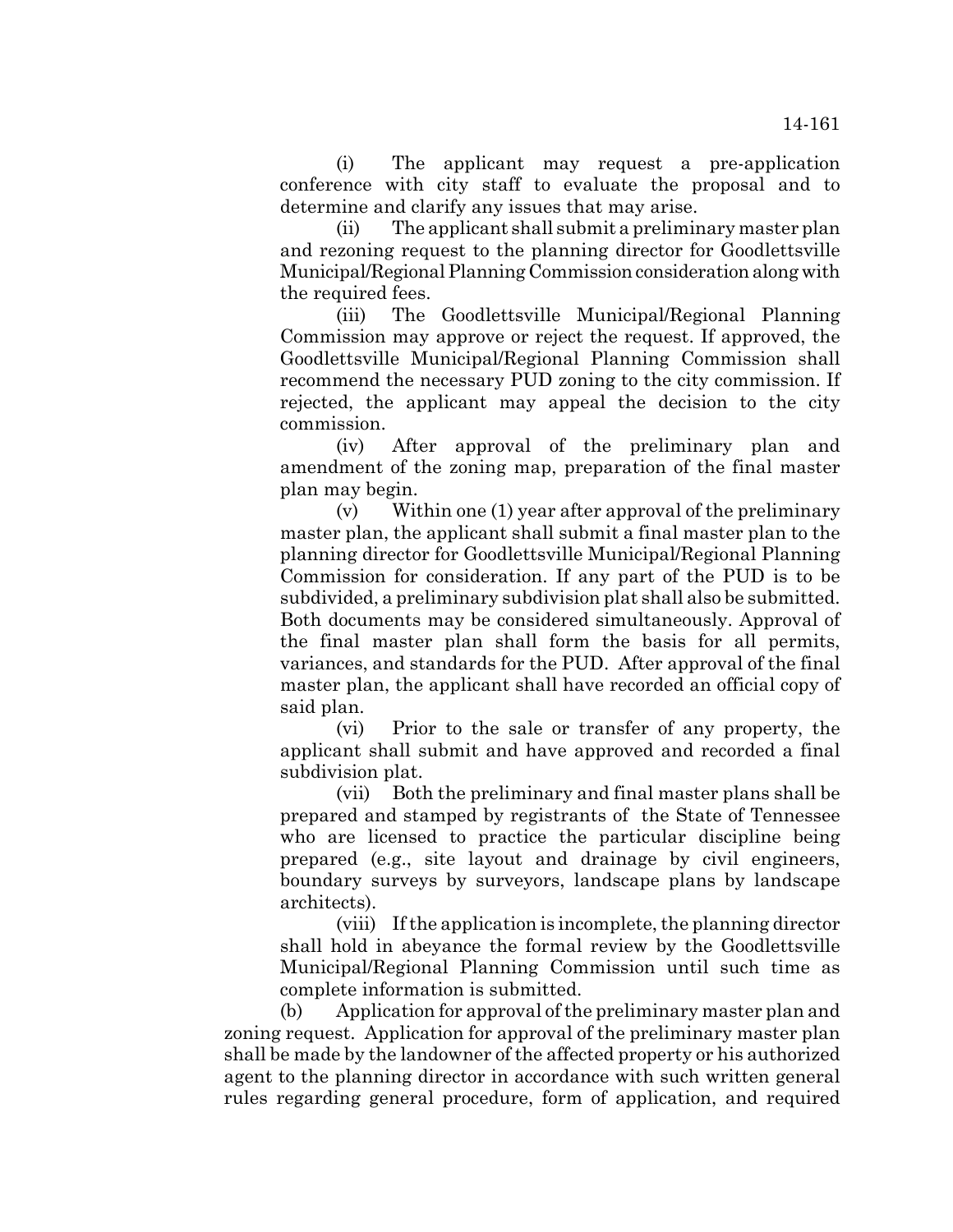(i) The applicant may request a pre-application conference with city staff to evaluate the proposal and to determine and clarify any issues that may arise.

(ii) The applicant shall submit a preliminary master plan and rezoning request to the planning director for Goodlettsville Municipal/Regional Planning Commission consideration along with the required fees.

(iii) The Goodlettsville Municipal/Regional Planning Commission may approve or reject the request. If approved, the Goodlettsville Municipal/Regional Planning Commission shall recommend the necessary PUD zoning to the city commission. If rejected, the applicant may appeal the decision to the city commission.

(iv) After approval of the preliminary plan and amendment of the zoning map, preparation of the final master plan may begin.

(v) Within one (1) year after approval of the preliminary master plan, the applicant shall submit a final master plan to the planning director for Goodlettsville Municipal/Regional Planning Commission for consideration. If any part of the PUD is to be subdivided, a preliminary subdivision plat shall also be submitted. Both documents may be considered simultaneously. Approval of the final master plan shall form the basis for all permits, variances, and standards for the PUD. After approval of the final master plan, the applicant shall have recorded an official copy of said plan.

(vi) Prior to the sale or transfer of any property, the applicant shall submit and have approved and recorded a final subdivision plat.

(vii) Both the preliminary and final master plans shall be prepared and stamped by registrants of the State of Tennessee who are licensed to practice the particular discipline being prepared (e.g., site layout and drainage by civil engineers, boundary surveys by surveyors, landscape plans by landscape architects).

(viii) If the application is incomplete, the planning director shall hold in abeyance the formal review by the Goodlettsville Municipal/Regional Planning Commission until such time as complete information is submitted.

(b) Application for approval of the preliminary master plan and zoning request. Application for approval of the preliminary master plan shall be made by the landowner of the affected property or his authorized agent to the planning director in accordance with such written general rules regarding general procedure, form of application, and required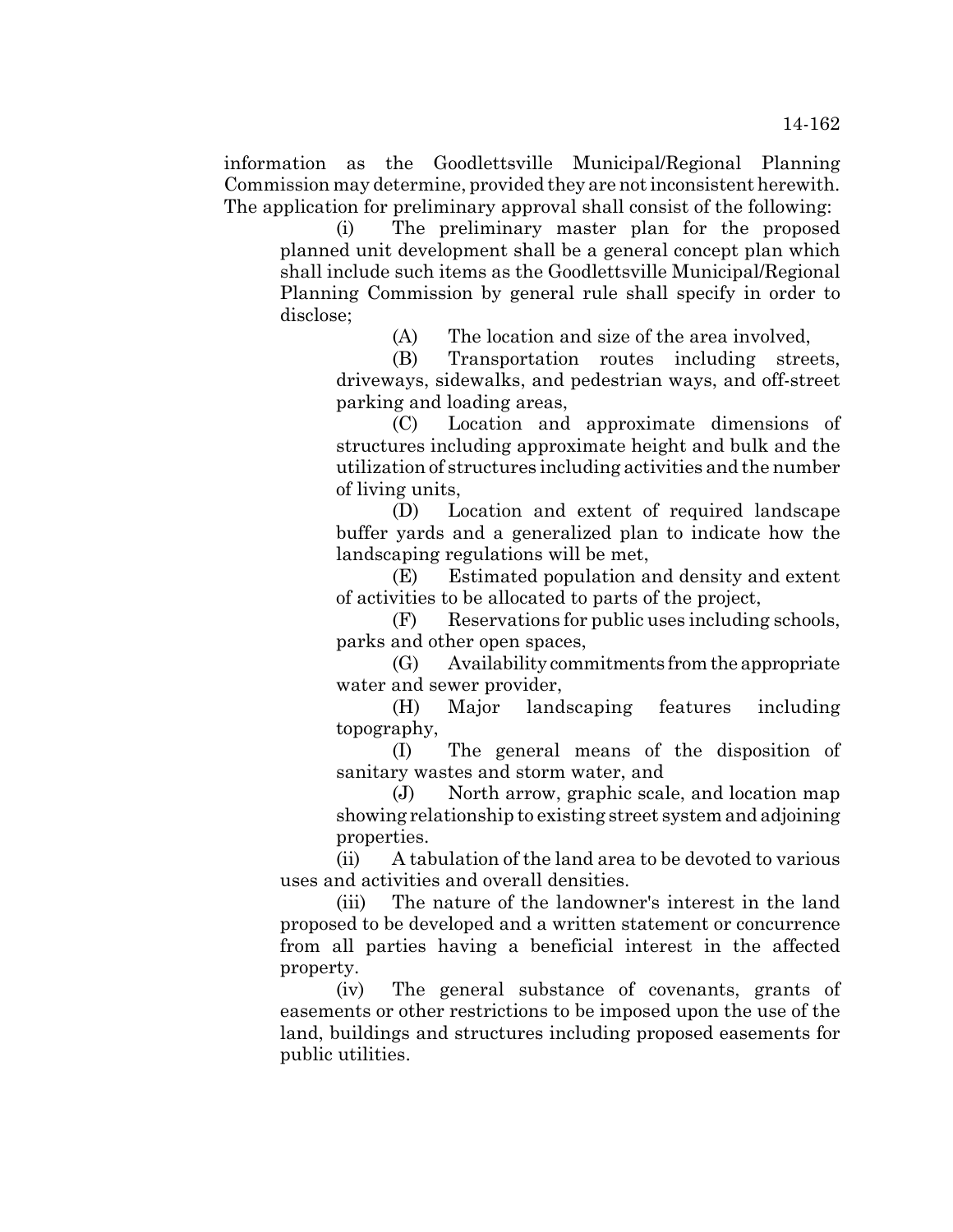information as the Goodlettsville Municipal/Regional Planning Commission may determine, provided they are not inconsistent herewith. The application for preliminary approval shall consist of the following:

(i) The preliminary master plan for the proposed planned unit development shall be a general concept plan which shall include such items as the Goodlettsville Municipal/Regional Planning Commission by general rule shall specify in order to disclose;

(A) The location and size of the area involved,

(B) Transportation routes including streets, driveways, sidewalks, and pedestrian ways, and off-street parking and loading areas,

(C) Location and approximate dimensions of structures including approximate height and bulk and the utilization of structures including activities and the number of living units,

(D) Location and extent of required landscape buffer yards and a generalized plan to indicate how the landscaping regulations will be met,

(E) Estimated population and density and extent of activities to be allocated to parts of the project,

(F) Reservations for public uses including schools, parks and other open spaces,

(G) Availability commitments from the appropriate water and sewer provider,

(H) Major landscaping features including topography,

(I) The general means of the disposition of sanitary wastes and storm water, and

(J) North arrow, graphic scale, and location map showing relationship to existing street system and adjoining properties.

(ii) A tabulation of the land area to be devoted to various uses and activities and overall densities.

(iii) The nature of the landowner's interest in the land proposed to be developed and a written statement or concurrence from all parties having a beneficial interest in the affected property.

(iv) The general substance of covenants, grants of easements or other restrictions to be imposed upon the use of the land, buildings and structures including proposed easements for public utilities.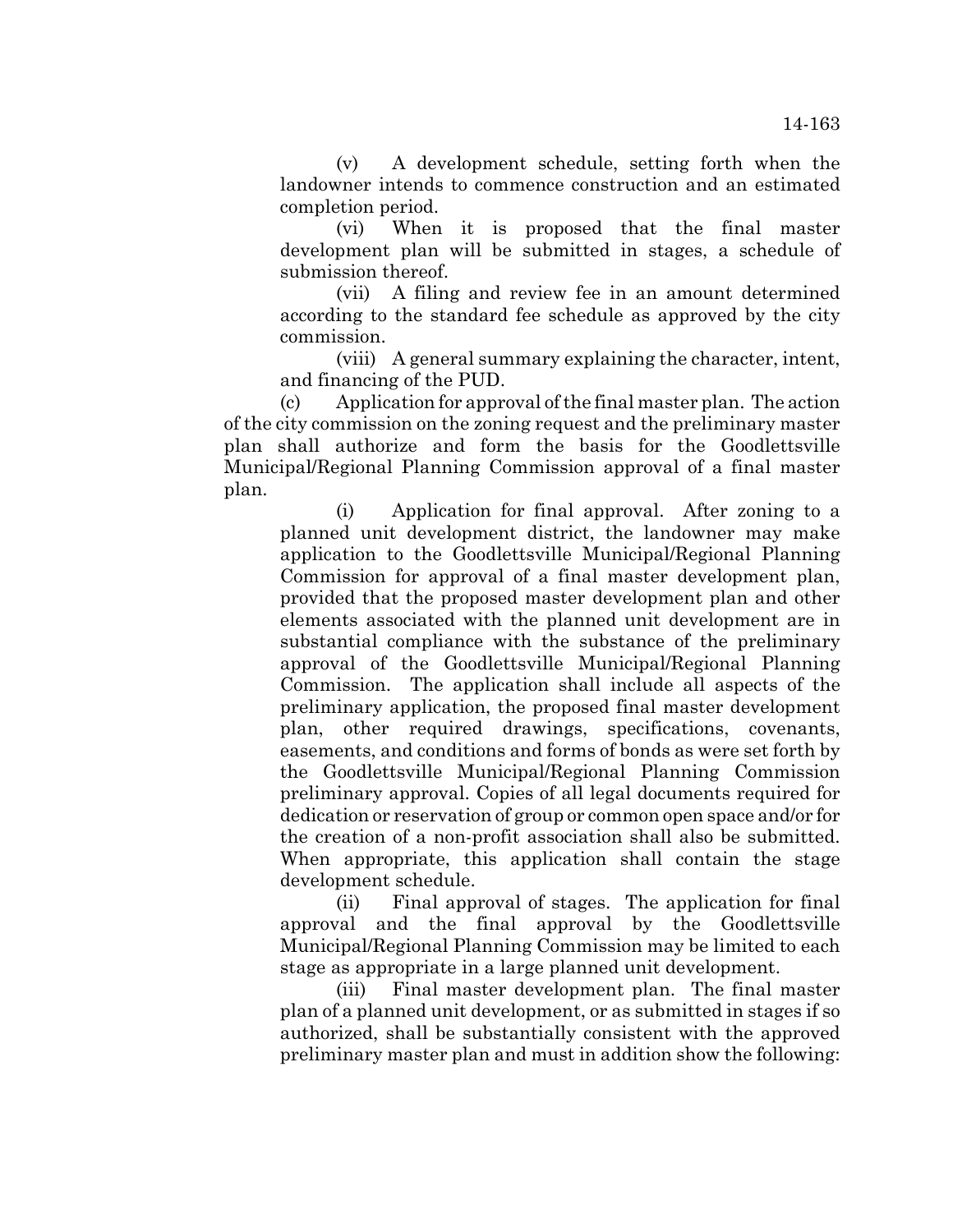(v) A development schedule, setting forth when the landowner intends to commence construction and an estimated completion period.

(vi) When it is proposed that the final master development plan will be submitted in stages, a schedule of submission thereof.

(vii) A filing and review fee in an amount determined according to the standard fee schedule as approved by the city commission.

(viii) A general summary explaining the character, intent, and financing of the PUD.

(c) Application for approval of the final master plan. The action of the city commission on the zoning request and the preliminary master plan shall authorize and form the basis for the Goodlettsville Municipal/Regional Planning Commission approval of a final master plan.

(i) Application for final approval. After zoning to a planned unit development district, the landowner may make application to the Goodlettsville Municipal/Regional Planning Commission for approval of a final master development plan, provided that the proposed master development plan and other elements associated with the planned unit development are in substantial compliance with the substance of the preliminary approval of the Goodlettsville Municipal/Regional Planning Commission. The application shall include all aspects of the preliminary application, the proposed final master development plan, other required drawings, specifications, covenants, easements, and conditions and forms of bonds as were set forth by the Goodlettsville Municipal/Regional Planning Commission preliminary approval. Copies of all legal documents required for dedication or reservation of group or common open space and/or for the creation of a non-profit association shall also be submitted. When appropriate, this application shall contain the stage development schedule.

(ii) Final approval of stages. The application for final approval and the final approval by the Goodlettsville Municipal/Regional Planning Commission may be limited to each stage as appropriate in a large planned unit development.

(iii) Final master development plan. The final master plan of a planned unit development, or as submitted in stages if so authorized, shall be substantially consistent with the approved preliminary master plan and must in addition show the following: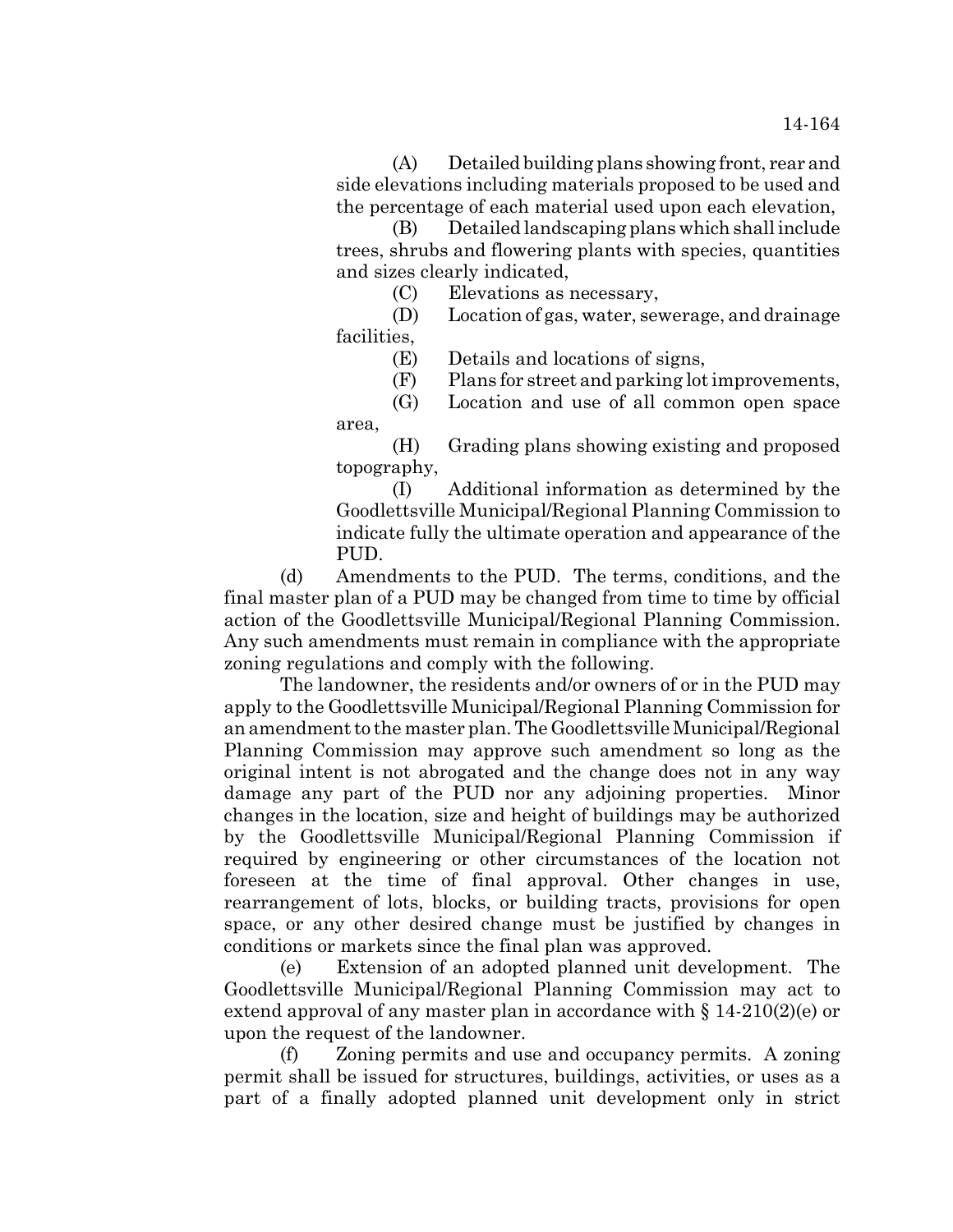(A) Detailed building plans showing front, rear and side elevations including materials proposed to be used and the percentage of each material used upon each elevation,

(B) Detailed landscaping plans which shall include trees, shrubs and flowering plants with species, quantities and sizes clearly indicated,

(C) Elevations as necessary,

(D) Location of gas, water, sewerage, and drainage facilities,

(E) Details and locations of signs,

(F) Plans for street and parking lot improvements,

(G) Location and use of all common open space area,

(H) Grading plans showing existing and proposed topography,

(I) Additional information as determined by the Goodlettsville Municipal/Regional Planning Commission to indicate fully the ultimate operation and appearance of the PUD.

(d) Amendments to the PUD. The terms, conditions, and the final master plan of a PUD may be changed from time to time by official action of the Goodlettsville Municipal/Regional Planning Commission. Any such amendments must remain in compliance with the appropriate zoning regulations and comply with the following.

The landowner, the residents and/or owners of or in the PUD may apply to the Goodlettsville Municipal/Regional Planning Commission for an amendment to the master plan. The Goodlettsville Municipal/Regional Planning Commission may approve such amendment so long as the original intent is not abrogated and the change does not in any way damage any part of the PUD nor any adjoining properties. Minor changes in the location, size and height of buildings may be authorized by the Goodlettsville Municipal/Regional Planning Commission if required by engineering or other circumstances of the location not foreseen at the time of final approval. Other changes in use, rearrangement of lots, blocks, or building tracts, provisions for open space, or any other desired change must be justified by changes in conditions or markets since the final plan was approved.

(e) Extension of an adopted planned unit development. The Goodlettsville Municipal/Regional Planning Commission may act to extend approval of any master plan in accordance with  $\S 14-210(2)(e)$  or upon the request of the landowner.

(f) Zoning permits and use and occupancy permits. A zoning permit shall be issued for structures, buildings, activities, or uses as a part of a finally adopted planned unit development only in strict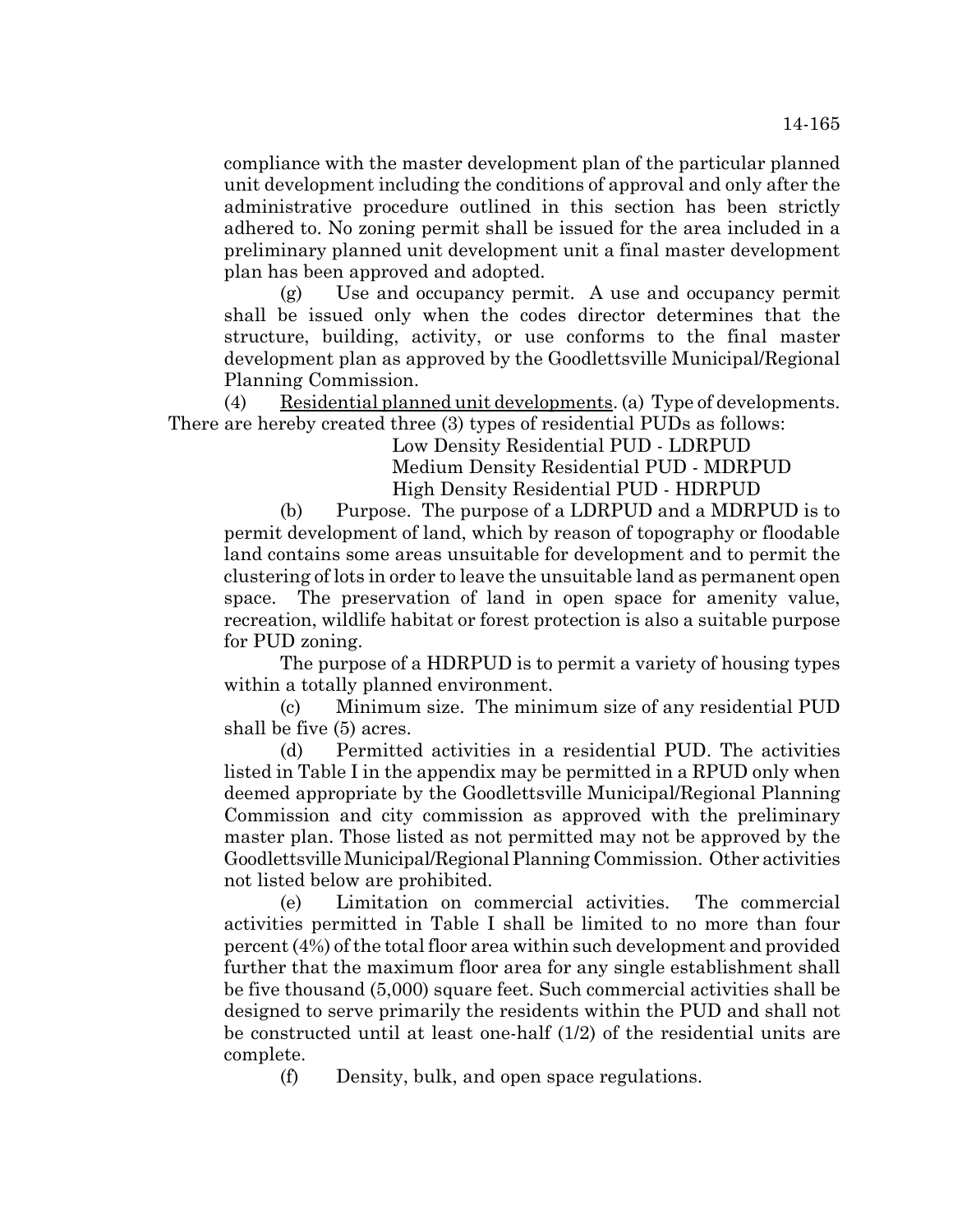compliance with the master development plan of the particular planned unit development including the conditions of approval and only after the administrative procedure outlined in this section has been strictly adhered to. No zoning permit shall be issued for the area included in a preliminary planned unit development unit a final master development plan has been approved and adopted.

(g) Use and occupancy permit. A use and occupancy permit shall be issued only when the codes director determines that the structure, building, activity, or use conforms to the final master development plan as approved by the Goodlettsville Municipal/Regional Planning Commission.

(4) Residential planned unit developments. (a) Type of developments. There are hereby created three (3) types of residential PUDs as follows:

Low Density Residential PUD - LDRPUD

Medium Density Residential PUD - MDRPUD

High Density Residential PUD - HDRPUD

(b) Purpose. The purpose of a LDRPUD and a MDRPUD is to permit development of land, which by reason of topography or floodable land contains some areas unsuitable for development and to permit the clustering of lots in order to leave the unsuitable land as permanent open space. The preservation of land in open space for amenity value, recreation, wildlife habitat or forest protection is also a suitable purpose for PUD zoning.

The purpose of a HDRPUD is to permit a variety of housing types within a totally planned environment.

(c) Minimum size. The minimum size of any residential PUD shall be five (5) acres.

(d) Permitted activities in a residential PUD. The activities listed in Table I in the appendix may be permitted in a RPUD only when deemed appropriate by the Goodlettsville Municipal/Regional Planning Commission and city commission as approved with the preliminary master plan. Those listed as not permitted may not be approved by the Goodlettsville Municipal/Regional Planning Commission. Other activities not listed below are prohibited.

(e) Limitation on commercial activities. The commercial activities permitted in Table I shall be limited to no more than four percent (4%) of the total floor area within such development and provided further that the maximum floor area for any single establishment shall be five thousand (5,000) square feet. Such commercial activities shall be designed to serve primarily the residents within the PUD and shall not be constructed until at least one-half (1/2) of the residential units are complete.

(f) Density, bulk, and open space regulations.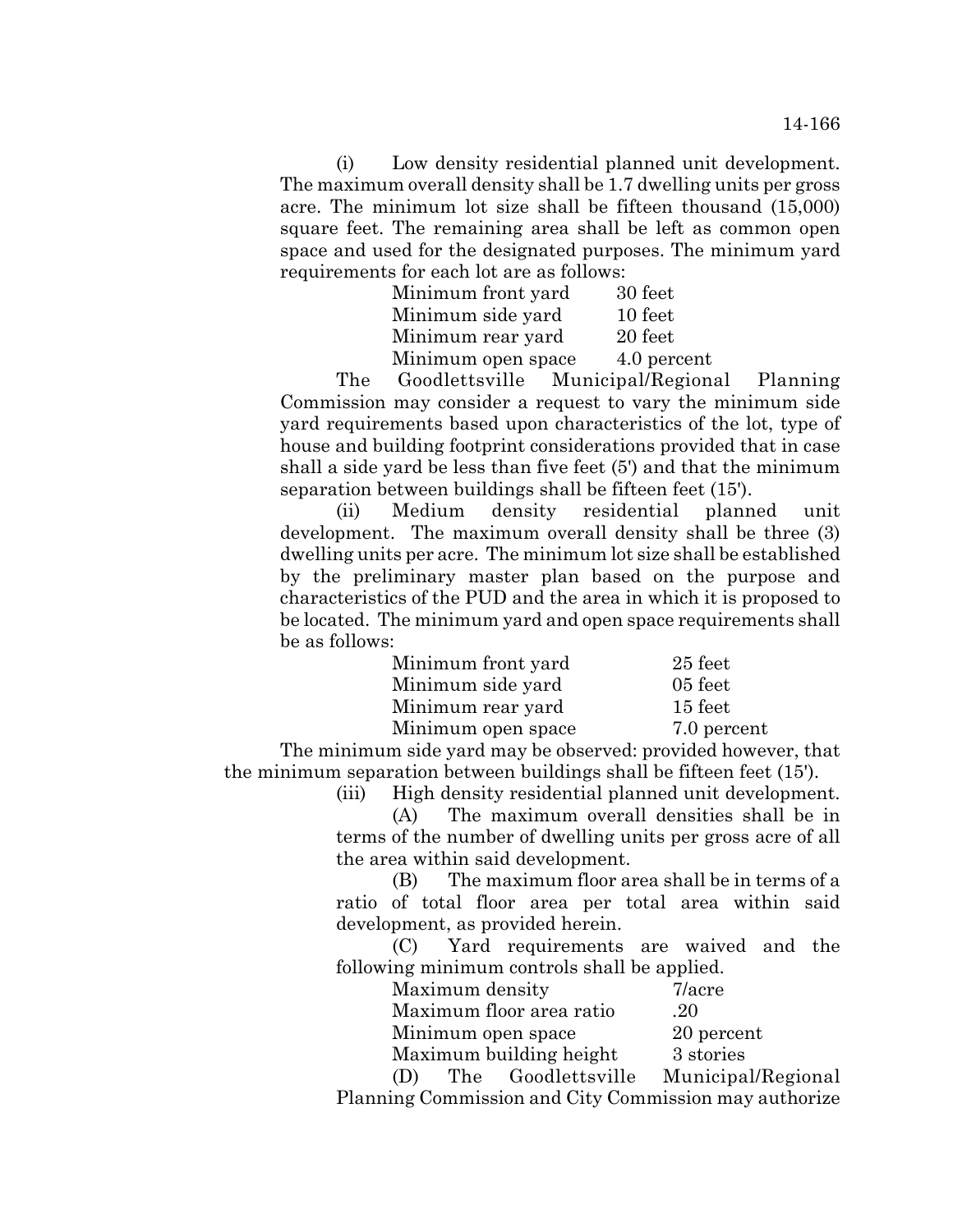(i) Low density residential planned unit development. The maximum overall density shall be 1.7 dwelling units per gross acre. The minimum lot size shall be fifteen thousand (15,000) square feet. The remaining area shall be left as common open space and used for the designated purposes. The minimum yard requirements for each lot are as follows:

| Minimum front yard             | 30 feet              |
|--------------------------------|----------------------|
| Minimum side yard              | 10 feet              |
| Minimum rear yard              | 20 feet              |
| Minimum open space             | 4.0 percent          |
| $\alpha$ 11 $\beta$ 11 1 $\pi$ | $\cdots$ 1m $\cdots$ |

The Goodlettsville Municipal/Regional Planning Commission may consider a request to vary the minimum side yard requirements based upon characteristics of the lot, type of house and building footprint considerations provided that in case shall a side yard be less than five feet (5') and that the minimum separation between buildings shall be fifteen feet (15').

(ii) Medium density residential planned unit development. The maximum overall density shall be three (3) dwelling units per acre. The minimum lot size shall be established by the preliminary master plan based on the purpose and characteristics of the PUD and the area in which it is proposed to be located. The minimum yard and open space requirements shall be as follows:

| Minimum front yard | $25$ feet   |
|--------------------|-------------|
| Minimum side yard  | $05$ feet   |
| Minimum rear yard  | 15 feet     |
| Minimum open space | 7.0 percent |

The minimum side yard may be observed: provided however, that the minimum separation between buildings shall be fifteen feet (15').

(iii) High density residential planned unit development.

(A) The maximum overall densities shall be in terms of the number of dwelling units per gross acre of all the area within said development.

(B) The maximum floor area shall be in terms of a ratio of total floor area per total area within said development, as provided herein.

(C) Yard requirements are waived and the following minimum controls shall be applied.

| Maximum density                                                                                                                                                                                                                                                                                                    | 7/acre        |
|--------------------------------------------------------------------------------------------------------------------------------------------------------------------------------------------------------------------------------------------------------------------------------------------------------------------|---------------|
| Maximum floor area ratio                                                                                                                                                                                                                                                                                           | .20           |
| Minimum open space                                                                                                                                                                                                                                                                                                 | 20 percent    |
| Maximum building height                                                                                                                                                                                                                                                                                            | 3 stories     |
| $\sqrt{D}$ $\sqrt{D}$ $\sqrt{D}$ $\sqrt{D}$ $\sqrt{D}$ $\sqrt{D}$ $\sqrt{D}$ $\sqrt{D}$ $\sqrt{D}$ $\sqrt{D}$ $\sqrt{D}$ $\sqrt{D}$ $\sqrt{D}$ $\sqrt{D}$ $\sqrt{D}$ $\sqrt{D}$ $\sqrt{D}$ $\sqrt{D}$ $\sqrt{D}$ $\sqrt{D}$ $\sqrt{D}$ $\sqrt{D}$ $\sqrt{D}$ $\sqrt{D}$ $\sqrt{D}$ $\sqrt{D}$ $\sqrt{D}$ $\sqrt{D$ | $M \cdot 1/D$ |

(D) The Goodlettsville Municipal/Regional Planning Commission and City Commission may authorize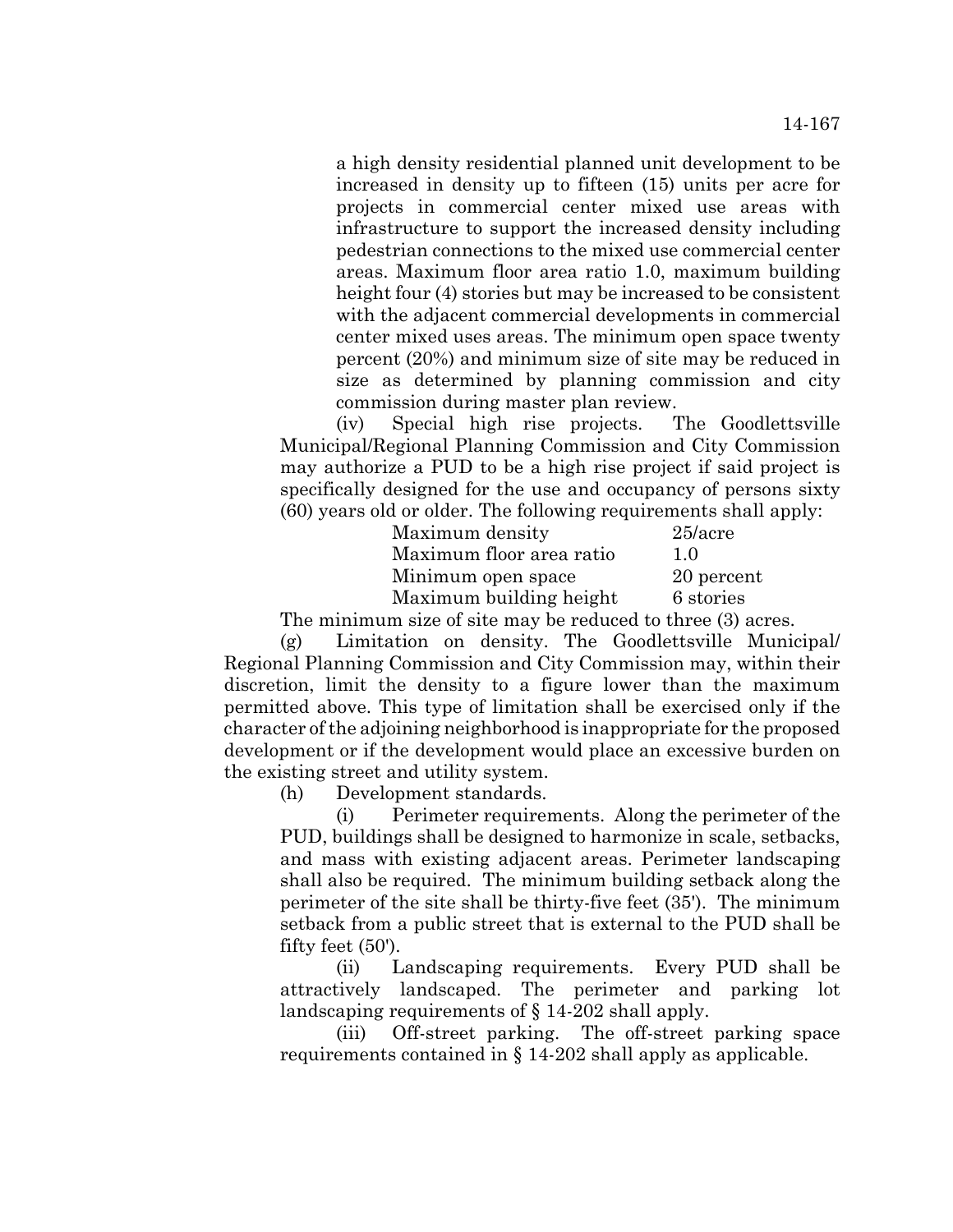a high density residential planned unit development to be increased in density up to fifteen (15) units per acre for projects in commercial center mixed use areas with infrastructure to support the increased density including pedestrian connections to the mixed use commercial center areas. Maximum floor area ratio 1.0, maximum building height four (4) stories but may be increased to be consistent with the adjacent commercial developments in commercial center mixed uses areas. The minimum open space twenty percent (20%) and minimum size of site may be reduced in size as determined by planning commission and city commission during master plan review.

(iv) Special high rise projects. The Goodlettsville Municipal/Regional Planning Commission and City Commission may authorize a PUD to be a high rise project if said project is specifically designed for the use and occupancy of persons sixty (60) years old or older. The following requirements shall apply:

| Maximum density          | 25/acre    |
|--------------------------|------------|
| Maximum floor area ratio | 1.0        |
| Minimum open space       | 20 percent |
| Maximum building height  | 6 stories  |

The minimum size of site may be reduced to three (3) acres.

(g) Limitation on density. The Goodlettsville Municipal/ Regional Planning Commission and City Commission may, within their discretion, limit the density to a figure lower than the maximum permitted above. This type of limitation shall be exercised only if the character of the adjoining neighborhood is inappropriate for the proposed development or if the development would place an excessive burden on the existing street and utility system.

(h) Development standards.

(i) Perimeter requirements. Along the perimeter of the PUD, buildings shall be designed to harmonize in scale, setbacks, and mass with existing adjacent areas. Perimeter landscaping shall also be required. The minimum building setback along the perimeter of the site shall be thirty-five feet (35'). The minimum setback from a public street that is external to the PUD shall be fifty feet (50').

(ii) Landscaping requirements. Every PUD shall be attractively landscaped. The perimeter and parking lot landscaping requirements of § 14-202 shall apply.

(iii) Off-street parking. The off-street parking space requirements contained in § 14-202 shall apply as applicable.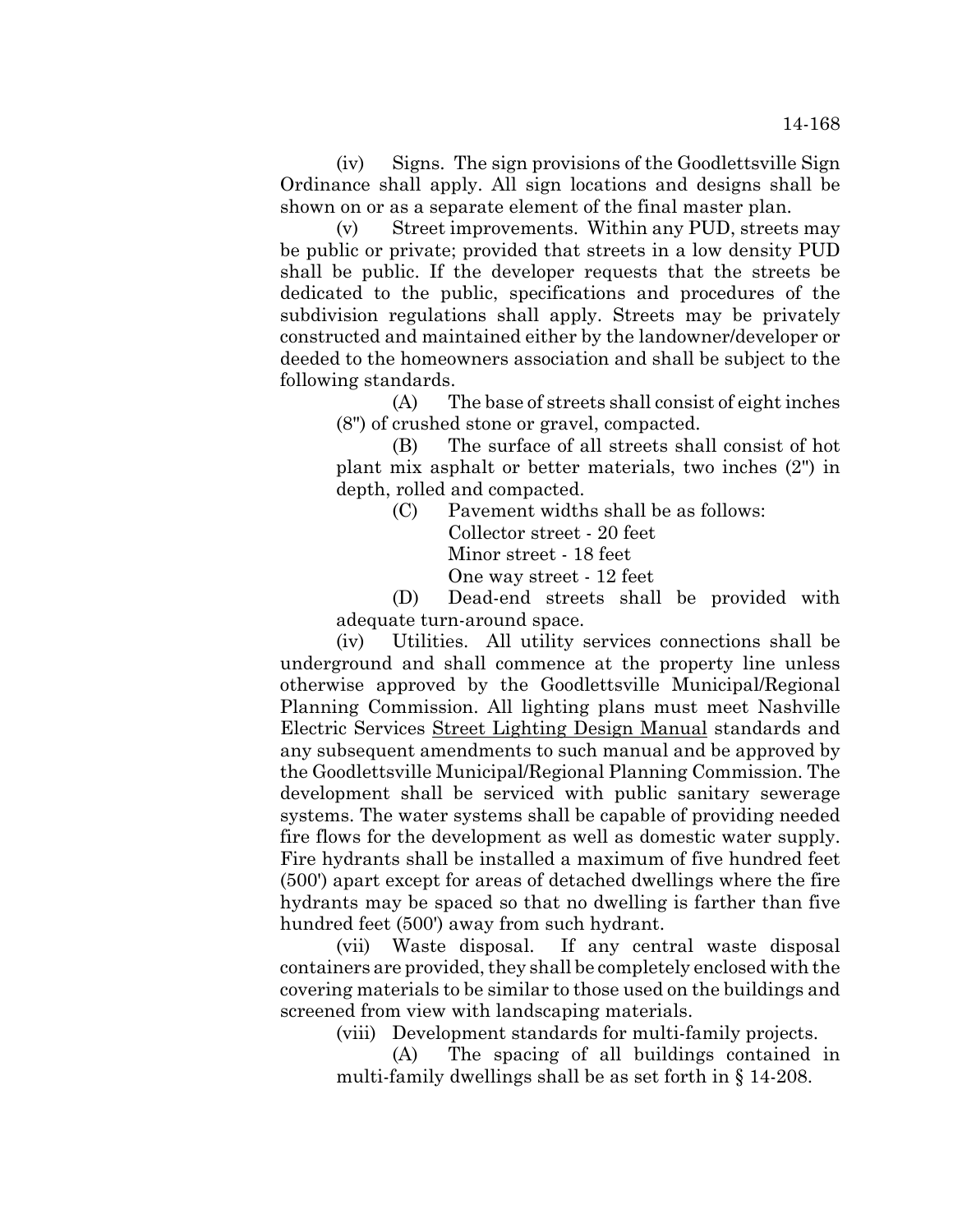(iv) Signs. The sign provisions of the Goodlettsville Sign Ordinance shall apply. All sign locations and designs shall be shown on or as a separate element of the final master plan.

(v) Street improvements. Within any PUD, streets may be public or private; provided that streets in a low density PUD shall be public. If the developer requests that the streets be dedicated to the public, specifications and procedures of the subdivision regulations shall apply. Streets may be privately constructed and maintained either by the landowner/developer or deeded to the homeowners association and shall be subject to the following standards.

(A) The base of streets shall consist of eight inches (8") of crushed stone or gravel, compacted.

(B) The surface of all streets shall consist of hot plant mix asphalt or better materials, two inches (2") in depth, rolled and compacted.

> (C) Pavement widths shall be as follows: Collector street - 20 feet Minor street - 18 feet One way street - 12 feet

(D) Dead-end streets shall be provided with adequate turn-around space.

(iv) Utilities. All utility services connections shall be underground and shall commence at the property line unless otherwise approved by the Goodlettsville Municipal/Regional Planning Commission. All lighting plans must meet Nashville Electric Services Street Lighting Design Manual standards and any subsequent amendments to such manual and be approved by the Goodlettsville Municipal/Regional Planning Commission. The development shall be serviced with public sanitary sewerage systems. The water systems shall be capable of providing needed fire flows for the development as well as domestic water supply. Fire hydrants shall be installed a maximum of five hundred feet (500') apart except for areas of detached dwellings where the fire hydrants may be spaced so that no dwelling is farther than five hundred feet (500') away from such hydrant.

(vii) Waste disposal. If any central waste disposal containers are provided, they shall be completely enclosed with the covering materials to be similar to those used on the buildings and screened from view with landscaping materials.

(viii) Development standards for multi-family projects.

(A) The spacing of all buildings contained in multi-family dwellings shall be as set forth in § 14-208.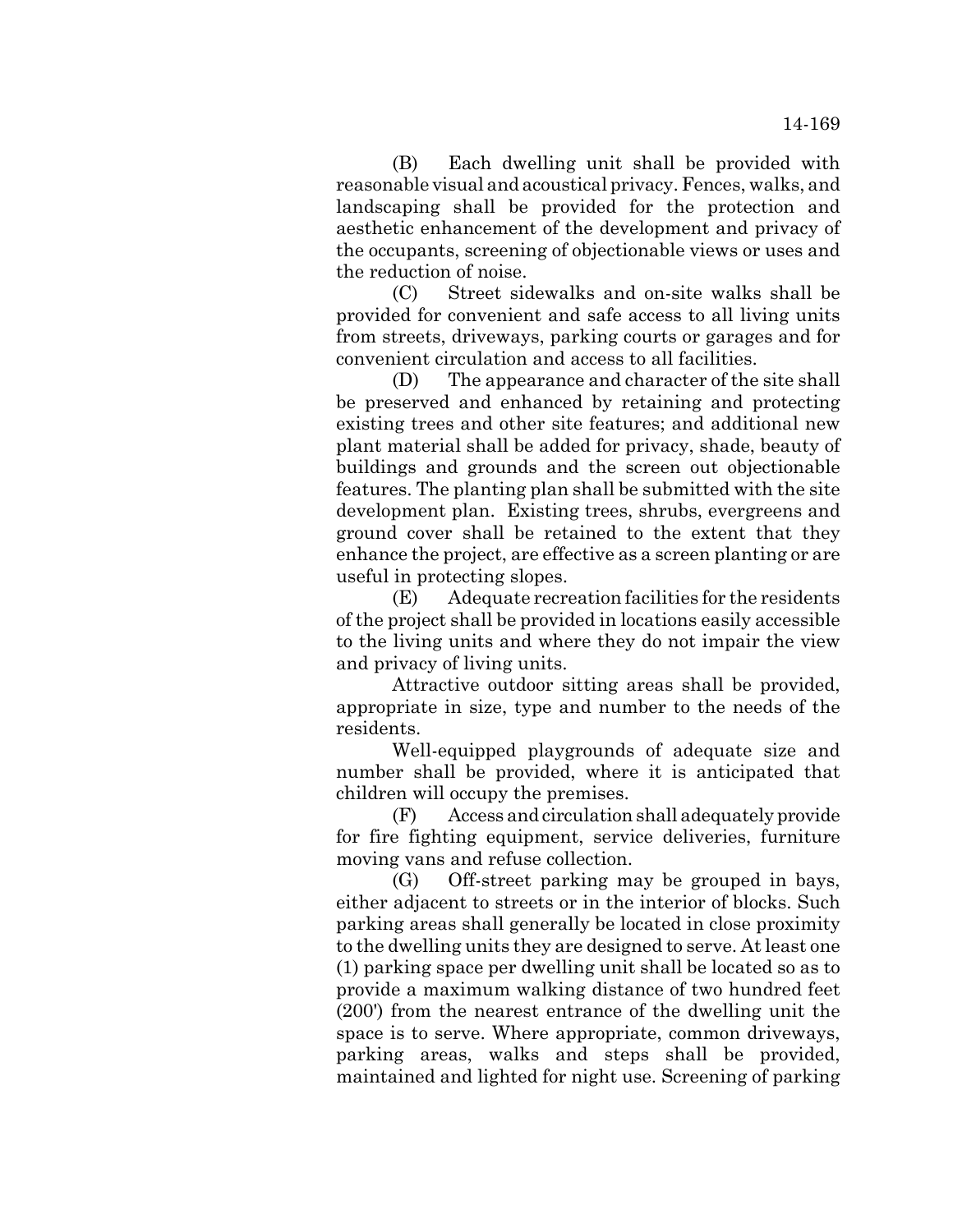(B) Each dwelling unit shall be provided with reasonable visual and acoustical privacy. Fences, walks, and landscaping shall be provided for the protection and aesthetic enhancement of the development and privacy of the occupants, screening of objectionable views or uses and the reduction of noise.

(C) Street sidewalks and on-site walks shall be provided for convenient and safe access to all living units from streets, driveways, parking courts or garages and for convenient circulation and access to all facilities.

(D) The appearance and character of the site shall be preserved and enhanced by retaining and protecting existing trees and other site features; and additional new plant material shall be added for privacy, shade, beauty of buildings and grounds and the screen out objectionable features. The planting plan shall be submitted with the site development plan. Existing trees, shrubs, evergreens and ground cover shall be retained to the extent that they enhance the project, are effective as a screen planting or are useful in protecting slopes.

(E) Adequate recreation facilities for the residents of the project shall be provided in locations easily accessible to the living units and where they do not impair the view and privacy of living units.

Attractive outdoor sitting areas shall be provided, appropriate in size, type and number to the needs of the residents.

Well-equipped playgrounds of adequate size and number shall be provided, where it is anticipated that children will occupy the premises.

(F) Access and circulation shall adequately provide for fire fighting equipment, service deliveries, furniture moving vans and refuse collection.

(G) Off-street parking may be grouped in bays, either adjacent to streets or in the interior of blocks. Such parking areas shall generally be located in close proximity to the dwelling units they are designed to serve. At least one (1) parking space per dwelling unit shall be located so as to provide a maximum walking distance of two hundred feet (200') from the nearest entrance of the dwelling unit the space is to serve. Where appropriate, common driveways, parking areas, walks and steps shall be provided, maintained and lighted for night use. Screening of parking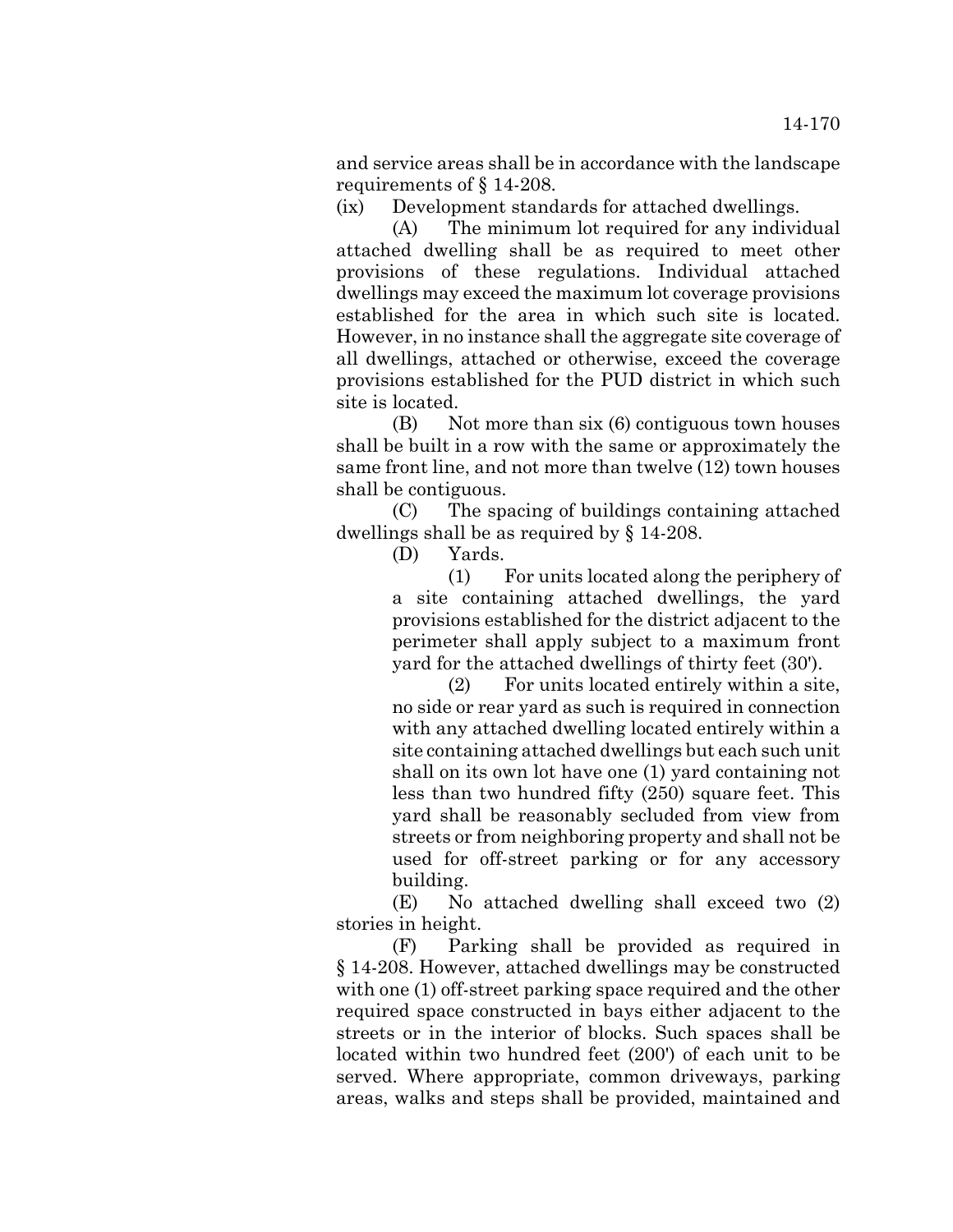and service areas shall be in accordance with the landscape requirements of § 14-208.

(ix) Development standards for attached dwellings.

(A) The minimum lot required for any individual attached dwelling shall be as required to meet other provisions of these regulations. Individual attached dwellings may exceed the maximum lot coverage provisions established for the area in which such site is located. However, in no instance shall the aggregate site coverage of all dwellings, attached or otherwise, exceed the coverage provisions established for the PUD district in which such site is located.

(B) Not more than six (6) contiguous town houses shall be built in a row with the same or approximately the same front line, and not more than twelve (12) town houses shall be contiguous.

(C) The spacing of buildings containing attached dwellings shall be as required by § 14-208.

(D) Yards.

(1) For units located along the periphery of a site containing attached dwellings, the yard provisions established for the district adjacent to the perimeter shall apply subject to a maximum front yard for the attached dwellings of thirty feet (30').

(2) For units located entirely within a site, no side or rear yard as such is required in connection with any attached dwelling located entirely within a site containing attached dwellings but each such unit shall on its own lot have one (1) yard containing not less than two hundred fifty (250) square feet. This yard shall be reasonably secluded from view from streets or from neighboring property and shall not be used for off-street parking or for any accessory building.

(E) No attached dwelling shall exceed two (2) stories in height.

(F) Parking shall be provided as required in § 14-208. However, attached dwellings may be constructed with one (1) off-street parking space required and the other required space constructed in bays either adjacent to the streets or in the interior of blocks. Such spaces shall be located within two hundred feet (200') of each unit to be served. Where appropriate, common driveways, parking areas, walks and steps shall be provided, maintained and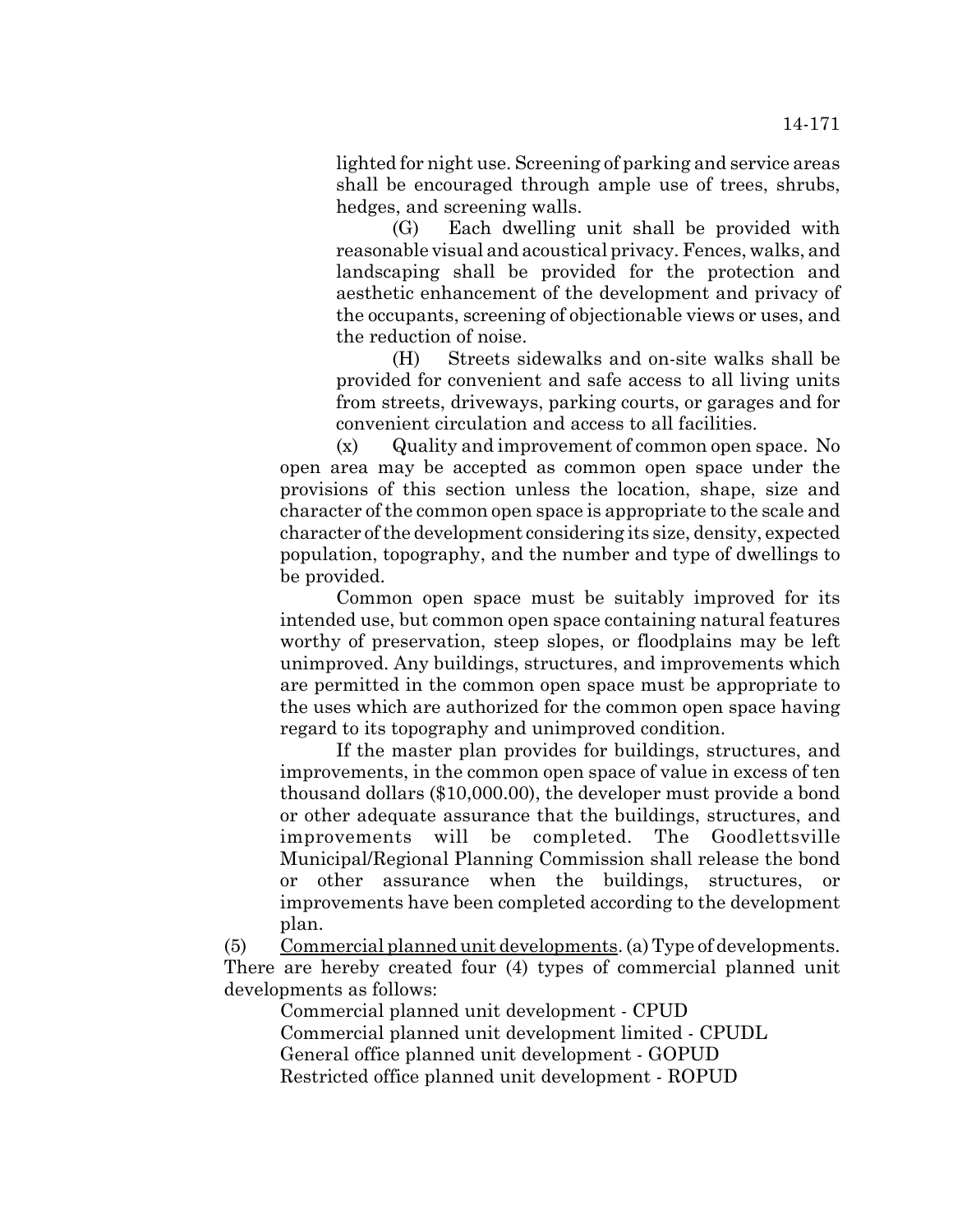lighted for night use. Screening of parking and service areas shall be encouraged through ample use of trees, shrubs, hedges, and screening walls.

(G) Each dwelling unit shall be provided with reasonable visual and acoustical privacy. Fences, walks, and landscaping shall be provided for the protection and aesthetic enhancement of the development and privacy of the occupants, screening of objectionable views or uses, and the reduction of noise.

(H) Streets sidewalks and on-site walks shall be provided for convenient and safe access to all living units from streets, driveways, parking courts, or garages and for convenient circulation and access to all facilities.

(x) Quality and improvement of common open space. No open area may be accepted as common open space under the provisions of this section unless the location, shape, size and character of the common open space is appropriate to the scale and character of the development considering its size, density, expected population, topography, and the number and type of dwellings to be provided.

Common open space must be suitably improved for its intended use, but common open space containing natural features worthy of preservation, steep slopes, or floodplains may be left unimproved. Any buildings, structures, and improvements which are permitted in the common open space must be appropriate to the uses which are authorized for the common open space having regard to its topography and unimproved condition.

If the master plan provides for buildings, structures, and improvements, in the common open space of value in excess of ten thousand dollars (\$10,000.00), the developer must provide a bond or other adequate assurance that the buildings, structures, and improvements will be completed. The Goodlettsville Municipal/Regional Planning Commission shall release the bond or other assurance when the buildings, structures, or improvements have been completed according to the development plan.

(5) Commercial planned unit developments. (a) Type of developments. There are hereby created four (4) types of commercial planned unit developments as follows:

Commercial planned unit development - CPUD Commercial planned unit development limited - CPUDL General office planned unit development - GOPUD Restricted office planned unit development - ROPUD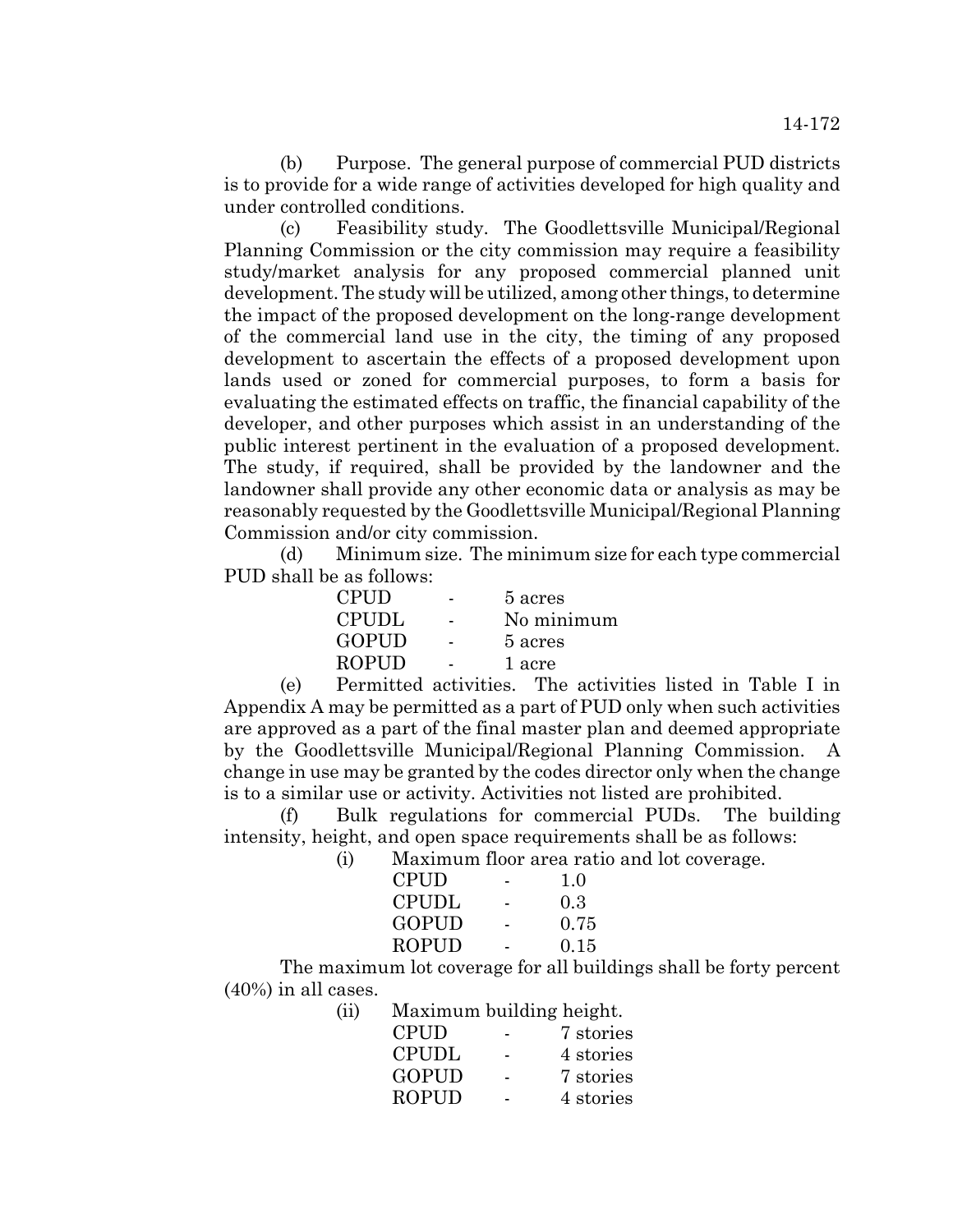(b) Purpose. The general purpose of commercial PUD districts is to provide for a wide range of activities developed for high quality and under controlled conditions.

(c) Feasibility study. The Goodlettsville Municipal/Regional Planning Commission or the city commission may require a feasibility study/market analysis for any proposed commercial planned unit development. The study will be utilized, among other things, to determine the impact of the proposed development on the long-range development of the commercial land use in the city, the timing of any proposed development to ascertain the effects of a proposed development upon lands used or zoned for commercial purposes, to form a basis for evaluating the estimated effects on traffic, the financial capability of the developer, and other purposes which assist in an understanding of the public interest pertinent in the evaluation of a proposed development. The study, if required, shall be provided by the landowner and the landowner shall provide any other economic data or analysis as may be reasonably requested by the Goodlettsville Municipal/Regional Planning Commission and/or city commission.

(d) Minimum size. The minimum size for each type commercial PUD shall be as follows:

| CPUD  |   | 5 acres    |
|-------|---|------------|
| CPUDL | - | No minimum |
| GOPUD | ۰ | 5 acres    |
| ROPUD |   | 1 acre     |

(e) Permitted activities. The activities listed in Table I in Appendix A may be permitted as a part of PUD only when such activities are approved as a part of the final master plan and deemed appropriate by the Goodlettsville Municipal/Regional Planning Commission. A change in use may be granted by the codes director only when the change is to a similar use or activity. Activities not listed are prohibited.

(f) Bulk regulations for commercial PUDs. The building intensity, height, and open space requirements shall be as follows:

(i) Maximum floor area ratio and lot coverage.

| <b>CPUD</b>  | 1.0  |
|--------------|------|
| <b>CPUDL</b> | 0.3  |
| GOPUD        | 0.75 |
| <b>ROPUD</b> | 0.15 |

The maximum lot coverage for all buildings shall be forty percent (40%) in all cases.

| Maximum building height. |
|--------------------------|
| 7 stories                |
| 4 stories                |
| 7 stories                |
| 4 stories                |
|                          |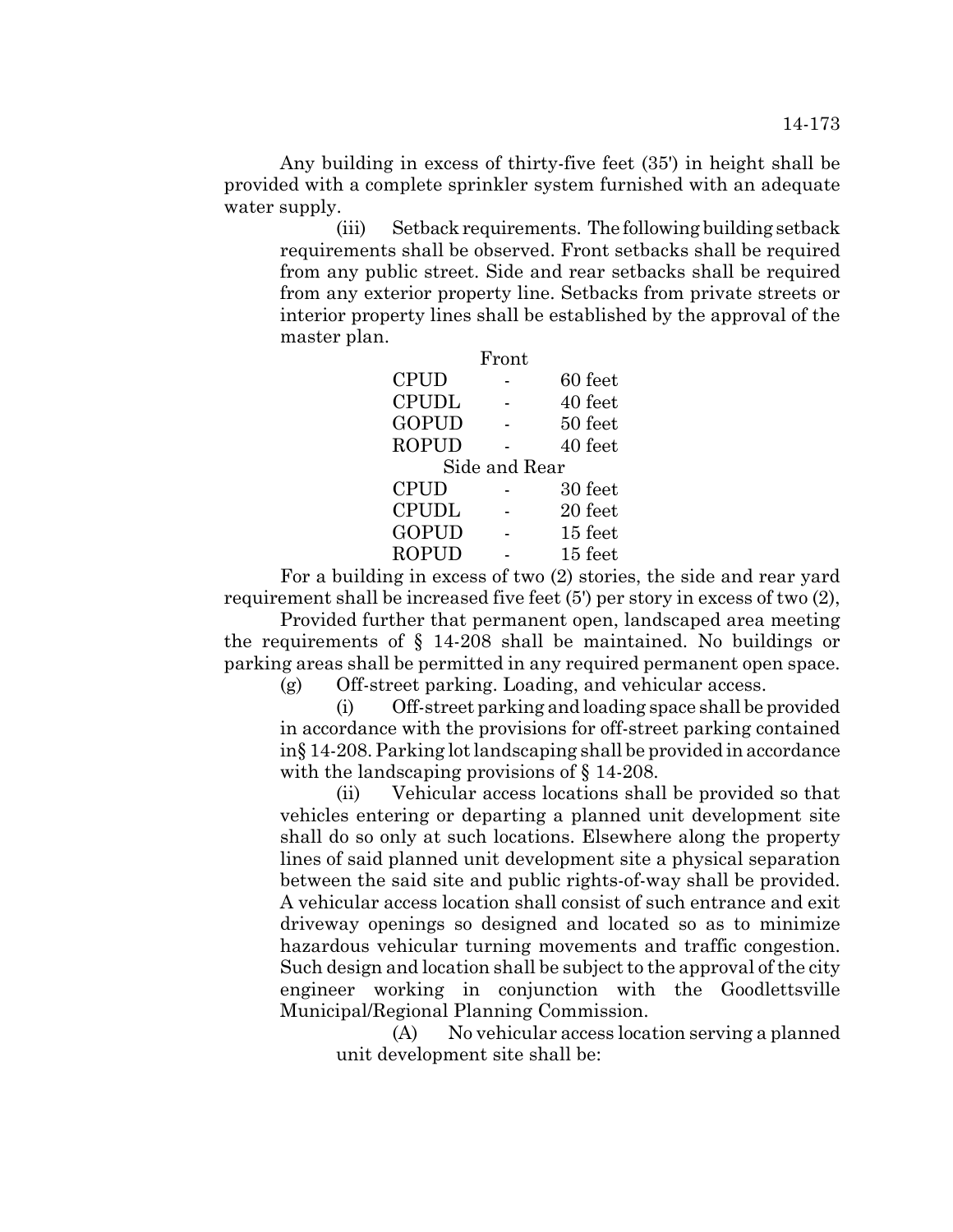Any building in excess of thirty-five feet (35') in height shall be provided with a complete sprinkler system furnished with an adequate water supply.

(iii) Setback requirements. The following building setback requirements shall be observed. Front setbacks shall be required from any public street. Side and rear setbacks shall be required from any exterior property line. Setbacks from private streets or interior property lines shall be established by the approval of the master plan.

|               | Front |         |
|---------------|-------|---------|
| <b>CPUD</b>   |       | 60 feet |
| <b>CPUDL</b>  |       | 40 feet |
| <b>GOPUD</b>  |       | 50 feet |
| <b>ROPUD</b>  |       | 40 feet |
| Side and Rear |       |         |
| <b>CPUD</b>   |       | 30 feet |
| <b>CPUDL</b>  |       | 20 feet |
| <b>GOPUD</b>  |       | 15 feet |
| <b>ROPUD</b>  |       | 15 feet |

For a building in excess of two (2) stories, the side and rear yard requirement shall be increased five feet (5') per story in excess of two (2),

Provided further that permanent open, landscaped area meeting the requirements of § 14-208 shall be maintained. No buildings or parking areas shall be permitted in any required permanent open space.

(g) Off-street parking. Loading, and vehicular access.

(i) Off-street parking and loading space shall be provided in accordance with the provisions for off-street parking contained in§ 14-208. Parking lot landscaping shall be provided in accordance with the landscaping provisions of  $\S$  14-208.

(ii) Vehicular access locations shall be provided so that vehicles entering or departing a planned unit development site shall do so only at such locations. Elsewhere along the property lines of said planned unit development site a physical separation between the said site and public rights-of-way shall be provided. A vehicular access location shall consist of such entrance and exit driveway openings so designed and located so as to minimize hazardous vehicular turning movements and traffic congestion. Such design and location shall be subject to the approval of the city engineer working in conjunction with the Goodlettsville Municipal/Regional Planning Commission.

(A) No vehicular access location serving a planned unit development site shall be: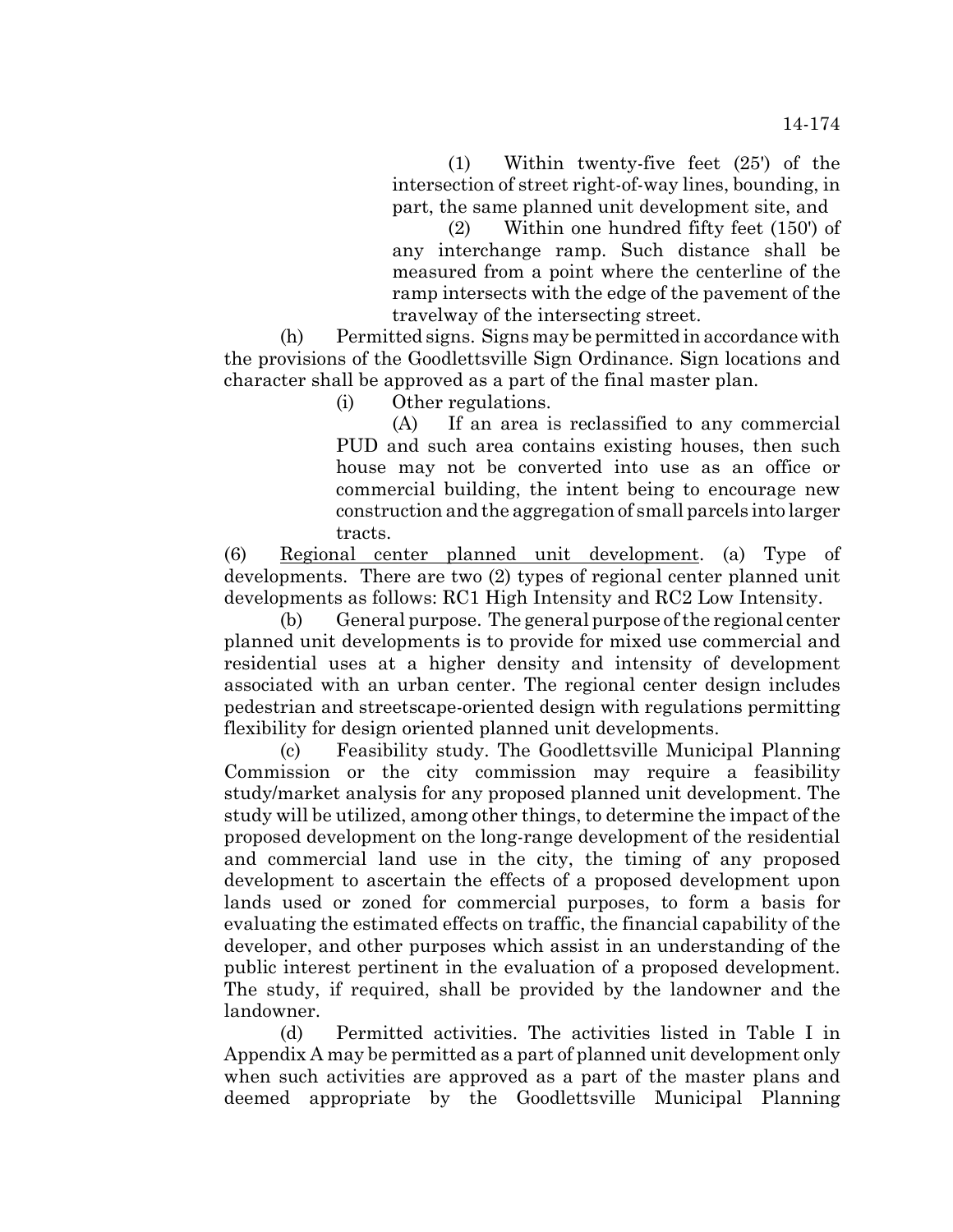(1) Within twenty-five feet (25') of the intersection of street right-of-way lines, bounding, in part, the same planned unit development site, and

(2) Within one hundred fifty feet (150') of any interchange ramp. Such distance shall be measured from a point where the centerline of the ramp intersects with the edge of the pavement of the travelway of the intersecting street.

(h) Permitted signs. Signs may be permitted in accordance with the provisions of the Goodlettsville Sign Ordinance. Sign locations and character shall be approved as a part of the final master plan.

(i) Other regulations.

(A) If an area is reclassified to any commercial PUD and such area contains existing houses, then such house may not be converted into use as an office or commercial building, the intent being to encourage new construction and the aggregation of small parcels into larger tracts.

(6) Regional center planned unit development. (a) Type of developments. There are two (2) types of regional center planned unit developments as follows: RC1 High Intensity and RC2 Low Intensity.

(b) General purpose. The general purpose of the regional center planned unit developments is to provide for mixed use commercial and residential uses at a higher density and intensity of development associated with an urban center. The regional center design includes pedestrian and streetscape-oriented design with regulations permitting flexibility for design oriented planned unit developments.

(c) Feasibility study. The Goodlettsville Municipal Planning Commission or the city commission may require a feasibility study/market analysis for any proposed planned unit development. The study will be utilized, among other things, to determine the impact of the proposed development on the long-range development of the residential and commercial land use in the city, the timing of any proposed development to ascertain the effects of a proposed development upon lands used or zoned for commercial purposes, to form a basis for evaluating the estimated effects on traffic, the financial capability of the developer, and other purposes which assist in an understanding of the public interest pertinent in the evaluation of a proposed development. The study, if required, shall be provided by the landowner and the landowner.

(d) Permitted activities. The activities listed in Table I in Appendix A may be permitted as a part of planned unit development only when such activities are approved as a part of the master plans and deemed appropriate by the Goodlettsville Municipal Planning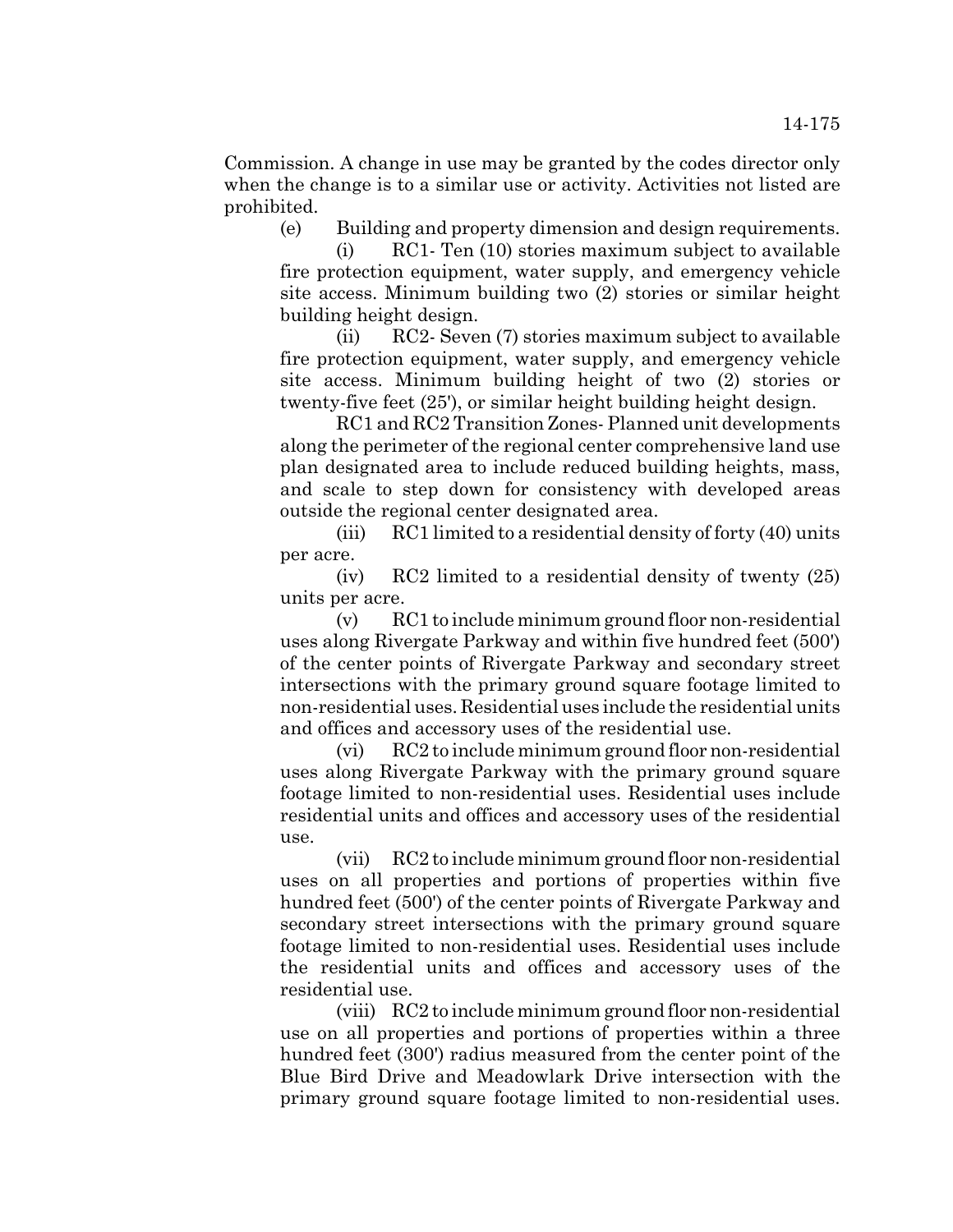Commission. A change in use may be granted by the codes director only when the change is to a similar use or activity. Activities not listed are prohibited.

(e) Building and property dimension and design requirements.

(i) RC1- Ten (10) stories maximum subject to available fire protection equipment, water supply, and emergency vehicle site access. Minimum building two (2) stories or similar height building height design.

(ii) RC2- Seven (7) stories maximum subject to available fire protection equipment, water supply, and emergency vehicle site access. Minimum building height of two (2) stories or twenty-five feet (25'), or similar height building height design.

RC1 and RC2 Transition Zones- Planned unit developments along the perimeter of the regional center comprehensive land use plan designated area to include reduced building heights, mass, and scale to step down for consistency with developed areas outside the regional center designated area.

(iii)  $RC1$  limited to a residential density of forty (40) units per acre.

(iv) RC2 limited to a residential density of twenty (25) units per acre.

(v) RC1 to include minimum ground floor non-residential uses along Rivergate Parkway and within five hundred feet (500') of the center points of Rivergate Parkway and secondary street intersections with the primary ground square footage limited to non-residential uses. Residential uses include the residential units and offices and accessory uses of the residential use.

(vi) RC2 to include minimum ground floor non-residential uses along Rivergate Parkway with the primary ground square footage limited to non-residential uses. Residential uses include residential units and offices and accessory uses of the residential use.

(vii) RC2 to include minimum ground floor non-residential uses on all properties and portions of properties within five hundred feet (500') of the center points of Rivergate Parkway and secondary street intersections with the primary ground square footage limited to non-residential uses. Residential uses include the residential units and offices and accessory uses of the residential use.

(viii) RC2 to include minimum ground floor non-residential use on all properties and portions of properties within a three hundred feet (300') radius measured from the center point of the Blue Bird Drive and Meadowlark Drive intersection with the primary ground square footage limited to non-residential uses.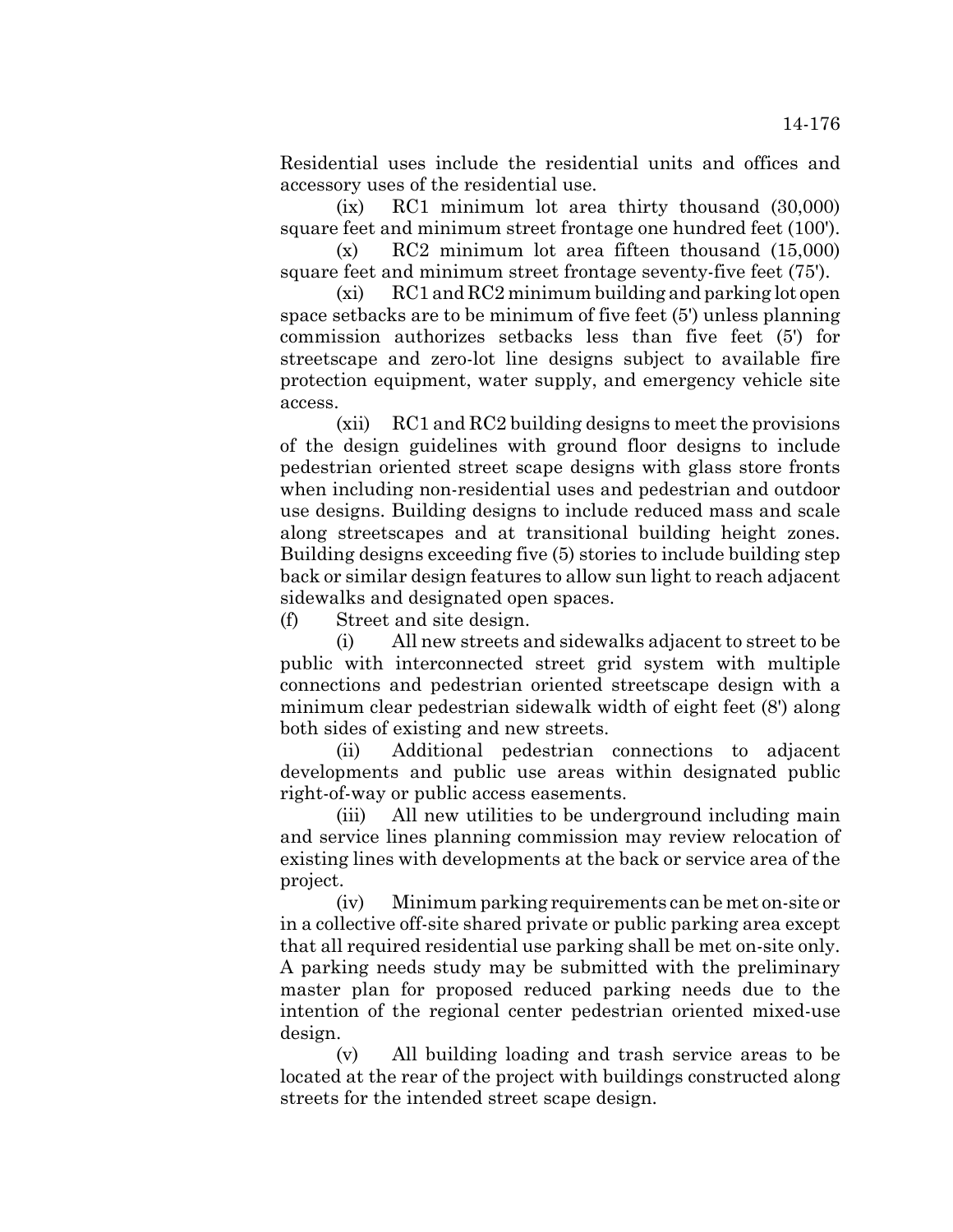Residential uses include the residential units and offices and accessory uses of the residential use.

(ix) RC1 minimum lot area thirty thousand (30,000) square feet and minimum street frontage one hundred feet (100').

(x) RC2 minimum lot area fifteen thousand (15,000) square feet and minimum street frontage seventy-five feet (75').

 $(xi)$  RC1 and RC2 minimum building and parking lot open space setbacks are to be minimum of five feet (5') unless planning commission authorizes setbacks less than five feet (5') for streetscape and zero-lot line designs subject to available fire protection equipment, water supply, and emergency vehicle site access.

(xii) RC1 and RC2 building designs to meet the provisions of the design guidelines with ground floor designs to include pedestrian oriented street scape designs with glass store fronts when including non-residential uses and pedestrian and outdoor use designs. Building designs to include reduced mass and scale along streetscapes and at transitional building height zones. Building designs exceeding five (5) stories to include building step back or similar design features to allow sun light to reach adjacent sidewalks and designated open spaces.

(f) Street and site design.

(i) All new streets and sidewalks adjacent to street to be public with interconnected street grid system with multiple connections and pedestrian oriented streetscape design with a minimum clear pedestrian sidewalk width of eight feet (8') along both sides of existing and new streets.

(ii) Additional pedestrian connections to adjacent developments and public use areas within designated public right-of-way or public access easements.

(iii) All new utilities to be underground including main and service lines planning commission may review relocation of existing lines with developments at the back or service area of the project.

(iv) Minimum parking requirements can be met on-site or in a collective off-site shared private or public parking area except that all required residential use parking shall be met on-site only. A parking needs study may be submitted with the preliminary master plan for proposed reduced parking needs due to the intention of the regional center pedestrian oriented mixed-use design.

(v) All building loading and trash service areas to be located at the rear of the project with buildings constructed along streets for the intended street scape design.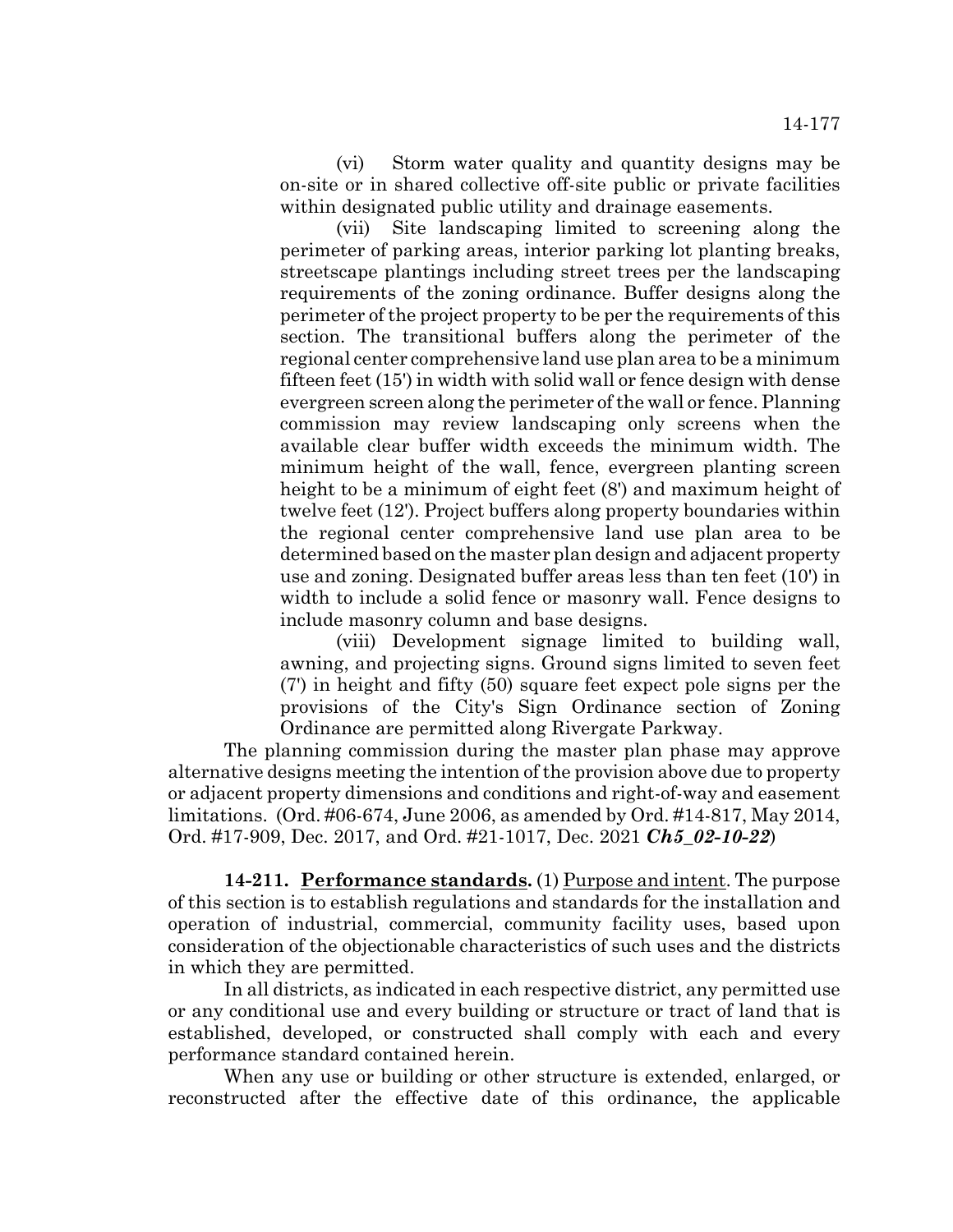(vi) Storm water quality and quantity designs may be on-site or in shared collective off-site public or private facilities within designated public utility and drainage easements.

(vii) Site landscaping limited to screening along the perimeter of parking areas, interior parking lot planting breaks, streetscape plantings including street trees per the landscaping requirements of the zoning ordinance. Buffer designs along the perimeter of the project property to be per the requirements of this section. The transitional buffers along the perimeter of the regional center comprehensive land use plan area to be a minimum fifteen feet (15') in width with solid wall or fence design with dense evergreen screen along the perimeter of the wall or fence. Planning commission may review landscaping only screens when the available clear buffer width exceeds the minimum width. The minimum height of the wall, fence, evergreen planting screen height to be a minimum of eight feet (8') and maximum height of twelve feet (12'). Project buffers along property boundaries within the regional center comprehensive land use plan area to be determined based on the master plan design and adjacent property use and zoning. Designated buffer areas less than ten feet (10') in width to include a solid fence or masonry wall. Fence designs to include masonry column and base designs.

(viii) Development signage limited to building wall, awning, and projecting signs. Ground signs limited to seven feet (7') in height and fifty (50) square feet expect pole signs per the provisions of the City's Sign Ordinance section of Zoning Ordinance are permitted along Rivergate Parkway.

The planning commission during the master plan phase may approve alternative designs meeting the intention of the provision above due to property or adjacent property dimensions and conditions and right-of-way and easement limitations. (Ord. #06-674, June 2006, as amended by Ord. #14-817, May 2014, Ord. #17-909, Dec. 2017, and Ord. #21-1017, Dec. 2021 *Ch5\_02-10-22*)

**14-211. Performance standards.** (1) Purpose and intent. The purpose of this section is to establish regulations and standards for the installation and operation of industrial, commercial, community facility uses, based upon consideration of the objectionable characteristics of such uses and the districts in which they are permitted.

In all districts, as indicated in each respective district, any permitted use or any conditional use and every building or structure or tract of land that is established, developed, or constructed shall comply with each and every performance standard contained herein.

When any use or building or other structure is extended, enlarged, or reconstructed after the effective date of this ordinance, the applicable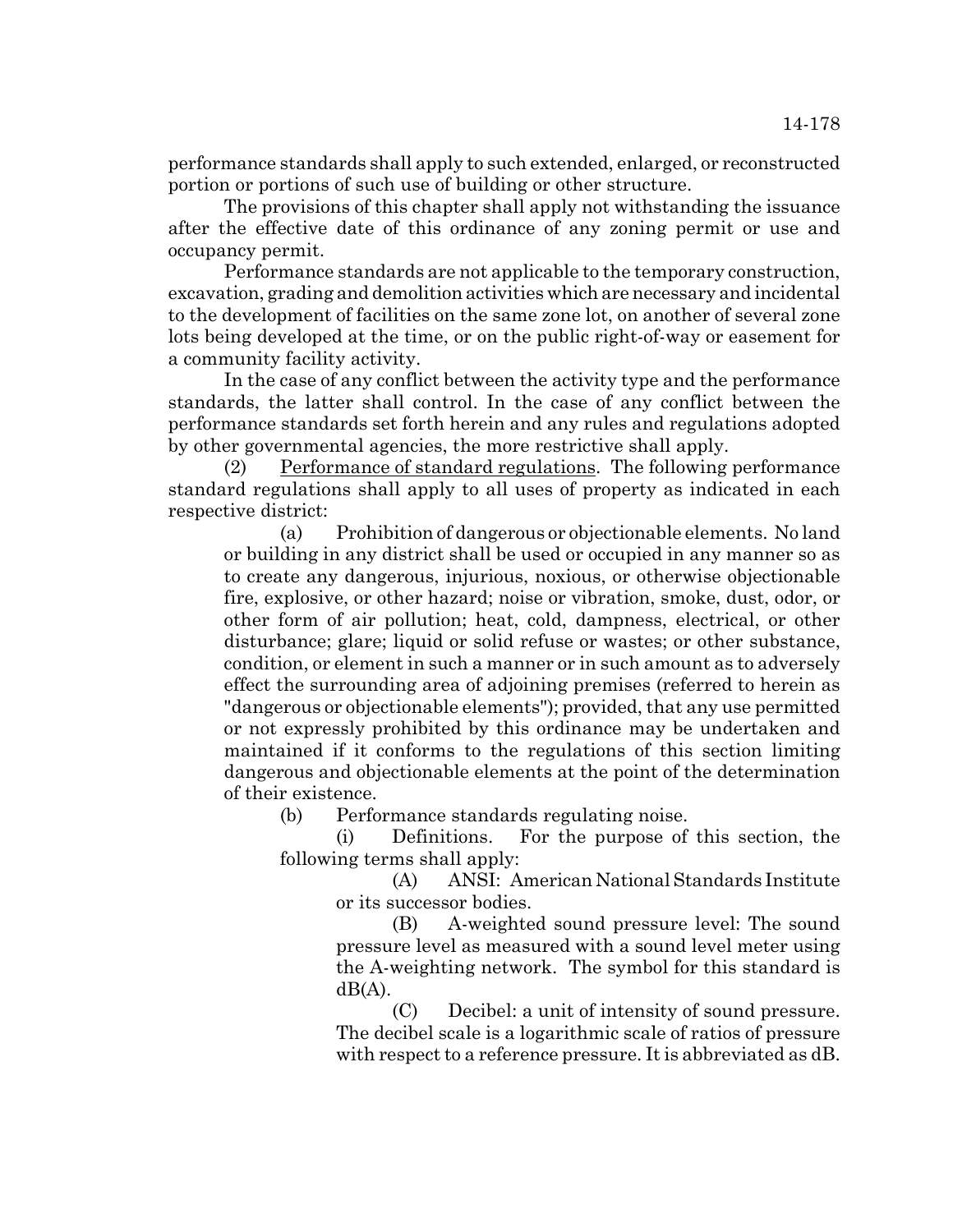performance standards shall apply to such extended, enlarged, or reconstructed portion or portions of such use of building or other structure.

The provisions of this chapter shall apply not withstanding the issuance after the effective date of this ordinance of any zoning permit or use and occupancy permit.

Performance standards are not applicable to the temporary construction, excavation, grading and demolition activities which are necessary and incidental to the development of facilities on the same zone lot, on another of several zone lots being developed at the time, or on the public right-of-way or easement for a community facility activity.

In the case of any conflict between the activity type and the performance standards, the latter shall control. In the case of any conflict between the performance standards set forth herein and any rules and regulations adopted by other governmental agencies, the more restrictive shall apply.

(2) Performance of standard regulations. The following performance standard regulations shall apply to all uses of property as indicated in each respective district:

(a) Prohibition of dangerous or objectionable elements. No land or building in any district shall be used or occupied in any manner so as to create any dangerous, injurious, noxious, or otherwise objectionable fire, explosive, or other hazard; noise or vibration, smoke, dust, odor, or other form of air pollution; heat, cold, dampness, electrical, or other disturbance; glare; liquid or solid refuse or wastes; or other substance, condition, or element in such a manner or in such amount as to adversely effect the surrounding area of adjoining premises (referred to herein as "dangerous or objectionable elements"); provided, that any use permitted or not expressly prohibited by this ordinance may be undertaken and maintained if it conforms to the regulations of this section limiting dangerous and objectionable elements at the point of the determination of their existence.

(b) Performance standards regulating noise.

(i) Definitions. For the purpose of this section, the following terms shall apply:

(A) ANSI: American National Standards Institute or its successor bodies.

(B) A-weighted sound pressure level: The sound pressure level as measured with a sound level meter using the A-weighting network. The symbol for this standard is  $dB(A)$ .

(C) Decibel: a unit of intensity of sound pressure. The decibel scale is a logarithmic scale of ratios of pressure with respect to a reference pressure. It is abbreviated as dB.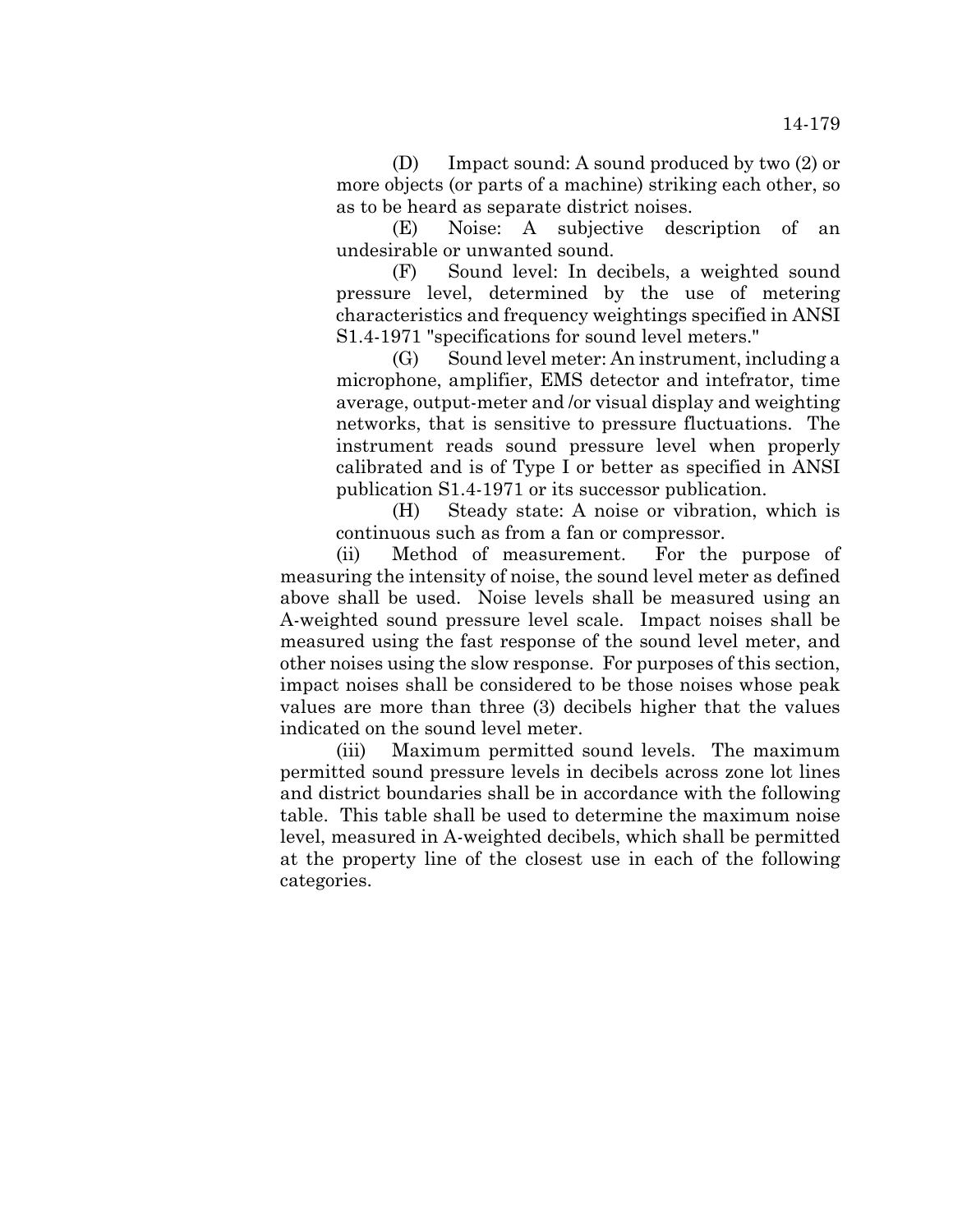(D) Impact sound: A sound produced by two (2) or more objects (or parts of a machine) striking each other, so as to be heard as separate district noises.

(E) Noise: A subjective description of an undesirable or unwanted sound.

(F) Sound level: In decibels, a weighted sound pressure level, determined by the use of metering characteristics and frequency weightings specified in ANSI S1.4-1971 "specifications for sound level meters."

(G) Sound level meter: An instrument, including a microphone, amplifier, EMS detector and intefrator, time average, output-meter and /or visual display and weighting networks, that is sensitive to pressure fluctuations. The instrument reads sound pressure level when properly calibrated and is of Type I or better as specified in ANSI publication S1.4-1971 or its successor publication.

(H) Steady state: A noise or vibration, which is continuous such as from a fan or compressor.

(ii) Method of measurement. For the purpose of measuring the intensity of noise, the sound level meter as defined above shall be used. Noise levels shall be measured using an A-weighted sound pressure level scale. Impact noises shall be measured using the fast response of the sound level meter, and other noises using the slow response. For purposes of this section, impact noises shall be considered to be those noises whose peak values are more than three (3) decibels higher that the values indicated on the sound level meter.

(iii) Maximum permitted sound levels. The maximum permitted sound pressure levels in decibels across zone lot lines and district boundaries shall be in accordance with the following table. This table shall be used to determine the maximum noise level, measured in A-weighted decibels, which shall be permitted at the property line of the closest use in each of the following categories.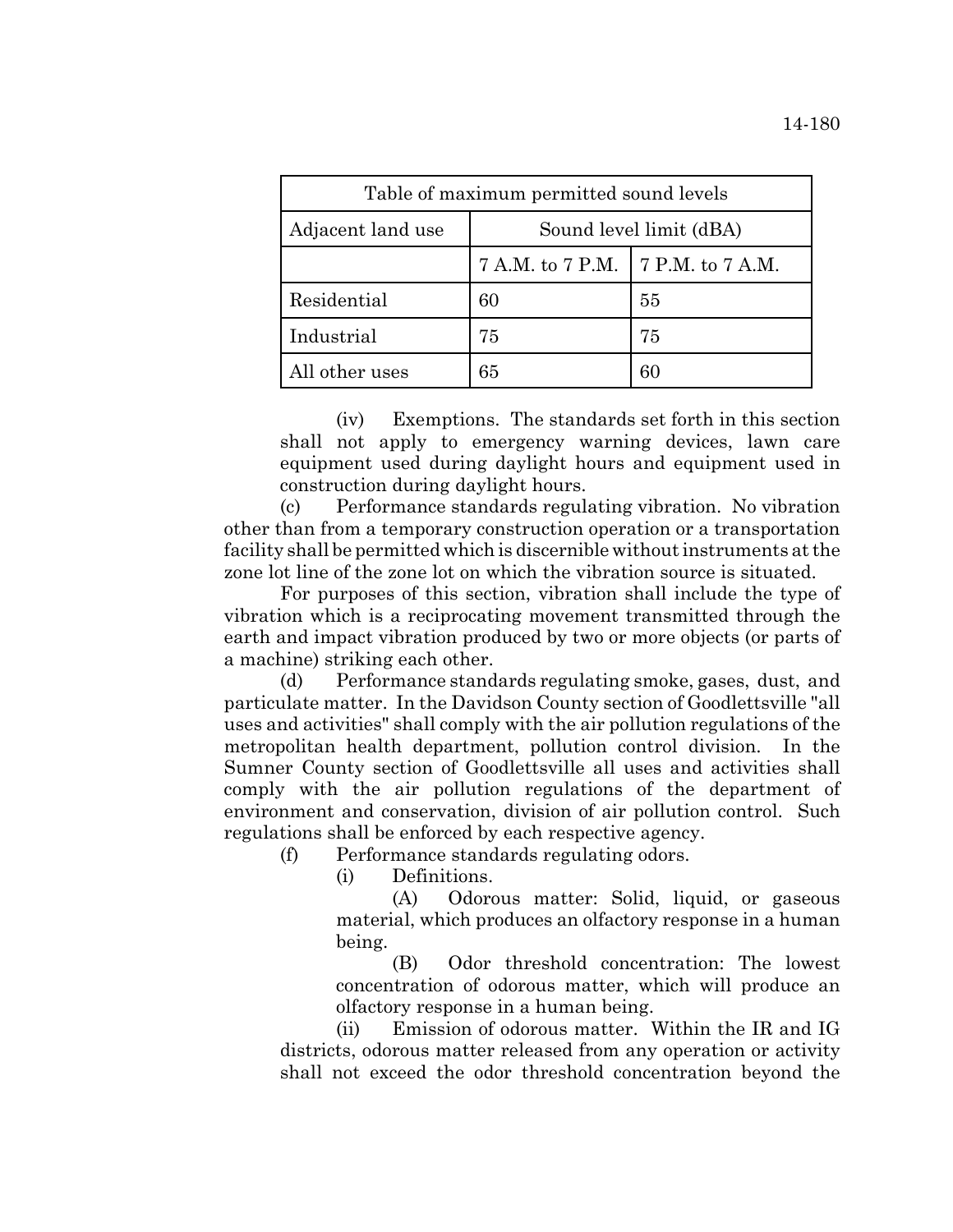| Table of maximum permitted sound levels |                                     |    |
|-----------------------------------------|-------------------------------------|----|
| Adjacent land use                       | Sound level limit (dBA)             |    |
|                                         | 7 A.M. to 7 P.M.   7 P.M. to 7 A.M. |    |
| Residential                             | 60                                  | 55 |
| Industrial                              | 75                                  | 75 |
| All other uses                          | 65                                  | 60 |

(iv) Exemptions. The standards set forth in this section shall not apply to emergency warning devices, lawn care equipment used during daylight hours and equipment used in construction during daylight hours.

(c) Performance standards regulating vibration. No vibration other than from a temporary construction operation or a transportation facility shall be permitted which is discernible without instruments at the zone lot line of the zone lot on which the vibration source is situated.

For purposes of this section, vibration shall include the type of vibration which is a reciprocating movement transmitted through the earth and impact vibration produced by two or more objects (or parts of a machine) striking each other.

(d) Performance standards regulating smoke, gases, dust, and particulate matter. In the Davidson County section of Goodlettsville "all uses and activities" shall comply with the air pollution regulations of the metropolitan health department, pollution control division. In the Sumner County section of Goodlettsville all uses and activities shall comply with the air pollution regulations of the department of environment and conservation, division of air pollution control. Such regulations shall be enforced by each respective agency.

(f) Performance standards regulating odors.

(i) Definitions.

(A) Odorous matter: Solid, liquid, or gaseous material, which produces an olfactory response in a human being.

(B) Odor threshold concentration: The lowest concentration of odorous matter, which will produce an olfactory response in a human being.

(ii) Emission of odorous matter. Within the IR and IG districts, odorous matter released from any operation or activity shall not exceed the odor threshold concentration beyond the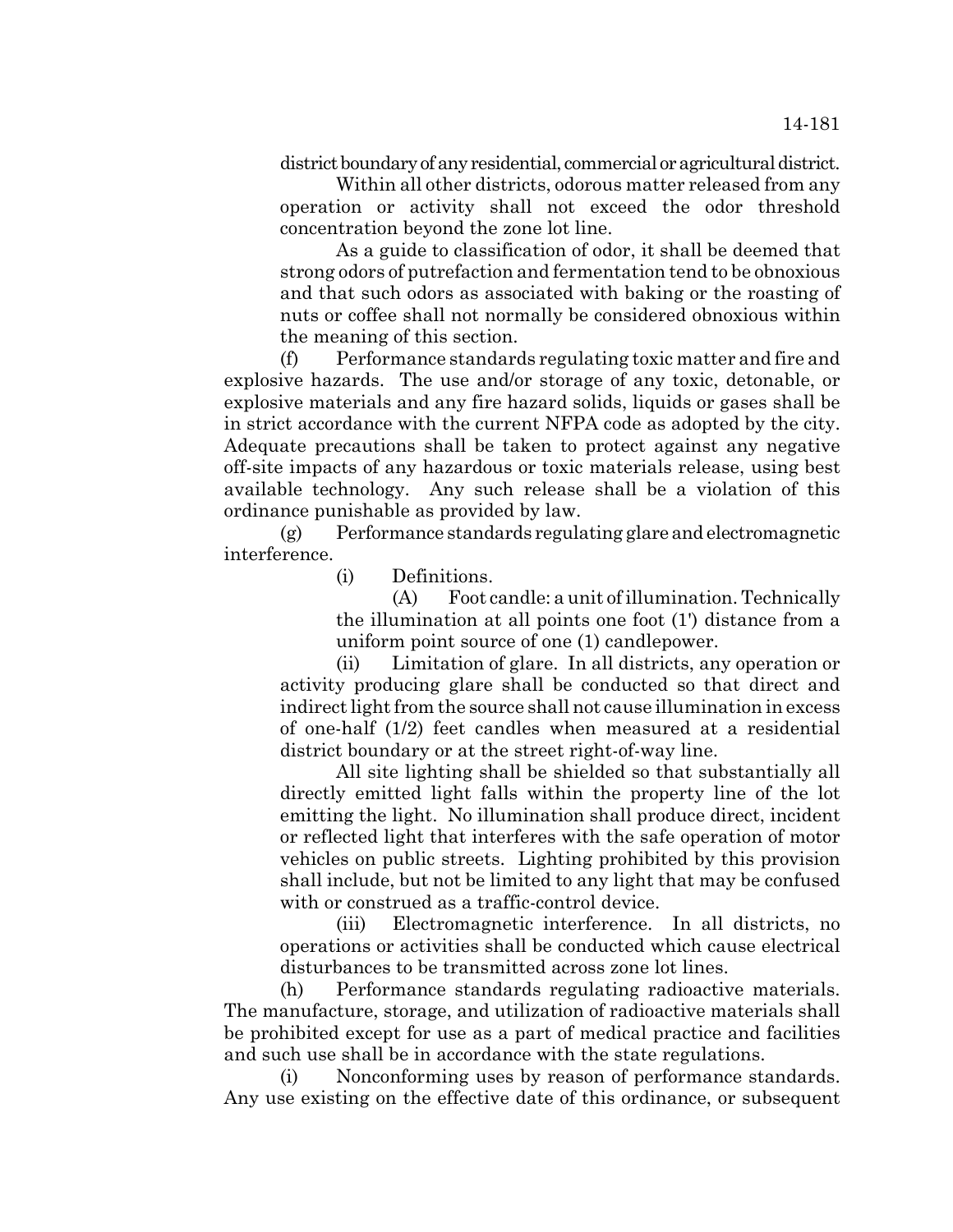district boundary of any residential, commercial or agricultural district.

Within all other districts, odorous matter released from any operation or activity shall not exceed the odor threshold concentration beyond the zone lot line.

As a guide to classification of odor, it shall be deemed that strong odors of putrefaction and fermentation tend to be obnoxious and that such odors as associated with baking or the roasting of nuts or coffee shall not normally be considered obnoxious within the meaning of this section.

(f) Performance standards regulating toxic matter and fire and explosive hazards. The use and/or storage of any toxic, detonable, or explosive materials and any fire hazard solids, liquids or gases shall be in strict accordance with the current NFPA code as adopted by the city. Adequate precautions shall be taken to protect against any negative off-site impacts of any hazardous or toxic materials release, using best available technology. Any such release shall be a violation of this ordinance punishable as provided by law.

(g) Performance standards regulating glare and electromagnetic interference.

(i) Definitions.

(A) Foot candle: a unit of illumination. Technically the illumination at all points one foot (1') distance from a uniform point source of one (1) candlepower.

(ii) Limitation of glare. In all districts, any operation or activity producing glare shall be conducted so that direct and indirect light from the source shall not cause illumination in excess of one-half (1/2) feet candles when measured at a residential district boundary or at the street right-of-way line.

All site lighting shall be shielded so that substantially all directly emitted light falls within the property line of the lot emitting the light. No illumination shall produce direct, incident or reflected light that interferes with the safe operation of motor vehicles on public streets. Lighting prohibited by this provision shall include, but not be limited to any light that may be confused with or construed as a traffic-control device.

(iii) Electromagnetic interference. In all districts, no operations or activities shall be conducted which cause electrical disturbances to be transmitted across zone lot lines.

(h) Performance standards regulating radioactive materials. The manufacture, storage, and utilization of radioactive materials shall be prohibited except for use as a part of medical practice and facilities and such use shall be in accordance with the state regulations.

(i) Nonconforming uses by reason of performance standards. Any use existing on the effective date of this ordinance, or subsequent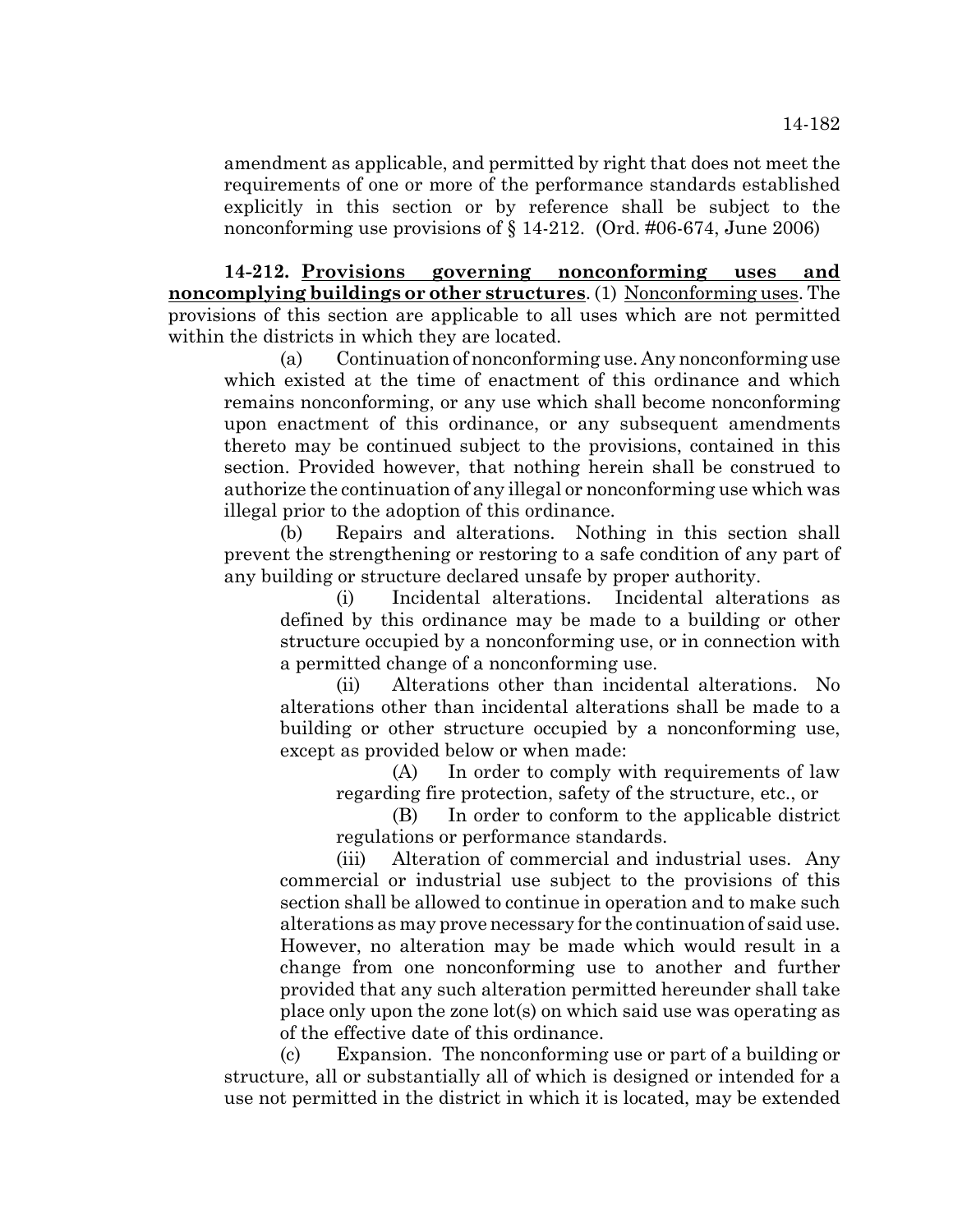amendment as applicable, and permitted by right that does not meet the requirements of one or more of the performance standards established explicitly in this section or by reference shall be subject to the nonconforming use provisions of § 14-212. (Ord. #06-674, June 2006)

**14-212. Provisions governing nonconforming uses and noncomplying buildings or other structures**. (1) Nonconforming uses. The provisions of this section are applicable to all uses which are not permitted within the districts in which they are located.

(a) Continuation of nonconforming use. Any nonconforming use which existed at the time of enactment of this ordinance and which remains nonconforming, or any use which shall become nonconforming upon enactment of this ordinance, or any subsequent amendments thereto may be continued subject to the provisions, contained in this section. Provided however, that nothing herein shall be construed to authorize the continuation of any illegal or nonconforming use which was illegal prior to the adoption of this ordinance.

(b) Repairs and alterations. Nothing in this section shall prevent the strengthening or restoring to a safe condition of any part of any building or structure declared unsafe by proper authority.

(i) Incidental alterations. Incidental alterations as defined by this ordinance may be made to a building or other structure occupied by a nonconforming use, or in connection with a permitted change of a nonconforming use.

(ii) Alterations other than incidental alterations. No alterations other than incidental alterations shall be made to a building or other structure occupied by a nonconforming use, except as provided below or when made:

(A) In order to comply with requirements of law regarding fire protection, safety of the structure, etc., or

(B) In order to conform to the applicable district regulations or performance standards.

(iii) Alteration of commercial and industrial uses. Any commercial or industrial use subject to the provisions of this section shall be allowed to continue in operation and to make such alterations as may prove necessary for the continuation of said use. However, no alteration may be made which would result in a change from one nonconforming use to another and further provided that any such alteration permitted hereunder shall take place only upon the zone lot(s) on which said use was operating as of the effective date of this ordinance.

(c) Expansion. The nonconforming use or part of a building or structure, all or substantially all of which is designed or intended for a use not permitted in the district in which it is located, may be extended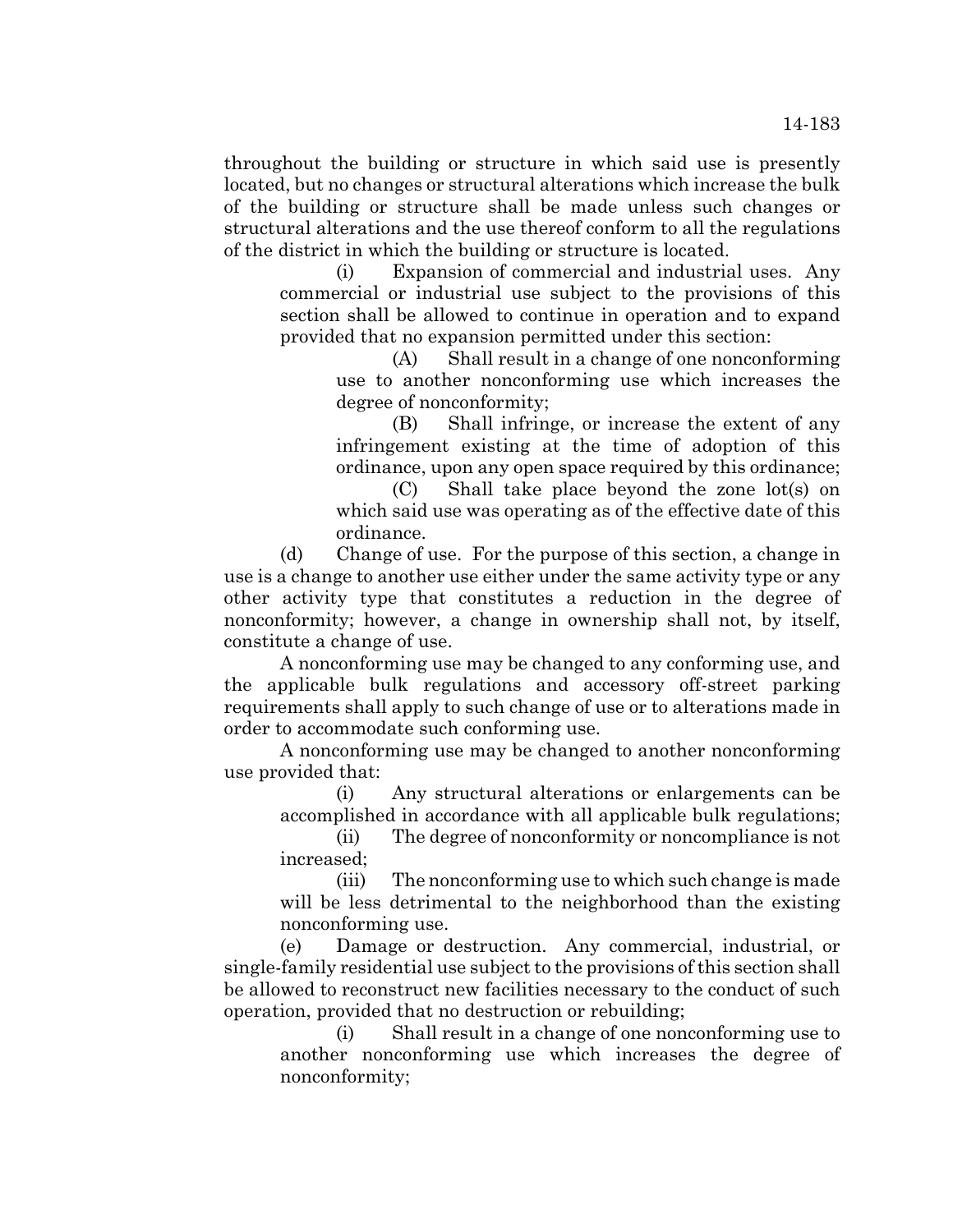throughout the building or structure in which said use is presently located, but no changes or structural alterations which increase the bulk of the building or structure shall be made unless such changes or structural alterations and the use thereof conform to all the regulations of the district in which the building or structure is located.

(i) Expansion of commercial and industrial uses. Any commercial or industrial use subject to the provisions of this section shall be allowed to continue in operation and to expand provided that no expansion permitted under this section:

(A) Shall result in a change of one nonconforming use to another nonconforming use which increases the degree of nonconformity;

(B) Shall infringe, or increase the extent of any infringement existing at the time of adoption of this ordinance, upon any open space required by this ordinance;

(C) Shall take place beyond the zone lot(s) on which said use was operating as of the effective date of this ordinance.

(d) Change of use. For the purpose of this section, a change in use is a change to another use either under the same activity type or any other activity type that constitutes a reduction in the degree of nonconformity; however, a change in ownership shall not, by itself, constitute a change of use.

A nonconforming use may be changed to any conforming use, and the applicable bulk regulations and accessory off-street parking requirements shall apply to such change of use or to alterations made in order to accommodate such conforming use.

A nonconforming use may be changed to another nonconforming use provided that:

(i) Any structural alterations or enlargements can be accomplished in accordance with all applicable bulk regulations;

(ii) The degree of nonconformity or noncompliance is not increased;

(iii) The nonconforming use to which such change is made will be less detrimental to the neighborhood than the existing nonconforming use.

(e) Damage or destruction. Any commercial, industrial, or single-family residential use subject to the provisions of this section shall be allowed to reconstruct new facilities necessary to the conduct of such operation, provided that no destruction or rebuilding;

(i) Shall result in a change of one nonconforming use to another nonconforming use which increases the degree of nonconformity;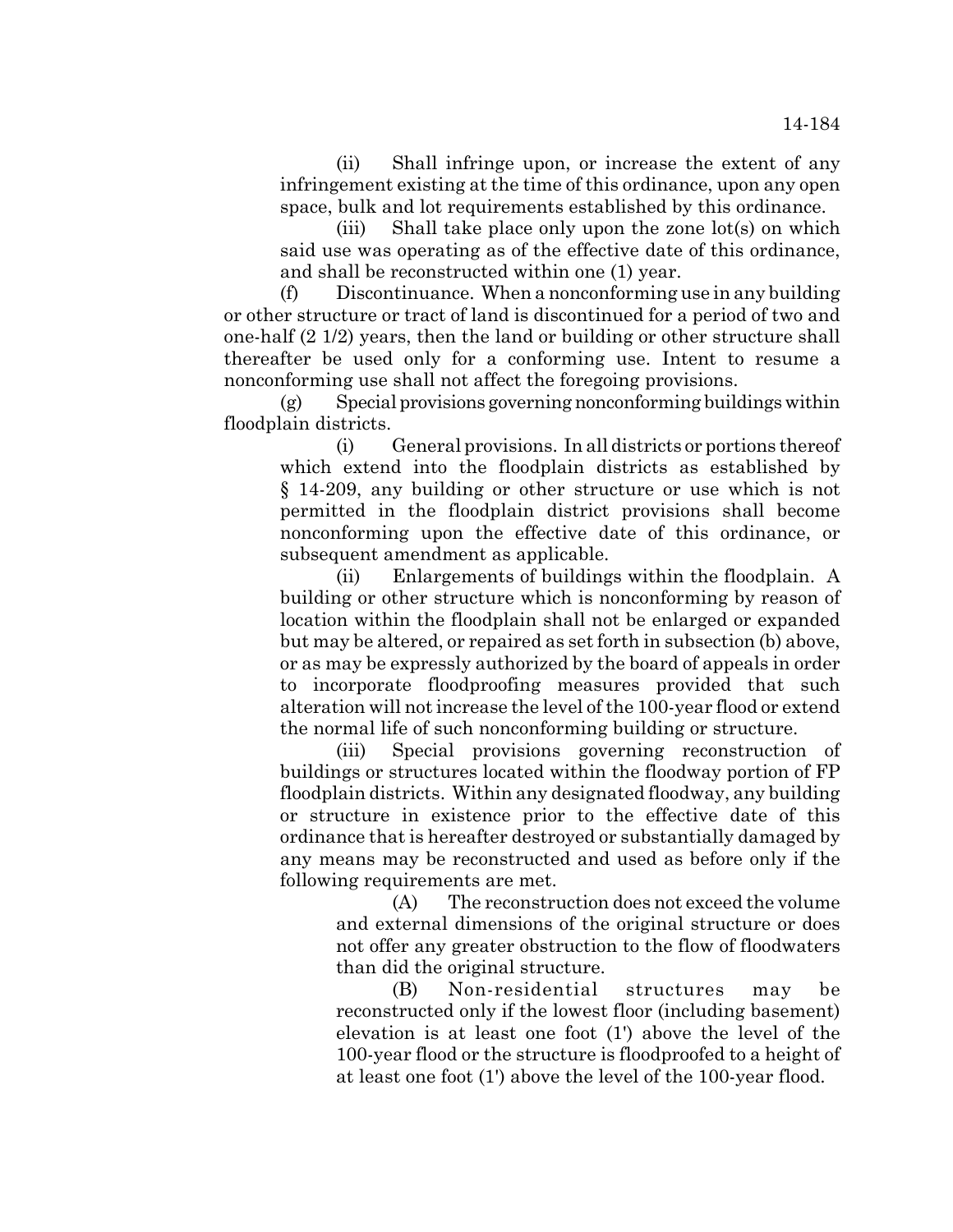(ii) Shall infringe upon, or increase the extent of any infringement existing at the time of this ordinance, upon any open space, bulk and lot requirements established by this ordinance.

(iii) Shall take place only upon the zone lot(s) on which said use was operating as of the effective date of this ordinance, and shall be reconstructed within one (1) year.

(f) Discontinuance. When a nonconforming use in any building or other structure or tract of land is discontinued for a period of two and one-half (2 1/2) years, then the land or building or other structure shall thereafter be used only for a conforming use. Intent to resume a nonconforming use shall not affect the foregoing provisions.

(g) Special provisions governing nonconforming buildings within floodplain districts.

(i) General provisions. In all districts or portions thereof which extend into the floodplain districts as established by § 14-209, any building or other structure or use which is not permitted in the floodplain district provisions shall become nonconforming upon the effective date of this ordinance, or subsequent amendment as applicable.

(ii) Enlargements of buildings within the floodplain. A building or other structure which is nonconforming by reason of location within the floodplain shall not be enlarged or expanded but may be altered, or repaired as set forth in subsection (b) above, or as may be expressly authorized by the board of appeals in order to incorporate floodproofing measures provided that such alteration will not increase the level of the 100-year flood or extend the normal life of such nonconforming building or structure.

(iii) Special provisions governing reconstruction of buildings or structures located within the floodway portion of FP floodplain districts. Within any designated floodway, any building or structure in existence prior to the effective date of this ordinance that is hereafter destroyed or substantially damaged by any means may be reconstructed and used as before only if the following requirements are met.

(A) The reconstruction does not exceed the volume and external dimensions of the original structure or does not offer any greater obstruction to the flow of floodwaters than did the original structure.

(B) Non-residential structures may be reconstructed only if the lowest floor (including basement) elevation is at least one foot (1') above the level of the 100-year flood or the structure is floodproofed to a height of at least one foot (1') above the level of the 100-year flood.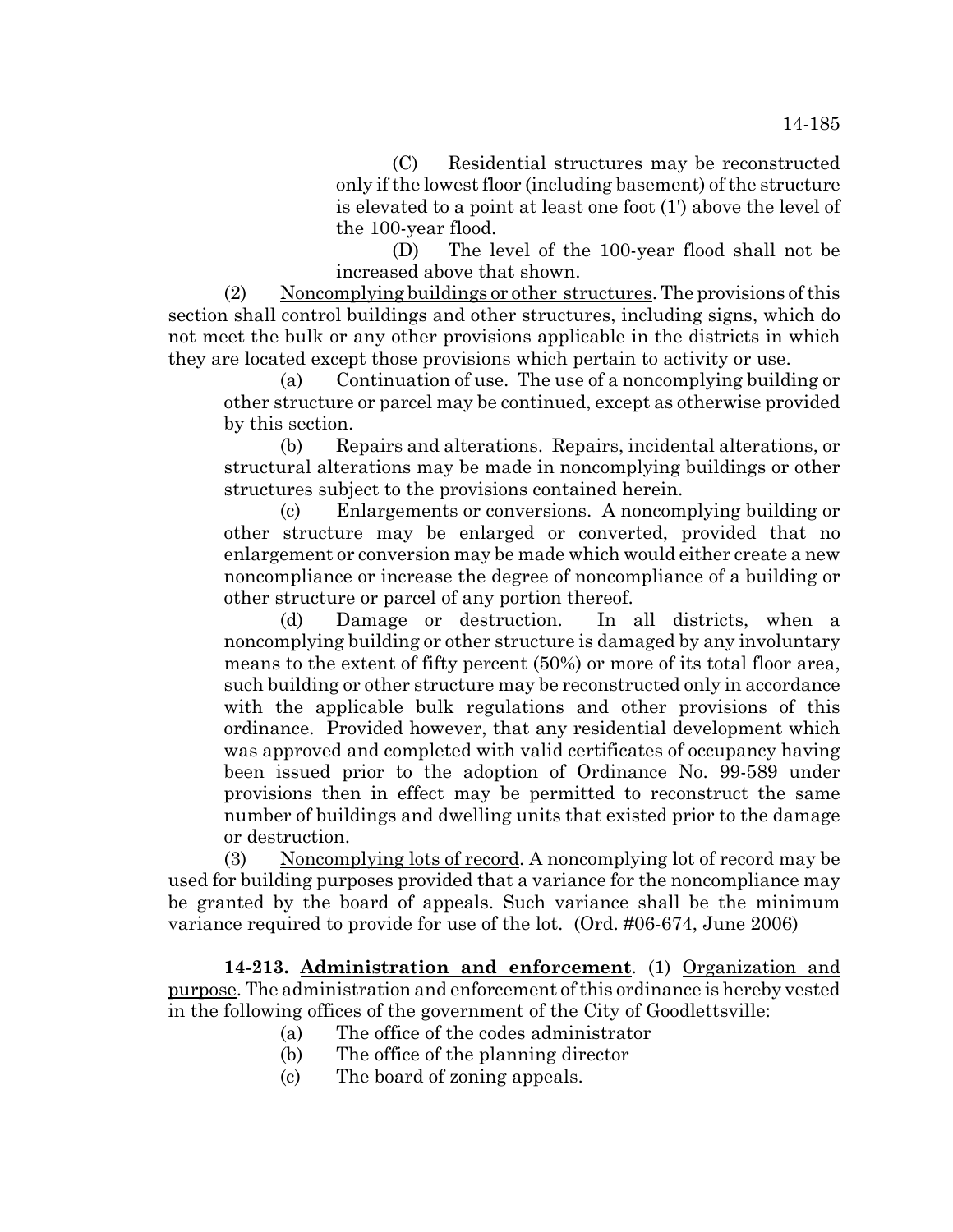(C) Residential structures may be reconstructed only if the lowest floor (including basement) of the structure is elevated to a point at least one foot (1') above the level of the 100-year flood.

(D) The level of the 100-year flood shall not be increased above that shown.

(2) Noncomplying buildings or other structures. The provisions of this section shall control buildings and other structures, including signs, which do not meet the bulk or any other provisions applicable in the districts in which they are located except those provisions which pertain to activity or use.

(a) Continuation of use. The use of a noncomplying building or other structure or parcel may be continued, except as otherwise provided by this section.

(b) Repairs and alterations. Repairs, incidental alterations, or structural alterations may be made in noncomplying buildings or other structures subject to the provisions contained herein.

(c) Enlargements or conversions. A noncomplying building or other structure may be enlarged or converted, provided that no enlargement or conversion may be made which would either create a new noncompliance or increase the degree of noncompliance of a building or other structure or parcel of any portion thereof.

(d) Damage or destruction. In all districts, when a noncomplying building or other structure is damaged by any involuntary means to the extent of fifty percent (50%) or more of its total floor area, such building or other structure may be reconstructed only in accordance with the applicable bulk regulations and other provisions of this ordinance. Provided however, that any residential development which was approved and completed with valid certificates of occupancy having been issued prior to the adoption of Ordinance No. 99-589 under provisions then in effect may be permitted to reconstruct the same number of buildings and dwelling units that existed prior to the damage or destruction.

(3) Noncomplying lots of record. A noncomplying lot of record may be used for building purposes provided that a variance for the noncompliance may be granted by the board of appeals. Such variance shall be the minimum variance required to provide for use of the lot. (Ord. #06-674, June 2006)

**14-213. Administration and enforcement**. (1) Organization and purpose. The administration and enforcement of this ordinance is hereby vested in the following offices of the government of the City of Goodlettsville:

- (a) The office of the codes administrator
- (b) The office of the planning director
- (c) The board of zoning appeals.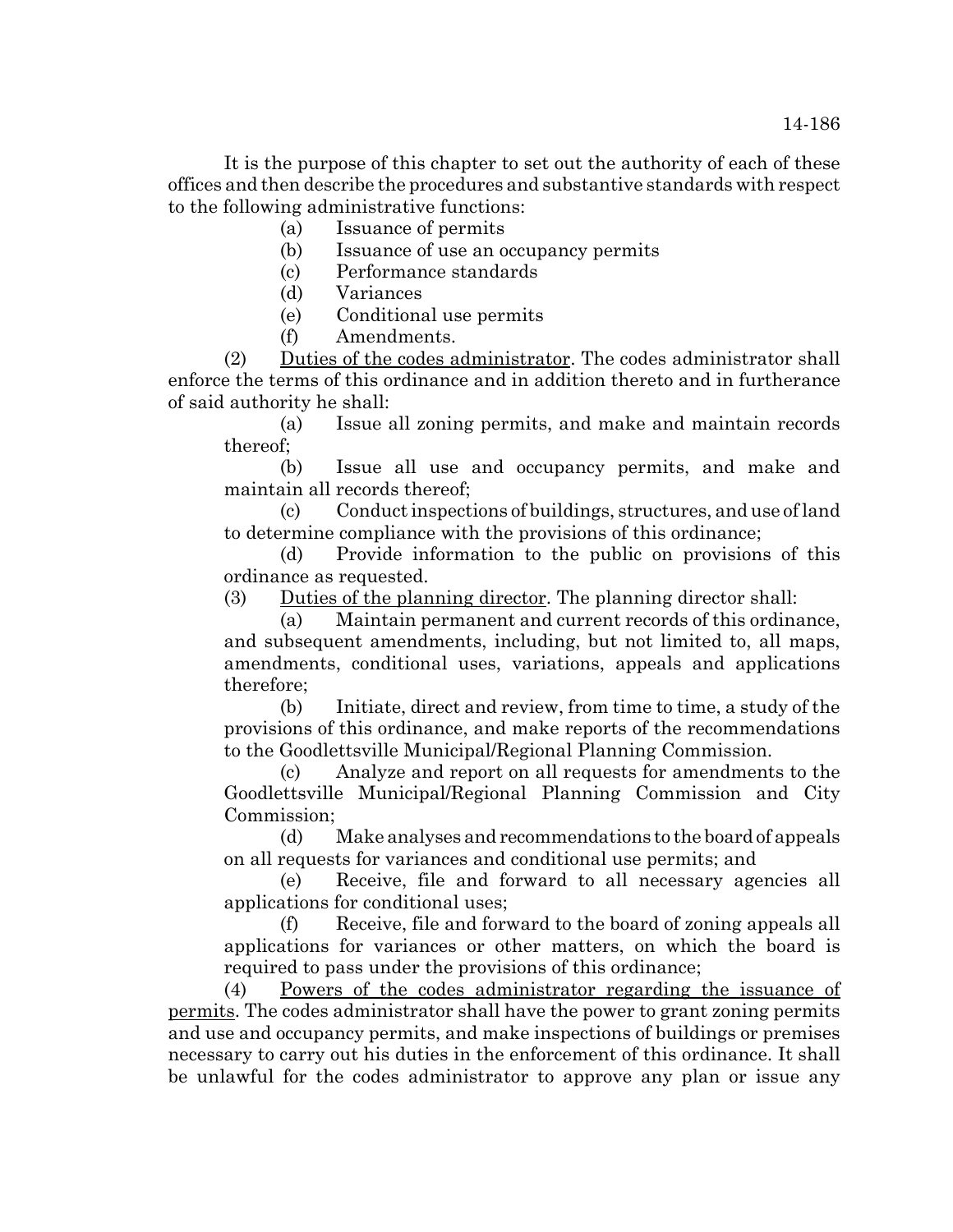It is the purpose of this chapter to set out the authority of each of these offices and then describe the procedures and substantive standards with respect to the following administrative functions:

- (a) Issuance of permits
- (b) Issuance of use an occupancy permits
- (c) Performance standards
- (d) Variances
- (e) Conditional use permits
- (f) Amendments.

(2) Duties of the codes administrator. The codes administrator shall enforce the terms of this ordinance and in addition thereto and in furtherance of said authority he shall:

(a) Issue all zoning permits, and make and maintain records thereof;

(b) Issue all use and occupancy permits, and make and maintain all records thereof;

(c) Conduct inspections of buildings, structures, and use of land to determine compliance with the provisions of this ordinance;

(d) Provide information to the public on provisions of this ordinance as requested.

(3) Duties of the planning director. The planning director shall:

(a) Maintain permanent and current records of this ordinance, and subsequent amendments, including, but not limited to, all maps, amendments, conditional uses, variations, appeals and applications therefore;

(b) Initiate, direct and review, from time to time, a study of the provisions of this ordinance, and make reports of the recommendations to the Goodlettsville Municipal/Regional Planning Commission.

(c) Analyze and report on all requests for amendments to the Goodlettsville Municipal/Regional Planning Commission and City Commission;

(d) Make analyses and recommendations to the board of appeals on all requests for variances and conditional use permits; and

(e) Receive, file and forward to all necessary agencies all applications for conditional uses;

(f) Receive, file and forward to the board of zoning appeals all applications for variances or other matters, on which the board is required to pass under the provisions of this ordinance;

(4) Powers of the codes administrator regarding the issuance of permits. The codes administrator shall have the power to grant zoning permits and use and occupancy permits, and make inspections of buildings or premises necessary to carry out his duties in the enforcement of this ordinance. It shall be unlawful for the codes administrator to approve any plan or issue any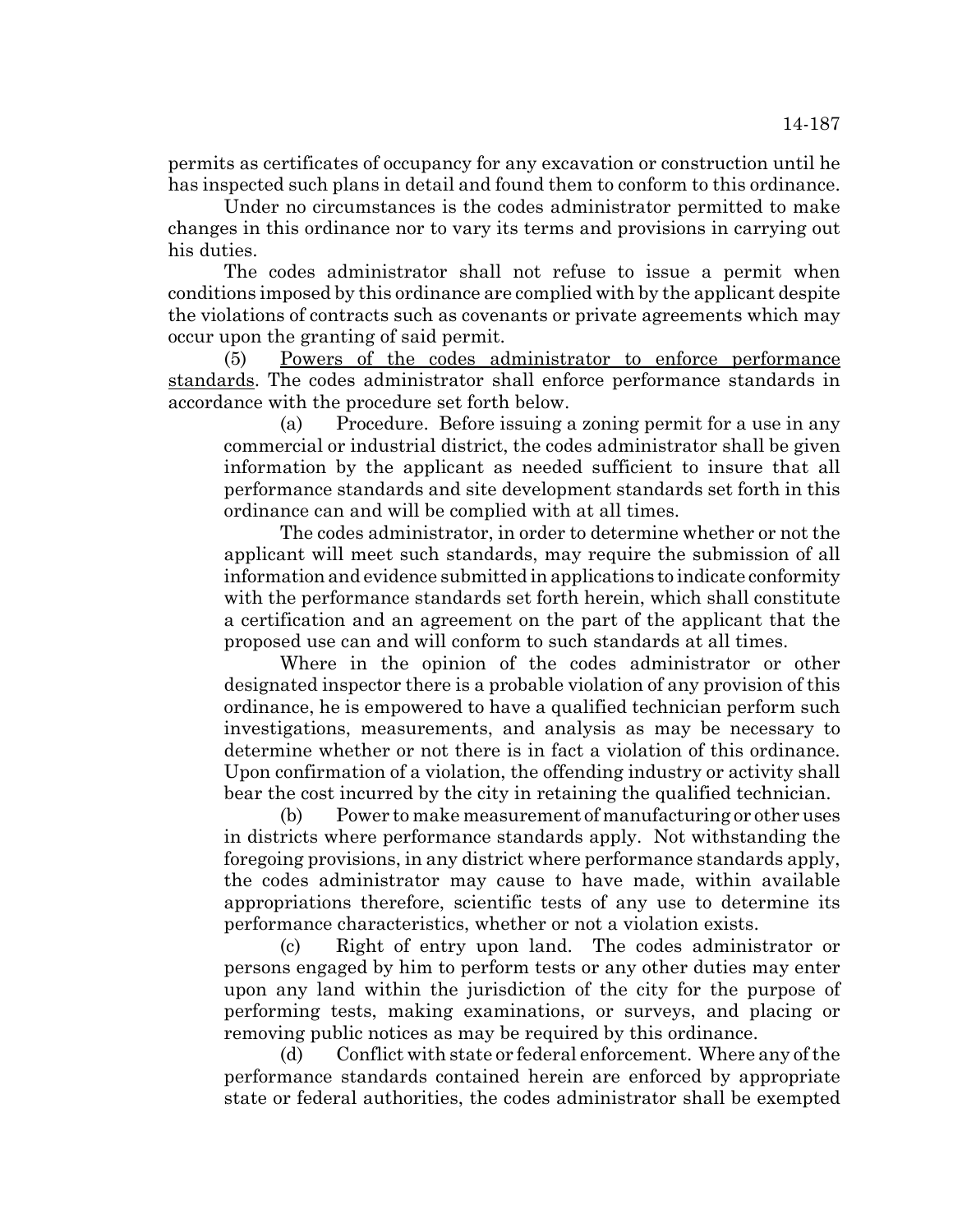permits as certificates of occupancy for any excavation or construction until he has inspected such plans in detail and found them to conform to this ordinance.

Under no circumstances is the codes administrator permitted to make changes in this ordinance nor to vary its terms and provisions in carrying out his duties.

The codes administrator shall not refuse to issue a permit when conditions imposed by this ordinance are complied with by the applicant despite the violations of contracts such as covenants or private agreements which may occur upon the granting of said permit.

(5) Powers of the codes administrator to enforce performance standards. The codes administrator shall enforce performance standards in accordance with the procedure set forth below.

(a) Procedure. Before issuing a zoning permit for a use in any commercial or industrial district, the codes administrator shall be given information by the applicant as needed sufficient to insure that all performance standards and site development standards set forth in this ordinance can and will be complied with at all times.

The codes administrator, in order to determine whether or not the applicant will meet such standards, may require the submission of all information and evidence submitted in applications to indicate conformity with the performance standards set forth herein, which shall constitute a certification and an agreement on the part of the applicant that the proposed use can and will conform to such standards at all times.

Where in the opinion of the codes administrator or other designated inspector there is a probable violation of any provision of this ordinance, he is empowered to have a qualified technician perform such investigations, measurements, and analysis as may be necessary to determine whether or not there is in fact a violation of this ordinance. Upon confirmation of a violation, the offending industry or activity shall bear the cost incurred by the city in retaining the qualified technician.

(b) Power to make measurement of manufacturing or other uses in districts where performance standards apply. Not withstanding the foregoing provisions, in any district where performance standards apply, the codes administrator may cause to have made, within available appropriations therefore, scientific tests of any use to determine its performance characteristics, whether or not a violation exists.

(c) Right of entry upon land. The codes administrator or persons engaged by him to perform tests or any other duties may enter upon any land within the jurisdiction of the city for the purpose of performing tests, making examinations, or surveys, and placing or removing public notices as may be required by this ordinance.

(d) Conflict with state or federal enforcement. Where any of the performance standards contained herein are enforced by appropriate state or federal authorities, the codes administrator shall be exempted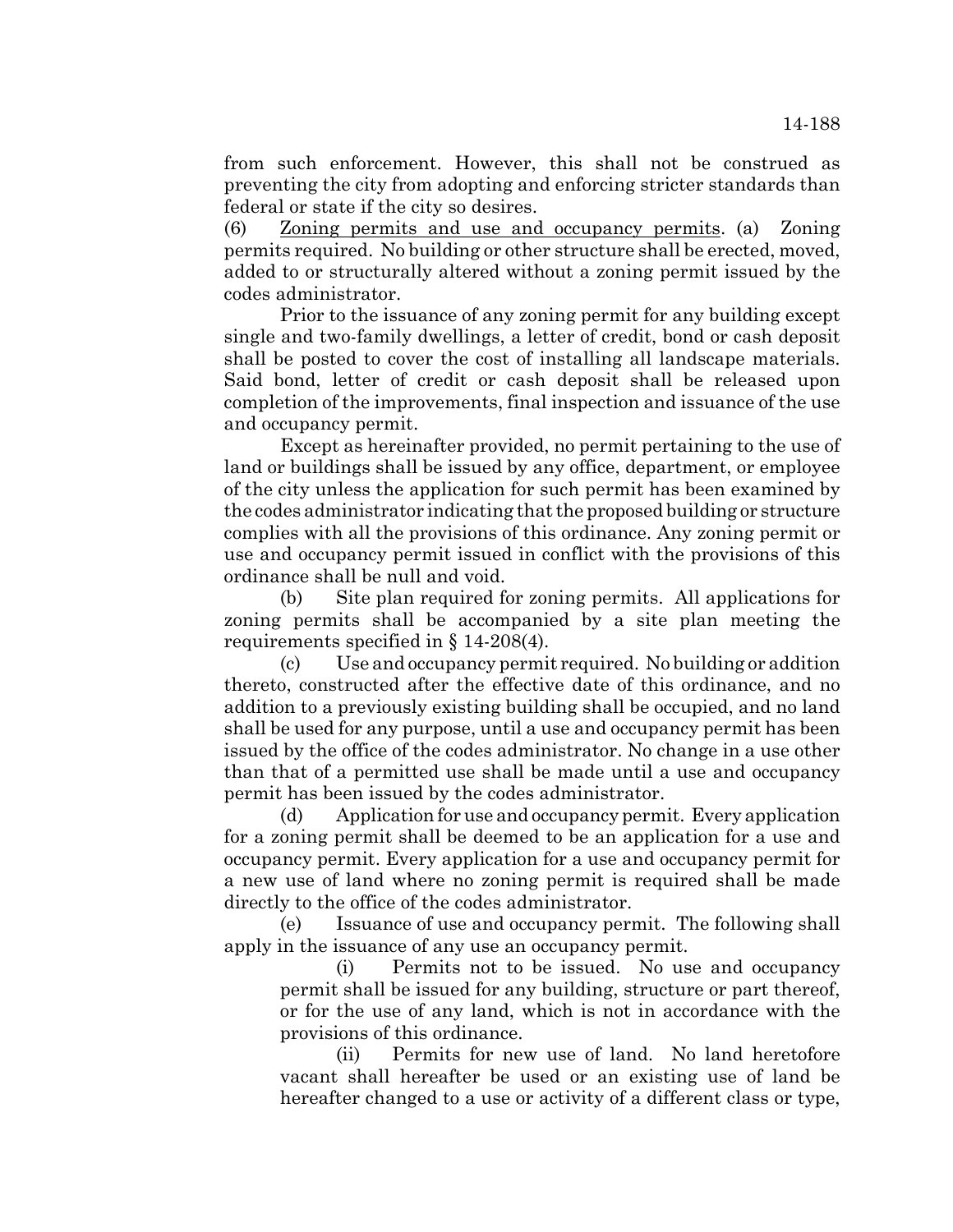from such enforcement. However, this shall not be construed as preventing the city from adopting and enforcing stricter standards than federal or state if the city so desires.

(6) Zoning permits and use and occupancy permits. (a) Zoning permits required. No building or other structure shall be erected, moved, added to or structurally altered without a zoning permit issued by the codes administrator.

Prior to the issuance of any zoning permit for any building except single and two-family dwellings, a letter of credit, bond or cash deposit shall be posted to cover the cost of installing all landscape materials. Said bond, letter of credit or cash deposit shall be released upon completion of the improvements, final inspection and issuance of the use and occupancy permit.

Except as hereinafter provided, no permit pertaining to the use of land or buildings shall be issued by any office, department, or employee of the city unless the application for such permit has been examined by the codes administrator indicating that the proposed building or structure complies with all the provisions of this ordinance. Any zoning permit or use and occupancy permit issued in conflict with the provisions of this ordinance shall be null and void.

(b) Site plan required for zoning permits. All applications for zoning permits shall be accompanied by a site plan meeting the requirements specified in § 14-208(4).

(c) Use and occupancy permit required. No building or addition thereto, constructed after the effective date of this ordinance, and no addition to a previously existing building shall be occupied, and no land shall be used for any purpose, until a use and occupancy permit has been issued by the office of the codes administrator. No change in a use other than that of a permitted use shall be made until a use and occupancy permit has been issued by the codes administrator.

(d) Application for use and occupancy permit. Every application for a zoning permit shall be deemed to be an application for a use and occupancy permit. Every application for a use and occupancy permit for a new use of land where no zoning permit is required shall be made directly to the office of the codes administrator.

(e) Issuance of use and occupancy permit. The following shall apply in the issuance of any use an occupancy permit.

(i) Permits not to be issued. No use and occupancy permit shall be issued for any building, structure or part thereof, or for the use of any land, which is not in accordance with the provisions of this ordinance.

(ii) Permits for new use of land. No land heretofore vacant shall hereafter be used or an existing use of land be hereafter changed to a use or activity of a different class or type,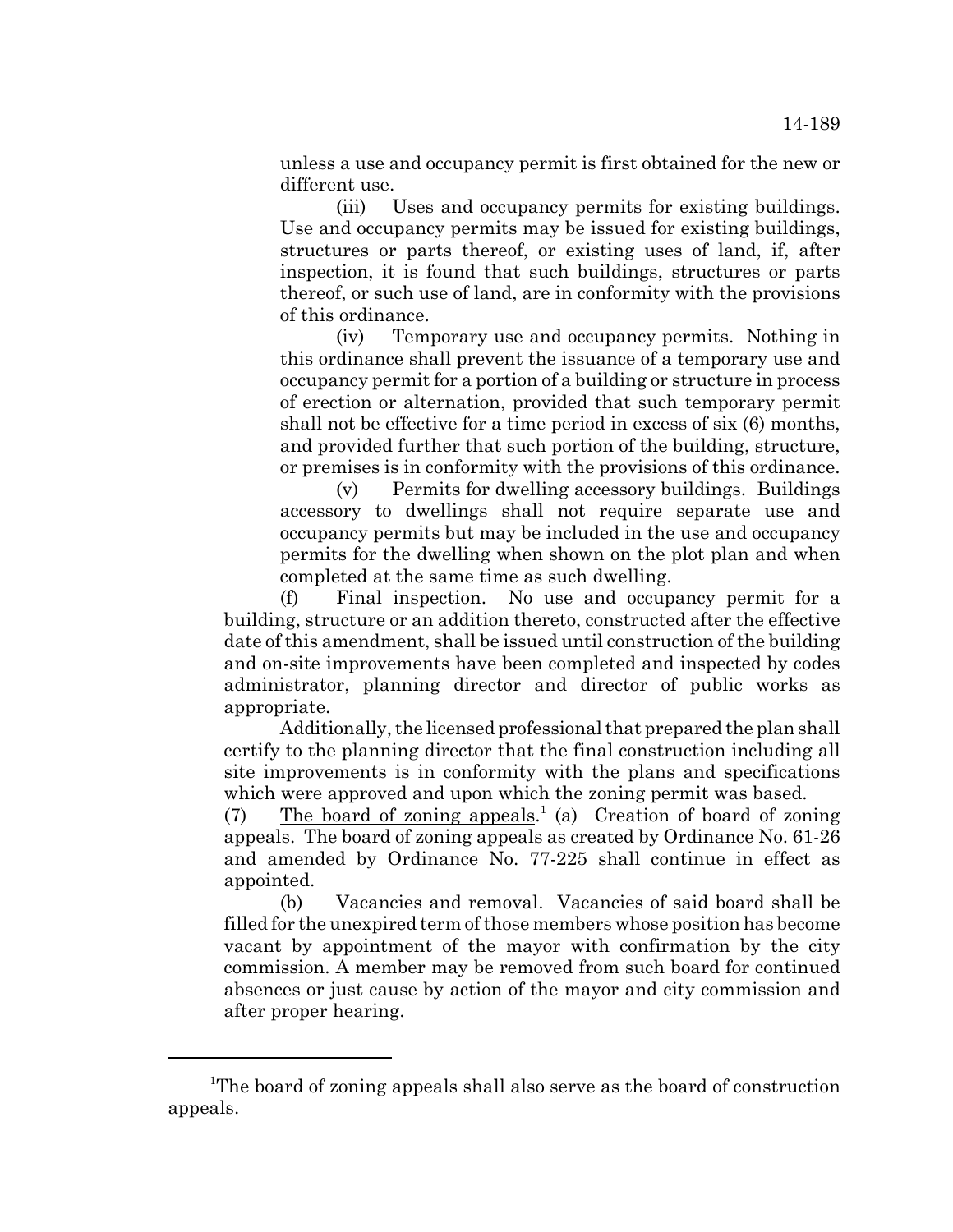unless a use and occupancy permit is first obtained for the new or different use.

(iii) Uses and occupancy permits for existing buildings. Use and occupancy permits may be issued for existing buildings, structures or parts thereof, or existing uses of land, if, after inspection, it is found that such buildings, structures or parts thereof, or such use of land, are in conformity with the provisions of this ordinance.

(iv) Temporary use and occupancy permits. Nothing in this ordinance shall prevent the issuance of a temporary use and occupancy permit for a portion of a building or structure in process of erection or alternation, provided that such temporary permit shall not be effective for a time period in excess of six (6) months, and provided further that such portion of the building, structure, or premises is in conformity with the provisions of this ordinance.

(v) Permits for dwelling accessory buildings. Buildings accessory to dwellings shall not require separate use and occupancy permits but may be included in the use and occupancy permits for the dwelling when shown on the plot plan and when completed at the same time as such dwelling.

(f) Final inspection. No use and occupancy permit for a building, structure or an addition thereto, constructed after the effective date of this amendment, shall be issued until construction of the building and on-site improvements have been completed and inspected by codes administrator, planning director and director of public works as appropriate.

Additionally, the licensed professional that prepared the plan shall certify to the planning director that the final construction including all site improvements is in conformity with the plans and specifications which were approved and upon which the zoning permit was based.

(7) The board of zoning appeals.<sup>1</sup> (a) Creation of board of zoning appeals. The board of zoning appeals as created by Ordinance No. 61-26 and amended by Ordinance No. 77-225 shall continue in effect as appointed.

(b) Vacancies and removal. Vacancies of said board shall be filled for the unexpired term of those members whose position has become vacant by appointment of the mayor with confirmation by the city commission. A member may be removed from such board for continued absences or just cause by action of the mayor and city commission and after proper hearing.

<sup>&</sup>lt;sup>1</sup>The board of zoning appeals shall also serve as the board of construction appeals.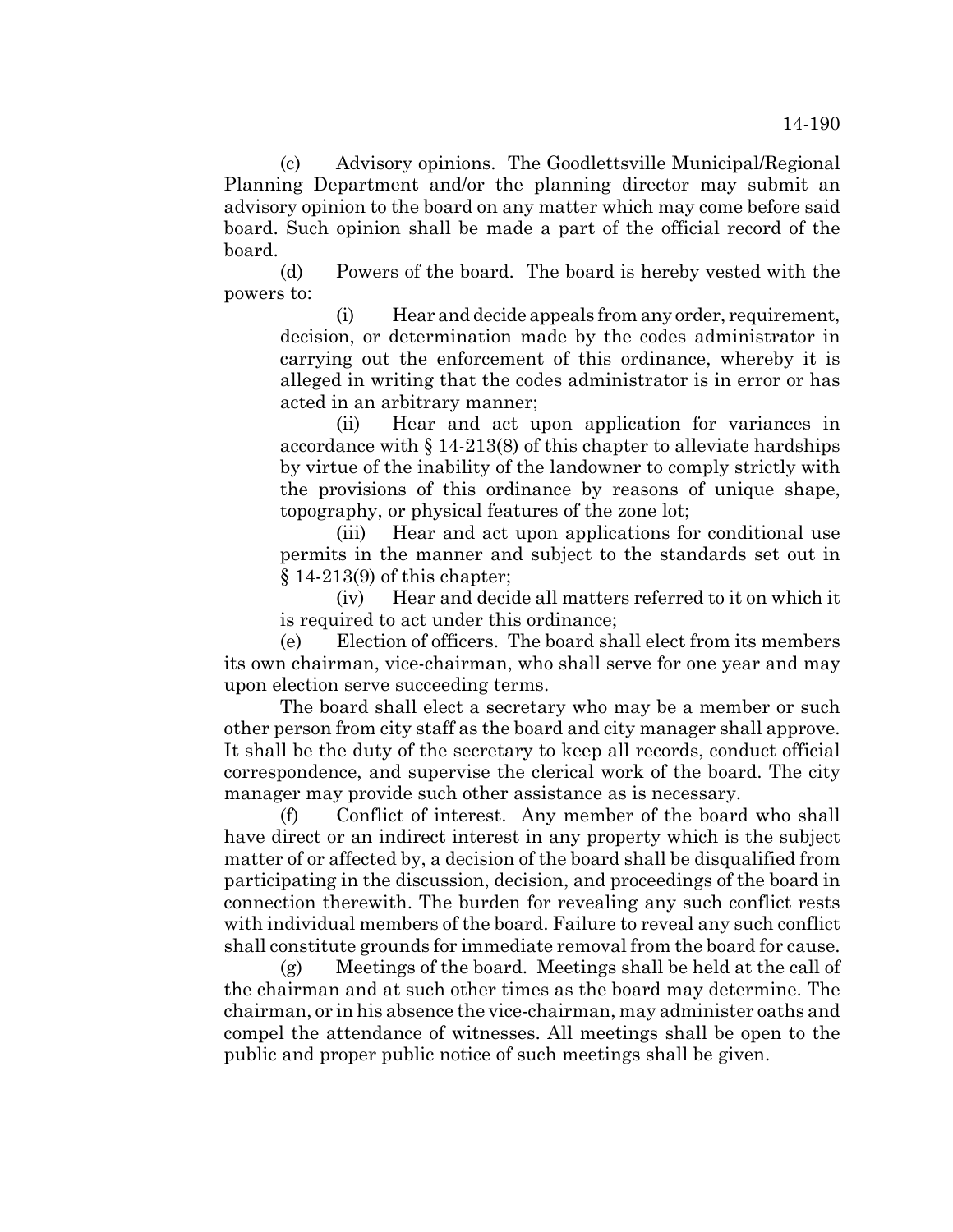(c) Advisory opinions. The Goodlettsville Municipal/Regional Planning Department and/or the planning director may submit an advisory opinion to the board on any matter which may come before said board. Such opinion shall be made a part of the official record of the board.

(d) Powers of the board. The board is hereby vested with the powers to:

(i) Hear and decide appeals from any order, requirement, decision, or determination made by the codes administrator in carrying out the enforcement of this ordinance, whereby it is alleged in writing that the codes administrator is in error or has acted in an arbitrary manner;

(ii) Hear and act upon application for variances in accordance with § 14-213(8) of this chapter to alleviate hardships by virtue of the inability of the landowner to comply strictly with the provisions of this ordinance by reasons of unique shape, topography, or physical features of the zone lot;

(iii) Hear and act upon applications for conditional use permits in the manner and subject to the standards set out in § 14-213(9) of this chapter;

(iv) Hear and decide all matters referred to it on which it is required to act under this ordinance;

(e) Election of officers. The board shall elect from its members its own chairman, vice-chairman, who shall serve for one year and may upon election serve succeeding terms.

The board shall elect a secretary who may be a member or such other person from city staff as the board and city manager shall approve. It shall be the duty of the secretary to keep all records, conduct official correspondence, and supervise the clerical work of the board. The city manager may provide such other assistance as is necessary.

(f) Conflict of interest. Any member of the board who shall have direct or an indirect interest in any property which is the subject matter of or affected by, a decision of the board shall be disqualified from participating in the discussion, decision, and proceedings of the board in connection therewith. The burden for revealing any such conflict rests with individual members of the board. Failure to reveal any such conflict shall constitute grounds for immediate removal from the board for cause.

(g) Meetings of the board. Meetings shall be held at the call of the chairman and at such other times as the board may determine. The chairman, or in his absence the vice-chairman, may administer oaths and compel the attendance of witnesses. All meetings shall be open to the public and proper public notice of such meetings shall be given.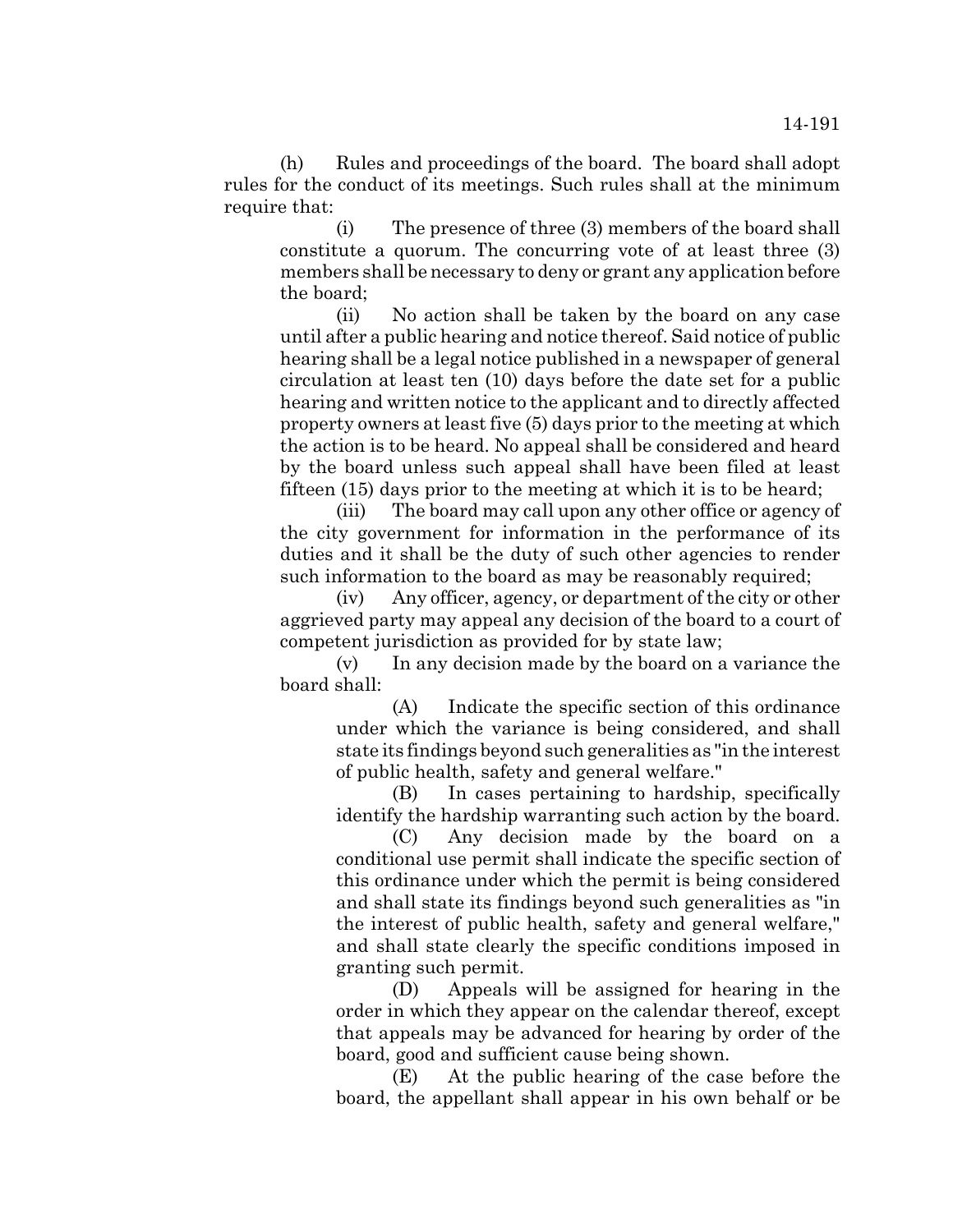(h) Rules and proceedings of the board. The board shall adopt rules for the conduct of its meetings. Such rules shall at the minimum require that:

(i) The presence of three (3) members of the board shall constitute a quorum. The concurring vote of at least three (3) members shall be necessary to deny or grant any application before the board;

(ii) No action shall be taken by the board on any case until after a public hearing and notice thereof. Said notice of public hearing shall be a legal notice published in a newspaper of general circulation at least ten (10) days before the date set for a public hearing and written notice to the applicant and to directly affected property owners at least five (5) days prior to the meeting at which the action is to be heard. No appeal shall be considered and heard by the board unless such appeal shall have been filed at least fifteen (15) days prior to the meeting at which it is to be heard;

(iii) The board may call upon any other office or agency of the city government for information in the performance of its duties and it shall be the duty of such other agencies to render such information to the board as may be reasonably required;

(iv) Any officer, agency, or department of the city or other aggrieved party may appeal any decision of the board to a court of competent jurisdiction as provided for by state law;

(v) In any decision made by the board on a variance the board shall:

> (A) Indicate the specific section of this ordinance under which the variance is being considered, and shall state its findings beyond such generalities as "in the interest of public health, safety and general welfare."

> (B) In cases pertaining to hardship, specifically identify the hardship warranting such action by the board.

> (C) Any decision made by the board on a conditional use permit shall indicate the specific section of this ordinance under which the permit is being considered and shall state its findings beyond such generalities as "in the interest of public health, safety and general welfare," and shall state clearly the specific conditions imposed in granting such permit.

> (D) Appeals will be assigned for hearing in the order in which they appear on the calendar thereof, except that appeals may be advanced for hearing by order of the board, good and sufficient cause being shown.

> (E) At the public hearing of the case before the board, the appellant shall appear in his own behalf or be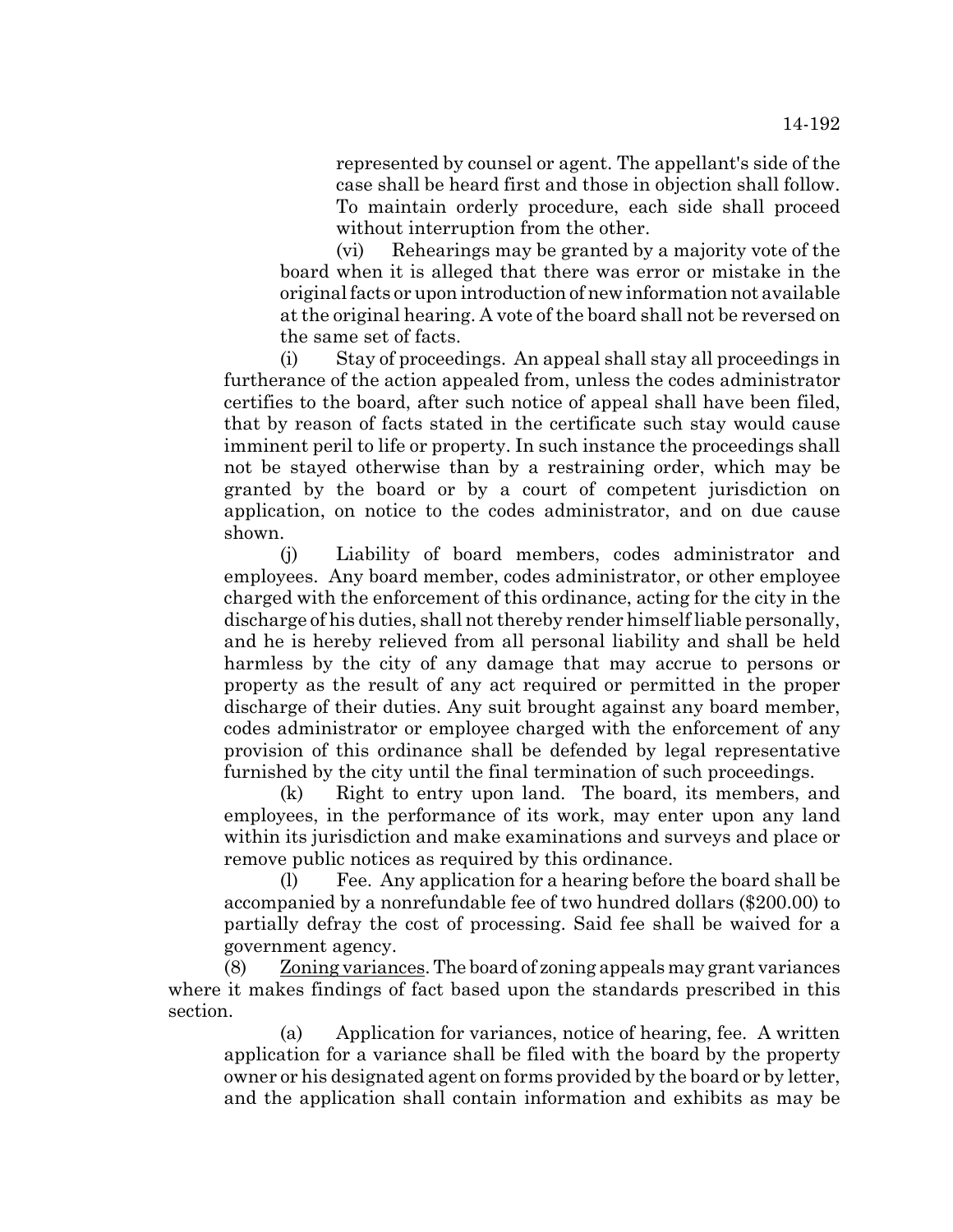represented by counsel or agent. The appellant's side of the case shall be heard first and those in objection shall follow. To maintain orderly procedure, each side shall proceed without interruption from the other.

(vi) Rehearings may be granted by a majority vote of the board when it is alleged that there was error or mistake in the original facts or upon introduction of new information not available at the original hearing. A vote of the board shall not be reversed on the same set of facts.

(i) Stay of proceedings. An appeal shall stay all proceedings in furtherance of the action appealed from, unless the codes administrator certifies to the board, after such notice of appeal shall have been filed, that by reason of facts stated in the certificate such stay would cause imminent peril to life or property. In such instance the proceedings shall not be stayed otherwise than by a restraining order, which may be granted by the board or by a court of competent jurisdiction on application, on notice to the codes administrator, and on due cause shown.

(j) Liability of board members, codes administrator and employees. Any board member, codes administrator, or other employee charged with the enforcement of this ordinance, acting for the city in the discharge of his duties, shall not thereby render himself liable personally, and he is hereby relieved from all personal liability and shall be held harmless by the city of any damage that may accrue to persons or property as the result of any act required or permitted in the proper discharge of their duties. Any suit brought against any board member, codes administrator or employee charged with the enforcement of any provision of this ordinance shall be defended by legal representative furnished by the city until the final termination of such proceedings.

(k) Right to entry upon land. The board, its members, and employees, in the performance of its work, may enter upon any land within its jurisdiction and make examinations and surveys and place or remove public notices as required by this ordinance.

(l) Fee. Any application for a hearing before the board shall be accompanied by a nonrefundable fee of two hundred dollars (\$200.00) to partially defray the cost of processing. Said fee shall be waived for a government agency.

(8) Zoning variances. The board of zoning appeals may grant variances where it makes findings of fact based upon the standards prescribed in this section.

(a) Application for variances, notice of hearing, fee. A written application for a variance shall be filed with the board by the property owner or his designated agent on forms provided by the board or by letter, and the application shall contain information and exhibits as may be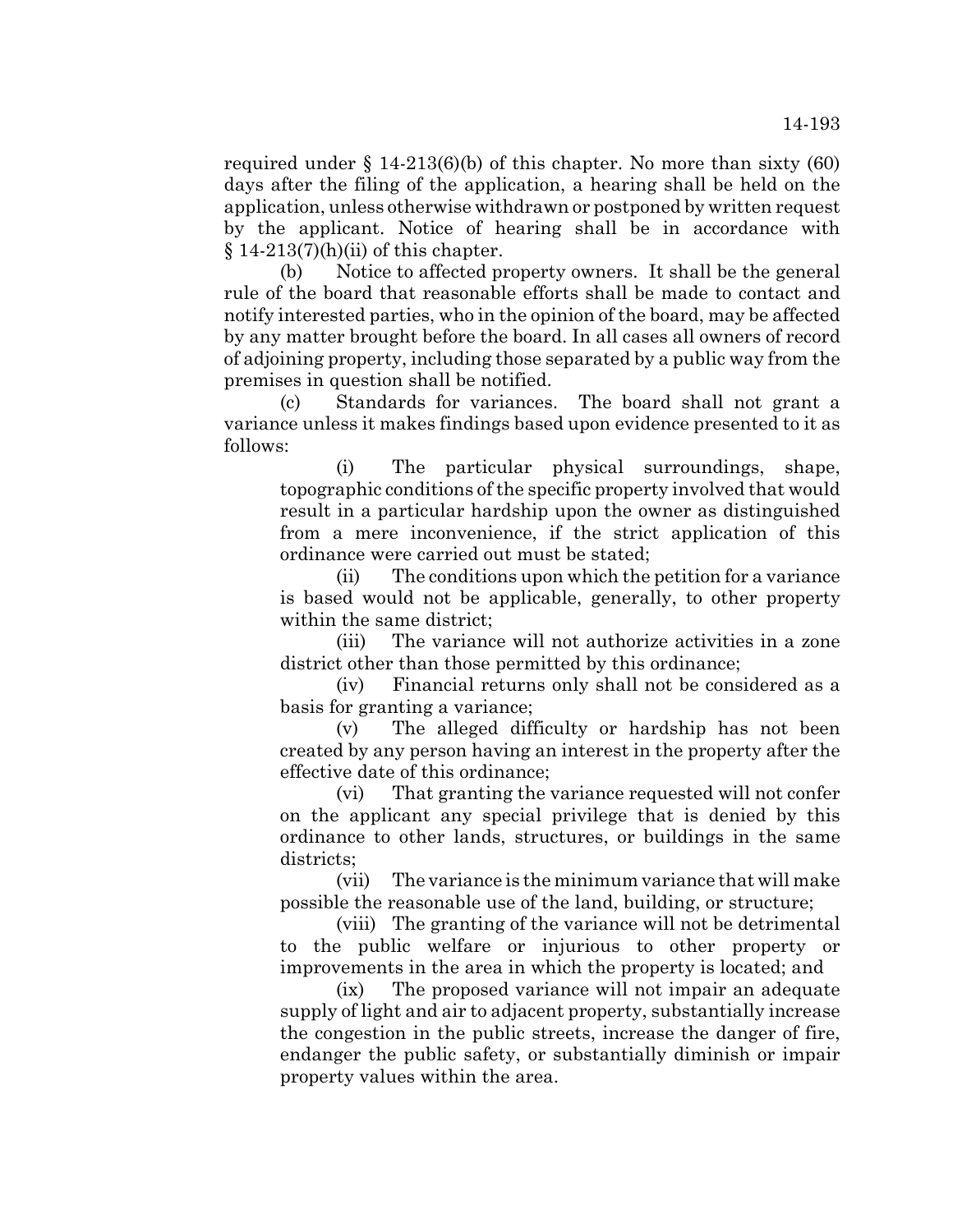required under  $\S 14-213(6)(b)$  of this chapter. No more than sixty (60) days after the filing of the application, a hearing shall be held on the application, unless otherwise withdrawn or postponed by written request by the applicant. Notice of hearing shall be in accordance with  $§ 14-213(7)(h)(ii)$  of this chapter.

(b) Notice to affected property owners. It shall be the general rule of the board that reasonable efforts shall be made to contact and notify interested parties, who in the opinion of the board, may be affected by any matter brought before the board. In all cases all owners of record of adjoining property, including those separated by a public way from the premises in question shall be notified.

(c) Standards for variances. The board shall not grant a variance unless it makes findings based upon evidence presented to it as follows:

(i) The particular physical surroundings, shape, topographic conditions of the specific property involved that would result in a particular hardship upon the owner as distinguished from a mere inconvenience, if the strict application of this ordinance were carried out must be stated;

(ii) The conditions upon which the petition for a variance is based would not be applicable, generally, to other property within the same district;

(iii) The variance will not authorize activities in a zone district other than those permitted by this ordinance;

(iv) Financial returns only shall not be considered as a basis for granting a variance;

(v) The alleged difficulty or hardship has not been created by any person having an interest in the property after the effective date of this ordinance;

(vi) That granting the variance requested will not confer on the applicant any special privilege that is denied by this ordinance to other lands, structures, or buildings in the same districts;

(vii) The variance is the minimum variance that will make possible the reasonable use of the land, building, or structure;

(viii) The granting of the variance will not be detrimental to the public welfare or injurious to other property or improvements in the area in which the property is located; and

(ix) The proposed variance will not impair an adequate supply of light and air to adjacent property, substantially increase the congestion in the public streets, increase the danger of fire, endanger the public safety, or substantially diminish or impair property values within the area.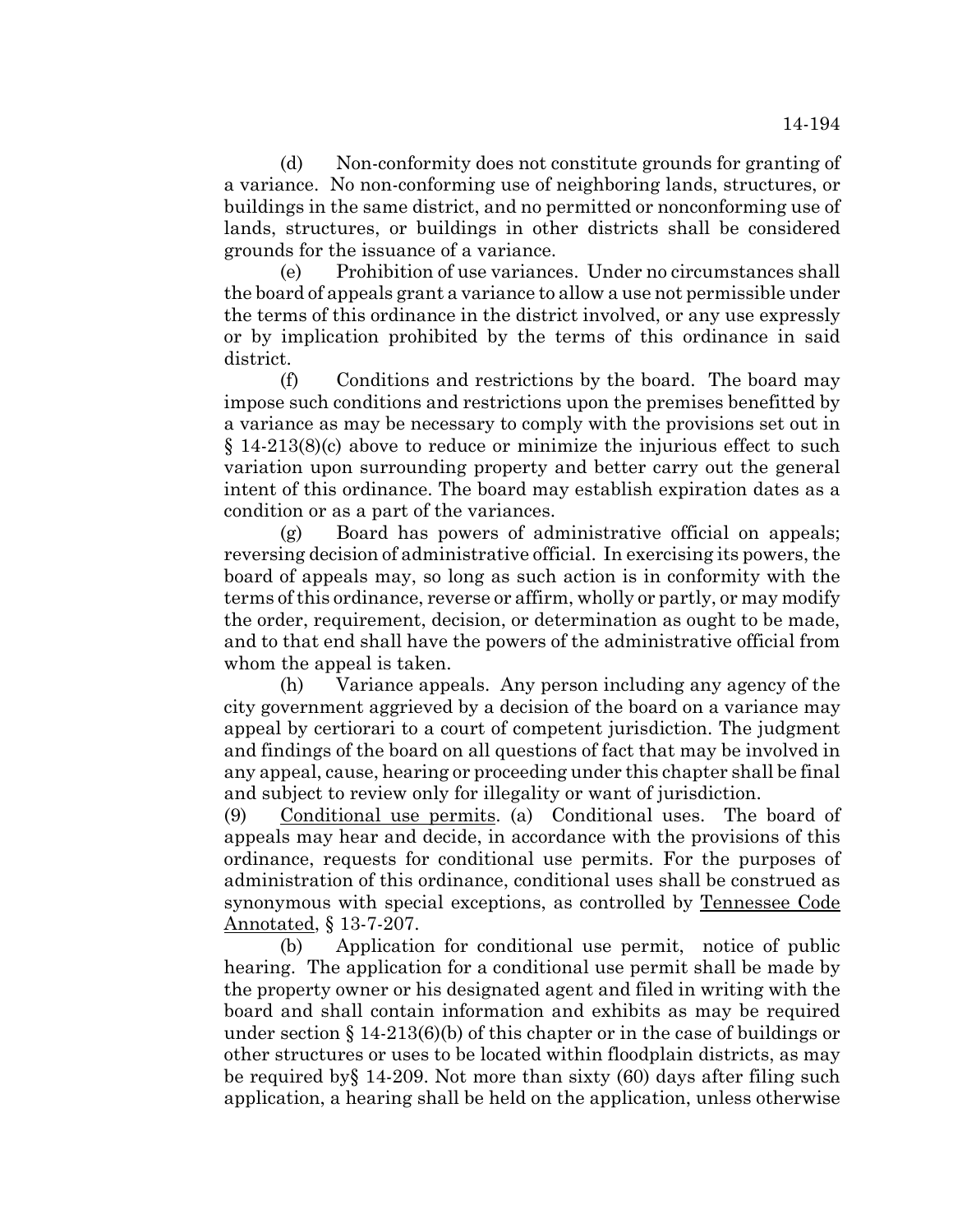(d) Non-conformity does not constitute grounds for granting of a variance. No non-conforming use of neighboring lands, structures, or buildings in the same district, and no permitted or nonconforming use of lands, structures, or buildings in other districts shall be considered grounds for the issuance of a variance.

(e) Prohibition of use variances. Under no circumstances shall the board of appeals grant a variance to allow a use not permissible under the terms of this ordinance in the district involved, or any use expressly or by implication prohibited by the terms of this ordinance in said district.

(f) Conditions and restrictions by the board. The board may impose such conditions and restrictions upon the premises benefitted by a variance as may be necessary to comply with the provisions set out in § 14-213(8)(c) above to reduce or minimize the injurious effect to such variation upon surrounding property and better carry out the general intent of this ordinance. The board may establish expiration dates as a condition or as a part of the variances.

(g) Board has powers of administrative official on appeals; reversing decision of administrative official. In exercising its powers, the board of appeals may, so long as such action is in conformity with the terms of this ordinance, reverse or affirm, wholly or partly, or may modify the order, requirement, decision, or determination as ought to be made, and to that end shall have the powers of the administrative official from whom the appeal is taken.

(h) Variance appeals. Any person including any agency of the city government aggrieved by a decision of the board on a variance may appeal by certiorari to a court of competent jurisdiction. The judgment and findings of the board on all questions of fact that may be involved in any appeal, cause, hearing or proceeding under this chapter shall be final and subject to review only for illegality or want of jurisdiction.

(9) Conditional use permits. (a) Conditional uses. The board of appeals may hear and decide, in accordance with the provisions of this ordinance, requests for conditional use permits. For the purposes of administration of this ordinance, conditional uses shall be construed as synonymous with special exceptions, as controlled by Tennessee Code Annotated, § 13-7-207.

(b) Application for conditional use permit, notice of public hearing. The application for a conditional use permit shall be made by the property owner or his designated agent and filed in writing with the board and shall contain information and exhibits as may be required under section § 14-213(6)(b) of this chapter or in the case of buildings or other structures or uses to be located within floodplain districts, as may be required by§ 14-209. Not more than sixty (60) days after filing such application, a hearing shall be held on the application, unless otherwise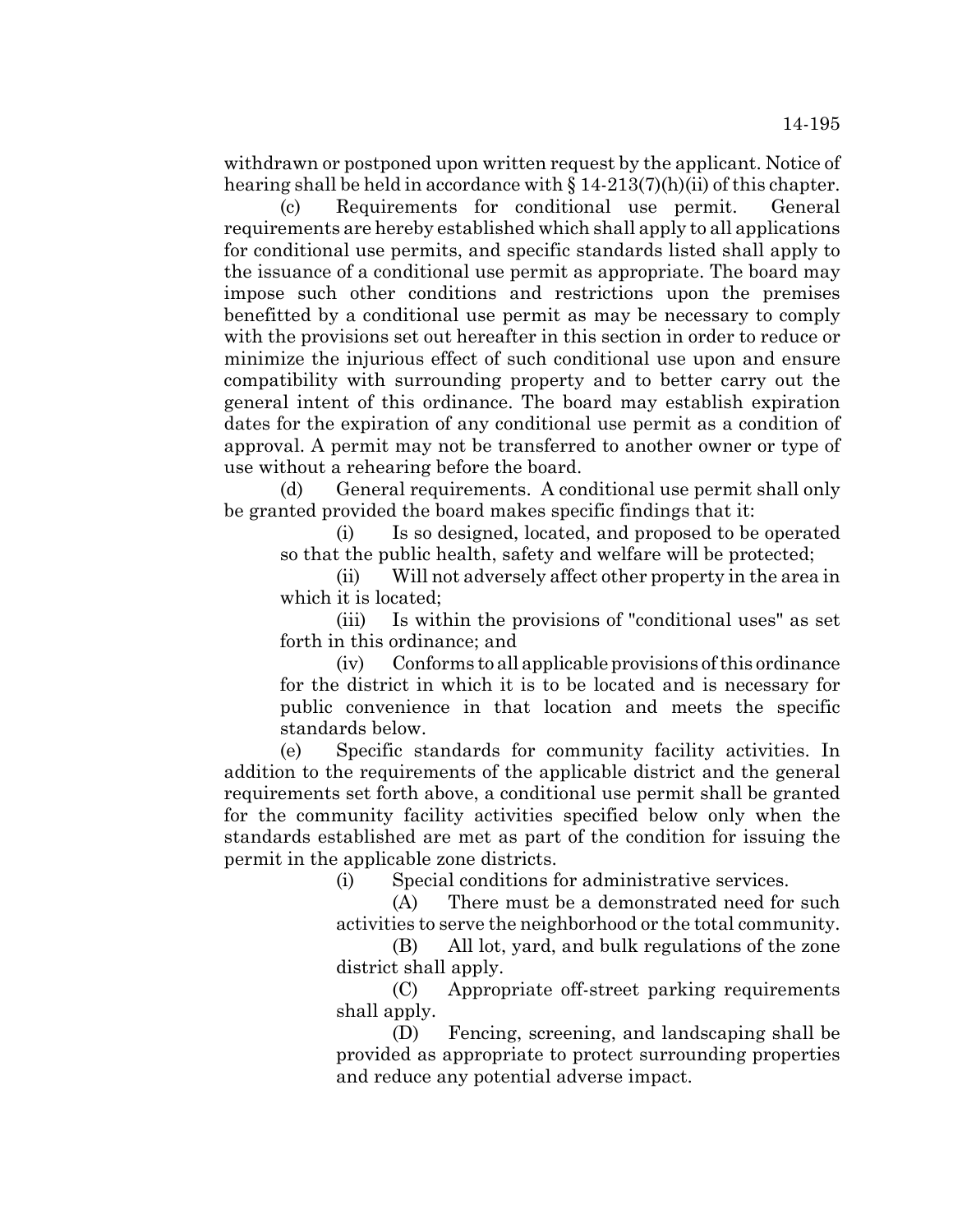withdrawn or postponed upon written request by the applicant. Notice of hearing shall be held in accordance with  $\S 14-213(7)(h)(ii)$  of this chapter.

(c) Requirements for conditional use permit. General requirements are hereby established which shall apply to all applications for conditional use permits, and specific standards listed shall apply to the issuance of a conditional use permit as appropriate. The board may impose such other conditions and restrictions upon the premises benefitted by a conditional use permit as may be necessary to comply with the provisions set out hereafter in this section in order to reduce or minimize the injurious effect of such conditional use upon and ensure compatibility with surrounding property and to better carry out the general intent of this ordinance. The board may establish expiration dates for the expiration of any conditional use permit as a condition of approval. A permit may not be transferred to another owner or type of use without a rehearing before the board.

(d) General requirements. A conditional use permit shall only be granted provided the board makes specific findings that it:

(i) Is so designed, located, and proposed to be operated so that the public health, safety and welfare will be protected;

(ii) Will not adversely affect other property in the area in which it is located;

(iii) Is within the provisions of "conditional uses" as set forth in this ordinance; and

(iv) Conforms to all applicable provisions of this ordinance for the district in which it is to be located and is necessary for public convenience in that location and meets the specific standards below.

(e) Specific standards for community facility activities. In addition to the requirements of the applicable district and the general requirements set forth above, a conditional use permit shall be granted for the community facility activities specified below only when the standards established are met as part of the condition for issuing the permit in the applicable zone districts.

(i) Special conditions for administrative services.

(A) There must be a demonstrated need for such activities to serve the neighborhood or the total community.

(B) All lot, yard, and bulk regulations of the zone district shall apply.

(C) Appropriate off-street parking requirements shall apply.

(D) Fencing, screening, and landscaping shall be provided as appropriate to protect surrounding properties and reduce any potential adverse impact.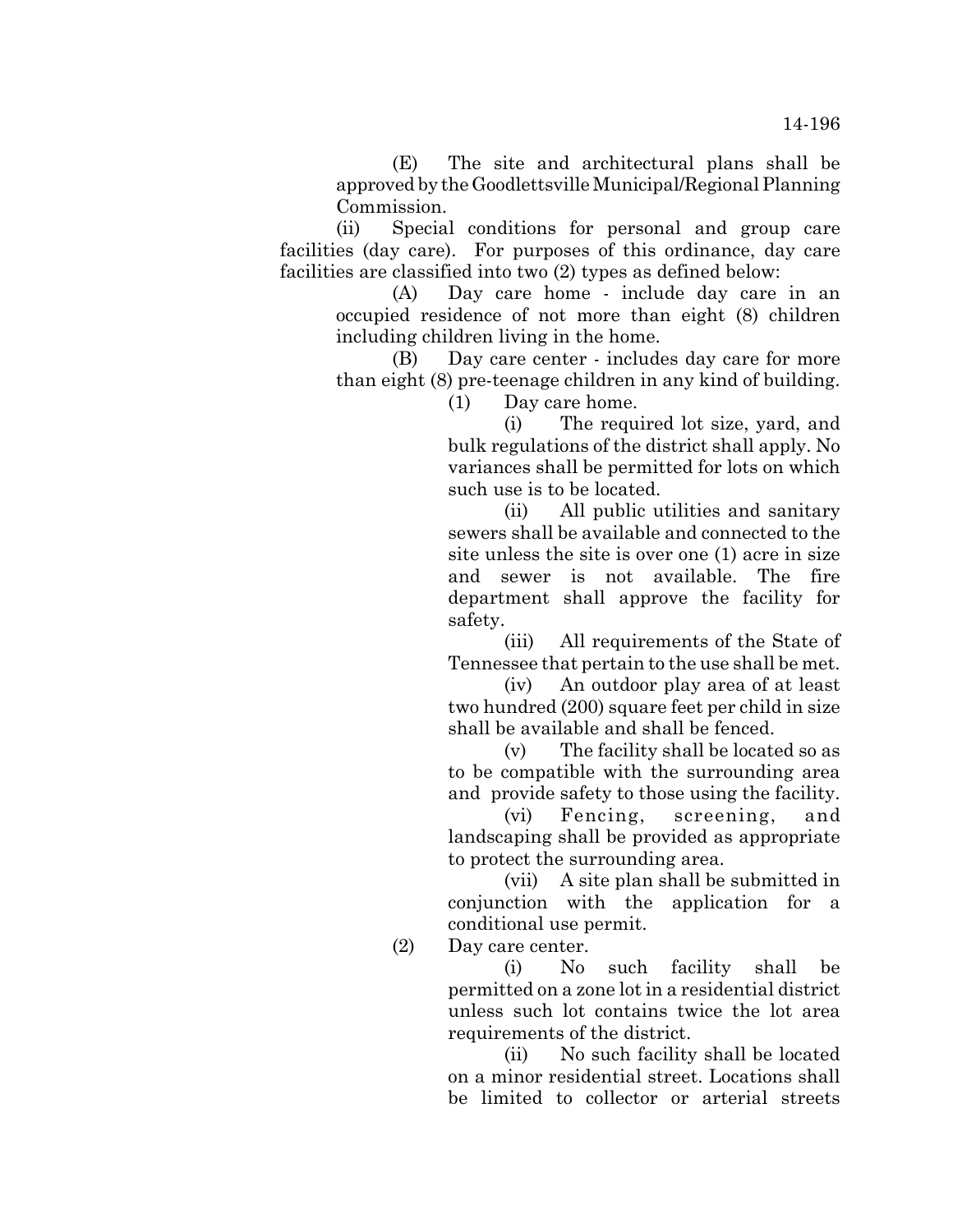(E) The site and architectural plans shall be approved by the Goodlettsville Municipal/Regional Planning Commission.

(ii) Special conditions for personal and group care facilities (day care). For purposes of this ordinance, day care facilities are classified into two (2) types as defined below:

(A) Day care home - include day care in an occupied residence of not more than eight (8) children including children living in the home.

(B) Day care center - includes day care for more than eight (8) pre-teenage children in any kind of building.

(1) Day care home.

(i) The required lot size, yard, and bulk regulations of the district shall apply. No variances shall be permitted for lots on which such use is to be located.

(ii) All public utilities and sanitary sewers shall be available and connected to the site unless the site is over one (1) acre in size and sewer is not available. The fire department shall approve the facility for safety.

(iii) All requirements of the State of Tennessee that pertain to the use shall be met.

(iv) An outdoor play area of at least two hundred (200) square feet per child in size shall be available and shall be fenced.

(v) The facility shall be located so as to be compatible with the surrounding area and provide safety to those using the facility.

(vi) Fencing, screening, and landscaping shall be provided as appropriate to protect the surrounding area.

(vii) A site plan shall be submitted in conjunction with the application for a conditional use permit.

(2) Day care center.

(i) No such facility shall be permitted on a zone lot in a residential district unless such lot contains twice the lot area requirements of the district.

(ii) No such facility shall be located on a minor residential street. Locations shall be limited to collector or arterial streets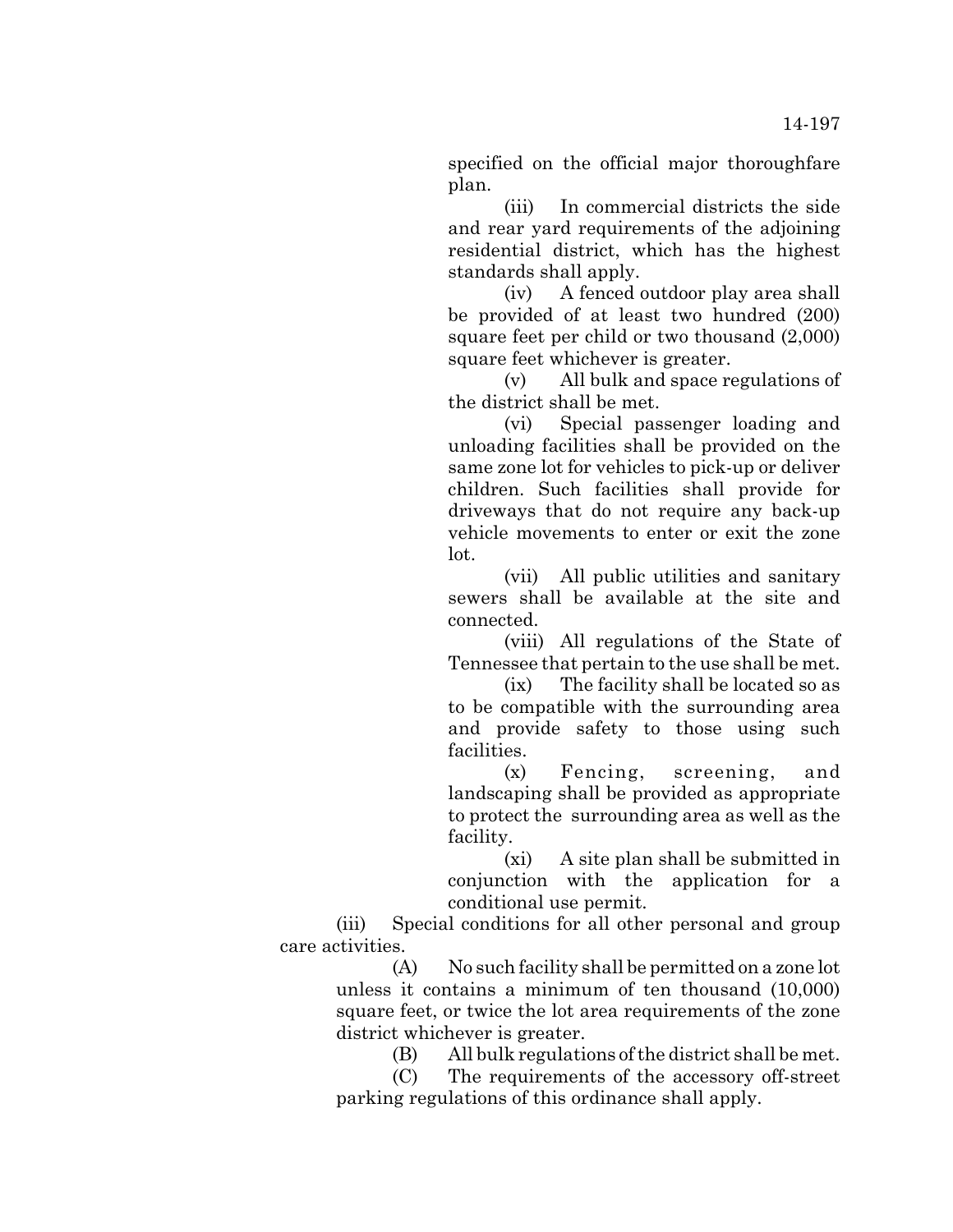specified on the official major thoroughfare plan.

(iii) In commercial districts the side and rear yard requirements of the adjoining residential district, which has the highest standards shall apply.

(iv) A fenced outdoor play area shall be provided of at least two hundred (200) square feet per child or two thousand (2,000) square feet whichever is greater.

(v) All bulk and space regulations of the district shall be met.

(vi) Special passenger loading and unloading facilities shall be provided on the same zone lot for vehicles to pick-up or deliver children. Such facilities shall provide for driveways that do not require any back-up vehicle movements to enter or exit the zone lot.

(vii) All public utilities and sanitary sewers shall be available at the site and connected.

(viii) All regulations of the State of Tennessee that pertain to the use shall be met.

(ix) The facility shall be located so as to be compatible with the surrounding area and provide safety to those using such facilities.

(x) Fencing, screening, and landscaping shall be provided as appropriate to protect the surrounding area as well as the facility.

(xi) A site plan shall be submitted in conjunction with the application for a conditional use permit.

(iii) Special conditions for all other personal and group care activities.

(A) No such facility shall be permitted on a zone lot unless it contains a minimum of ten thousand (10,000) square feet, or twice the lot area requirements of the zone district whichever is greater.

(B) All bulk regulations of the district shall be met.

(C) The requirements of the accessory off-street parking regulations of this ordinance shall apply.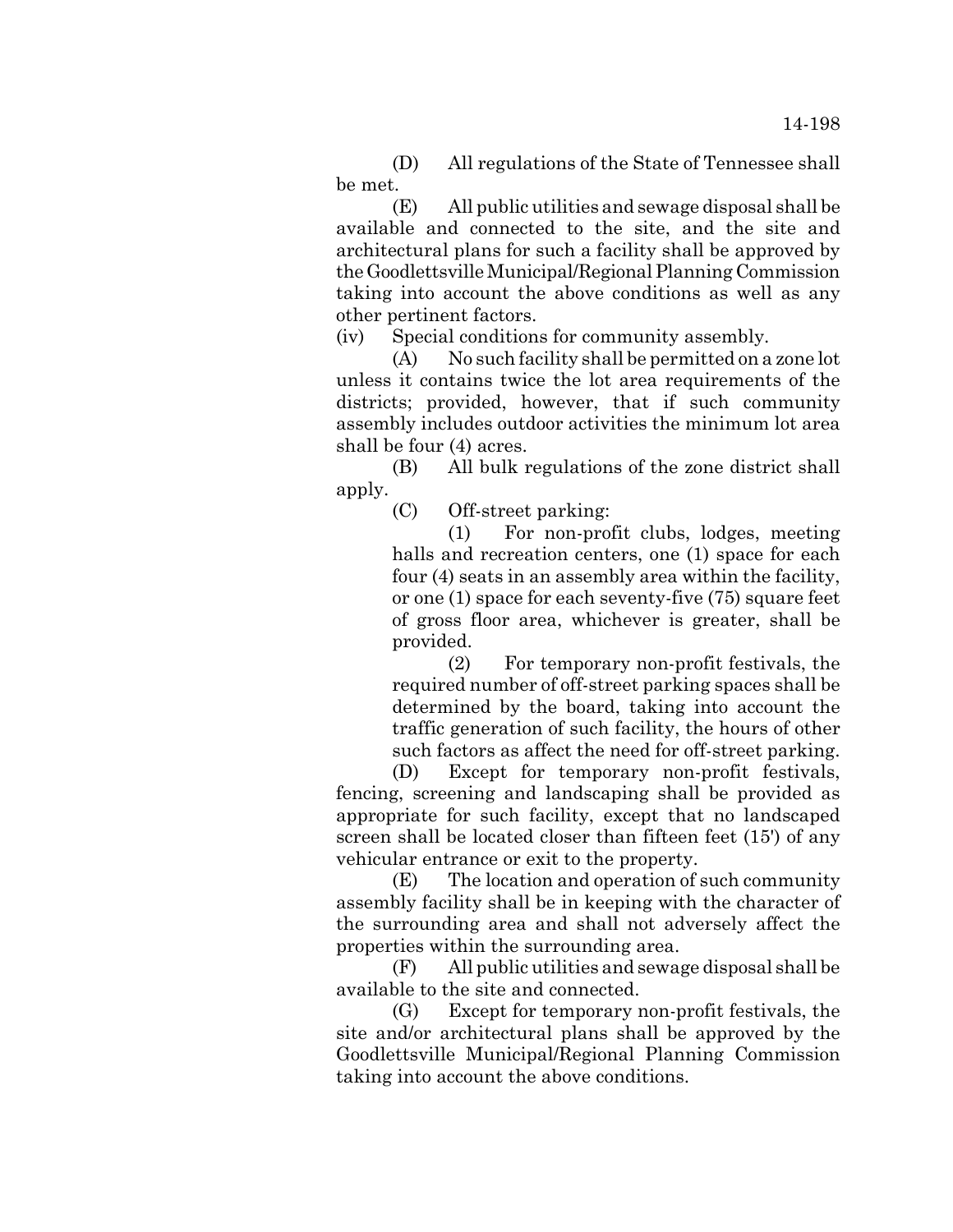(D) All regulations of the State of Tennessee shall be met.

(E) All public utilities and sewage disposal shall be available and connected to the site, and the site and architectural plans for such a facility shall be approved by the Goodlettsville Municipal/Regional Planning Commission taking into account the above conditions as well as any other pertinent factors.

(iv) Special conditions for community assembly.

(A) No such facility shall be permitted on a zone lot unless it contains twice the lot area requirements of the districts; provided, however, that if such community assembly includes outdoor activities the minimum lot area shall be four (4) acres.

(B) All bulk regulations of the zone district shall apply.

(C) Off-street parking:

(1) For non-profit clubs, lodges, meeting halls and recreation centers, one (1) space for each four (4) seats in an assembly area within the facility, or one (1) space for each seventy-five (75) square feet of gross floor area, whichever is greater, shall be provided.

(2) For temporary non-profit festivals, the required number of off-street parking spaces shall be determined by the board, taking into account the traffic generation of such facility, the hours of other such factors as affect the need for off-street parking.

(D) Except for temporary non-profit festivals, fencing, screening and landscaping shall be provided as appropriate for such facility, except that no landscaped screen shall be located closer than fifteen feet (15') of any vehicular entrance or exit to the property.

(E) The location and operation of such community assembly facility shall be in keeping with the character of the surrounding area and shall not adversely affect the properties within the surrounding area.

(F) All public utilities and sewage disposal shall be available to the site and connected.

(G) Except for temporary non-profit festivals, the site and/or architectural plans shall be approved by the Goodlettsville Municipal/Regional Planning Commission taking into account the above conditions.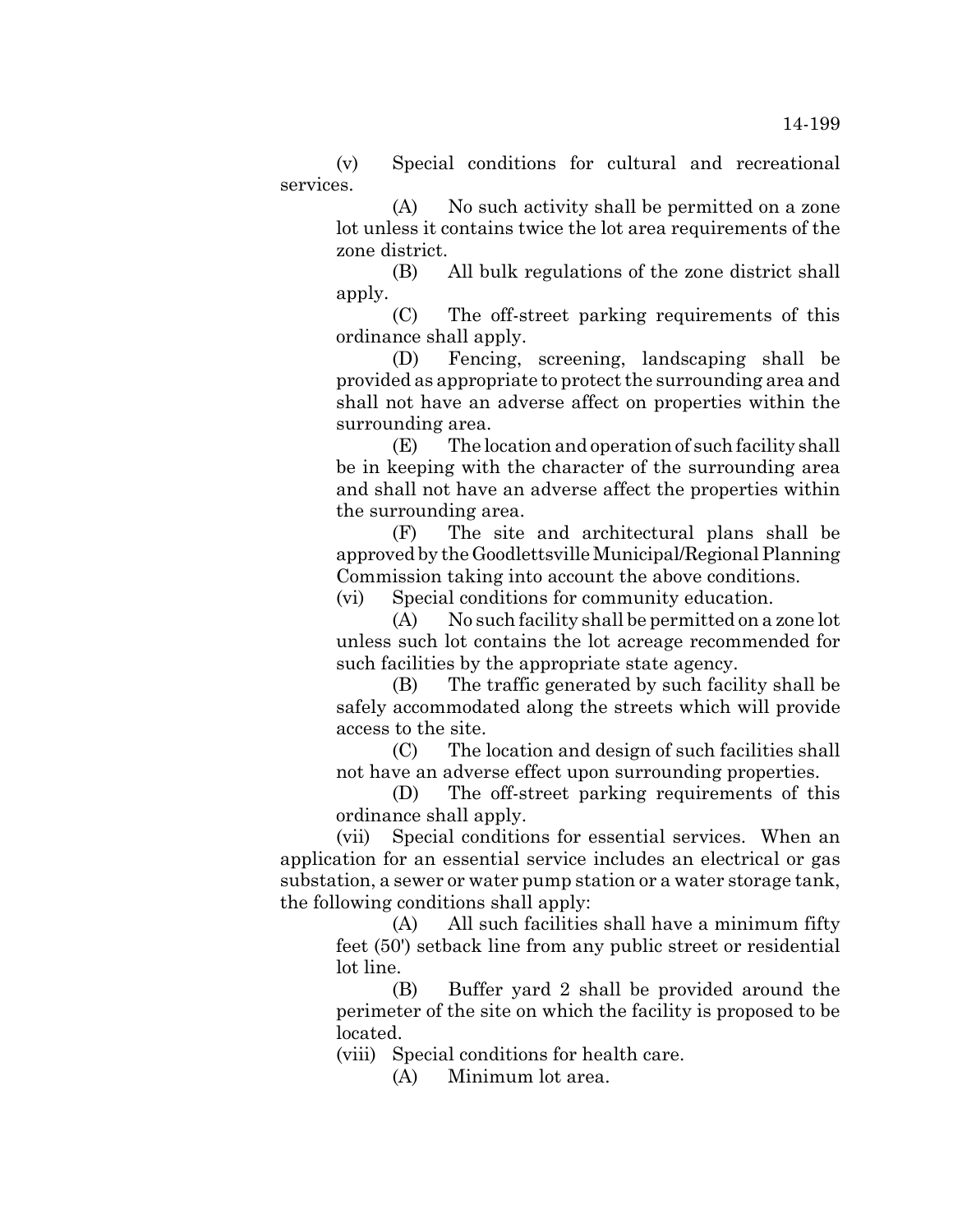(v) Special conditions for cultural and recreational services.

(A) No such activity shall be permitted on a zone lot unless it contains twice the lot area requirements of the zone district.

(B) All bulk regulations of the zone district shall apply.

(C) The off-street parking requirements of this ordinance shall apply.

(D) Fencing, screening, landscaping shall be provided as appropriate to protect the surrounding area and shall not have an adverse affect on properties within the surrounding area.

(E) The location and operation of such facility shall be in keeping with the character of the surrounding area and shall not have an adverse affect the properties within the surrounding area.

(F) The site and architectural plans shall be approved by the Goodlettsville Municipal/Regional Planning Commission taking into account the above conditions.

(vi) Special conditions for community education.

(A) No such facility shall be permitted on a zone lot unless such lot contains the lot acreage recommended for such facilities by the appropriate state agency.

(B) The traffic generated by such facility shall be safely accommodated along the streets which will provide access to the site.

(C) The location and design of such facilities shall not have an adverse effect upon surrounding properties.

(D) The off-street parking requirements of this ordinance shall apply.

(vii) Special conditions for essential services. When an application for an essential service includes an electrical or gas substation, a sewer or water pump station or a water storage tank, the following conditions shall apply:

(A) All such facilities shall have a minimum fifty feet (50') setback line from any public street or residential lot line.

(B) Buffer yard 2 shall be provided around the perimeter of the site on which the facility is proposed to be located.

(viii) Special conditions for health care.

(A) Minimum lot area.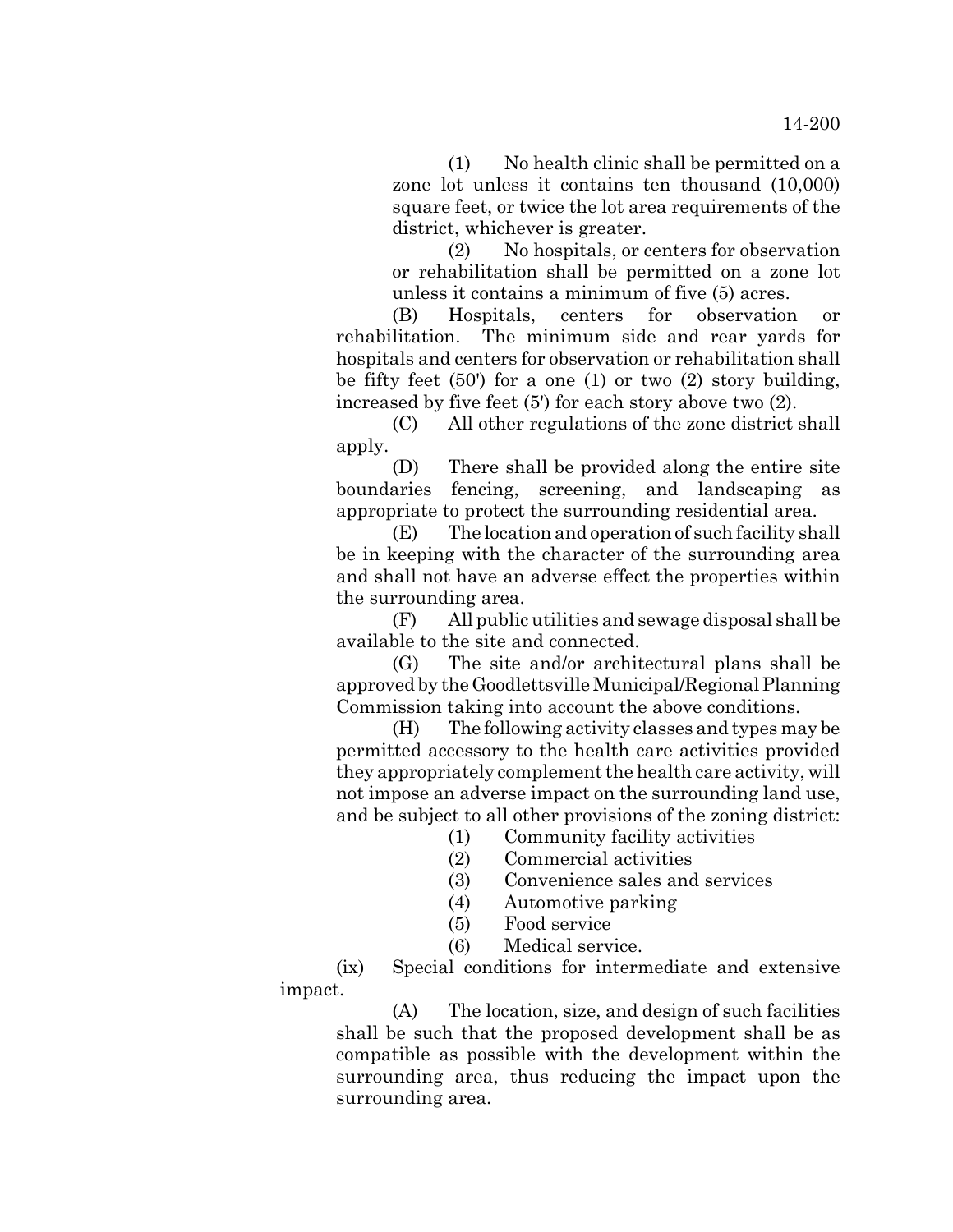(1) No health clinic shall be permitted on a zone lot unless it contains ten thousand (10,000) square feet, or twice the lot area requirements of the district, whichever is greater.

(2) No hospitals, or centers for observation or rehabilitation shall be permitted on a zone lot unless it contains a minimum of five (5) acres.

(B) Hospitals, centers for observation or rehabilitation. The minimum side and rear yards for hospitals and centers for observation or rehabilitation shall be fifty feet (50') for a one (1) or two (2) story building, increased by five feet (5') for each story above two (2).

(C) All other regulations of the zone district shall apply.

(D) There shall be provided along the entire site boundaries fencing, screening, and landscaping as appropriate to protect the surrounding residential area.

(E) The location and operation of such facility shall be in keeping with the character of the surrounding area and shall not have an adverse effect the properties within the surrounding area.

(F) All public utilities and sewage disposal shall be available to the site and connected.

(G) The site and/or architectural plans shall be approved by the Goodlettsville Municipal/Regional Planning Commission taking into account the above conditions.

(H) The following activity classes and types may be permitted accessory to the health care activities provided they appropriately complement the health care activity, will not impose an adverse impact on the surrounding land use, and be subject to all other provisions of the zoning district:

(1) Community facility activities

- (2) Commercial activities
- (3) Convenience sales and services
- (4) Automotive parking
- (5) Food service
- (6) Medical service.

(ix) Special conditions for intermediate and extensive impact.

(A) The location, size, and design of such facilities shall be such that the proposed development shall be as compatible as possible with the development within the surrounding area, thus reducing the impact upon the surrounding area.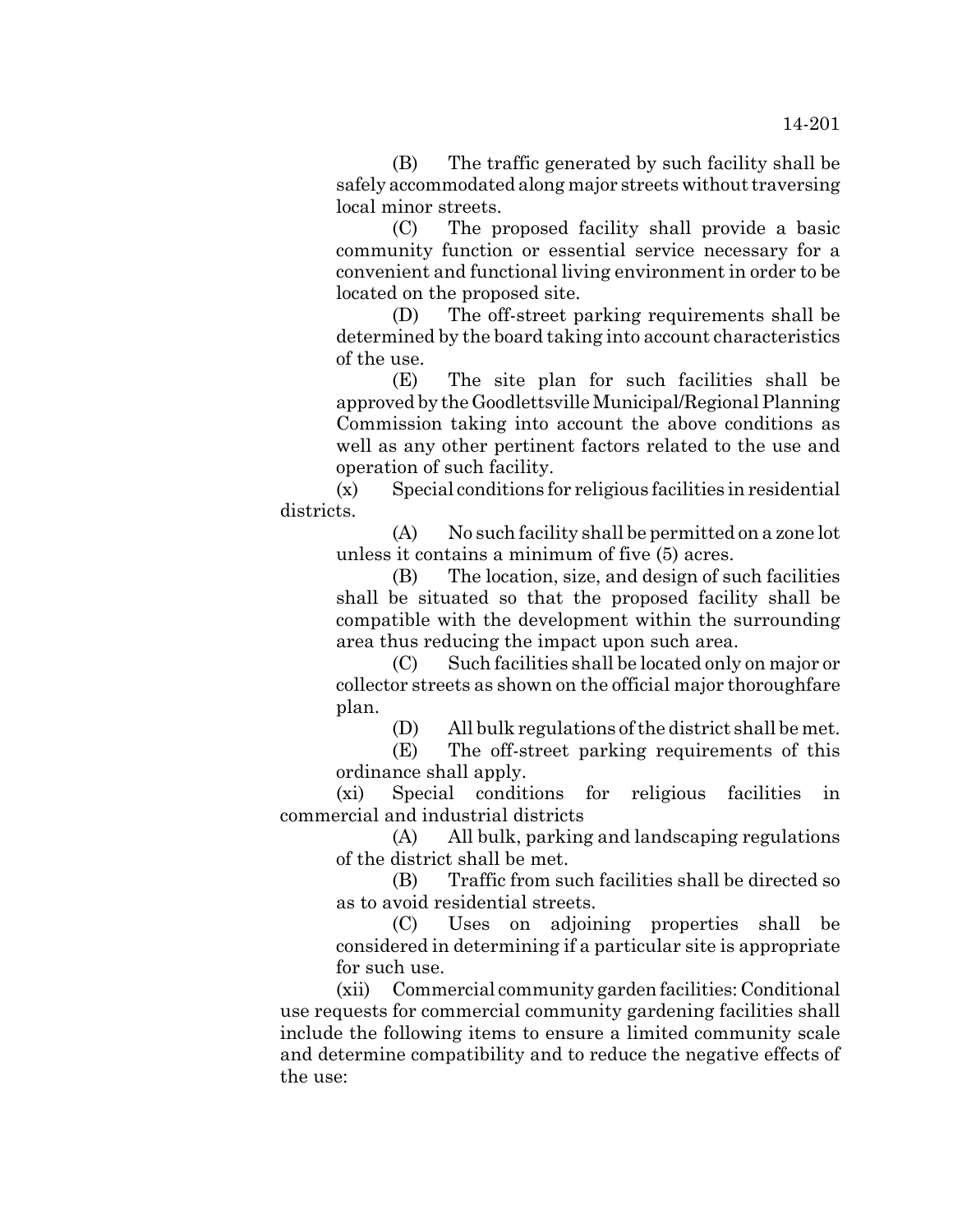(B) The traffic generated by such facility shall be safely accommodated along major streets without traversing local minor streets.

(C) The proposed facility shall provide a basic community function or essential service necessary for a convenient and functional living environment in order to be located on the proposed site.

(D) The off-street parking requirements shall be determined by the board taking into account characteristics of the use.

(E) The site plan for such facilities shall be approved by the Goodlettsville Municipal/Regional Planning Commission taking into account the above conditions as well as any other pertinent factors related to the use and operation of such facility.

(x) Special conditions for religious facilities in residential districts.

(A) No such facility shall be permitted on a zone lot unless it contains a minimum of five (5) acres.

(B) The location, size, and design of such facilities shall be situated so that the proposed facility shall be compatible with the development within the surrounding area thus reducing the impact upon such area.

(C) Such facilities shall be located only on major or collector streets as shown on the official major thoroughfare plan.

(D) All bulk regulations of the district shall be met.

(E) The off-street parking requirements of this ordinance shall apply.

(xi) Special conditions for religious facilities in commercial and industrial districts

(A) All bulk, parking and landscaping regulations of the district shall be met.

(B) Traffic from such facilities shall be directed so as to avoid residential streets.

(C) Uses on adjoining properties shall be considered in determining if a particular site is appropriate for such use.

(xii) Commercial community garden facilities: Conditional use requests for commercial community gardening facilities shall include the following items to ensure a limited community scale and determine compatibility and to reduce the negative effects of the use: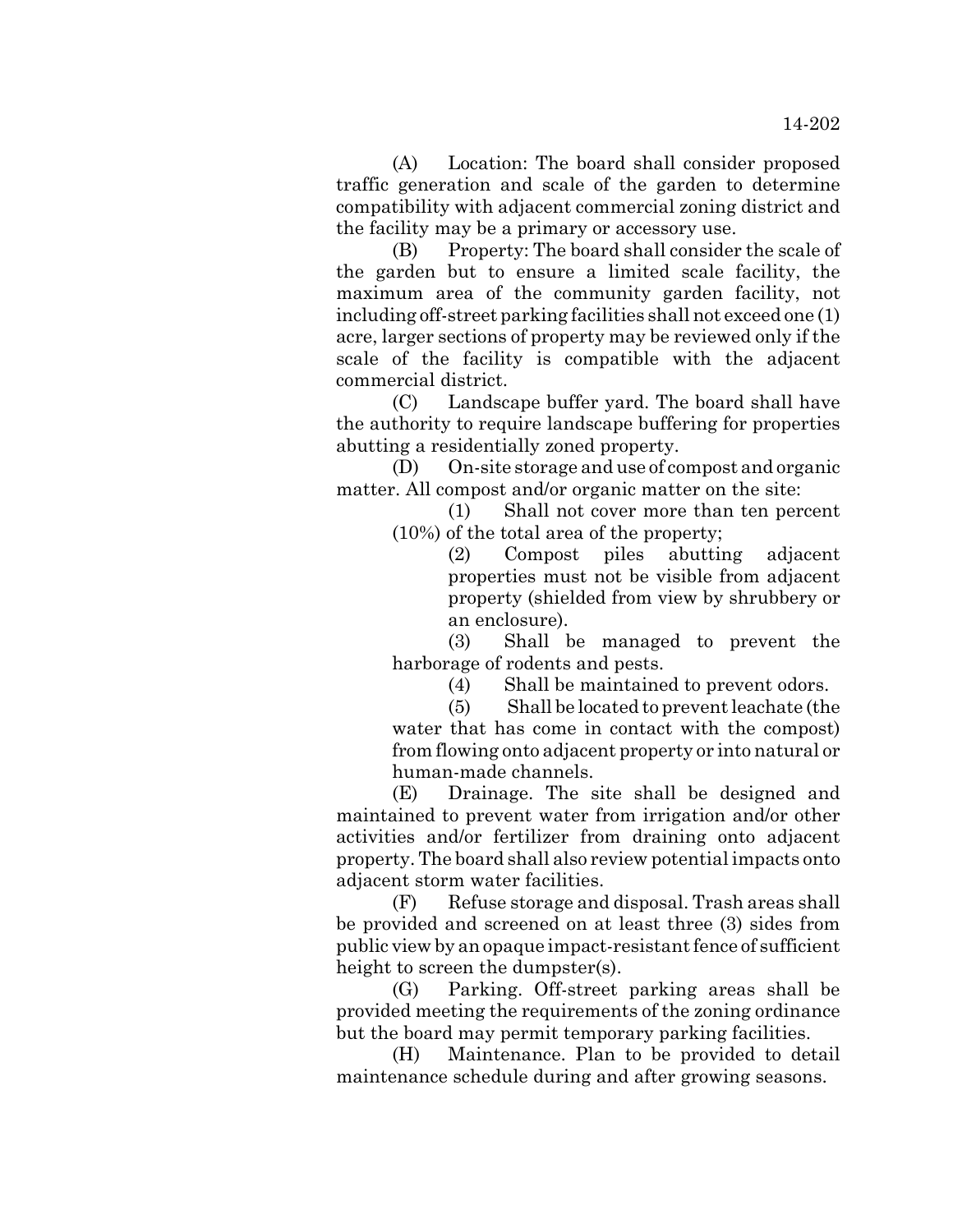(A) Location: The board shall consider proposed traffic generation and scale of the garden to determine compatibility with adjacent commercial zoning district and the facility may be a primary or accessory use.

(B) Property: The board shall consider the scale of the garden but to ensure a limited scale facility, the maximum area of the community garden facility, not including off-street parking facilities shall not exceed one (1) acre, larger sections of property may be reviewed only if the scale of the facility is compatible with the adjacent commercial district.

(C) Landscape buffer yard. The board shall have the authority to require landscape buffering for properties abutting a residentially zoned property.

(D) On-site storage and use of compost and organic matter. All compost and/or organic matter on the site:

(1) Shall not cover more than ten percent (10%) of the total area of the property;

> (2) Compost piles abutting adjacent properties must not be visible from adjacent property (shielded from view by shrubbery or an enclosure).

(3) Shall be managed to prevent the harborage of rodents and pests.

(4) Shall be maintained to prevent odors.

(5) Shall be located to prevent leachate (the water that has come in contact with the compost) from flowing onto adjacent property or into natural or human-made channels.

(E) Drainage. The site shall be designed and maintained to prevent water from irrigation and/or other activities and/or fertilizer from draining onto adjacent property. The board shall also review potential impacts onto adjacent storm water facilities.

(F) Refuse storage and disposal. Trash areas shall be provided and screened on at least three (3) sides from public view by an opaque impact-resistant fence of sufficient height to screen the dumpster(s).

(G) Parking. Off-street parking areas shall be provided meeting the requirements of the zoning ordinance but the board may permit temporary parking facilities.

(H) Maintenance. Plan to be provided to detail maintenance schedule during and after growing seasons.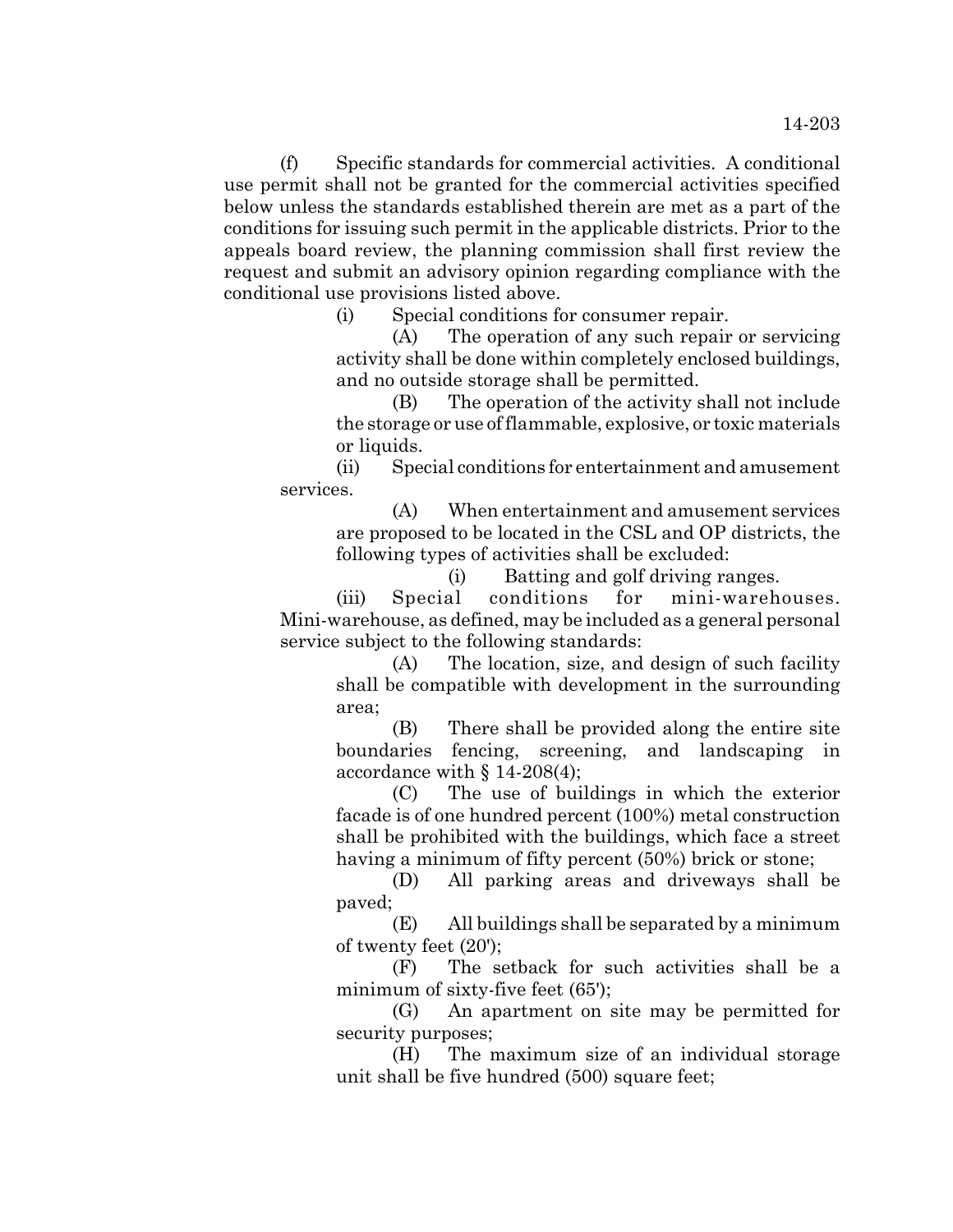(f) Specific standards for commercial activities. A conditional use permit shall not be granted for the commercial activities specified below unless the standards established therein are met as a part of the conditions for issuing such permit in the applicable districts. Prior to the appeals board review, the planning commission shall first review the request and submit an advisory opinion regarding compliance with the conditional use provisions listed above.

(i) Special conditions for consumer repair.

(A) The operation of any such repair or servicing activity shall be done within completely enclosed buildings, and no outside storage shall be permitted.

(B) The operation of the activity shall not include the storage or use of flammable, explosive, or toxic materials or liquids.

(ii) Special conditions for entertainment and amusement services.

(A) When entertainment and amusement services are proposed to be located in the CSL and OP districts, the following types of activities shall be excluded:

(i) Batting and golf driving ranges.

(iii) Special conditions for mini-warehouses. Mini-warehouse, as defined, may be included as a general personal service subject to the following standards:

> (A) The location, size, and design of such facility shall be compatible with development in the surrounding area;

> (B) There shall be provided along the entire site boundaries fencing, screening, and landscaping in accordance with § 14-208(4);

> (C) The use of buildings in which the exterior facade is of one hundred percent (100%) metal construction shall be prohibited with the buildings, which face a street having a minimum of fifty percent (50%) brick or stone;

> (D) All parking areas and driveways shall be paved;

> (E) All buildings shall be separated by a minimum of twenty feet (20');

> (F) The setback for such activities shall be a minimum of sixty-five feet  $(65')$ ;

> (G) An apartment on site may be permitted for security purposes;

> (H) The maximum size of an individual storage unit shall be five hundred (500) square feet;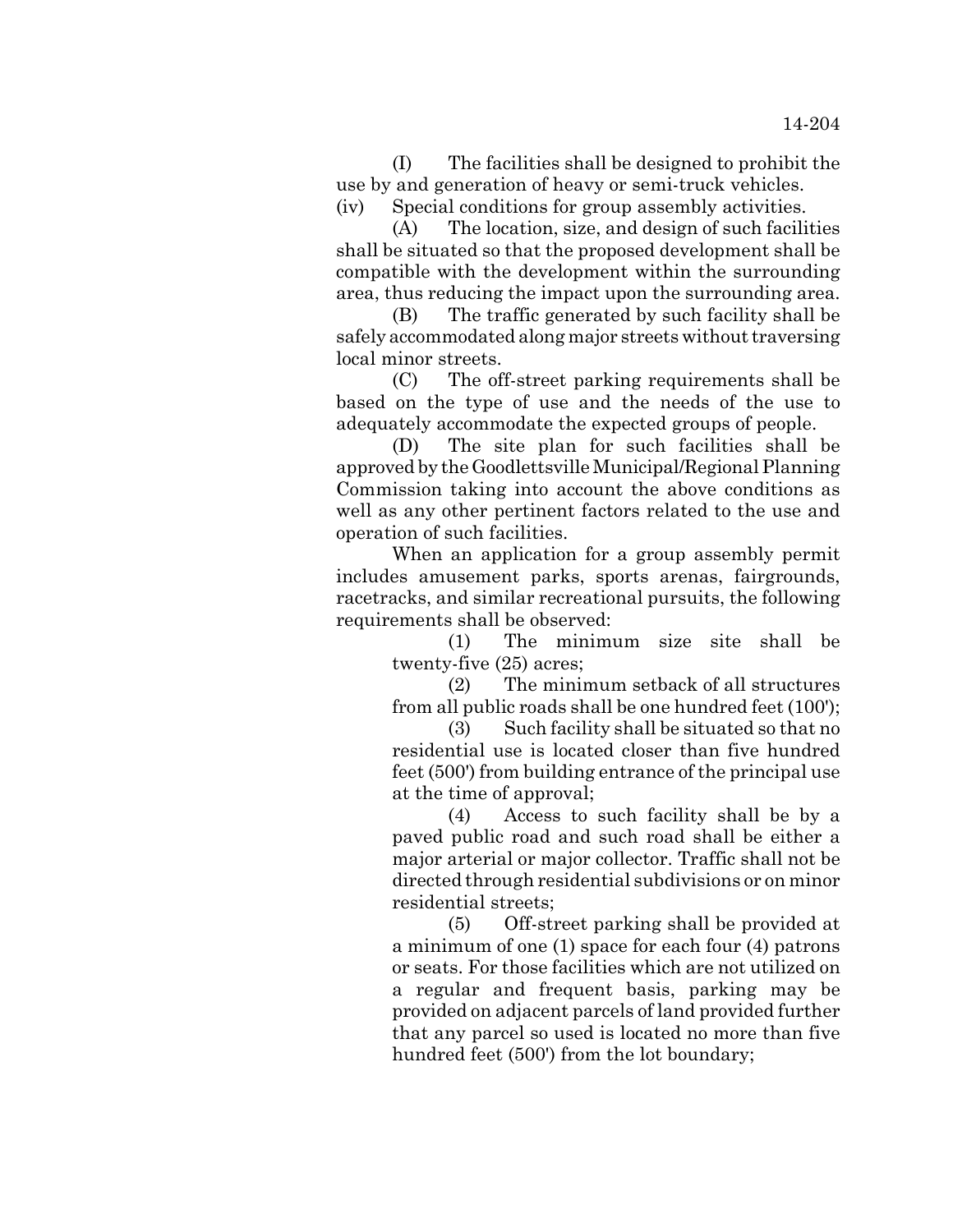(I) The facilities shall be designed to prohibit the use by and generation of heavy or semi-truck vehicles. (iv) Special conditions for group assembly activities.

(A) The location, size, and design of such facilities shall be situated so that the proposed development shall be compatible with the development within the surrounding area, thus reducing the impact upon the surrounding area.

(B) The traffic generated by such facility shall be safely accommodated along major streets without traversing local minor streets.

(C) The off-street parking requirements shall be based on the type of use and the needs of the use to adequately accommodate the expected groups of people.

(D) The site plan for such facilities shall be approved by the Goodlettsville Municipal/Regional Planning Commission taking into account the above conditions as well as any other pertinent factors related to the use and operation of such facilities.

When an application for a group assembly permit includes amusement parks, sports arenas, fairgrounds, racetracks, and similar recreational pursuits, the following requirements shall be observed:

> (1) The minimum size site shall be twenty-five (25) acres;

> (2) The minimum setback of all structures from all public roads shall be one hundred feet (100');

> (3) Such facility shall be situated so that no residential use is located closer than five hundred feet (500') from building entrance of the principal use at the time of approval;

> (4) Access to such facility shall be by a paved public road and such road shall be either a major arterial or major collector. Traffic shall not be directed through residential subdivisions or on minor residential streets;

> (5) Off-street parking shall be provided at a minimum of one (1) space for each four (4) patrons or seats. For those facilities which are not utilized on a regular and frequent basis, parking may be provided on adjacent parcels of land provided further that any parcel so used is located no more than five hundred feet (500') from the lot boundary;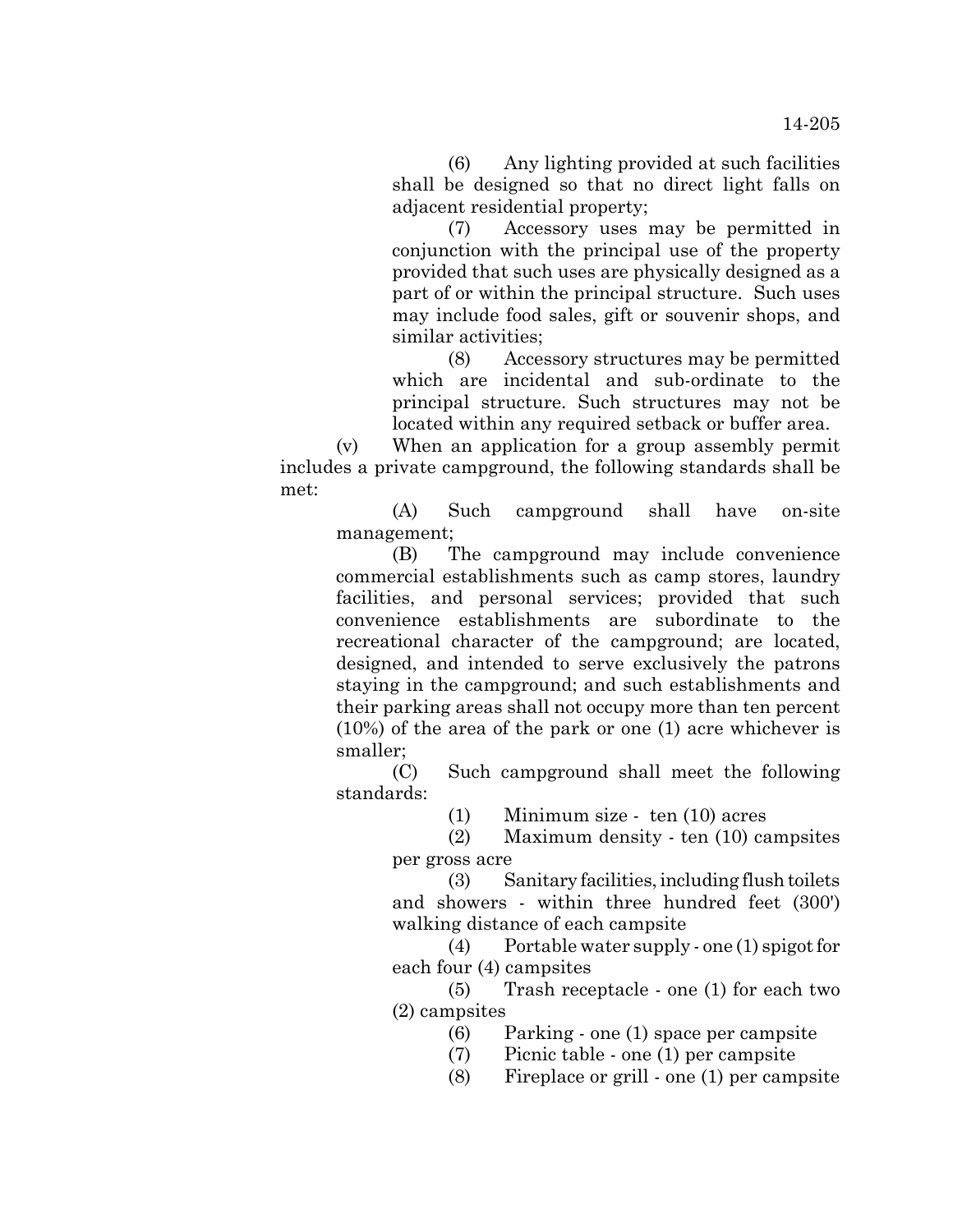(6) Any lighting provided at such facilities shall be designed so that no direct light falls on adjacent residential property;

(7) Accessory uses may be permitted in conjunction with the principal use of the property provided that such uses are physically designed as a part of or within the principal structure. Such uses may include food sales, gift or souvenir shops, and similar activities;

(8) Accessory structures may be permitted which are incidental and sub-ordinate to the principal structure. Such structures may not be located within any required setback or buffer area.

(v) When an application for a group assembly permit includes a private campground, the following standards shall be met:

(A) Such campground shall have on-site management;

(B) The campground may include convenience commercial establishments such as camp stores, laundry facilities, and personal services; provided that such convenience establishments are subordinate to the recreational character of the campground; are located, designed, and intended to serve exclusively the patrons staying in the campground; and such establishments and their parking areas shall not occupy more than ten percent (10%) of the area of the park or one (1) acre whichever is smaller;

(C) Such campground shall meet the following standards:

(1) Minimum size - ten (10) acres

(2) Maximum density - ten (10) campsites per gross acre

(3) Sanitary facilities, including flush toilets and showers - within three hundred feet (300') walking distance of each campsite

(4) Portable water supply - one (1) spigot for each four (4) campsites

(5) Trash receptacle - one (1) for each two (2) campsites

(6) Parking - one (1) space per campsite

- (7) Picnic table one (1) per campsite
- (8) Fireplace or grill one (1) per campsite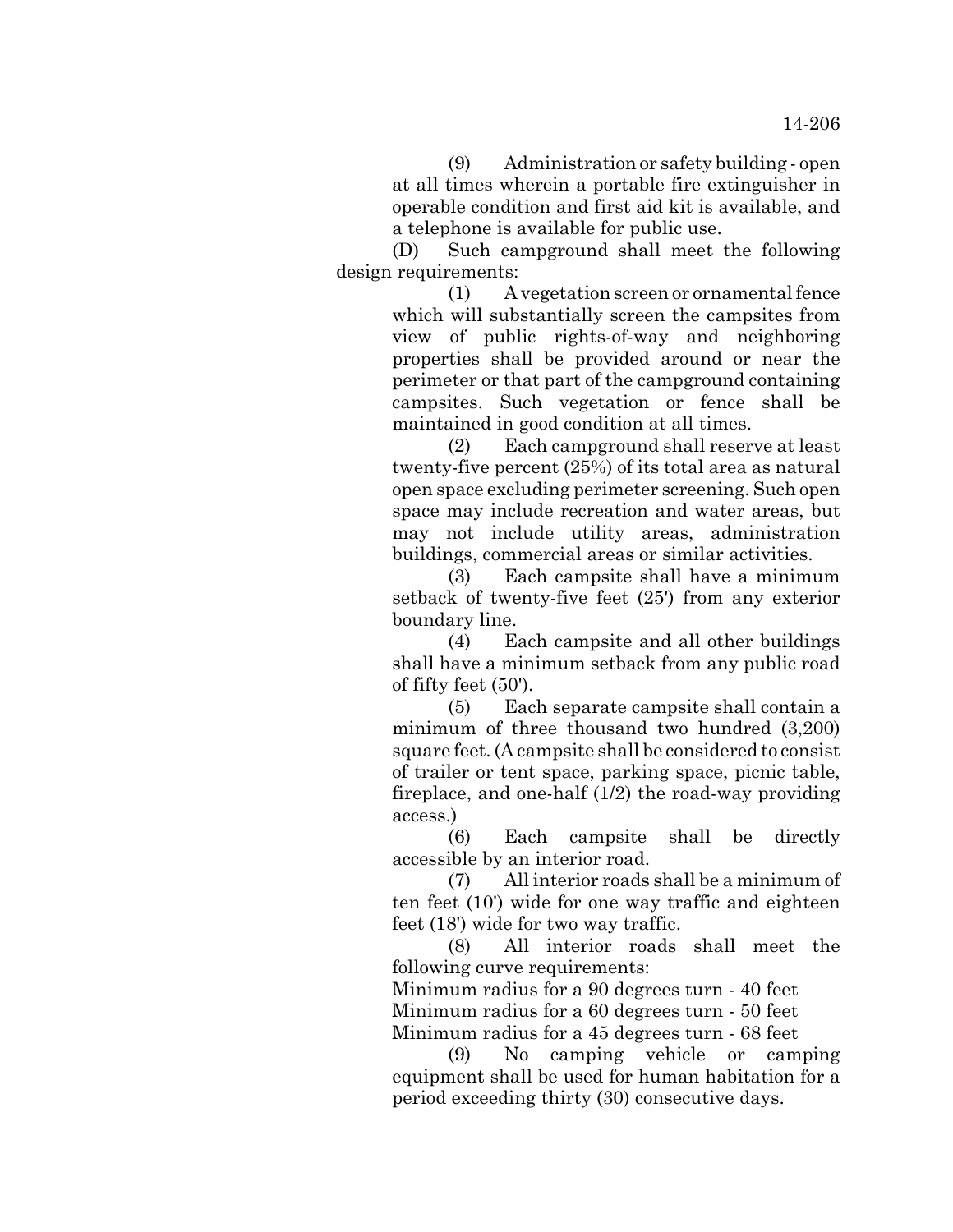(9) Administration or safety building - open at all times wherein a portable fire extinguisher in operable condition and first aid kit is available, and a telephone is available for public use.

(D) Such campground shall meet the following design requirements:

> (1) A vegetation screen or ornamental fence which will substantially screen the campsites from view of public rights-of-way and neighboring properties shall be provided around or near the perimeter or that part of the campground containing campsites. Such vegetation or fence shall be maintained in good condition at all times.

> (2) Each campground shall reserve at least twenty-five percent (25%) of its total area as natural open space excluding perimeter screening. Such open space may include recreation and water areas, but may not include utility areas, administration buildings, commercial areas or similar activities.

> (3) Each campsite shall have a minimum setback of twenty-five feet (25') from any exterior boundary line.

> (4) Each campsite and all other buildings shall have a minimum setback from any public road of fifty feet (50').

> (5) Each separate campsite shall contain a minimum of three thousand two hundred (3,200) square feet. (A campsite shall be considered to consist of trailer or tent space, parking space, picnic table, fireplace, and one-half (1/2) the road-way providing access.)

> (6) Each campsite shall be directly accessible by an interior road.

> (7) All interior roads shall be a minimum of ten feet (10') wide for one way traffic and eighteen feet (18') wide for two way traffic.

> (8) All interior roads shall meet the following curve requirements:

Minimum radius for a 90 degrees turn - 40 feet Minimum radius for a 60 degrees turn - 50 feet Minimum radius for a 45 degrees turn - 68 feet

(9) No camping vehicle or camping equipment shall be used for human habitation for a period exceeding thirty (30) consecutive days.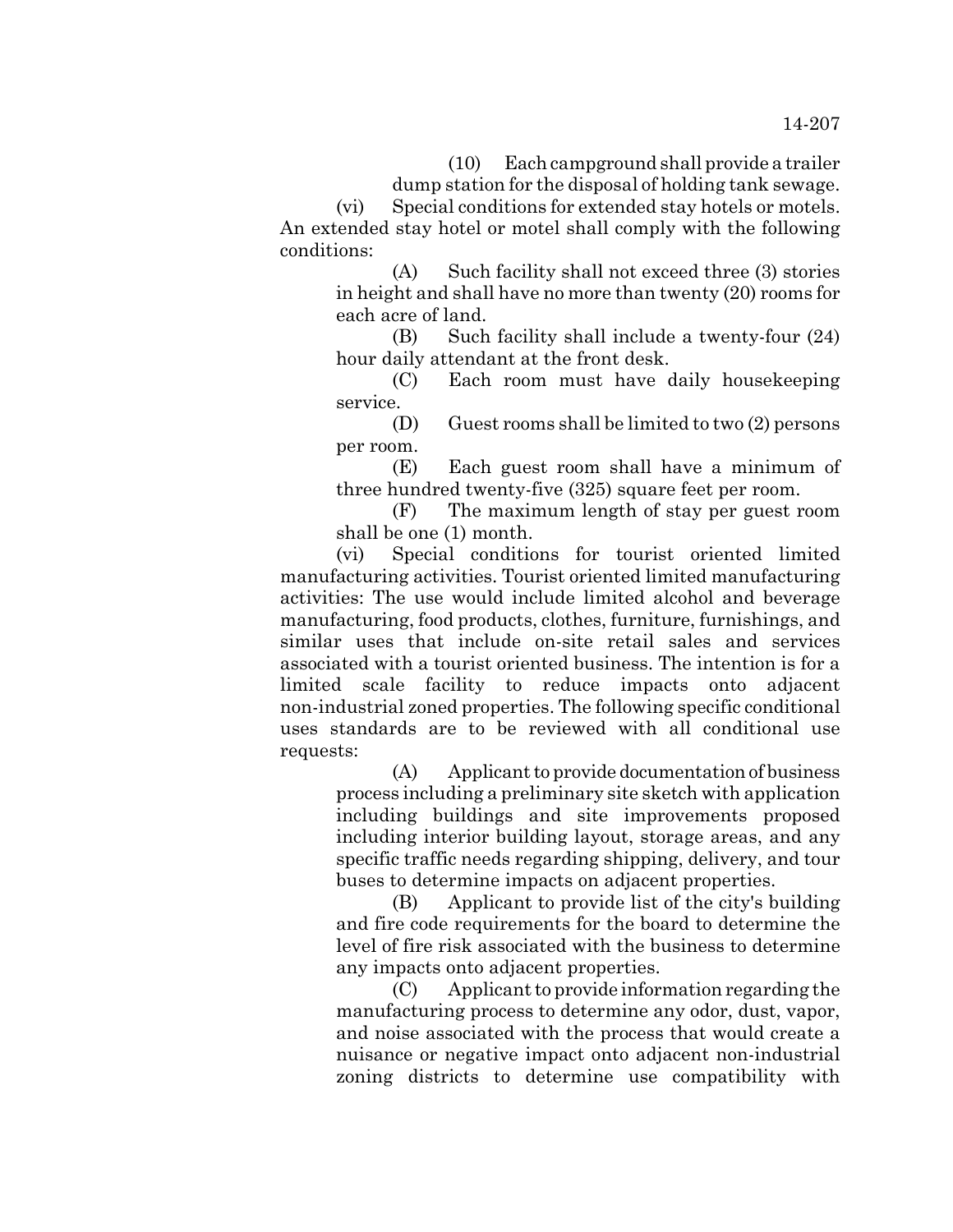(10) Each campground shall provide a trailer

dump station for the disposal of holding tank sewage. (vi) Special conditions for extended stay hotels or motels. An extended stay hotel or motel shall comply with the following

conditions: (A) Such facility shall not exceed three (3) stories in height and shall have no more than twenty (20) rooms for each acre of land.

(B) Such facility shall include a twenty-four (24) hour daily attendant at the front desk.

(C) Each room must have daily housekeeping service.

(D) Guest rooms shall be limited to two (2) persons per room.

(E) Each guest room shall have a minimum of three hundred twenty-five (325) square feet per room.

(F) The maximum length of stay per guest room shall be one (1) month.

(vi) Special conditions for tourist oriented limited manufacturing activities. Tourist oriented limited manufacturing activities: The use would include limited alcohol and beverage manufacturing, food products, clothes, furniture, furnishings, and similar uses that include on-site retail sales and services associated with a tourist oriented business. The intention is for a limited scale facility to reduce impacts onto adjacent non-industrial zoned properties. The following specific conditional uses standards are to be reviewed with all conditional use requests:

(A) Applicant to provide documentation of business process including a preliminary site sketch with application including buildings and site improvements proposed including interior building layout, storage areas, and any specific traffic needs regarding shipping, delivery, and tour buses to determine impacts on adjacent properties.

(B) Applicant to provide list of the city's building and fire code requirements for the board to determine the level of fire risk associated with the business to determine any impacts onto adjacent properties.

(C) Applicant to provide information regarding the manufacturing process to determine any odor, dust, vapor, and noise associated with the process that would create a nuisance or negative impact onto adjacent non-industrial zoning districts to determine use compatibility with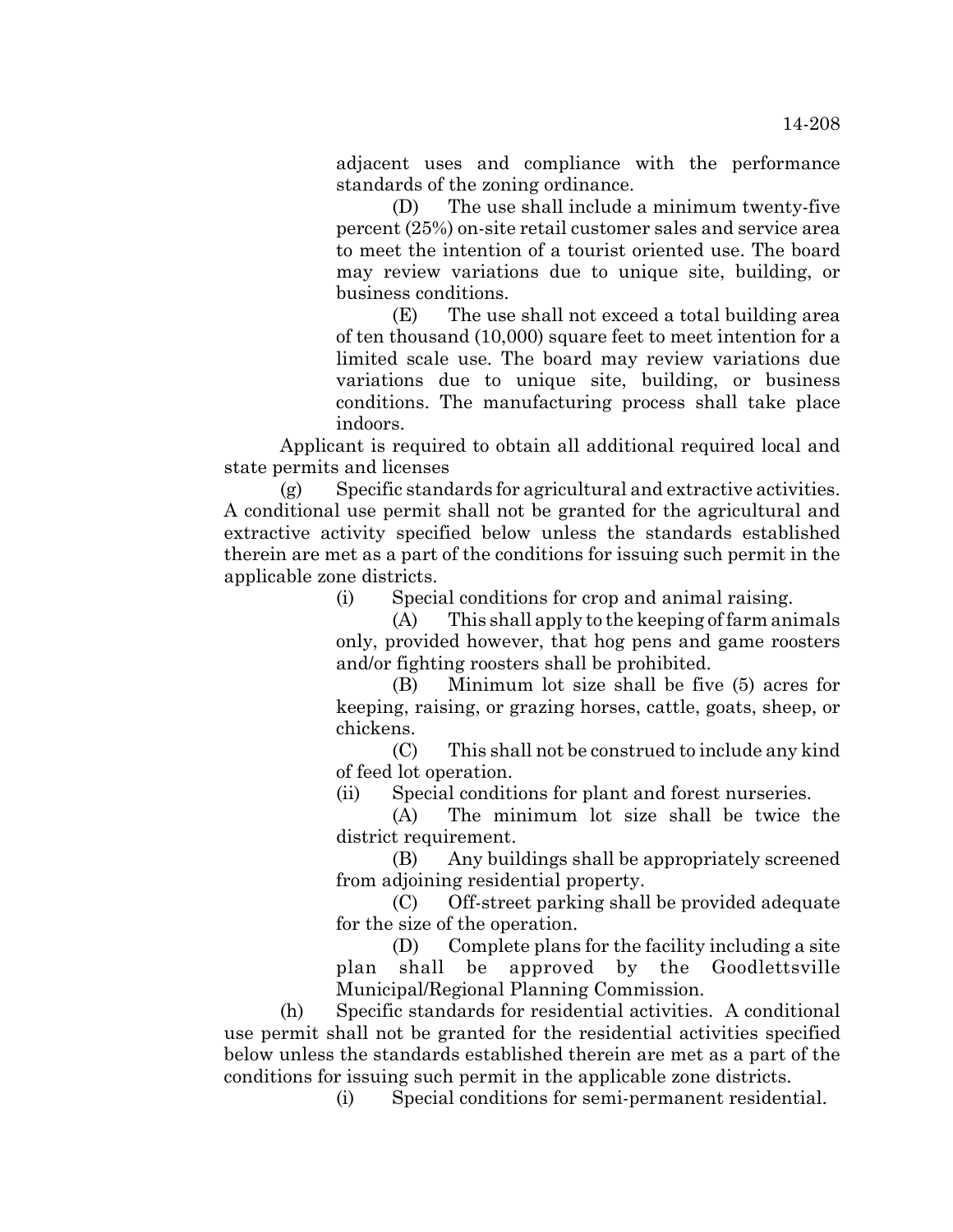adjacent uses and compliance with the performance standards of the zoning ordinance.

(D) The use shall include a minimum twenty-five percent (25%) on-site retail customer sales and service area to meet the intention of a tourist oriented use. The board may review variations due to unique site, building, or business conditions.

(E) The use shall not exceed a total building area of ten thousand (10,000) square feet to meet intention for a limited scale use. The board may review variations due variations due to unique site, building, or business conditions. The manufacturing process shall take place indoors.

Applicant is required to obtain all additional required local and state permits and licenses

(g) Specific standards for agricultural and extractive activities. A conditional use permit shall not be granted for the agricultural and extractive activity specified below unless the standards established therein are met as a part of the conditions for issuing such permit in the applicable zone districts.

(i) Special conditions for crop and animal raising.

(A) This shall apply to the keeping of farm animals only, provided however, that hog pens and game roosters and/or fighting roosters shall be prohibited.

(B) Minimum lot size shall be five (5) acres for keeping, raising, or grazing horses, cattle, goats, sheep, or chickens.

(C) This shall not be construed to include any kind of feed lot operation.

(ii) Special conditions for plant and forest nurseries.

(A) The minimum lot size shall be twice the district requirement.

(B) Any buildings shall be appropriately screened from adjoining residential property.

(C) Off-street parking shall be provided adequate for the size of the operation.

(D) Complete plans for the facility including a site plan shall be approved by the Goodlettsville Municipal/Regional Planning Commission.

(h) Specific standards for residential activities. A conditional use permit shall not be granted for the residential activities specified below unless the standards established therein are met as a part of the conditions for issuing such permit in the applicable zone districts.

(i) Special conditions for semi-permanent residential.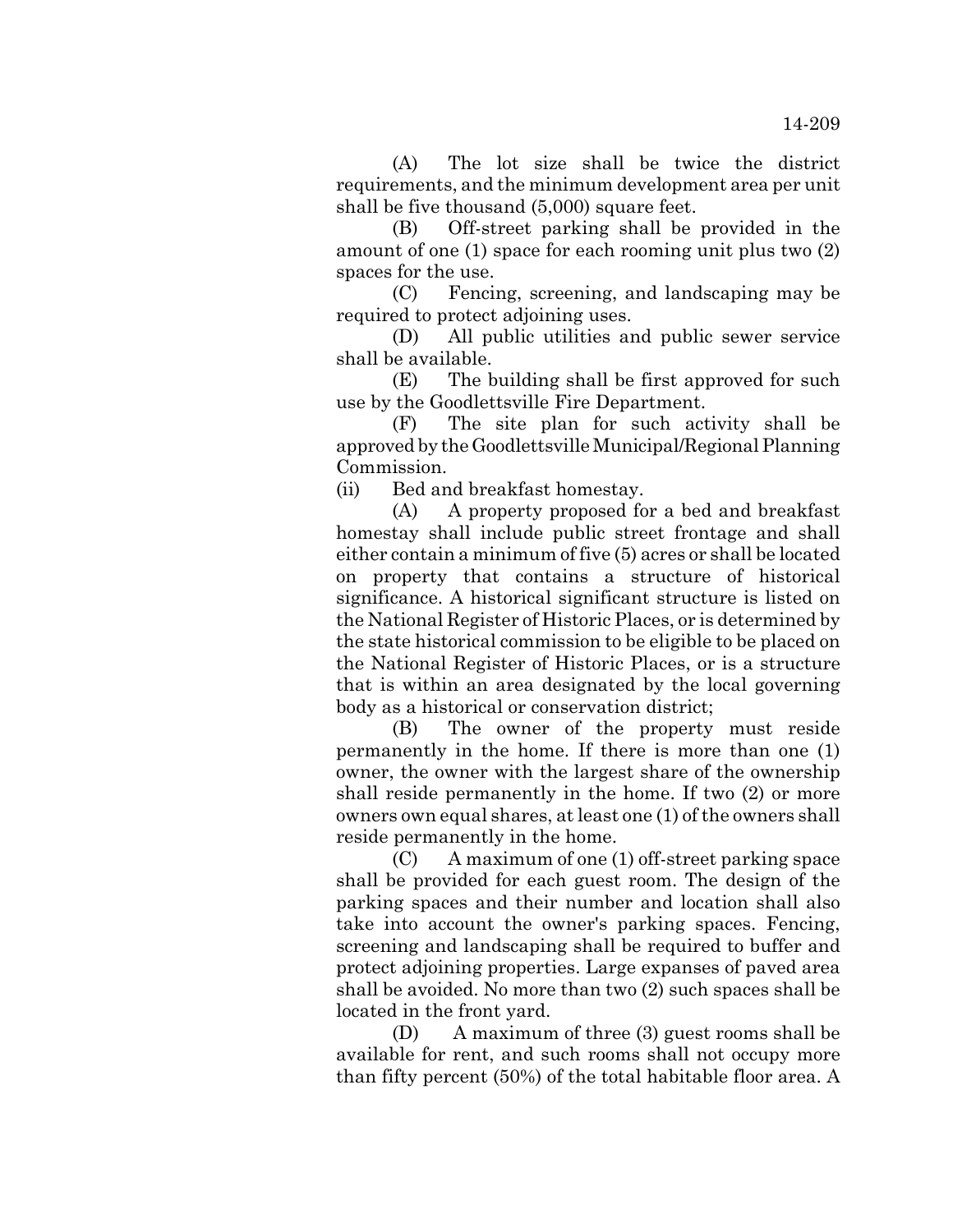(A) The lot size shall be twice the district requirements, and the minimum development area per unit shall be five thousand (5,000) square feet.

(B) Off-street parking shall be provided in the amount of one (1) space for each rooming unit plus two (2) spaces for the use.

(C) Fencing, screening, and landscaping may be required to protect adjoining uses.

(D) All public utilities and public sewer service shall be available.

(E) The building shall be first approved for such use by the Goodlettsville Fire Department.

(F) The site plan for such activity shall be approved by the Goodlettsville Municipal/Regional Planning Commission.

(ii) Bed and breakfast homestay.

(A) A property proposed for a bed and breakfast homestay shall include public street frontage and shall either contain a minimum of five (5) acres or shall be located on property that contains a structure of historical significance. A historical significant structure is listed on the National Register of Historic Places, or is determined by the state historical commission to be eligible to be placed on the National Register of Historic Places, or is a structure that is within an area designated by the local governing body as a historical or conservation district;

(B) The owner of the property must reside permanently in the home. If there is more than one (1) owner, the owner with the largest share of the ownership shall reside permanently in the home. If two (2) or more owners own equal shares, at least one (1) of the owners shall reside permanently in the home.

(C) A maximum of one (1) off-street parking space shall be provided for each guest room. The design of the parking spaces and their number and location shall also take into account the owner's parking spaces. Fencing, screening and landscaping shall be required to buffer and protect adjoining properties. Large expanses of paved area shall be avoided. No more than two (2) such spaces shall be located in the front yard.

(D) A maximum of three (3) guest rooms shall be available for rent, and such rooms shall not occupy more than fifty percent (50%) of the total habitable floor area. A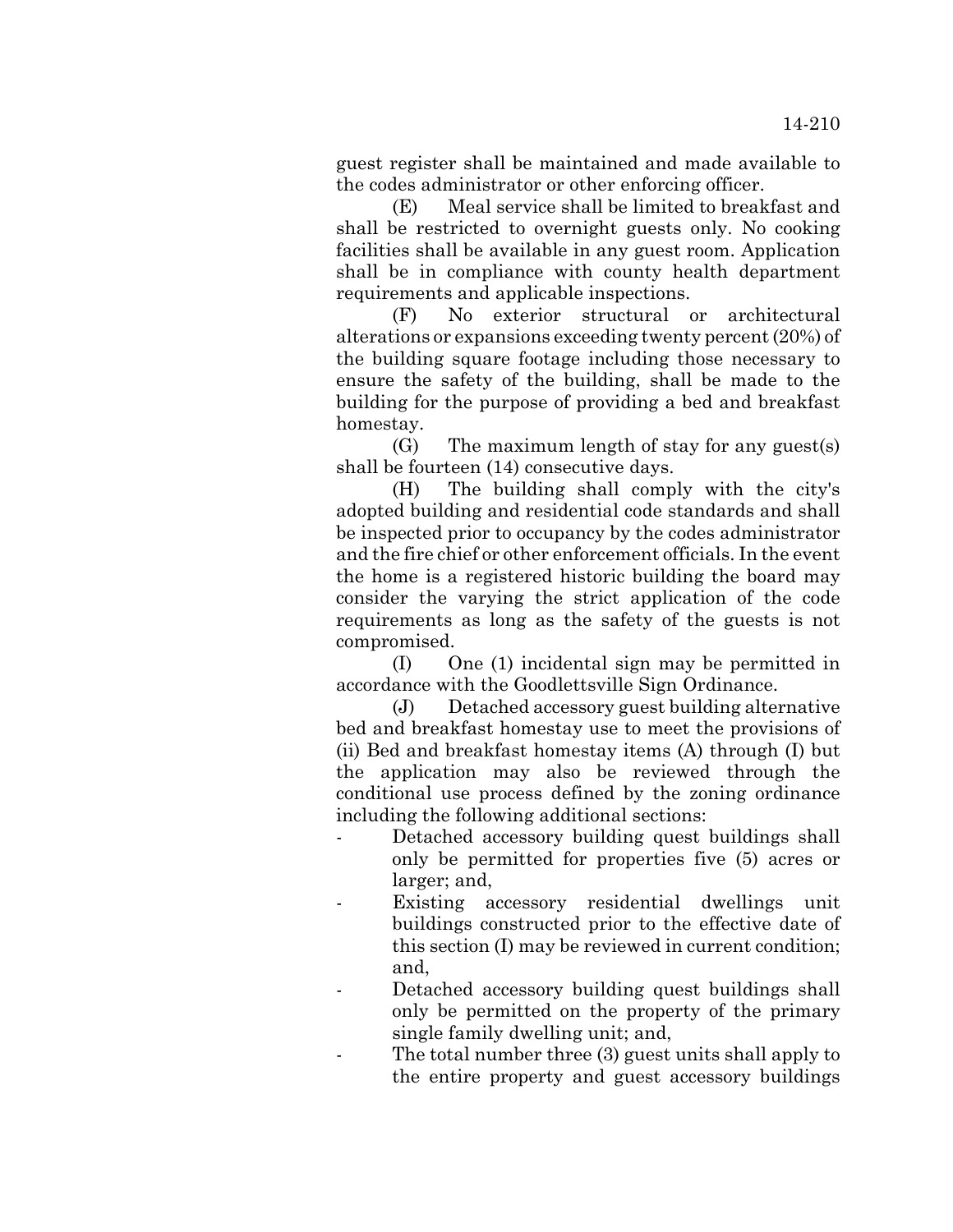guest register shall be maintained and made available to the codes administrator or other enforcing officer.

(E) Meal service shall be limited to breakfast and shall be restricted to overnight guests only. No cooking facilities shall be available in any guest room. Application shall be in compliance with county health department requirements and applicable inspections.

(F) No exterior structural or architectural alterations or expansions exceeding twenty percent (20%) of the building square footage including those necessary to ensure the safety of the building, shall be made to the building for the purpose of providing a bed and breakfast homestay.

(G) The maximum length of stay for any guest(s) shall be fourteen (14) consecutive days.

(H) The building shall comply with the city's adopted building and residential code standards and shall be inspected prior to occupancy by the codes administrator and the fire chief or other enforcement officials. In the event the home is a registered historic building the board may consider the varying the strict application of the code requirements as long as the safety of the guests is not compromised.

(I) One (1) incidental sign may be permitted in accordance with the Goodlettsville Sign Ordinance.

(J) Detached accessory guest building alternative bed and breakfast homestay use to meet the provisions of (ii) Bed and breakfast homestay items (A) through (I) but the application may also be reviewed through the conditional use process defined by the zoning ordinance including the following additional sections:

- Detached accessory building quest buildings shall only be permitted for properties five (5) acres or larger; and,
- Existing accessory residential dwellings unit buildings constructed prior to the effective date of this section (I) may be reviewed in current condition; and,
- Detached accessory building quest buildings shall only be permitted on the property of the primary single family dwelling unit; and,
- The total number three (3) guest units shall apply to the entire property and guest accessory buildings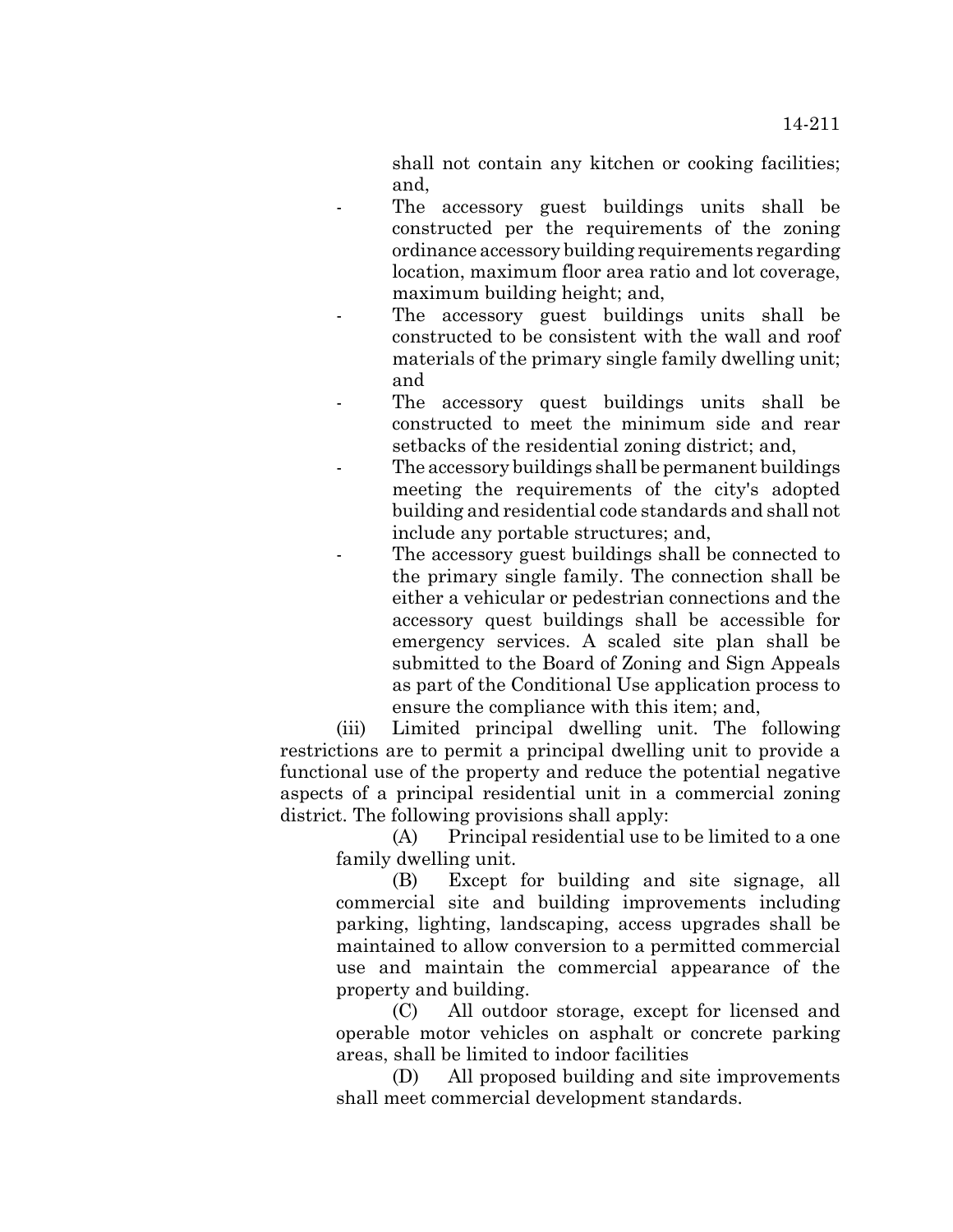shall not contain any kitchen or cooking facilities; and,

- The accessory guest buildings units shall be constructed per the requirements of the zoning ordinance accessory building requirements regarding location, maximum floor area ratio and lot coverage, maximum building height; and,
- The accessory guest buildings units shall be constructed to be consistent with the wall and roof materials of the primary single family dwelling unit; and
- The accessory quest buildings units shall be constructed to meet the minimum side and rear setbacks of the residential zoning district; and,
- The accessory buildings shall be permanent buildings meeting the requirements of the city's adopted building and residential code standards and shall not include any portable structures; and,
	- The accessory guest buildings shall be connected to the primary single family. The connection shall be either a vehicular or pedestrian connections and the accessory quest buildings shall be accessible for emergency services. A scaled site plan shall be submitted to the Board of Zoning and Sign Appeals as part of the Conditional Use application process to ensure the compliance with this item; and,

(iii) Limited principal dwelling unit. The following restrictions are to permit a principal dwelling unit to provide a functional use of the property and reduce the potential negative aspects of a principal residential unit in a commercial zoning district. The following provisions shall apply:

(A) Principal residential use to be limited to a one family dwelling unit.

(B) Except for building and site signage, all commercial site and building improvements including parking, lighting, landscaping, access upgrades shall be maintained to allow conversion to a permitted commercial use and maintain the commercial appearance of the property and building.

(C) All outdoor storage, except for licensed and operable motor vehicles on asphalt or concrete parking areas, shall be limited to indoor facilities

(D) All proposed building and site improvements shall meet commercial development standards.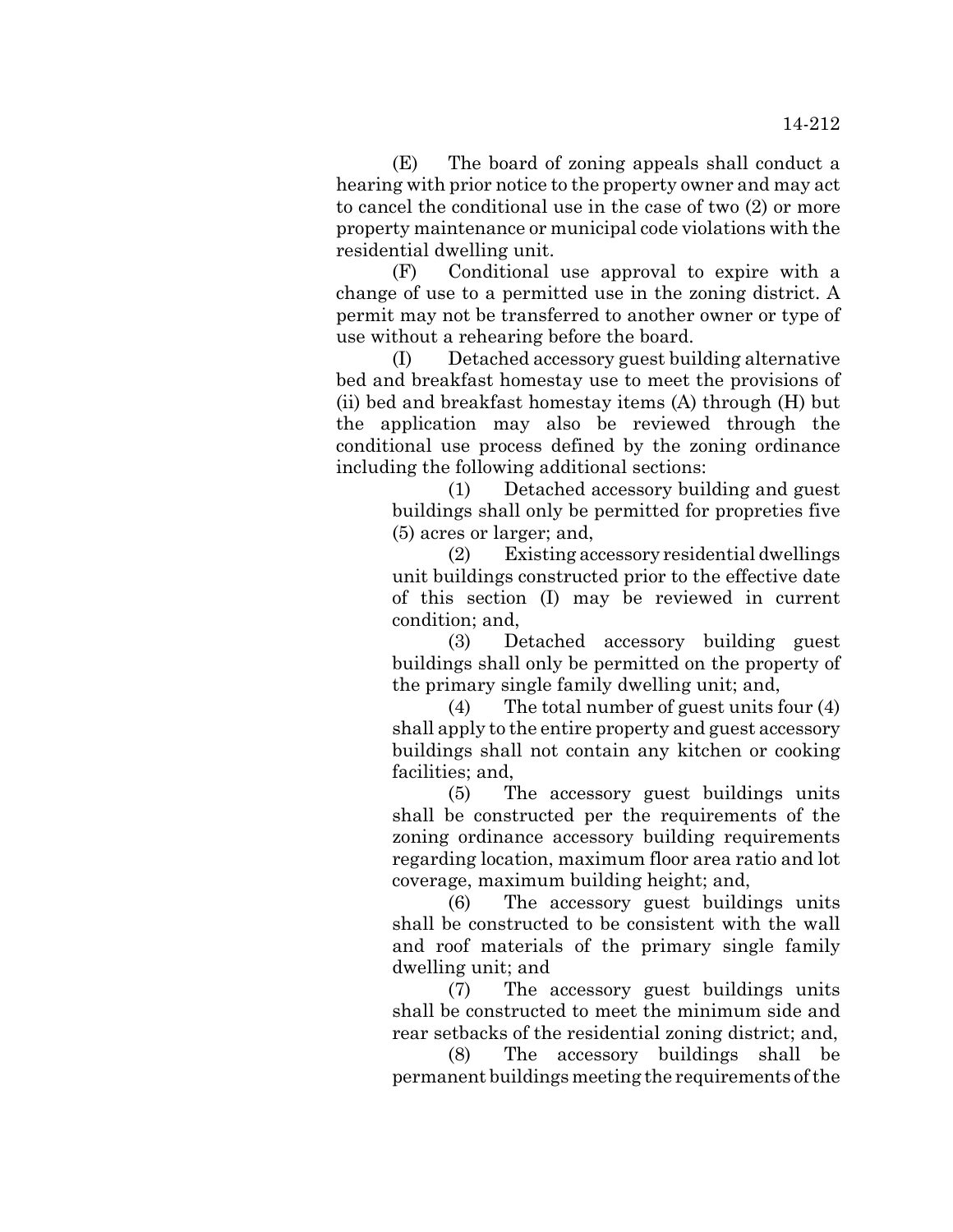(E) The board of zoning appeals shall conduct a hearing with prior notice to the property owner and may act to cancel the conditional use in the case of two (2) or more property maintenance or municipal code violations with the residential dwelling unit.

(F) Conditional use approval to expire with a change of use to a permitted use in the zoning district. A permit may not be transferred to another owner or type of use without a rehearing before the board.

(I) Detached accessory guest building alternative bed and breakfast homestay use to meet the provisions of (ii) bed and breakfast homestay items (A) through (H) but the application may also be reviewed through the conditional use process defined by the zoning ordinance including the following additional sections:

> (1) Detached accessory building and guest buildings shall only be permitted for propreties five (5) acres or larger; and,

> (2) Existing accessory residential dwellings unit buildings constructed prior to the effective date of this section (I) may be reviewed in current condition; and,

> (3) Detached accessory building guest buildings shall only be permitted on the property of the primary single family dwelling unit; and,

> (4) The total number of guest units four (4) shall apply to the entire property and guest accessory buildings shall not contain any kitchen or cooking facilities; and,

> (5) The accessory guest buildings units shall be constructed per the requirements of the zoning ordinance accessory building requirements regarding location, maximum floor area ratio and lot coverage, maximum building height; and,

> (6) The accessory guest buildings units shall be constructed to be consistent with the wall and roof materials of the primary single family dwelling unit; and

> (7) The accessory guest buildings units shall be constructed to meet the minimum side and rear setbacks of the residential zoning district; and,

> (8) The accessory buildings shall be permanent buildings meeting the requirements of the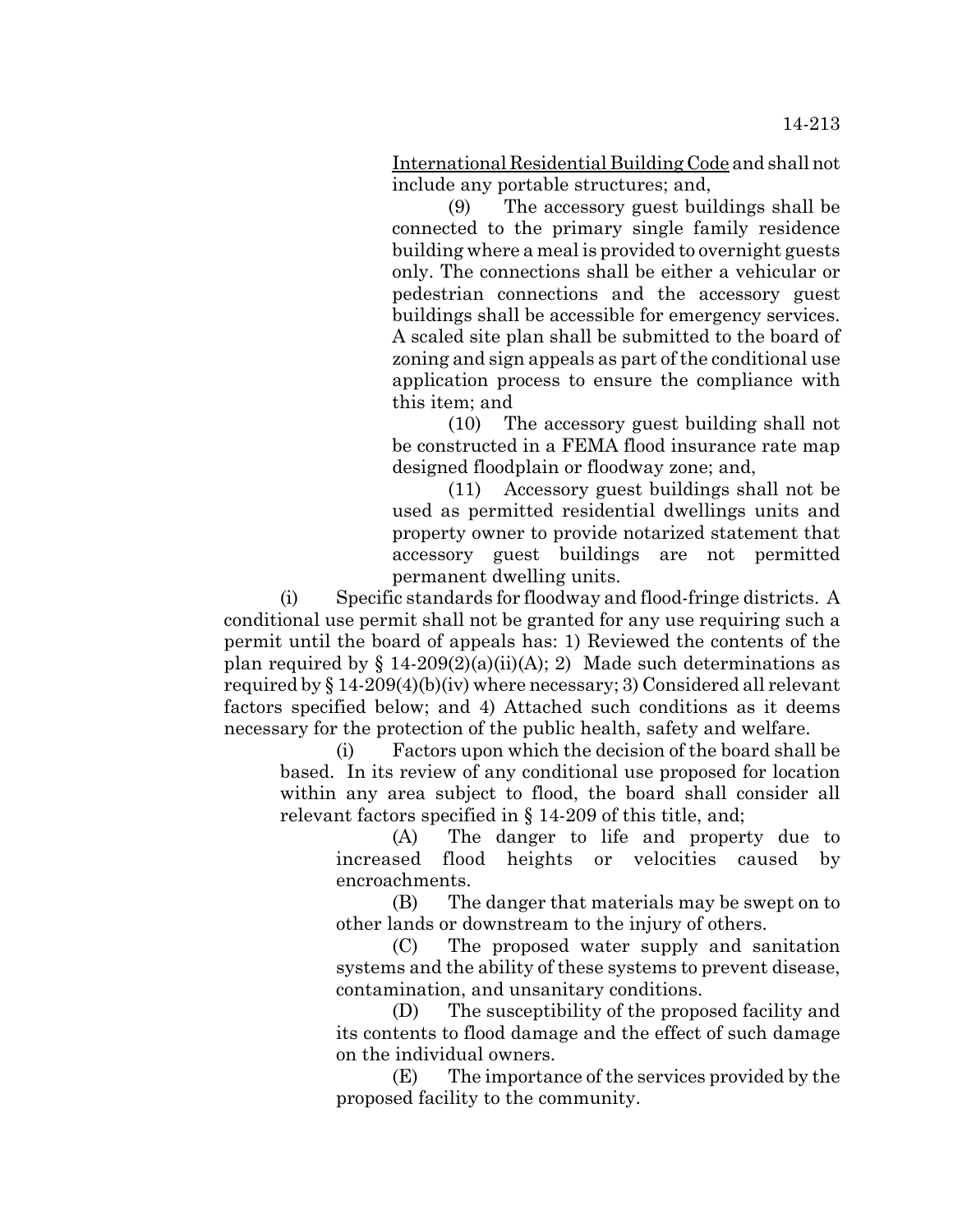International Residential Building Code and shall not include any portable structures; and,

(9) The accessory guest buildings shall be connected to the primary single family residence building where a meal is provided to overnight guests only. The connections shall be either a vehicular or pedestrian connections and the accessory guest buildings shall be accessible for emergency services. A scaled site plan shall be submitted to the board of zoning and sign appeals as part of the conditional use application process to ensure the compliance with this item; and

(10) The accessory guest building shall not be constructed in a FEMA flood insurance rate map designed floodplain or floodway zone; and,

(11) Accessory guest buildings shall not be used as permitted residential dwellings units and property owner to provide notarized statement that accessory guest buildings are not permitted permanent dwelling units.

(i) Specific standards for floodway and flood-fringe districts. A conditional use permit shall not be granted for any use requiring such a permit until the board of appeals has: 1) Reviewed the contents of the plan required by  $\S 14-209(2)(a)(ii)(A); 2)$  Made such determinations as required by § 14-209(4)(b)(iv) where necessary; 3) Considered all relevant factors specified below; and 4) Attached such conditions as it deems necessary for the protection of the public health, safety and welfare.

(i) Factors upon which the decision of the board shall be based. In its review of any conditional use proposed for location within any area subject to flood, the board shall consider all relevant factors specified in § 14-209 of this title, and;

(A) The danger to life and property due to increased flood heights or velocities caused by encroachments.

(B) The danger that materials may be swept on to other lands or downstream to the injury of others.

(C) The proposed water supply and sanitation systems and the ability of these systems to prevent disease, contamination, and unsanitary conditions.

(D) The susceptibility of the proposed facility and its contents to flood damage and the effect of such damage on the individual owners.

(E) The importance of the services provided by the proposed facility to the community.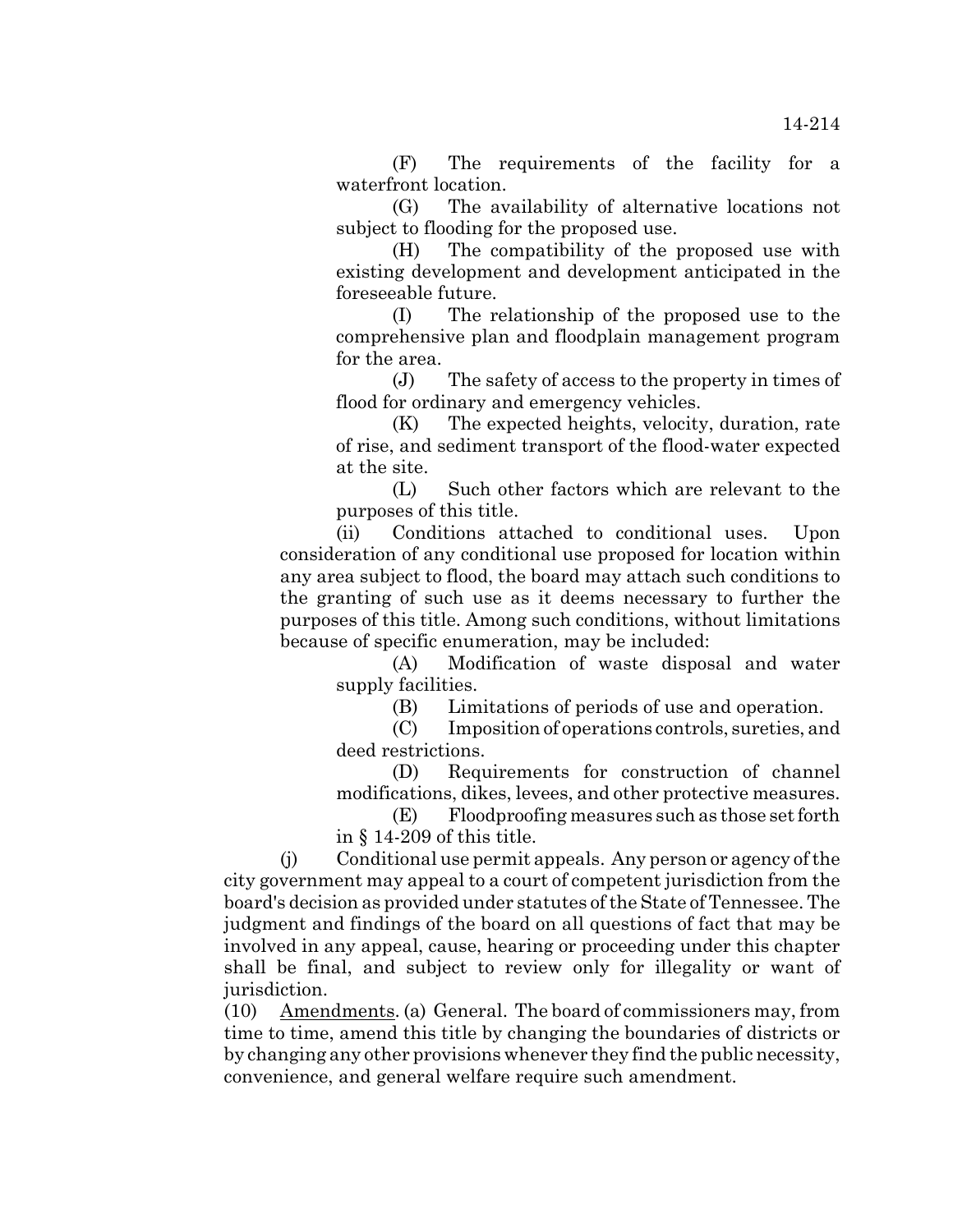(F) The requirements of the facility for a waterfront location.

(G) The availability of alternative locations not subject to flooding for the proposed use.

(H) The compatibility of the proposed use with existing development and development anticipated in the foreseeable future.

(I) The relationship of the proposed use to the comprehensive plan and floodplain management program for the area.

(J) The safety of access to the property in times of flood for ordinary and emergency vehicles.

(K) The expected heights, velocity, duration, rate of rise, and sediment transport of the flood-water expected at the site.

(L) Such other factors which are relevant to the purposes of this title.

(ii) Conditions attached to conditional uses. Upon consideration of any conditional use proposed for location within any area subject to flood, the board may attach such conditions to the granting of such use as it deems necessary to further the purposes of this title. Among such conditions, without limitations because of specific enumeration, may be included:

(A) Modification of waste disposal and water supply facilities.

(B) Limitations of periods of use and operation.

(C) Imposition of operations controls, sureties, and deed restrictions.

(D) Requirements for construction of channel modifications, dikes, levees, and other protective measures.

(E) Floodproofing measures such as those set forth in § 14-209 of this title.

(j) Conditional use permit appeals. Any person or agency of the city government may appeal to a court of competent jurisdiction from the board's decision as provided under statutes of the State of Tennessee. The judgment and findings of the board on all questions of fact that may be involved in any appeal, cause, hearing or proceeding under this chapter shall be final, and subject to review only for illegality or want of jurisdiction.

(10) Amendments. (a) General. The board of commissioners may, from time to time, amend this title by changing the boundaries of districts or by changing any other provisions whenever they find the public necessity, convenience, and general welfare require such amendment.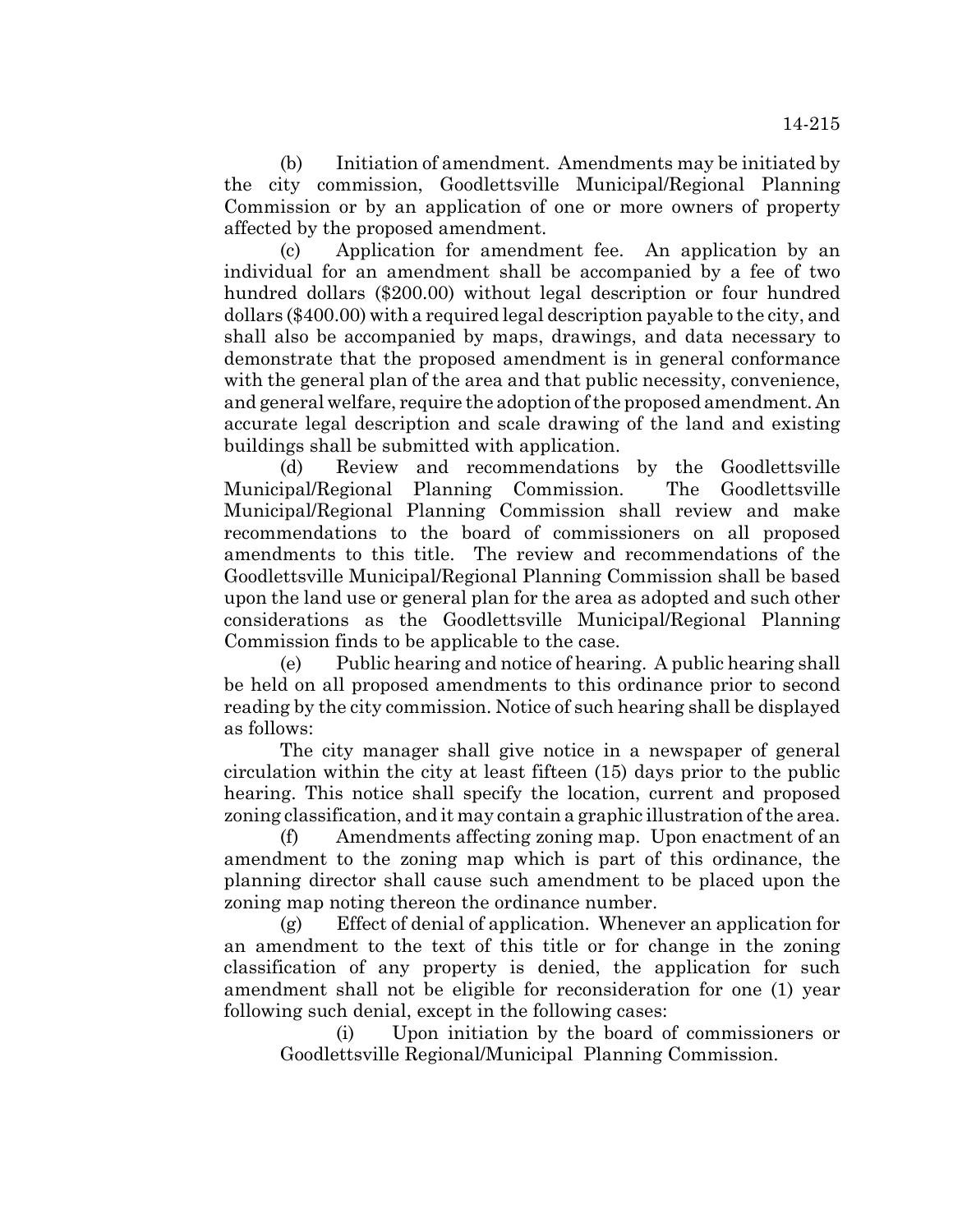(b) Initiation of amendment. Amendments may be initiated by the city commission, Goodlettsville Municipal/Regional Planning Commission or by an application of one or more owners of property affected by the proposed amendment.

(c) Application for amendment fee. An application by an individual for an amendment shall be accompanied by a fee of two hundred dollars (\$200.00) without legal description or four hundred dollars (\$400.00) with a required legal description payable to the city, and shall also be accompanied by maps, drawings, and data necessary to demonstrate that the proposed amendment is in general conformance with the general plan of the area and that public necessity, convenience, and general welfare, require the adoption of the proposed amendment. An accurate legal description and scale drawing of the land and existing buildings shall be submitted with application.

(d) Review and recommendations by the Goodlettsville Municipal/Regional Planning Commission. The Goodlettsville Municipal/Regional Planning Commission shall review and make recommendations to the board of commissioners on all proposed amendments to this title. The review and recommendations of the Goodlettsville Municipal/Regional Planning Commission shall be based upon the land use or general plan for the area as adopted and such other considerations as the Goodlettsville Municipal/Regional Planning Commission finds to be applicable to the case.

(e) Public hearing and notice of hearing. A public hearing shall be held on all proposed amendments to this ordinance prior to second reading by the city commission. Notice of such hearing shall be displayed as follows:

The city manager shall give notice in a newspaper of general circulation within the city at least fifteen (15) days prior to the public hearing. This notice shall specify the location, current and proposed zoning classification, and it may contain a graphic illustration of the area.

(f) Amendments affecting zoning map. Upon enactment of an amendment to the zoning map which is part of this ordinance, the planning director shall cause such amendment to be placed upon the zoning map noting thereon the ordinance number.

(g) Effect of denial of application. Whenever an application for an amendment to the text of this title or for change in the zoning classification of any property is denied, the application for such amendment shall not be eligible for reconsideration for one (1) year following such denial, except in the following cases:

(i) Upon initiation by the board of commissioners or Goodlettsville Regional/Municipal Planning Commission.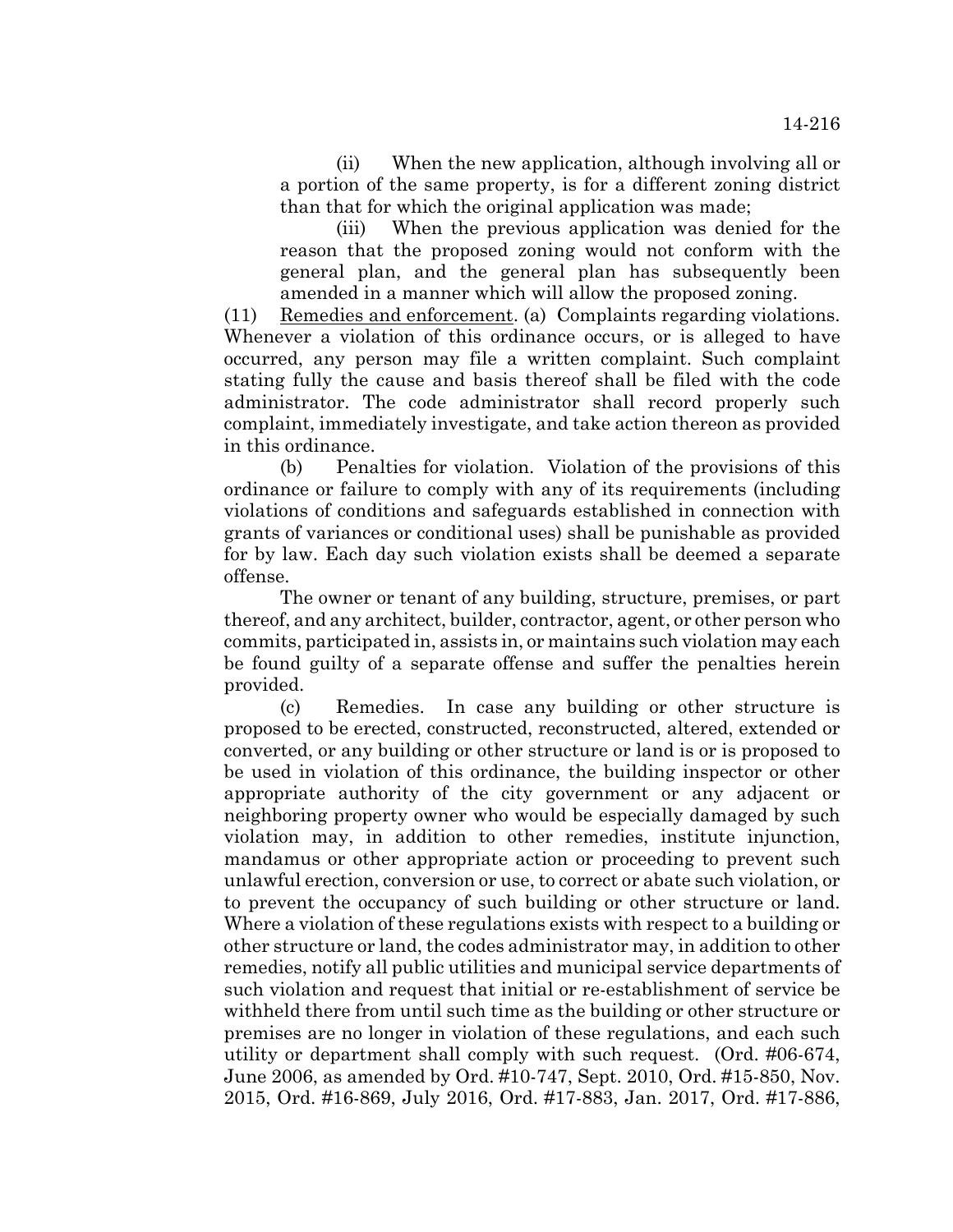(ii) When the new application, although involving all or a portion of the same property, is for a different zoning district than that for which the original application was made;

(iii) When the previous application was denied for the reason that the proposed zoning would not conform with the general plan, and the general plan has subsequently been amended in a manner which will allow the proposed zoning.

(11) Remedies and enforcement. (a) Complaints regarding violations. Whenever a violation of this ordinance occurs, or is alleged to have occurred, any person may file a written complaint. Such complaint stating fully the cause and basis thereof shall be filed with the code administrator. The code administrator shall record properly such complaint, immediately investigate, and take action thereon as provided in this ordinance.

(b) Penalties for violation. Violation of the provisions of this ordinance or failure to comply with any of its requirements (including violations of conditions and safeguards established in connection with grants of variances or conditional uses) shall be punishable as provided for by law. Each day such violation exists shall be deemed a separate offense.

The owner or tenant of any building, structure, premises, or part thereof, and any architect, builder, contractor, agent, or other person who commits, participated in, assists in, or maintains such violation may each be found guilty of a separate offense and suffer the penalties herein provided.

(c) Remedies. In case any building or other structure is proposed to be erected, constructed, reconstructed, altered, extended or converted, or any building or other structure or land is or is proposed to be used in violation of this ordinance, the building inspector or other appropriate authority of the city government or any adjacent or neighboring property owner who would be especially damaged by such violation may, in addition to other remedies, institute injunction, mandamus or other appropriate action or proceeding to prevent such unlawful erection, conversion or use, to correct or abate such violation, or to prevent the occupancy of such building or other structure or land. Where a violation of these regulations exists with respect to a building or other structure or land, the codes administrator may, in addition to other remedies, notify all public utilities and municipal service departments of such violation and request that initial or re-establishment of service be withheld there from until such time as the building or other structure or premises are no longer in violation of these regulations, and each such utility or department shall comply with such request. (Ord. #06-674, June 2006, as amended by Ord. #10-747, Sept. 2010, Ord. #15-850, Nov. 2015, Ord. #16-869, July 2016, Ord. #17-883, Jan. 2017, Ord. #17-886,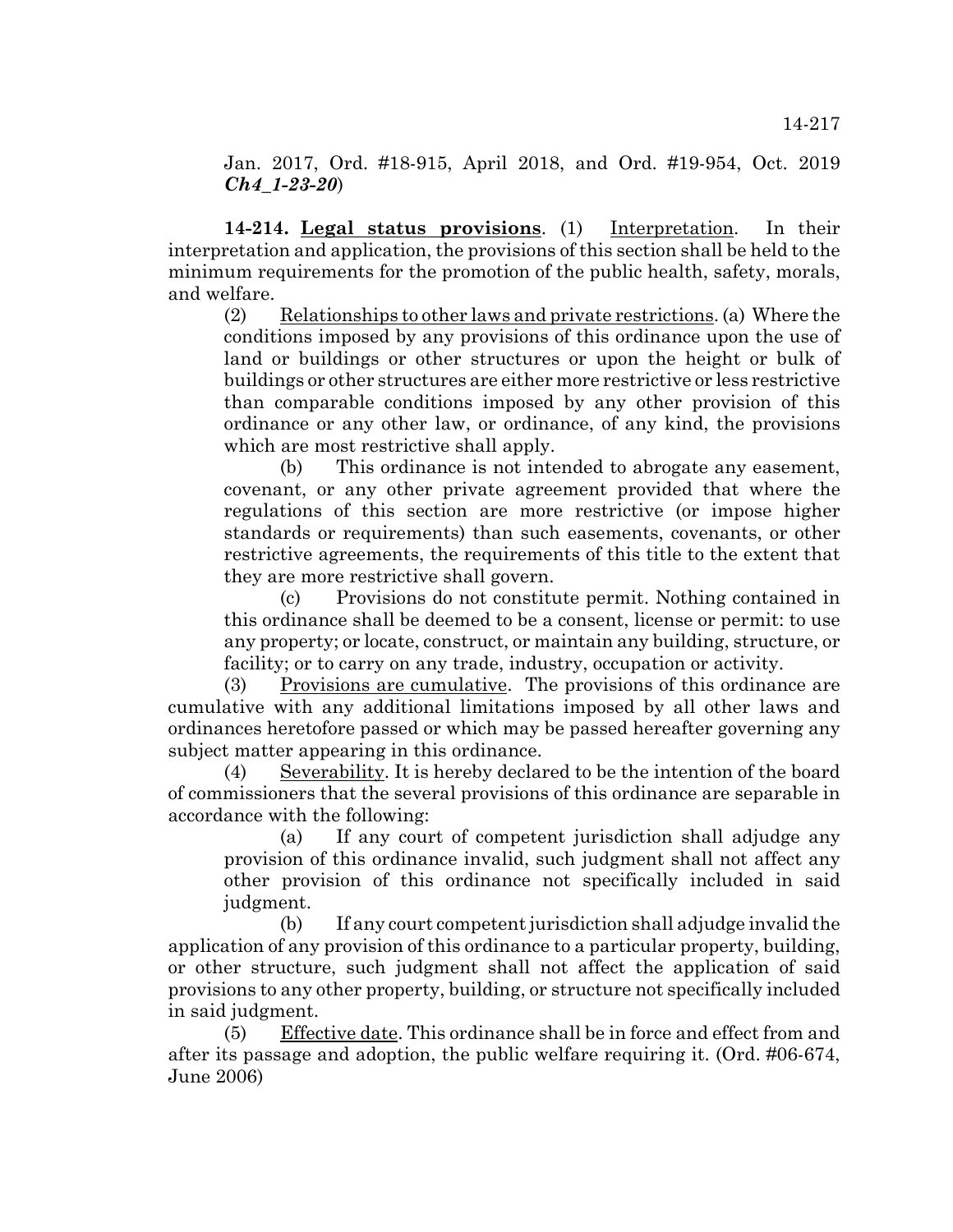Jan. 2017, Ord. #18-915, April 2018, and Ord. #19-954, Oct. 2019 *Ch4\_1-23-20*)

**14-214. Legal status provisions**. (1) Interpretation. In their interpretation and application, the provisions of this section shall be held to the minimum requirements for the promotion of the public health, safety, morals, and welfare.

(2) Relationships to other laws and private restrictions. (a) Where the conditions imposed by any provisions of this ordinance upon the use of land or buildings or other structures or upon the height or bulk of buildings or other structures are either more restrictive or less restrictive than comparable conditions imposed by any other provision of this ordinance or any other law, or ordinance, of any kind, the provisions which are most restrictive shall apply.

(b) This ordinance is not intended to abrogate any easement, covenant, or any other private agreement provided that where the regulations of this section are more restrictive (or impose higher standards or requirements) than such easements, covenants, or other restrictive agreements, the requirements of this title to the extent that they are more restrictive shall govern.

(c) Provisions do not constitute permit. Nothing contained in this ordinance shall be deemed to be a consent, license or permit: to use any property; or locate, construct, or maintain any building, structure, or facility; or to carry on any trade, industry, occupation or activity.

(3) Provisions are cumulative. The provisions of this ordinance are cumulative with any additional limitations imposed by all other laws and ordinances heretofore passed or which may be passed hereafter governing any subject matter appearing in this ordinance.

(4) Severability. It is hereby declared to be the intention of the board of commissioners that the several provisions of this ordinance are separable in accordance with the following:

(a) If any court of competent jurisdiction shall adjudge any provision of this ordinance invalid, such judgment shall not affect any other provision of this ordinance not specifically included in said judgment.

(b) If any court competent jurisdiction shall adjudge invalid the application of any provision of this ordinance to a particular property, building, or other structure, such judgment shall not affect the application of said provisions to any other property, building, or structure not specifically included in said judgment.

(5) Effective date. This ordinance shall be in force and effect from and after its passage and adoption, the public welfare requiring it. (Ord. #06-674, June 2006)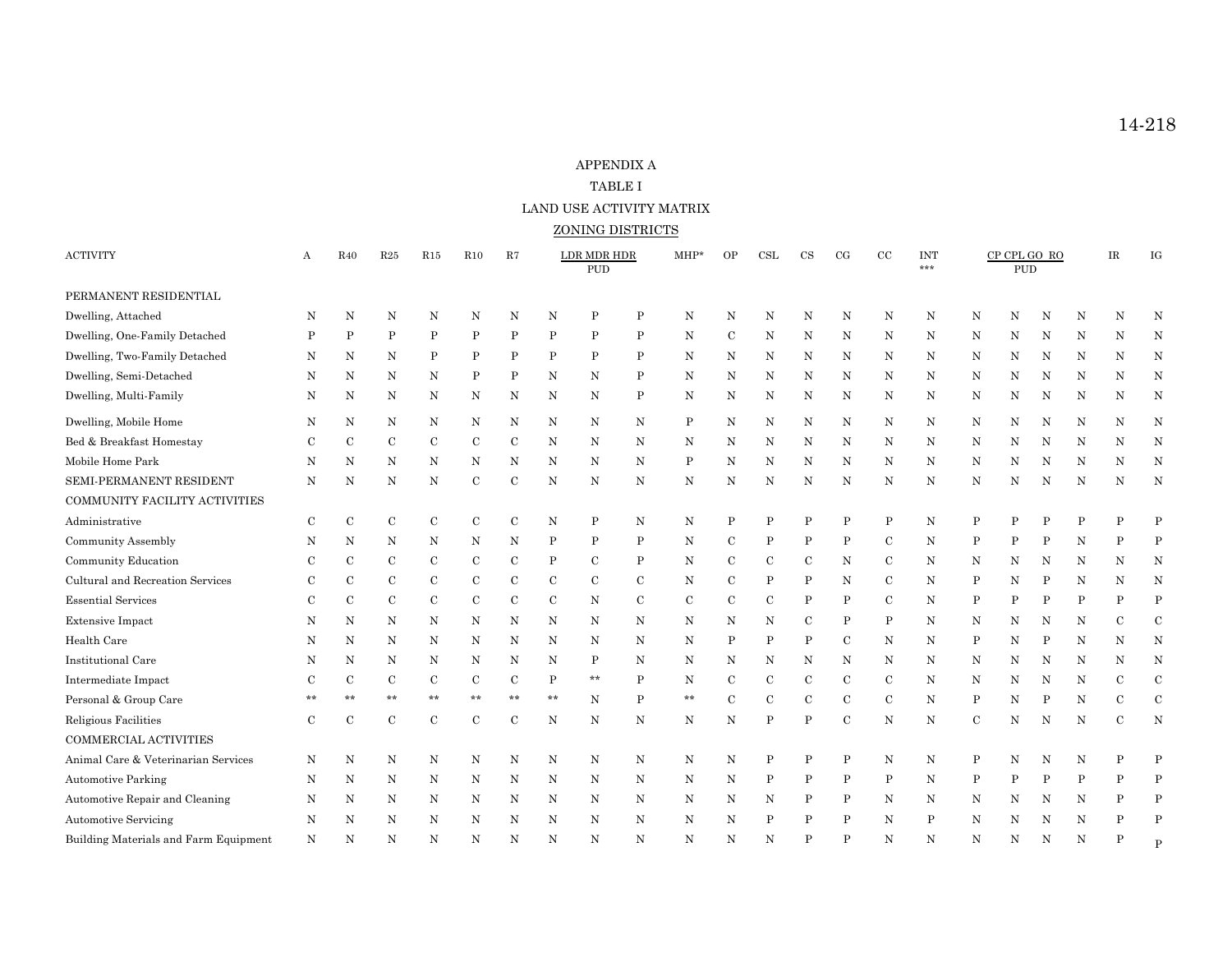#### APPENDIX A

#### TABLE I

LAND USE ACTIVITY MATRIX

#### ZONING DISTRICTS

| <b>ACTIVITY</b>                       | А           | <b>R40</b>    | R25         | R15           | R10         | R7          |             | LDR MDR HDR<br><b>PUD</b> |              | MHP*         | OP          | CSL         | <b>CS</b>   | CG          | $_{\rm CC}$ | <b>INT</b><br>$***$ |               | CP CPL GO RO<br><b>PUD</b> |   |   | $\ensuremath{\mathsf{IR}}\xspace$ | IG           |
|---------------------------------------|-------------|---------------|-------------|---------------|-------------|-------------|-------------|---------------------------|--------------|--------------|-------------|-------------|-------------|-------------|-------------|---------------------|---------------|----------------------------|---|---|-----------------------------------|--------------|
| PERMANENT RESIDENTIAL                 |             |               |             |               |             |             |             |                           |              |              |             |             |             |             |             |                     |               |                            |   |   |                                   |              |
| Dwelling, Attached                    | N           | N             | N           | N             | N           | N           | Ν           | Ρ                         | P            | N            | N           | N           | N           | N           | N           | N                   | N             | N                          | N | N | N                                 | N            |
| Dwelling, One-Family Detached         | Ρ           | P             | P           | P             | P           | $\mathbf P$ | P           | P                         | P            | N            | $\mathbf C$ | N           | N           | N           | N           | N                   | N             | N                          | N | N | N                                 | N            |
| Dwelling, Two-Family Detached         | N           | N             | N           | Ρ             | P           | Ρ           | P           | P                         | P            | N            | N           | N           | N           | N           | Ν           | N                   | N             | N                          | N | N | N                                 | N            |
| Dwelling, Semi-Detached               | N           | N             | N           | N             | P           | $\mathbf P$ | N           | N                         | Ρ            | N            | N           | N           | N           | N           | N           | N                   | N             | N                          | N | N | N                                 | N            |
| Dwelling, Multi-Family                | N           | N             | N           | Ν             | N           | N           | N           | N                         | $\, {\bf P}$ | Ν            | N           | N           | Ν           | N           | Ν           | N                   | Ν             | N                          | N | N | Ν                                 | N            |
| Dwelling, Mobile Home                 | N           | N             | N           | Ν             | N           | N           | N           | N                         | Ν            | $\, {\bf P}$ | N           | N           | N           | Ν           | N           | N                   | Ν             | N                          | N | N | N                                 | N            |
| Bed & Breakfast Homestay              | C           | $\mathbf C$   | $\mathbf C$ | $\mathbf C$   | $\mathbf C$ | $\mathbf C$ | N           | N                         | N            | N            | N           | N           | N           | Ν           | Ν           | N                   | N             | N                          | N | N | N                                 | N            |
| Mobile Home Park                      | N           | N             | $\mathbf N$ | N             | N           | N           | $_{\rm N}$  | $_{\rm N}$                | N            | $\, {\bf P}$ | $\mathbf N$ | N           | $_{\rm N}$  | $\rm N$     | N           | N                   | N             | N                          | N | N | N                                 | $\mathbf N$  |
| SEMI-PERMANENT RESIDENT               | N           | Ν             | N           | N             | $\mathbf C$ | $\mathbf C$ | $\rm N$     | N                         | N            | N            | N           | N           | N           | N           | N           | N                   | N             | N                          | N | N | N                                 | $\mathbf N$  |
| COMMUNITY FACILITY ACTIVITIES         |             |               |             |               |             |             |             |                           |              |              |             |             |             |             |             |                     |               |                            |   |   |                                   |              |
| Administrative                        | $\mathbf C$ | $\mathbf C$   | $\mathbf C$ | $\mathbf C$   | $\mathbf C$ | $\mathbf C$ | N           | Ρ                         | N            | N            | P           | P           | P           | P           | P           | N                   | P             | P                          | P | P | P                                 | $\mathbf{P}$ |
| <b>Community Assembly</b>             | N           | Ν             | N           | N             | N           | N           | $\mathbf P$ | Ρ                         | Ρ            | N            | $\mathbf C$ | Ρ           | P           | P           | $\mathbf C$ | N                   | $\mathbf P$   | P                          | P | N | P                                 | $\mathbf P$  |
| Community Education                   | C           | C             | $\mathbf C$ | С             | С           | С           | $\mathbf P$ | С                         | P            | N            | C           | C           | C           | N           | C           | N                   | N             | N                          | N | N | N                                 | N            |
| Cultural and Recreation Services      | C           | $\mathcal{C}$ | $\mathbf C$ | $\mathcal C$  | $\mathbf C$ | $\mathbf C$ | $\mathbf C$ | $\mathbf C$               | С            | N            | $\mathbf C$ | Ρ           | P           | N           | $\mathbf C$ | N                   | $\mathbf P$   | N                          | P | N | N                                 | $\mathbf N$  |
| <b>Essential Services</b>             | C           | $\mathbf C$   | $\mathbf C$ | $\mathbf C$   | $\mathbf C$ | $\mathbf C$ | $\mathbf C$ | N                         | С            | $\mathbf C$  | $\mathbf C$ | $\mathbf C$ | P           | Ρ           | $\mathbf C$ | N                   | $\mathbf P$   | P                          | P | P | P                                 | $\mathbf P$  |
| <b>Extensive Impact</b>               | N           | N             | N           | Ν             | N           | N           | N           | N                         | N            | N            | N           | N           | $\mathbf C$ | P           | P           | N                   | N             | N                          | N | N | C                                 | $\mathbf C$  |
| Health Care                           | N           | N             | N           | N             | N           | N           | N           | N                         | N            | N            | P           | P           | P           | $\mathbf C$ | N           | N                   | $\mathbf P$   | N                          | P | N | N                                 | N            |
| <b>Institutional Care</b>             | N           | N             | N           | N             | N           | N           | N           | P                         | N            | Ν            | N           | Ν           | N           | N           | N           | N                   | N             | N                          | N | N | N                                 | N            |
| Intermediate Impact                   | C           | $\mathcal{C}$ | $\mathbf C$ | $\mathbf C$   | $\mathbf C$ | $\mathbf C$ | P           | $**$                      | P            | N            | $\mathbf C$ | $\mathbf C$ | $\mathbf C$ | С           | $\mathbf C$ | N                   | N             | N                          | N | N | $\mathbf C$                       | $\mathbf C$  |
| Personal & Group Care                 |             | **            | $**$        | **            | **          | **          | $**$        | N                         | P            | **           | $\mathbf C$ | $\mathbf C$ | $\mathbf C$ | $\mathbf C$ | $\mathbf C$ | N                   | $\mathbf P$   | N                          | P | N | $\mathbf C$                       | $\mathbf C$  |
| Religious Facilities                  | $\mathbf C$ | $\mathcal{C}$ | $\mathbf C$ | $\mathcal{C}$ | $\mathbf C$ | $\mathbf C$ | N           | N                         | N            | N            | N           | P           | P           | $\mathbf C$ | N           | N                   | $\mathcal{C}$ | N                          | N | N | $\mathbf C$                       | N            |
| <b>COMMERCIAL ACTIVITIES</b>          |             |               |             |               |             |             |             |                           |              |              |             |             |             |             |             |                     |               |                            |   |   |                                   |              |
| Animal Care & Veterinarian Services   | N           | N             | N           | N             | N           | N           | N           | N                         | Ν            | N            | N           | P           | P           | P           | N           | N                   | Ρ             | N                          | N | N | P                                 | $\mathbf P$  |
| <b>Automotive Parking</b>             | N           | N             | N           | Ν             | N           | N           | N           | N                         | N            | N            | N           | Ρ           | P           | P           | P           | N                   | P             | P                          | P | P | P                                 | $\mathbf P$  |
| Automotive Repair and Cleaning        | N           | N             | N           | N             | N           | N           | N           | N                         | N            | N            | N           | N           | P           | $\mathbf P$ | N           | N                   | N             | N                          | N | N | P                                 | ${\bf P}$    |
| <b>Automotive Servicing</b>           | N           | N             | N           | N             | N           | N           | N           | N                         | N            | N            | N           | P           | P           | $\mathbf P$ | N           | P                   | N             | N                          | N | N | P                                 | $\mathbf P$  |
| Building Materials and Farm Equipment | N           | N             | N           | N             | N           | N           | N           | N                         | N            | Ν            | N           | N           | P           | P           | N           | N                   | N             | N                          | N | N | P                                 | P            |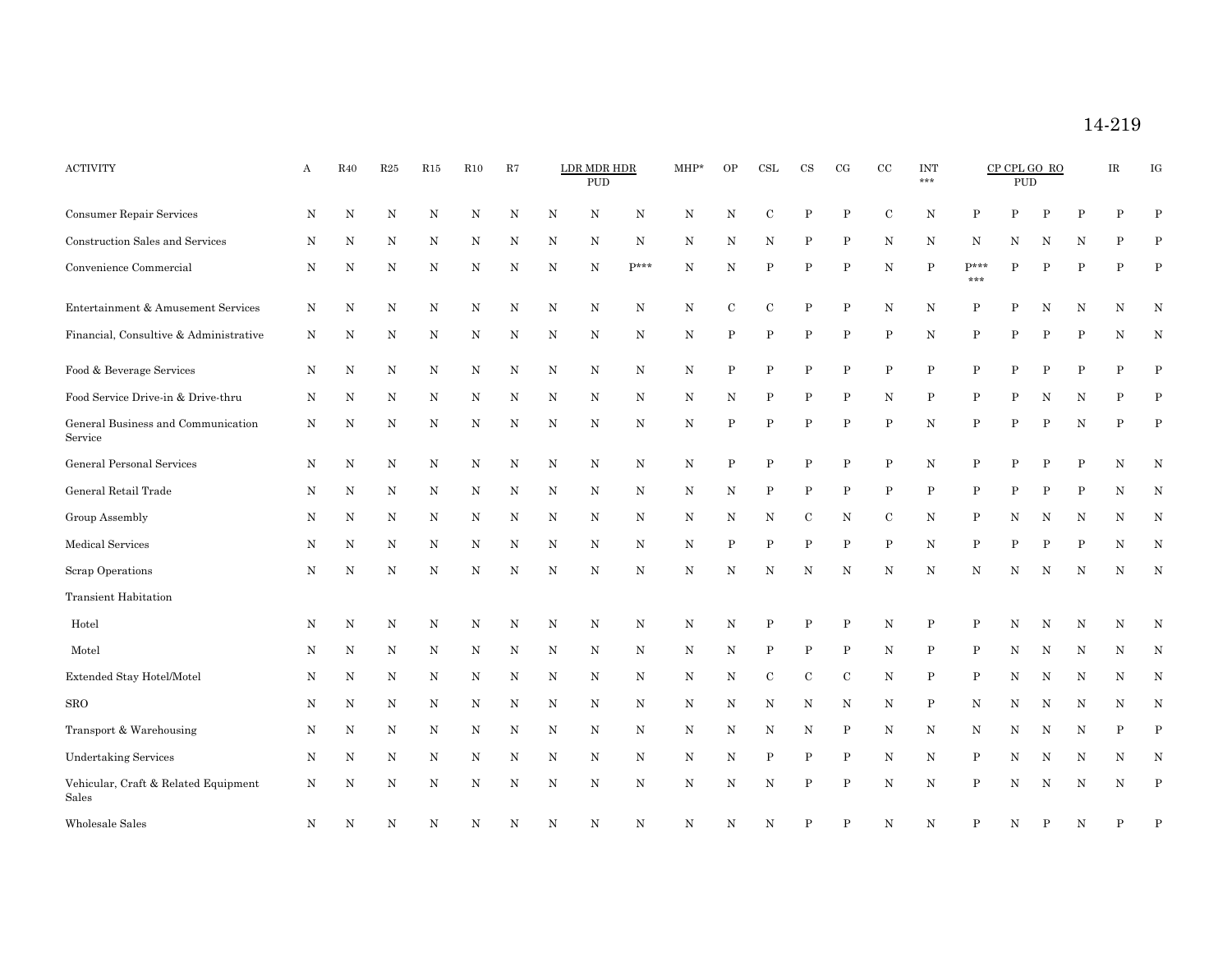14-219

| <b>ACTIVITY</b>                               | А | R40     | R25          | R15        | $\rm R10$   | R7          |              | LDR MDR HDR<br><b>PUD</b> |         | MHP*         | $\mathcal{O}\mathcal{P}$ | $\operatorname{CSL}$ | $_{\rm CS}$  | CG           | $\rm{CC}$    | <b>INT</b><br>*** |               | <b>PUD</b> | CP CPL GO RO |             | $\ensuremath{\mathsf{IR}}\xspace$ | IG          |
|-----------------------------------------------|---|---------|--------------|------------|-------------|-------------|--------------|---------------------------|---------|--------------|--------------------------|----------------------|--------------|--------------|--------------|-------------------|---------------|------------|--------------|-------------|-----------------------------------|-------------|
| Consumer Repair Services                      | N | N       | N            | N          | N           | N           | N            | N                         | N       | N            | N                        | С                    | P            | P            | С            | N                 |               |            |              |             |                                   |             |
| Construction Sales and Services               | Ν | N       | $\, {\rm N}$ | N          | N           | N           | N            | Ν                         | N       | N            | N                        | N                    | $\, {\bf P}$ | $\mathbf{P}$ | N            | N                 | Ν             | N          | N            | N           | P                                 | P           |
| Convenience Commercial                        | N | N       | $\mathbf N$  | N          | N           | $\mathbf N$ | N            | $_{\rm N}$                | $P***$  | N            | $\rm N$                  | $\mathbf P$          | ${\bf P}$    | P            | $\mathbf N$  | $\mathbf P$       | $p***$<br>*** | P          |              | P           | P                                 | P           |
| Entertainment & Amusement Services            | N | N       | N            | N          | Ν           | N           | N            | Ν                         | N       | N            | $\mathbf C$              | $\mathbf C$          | P            | P            | N            | N                 | P             |            | N            | N           | N                                 | N           |
| Financial, Consultive & Administrative        | N | N       | N            | N          | N           | N           | N            | Ν                         | N       | N            | P                        | P                    | P            | P            | $\mathbf P$  | N                 | $\mathbf P$   | P          |              | P           | N                                 | N           |
| Food & Beverage Services                      | N | $\rm N$ | $\, {\rm N}$ | $_{\rm N}$ | $\mathbf N$ | $\mathbf N$ | $\, {\rm N}$ | N                         | $\rm N$ | $\rm N$      | $\, {\bf P}$             | $\, {\bf P}$         | ${\bf P}$    | $\mathbf{P}$ | ${\bf P}$    | $\mathbf P$       | $\, {\bf P}$  | P          |              | P           | P                                 | $\mathbf P$ |
| Food Service Drive-in & Drive-thru            | N | N       | $_{\rm N}$   | Ν          | Ν           | N           | N            | Ν                         | Ν       | N            | N                        | P                    | P            | P            | N            | P                 | Ρ             | P          | N            | N           | P                                 | P           |
| General Business and Communication<br>Service | Ν | N       | N            | N          | N           | N           | N            | Ν                         | N       | N            | P                        | P                    | P            | P            | P            | N                 | P             | P          |              | N           | P                                 | P           |
| <b>General Personal Services</b>              | N | N       | N            | N          | N           | N           | N            | N                         | N       | N            | P                        | P                    | $\, {\bf P}$ | $\mathbf{P}$ | $\mathbf P$  | N                 | P             | P          |              | P           | N                                 | N           |
| General Retail Trade                          | Ν | N       | $_{\rm N}$   | Ν          | N           | N           | N            | Ν                         | N       | N            | N                        | P                    | $\, {\bf P}$ | $\, {\bf P}$ | $\, {\bf P}$ | P                 | $\mathbf P$   | P          |              | $\mathbf P$ | N                                 | N           |
| Group Assembly                                | Ν | N       | $_{\rm N}$   | Ν          | N           | N           | N            | Ν                         | N       | N            | N                        | N                    | $\mathbf C$  | N            | $\mathbf C$  | N                 | $\mathbf P$   | N          | N            | N           | N                                 | N           |
| Medical Services                              | N | N       | $_{\rm N}$   | Ν          | N           | N           | N            | $_{\rm N}$                | N       | N            | $\, {\bf P}$             | P                    | $\, {\bf P}$ | $\mathbf{P}$ | $\, {\bf P}$ | N                 | $\mathbf P$   | P          | P            | P           | N                                 | N           |
| Scrap Operations                              | Ν | N       | N            | N          | N           | N           | N            | N                         | N       | N            | N                        | N                    | N            | N            | N            | N                 | N             | N          | N            | N           | N                                 | N           |
| <b>Transient Habitation</b>                   |   |         |              |            |             |             |              |                           |         |              |                          |                      |              |              |              |                   |               |            |              |             |                                   |             |
| Hotel                                         | N | N       | N            | N          | N           | N           | N            | N                         | N       | $\rm N$      | N                        | P                    | $\, {\bf P}$ | P            | N            | P                 | Ρ             | N          | N            | N           | N                                 | N           |
| Motel                                         | N | N       | $\, {\rm N}$ | $_{\rm N}$ | N           | $\mathbf N$ | $\, {\rm N}$ | $_{\rm N}$                | N       | $\, {\rm N}$ | $\, {\rm N}$             | P                    | $\, {\bf P}$ | $\, {\bf P}$ | $\, {\rm N}$ | P                 | $\, {\bf P}$  | N          | N            | $\mathbf N$ | N                                 | N           |
| Extended Stay Hotel/Motel                     | N | N       | $_{\rm N}$   | Ν          | N           | N           | N            | Ν                         | N       | N            | N                        | $\mathbf C$          | $\mathbf C$  | $\mathbf C$  | N            | P                 | $\, {\bf P}$  | Ν          | N            | N           | N                                 | N           |
| $_{\rm SRO}$                                  | N | N       | $_{\rm N}$   | N          | N           | N           | N            | Ν                         | N       | N            | N                        | N                    | N            | N            | N            | P                 | N             | N          | N            | N           | N                                 | N           |
| Transport & Warehousing                       | N | N       | $_{\rm N}$   | N          | N           | N           | N            | Ν                         | N       | N            | N                        | N                    | N            | P            | N            | N                 | Ν             | Ν          | N            | N           | P                                 | P           |
| <b>Undertaking Services</b>                   | N | N       | $_{\rm N}$   | N          | N           | N           | N            | Ν                         | N       | N            | $\mathbf N$              | P                    | ${\bf P}$    | $\mathbf{P}$ | N            | N                 | $\mathbf P$   | N          | N            | N           | N                                 | N           |
| Vehicular, Craft & Related Equipment<br>Sales | Ν | N       | $\, {\rm N}$ | N          | N           | N           | N            | N                         | N       | N            | $\rm N$                  | N                    | P            | P            | $\, {\rm N}$ | N                 | $\mathbf P$   | N          | N            | N           | N                                 |             |
| Wholesale Sales                               | N | N       | N            | N          | Ν           | N           | N            | N                         | N       | N            | N                        | N                    |              |              | N            | N                 |               |            |              | N           |                                   |             |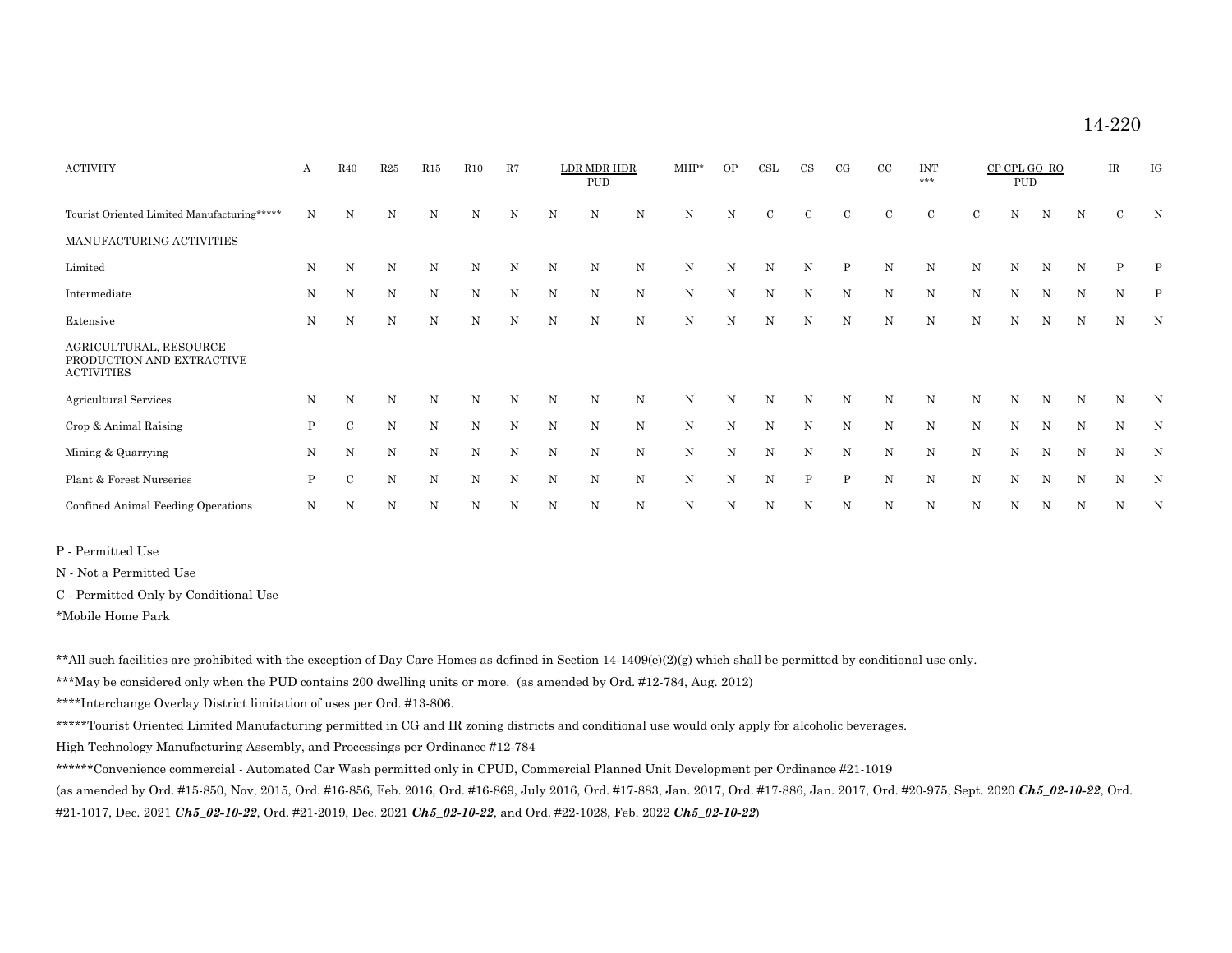14-220

| <b>ACTIVITY</b>                                                          | A            | R40          | R25         | R15         | R10         | R7      |             | LDR MDR HDR<br><b>PUD</b> |             | $MHP*$     | OP          | CSL         | <b>CS</b>   | CG            | <b>CC</b>   | <b>INT</b><br>$***$ |            | PUD | CP CPL GO RO |             | $\ensuremath{\mathsf{IR}}\xspace$ | IG |
|--------------------------------------------------------------------------|--------------|--------------|-------------|-------------|-------------|---------|-------------|---------------------------|-------------|------------|-------------|-------------|-------------|---------------|-------------|---------------------|------------|-----|--------------|-------------|-----------------------------------|----|
| Tourist Oriented Limited Manufacturing*****                              | N            | N            | N           | N           | N           | $\rm N$ | N           | $_{\rm N}$                | N           | $_{\rm N}$ | N           | $\mathbf C$ | C           | $\mathcal{C}$ | C           | $\mathbf C$         | C          | N   | N            | N           | $\mathbf C$                       | N  |
| MANUFACTURING ACTIVITIES                                                 |              |              |             |             |             |         |             |                           |             |            |             |             |             |               |             |                     |            |     |              |             |                                   |    |
| Limited                                                                  | N            | N            | N           | N           | N           | N       | N           | N                         | N           | N          | N           |             | N           |               |             | N                   |            | N   |              | Ν           | P                                 | P  |
| Intermediate                                                             | N            | N            | $\mathbf N$ | N           | N           | N       | N           | N                         | N           | $_{\rm N}$ | N           | N           | $\mathbf N$ | N             | N           | N                   | N          | N   | N            | N           | N                                 | P  |
| Extensive                                                                | N            | $\, {\rm N}$ | $\mathbf N$ | $\mathbf N$ | N           | $\rm N$ | $_{\rm N}$  | $_{\rm N}$                | $\mathbf N$ | $_{\rm N}$ | $\mathbf N$ | $\rm N$     | $_{\rm N}$  | $\mathbf N$   | $_{\rm N}$  | $\mathbf N$         | $_{\rm N}$ | N   | N            | N           | N                                 | N  |
| AGRICULTURAL, RESOURCE<br>PRODUCTION AND EXTRACTIVE<br><b>ACTIVITIES</b> |              |              |             |             |             |         |             |                           |             |            |             |             |             |               |             |                     |            |     |              |             |                                   |    |
| Agricultural Services                                                    | N            | N            | N           | N           | N           | N       | N           | N                         | N           | $_{\rm N}$ | N           | N           | N           | N             | N           | N                   | N          | N   | N            | N           | N                                 | N  |
| Crop & Animal Raising                                                    | P            | $\mathbf C$  | $\mathbf N$ | N           | $\mathbf N$ | $\rm N$ | $_{\rm N}$  | $_{\rm N}$                | $\rm N$     | $_{\rm N}$ | $\mathbf N$ | $\rm N$     | N           | $\mathbf N$   | $\mathbf N$ | $\mathbf N$         | $_{\rm N}$ | N   | N            | N           | N                                 | N  |
| Mining & Quarrying                                                       | N            | N            | $\rm N$     | N           | N           | N       | N           | N                         | N           | $_{\rm N}$ | $_{\rm N}$  | N           | $\rm N$     | N             | N           | N                   | N          | N   | N            | N           | N                                 | N  |
| Plant & Forest Nurseries                                                 | $\mathbf{P}$ | $\mathbf C$  | $\rm N$     | N           | N           | N       | $\mathbf N$ | $_{\rm N}$                | $\mathbf N$ | N          | $\mathbf N$ | $\rm N$     | Ρ           | P             | N           | $\mathbf N$         | N          | N   | N            | $\mathbf N$ | N                                 | N  |
| Confined Animal Feeding Operations                                       | N            | N            | N           | N           | N           | N       | N           | N                         | N           | N          | N           | N           | N           | N             |             | N                   | N          | N   | N            | Ν           | N                                 | N  |

P - Permitted Use

N - Not a Permitted Use

C - Permitted Only by Conditional Use

\*Mobile Home Park

\*\*All such facilities are prohibited with the exception of Day Care Homes as defined in Section 14-1409(e)(2)(g) which shall be permitted by conditional use only.

\*\*\*May be considered only when the PUD contains 200 dwelling units or more. (as amended by Ord. #12-784, Aug. 2012)

\*\*\*\*Interchange Overlay District limitation of uses per Ord. #13-806.

\*\*\*\*\*Tourist Oriented Limited Manufacturing permitted in CG and IR zoning districts and conditional use would only apply for alcoholic beverages.

High Technology Manufacturing Assembly, and Processings per Ordinance #12-784

\*\*\*\*\*\*Convenience commercial - Automated Car Wash permitted only in CPUD, Commercial Planned Unit Development per Ordinance #21-1019

(as amended by Ord. #15-850, Nov, 2015, Ord. #16-856, Feb. 2016, Ord. #16-869, July 2016, Ord. #17-883, Jan. 2017, Ord. #17-886, Jan. 2017, Ord. #20-975, Sept. 2020 *Ch5\_02-10-22*, Ord.

#21-1017, Dec. 2021 *Ch5\_02-10-22*, Ord. #21-2019, Dec. 2021 *Ch5\_02-10-22*, and Ord. #22-1028, Feb. 2022 *Ch5\_02-10-22*)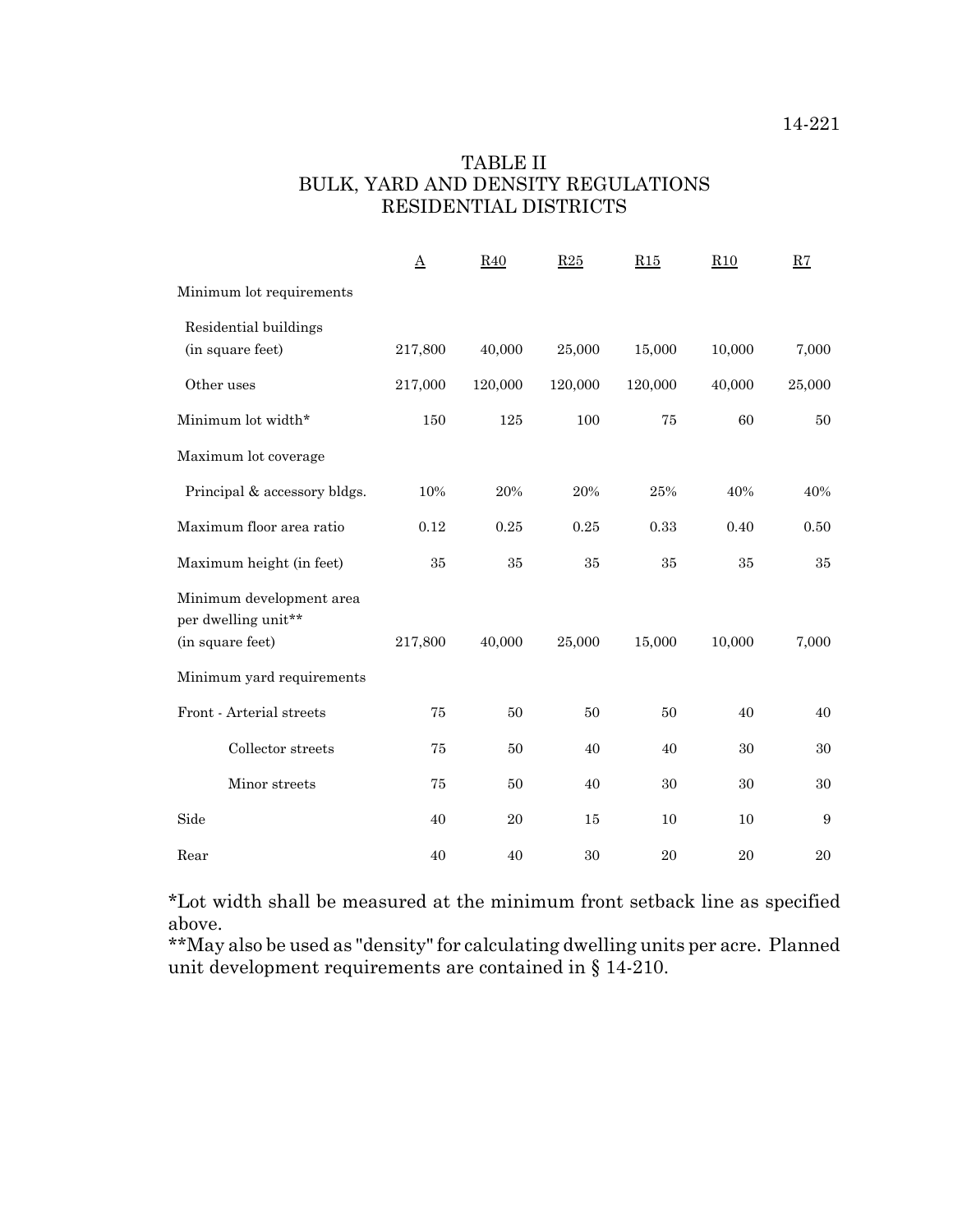# TABLE II BULK, YARD AND DENSITY REGULATIONS RESIDENTIAL DISTRICTS

|                                                                     | $\underline{\mathbf{A}}$ | <b>R40</b> | R25     | R15     | R10    | R7     |
|---------------------------------------------------------------------|--------------------------|------------|---------|---------|--------|--------|
| Minimum lot requirements                                            |                          |            |         |         |        |        |
| Residential buildings<br>(in square feet)                           | 217,800                  | 40,000     | 25,000  | 15,000  | 10,000 | 7,000  |
| Other uses                                                          | 217,000                  | 120,000    | 120,000 | 120,000 | 40,000 | 25,000 |
| Minimum lot width*                                                  | 150                      | 125        | 100     | 75      | 60     | 50     |
| Maximum lot coverage                                                |                          |            |         |         |        |        |
| Principal & accessory bldgs.                                        | 10%                      | 20%        | 20%     | 25%     | 40%    | 40%    |
| Maximum floor area ratio                                            | 0.12                     | 0.25       | 0.25    | 0.33    | 0.40   | 0.50   |
| Maximum height (in feet)                                            | 35                       | 35         | 35      | 35      | 35     | 35     |
| Minimum development area<br>per dwelling unit**<br>(in square feet) | 217,800                  | 40,000     | 25,000  | 15,000  | 10,000 | 7,000  |
| Minimum yard requirements                                           |                          |            |         |         |        |        |
| Front - Arterial streets                                            | 75                       | 50         | 50      | 50      | 40     | 40     |
| Collector streets                                                   | 75                       | 50         | 40      | 40      | 30     | 30     |
| Minor streets                                                       | 75                       | 50         | 40      | 30      | 30     | 30     |
| Side                                                                | 40                       | 20         | 15      | 10      | 10     | 9      |
| Rear                                                                | 40                       | 40         | 30      | 20      | 20     | 20     |

\*Lot width shall be measured at the minimum front setback line as specified above.

\*\*May also be used as "density" for calculating dwelling units per acre. Planned unit development requirements are contained in § 14-210.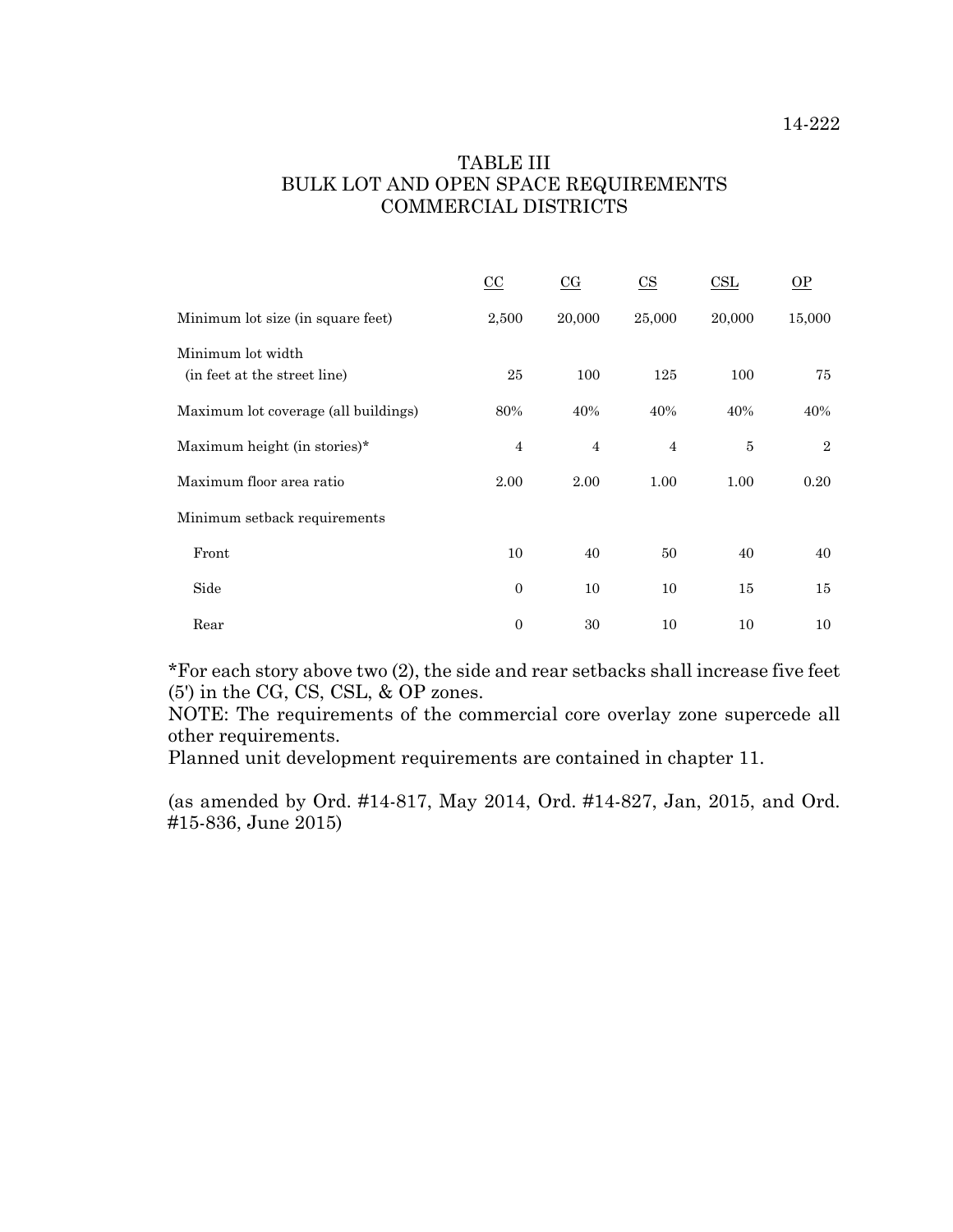# TABLE III BULK LOT AND OPEN SPACE REQUIREMENTS COMMERCIAL DISTRICTS

|                                                   | $\underline{CC}$ | C <sub>G</sub> | $\mathbf{C}\mathbf{S}$ | CSL    | $\underline{OP}$ |
|---------------------------------------------------|------------------|----------------|------------------------|--------|------------------|
| Minimum lot size (in square feet)                 | 2,500            | 20,000         | 25,000                 | 20,000 | 15,000           |
| Minimum lot width<br>(in feet at the street line) | 25               | 100            | 125                    | 100    | 75               |
| Maximum lot coverage (all buildings)              | 80%              | 40%            | 40%                    | 40%    | 40%              |
| Maximum height (in stories)*                      | $\overline{4}$   | $\overline{4}$ | $\overline{4}$         | 5      | $\overline{2}$   |
| Maximum floor area ratio                          | 2.00             | 2.00           | 1.00                   | 1.00   | 0.20             |
| Minimum setback requirements                      |                  |                |                        |        |                  |
| Front                                             | 10               | 40             | 50                     | 40     | 40               |
| Side                                              | $\overline{0}$   | 10             | 10                     | 15     | 15               |
| Rear                                              | $\theta$         | 30             | 10                     | 10     | 10               |

\*For each story above two (2), the side and rear setbacks shall increase five feet (5') in the CG, CS, CSL, & OP zones.

NOTE: The requirements of the commercial core overlay zone supercede all other requirements.

Planned unit development requirements are contained in chapter 11.

(as amended by Ord. #14-817, May 2014, Ord. #14-827, Jan, 2015, and Ord. #15-836, June 2015)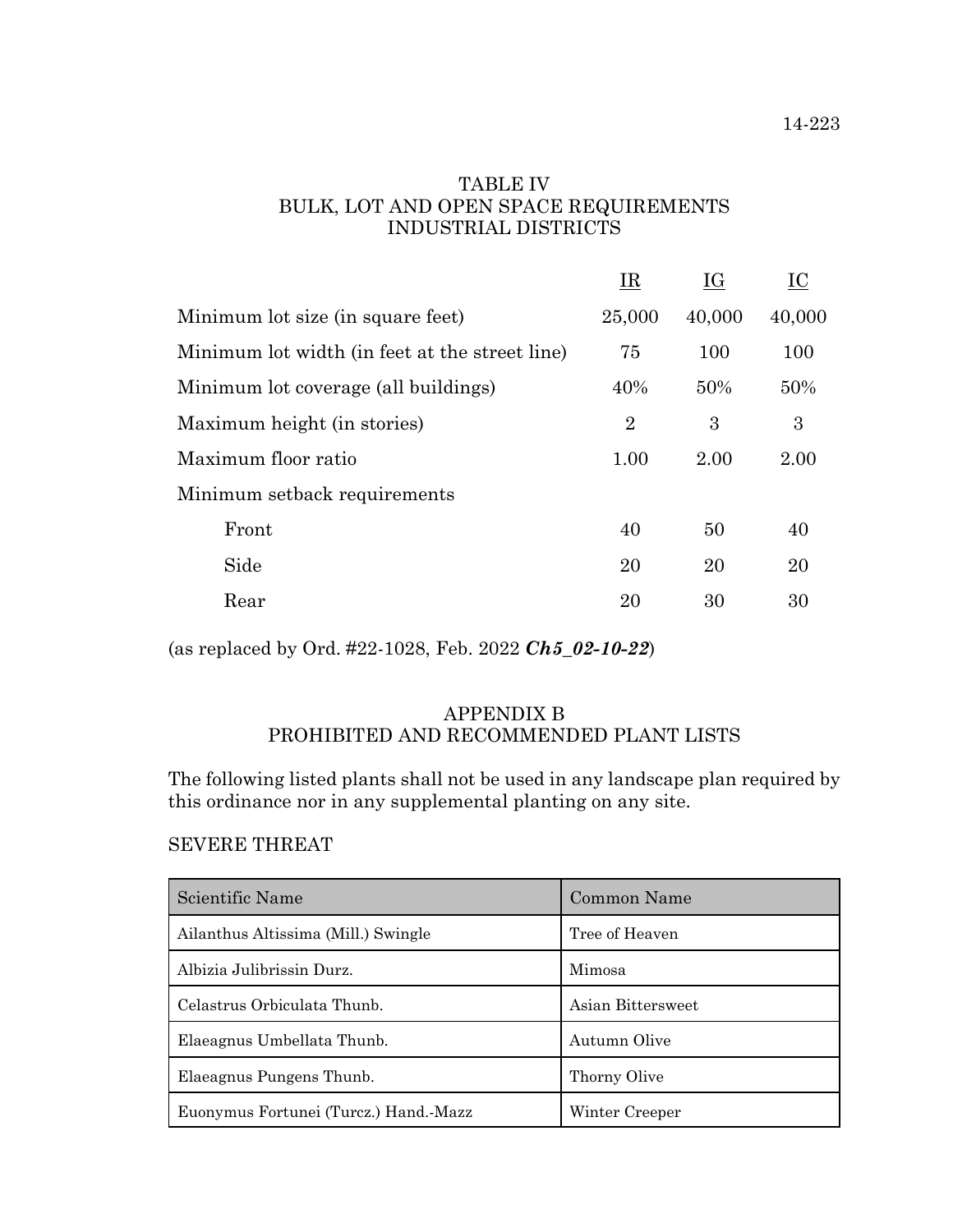# TABLE IV BULK, LOT AND OPEN SPACE REQUIREMENTS INDUSTRIAL DISTRICTS

|                                                | IR             | IG     | IC     |
|------------------------------------------------|----------------|--------|--------|
| Minimum lot size (in square feet)              | 25,000         | 40,000 | 40,000 |
| Minimum lot width (in feet at the street line) | 75             | 100    | 100    |
| Minimum lot coverage (all buildings)           | 40%            | 50%    | 50%    |
| Maximum height (in stories)                    | $\overline{2}$ | 3      | 3      |
| Maximum floor ratio                            | 1.00           | 2.00   | 2.00   |
| Minimum setback requirements                   |                |        |        |
| Front                                          | 40             | 50     | 40     |
| Side                                           | 20             | 20     | 20     |
| Rear                                           | 20             | 30     | 30     |

(as replaced by Ord. #22-1028, Feb. 2022 *Ch5\_02-10-22*)

# APPENDIX B PROHIBITED AND RECOMMENDED PLANT LISTS

The following listed plants shall not be used in any landscape plan required by this ordinance nor in any supplemental planting on any site.

# SEVERE THREAT

| Scientific Name                       | Common Name       |
|---------------------------------------|-------------------|
| Ailanthus Altissima (Mill.) Swingle   | Tree of Heaven    |
| Albizia Julibrissin Durz.             | Mimosa            |
| Celastrus Orbiculata Thunb.           | Asian Bittersweet |
| Elaeagnus Umbellata Thunb.            | Autumn Olive      |
| Elaeagnus Pungens Thunb.              | Thorny Olive      |
| Euonymus Fortunei (Turcz.) Hand. Mazz | Winter Creeper    |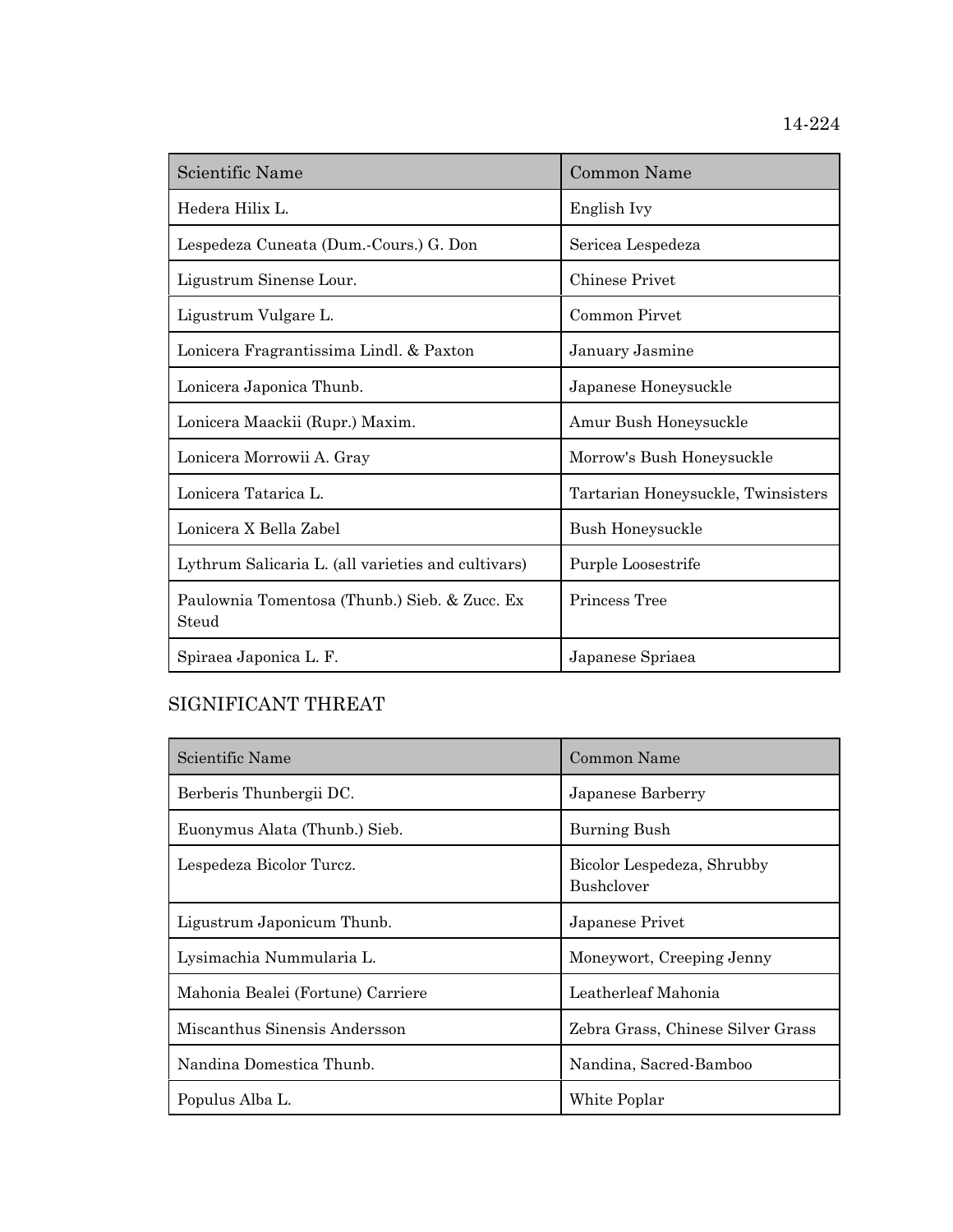| Scientific Name                                        | Common Name                        |
|--------------------------------------------------------|------------------------------------|
| Hedera Hilix L.                                        | English Ivy                        |
| Lespedeza Cuneata (Dum.-Cours.) G. Don                 | Sericea Lespedeza                  |
| Ligustrum Sinense Lour.                                | Chinese Privet                     |
| Ligustrum Vulgare L.                                   | Common Pirvet                      |
| Lonicera Fragrantissima Lindl. & Paxton                | January Jasmine                    |
| Lonicera Japonica Thunb.                               | Japanese Honeysuckle               |
| Lonicera Maackii (Rupr.) Maxim.                        | Amur Bush Honeysuckle              |
| Lonicera Morrowii A. Gray                              | Morrow's Bush Honeysuckle          |
| Lonicera Tatarica L.                                   | Tartarian Honeysuckle, Twinsisters |
| Lonicera X Bella Zabel                                 | <b>Bush Honeysuckle</b>            |
| Lythrum Salicaria L. (all varieties and cultivars)     | Purple Loosestrife                 |
| Paulownia Tomentosa (Thunb.) Sieb. & Zucc. Ex<br>Steud | Princess Tree                      |
| Spiraea Japonica L. F.                                 | Japanese Spriaea                   |

# SIGNIFICANT THREAT

| Scientific Name                   | Common Name                                     |
|-----------------------------------|-------------------------------------------------|
| Berberis Thunbergii DC.           | Japanese Barberry                               |
| Euonymus Alata (Thunb.) Sieb.     | Burning Bush                                    |
| Lespedeza Bicolor Turcz.          | Bicolor Lespedeza, Shrubby<br><b>Bushclover</b> |
| Ligustrum Japonicum Thunb.        | Japanese Privet                                 |
| Lysimachia Nummularia L.          | Moneywort, Creeping Jenny                       |
| Mahonia Bealei (Fortune) Carriere | Leatherleaf Mahonia                             |
| Miscanthus Sinensis Andersson     | Zebra Grass, Chinese Silver Grass               |
| Nandina Domestica Thunb.          | Nandina, Sacred-Bamboo                          |
| Populus Alba L.                   | White Poplar                                    |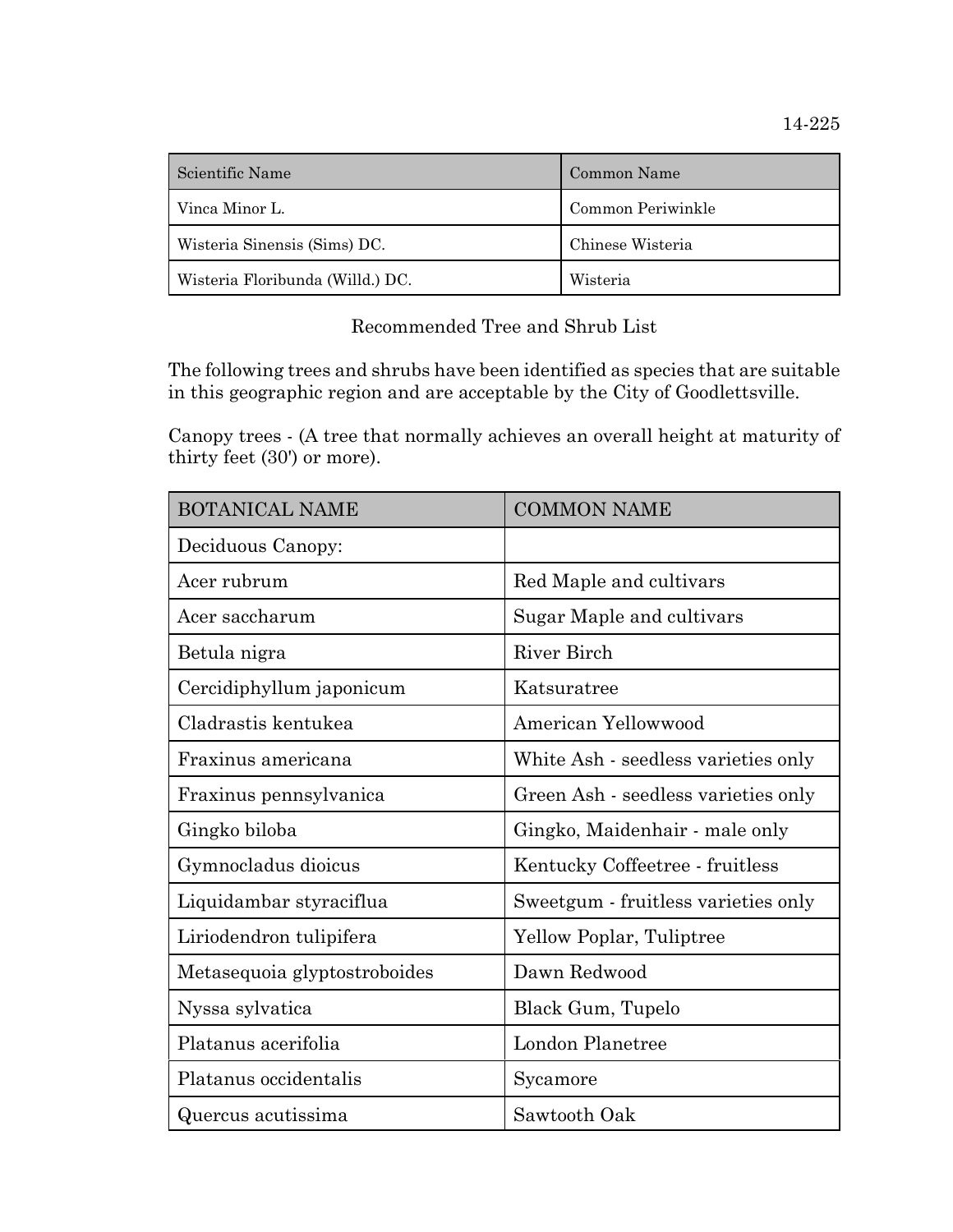| Scientific Name                  | <b>Common Name</b> |
|----------------------------------|--------------------|
| Vinca Minor L.                   | Common Periwinkle  |
| Wisteria Sinensis (Sims) DC.     | Chinese Wisteria   |
| Wisteria Floribunda (Willd.) DC. | Wisteria           |

Recommended Tree and Shrub List

The following trees and shrubs have been identified as species that are suitable in this geographic region and are acceptable by the City of Goodlettsville.

Canopy trees - (A tree that normally achieves an overall height at maturity of thirty feet (30') or more).

| <b>BOTANICAL NAME</b>        | <b>COMMON NAME</b>                  |
|------------------------------|-------------------------------------|
| Deciduous Canopy:            |                                     |
| Acer rubrum                  | Red Maple and cultivars             |
| Acer saccharum               | Sugar Maple and cultivars           |
| Betula nigra                 | <b>River Birch</b>                  |
| Cercidiphyllum japonicum     | Katsuratree                         |
| Cladrastis kentukea          | American Yellowwood                 |
| Fraxinus americana           | White Ash - seedless varieties only |
| Fraxinus pennsylvanica       | Green Ash - seedless varieties only |
| Gingko biloba                | Gingko, Maidenhair - male only      |
| Gymnocladus dioicus          | Kentucky Coffeetree - fruitless     |
| Liquidambar styraciflua      | Sweetgum - fruitless varieties only |
| Liriodendron tulipifera      | Yellow Poplar, Tuliptree            |
| Metasequoia glyptostroboides | Dawn Redwood                        |
| Nyssa sylvatica              | Black Gum, Tupelo                   |
| Platanus acerifolia          | <b>London Planetree</b>             |
| Platanus occidentalis        | Sycamore                            |
| Quercus acutissima           | Sawtooth Oak                        |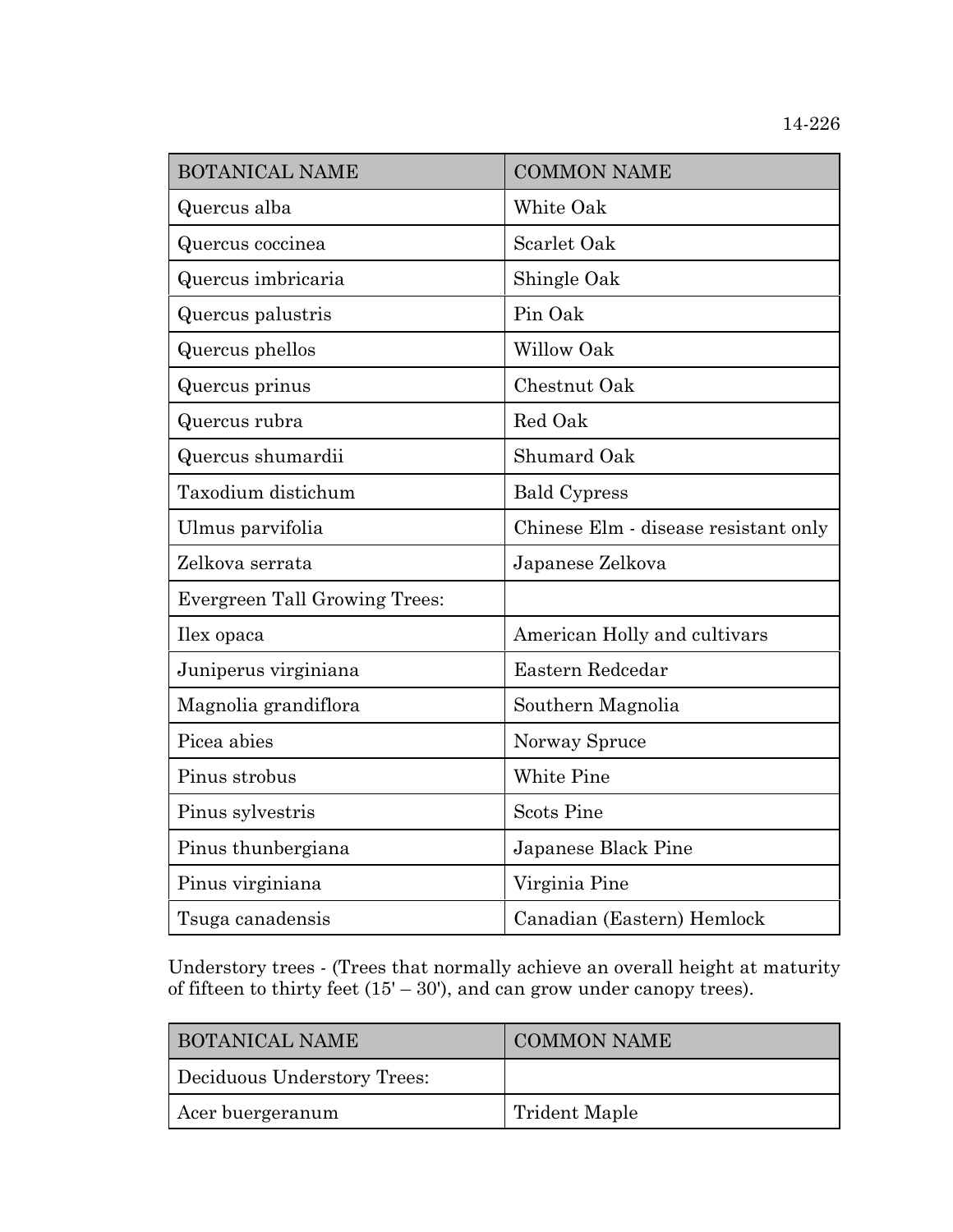| <b>BOTANICAL NAME</b>                | <b>COMMON NAME</b>                   |
|--------------------------------------|--------------------------------------|
| Quercus alba                         | White Oak                            |
| Quercus coccinea                     | Scarlet Oak                          |
| Quercus imbricaria                   | Shingle Oak                          |
| Quercus palustris                    | Pin Oak                              |
| Quercus phellos                      | <b>Willow Oak</b>                    |
| Quercus prinus                       | Chestnut Oak                         |
| Quercus rubra                        | Red Oak                              |
| Quercus shumardii                    | Shumard Oak                          |
| Taxodium distichum                   | <b>Bald Cypress</b>                  |
| Ulmus parvifolia                     | Chinese Elm - disease resistant only |
| Zelkova serrata                      | Japanese Zelkova                     |
| <b>Evergreen Tall Growing Trees:</b> |                                      |
| Ilex opaca                           | American Holly and cultivars         |
| Juniperus virginiana                 | Eastern Redcedar                     |
| Magnolia grandiflora                 | Southern Magnolia                    |
| Picea abies                          | Norway Spruce                        |
| Pinus strobus                        | White Pine                           |
| Pinus sylvestris                     | <b>Scots Pine</b>                    |
| Pinus thunbergiana                   | Japanese Black Pine                  |
| Pinus virginiana                     | Virginia Pine                        |
| Tsuga canadensis                     | Canadian (Eastern) Hemlock           |

Understory trees - (Trees that normally achieve an overall height at maturity of fifteen to thirty feet  $(15' – 30')$ , and can grow under canopy trees).

| <b>BOTANICAL NAME</b>       | <b>COMMON NAME</b> |
|-----------------------------|--------------------|
| Deciduous Understory Trees: |                    |
| Acer buergeranum            | Trident Maple      |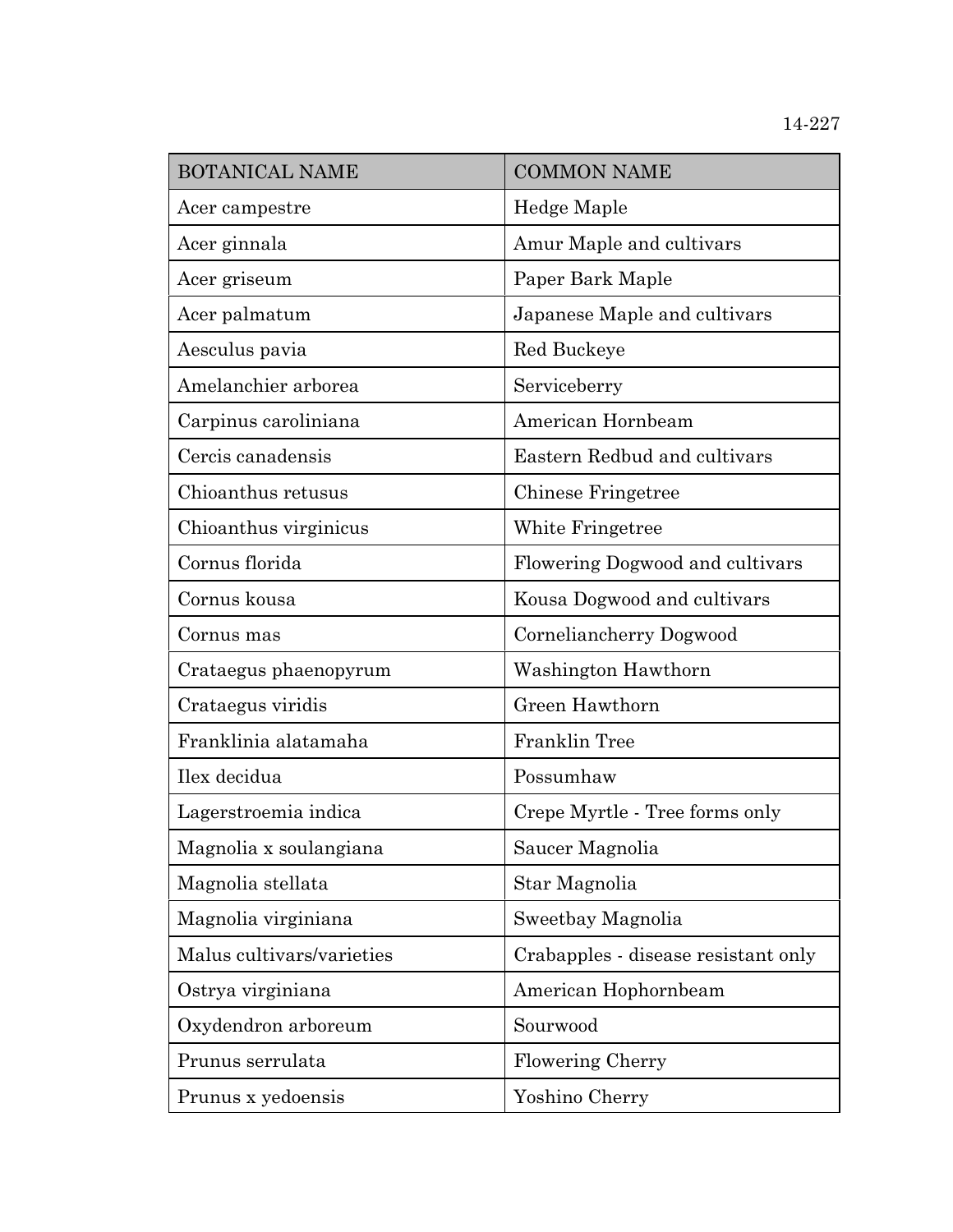| <b>BOTANICAL NAME</b>     | <b>COMMON NAME</b>                  |
|---------------------------|-------------------------------------|
| Acer campestre            | Hedge Maple                         |
| Acer ginnala              | Amur Maple and cultivars            |
| Acer griseum              | Paper Bark Maple                    |
| Acer palmatum             | Japanese Maple and cultivars        |
| Aesculus pavia            | Red Buckeye                         |
| Amelanchier arborea       | Serviceberry                        |
| Carpinus caroliniana      | American Hornbeam                   |
| Cercis canadensis         | Eastern Redbud and cultivars        |
| Chioanthus retusus        | <b>Chinese Fringetree</b>           |
| Chioanthus virginicus     | White Fringetree                    |
| Cornus florida            | Flowering Dogwood and cultivars     |
| Cornus kousa              | Kousa Dogwood and cultivars         |
| Cornus mas                | Corneliancherry Dogwood             |
| Crataegus phaenopyrum     | Washington Hawthorn                 |
| Crataegus viridis         | Green Hawthorn                      |
| Franklinia alatamaha      | Franklin Tree                       |
| Ilex decidua              | Possumhaw                           |
| Lagerstroemia indica      | Crepe Myrtle - Tree forms only      |
| Magnolia x soulangiana    | Saucer Magnolia                     |
| Magnolia stellata         | Star Magnolia                       |
| Magnolia virginiana       | Sweetbay Magnolia                   |
| Malus cultivars/varieties | Crabapples - disease resistant only |
| Ostrya virginiana         | American Hophornbeam                |
| Oxydendron arboreum       | Sourwood                            |
| Prunus serrulata          | Flowering Cherry                    |
| Prunus x yedoensis        | Yoshino Cherry                      |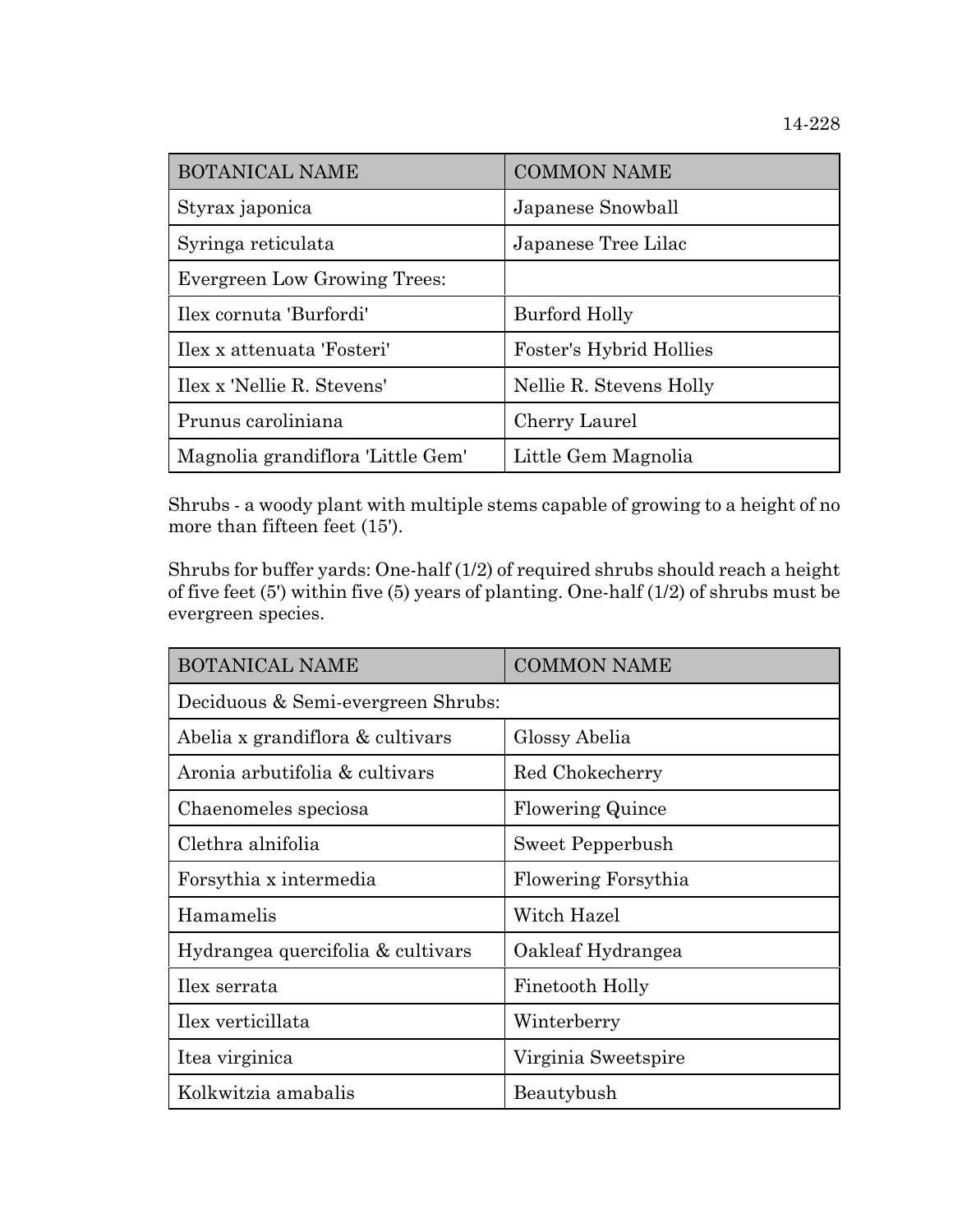| <b>BOTANICAL NAME</b>               | <b>COMMON NAME</b>             |
|-------------------------------------|--------------------------------|
| Styrax japonica                     | Japanese Snowball              |
| Syringa reticulata                  | Japanese Tree Lilac            |
| <b>Evergreen Low Growing Trees:</b> |                                |
| Ilex cornuta 'Burfordi'             | <b>Burford Holly</b>           |
| Ilex x attenuata 'Fosteri'          | <b>Foster's Hybrid Hollies</b> |
| Ilex x 'Nellie R. Stevens'          | Nellie R. Stevens Holly        |
| Prunus caroliniana                  | Cherry Laurel                  |
| Magnolia grandiflora 'Little Gem'   | Little Gem Magnolia            |

Shrubs - a woody plant with multiple stems capable of growing to a height of no more than fifteen feet (15').

Shrubs for buffer yards: One-half (1/2) of required shrubs should reach a height of five feet (5') within five (5) years of planting. One-half (1/2) of shrubs must be evergreen species.

| <b>BOTANICAL NAME</b>              | <b>COMMON NAME</b>      |  |
|------------------------------------|-------------------------|--|
| Deciduous & Semi-evergreen Shrubs: |                         |  |
| Abelia x grandiflora & cultivars   | Glossy Abelia           |  |
| Aronia arbutifolia & cultivars     | Red Chokecherry         |  |
| Chaenomeles speciosa               | <b>Flowering Quince</b> |  |
| Clethra alnifolia                  | Sweet Pepperbush        |  |
| Forsythia x intermedia             | Flowering Forsythia     |  |
| Hamamelis                          | Witch Hazel             |  |
| Hydrangea quercifolia & cultivars  | Oakleaf Hydrangea       |  |
| Ilex serrata                       | Finetooth Holly         |  |
| Ilex verticillata                  | Winterberry             |  |
| Itea virginica                     | Virginia Sweetspire     |  |
| Kolkwitzia amabalis                | Beautybush              |  |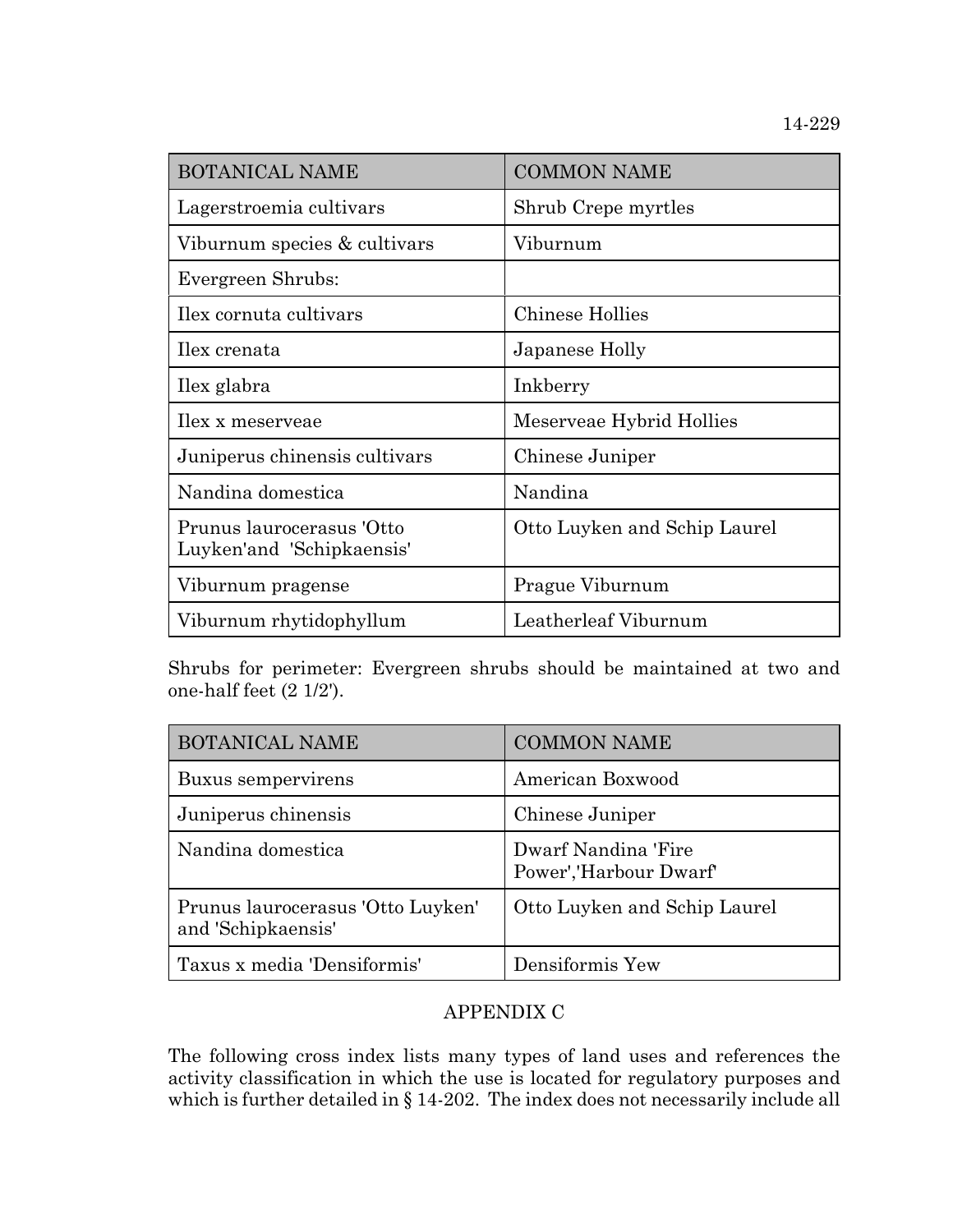| <b>BOTANICAL NAME</b>                                  | <b>COMMON NAME</b>           |
|--------------------------------------------------------|------------------------------|
| Lagerstroemia cultivars                                | Shrub Crepe myrtles          |
| Viburnum species & cultivars                           | Viburnum                     |
| Evergreen Shrubs:                                      |                              |
| Ilex cornuta cultivars                                 | <b>Chinese Hollies</b>       |
| Ilex crenata                                           | Japanese Holly               |
| Ilex glabra                                            | Inkberry                     |
| llex x meserveae                                       | Meserveae Hybrid Hollies     |
| Juniperus chinensis cultivars                          | Chinese Juniper              |
| Nandina domestica                                      | Nandina                      |
| Prunus laurocerasus 'Otto<br>Luyken'and 'Schipkaensis' | Otto Luyken and Schip Laurel |
| Viburnum pragense                                      | Prague Viburnum              |
| Viburnum rhytidophyllum                                | Leatherleaf Viburnum         |

Shrubs for perimeter: Evergreen shrubs should be maintained at two and one-half feet (2 1/2').

| <b>BOTANICAL NAME</b>                                   | <b>COMMON NAME</b>                             |
|---------------------------------------------------------|------------------------------------------------|
| Buxus sempervirens                                      | American Boxwood                               |
| Juniperus chinensis                                     | Chinese Juniper                                |
| Nandina domestica                                       | Dwarf Nandina 'Fire<br>Power', 'Harbour Dwarf' |
| Prunus laurocerasus 'Otto Luyken'<br>and 'Schipkaensis' | Otto Luyken and Schip Laurel                   |
| Taxus x media 'Densiformis'                             | Densiformis Yew                                |

# APPENDIX C

The following cross index lists many types of land uses and references the activity classification in which the use is located for regulatory purposes and which is further detailed in § 14-202. The index does not necessarily include all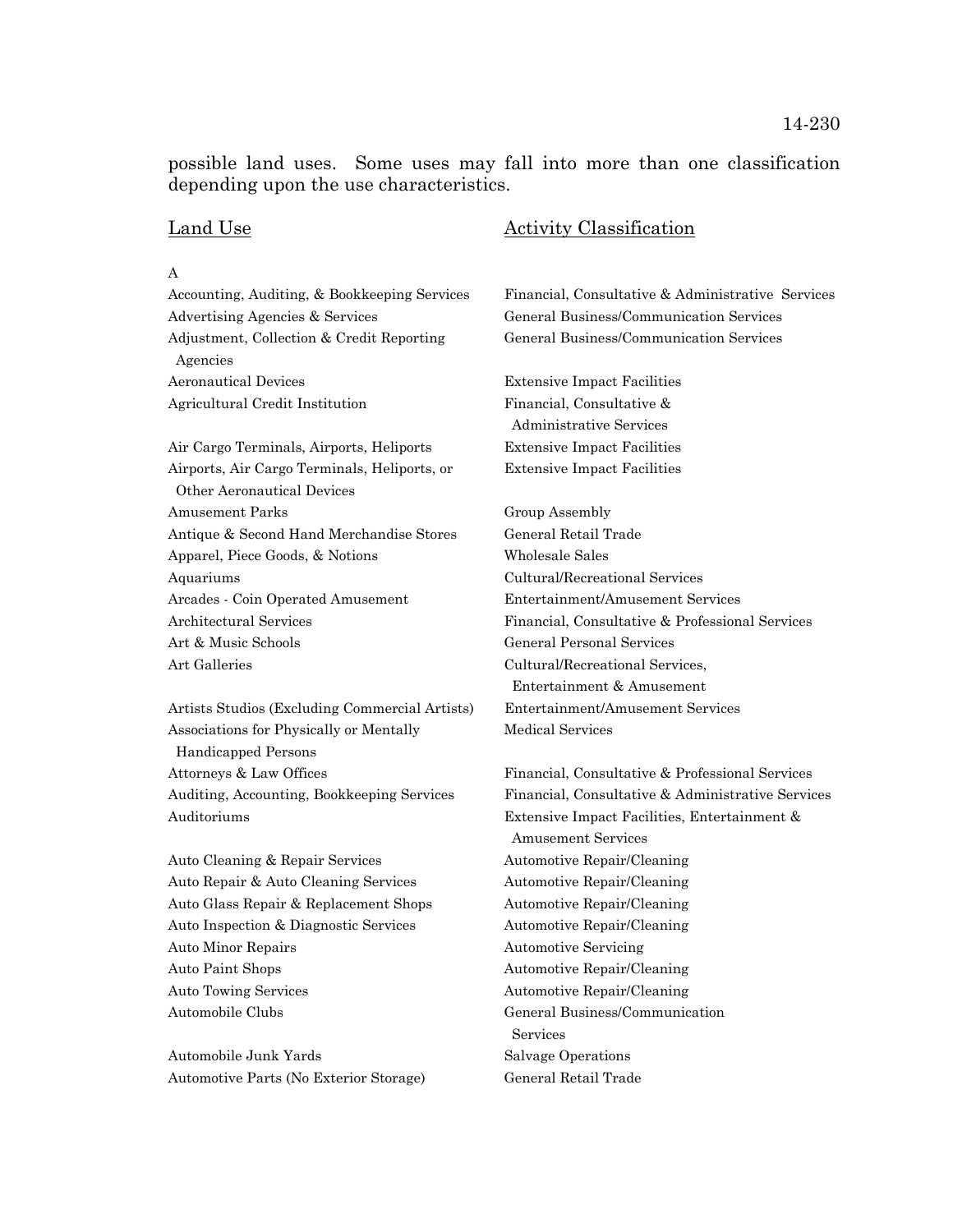possible land uses. Some uses may fall into more than one classification depending upon the use characteristics.

A

# Land Use Activity Classification

Accounting, Auditing, & Bookkeeping Services Financial, Consultative & Administrative Services Advertising Agencies & Services General Business/Communication Services Adjustment, Collection & Credit Reporting General Business/Communication Services Agencies Aeronautical Devices **Extensive Impact Facilities** Agricultural Credit Institution Financial, Consultative & Administrative Services Air Cargo Terminals, Airports, Heliports Extensive Impact Facilities Airports, Air Cargo Terminals, Heliports, or Extensive Impact Facilities Other Aeronautical Devices Amusement Parks Group Assembly Antique & Second Hand Merchandise Stores General Retail Trade Apparel, Piece Goods, & Notions Wholesale Sales Aquariums Cultural/Recreational Services Arcades - Coin Operated Amusement Entertainment/Amusement Services Architectural Services Financial, Consultative & Professional Services Art & Music Schools General Personal Services Art Galleries **Cultural/Recreational Services**,

Artists Studios (Excluding Commercial Artists) Entertainment/Amusement Services Associations for Physically or Mentally Medical Services Handicapped Persons Attorneys & Law Offices Financial, Consultative & Professional Services Auditoriums Extensive Impact Facilities, Entertainment &

Auto Cleaning & Repair Services Automotive Repair/Cleaning Auto Repair & Auto Cleaning Services Automotive Repair/Cleaning Auto Glass Repair & Replacement Shops Automotive Repair/Cleaning Auto Inspection & Diagnostic Services Automotive Repair/Cleaning Auto Minor Repairs **Automotive Servicing** Auto Paint Shops **Automotive Repair/Cleaning** Auto Towing Services and Automotive Repair/Cleaning Automobile Clubs General Business/Communication

Automobile Junk Yards Salvage Operations Automotive Parts (No Exterior Storage) General Retail Trade

Entertainment & Amusement

Auditing, Accounting, Bookkeeping Services Financial, Consultative & Administrative Services Amusement Services Services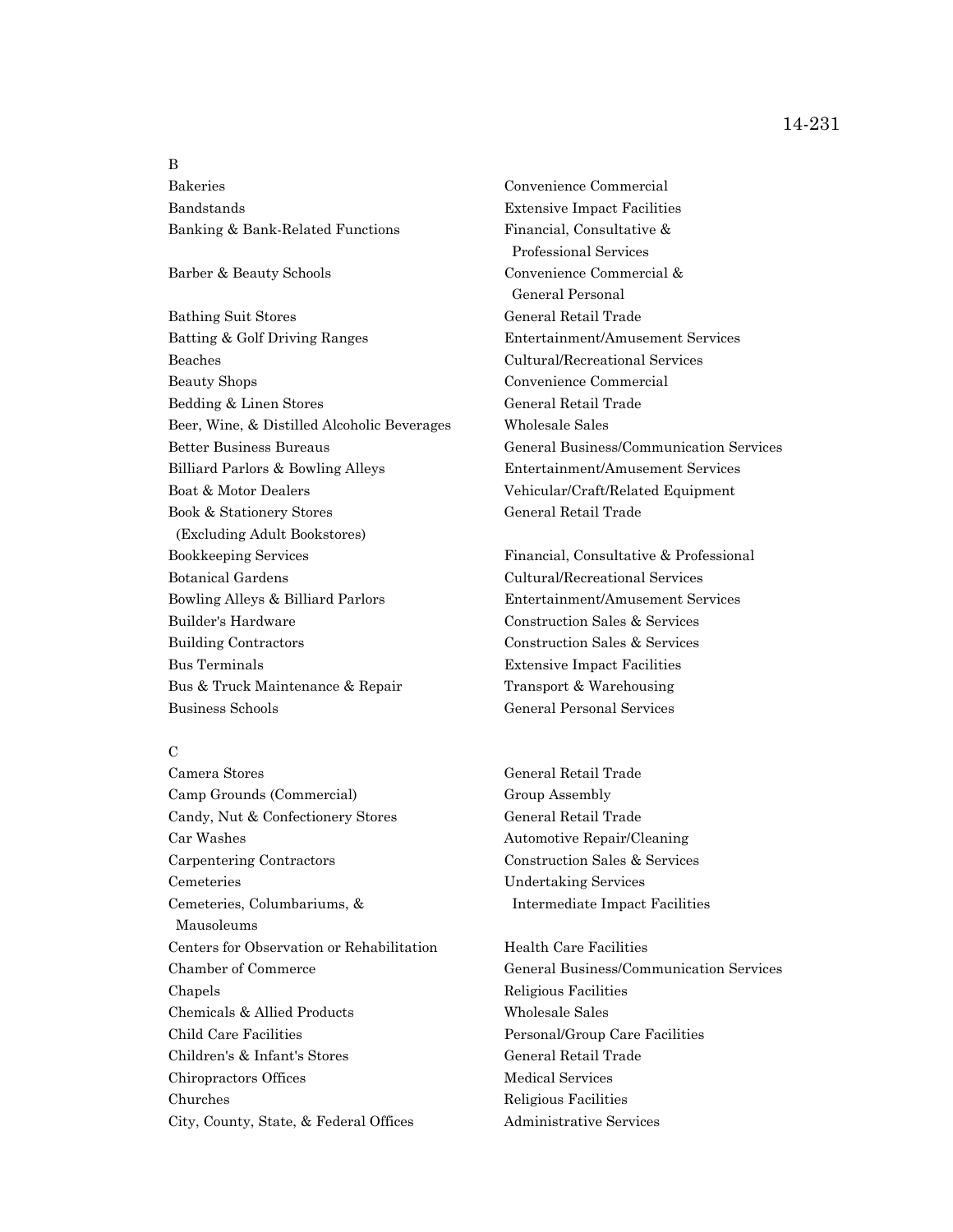B Bakeries Convenience Commercial

Bathing Suit Stores General Retail Trade Batting & Golf Driving Ranges Entertainment/Amusement Services Beaches Cultural/Recreational Services Beauty Shops Convenience Commercial Bedding & Linen Stores General Retail Trade Beer, Wine, & Distilled Alcoholic Beverages Wholesale Sales Better Business Bureaus General Business/Communication Services Billiard Parlors & Bowling Alleys Entertainment/Amusement Services Boat & Motor Dealers **Vehicular/Craft/Related Equipment** Book & Stationery Stores General Retail Trade (Excluding Adult Bookstores) Bookkeeping Services **Financial, Consultative & Professional** Botanical Gardens Cultural/Recreational Services Bowling Alleys & Billiard Parlors Entertainment/Amusement Services Builder's Hardware **Construction Sales & Services** Building Contractors Construction Sales & Services Bus Terminals Extensive Impact Facilities Bus & Truck Maintenance & Repair Transport & Warehousing Business Schools General Personal Services

#### $\mathcal{C}$

Camera Stores General Retail Trade Camp Grounds (Commercial) Group Assembly Candy, Nut & Confectionery Stores General Retail Trade Car Washes **Automotive Repair/Cleaning** Carpentering Contractors Construction Sales & Services Cemeteries Undertaking Services Cemeteries, Columbariums, & Intermediate Impact Facilities Mausoleums Centers for Observation or Rehabilitation Health Care Facilities Chapels Religious Facilities Chemicals & Allied Products Wholesale Sales Child Care Facilities Personal/Group Care Facilities Children's & Infant's Stores General Retail Trade Chiropractors Offices Medical Services Churches Religious Facilities City, County, State, & Federal Offices Administrative Services

Bandstands Extensive Impact Facilities Banking & Bank-Related Functions Financial, Consultative & Professional Services Barber & Beauty Schools Convenience Commercial & General Personal

Chamber of Commerce General Business/Communication Services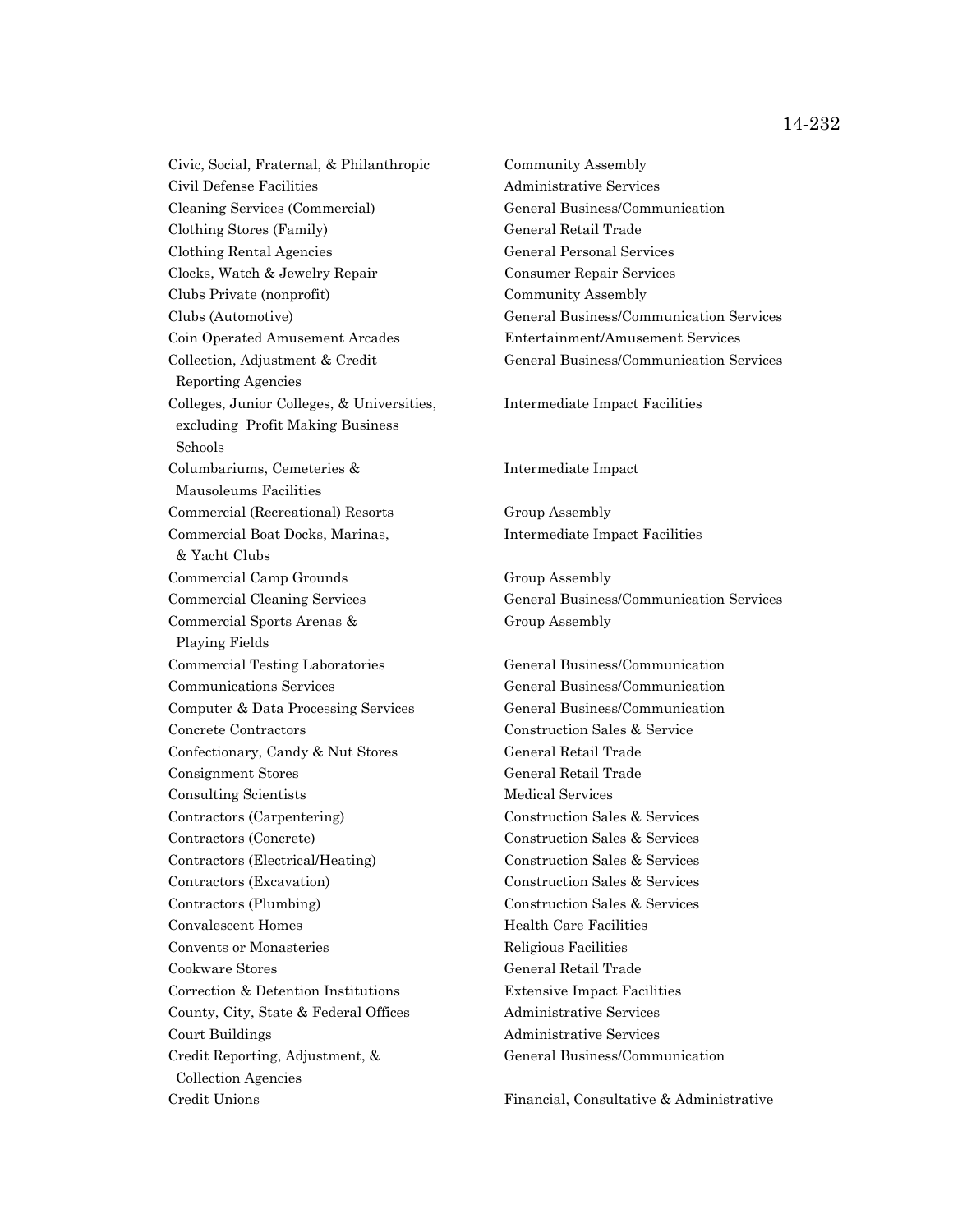Civic, Social, Fraternal, & Philanthropic Community Assembly Civil Defense Facilities Administrative Services Cleaning Services (Commercial) General Business/Communication Clothing Stores (Family) General Retail Trade Clothing Rental Agencies General Personal Services Clocks, Watch & Jewelry Repair Consumer Repair Services Clubs Private (nonprofit) Community Assembly Coin Operated Amusement Arcades Entertainment/Amusement Services Reporting Agencies Colleges, Junior Colleges, & Universities, Intermediate Impact Facilities excluding Profit Making Business Schools Columbariums, Cemeteries & Intermediate Impact Mausoleums Facilities Commercial (Recreational) Resorts Group Assembly Commercial Boat Docks, Marinas, Intermediate Impact Facilities & Yacht Clubs Commercial Camp Grounds Group Assembly Commercial Sports Arenas & Group Assembly Playing Fields Commercial Testing Laboratories General Business/Communication Communications Services General Business/Communication Computer & Data Processing Services General Business/Communication Concrete Contractors Construction Sales & Service Confectionary, Candy & Nut Stores General Retail Trade Consignment Stores General Retail Trade Consulting Scientists Medical Services Contractors (Carpentering) Construction Sales & Services Contractors (Concrete) Construction Sales & Services Contractors (Electrical/Heating) Construction Sales & Services Contractors (Excavation) Construction Sales & Services Contractors (Plumbing) Construction Sales & Services Convalescent Homes Health Care Facilities Convents or Monasteries Religious Facilities Cookware Stores General Retail Trade Correction & Detention Institutions Extensive Impact Facilities County, City, State & Federal Offices Administrative Services Court Buildings **Administrative Services** Credit Reporting, Adjustment, & General Business/Communication Collection Agencies Credit Unions Financial, Consultative & Administrative

Clubs (Automotive) General Business/Communication Services Collection, Adjustment & Credit General Business/Communication Services Commercial Cleaning Services General Business/Communication Services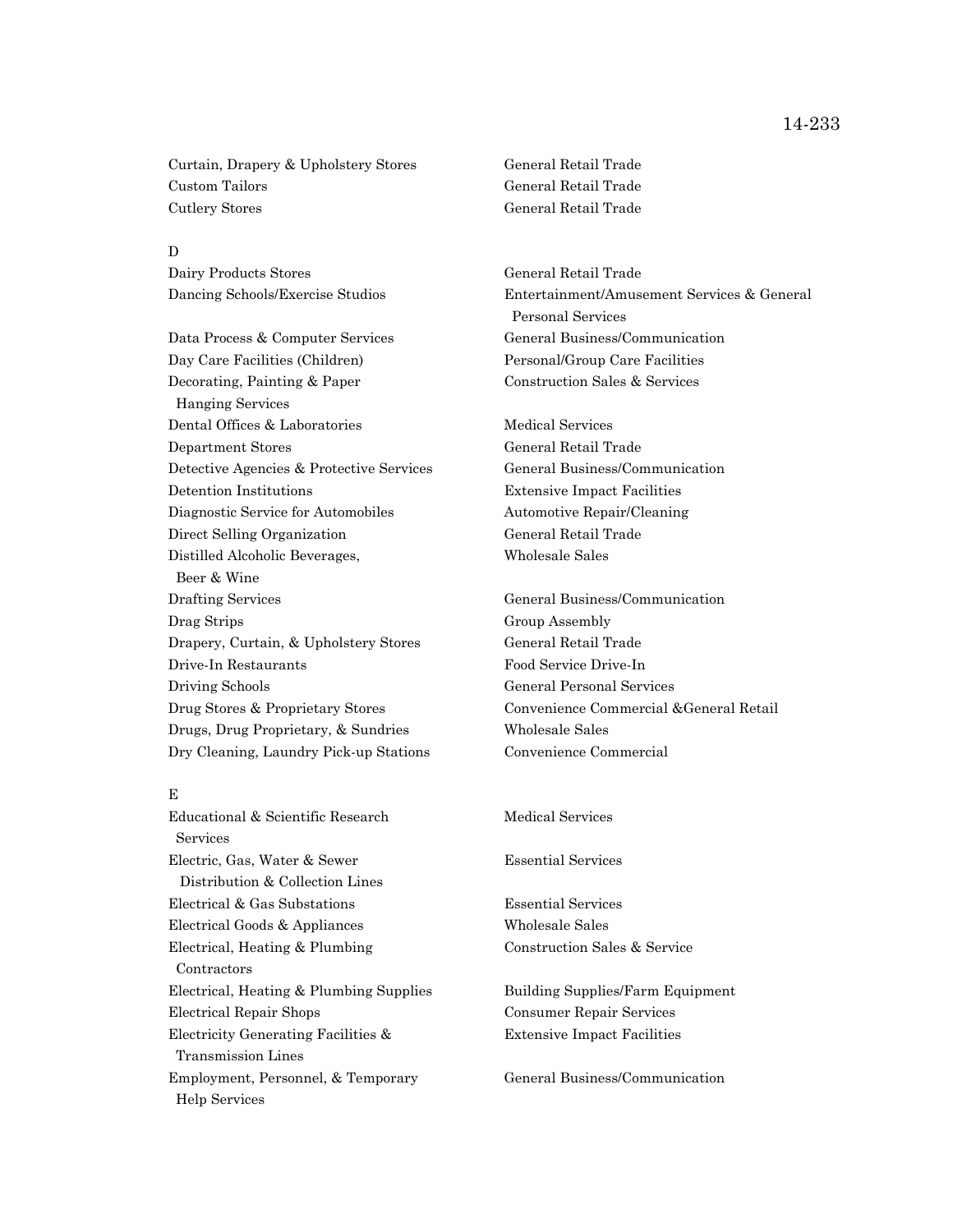Curtain, Drapery & Upholstery Stores General Retail Trade Custom Tailors General Retail Trade Cutlery Stores General Retail Trade

#### D

Dairy Products Stores General Retail Trade

Data Process & Computer Services General Business/Communication Day Care Facilities (Children) Personal/Group Care Facilities Decorating, Painting & Paper Construction Sales & Services Hanging Services Dental Offices & Laboratories Medical Services Department Stores General Retail Trade Detective Agencies & Protective Services General Business/Communication Detention Institutions Extensive Impact Facilities Diagnostic Service for Automobiles Automotive Repair/Cleaning Direct Selling Organization General Retail Trade Distilled Alcoholic Beverages, Wholesale Sales Beer & Wine Drafting Services General Business/Communication Drag Strips Group Assembly Drapery, Curtain, & Upholstery Stores General Retail Trade Drive-In Restaurants Food Service Drive-In Driving Schools General Personal Services Drugs, Drug Proprietary, & Sundries Wholesale Sales Dry Cleaning, Laundry Pick-up Stations Convenience Commercial

# E

Educational & Scientific Research Medical Services Services Electric, Gas, Water & Sewer Essential Services Distribution & Collection Lines Electrical & Gas Substations Essential Services Electrical Goods & Appliances Wholesale Sales Electrical, Heating & Plumbing Construction Sales & Service Contractors Electrical, Heating & Plumbing Supplies Building Supplies/Farm Equipment Electrical Repair Shops Consumer Repair Services Electricity Generating Facilities & Extensive Impact Facilities Transmission Lines Employment, Personnel, & Temporary General Business/Communication Help Services

Dancing Schools/Exercise Studios Entertainment/Amusement Services & General Personal Services

Drug Stores & Proprietary Stores Convenience Commercial &General Retail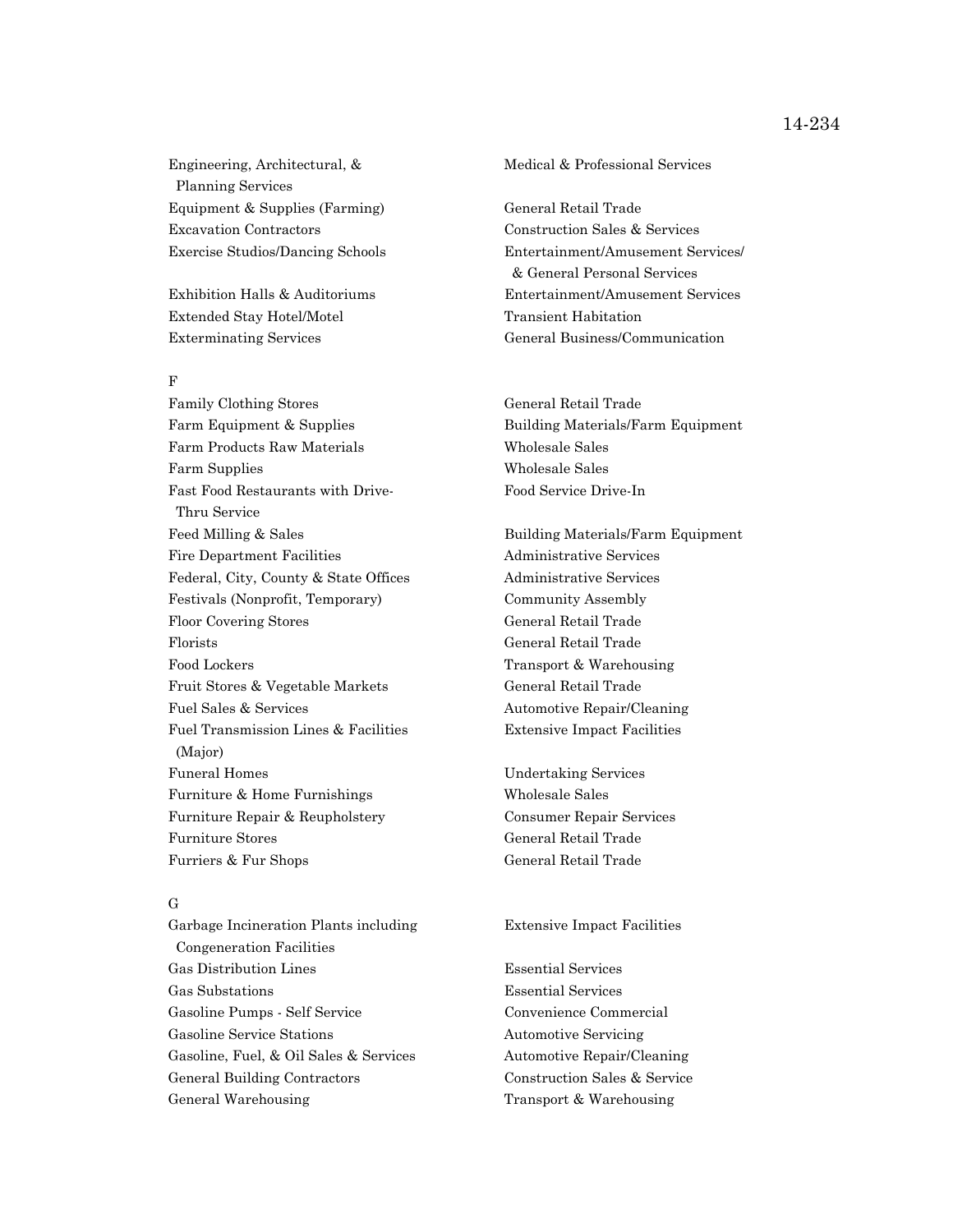Engineering, Architectural, & Medical & Professional Services Planning Services Equipment & Supplies (Farming) General Retail Trade Excavation Contractors Construction Sales & Services

Extended Stay Hotel/Motel Transient Habitation

#### F

Family Clothing Stores General Retail Trade Farm Equipment & Supplies Building Materials/Farm Equipment Farm Products Raw Materials Wholesale Sales Farm Supplies Wholesale Sales Fast Food Restaurants with Drive- Food Service Drive-In Thru Service Feed Milling & Sales **Building Materials/Farm Equipment** Fire Department Facilities Administrative Services Federal, City, County & State Offices Administrative Services Festivals (Nonprofit, Temporary) Community Assembly Floor Covering Stores General Retail Trade Florists General Retail Trade Food Lockers Transport & Warehousing Fruit Stores & Vegetable Markets General Retail Trade Fuel Sales & Services Automotive Repair/Cleaning Fuel Transmission Lines & Facilities Extensive Impact Facilities (Major) Funeral Homes Undertaking Services Furniture & Home Furnishings Wholesale Sales Furniture Repair & Reupholstery Consumer Repair Services Furniture Stores General Retail Trade Furriers & Fur Shops General Retail Trade

# G

Garbage Incineration Plants including Extensive Impact Facilities Congeneration Facilities Gas Distribution Lines Essential Services Gas Substations Essential Services Gasoline Pumps - Self Service Convenience Commercial Gasoline Service Stations Automotive Servicing Gasoline, Fuel, & Oil Sales & Services Automotive Repair/Cleaning General Building Contractors Construction Sales & Service General Warehousing Transport & Warehousing

Exercise Studios/Dancing Schools Entertainment/Amusement Services/ & General Personal Services Exhibition Halls & Auditoriums Entertainment/Amusement Services Exterminating Services General Business/Communication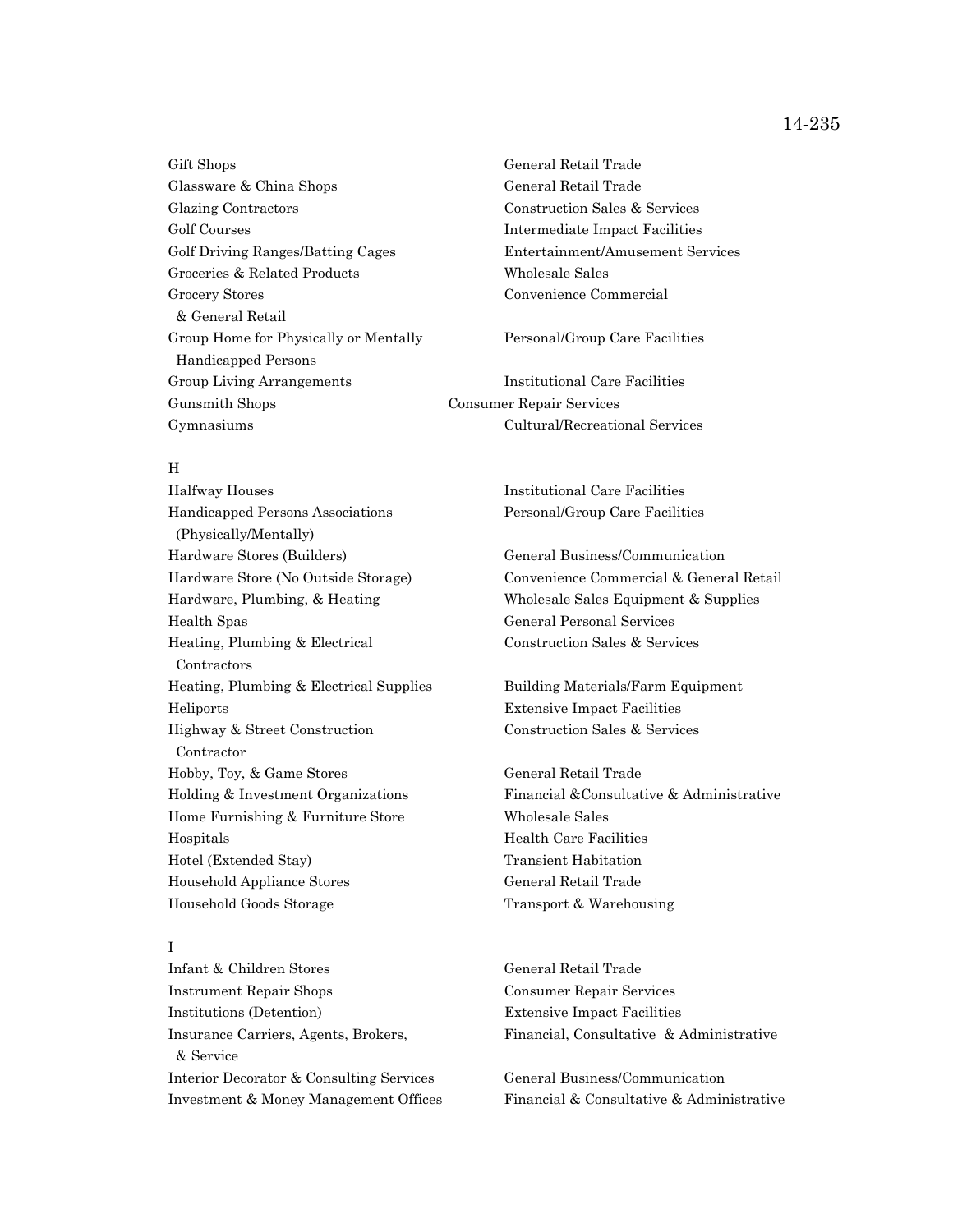Gift Shops General Retail Trade Glassware & China Shops General Retail Trade Glazing Contractors Construction Sales & Services Golf Courses **Intermediate Impact Facilities** Golf Driving Ranges/Batting Cages Entertainment/Amusement Services Groceries & Related Products Wholesale Sales Grocery Stores Convenience Commercial & General Retail Group Home for Physically or Mentally Personal/Group Care Facilities Handicapped Persons Group Living Arrangements **Institutional Care Facilities** Gunsmith Shops Consumer Repair Services

### H

Halfway Houses Institutional Care Facilities Handicapped Persons Associations Personal/Group Care Facilities (Physically/Mentally) Hardware Stores (Builders) General Business/Communication Hardware, Plumbing, & Heating Wholesale Sales Equipment & Supplies Health Spas General Personal Services Heating, Plumbing & Electrical Construction Sales & Services **Contractors** Heating, Plumbing & Electrical Supplies Building Materials/Farm Equipment Heliports Extensive Impact Facilities Highway & Street Construction Construction Sales & Services Contractor Hobby, Toy, & Game Stores General Retail Trade Home Furnishing & Furniture Store Wholesale Sales Hospitals Health Care Facilities Hotel (Extended Stay) Transient Habitation Household Appliance Stores General Retail Trade Household Goods Storage Transport & Warehousing

# I

Infant & Children Stores General Retail Trade Instrument Repair Shops Consumer Repair Services Institutions (Detention) Extensive Impact Facilities Insurance Carriers, Agents, Brokers, Financial, Consultative & Administrative & Service Interior Decorator & Consulting Services General Business/Communication

Gymnasiums Cultural/Recreational Services

Hardware Store (No Outside Storage) Convenience Commercial & General Retail

Holding & Investment Organizations Financial &Consultative & Administrative

Investment & Money Management Offices Financial & Consultative & Administrative

### 14-235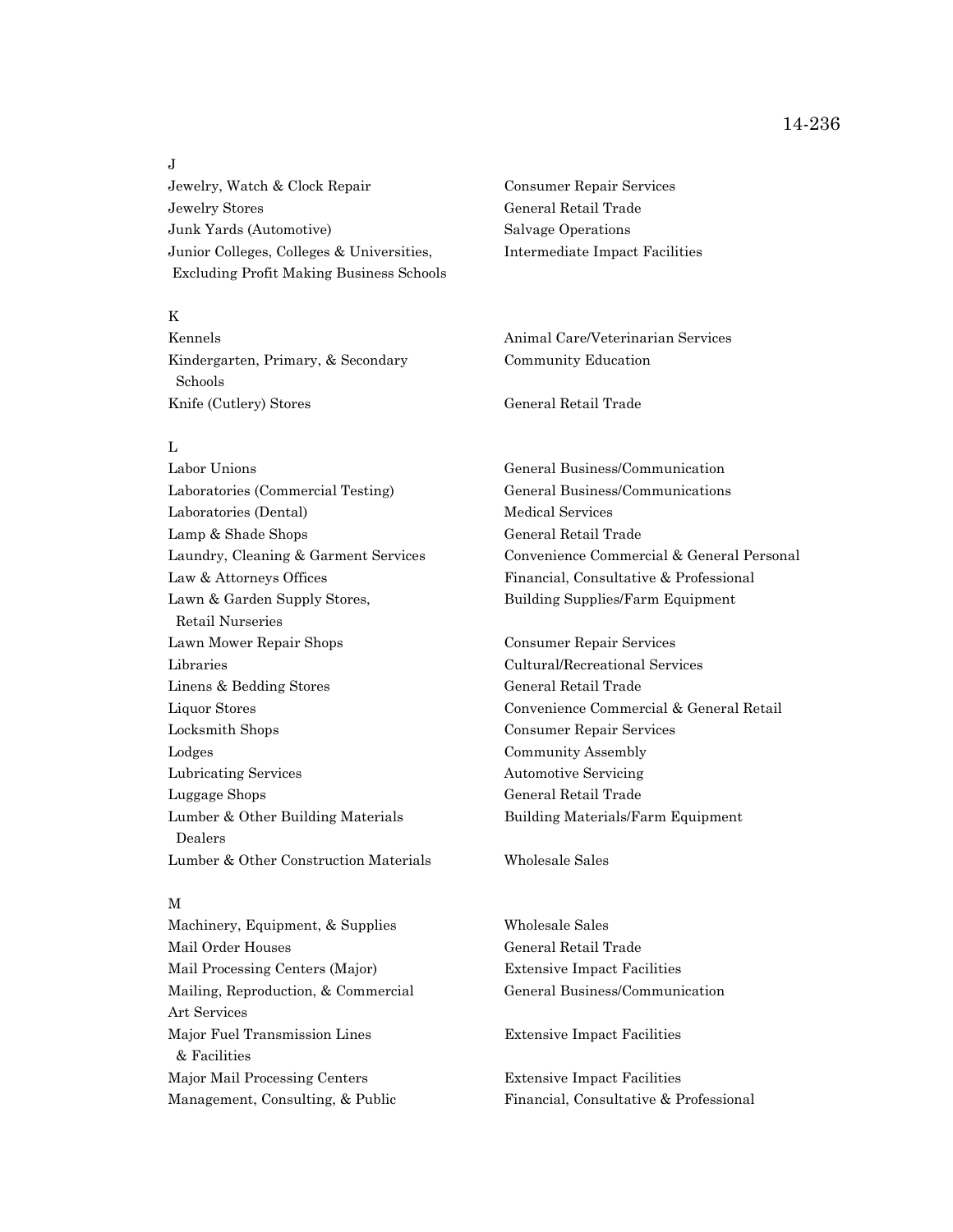J

Jewelry, Watch & Clock Repair Consumer Repair Services Jewelry Stores General Retail Trade Junk Yards (Automotive) Salvage Operations Junior Colleges, Colleges & Universities, Intermediate Impact Facilities Excluding Profit Making Business Schools

# K

Kennels Animal Care/Veterinarian Services Kindergarten, Primary, & Secondary Community Education Schools Knife (Cutlery) Stores General Retail Trade

# L

Labor Unions General Business/Communication Laboratories (Commercial Testing) General Business/Communications Laboratories (Dental) Medical Services Lamp & Shade Shops General Retail Trade Law & Attorneys Offices Financial, Consultative & Professional Lawn & Garden Supply Stores, Building Supplies/Farm Equipment Retail Nurseries Lawn Mower Repair Shops Consumer Repair Services Libraries Cultural/Recreational Services Linens & Bedding Stores General Retail Trade Locksmith Shops Consumer Repair Services Lodges Community Assembly Lubricating Services Automotive Servicing Luggage Shops General Retail Trade Lumber & Other Building Materials Building Materials/Farm Equipment Dealers Lumber & Other Construction Materials Wholesale Sales

## M

Machinery, Equipment, & Supplies Wholesale Sales Mail Order Houses General Retail Trade Mail Processing Centers (Major) Extensive Impact Facilities Mailing, Reproduction, & Commercial General Business/Communication Art Services Major Fuel Transmission Lines Extensive Impact Facilities & Facilities Major Mail Processing Centers Extensive Impact Facilities

Laundry, Cleaning & Garment Services Convenience Commercial & General Personal

Liquor Stores Convenience Commercial & General Retail

Management, Consulting, & Public Financial, Consultative & Professional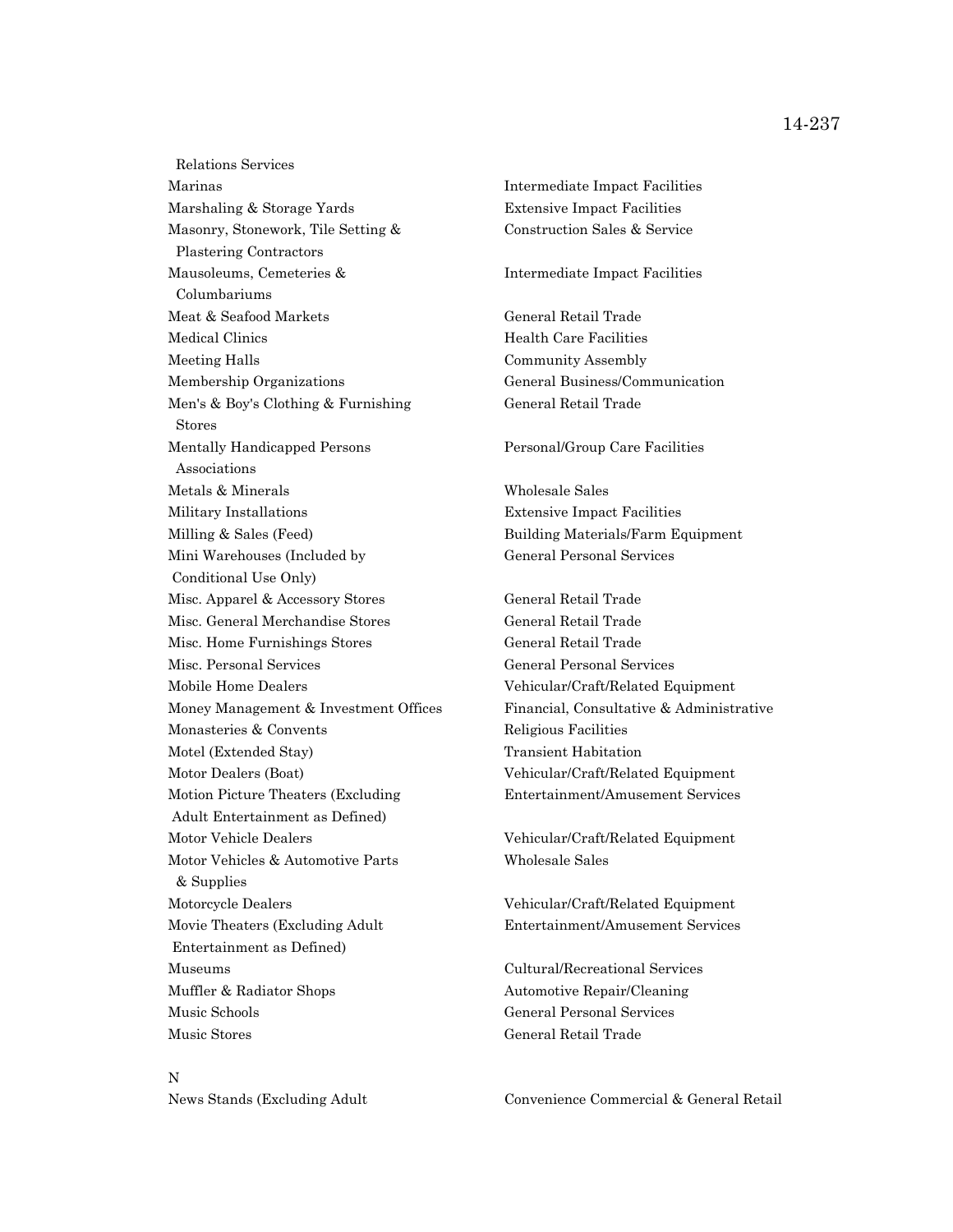Relations Services Marinas Intermediate Impact Facilities Marshaling & Storage Yards **Extensive Impact Facilities** Masonry, Stonework, Tile Setting & Construction Sales & Service Plastering Contractors Mausoleums, Cemeteries & Intermediate Impact Facilities Columbariums Meat & Seafood Markets General Retail Trade Medical Clinics **Health Care Facilities** Meeting Halls **Community Assembly** Membership Organizations General Business/Communication Men's & Boy's Clothing & Furnishing General Retail Trade Stores Mentally Handicapped Persons Personal/Group Care Facilities Associations Metals & Minerals Wholesale Sales Military Installations Extensive Impact Facilities Milling & Sales (Feed) The Building Materials/Farm Equipment Mini Warehouses (Included by General Personal Services Conditional Use Only) Misc. Apparel & Accessory Stores General Retail Trade Misc. General Merchandise Stores General Retail Trade Misc. Home Furnishings Stores General Retail Trade Misc. Personal Services General Personal Services Mobile Home Dealers Vehicular/Craft/Related Equipment Monasteries & Convents Religious Facilities Motel (Extended Stay) Transient Habitation Motor Dealers (Boat) Vehicular/Craft/Related Equipment Motion Picture Theaters (Excluding Facebook Entertainment/Amusement Services Adult Entertainment as Defined) Motor Vehicle Dealers Vehicular/Craft/Related Equipment Motor Vehicles & Automotive Parts Wholesale Sales & Supplies Motorcycle Dealers Vehicular/Craft/Related Equipment Movie Theaters (Excluding Adult Figure 2014) Entertainment/Amusement Services Entertainment as Defined) Museums Cultural/Recreational Services Muffler & Radiator Shops The Repair Automotive Repair/Cleaning Music Schools **General Personal Services** Music Stores General Retail Trade

Money Management & Investment Offices Financial, Consultative & Administrative

News Stands (Excluding Adult Convenience Commercial & General Retail

# 14-237

N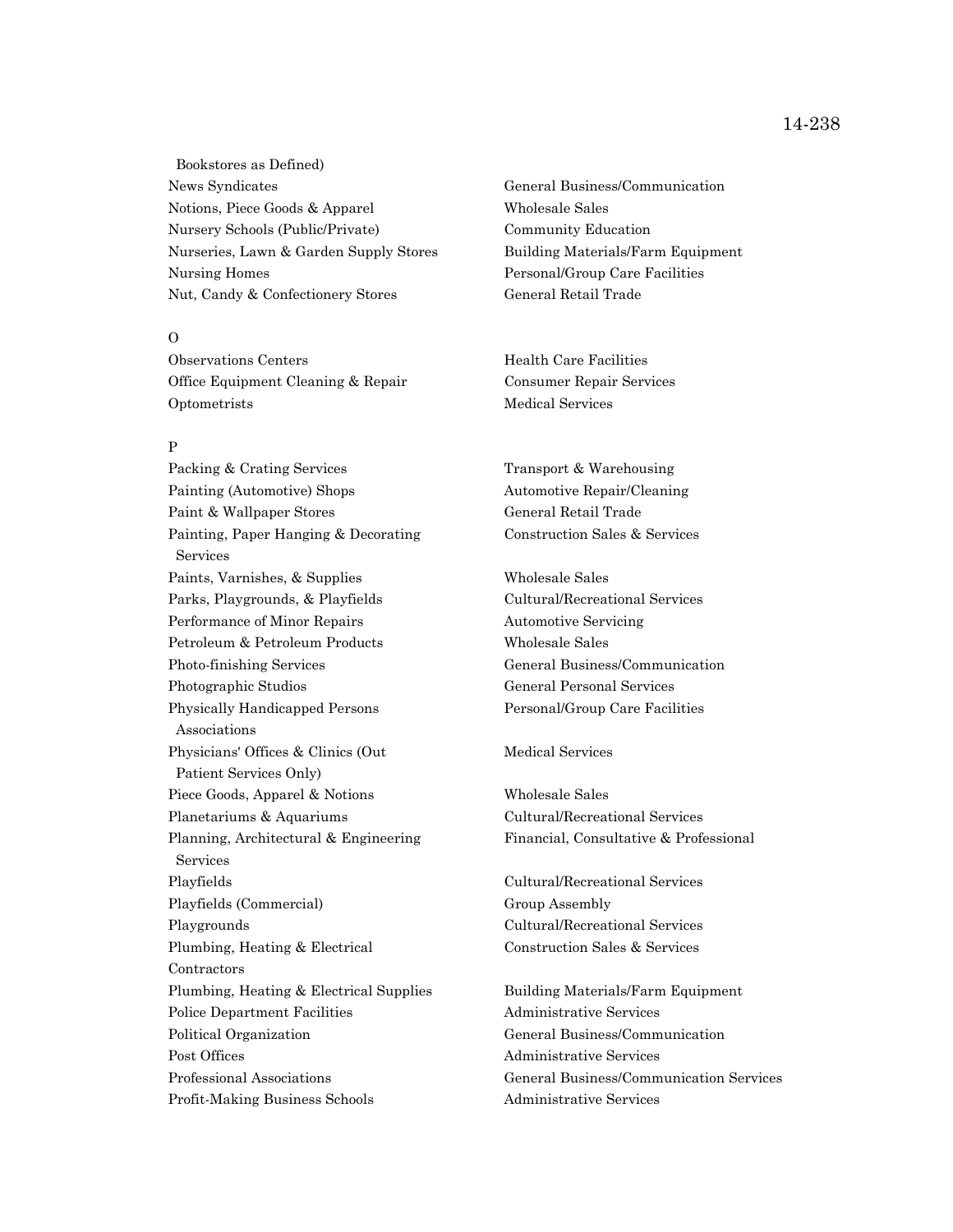Bookstores as Defined) News Syndicates General Business/Communication Notions, Piece Goods & Apparel Wholesale Sales Nursery Schools (Public/Private) Community Education Nurseries, Lawn & Garden Supply Stores Building Materials/Farm Equipment Nursing Homes **Personal/Group Care Facilities** Nut, Candy & Confectionery Stores General Retail Trade

### $\Omega$

Observations Centers Health Care Facilities Office Equipment Cleaning & Repair Consumer Repair Services Optometrists Medical Services

# P

Packing & Crating Services Transport & Warehousing Painting (Automotive) Shops Automotive Repair/Cleaning Paint & Wallpaper Stores General Retail Trade Painting, Paper Hanging & Decorating Construction Sales & Services Services Paints, Varnishes, & Supplies Wholesale Sales Parks, Playgrounds, & Playfields Cultural/Recreational Services Performance of Minor Repairs Automotive Servicing Petroleum & Petroleum Products Wholesale Sales Photo-finishing Services General Business/Communication Photographic Studios and General Personal Services Physically Handicapped Persons Personal/Group Care Facilities Associations Physicians' Offices & Clinics (Out Medical Services Patient Services Only) Piece Goods, Apparel & Notions Wholesale Sales Planetariums & Aquariums Cultural/Recreational Services Planning, Architectural & Engineering Financial, Consultative & Professional Services Playfields Cultural/Recreational Services Playfields (Commercial) Group Assembly Playgrounds Cultural/Recreational Services Plumbing, Heating & Electrical Construction Sales & Services **Contractors** Plumbing, Heating & Electrical Supplies Building Materials/Farm Equipment Police Department Facilities Administrative Services Political Organization General Business/Communication Post Offices and Administrative Services Profit-Making Business Schools Administrative Services

Professional Associations General Business/Communication Services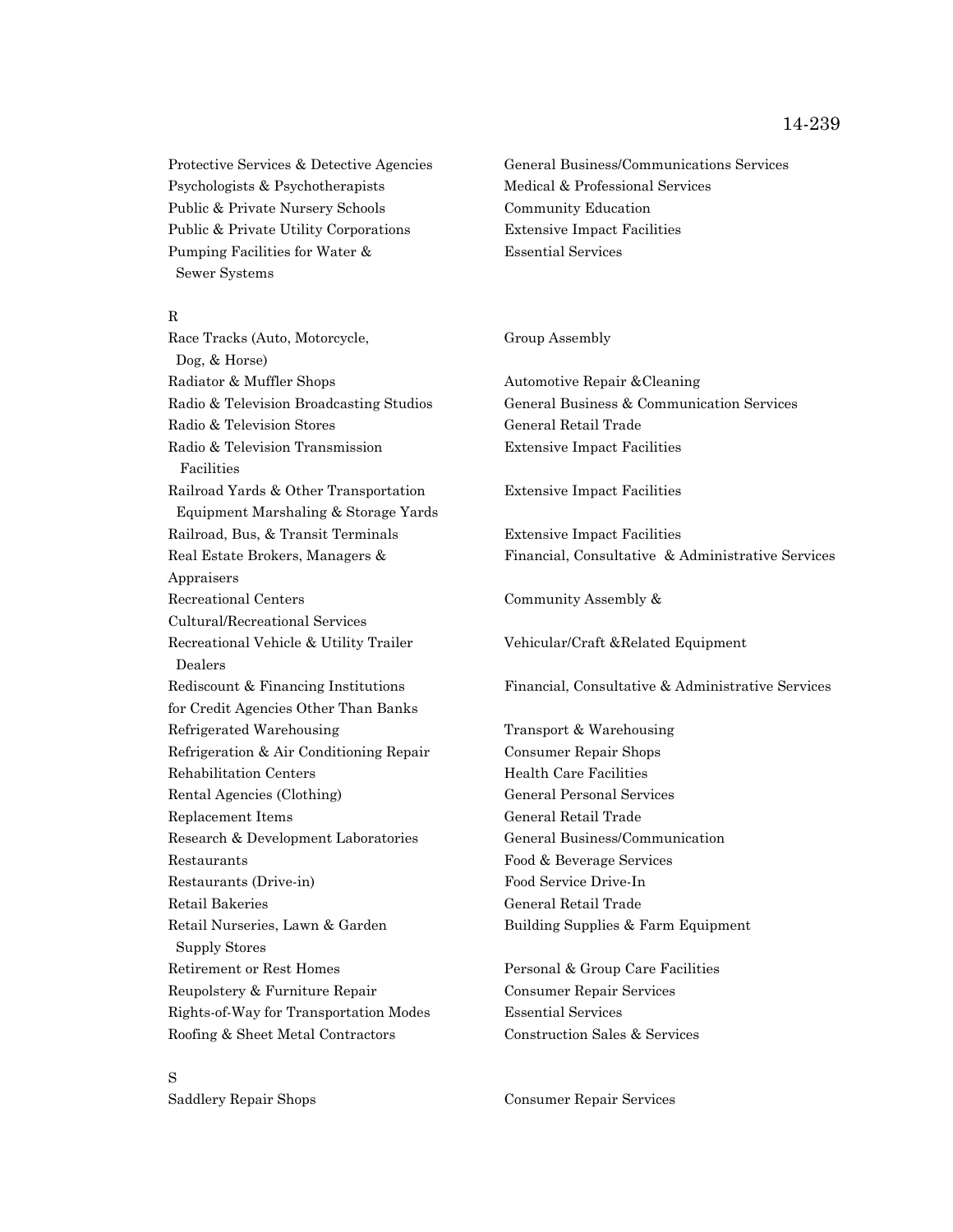Psychologists & Psychotherapists Medical & Professional Services Public & Private Nursery Schools Community Education Public & Private Utility Corporations Extensive Impact Facilities Pumping Facilities for Water & Essential Services Sewer Systems

### R

Race Tracks (Auto, Motorcycle, Group Assembly Dog, & Horse) Radiator & Muffler Shops **Automotive Repair & Cleaning** Radio & Television Stores General Retail Trade Radio & Television Transmission Extensive Impact Facilities Facilities Railroad Yards & Other Transportation Extensive Impact Facilities Equipment Marshaling & Storage Yards Railroad, Bus, & Transit Terminals Extensive Impact Facilities Appraisers Recreational Centers Community Assembly & Cultural/Recreational Services Recreational Vehicle & Utility Trailer Vehicular/Craft &Related Equipment Dealers Rediscount & Financing Institutions Financial, Consultative & Administrative Services for Credit Agencies Other Than Banks Refrigerated Warehousing Transport & Warehousing Refrigeration & Air Conditioning Repair Consumer Repair Shops Rehabilitation Centers Health Care Facilities Rental Agencies (Clothing) General Personal Services Replacement Items General Retail Trade Research & Development Laboratories General Business/Communication Restaurants Food & Beverage Services Restaurants (Drive-in) Food Service Drive-In Retail Bakeries General Retail Trade Retail Nurseries, Lawn & Garden Building Supplies & Farm Equipment Supply Stores Retirement or Rest Homes **Personal & Group Care Facilities** Reupolstery & Furniture Repair Consumer Repair Services Rights-of-Way for Transportation Modes Essential Services Roofing & Sheet Metal Contractors Construction Sales & Services

S

Protective Services & Detective Agencies General Business/Communications Services

Radio & Television Broadcasting Studios General Business & Communication Services

Real Estate Brokers, Managers & Financial, Consultative & Administrative Services

Saddlery Repair Shops Consumer Repair Services

### 14-239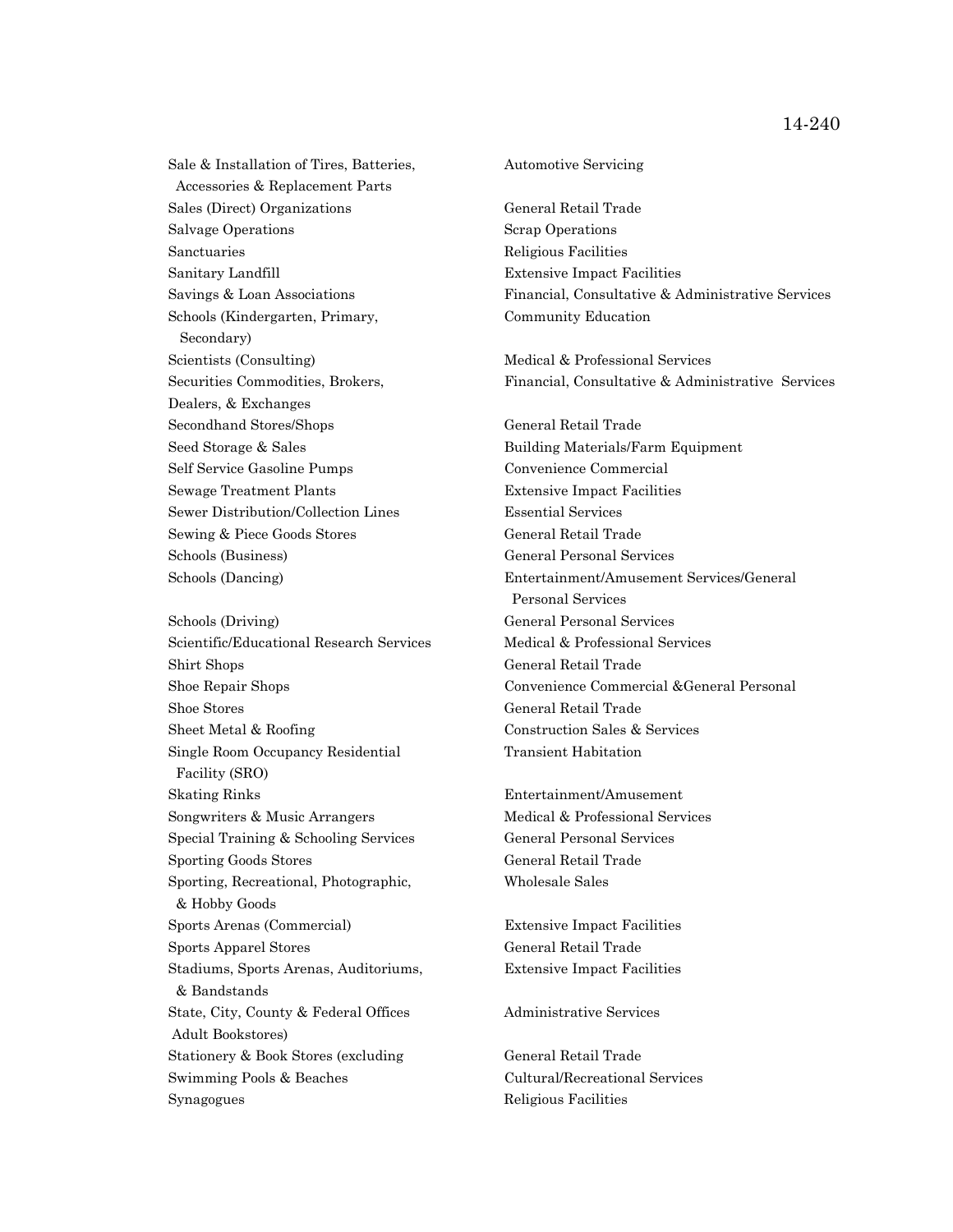Sale & Installation of Tires, Batteries, Automotive Servicing Accessories & Replacement Parts Sales (Direct) Organizations General Retail Trade Salvage Operations Scrap Operations Sanctuaries Religious Facilities Sanitary Landfill Extensive Impact Facilities Schools (Kindergarten, Primary, Community Education Secondary) Scientists (Consulting) Medical & Professional Services Dealers, & Exchanges Secondhand Stores/Shops General Retail Trade Seed Storage & Sales **Building Materials/Farm Equipment** Self Service Gasoline Pumps Convenience Commercial Sewage Treatment Plants Extensive Impact Facilities Sewer Distribution/Collection Lines Essential Services Sewing & Piece Goods Stores General Retail Trade Schools (Business) General Personal Services

Schools (Driving) General Personal Services Scientific/Educational Research Services Medical & Professional Services Shirt Shops General Retail Trade Shoe Stores General Retail Trade Sheet Metal & Roofing The Construction Sales & Services Single Room Occupancy Residential Transient Habitation Facility (SRO) Skating Rinks Entertainment/Amusement Songwriters & Music Arrangers Medical & Professional Services Special Training & Schooling Services General Personal Services Sporting Goods Stores General Retail Trade Sporting, Recreational, Photographic, Wholesale Sales & Hobby Goods Sports Arenas (Commercial) Extensive Impact Facilities Sports Apparel Stores General Retail Trade Stadiums, Sports Arenas, Auditoriums, Extensive Impact Facilities & Bandstands State, City, County & Federal Offices Administrative Services Adult Bookstores) Stationery & Book Stores (excluding General Retail Trade Swimming Pools & Beaches Cultural/Recreational Services Synagogues Religious Facilities

Savings & Loan Associations Financial, Consultative & Administrative Services

Securities Commodities, Brokers, Financial, Consultative & Administrative Services

Schools (Dancing) Entertainment/Amusement Services/General Personal Services Shoe Repair Shops Convenience Commercial &General Personal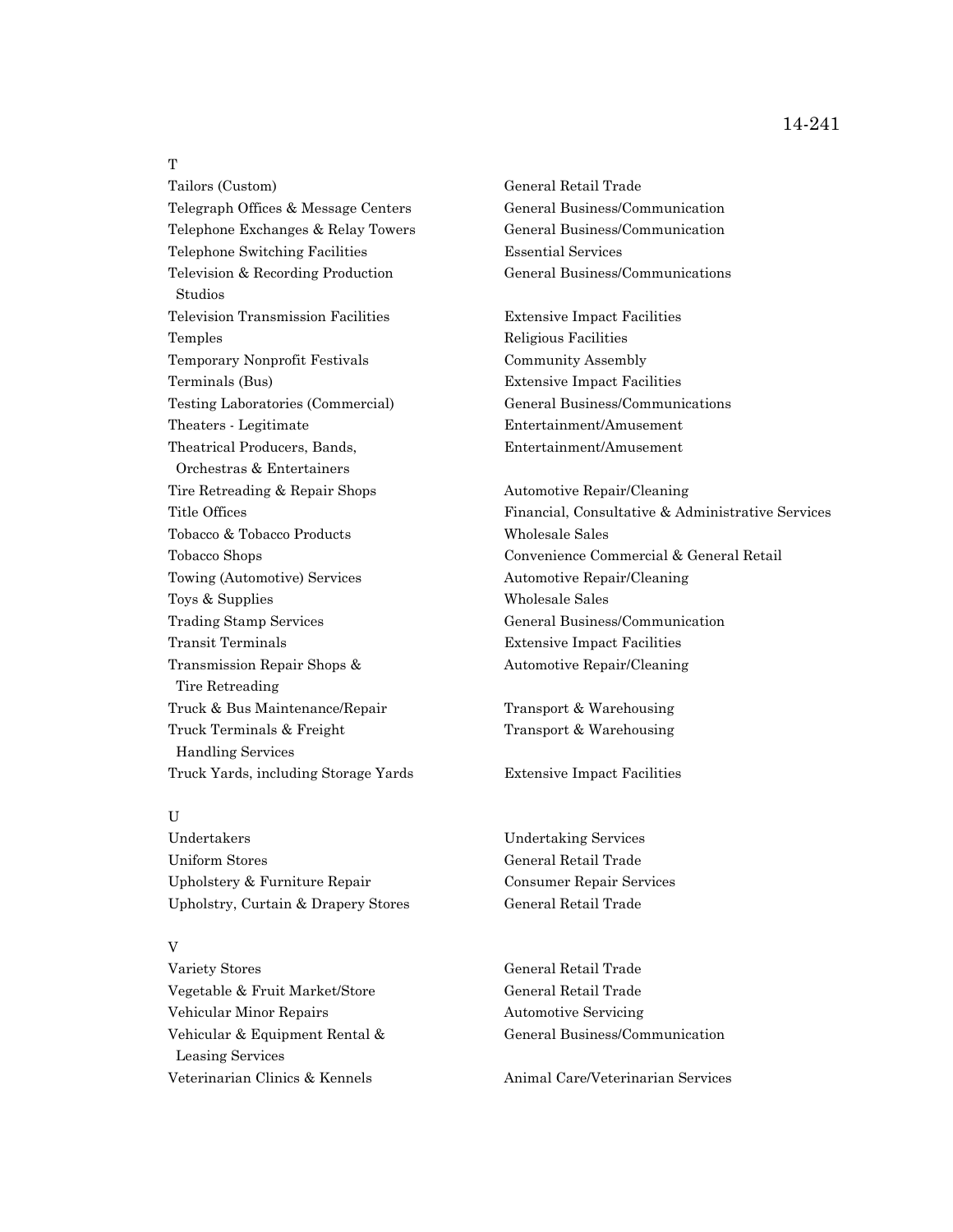# 14-241

### T

Tailors (Custom) General Retail Trade Telegraph Offices & Message Centers General Business/Communication Telephone Exchanges & Relay Towers General Business/Communication Telephone Switching Facilities Essential Services Television & Recording Production General Business/Communications Studios Television Transmission Facilities Extensive Impact Facilities Temples Religious Facilities Temporary Nonprofit Festivals Community Assembly Terminals (Bus) Extensive Impact Facilities Testing Laboratories (Commercial) General Business/Communications Theaters - Legitimate Entertainment/Amusement Theatrical Producers, Bands, Entertainment/Amusement Orchestras & Entertainers Tire Retreading & Repair Shops Automotive Repair/Cleaning Tobacco & Tobacco Products Wholesale Sales Towing (Automotive) Services Automotive Repair/Cleaning Toys & Supplies Wholesale Sales Trading Stamp Services General Business/Communication Transit Terminals Extensive Impact Facilities Transmission Repair Shops & Automotive Repair/Cleaning Tire Retreading Truck & Bus Maintenance/Repair Transport & Warehousing Truck Terminals & Freight Transport & Warehousing Handling Services Truck Yards, including Storage Yards Extensive Impact Facilities

### U

Undertakers Undertaking Services Uniform Stores General Retail Trade Upholstery & Furniture Repair Consumer Repair Services Upholstry, Curtain & Drapery Stores General Retail Trade

### V

Variety Stores General Retail Trade Vegetable & Fruit Market/Store General Retail Trade Vehicular Minor Repairs Automotive Servicing Vehicular & Equipment Rental & General Business/Communication Leasing Services Veterinarian Clinics & Kennels Animal Care/Veterinarian Services

Title Offices Financial, Consultative & Administrative Services Tobacco Shops Convenience Commercial & General Retail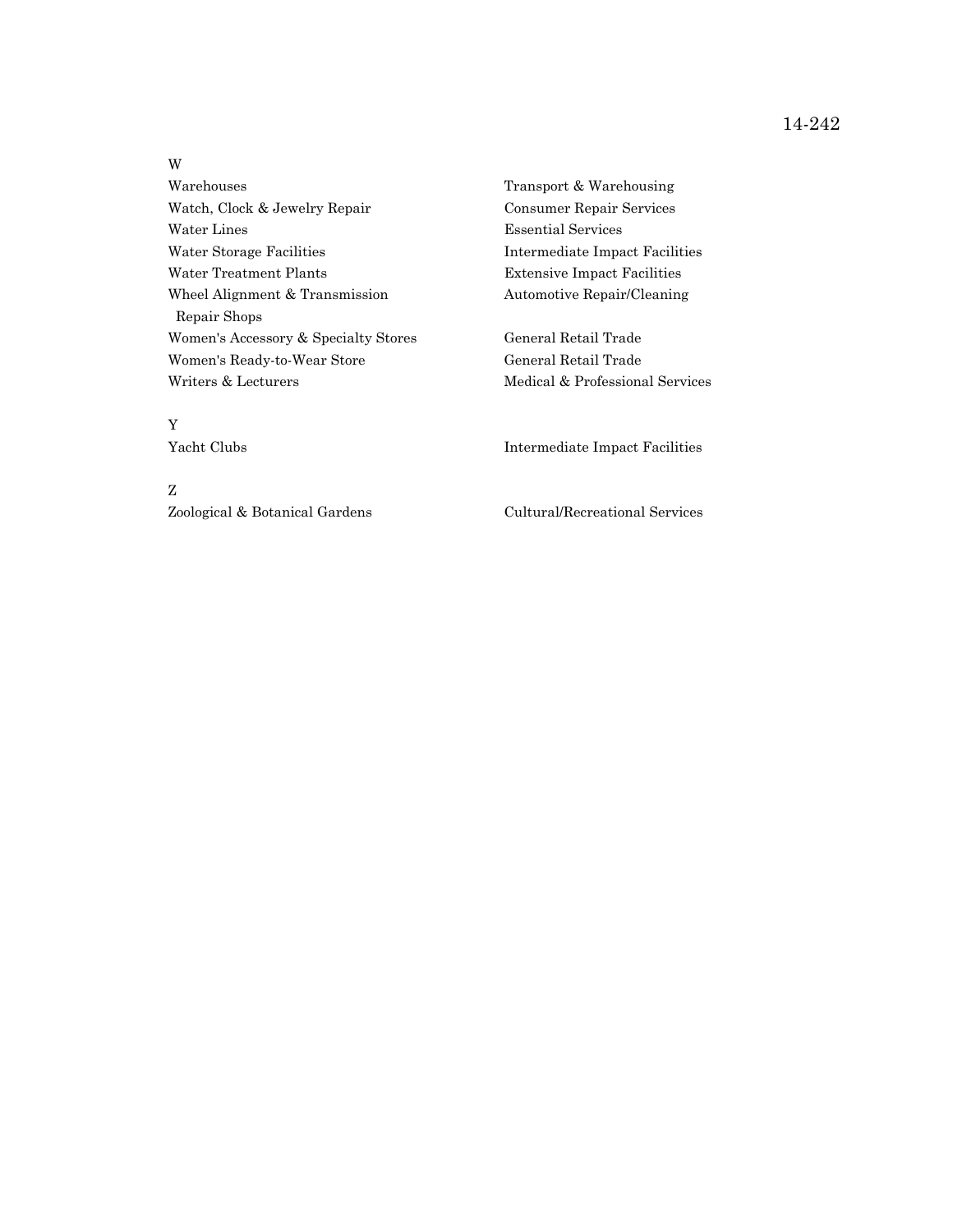# 14-242

W Warehouses Transport & Warehousing Watch, Clock & Jewelry Repair Consumer Repair Services Water Lines Essential Services Water Storage Facilities **Intermediate Impact Facilities** Water Treatment Plants **Extensive Impact Facilities** Wheel Alignment & Transmission Automotive Repair/Cleaning Repair Shops Women's Accessory & Specialty Stores General Retail Trade Women's Ready-to-Wear Store General Retail Trade Writers & Lecturers **Medical & Professional Services** Medical & Professional Services

Y

Z Zoological & Botanical Gardens Cultural/Recreational Services

Yacht Clubs Intermediate Impact Facilities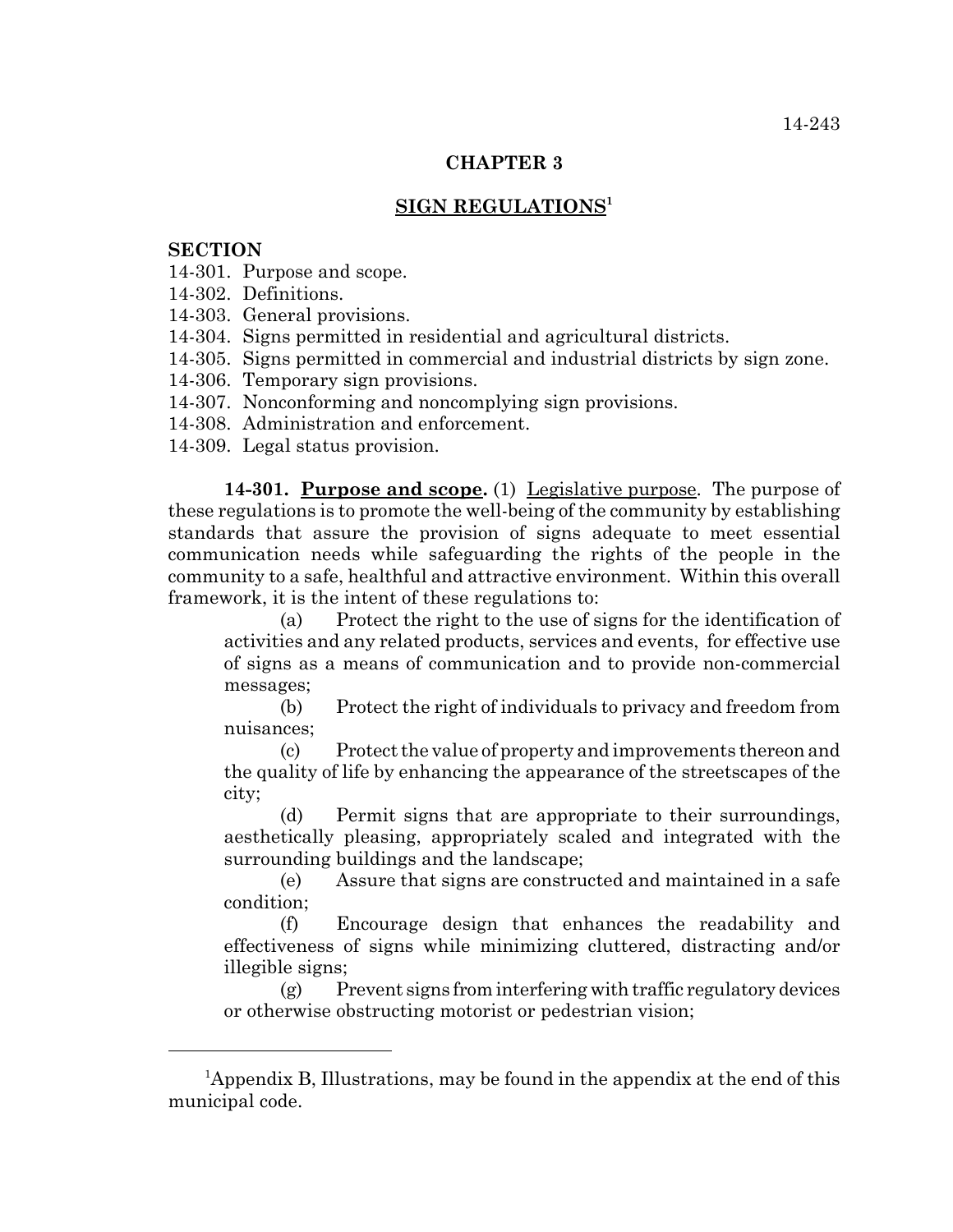# **CHAPTER 3**

# **SIGN REGULATIONS1**

# **SECTION**

- 14-301. Purpose and scope.
- 14-302. Definitions.
- 14-303. General provisions.
- 14-304. Signs permitted in residential and agricultural districts.
- 14-305. Signs permitted in commercial and industrial districts by sign zone.
- 14-306. Temporary sign provisions.
- 14-307. Nonconforming and noncomplying sign provisions.
- 14-308. Administration and enforcement.
- 14-309. Legal status provision.

**14-301. Purpose and scope.** (1) Legislative purpose. The purpose of these regulations is to promote the well-being of the community by establishing standards that assure the provision of signs adequate to meet essential communication needs while safeguarding the rights of the people in the community to a safe, healthful and attractive environment. Within this overall framework, it is the intent of these regulations to:

(a) Protect the right to the use of signs for the identification of activities and any related products, services and events, for effective use of signs as a means of communication and to provide non-commercial messages;

(b) Protect the right of individuals to privacy and freedom from nuisances;

(c) Protect the value of property and improvements thereon and the quality of life by enhancing the appearance of the streetscapes of the city;

(d) Permit signs that are appropriate to their surroundings, aesthetically pleasing, appropriately scaled and integrated with the surrounding buildings and the landscape;

(e) Assure that signs are constructed and maintained in a safe condition;

(f) Encourage design that enhances the readability and effectiveness of signs while minimizing cluttered, distracting and/or illegible signs;

 $(g)$  Prevent signs from interfering with traffic regulatory devices or otherwise obstructing motorist or pedestrian vision;

<sup>&</sup>lt;sup>1</sup>Appendix B, Illustrations, may be found in the appendix at the end of this municipal code.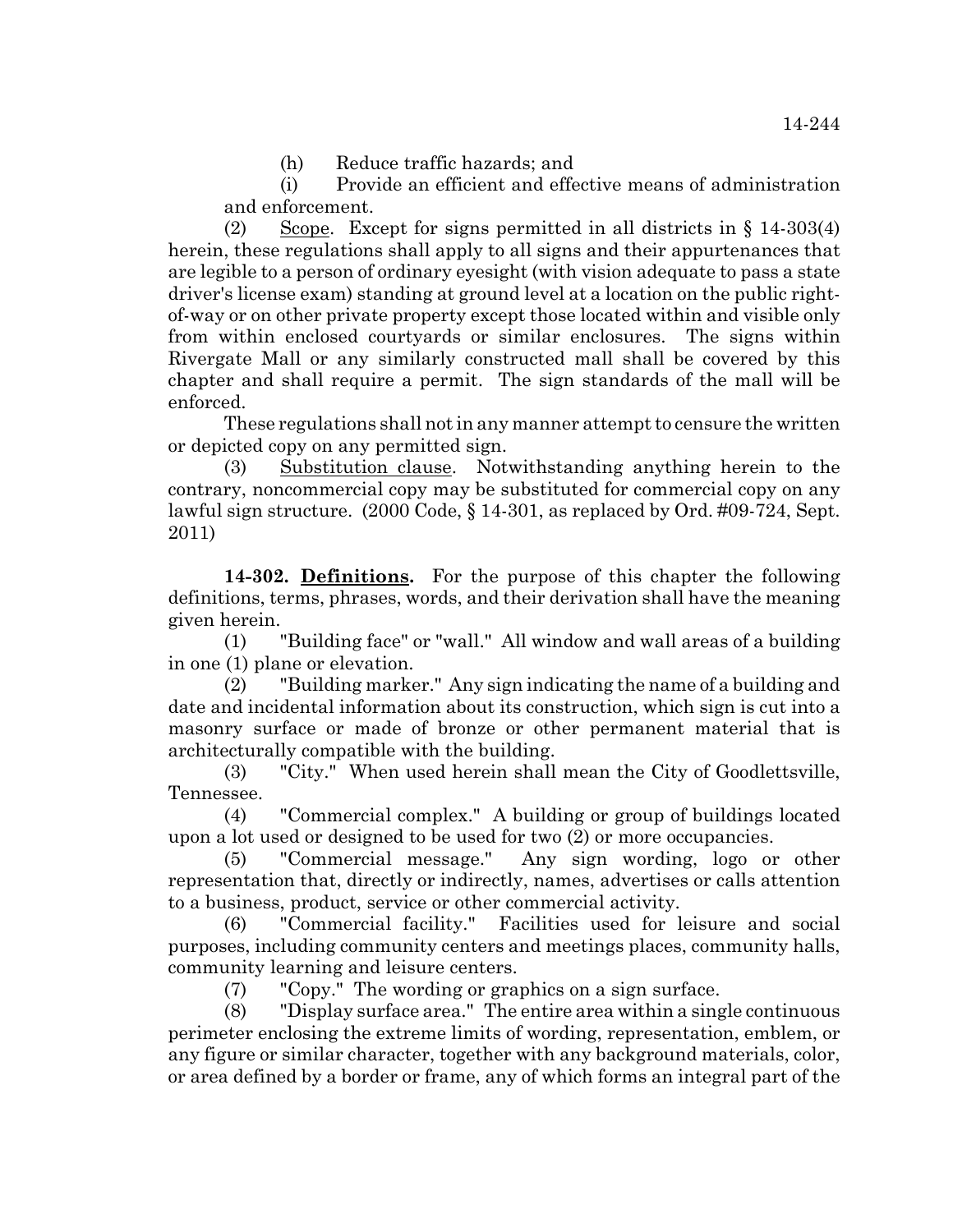(h) Reduce traffic hazards; and

(i) Provide an efficient and effective means of administration and enforcement.

(2) Scope. Except for signs permitted in all districts in § 14-303(4) herein, these regulations shall apply to all signs and their appurtenances that are legible to a person of ordinary eyesight (with vision adequate to pass a state driver's license exam) standing at ground level at a location on the public rightof-way or on other private property except those located within and visible only from within enclosed courtyards or similar enclosures. The signs within Rivergate Mall or any similarly constructed mall shall be covered by this chapter and shall require a permit. The sign standards of the mall will be enforced.

These regulations shall not in any manner attempt to censure the written or depicted copy on any permitted sign.

(3) Substitution clause. Notwithstanding anything herein to the contrary, noncommercial copy may be substituted for commercial copy on any lawful sign structure. (2000 Code, § 14-301, as replaced by Ord. #09-724, Sept. 2011)

**14-302. Definitions.** For the purpose of this chapter the following definitions, terms, phrases, words, and their derivation shall have the meaning given herein.

(1) "Building face" or "wall." All window and wall areas of a building in one (1) plane or elevation.

(2) "Building marker." Any sign indicating the name of a building and date and incidental information about its construction, which sign is cut into a masonry surface or made of bronze or other permanent material that is architecturally compatible with the building.

(3) "City." When used herein shall mean the City of Goodlettsville, Tennessee.

(4) "Commercial complex." A building or group of buildings located upon a lot used or designed to be used for two (2) or more occupancies.

(5) "Commercial message." Any sign wording, logo or other representation that, directly or indirectly, names, advertises or calls attention to a business, product, service or other commercial activity.

(6) "Commercial facility." Facilities used for leisure and social purposes, including community centers and meetings places, community halls, community learning and leisure centers.

(7) "Copy." The wording or graphics on a sign surface.

(8) "Display surface area." The entire area within a single continuous perimeter enclosing the extreme limits of wording, representation, emblem, or any figure or similar character, together with any background materials, color, or area defined by a border or frame, any of which forms an integral part of the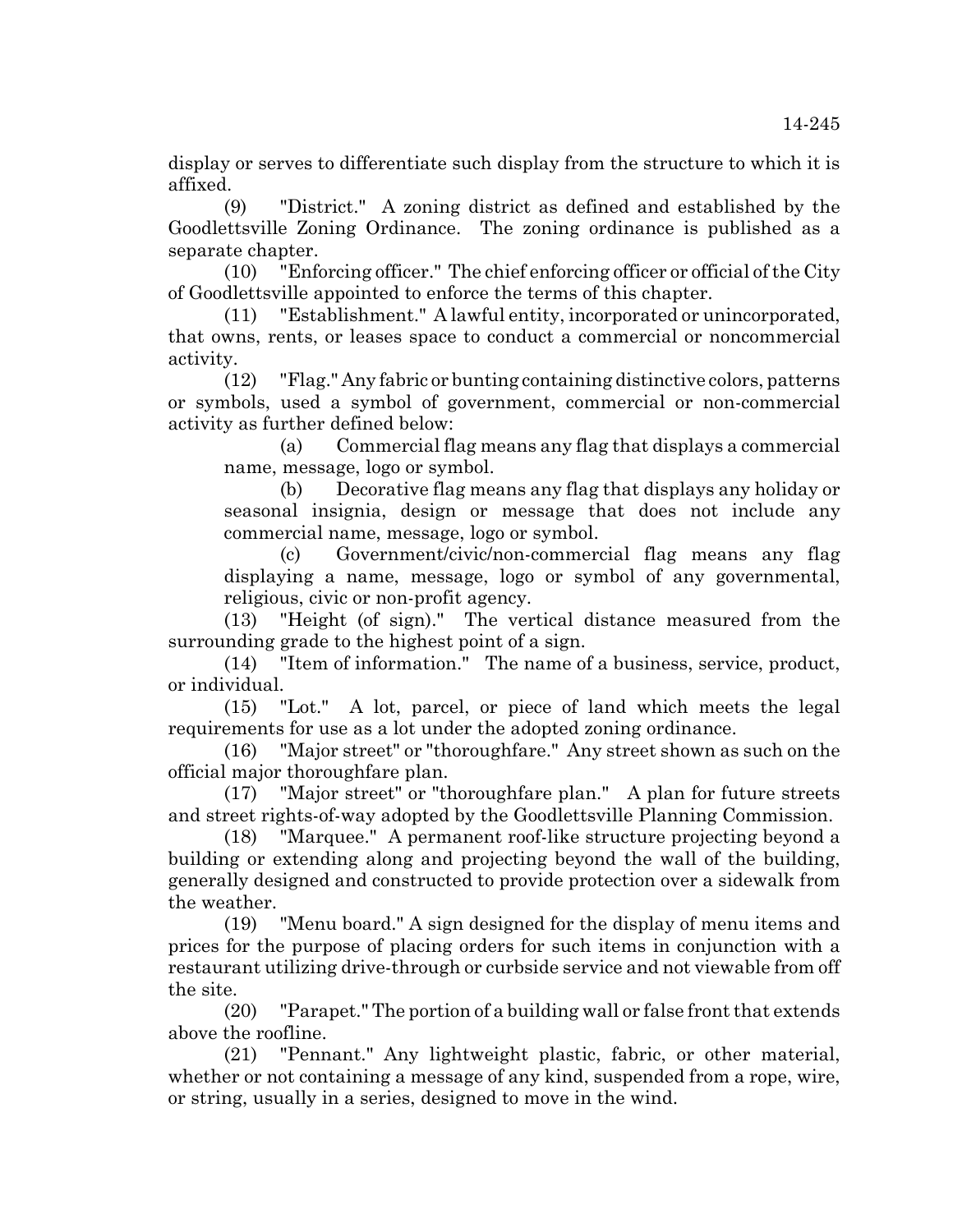display or serves to differentiate such display from the structure to which it is affixed.

(9) "District." A zoning district as defined and established by the Goodlettsville Zoning Ordinance. The zoning ordinance is published as a separate chapter.

(10) "Enforcing officer." The chief enforcing officer or official of the City of Goodlettsville appointed to enforce the terms of this chapter.

(11) "Establishment." A lawful entity, incorporated or unincorporated, that owns, rents, or leases space to conduct a commercial or noncommercial activity.

(12) "Flag." Any fabric or bunting containing distinctive colors, patterns or symbols, used a symbol of government, commercial or non-commercial activity as further defined below:

(a) Commercial flag means any flag that displays a commercial name, message, logo or symbol.

(b) Decorative flag means any flag that displays any holiday or seasonal insignia, design or message that does not include any commercial name, message, logo or symbol.

(c) Government/civic/non-commercial flag means any flag displaying a name, message, logo or symbol of any governmental, religious, civic or non-profit agency.

(13) "Height (of sign)." The vertical distance measured from the surrounding grade to the highest point of a sign.

(14) "Item of information." The name of a business, service, product, or individual.

(15) "Lot." A lot, parcel, or piece of land which meets the legal requirements for use as a lot under the adopted zoning ordinance.

(16) "Major street" or "thoroughfare." Any street shown as such on the official major thoroughfare plan.

(17) "Major street" or "thoroughfare plan." A plan for future streets and street rights-of-way adopted by the Goodlettsville Planning Commission.

(18) "Marquee." A permanent roof-like structure projecting beyond a building or extending along and projecting beyond the wall of the building, generally designed and constructed to provide protection over a sidewalk from the weather.

(19) "Menu board." A sign designed for the display of menu items and prices for the purpose of placing orders for such items in conjunction with a restaurant utilizing drive-through or curbside service and not viewable from off the site.

(20) "Parapet." The portion of a building wall or false front that extends above the roofline.

(21) "Pennant." Any lightweight plastic, fabric, or other material, whether or not containing a message of any kind, suspended from a rope, wire, or string, usually in a series, designed to move in the wind.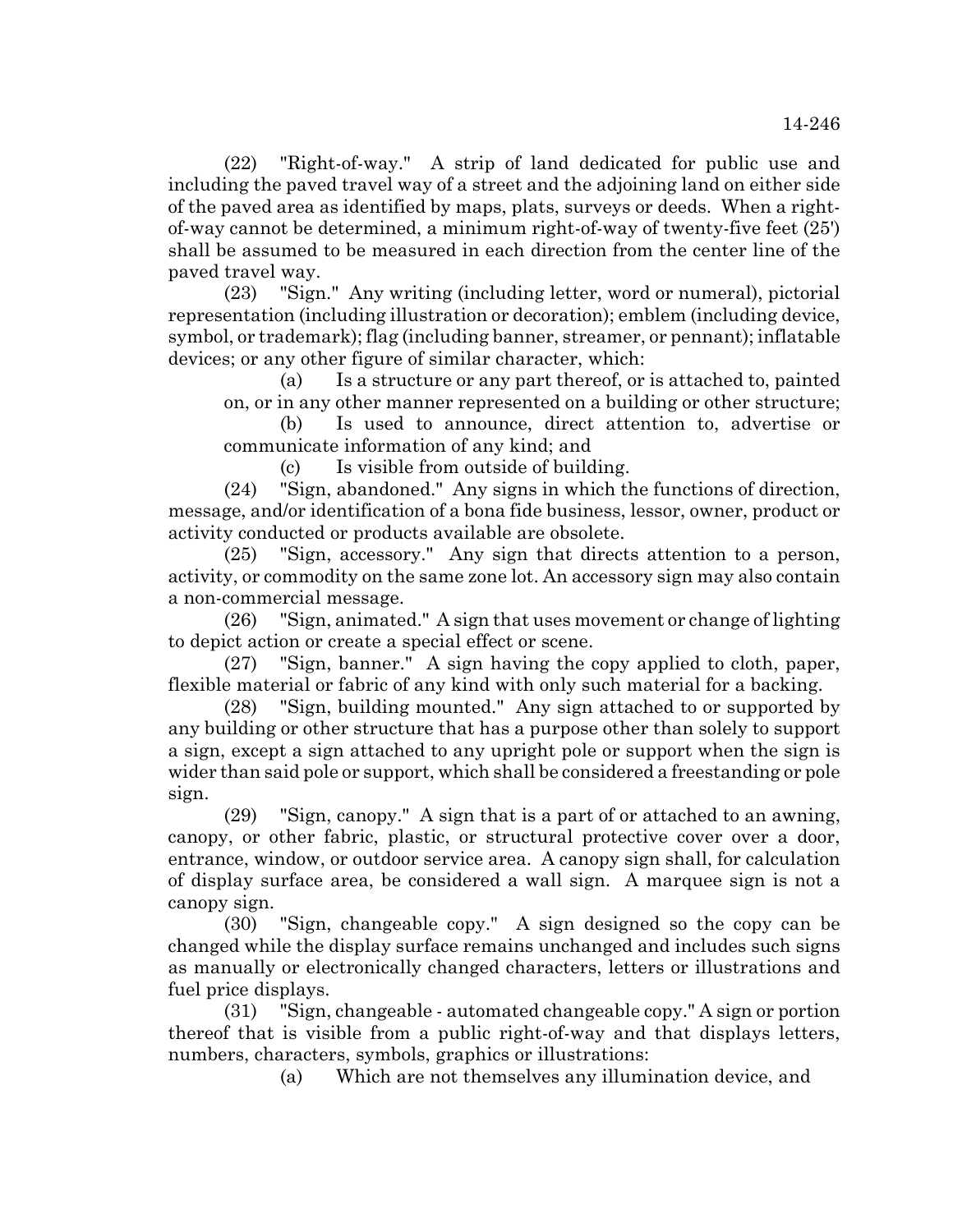(22) "Right-of-way." A strip of land dedicated for public use and including the paved travel way of a street and the adjoining land on either side of the paved area as identified by maps, plats, surveys or deeds. When a rightof-way cannot be determined, a minimum right-of-way of twenty-five feet (25') shall be assumed to be measured in each direction from the center line of the paved travel way.

(23) "Sign." Any writing (including letter, word or numeral), pictorial representation (including illustration or decoration); emblem (including device, symbol, or trademark); flag (including banner, streamer, or pennant); inflatable devices; or any other figure of similar character, which:

(a) Is a structure or any part thereof, or is attached to, painted on, or in any other manner represented on a building or other structure;

(b) Is used to announce, direct attention to, advertise or communicate information of any kind; and

(c) Is visible from outside of building.

(24) "Sign, abandoned." Any signs in which the functions of direction, message, and/or identification of a bona fide business, lessor, owner, product or activity conducted or products available are obsolete.

(25) "Sign, accessory." Any sign that directs attention to a person, activity, or commodity on the same zone lot. An accessory sign may also contain a non-commercial message.

(26) "Sign, animated." A sign that uses movement or change of lighting to depict action or create a special effect or scene.

(27) "Sign, banner." A sign having the copy applied to cloth, paper, flexible material or fabric of any kind with only such material for a backing.

(28) "Sign, building mounted." Any sign attached to or supported by any building or other structure that has a purpose other than solely to support a sign, except a sign attached to any upright pole or support when the sign is wider than said pole or support, which shall be considered a freestanding or pole sign.

(29) "Sign, canopy." A sign that is a part of or attached to an awning, canopy, or other fabric, plastic, or structural protective cover over a door, entrance, window, or outdoor service area. A canopy sign shall, for calculation of display surface area, be considered a wall sign. A marquee sign is not a canopy sign.

(30) "Sign, changeable copy." A sign designed so the copy can be changed while the display surface remains unchanged and includes such signs as manually or electronically changed characters, letters or illustrations and fuel price displays.

(31) "Sign, changeable - automated changeable copy." A sign or portion thereof that is visible from a public right-of-way and that displays letters, numbers, characters, symbols, graphics or illustrations:

(a) Which are not themselves any illumination device, and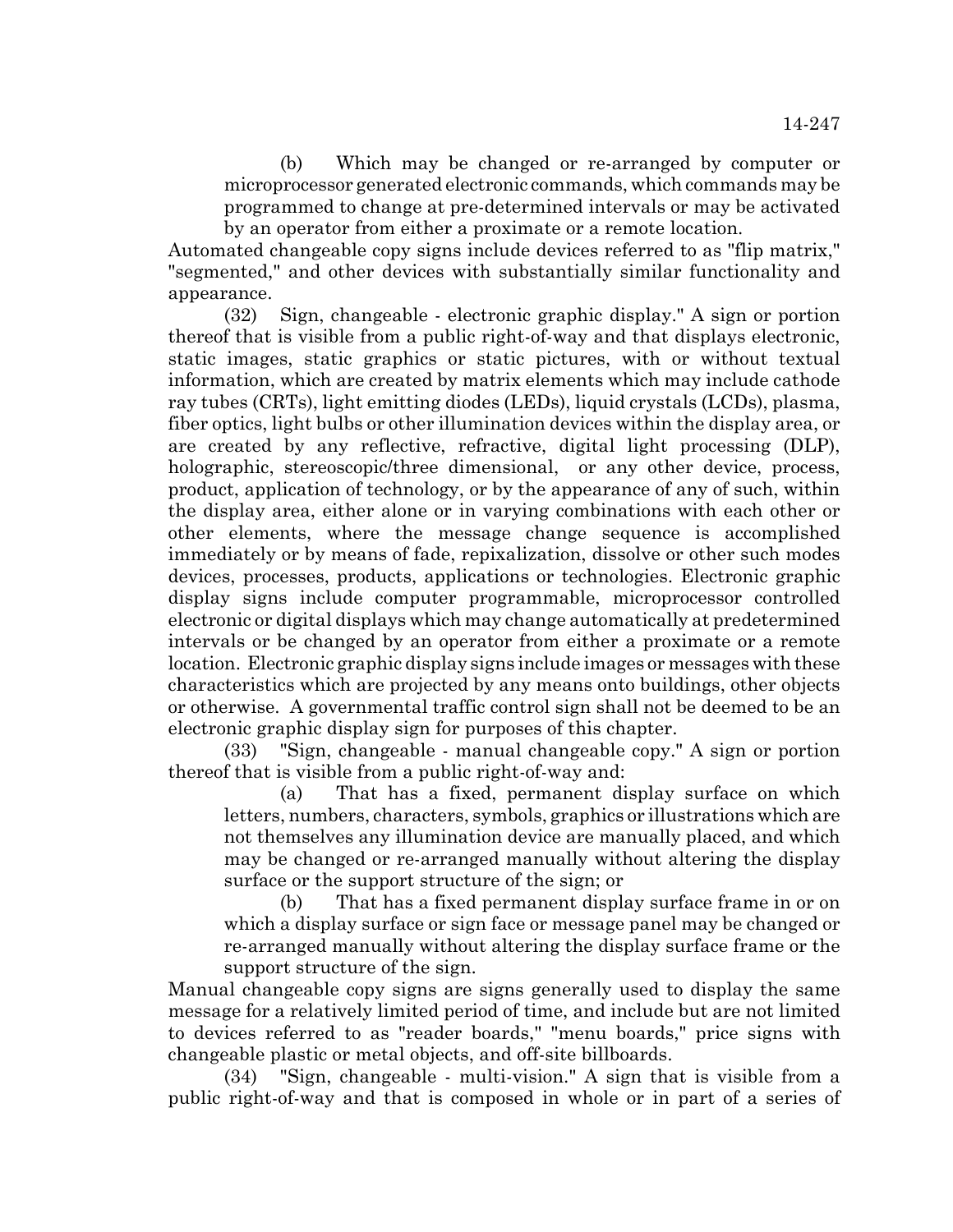(b) Which may be changed or re-arranged by computer or microprocessor generated electronic commands, which commands may be programmed to change at pre-determined intervals or may be activated by an operator from either a proximate or a remote location.

Automated changeable copy signs include devices referred to as "flip matrix," "segmented," and other devices with substantially similar functionality and appearance.

(32) Sign, changeable - electronic graphic display." A sign or portion thereof that is visible from a public right-of-way and that displays electronic, static images, static graphics or static pictures, with or without textual information, which are created by matrix elements which may include cathode ray tubes (CRTs), light emitting diodes (LEDs), liquid crystals (LCDs), plasma, fiber optics, light bulbs or other illumination devices within the display area, or are created by any reflective, refractive, digital light processing (DLP), holographic, stereoscopic/three dimensional, or any other device, process, product, application of technology, or by the appearance of any of such, within the display area, either alone or in varying combinations with each other or other elements, where the message change sequence is accomplished immediately or by means of fade, repixalization, dissolve or other such modes devices, processes, products, applications or technologies. Electronic graphic display signs include computer programmable, microprocessor controlled electronic or digital displays which may change automatically at predetermined intervals or be changed by an operator from either a proximate or a remote location. Electronic graphic display signs include images or messages with these characteristics which are projected by any means onto buildings, other objects or otherwise. A governmental traffic control sign shall not be deemed to be an electronic graphic display sign for purposes of this chapter.

(33) "Sign, changeable - manual changeable copy." A sign or portion thereof that is visible from a public right-of-way and:

(a) That has a fixed, permanent display surface on which letters, numbers, characters, symbols, graphics or illustrations which are not themselves any illumination device are manually placed, and which may be changed or re-arranged manually without altering the display surface or the support structure of the sign; or

(b) That has a fixed permanent display surface frame in or on which a display surface or sign face or message panel may be changed or re-arranged manually without altering the display surface frame or the support structure of the sign.

Manual changeable copy signs are signs generally used to display the same message for a relatively limited period of time, and include but are not limited to devices referred to as "reader boards," "menu boards," price signs with changeable plastic or metal objects, and off-site billboards.

(34) "Sign, changeable - multi-vision." A sign that is visible from a public right-of-way and that is composed in whole or in part of a series of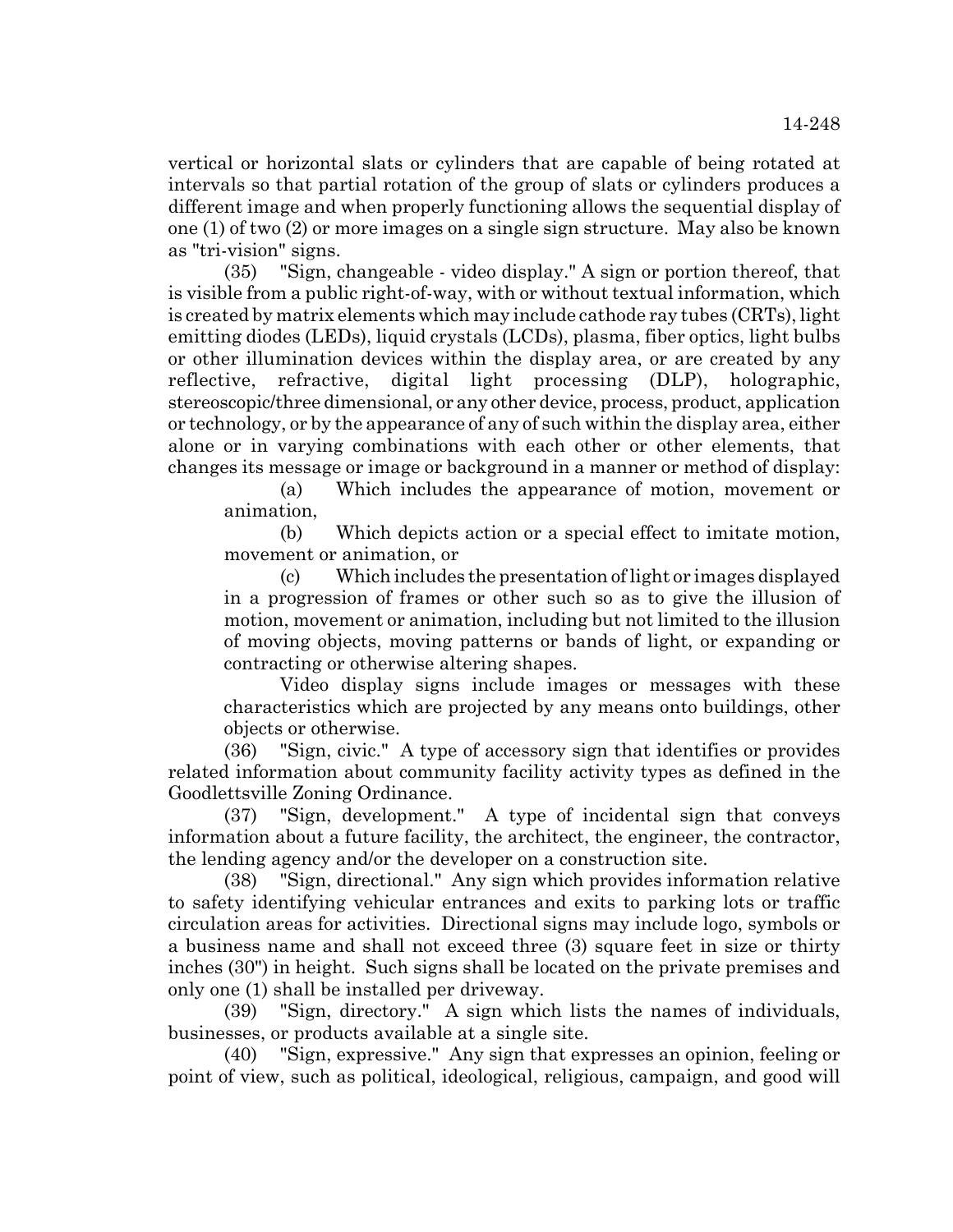vertical or horizontal slats or cylinders that are capable of being rotated at intervals so that partial rotation of the group of slats or cylinders produces a different image and when properly functioning allows the sequential display of one (1) of two (2) or more images on a single sign structure. May also be known as "tri-vision" signs.

(35) "Sign, changeable - video display." A sign or portion thereof, that is visible from a public right-of-way, with or without textual information, which is created by matrix elements which may include cathode ray tubes (CRTs), light emitting diodes (LEDs), liquid crystals (LCDs), plasma, fiber optics, light bulbs or other illumination devices within the display area, or are created by any reflective, refractive, digital light processing (DLP), holographic, stereoscopic/three dimensional, or any other device, process, product, application or technology, or by the appearance of any of such within the display area, either alone or in varying combinations with each other or other elements, that changes its message or image or background in a manner or method of display:

(a) Which includes the appearance of motion, movement or animation,

(b) Which depicts action or a special effect to imitate motion, movement or animation, or

(c) Which includes the presentation of light or images displayed in a progression of frames or other such so as to give the illusion of motion, movement or animation, including but not limited to the illusion of moving objects, moving patterns or bands of light, or expanding or contracting or otherwise altering shapes.

Video display signs include images or messages with these characteristics which are projected by any means onto buildings, other objects or otherwise.

(36) "Sign, civic." A type of accessory sign that identifies or provides related information about community facility activity types as defined in the Goodlettsville Zoning Ordinance.

(37) "Sign, development." A type of incidental sign that conveys information about a future facility, the architect, the engineer, the contractor, the lending agency and/or the developer on a construction site.

(38) "Sign, directional." Any sign which provides information relative to safety identifying vehicular entrances and exits to parking lots or traffic circulation areas for activities. Directional signs may include logo, symbols or a business name and shall not exceed three (3) square feet in size or thirty inches (30") in height. Such signs shall be located on the private premises and only one (1) shall be installed per driveway.

(39) "Sign, directory." A sign which lists the names of individuals, businesses, or products available at a single site.

(40) "Sign, expressive." Any sign that expresses an opinion, feeling or point of view, such as political, ideological, religious, campaign, and good will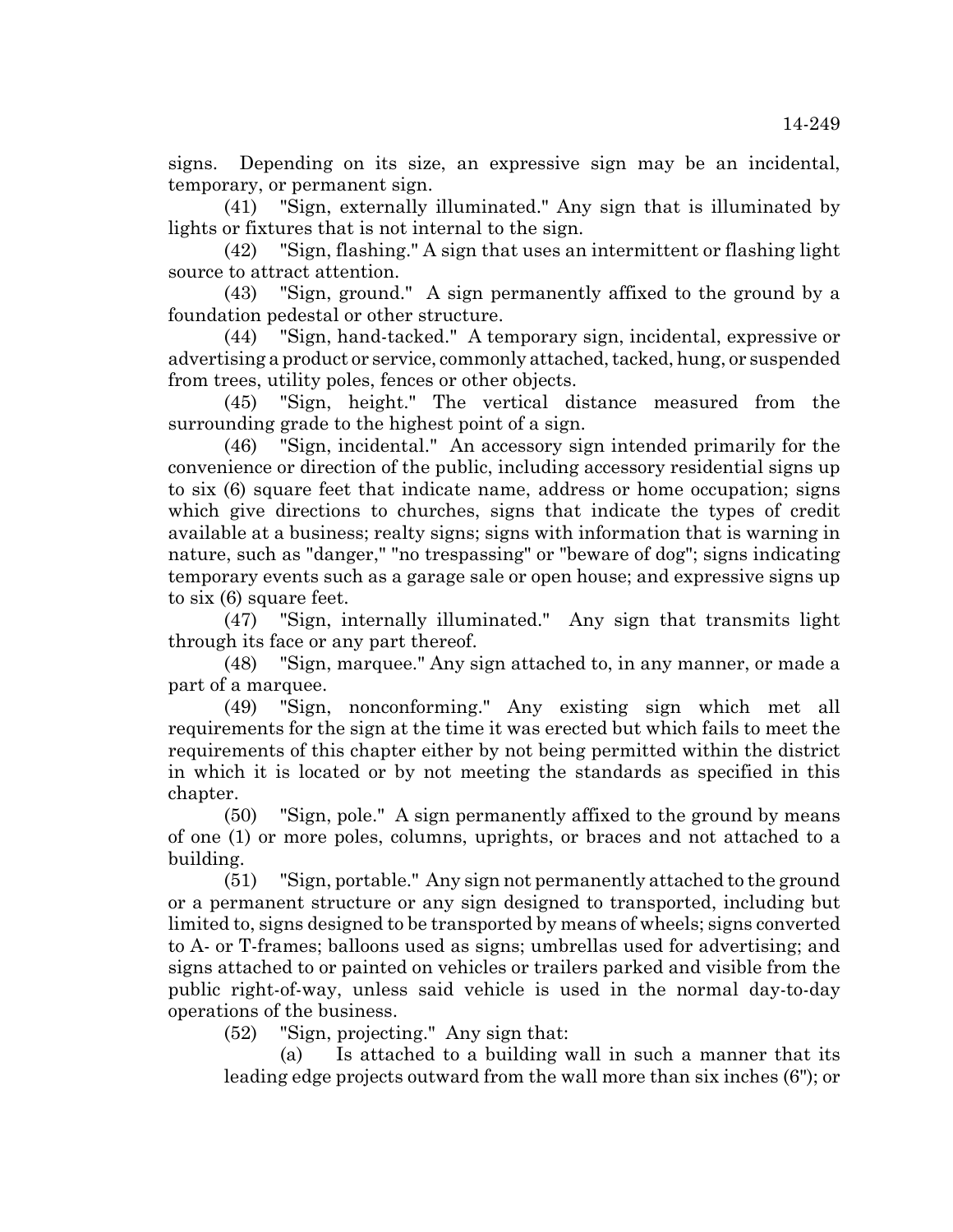signs. Depending on its size, an expressive sign may be an incidental, temporary, or permanent sign.

(41) "Sign, externally illuminated." Any sign that is illuminated by lights or fixtures that is not internal to the sign.

(42) "Sign, flashing." A sign that uses an intermittent or flashing light source to attract attention.

(43) "Sign, ground." A sign permanently affixed to the ground by a foundation pedestal or other structure.

(44) "Sign, hand-tacked." A temporary sign, incidental, expressive or advertising a product or service, commonly attached, tacked, hung, or suspended from trees, utility poles, fences or other objects.

(45) "Sign, height." The vertical distance measured from the surrounding grade to the highest point of a sign.

(46) "Sign, incidental." An accessory sign intended primarily for the convenience or direction of the public, including accessory residential signs up to six (6) square feet that indicate name, address or home occupation; signs which give directions to churches, signs that indicate the types of credit available at a business; realty signs; signs with information that is warning in nature, such as "danger," "no trespassing" or "beware of dog"; signs indicating temporary events such as a garage sale or open house; and expressive signs up to six (6) square feet.

(47) "Sign, internally illuminated." Any sign that transmits light through its face or any part thereof.

(48) "Sign, marquee." Any sign attached to, in any manner, or made a part of a marquee.

(49) "Sign, nonconforming." Any existing sign which met all requirements for the sign at the time it was erected but which fails to meet the requirements of this chapter either by not being permitted within the district in which it is located or by not meeting the standards as specified in this chapter.

(50) "Sign, pole." A sign permanently affixed to the ground by means of one (1) or more poles, columns, uprights, or braces and not attached to a building.

(51) "Sign, portable." Any sign not permanently attached to the ground or a permanent structure or any sign designed to transported, including but limited to, signs designed to be transported by means of wheels; signs converted to A- or T-frames; balloons used as signs; umbrellas used for advertising; and signs attached to or painted on vehicles or trailers parked and visible from the public right-of-way, unless said vehicle is used in the normal day-to-day operations of the business.

(52) "Sign, projecting." Any sign that:

(a) Is attached to a building wall in such a manner that its leading edge projects outward from the wall more than six inches (6"); or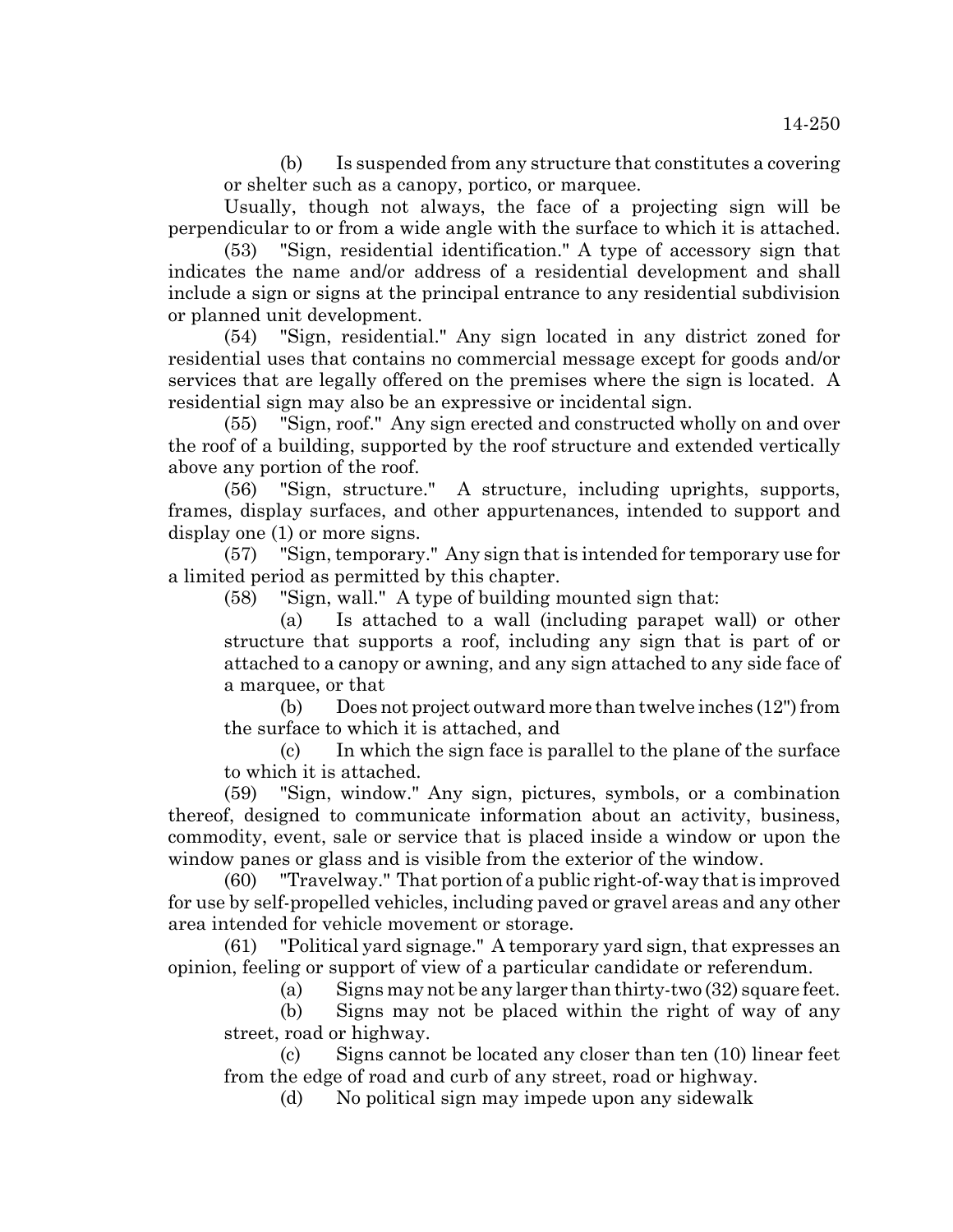(b) Is suspended from any structure that constitutes a covering or shelter such as a canopy, portico, or marquee.

Usually, though not always, the face of a projecting sign will be perpendicular to or from a wide angle with the surface to which it is attached.

(53) "Sign, residential identification." A type of accessory sign that indicates the name and/or address of a residential development and shall include a sign or signs at the principal entrance to any residential subdivision or planned unit development.

(54) "Sign, residential." Any sign located in any district zoned for residential uses that contains no commercial message except for goods and/or services that are legally offered on the premises where the sign is located. A residential sign may also be an expressive or incidental sign.

(55) "Sign, roof." Any sign erected and constructed wholly on and over the roof of a building, supported by the roof structure and extended vertically above any portion of the roof.

(56) "Sign, structure." A structure, including uprights, supports, frames, display surfaces, and other appurtenances, intended to support and display one (1) or more signs.

(57) "Sign, temporary." Any sign that is intended for temporary use for a limited period as permitted by this chapter.

(58) "Sign, wall." A type of building mounted sign that:

(a) Is attached to a wall (including parapet wall) or other structure that supports a roof, including any sign that is part of or attached to a canopy or awning, and any sign attached to any side face of a marquee, or that

(b) Does not project outward more than twelve inches (12") from the surface to which it is attached, and

(c) In which the sign face is parallel to the plane of the surface to which it is attached.

(59) "Sign, window." Any sign, pictures, symbols, or a combination thereof, designed to communicate information about an activity, business, commodity, event, sale or service that is placed inside a window or upon the window panes or glass and is visible from the exterior of the window.

(60) "Travelway." That portion of a public right-of-way that is improved for use by self-propelled vehicles, including paved or gravel areas and any other area intended for vehicle movement or storage.

(61) "Political yard signage." A temporary yard sign, that expresses an opinion, feeling or support of view of a particular candidate or referendum.

(a) Signs may not be any larger than thirty-two  $(32)$  square feet.

(b) Signs may not be placed within the right of way of any street, road or highway.

(c) Signs cannot be located any closer than ten (10) linear feet from the edge of road and curb of any street, road or highway.

(d) No political sign may impede upon any sidewalk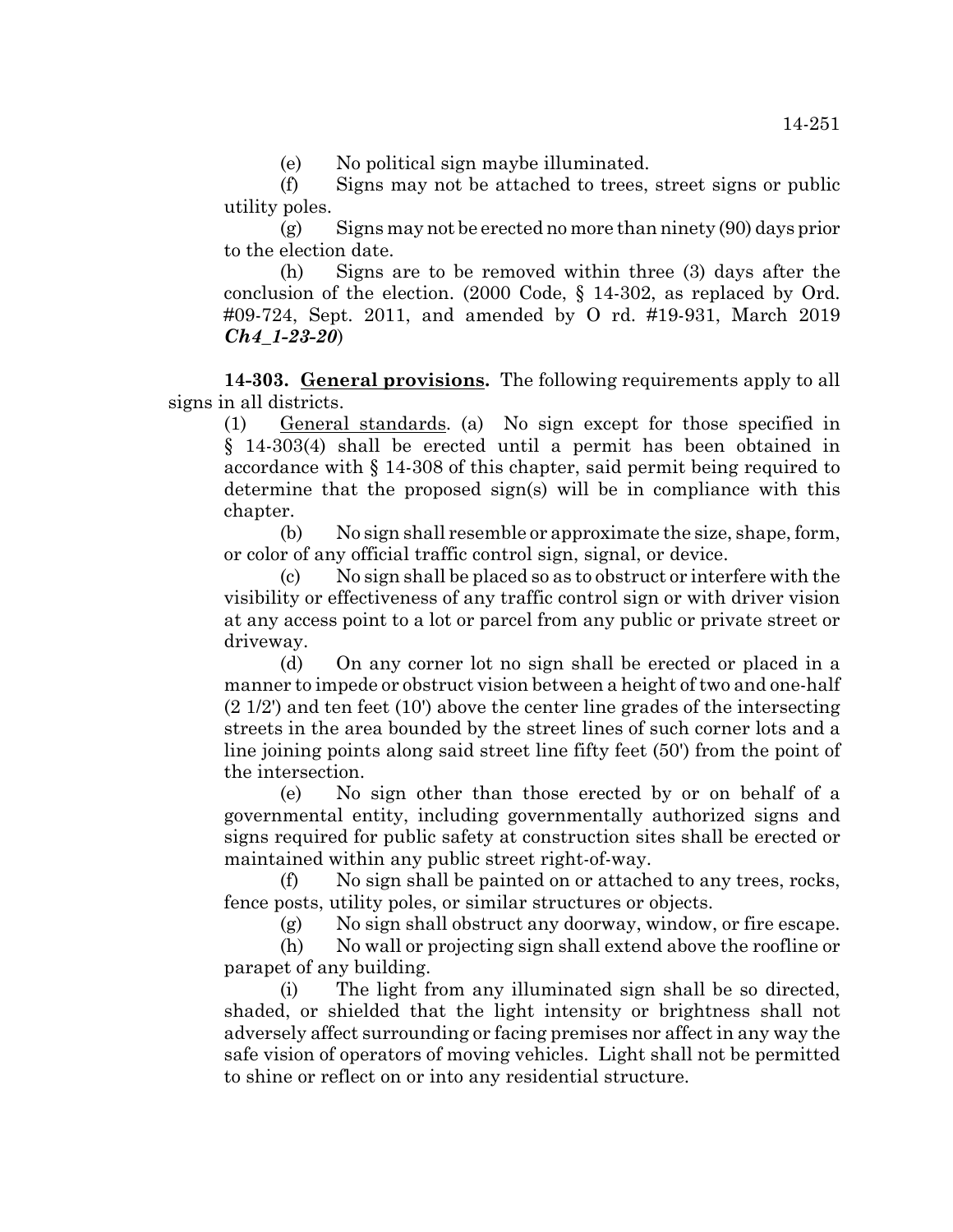(e) No political sign maybe illuminated.

(f) Signs may not be attached to trees, street signs or public utility poles.

(g) Signs may not be erected no more than ninety (90) days prior to the election date.

(h) Signs are to be removed within three (3) days after the conclusion of the election. (2000 Code, § 14-302, as replaced by Ord. #09-724, Sept. 2011, and amended by O rd. #19-931, March 2019 *Ch4\_1-23-20*)

**14-303. General provisions.** The following requirements apply to all signs in all districts.

(1) General standards. (a) No sign except for those specified in § 14-303(4) shall be erected until a permit has been obtained in accordance with § 14-308 of this chapter, said permit being required to determine that the proposed sign(s) will be in compliance with this chapter.

(b) No sign shall resemble or approximate the size, shape, form, or color of any official traffic control sign, signal, or device.

(c) No sign shall be placed so as to obstruct or interfere with the visibility or effectiveness of any traffic control sign or with driver vision at any access point to a lot or parcel from any public or private street or driveway.

(d) On any corner lot no sign shall be erected or placed in a manner to impede or obstruct vision between a height of two and one-half (2 1/2') and ten feet (10') above the center line grades of the intersecting streets in the area bounded by the street lines of such corner lots and a line joining points along said street line fifty feet (50') from the point of the intersection.

(e) No sign other than those erected by or on behalf of a governmental entity, including governmentally authorized signs and signs required for public safety at construction sites shall be erected or maintained within any public street right-of-way.

(f) No sign shall be painted on or attached to any trees, rocks, fence posts, utility poles, or similar structures or objects.

(g) No sign shall obstruct any doorway, window, or fire escape.

(h) No wall or projecting sign shall extend above the roofline or parapet of any building.

(i) The light from any illuminated sign shall be so directed, shaded, or shielded that the light intensity or brightness shall not adversely affect surrounding or facing premises nor affect in any way the safe vision of operators of moving vehicles. Light shall not be permitted to shine or reflect on or into any residential structure.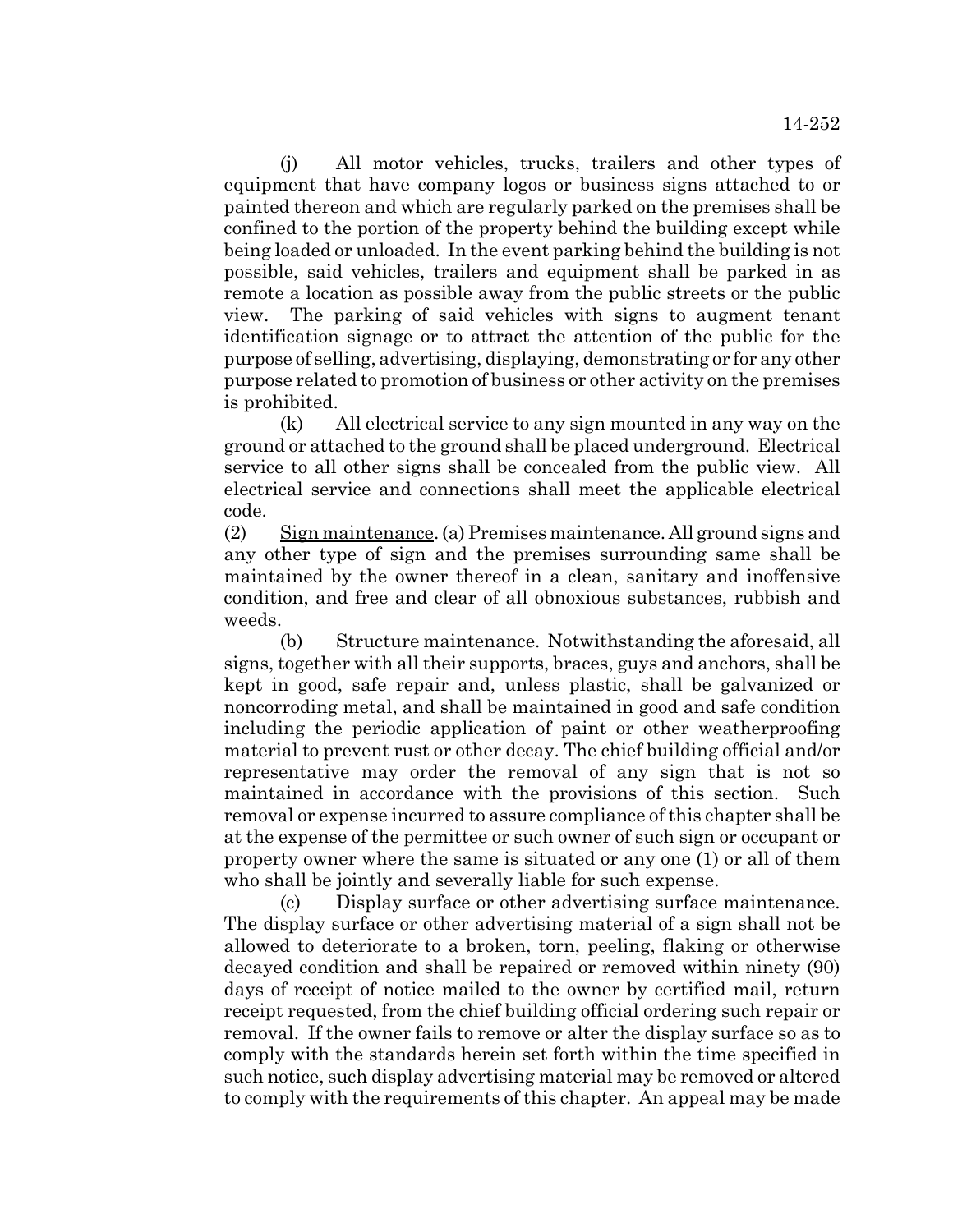(j) All motor vehicles, trucks, trailers and other types of equipment that have company logos or business signs attached to or painted thereon and which are regularly parked on the premises shall be confined to the portion of the property behind the building except while being loaded or unloaded. In the event parking behind the building is not possible, said vehicles, trailers and equipment shall be parked in as remote a location as possible away from the public streets or the public view. The parking of said vehicles with signs to augment tenant identification signage or to attract the attention of the public for the purpose of selling, advertising, displaying, demonstrating or for any other purpose related to promotion of business or other activity on the premises is prohibited.

(k) All electrical service to any sign mounted in any way on the ground or attached to the ground shall be placed underground. Electrical service to all other signs shall be concealed from the public view. All electrical service and connections shall meet the applicable electrical code.

(2) Sign maintenance. (a) Premises maintenance. All ground signs and any other type of sign and the premises surrounding same shall be maintained by the owner thereof in a clean, sanitary and inoffensive condition, and free and clear of all obnoxious substances, rubbish and weeds.

(b) Structure maintenance. Notwithstanding the aforesaid, all signs, together with all their supports, braces, guys and anchors, shall be kept in good, safe repair and, unless plastic, shall be galvanized or noncorroding metal, and shall be maintained in good and safe condition including the periodic application of paint or other weatherproofing material to prevent rust or other decay. The chief building official and/or representative may order the removal of any sign that is not so maintained in accordance with the provisions of this section. Such removal or expense incurred to assure compliance of this chapter shall be at the expense of the permittee or such owner of such sign or occupant or property owner where the same is situated or any one (1) or all of them who shall be jointly and severally liable for such expense.

(c) Display surface or other advertising surface maintenance. The display surface or other advertising material of a sign shall not be allowed to deteriorate to a broken, torn, peeling, flaking or otherwise decayed condition and shall be repaired or removed within ninety (90) days of receipt of notice mailed to the owner by certified mail, return receipt requested, from the chief building official ordering such repair or removal. If the owner fails to remove or alter the display surface so as to comply with the standards herein set forth within the time specified in such notice, such display advertising material may be removed or altered to comply with the requirements of this chapter. An appeal may be made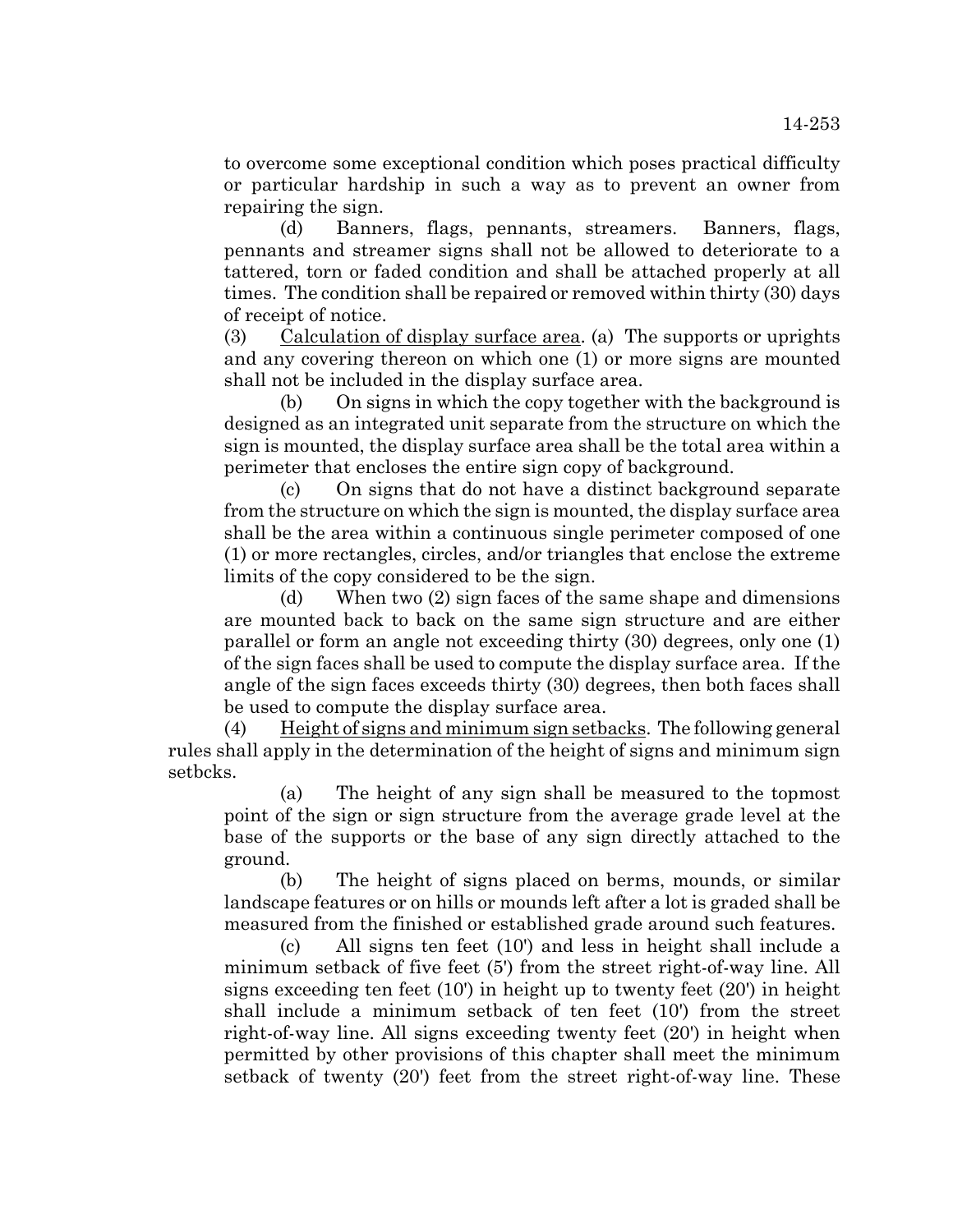to overcome some exceptional condition which poses practical difficulty or particular hardship in such a way as to prevent an owner from repairing the sign.

(d) Banners, flags, pennants, streamers. Banners, flags, pennants and streamer signs shall not be allowed to deteriorate to a tattered, torn or faded condition and shall be attached properly at all times. The condition shall be repaired or removed within thirty (30) days of receipt of notice.

(3) Calculation of display surface area. (a) The supports or uprights and any covering thereon on which one (1) or more signs are mounted shall not be included in the display surface area.

(b) On signs in which the copy together with the background is designed as an integrated unit separate from the structure on which the sign is mounted, the display surface area shall be the total area within a perimeter that encloses the entire sign copy of background.

(c) On signs that do not have a distinct background separate from the structure on which the sign is mounted, the display surface area shall be the area within a continuous single perimeter composed of one (1) or more rectangles, circles, and/or triangles that enclose the extreme limits of the copy considered to be the sign.

(d) When two (2) sign faces of the same shape and dimensions are mounted back to back on the same sign structure and are either parallel or form an angle not exceeding thirty (30) degrees, only one (1) of the sign faces shall be used to compute the display surface area. If the angle of the sign faces exceeds thirty (30) degrees, then both faces shall be used to compute the display surface area.

(4) Height of signs and minimum sign setbacks. The following general rules shall apply in the determination of the height of signs and minimum sign setbcks.

(a) The height of any sign shall be measured to the topmost point of the sign or sign structure from the average grade level at the base of the supports or the base of any sign directly attached to the ground.

(b) The height of signs placed on berms, mounds, or similar landscape features or on hills or mounds left after a lot is graded shall be measured from the finished or established grade around such features.

(c) All signs ten feet (10') and less in height shall include a minimum setback of five feet (5') from the street right-of-way line. All signs exceeding ten feet (10') in height up to twenty feet (20') in height shall include a minimum setback of ten feet (10') from the street right-of-way line. All signs exceeding twenty feet (20') in height when permitted by other provisions of this chapter shall meet the minimum setback of twenty (20') feet from the street right-of-way line. These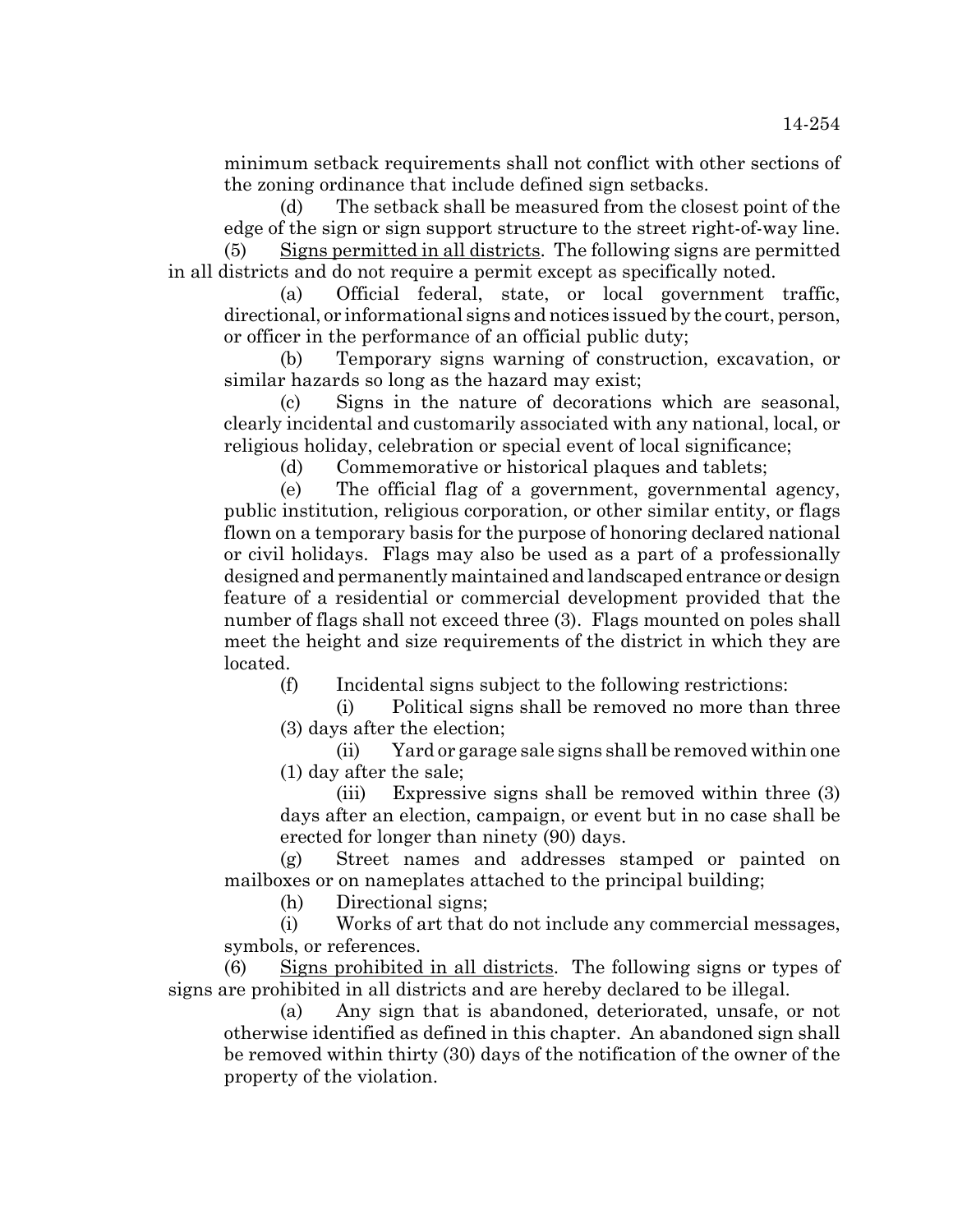minimum setback requirements shall not conflict with other sections of the zoning ordinance that include defined sign setbacks.

(d) The setback shall be measured from the closest point of the edge of the sign or sign support structure to the street right-of-way line. Signs permitted in all districts. The following signs are permitted in all districts and do not require a permit except as specifically noted.

(a) Official federal, state, or local government traffic, directional, or informational signs and notices issued by the court, person, or officer in the performance of an official public duty;

(b) Temporary signs warning of construction, excavation, or similar hazards so long as the hazard may exist;

(c) Signs in the nature of decorations which are seasonal, clearly incidental and customarily associated with any national, local, or religious holiday, celebration or special event of local significance;

(d) Commemorative or historical plaques and tablets;

(e) The official flag of a government, governmental agency, public institution, religious corporation, or other similar entity, or flags flown on a temporary basis for the purpose of honoring declared national or civil holidays. Flags may also be used as a part of a professionally designed and permanently maintained and landscaped entrance or design feature of a residential or commercial development provided that the number of flags shall not exceed three (3). Flags mounted on poles shall meet the height and size requirements of the district in which they are located.

(f) Incidental signs subject to the following restrictions:

(i) Political signs shall be removed no more than three (3) days after the election;

(ii) Yard or garage sale signs shall be removed within one (1) day after the sale;

(iii) Expressive signs shall be removed within three (3) days after an election, campaign, or event but in no case shall be erected for longer than ninety (90) days.

(g) Street names and addresses stamped or painted on mailboxes or on nameplates attached to the principal building;

(h) Directional signs;

(i) Works of art that do not include any commercial messages, symbols, or references.

(6) Signs prohibited in all districts. The following signs or types of signs are prohibited in all districts and are hereby declared to be illegal.

(a) Any sign that is abandoned, deteriorated, unsafe, or not otherwise identified as defined in this chapter. An abandoned sign shall be removed within thirty (30) days of the notification of the owner of the property of the violation.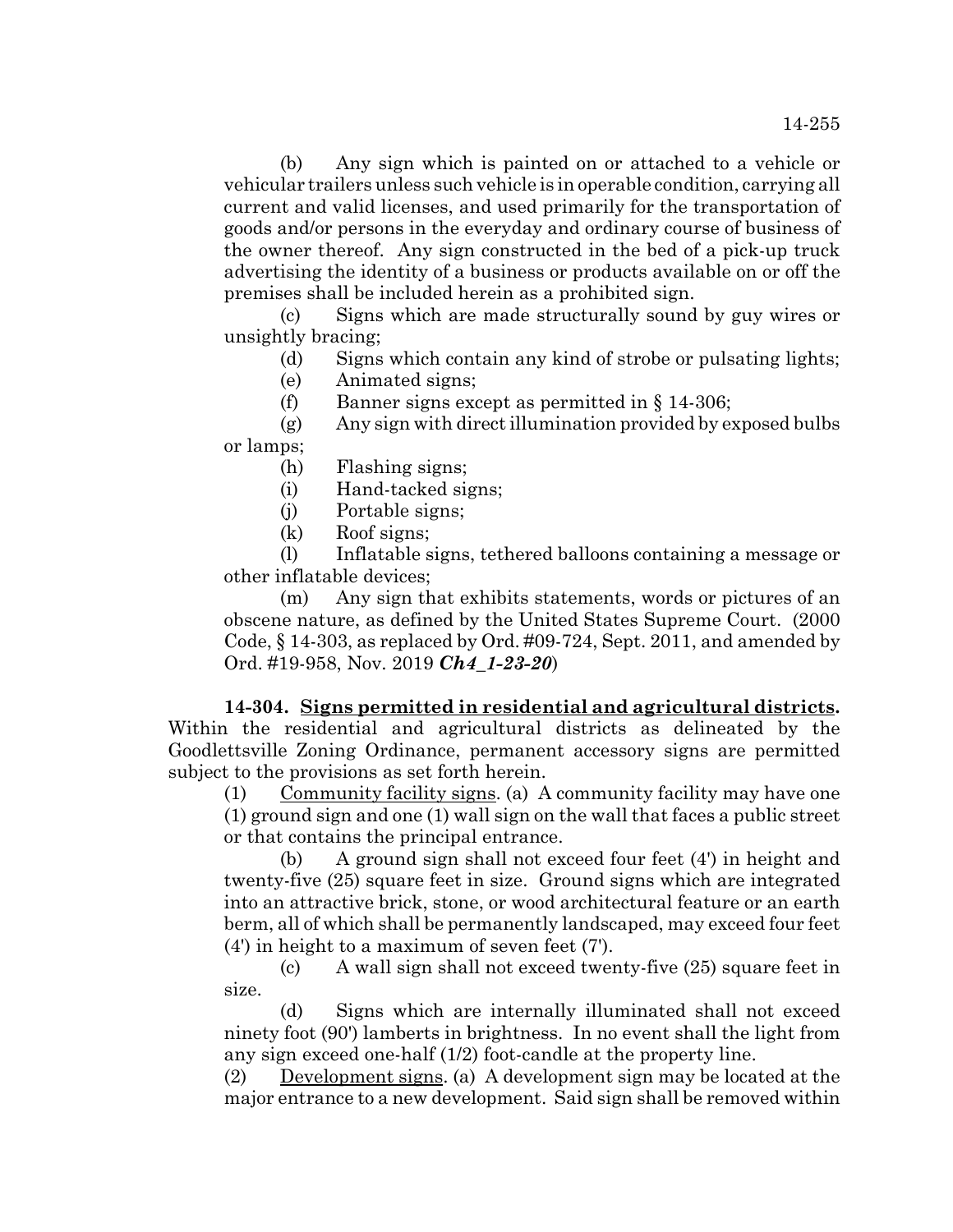(b) Any sign which is painted on or attached to a vehicle or vehicular trailers unless such vehicle is in operable condition, carrying all current and valid licenses, and used primarily for the transportation of goods and/or persons in the everyday and ordinary course of business of the owner thereof. Any sign constructed in the bed of a pick-up truck advertising the identity of a business or products available on or off the premises shall be included herein as a prohibited sign.

(c) Signs which are made structurally sound by guy wires or unsightly bracing;

(d) Signs which contain any kind of strobe or pulsating lights;

(e) Animated signs;

(f) Banner signs except as permitted in § 14-306;

(g) Any sign with direct illumination provided by exposed bulbs or lamps;

(h) Flashing signs;

(i) Hand-tacked signs;

- (j) Portable signs;
- (k) Roof signs;

(l) Inflatable signs, tethered balloons containing a message or other inflatable devices;

(m) Any sign that exhibits statements, words or pictures of an obscene nature, as defined by the United States Supreme Court. (2000 Code, § 14-303, as replaced by Ord. #09-724, Sept. 2011, and amended by Ord. #19-958, Nov. 2019 *Ch4\_1-23-20*)

**14-304. Signs permitted in residential and agricultural districts.** Within the residential and agricultural districts as delineated by the Goodlettsville Zoning Ordinance, permanent accessory signs are permitted subject to the provisions as set forth herein.

 $(1)$  Community facility signs. (a) A community facility may have one

(1) ground sign and one (1) wall sign on the wall that faces a public street or that contains the principal entrance.

(b) A ground sign shall not exceed four feet (4') in height and twenty-five (25) square feet in size. Ground signs which are integrated into an attractive brick, stone, or wood architectural feature or an earth berm, all of which shall be permanently landscaped, may exceed four feet (4') in height to a maximum of seven feet (7').

(c) A wall sign shall not exceed twenty-five (25) square feet in size.

(d) Signs which are internally illuminated shall not exceed ninety foot (90') lamberts in brightness. In no event shall the light from any sign exceed one-half (1/2) foot-candle at the property line.

(2) Development signs. (a) A development sign may be located at the major entrance to a new development. Said sign shall be removed within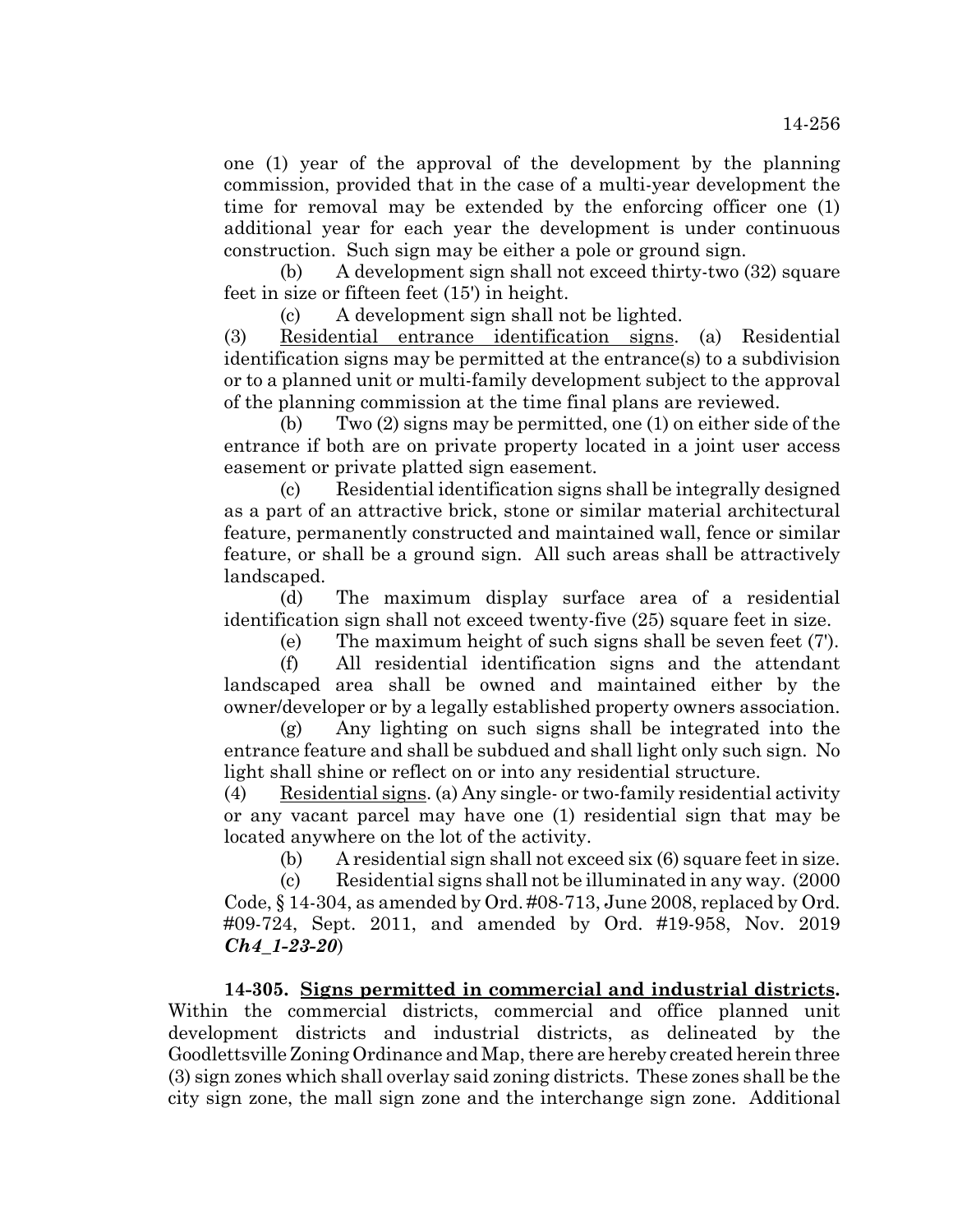one (1) year of the approval of the development by the planning commission, provided that in the case of a multi-year development the time for removal may be extended by the enforcing officer one (1) additional year for each year the development is under continuous construction. Such sign may be either a pole or ground sign.

(b) A development sign shall not exceed thirty-two (32) square feet in size or fifteen feet (15') in height.

(c) A development sign shall not be lighted.

(3) Residential entrance identification signs. (a) Residential identification signs may be permitted at the entrance(s) to a subdivision or to a planned unit or multi-family development subject to the approval of the planning commission at the time final plans are reviewed.

(b) Two (2) signs may be permitted, one (1) on either side of the entrance if both are on private property located in a joint user access easement or private platted sign easement.

(c) Residential identification signs shall be integrally designed as a part of an attractive brick, stone or similar material architectural feature, permanently constructed and maintained wall, fence or similar feature, or shall be a ground sign. All such areas shall be attractively landscaped.

(d) The maximum display surface area of a residential identification sign shall not exceed twenty-five (25) square feet in size.

(e) The maximum height of such signs shall be seven feet (7').

(f) All residential identification signs and the attendant landscaped area shall be owned and maintained either by the owner/developer or by a legally established property owners association.

(g) Any lighting on such signs shall be integrated into the entrance feature and shall be subdued and shall light only such sign. No light shall shine or reflect on or into any residential structure.

(4) Residential signs. (a) Any single- or two-family residential activity or any vacant parcel may have one (1) residential sign that may be located anywhere on the lot of the activity.

(b) A residential sign shall not exceed six (6) square feet in size.

(c) Residential signs shall not be illuminated in any way. (2000 Code, § 14-304, as amended by Ord. #08-713, June 2008, replaced by Ord. #09-724, Sept. 2011, and amended by Ord. #19-958, Nov. 2019 *Ch4\_1-23-20*)

**14-305. Signs permitted in commercial and industrial districts.** Within the commercial districts, commercial and office planned unit development districts and industrial districts, as delineated by the Goodlettsville Zoning Ordinance and Map, there are hereby created herein three (3) sign zones which shall overlay said zoning districts. These zones shall be the city sign zone, the mall sign zone and the interchange sign zone. Additional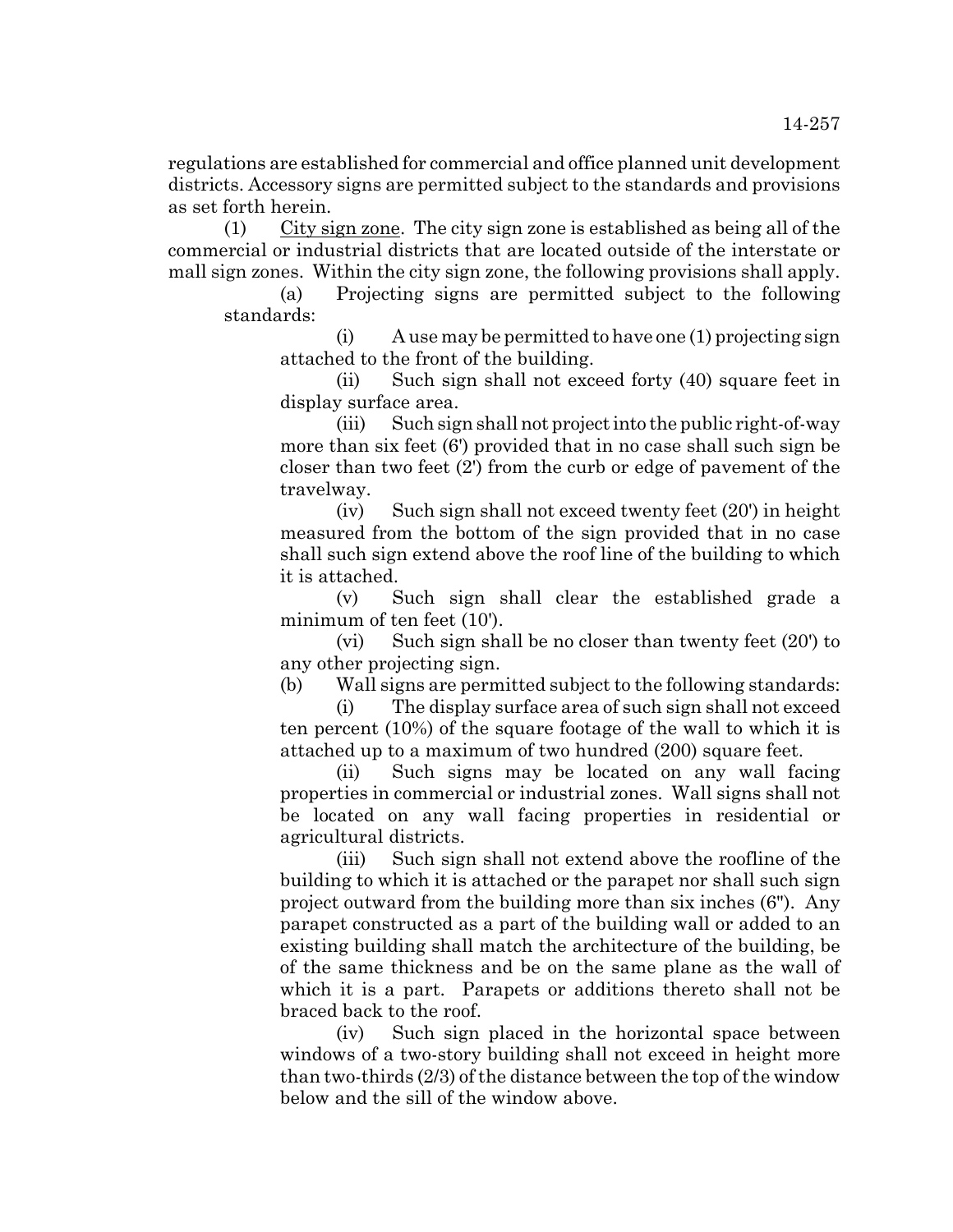regulations are established for commercial and office planned unit development districts. Accessory signs are permitted subject to the standards and provisions as set forth herein.

(1) City sign zone. The city sign zone is established as being all of the commercial or industrial districts that are located outside of the interstate or mall sign zones. Within the city sign zone, the following provisions shall apply.

(a) Projecting signs are permitted subject to the following standards:

(i) A use may be permitted to have one (1) projecting sign attached to the front of the building.

(ii) Such sign shall not exceed forty (40) square feet in display surface area.

(iii) Such sign shall not project into the public right-of-way more than six feet (6') provided that in no case shall such sign be closer than two feet (2') from the curb or edge of pavement of the travelway.

(iv) Such sign shall not exceed twenty feet (20') in height measured from the bottom of the sign provided that in no case shall such sign extend above the roof line of the building to which it is attached.

(v) Such sign shall clear the established grade a minimum of ten feet  $(10')$ .

(vi) Such sign shall be no closer than twenty feet (20') to any other projecting sign.

(b) Wall signs are permitted subject to the following standards:

(i) The display surface area of such sign shall not exceed ten percent (10%) of the square footage of the wall to which it is attached up to a maximum of two hundred (200) square feet.

(ii) Such signs may be located on any wall facing properties in commercial or industrial zones. Wall signs shall not be located on any wall facing properties in residential or agricultural districts.

(iii) Such sign shall not extend above the roofline of the building to which it is attached or the parapet nor shall such sign project outward from the building more than six inches (6"). Any parapet constructed as a part of the building wall or added to an existing building shall match the architecture of the building, be of the same thickness and be on the same plane as the wall of which it is a part. Parapets or additions thereto shall not be braced back to the roof.

(iv) Such sign placed in the horizontal space between windows of a two-story building shall not exceed in height more than two-thirds (2/3) of the distance between the top of the window below and the sill of the window above.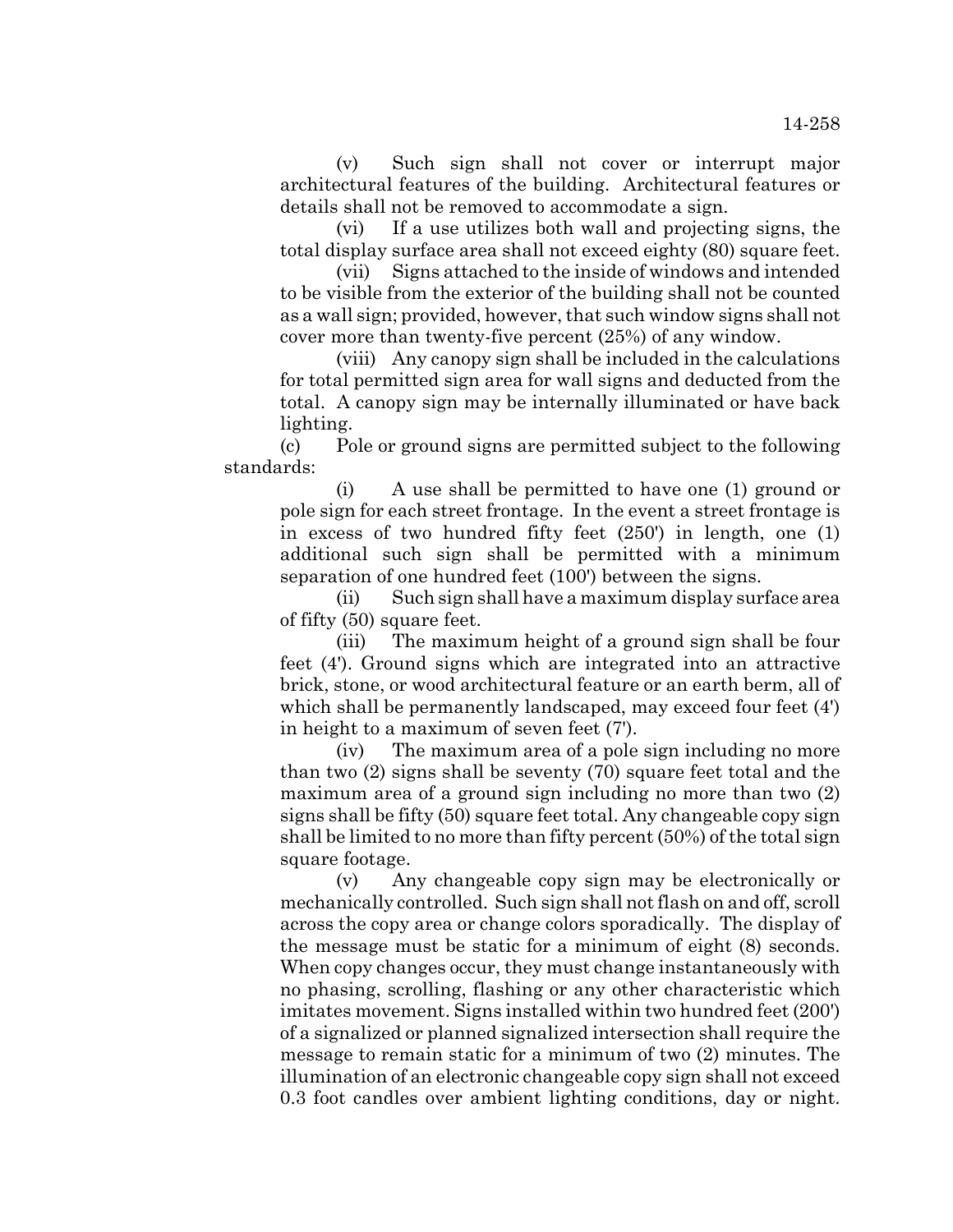(v) Such sign shall not cover or interrupt major architectural features of the building. Architectural features or details shall not be removed to accommodate a sign.

(vi) If a use utilizes both wall and projecting signs, the total display surface area shall not exceed eighty (80) square feet.

(vii) Signs attached to the inside of windows and intended to be visible from the exterior of the building shall not be counted as a wall sign; provided, however, that such window signs shall not cover more than twenty-five percent (25%) of any window.

(viii) Any canopy sign shall be included in the calculations for total permitted sign area for wall signs and deducted from the total. A canopy sign may be internally illuminated or have back lighting.

(c) Pole or ground signs are permitted subject to the following standards:

(i) A use shall be permitted to have one (1) ground or pole sign for each street frontage. In the event a street frontage is in excess of two hundred fifty feet (250') in length, one (1) additional such sign shall be permitted with a minimum separation of one hundred feet (100') between the signs.

(ii) Such sign shall have a maximum display surface area of fifty (50) square feet.

(iii) The maximum height of a ground sign shall be four feet (4'). Ground signs which are integrated into an attractive brick, stone, or wood architectural feature or an earth berm, all of which shall be permanently landscaped, may exceed four feet (4') in height to a maximum of seven feet (7').

(iv) The maximum area of a pole sign including no more than two (2) signs shall be seventy (70) square feet total and the maximum area of a ground sign including no more than two (2) signs shall be fifty (50) square feet total. Any changeable copy sign shall be limited to no more than fifty percent (50%) of the total sign square footage.

(v) Any changeable copy sign may be electronically or mechanically controlled. Such sign shall not flash on and off, scroll across the copy area or change colors sporadically. The display of the message must be static for a minimum of eight (8) seconds. When copy changes occur, they must change instantaneously with no phasing, scrolling, flashing or any other characteristic which imitates movement. Signs installed within two hundred feet (200') of a signalized or planned signalized intersection shall require the message to remain static for a minimum of two (2) minutes. The illumination of an electronic changeable copy sign shall not exceed 0.3 foot candles over ambient lighting conditions, day or night.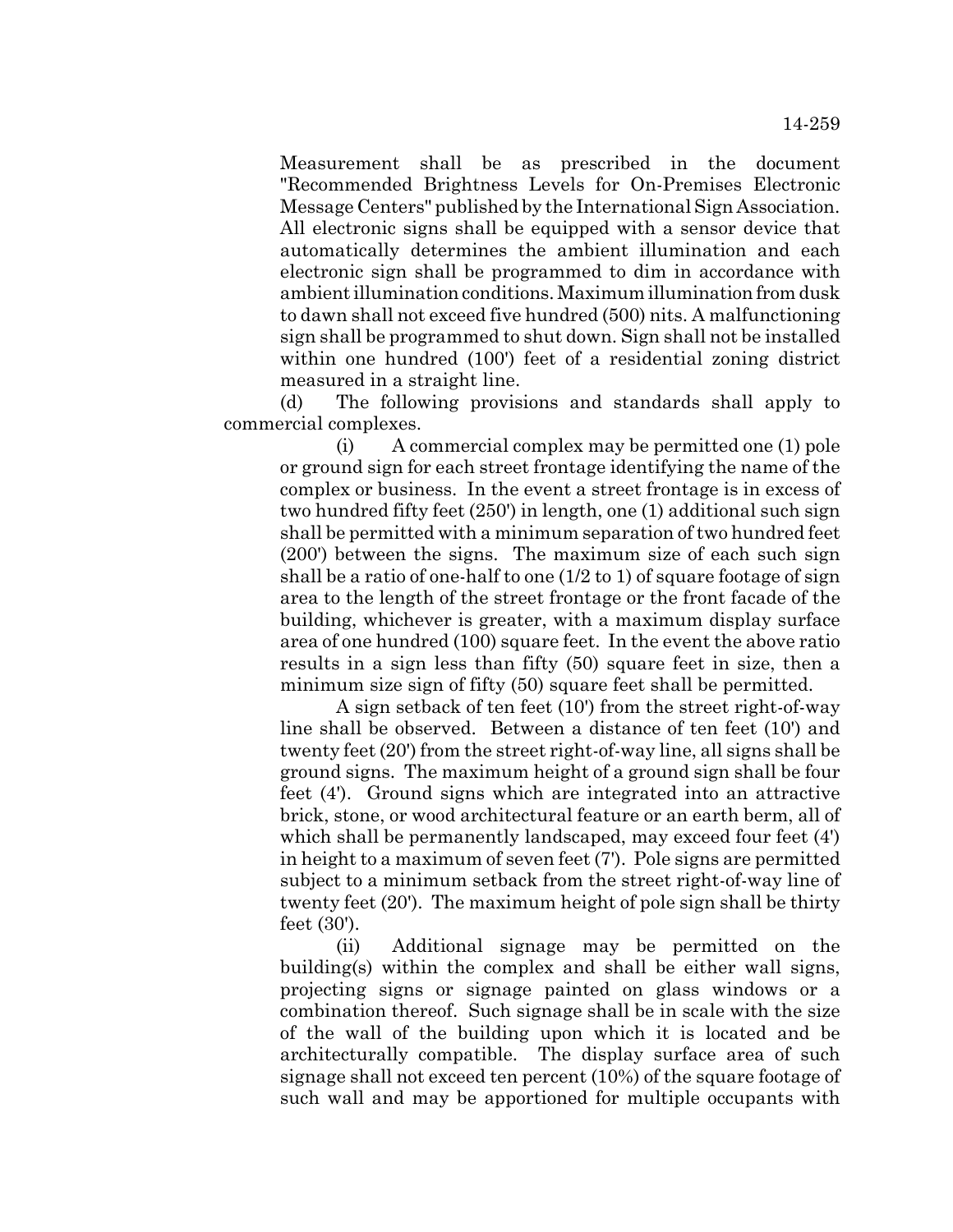Measurement shall be as prescribed in the document "Recommended Brightness Levels for On-Premises Electronic Message Centers" published by the International Sign Association. All electronic signs shall be equipped with a sensor device that automatically determines the ambient illumination and each electronic sign shall be programmed to dim in accordance with ambient illumination conditions. Maximum illumination from dusk to dawn shall not exceed five hundred (500) nits. A malfunctioning sign shall be programmed to shut down. Sign shall not be installed within one hundred (100') feet of a residential zoning district measured in a straight line.

(d) The following provisions and standards shall apply to commercial complexes.

(i) A commercial complex may be permitted one (1) pole or ground sign for each street frontage identifying the name of the complex or business. In the event a street frontage is in excess of two hundred fifty feet (250') in length, one (1) additional such sign shall be permitted with a minimum separation of two hundred feet (200') between the signs. The maximum size of each such sign shall be a ratio of one-half to one (1/2 to 1) of square footage of sign area to the length of the street frontage or the front facade of the building, whichever is greater, with a maximum display surface area of one hundred (100) square feet. In the event the above ratio results in a sign less than fifty (50) square feet in size, then a minimum size sign of fifty (50) square feet shall be permitted.

A sign setback of ten feet (10') from the street right-of-way line shall be observed. Between a distance of ten feet (10') and twenty feet (20') from the street right-of-way line, all signs shall be ground signs. The maximum height of a ground sign shall be four feet (4'). Ground signs which are integrated into an attractive brick, stone, or wood architectural feature or an earth berm, all of which shall be permanently landscaped, may exceed four feet (4') in height to a maximum of seven feet (7'). Pole signs are permitted subject to a minimum setback from the street right-of-way line of twenty feet (20'). The maximum height of pole sign shall be thirty feet (30').

(ii) Additional signage may be permitted on the building(s) within the complex and shall be either wall signs, projecting signs or signage painted on glass windows or a combination thereof. Such signage shall be in scale with the size of the wall of the building upon which it is located and be architecturally compatible. The display surface area of such signage shall not exceed ten percent (10%) of the square footage of such wall and may be apportioned for multiple occupants with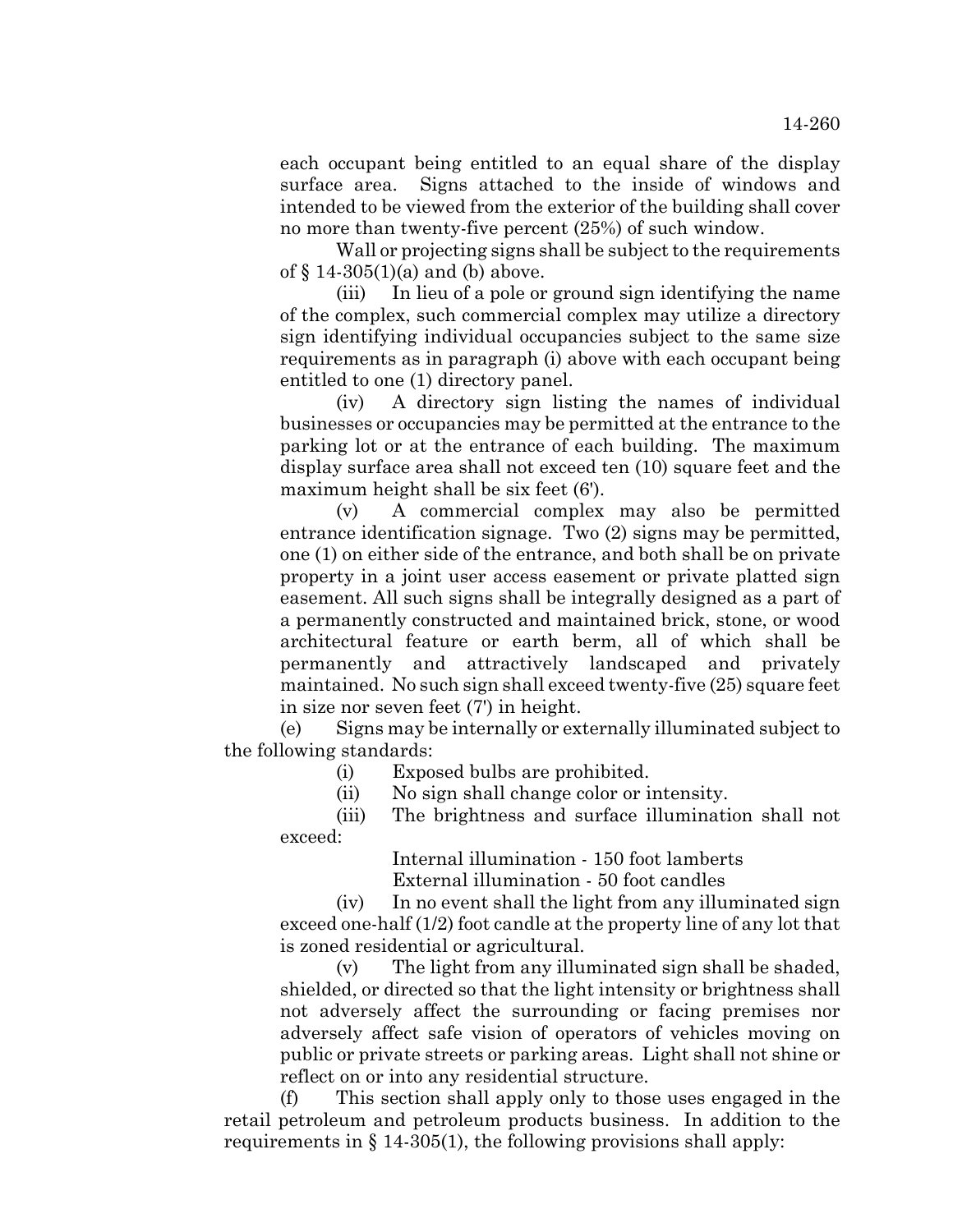each occupant being entitled to an equal share of the display surface area. Signs attached to the inside of windows and intended to be viewed from the exterior of the building shall cover no more than twenty-five percent (25%) of such window.

Wall or projecting signs shall be subject to the requirements of  $\S 14-305(1)(a)$  and (b) above.

(iii) In lieu of a pole or ground sign identifying the name of the complex, such commercial complex may utilize a directory sign identifying individual occupancies subject to the same size requirements as in paragraph (i) above with each occupant being entitled to one (1) directory panel.

(iv) A directory sign listing the names of individual businesses or occupancies may be permitted at the entrance to the parking lot or at the entrance of each building. The maximum display surface area shall not exceed ten (10) square feet and the maximum height shall be six feet (6').

(v) A commercial complex may also be permitted entrance identification signage. Two (2) signs may be permitted, one (1) on either side of the entrance, and both shall be on private property in a joint user access easement or private platted sign easement. All such signs shall be integrally designed as a part of a permanently constructed and maintained brick, stone, or wood architectural feature or earth berm, all of which shall be permanently and attractively landscaped and privately maintained. No such sign shall exceed twenty-five (25) square feet in size nor seven feet (7') in height.

(e) Signs may be internally or externally illuminated subject to the following standards:

(i) Exposed bulbs are prohibited.

(ii) No sign shall change color or intensity.

(iii) The brightness and surface illumination shall not exceed:

> Internal illumination - 150 foot lamberts External illumination - 50 foot candles

(iv) In no event shall the light from any illuminated sign exceed one-half (1/2) foot candle at the property line of any lot that is zoned residential or agricultural.

(v) The light from any illuminated sign shall be shaded, shielded, or directed so that the light intensity or brightness shall not adversely affect the surrounding or facing premises nor adversely affect safe vision of operators of vehicles moving on public or private streets or parking areas. Light shall not shine or reflect on or into any residential structure.

(f) This section shall apply only to those uses engaged in the retail petroleum and petroleum products business. In addition to the requirements in § 14-305(1), the following provisions shall apply: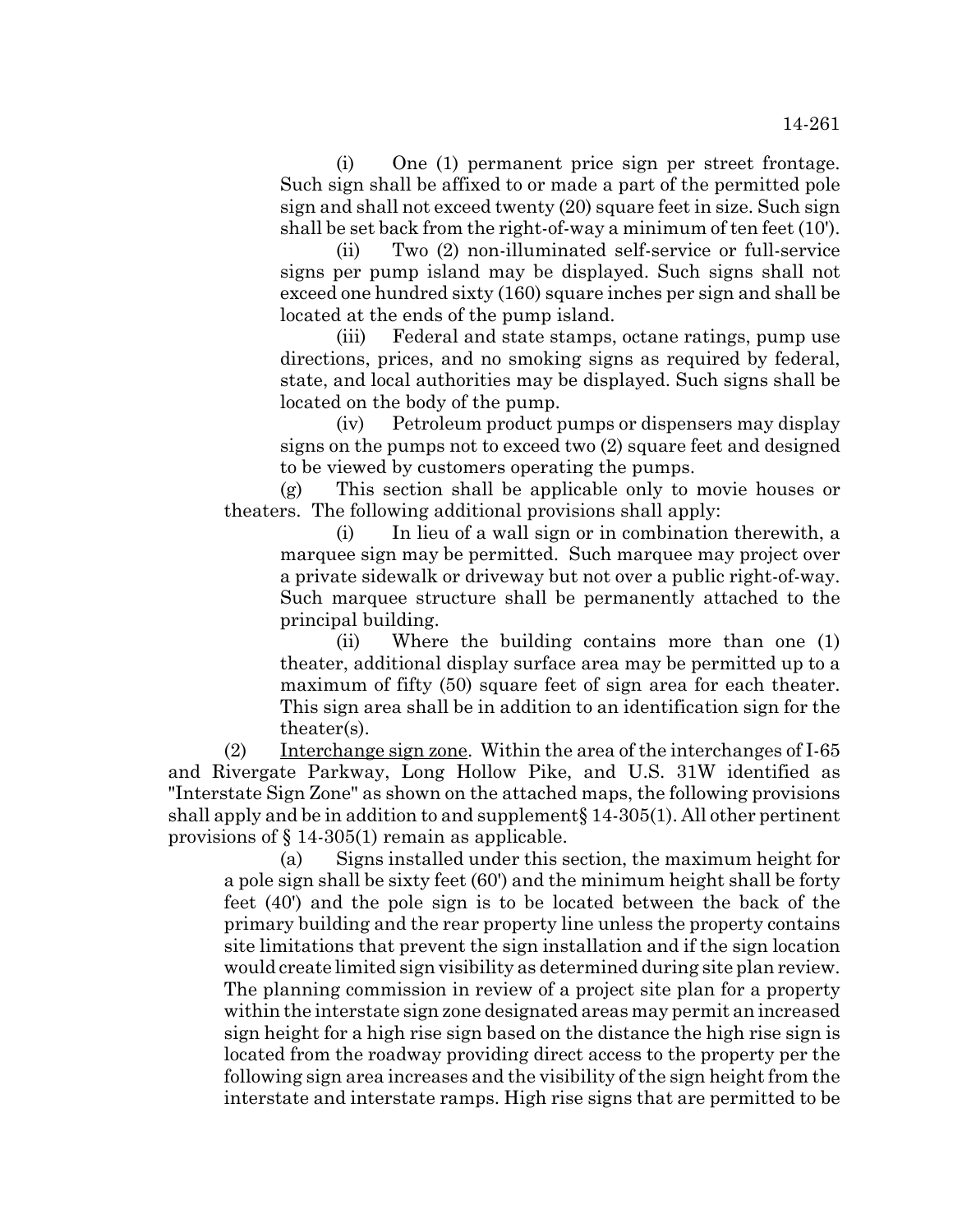(i) One (1) permanent price sign per street frontage. Such sign shall be affixed to or made a part of the permitted pole sign and shall not exceed twenty (20) square feet in size. Such sign shall be set back from the right-of-way a minimum of ten feet (10').

(ii) Two (2) non-illuminated self-service or full-service signs per pump island may be displayed. Such signs shall not exceed one hundred sixty (160) square inches per sign and shall be located at the ends of the pump island.

(iii) Federal and state stamps, octane ratings, pump use directions, prices, and no smoking signs as required by federal, state, and local authorities may be displayed. Such signs shall be located on the body of the pump.

(iv) Petroleum product pumps or dispensers may display signs on the pumps not to exceed two (2) square feet and designed to be viewed by customers operating the pumps.

(g) This section shall be applicable only to movie houses or theaters. The following additional provisions shall apply:

(i) In lieu of a wall sign or in combination therewith, a marquee sign may be permitted. Such marquee may project over a private sidewalk or driveway but not over a public right-of-way. Such marquee structure shall be permanently attached to the principal building.

(ii) Where the building contains more than one (1) theater, additional display surface area may be permitted up to a maximum of fifty (50) square feet of sign area for each theater. This sign area shall be in addition to an identification sign for the theater(s).

(2) Interchange sign zone. Within the area of the interchanges of I-65 and Rivergate Parkway, Long Hollow Pike, and U.S. 31W identified as "Interstate Sign Zone" as shown on the attached maps, the following provisions shall apply and be in addition to and supplement§ 14-305(1). All other pertinent provisions of § 14-305(1) remain as applicable.

(a) Signs installed under this section, the maximum height for a pole sign shall be sixty feet (60') and the minimum height shall be forty feet (40') and the pole sign is to be located between the back of the primary building and the rear property line unless the property contains site limitations that prevent the sign installation and if the sign location would create limited sign visibility as determined during site plan review. The planning commission in review of a project site plan for a property within the interstate sign zone designated areas may permit an increased sign height for a high rise sign based on the distance the high rise sign is located from the roadway providing direct access to the property per the following sign area increases and the visibility of the sign height from the interstate and interstate ramps. High rise signs that are permitted to be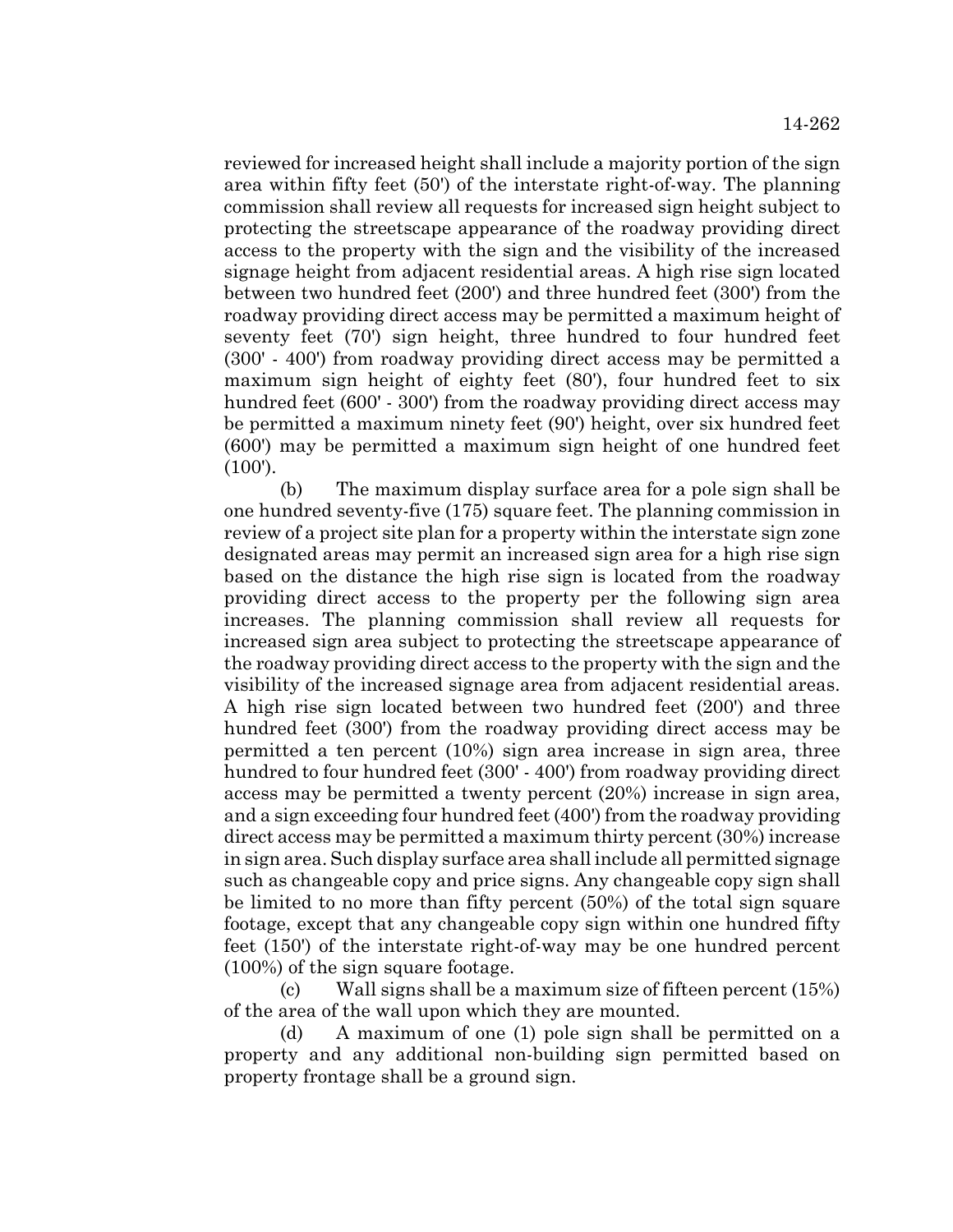reviewed for increased height shall include a majority portion of the sign area within fifty feet (50') of the interstate right-of-way. The planning commission shall review all requests for increased sign height subject to protecting the streetscape appearance of the roadway providing direct access to the property with the sign and the visibility of the increased signage height from adjacent residential areas. A high rise sign located between two hundred feet (200') and three hundred feet (300') from the roadway providing direct access may be permitted a maximum height of seventy feet (70') sign height, three hundred to four hundred feet (300' - 400') from roadway providing direct access may be permitted a maximum sign height of eighty feet (80'), four hundred feet to six hundred feet (600' - 300') from the roadway providing direct access may be permitted a maximum ninety feet (90') height, over six hundred feet (600') may be permitted a maximum sign height of one hundred feet (100').

(b) The maximum display surface area for a pole sign shall be one hundred seventy-five (175) square feet. The planning commission in review of a project site plan for a property within the interstate sign zone designated areas may permit an increased sign area for a high rise sign based on the distance the high rise sign is located from the roadway providing direct access to the property per the following sign area increases. The planning commission shall review all requests for increased sign area subject to protecting the streetscape appearance of the roadway providing direct access to the property with the sign and the visibility of the increased signage area from adjacent residential areas. A high rise sign located between two hundred feet (200') and three hundred feet (300') from the roadway providing direct access may be permitted a ten percent (10%) sign area increase in sign area, three hundred to four hundred feet (300' - 400') from roadway providing direct access may be permitted a twenty percent (20%) increase in sign area, and a sign exceeding four hundred feet (400') from the roadway providing direct access may be permitted a maximum thirty percent (30%) increase in sign area. Such display surface area shall include all permitted signage such as changeable copy and price signs. Any changeable copy sign shall be limited to no more than fifty percent (50%) of the total sign square footage, except that any changeable copy sign within one hundred fifty feet (150') of the interstate right-of-way may be one hundred percent (100%) of the sign square footage.

(c) Wall signs shall be a maximum size of fifteen percent (15%) of the area of the wall upon which they are mounted.

(d) A maximum of one (1) pole sign shall be permitted on a property and any additional non-building sign permitted based on property frontage shall be a ground sign.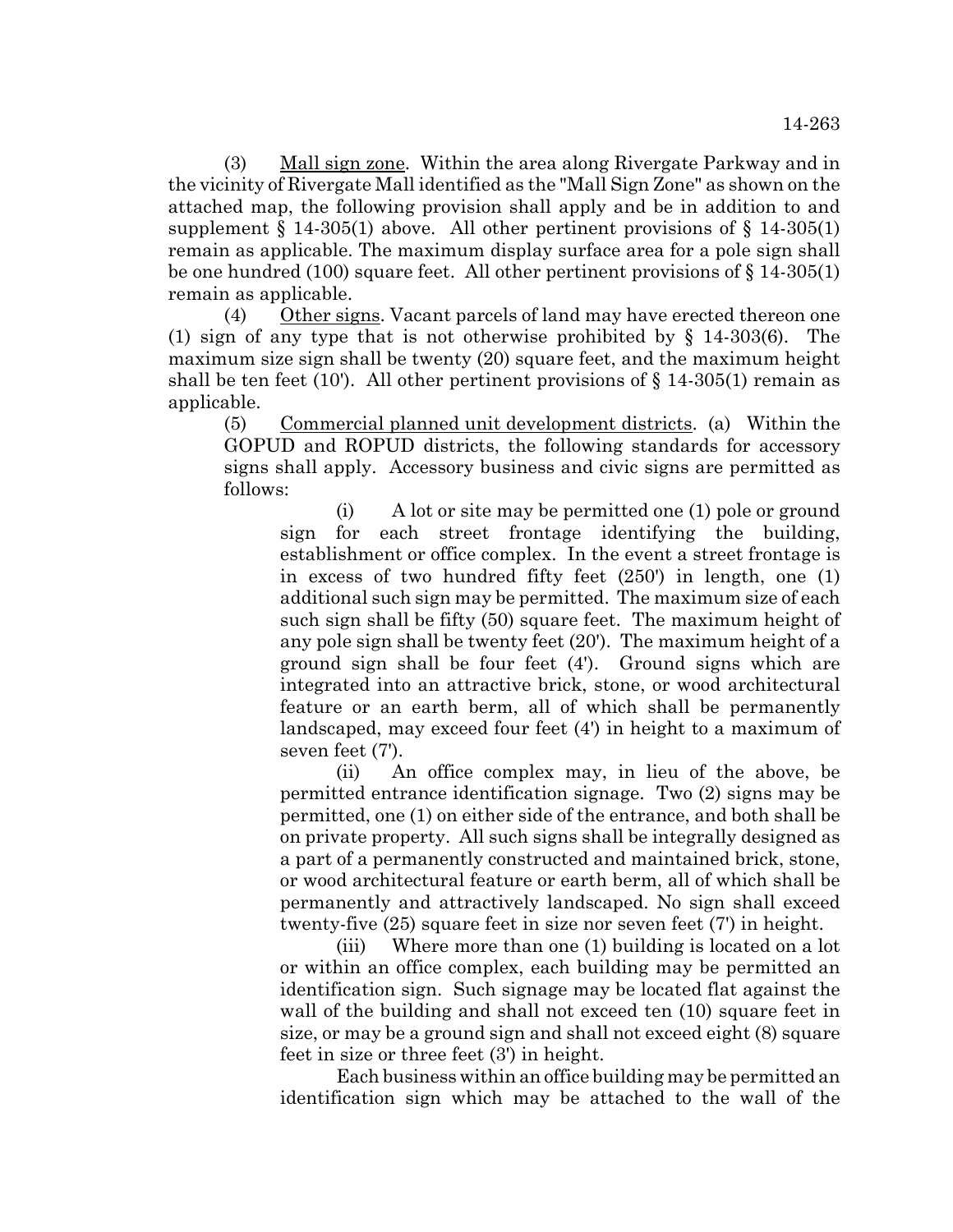(3) Mall sign zone. Within the area along Rivergate Parkway and in the vicinity of Rivergate Mall identified as the "Mall Sign Zone" as shown on the attached map, the following provision shall apply and be in addition to and supplement  $\S$  14-305(1) above. All other pertinent provisions of  $\S$  14-305(1) remain as applicable. The maximum display surface area for a pole sign shall be one hundred (100) square feet. All other pertinent provisions of § 14-305(1) remain as applicable.

 $(4)$  Other signs. Vacant parcels of land may have erected thereon one (1) sign of any type that is not otherwise prohibited by § 14-303(6). The maximum size sign shall be twenty (20) square feet, and the maximum height shall be ten feet (10'). All other pertinent provisions of  $\S 14-305(1)$  remain as applicable.

(5) Commercial planned unit development districts. (a) Within the GOPUD and ROPUD districts, the following standards for accessory signs shall apply. Accessory business and civic signs are permitted as follows:

(i) A lot or site may be permitted one (1) pole or ground sign for each street frontage identifying the building, establishment or office complex. In the event a street frontage is in excess of two hundred fifty feet (250') in length, one (1) additional such sign may be permitted. The maximum size of each such sign shall be fifty (50) square feet. The maximum height of any pole sign shall be twenty feet (20'). The maximum height of a ground sign shall be four feet (4'). Ground signs which are integrated into an attractive brick, stone, or wood architectural feature or an earth berm, all of which shall be permanently landscaped, may exceed four feet (4') in height to a maximum of seven feet (7').

(ii) An office complex may, in lieu of the above, be permitted entrance identification signage. Two (2) signs may be permitted, one (1) on either side of the entrance, and both shall be on private property. All such signs shall be integrally designed as a part of a permanently constructed and maintained brick, stone, or wood architectural feature or earth berm, all of which shall be permanently and attractively landscaped. No sign shall exceed twenty-five (25) square feet in size nor seven feet (7') in height.

(iii) Where more than one (1) building is located on a lot or within an office complex, each building may be permitted an identification sign. Such signage may be located flat against the wall of the building and shall not exceed ten  $(10)$  square feet in size, or may be a ground sign and shall not exceed eight (8) square feet in size or three feet (3') in height.

Each business within an office building may be permitted an identification sign which may be attached to the wall of the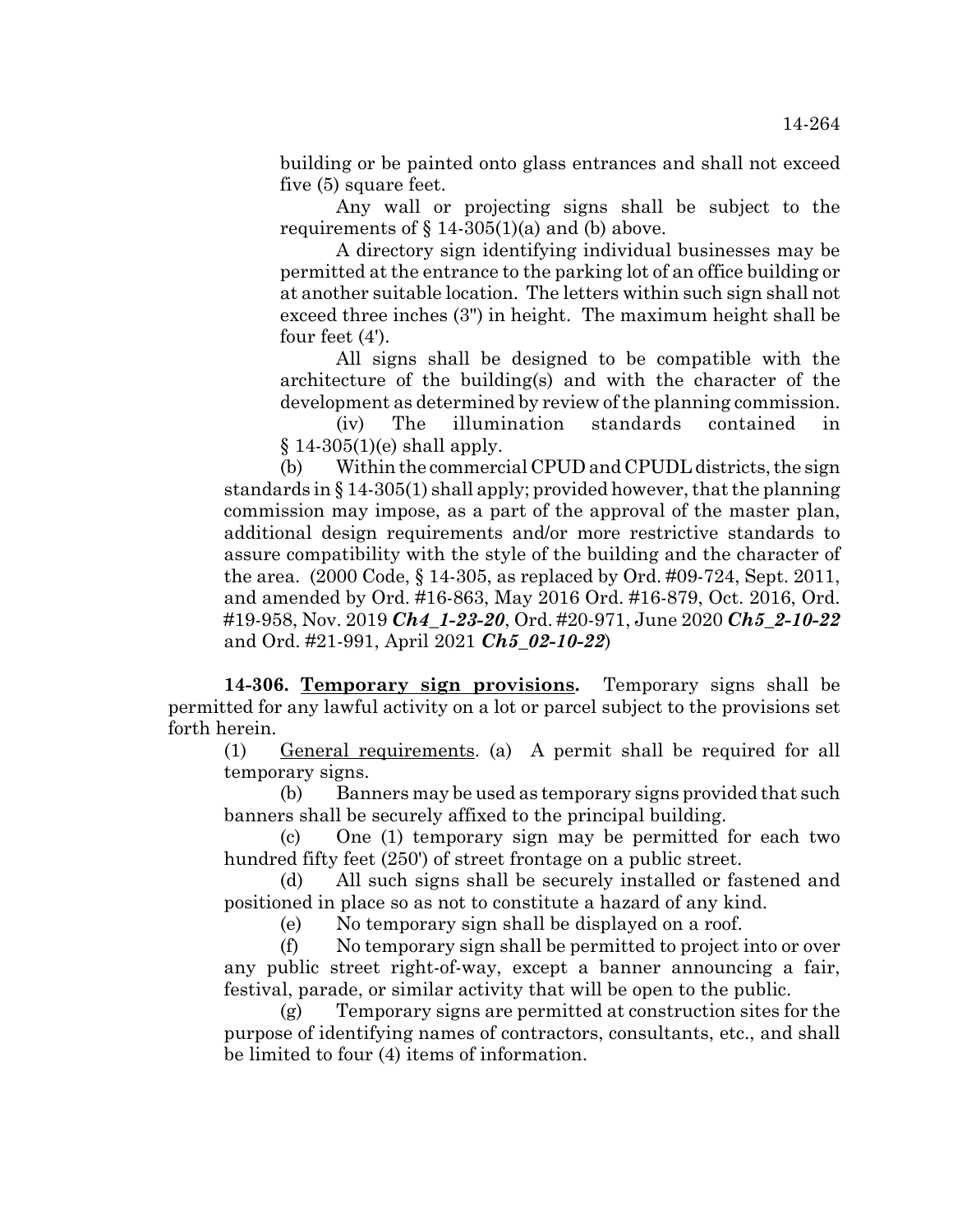building or be painted onto glass entrances and shall not exceed five (5) square feet.

Any wall or projecting signs shall be subject to the requirements of  $\S$  14-305(1)(a) and (b) above.

A directory sign identifying individual businesses may be permitted at the entrance to the parking lot of an office building or at another suitable location. The letters within such sign shall not exceed three inches (3") in height. The maximum height shall be four feet (4').

All signs shall be designed to be compatible with the architecture of the building(s) and with the character of the development as determined by review of the planning commission.

(iv) The illumination standards contained in  $$14-305(1)(e)$  shall apply.

(b) Within the commercial CPUD and CPUDL districts, the sign standards in § 14-305(1) shall apply; provided however, that the planning commission may impose, as a part of the approval of the master plan, additional design requirements and/or more restrictive standards to assure compatibility with the style of the building and the character of the area. (2000 Code, § 14-305, as replaced by Ord. #09-724, Sept. 2011, and amended by Ord. #16-863, May 2016 Ord. #16-879, Oct. 2016, Ord. #19-958, Nov. 2019 *Ch4\_1-23-20*, Ord. #20-971, June 2020 *Ch5\_2-10-22* and Ord. #21-991, April 2021 *Ch5\_02-10-22*)

**14-306. Temporary sign provisions.** Temporary signs shall be permitted for any lawful activity on a lot or parcel subject to the provisions set forth herein.

(1) General requirements. (a) A permit shall be required for all temporary signs.

(b) Banners may be used as temporary signs provided that such banners shall be securely affixed to the principal building.

(c) One (1) temporary sign may be permitted for each two hundred fifty feet (250') of street frontage on a public street.

(d) All such signs shall be securely installed or fastened and positioned in place so as not to constitute a hazard of any kind.

(e) No temporary sign shall be displayed on a roof.

(f) No temporary sign shall be permitted to project into or over any public street right-of-way, except a banner announcing a fair, festival, parade, or similar activity that will be open to the public.

(g) Temporary signs are permitted at construction sites for the purpose of identifying names of contractors, consultants, etc., and shall be limited to four (4) items of information.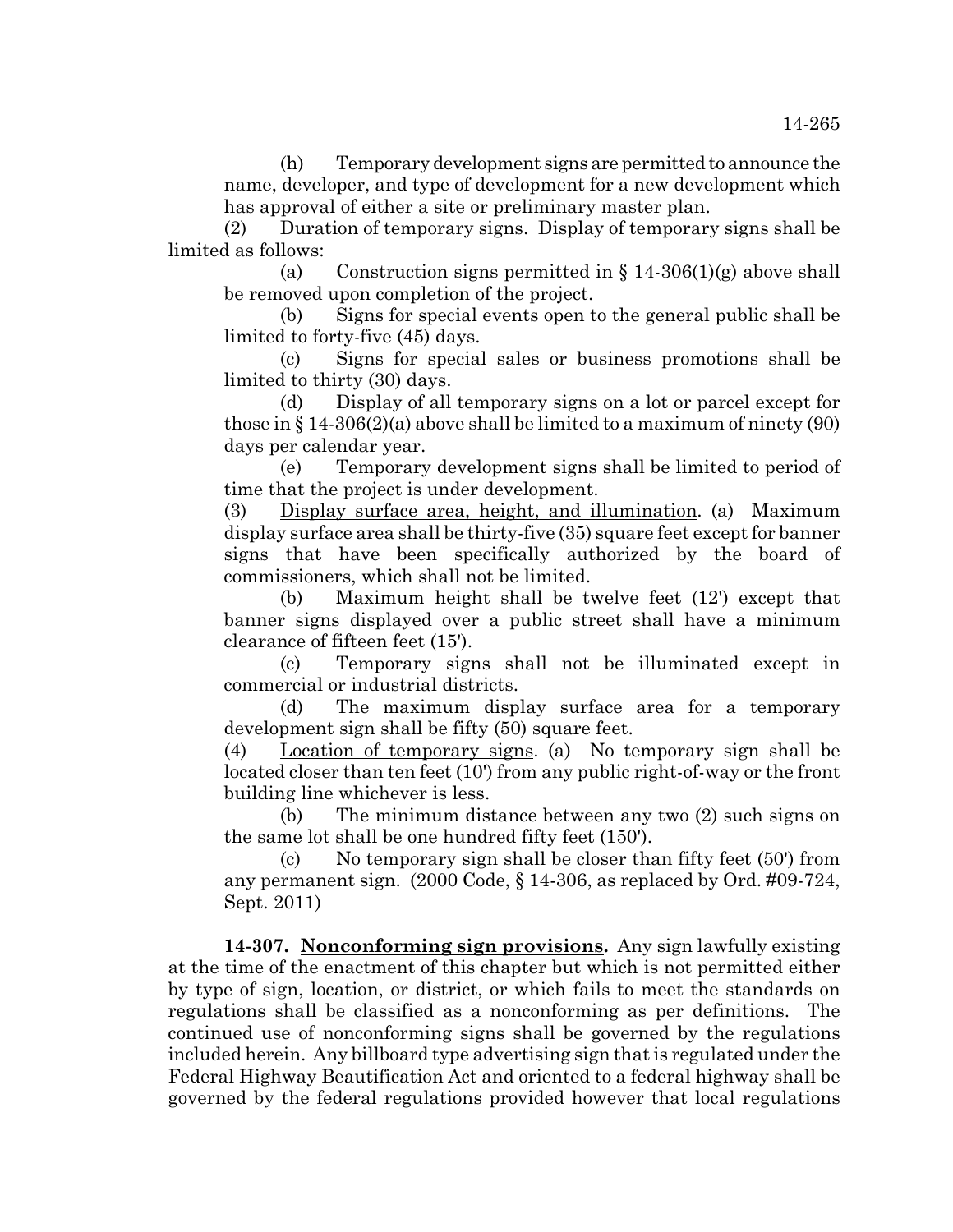(h) Temporary development signs are permitted to announce the name, developer, and type of development for a new development which has approval of either a site or preliminary master plan.

(2) Duration of temporary signs. Display of temporary signs shall be limited as follows:

(a) Construction signs permitted in  $\S$  14-306(1)(g) above shall be removed upon completion of the project.

Signs for special events open to the general public shall be limited to forty-five (45) days.

(c) Signs for special sales or business promotions shall be limited to thirty (30) days.

(d) Display of all temporary signs on a lot or parcel except for those in  $\S 14-306(2)(a)$  above shall be limited to a maximum of ninety (90) days per calendar year.

(e) Temporary development signs shall be limited to period of time that the project is under development.

(3) Display surface area, height, and illumination. (a) Maximum display surface area shall be thirty-five (35) square feet except for banner signs that have been specifically authorized by the board of commissioners, which shall not be limited.

(b) Maximum height shall be twelve feet (12') except that banner signs displayed over a public street shall have a minimum clearance of fifteen feet (15').

(c) Temporary signs shall not be illuminated except in commercial or industrial districts.

(d) The maximum display surface area for a temporary development sign shall be fifty (50) square feet.

(4) Location of temporary signs. (a) No temporary sign shall be located closer than ten feet (10') from any public right-of-way or the front building line whichever is less.

(b) The minimum distance between any two (2) such signs on the same lot shall be one hundred fifty feet (150').

(c) No temporary sign shall be closer than fifty feet (50') from any permanent sign. (2000 Code, § 14-306, as replaced by Ord. #09-724, Sept. 2011)

**14-307. Nonconforming sign provisions.** Any sign lawfully existing at the time of the enactment of this chapter but which is not permitted either by type of sign, location, or district, or which fails to meet the standards on regulations shall be classified as a nonconforming as per definitions. The continued use of nonconforming signs shall be governed by the regulations included herein. Any billboard type advertising sign that is regulated under the Federal Highway Beautification Act and oriented to a federal highway shall be governed by the federal regulations provided however that local regulations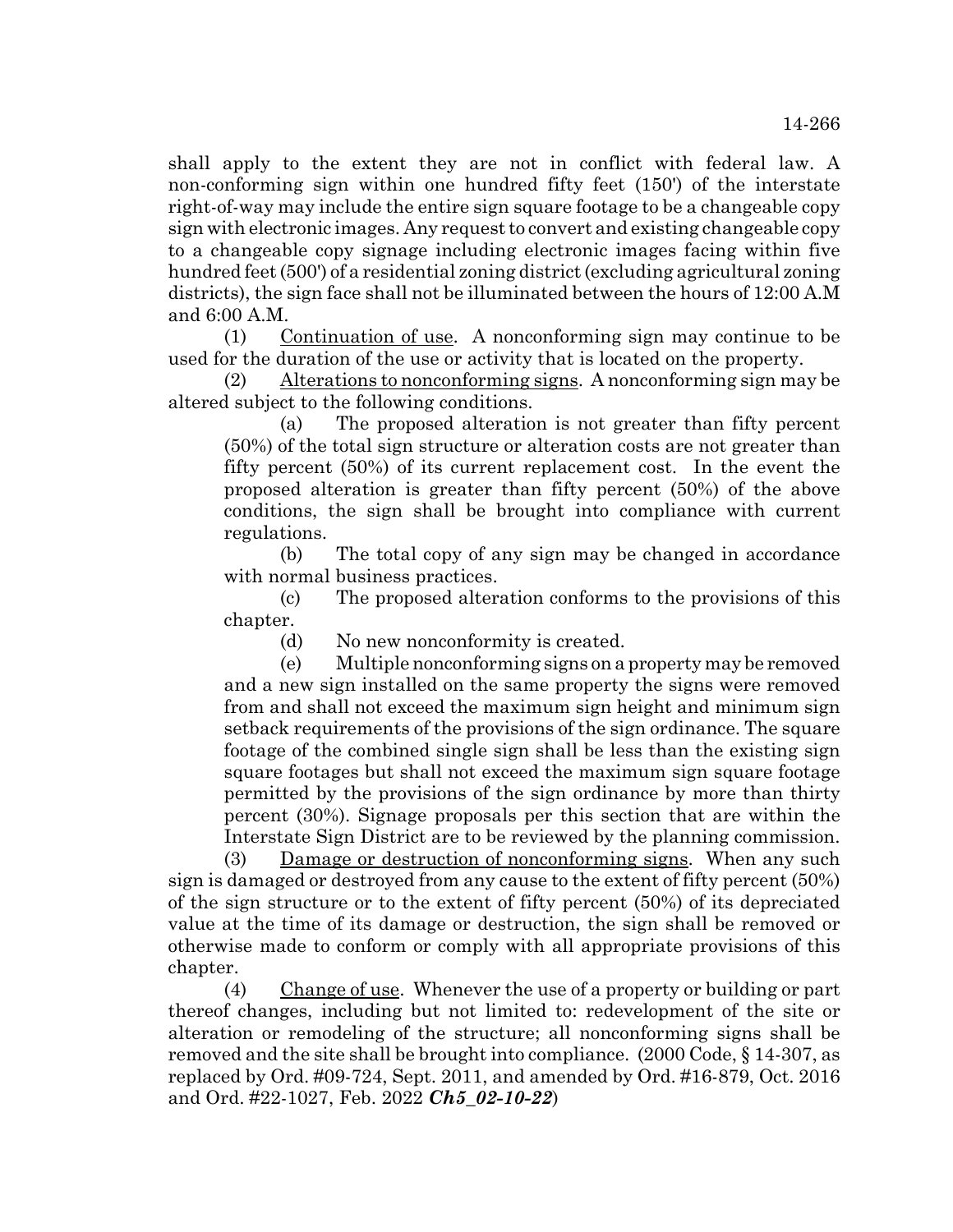shall apply to the extent they are not in conflict with federal law. A non-conforming sign within one hundred fifty feet (150') of the interstate right-of-way may include the entire sign square footage to be a changeable copy sign with electronic images. Any request to convert and existing changeable copy to a changeable copy signage including electronic images facing within five hundred feet (500') of a residential zoning district (excluding agricultural zoning districts), the sign face shall not be illuminated between the hours of 12:00 A.M and 6:00 A.M.

(1) Continuation of use. A nonconforming sign may continue to be used for the duration of the use or activity that is located on the property.

Alterations to nonconforming signs. A nonconforming sign may be altered subject to the following conditions.

(a) The proposed alteration is not greater than fifty percent (50%) of the total sign structure or alteration costs are not greater than fifty percent (50%) of its current replacement cost. In the event the proposed alteration is greater than fifty percent (50%) of the above conditions, the sign shall be brought into compliance with current regulations.

(b) The total copy of any sign may be changed in accordance with normal business practices.

(c) The proposed alteration conforms to the provisions of this chapter.

(d) No new nonconformity is created.

(e) Multiple nonconforming signs on a property may be removed and a new sign installed on the same property the signs were removed from and shall not exceed the maximum sign height and minimum sign setback requirements of the provisions of the sign ordinance. The square footage of the combined single sign shall be less than the existing sign square footages but shall not exceed the maximum sign square footage permitted by the provisions of the sign ordinance by more than thirty percent (30%). Signage proposals per this section that are within the Interstate Sign District are to be reviewed by the planning commission.

(3) Damage or destruction of nonconforming signs. When any such sign is damaged or destroyed from any cause to the extent of fifty percent (50%) of the sign structure or to the extent of fifty percent (50%) of its depreciated value at the time of its damage or destruction, the sign shall be removed or otherwise made to conform or comply with all appropriate provisions of this chapter.

(4) Change of use. Whenever the use of a property or building or part thereof changes, including but not limited to: redevelopment of the site or alteration or remodeling of the structure; all nonconforming signs shall be removed and the site shall be brought into compliance. (2000 Code, § 14-307, as replaced by Ord. #09-724, Sept. 2011, and amended by Ord. #16-879, Oct. 2016 and Ord. #22-1027, Feb. 2022 *Ch5\_02-10-22*)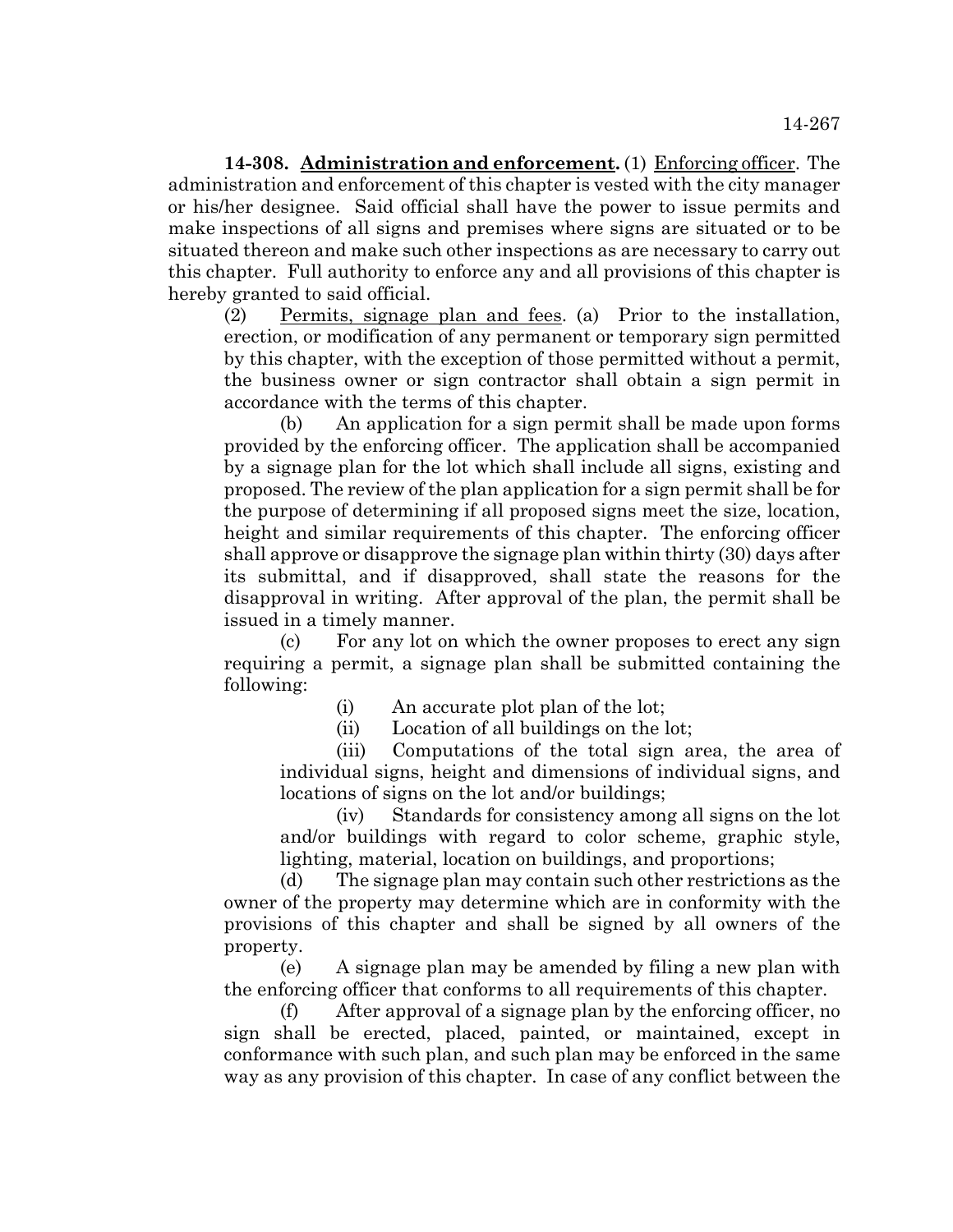**14-308. Administration and enforcement.** (1) Enforcing officer. The administration and enforcement of this chapter is vested with the city manager or his/her designee. Said official shall have the power to issue permits and make inspections of all signs and premises where signs are situated or to be situated thereon and make such other inspections as are necessary to carry out this chapter. Full authority to enforce any and all provisions of this chapter is hereby granted to said official.

(2) Permits, signage plan and fees. (a) Prior to the installation, erection, or modification of any permanent or temporary sign permitted by this chapter, with the exception of those permitted without a permit, the business owner or sign contractor shall obtain a sign permit in accordance with the terms of this chapter.

(b) An application for a sign permit shall be made upon forms provided by the enforcing officer. The application shall be accompanied by a signage plan for the lot which shall include all signs, existing and proposed. The review of the plan application for a sign permit shall be for the purpose of determining if all proposed signs meet the size, location, height and similar requirements of this chapter. The enforcing officer shall approve or disapprove the signage plan within thirty (30) days after its submittal, and if disapproved, shall state the reasons for the disapproval in writing. After approval of the plan, the permit shall be issued in a timely manner.

(c) For any lot on which the owner proposes to erect any sign requiring a permit, a signage plan shall be submitted containing the following:

(i) An accurate plot plan of the lot;

(ii) Location of all buildings on the lot;

(iii) Computations of the total sign area, the area of individual signs, height and dimensions of individual signs, and locations of signs on the lot and/or buildings;

(iv) Standards for consistency among all signs on the lot and/or buildings with regard to color scheme, graphic style, lighting, material, location on buildings, and proportions;

(d) The signage plan may contain such other restrictions as the owner of the property may determine which are in conformity with the provisions of this chapter and shall be signed by all owners of the property.

(e) A signage plan may be amended by filing a new plan with the enforcing officer that conforms to all requirements of this chapter.

(f) After approval of a signage plan by the enforcing officer, no sign shall be erected, placed, painted, or maintained, except in conformance with such plan, and such plan may be enforced in the same way as any provision of this chapter. In case of any conflict between the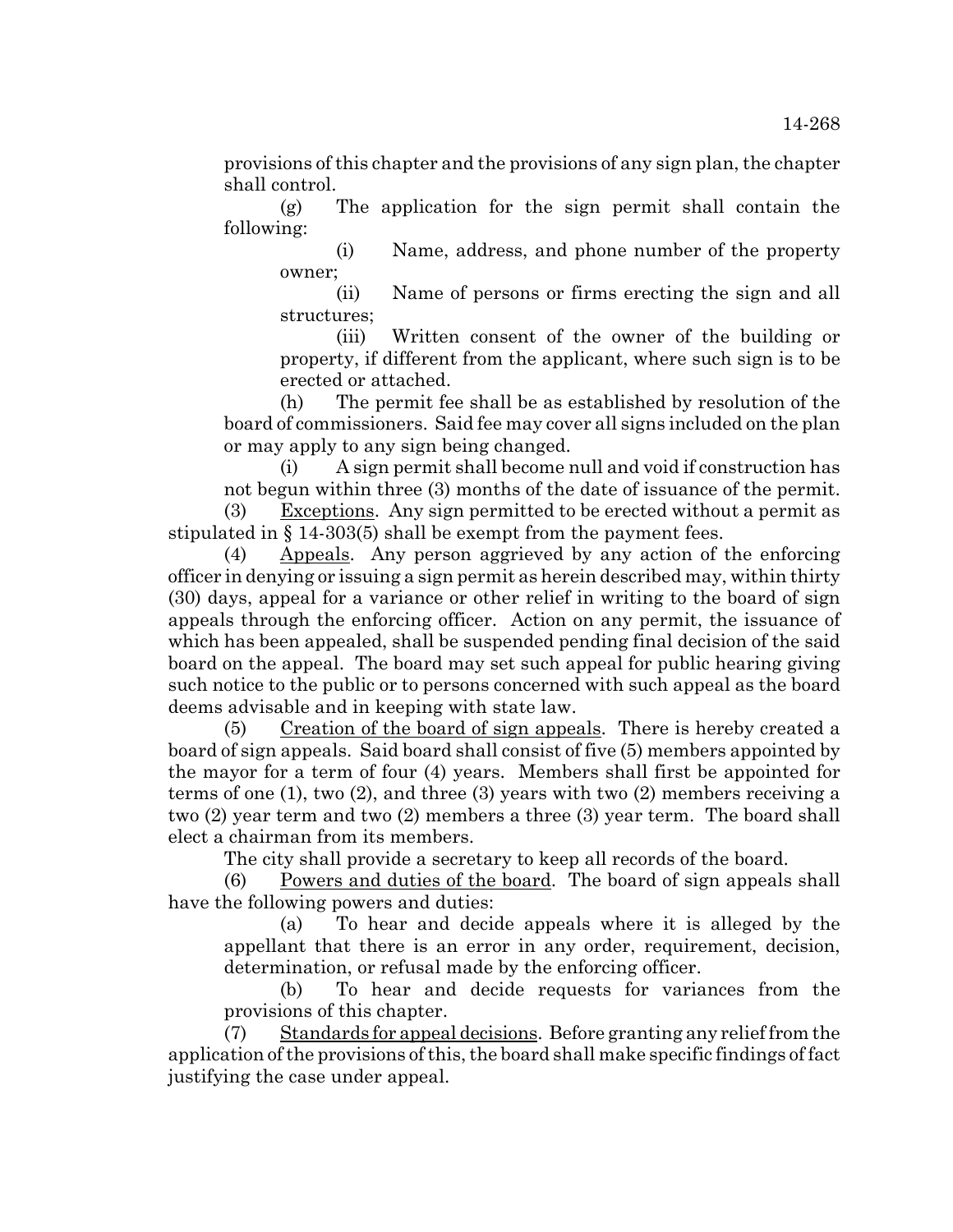provisions of this chapter and the provisions of any sign plan, the chapter shall control.

(g) The application for the sign permit shall contain the following:

(i) Name, address, and phone number of the property owner;

(ii) Name of persons or firms erecting the sign and all structures;

(iii) Written consent of the owner of the building or property, if different from the applicant, where such sign is to be erected or attached.

(h) The permit fee shall be as established by resolution of the board of commissioners. Said fee may cover all signs included on the plan or may apply to any sign being changed.

(i) A sign permit shall become null and void if construction has not begun within three (3) months of the date of issuance of the permit.

(3) Exceptions. Any sign permitted to be erected without a permit as stipulated in § 14-303(5) shall be exempt from the payment fees.

(4) Appeals. Any person aggrieved by any action of the enforcing officer in denying or issuing a sign permit as herein described may, within thirty (30) days, appeal for a variance or other relief in writing to the board of sign appeals through the enforcing officer. Action on any permit, the issuance of which has been appealed, shall be suspended pending final decision of the said board on the appeal. The board may set such appeal for public hearing giving such notice to the public or to persons concerned with such appeal as the board deems advisable and in keeping with state law.

(5) Creation of the board of sign appeals. There is hereby created a board of sign appeals. Said board shall consist of five (5) members appointed by the mayor for a term of four (4) years. Members shall first be appointed for terms of one (1), two (2), and three (3) years with two (2) members receiving a two (2) year term and two (2) members a three (3) year term. The board shall elect a chairman from its members.

The city shall provide a secretary to keep all records of the board.

(6) Powers and duties of the board. The board of sign appeals shall have the following powers and duties:

(a) To hear and decide appeals where it is alleged by the appellant that there is an error in any order, requirement, decision, determination, or refusal made by the enforcing officer.

(b) To hear and decide requests for variances from the provisions of this chapter.

(7) Standards for appeal decisions. Before granting any relief from the application of the provisions of this, the board shall make specific findings of fact justifying the case under appeal.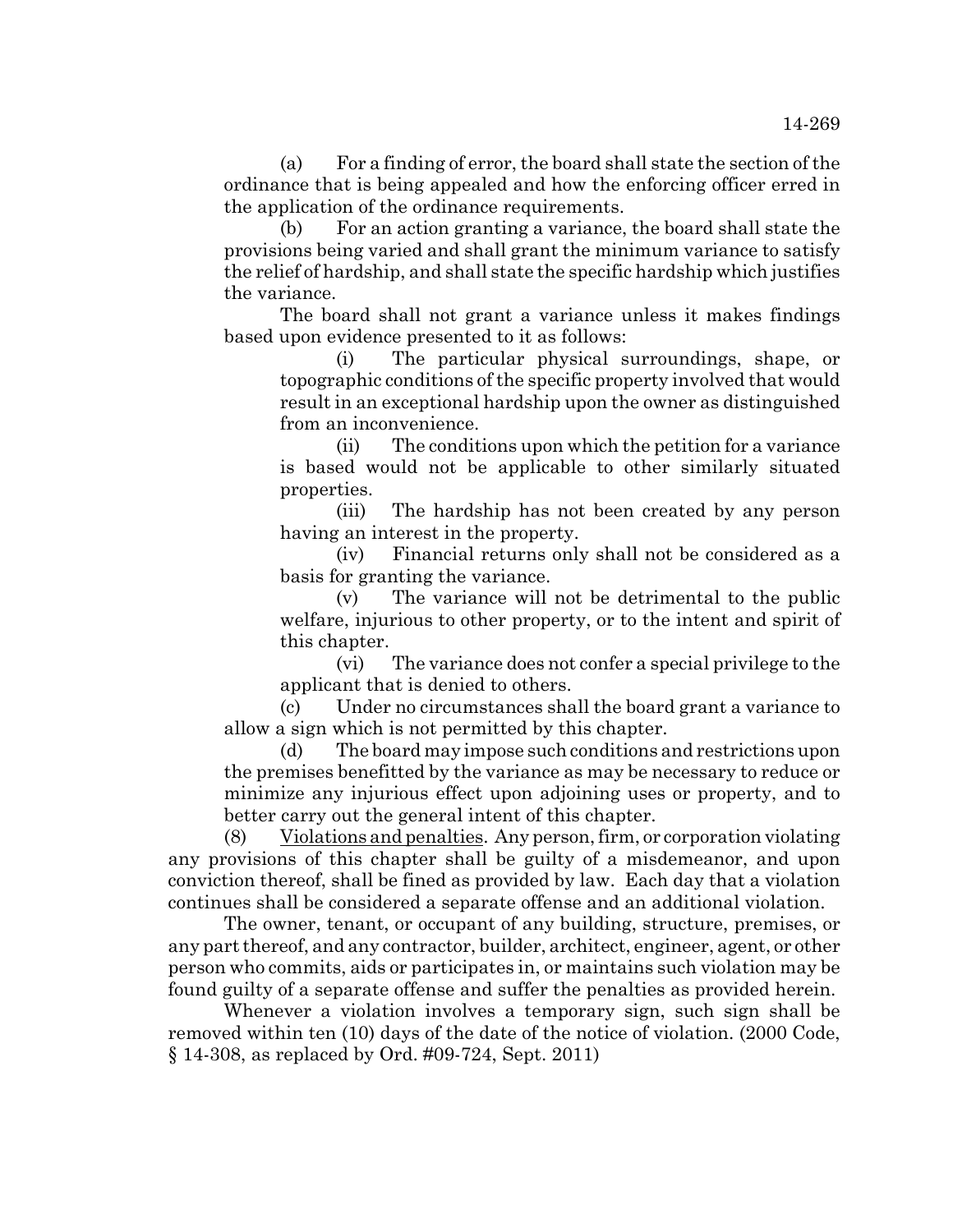(a) For a finding of error, the board shall state the section of the ordinance that is being appealed and how the enforcing officer erred in the application of the ordinance requirements.

(b) For an action granting a variance, the board shall state the provisions being varied and shall grant the minimum variance to satisfy the relief of hardship, and shall state the specific hardship which justifies the variance.

The board shall not grant a variance unless it makes findings based upon evidence presented to it as follows:

(i) The particular physical surroundings, shape, or topographic conditions of the specific property involved that would result in an exceptional hardship upon the owner as distinguished from an inconvenience.

(ii) The conditions upon which the petition for a variance is based would not be applicable to other similarly situated properties.

(iii) The hardship has not been created by any person having an interest in the property.

(iv) Financial returns only shall not be considered as a basis for granting the variance.

(v) The variance will not be detrimental to the public welfare, injurious to other property, or to the intent and spirit of this chapter.

(vi) The variance does not confer a special privilege to the applicant that is denied to others.

(c) Under no circumstances shall the board grant a variance to allow a sign which is not permitted by this chapter.

(d) The board may impose such conditions and restrictions upon the premises benefitted by the variance as may be necessary to reduce or minimize any injurious effect upon adjoining uses or property, and to better carry out the general intent of this chapter.

(8) Violations and penalties. Any person, firm, or corporation violating any provisions of this chapter shall be guilty of a misdemeanor, and upon conviction thereof, shall be fined as provided by law. Each day that a violation continues shall be considered a separate offense and an additional violation.

The owner, tenant, or occupant of any building, structure, premises, or any part thereof, and any contractor, builder, architect, engineer, agent, or other person who commits, aids or participates in, or maintains such violation may be found guilty of a separate offense and suffer the penalties as provided herein.

Whenever a violation involves a temporary sign, such sign shall be removed within ten (10) days of the date of the notice of violation. (2000 Code, § 14-308, as replaced by Ord. #09-724, Sept. 2011)